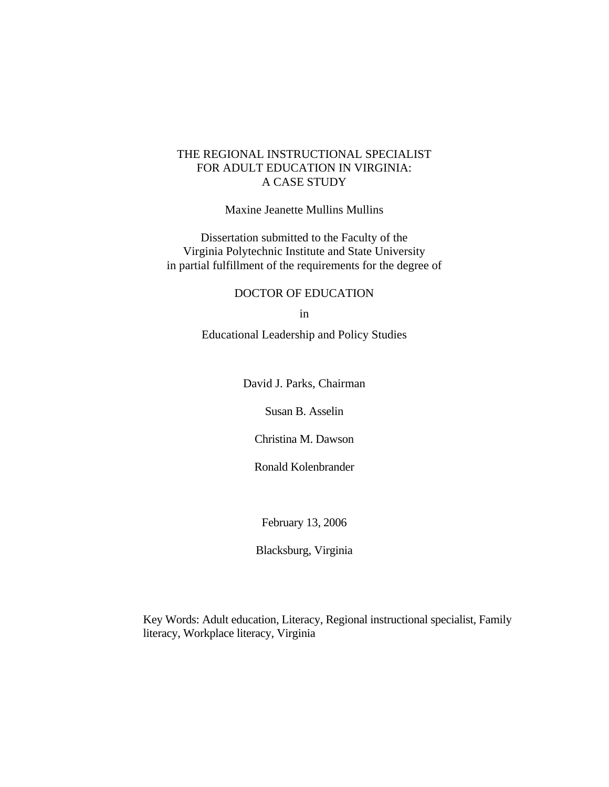## THE REGIONAL INSTRUCTIONAL SPECIALIST FOR ADULT EDUCATION IN VIRGINIA: A CASE STUDY

Maxine Jeanette Mullins Mullins

Dissertation submitted to the Faculty of the Virginia Polytechnic Institute and State University in partial fulfillment of the requirements for the degree of

#### DOCTOR OF EDUCATION

in

Educational Leadership and Policy Studies

David J. Parks, Chairman

Susan B. Asselin

Christina M. Dawson

Ronald Kolenbrander

February 13, 2006

Blacksburg, Virginia

Key Words: Adult education, Literacy, Regional instructional specialist, Family literacy, Workplace literacy, Virginia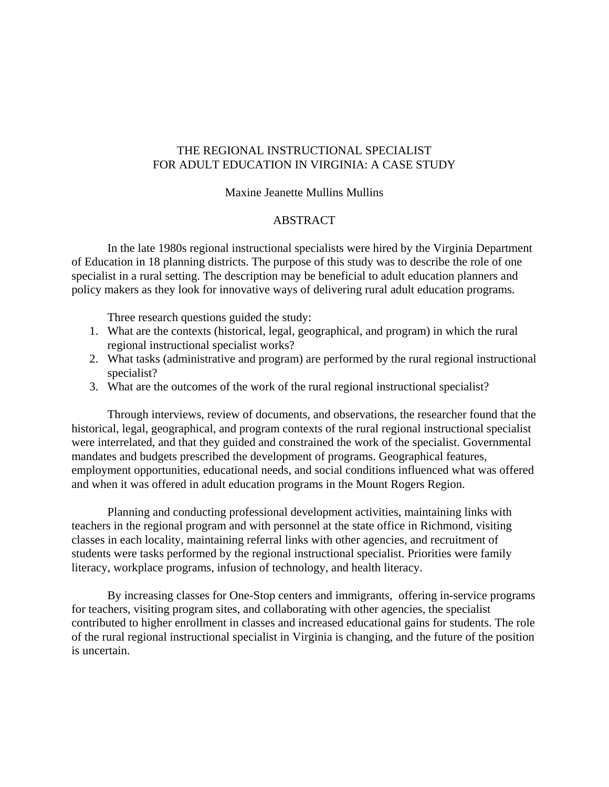## THE REGIONAL INSTRUCTIONAL SPECIALIST FOR ADULT EDUCATION IN VIRGINIA: A CASE STUDY

#### Maxine Jeanette Mullins Mullins

#### ABSTRACT

In the late 1980s regional instructional specialists were hired by the Virginia Department of Education in 18 planning districts. The purpose of this study was to describe the role of one specialist in a rural setting. The description may be beneficial to adult education planners and policy makers as they look for innovative ways of delivering rural adult education programs.

Three research questions guided the study:

- 1. What are the contexts (historical, legal, geographical, and program) in which the rural regional instructional specialist works?
- 2. What tasks (administrative and program) are performed by the rural regional instructional specialist?
- 3. What are the outcomes of the work of the rural regional instructional specialist?

Through interviews, review of documents, and observations, the researcher found that the historical, legal, geographical, and program contexts of the rural regional instructional specialist were interrelated, and that they guided and constrained the work of the specialist. Governmental mandates and budgets prescribed the development of programs. Geographical features, employment opportunities, educational needs, and social conditions influenced what was offered and when it was offered in adult education programs in the Mount Rogers Region.

Planning and conducting professional development activities, maintaining links with teachers in the regional program and with personnel at the state office in Richmond, visiting classes in each locality, maintaining referral links with other agencies, and recruitment of students were tasks performed by the regional instructional specialist. Priorities were family literacy, workplace programs, infusion of technology, and health literacy.

By increasing classes for One-Stop centers and immigrants, offering in-service programs for teachers, visiting program sites, and collaborating with other agencies, the specialist contributed to higher enrollment in classes and increased educational gains for students. The role of the rural regional instructional specialist in Virginia is changing, and the future of the position is uncertain.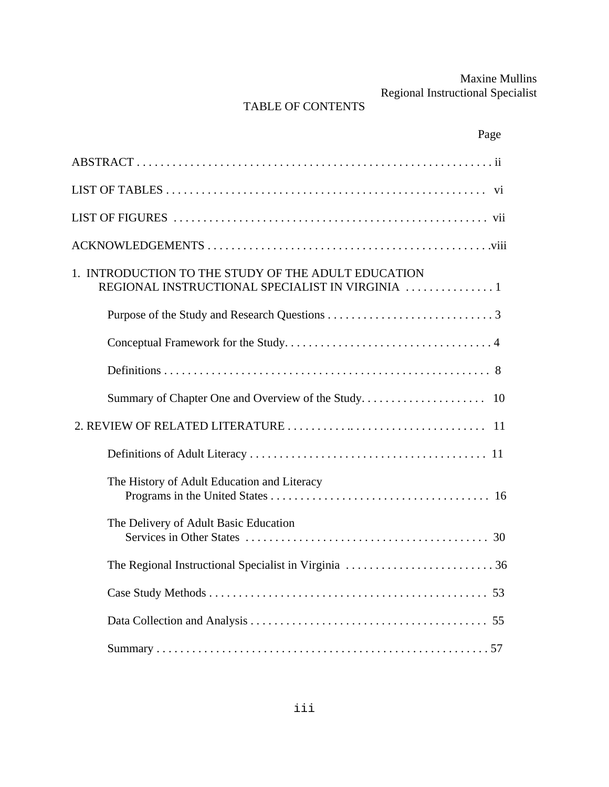# TABLE OF CONTENTS

| Page                                                |
|-----------------------------------------------------|
|                                                     |
|                                                     |
|                                                     |
|                                                     |
| 1. INTRODUCTION TO THE STUDY OF THE ADULT EDUCATION |
|                                                     |
|                                                     |
|                                                     |
|                                                     |
|                                                     |
|                                                     |
| The History of Adult Education and Literacy         |
| The Delivery of Adult Basic Education               |
|                                                     |
| 53                                                  |
|                                                     |
|                                                     |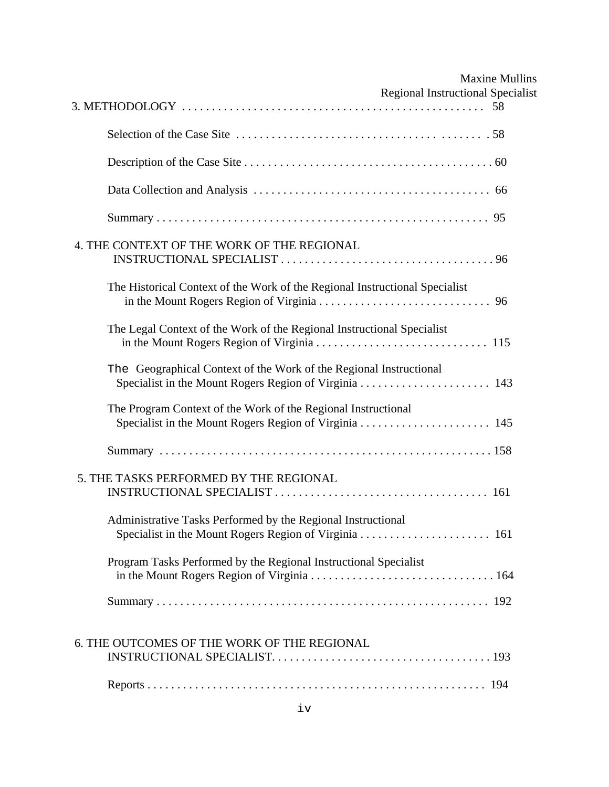| <b>Maxine Mullins</b><br><b>Regional Instructional Specialist</b>           |  |
|-----------------------------------------------------------------------------|--|
|                                                                             |  |
|                                                                             |  |
|                                                                             |  |
|                                                                             |  |
| 4. THE CONTEXT OF THE WORK OF THE REGIONAL                                  |  |
| The Historical Context of the Work of the Regional Instructional Specialist |  |
| The Legal Context of the Work of the Regional Instructional Specialist      |  |
| The Geographical Context of the Work of the Regional Instructional          |  |
| The Program Context of the Work of the Regional Instructional               |  |
|                                                                             |  |
| 5. THE TASKS PERFORMED BY THE REGIONAL                                      |  |
| Administrative Tasks Performed by the Regional Instructional                |  |
| Program Tasks Performed by the Regional Instructional Specialist            |  |
|                                                                             |  |
| 6. THE OUTCOMES OF THE WORK OF THE REGIONAL                                 |  |
|                                                                             |  |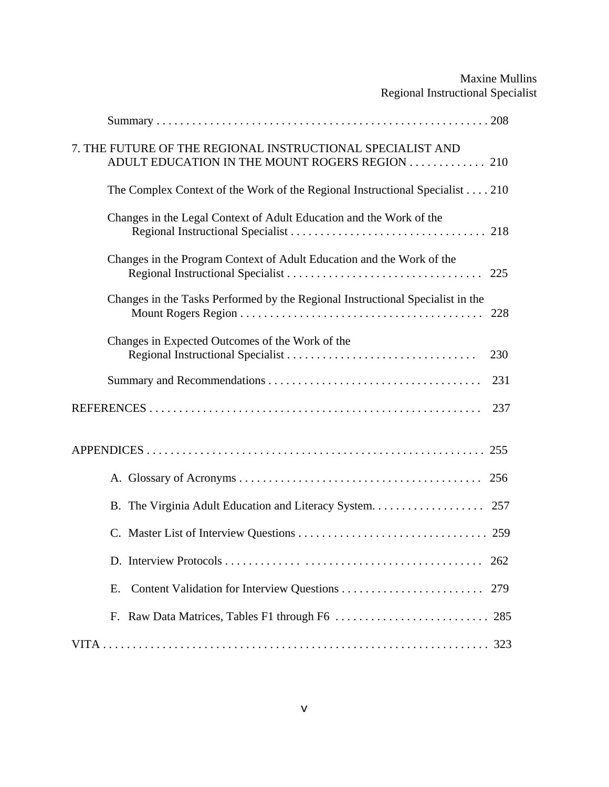| 7. THE FUTURE OF THE REGIONAL INSTRUCTIONAL SPECIALIST AND<br>ADULT EDUCATION IN THE MOUNT ROGERS REGION  210 |  |
|---------------------------------------------------------------------------------------------------------------|--|
| The Complex Context of the Work of the Regional Instructional Specialist 210                                  |  |
| Changes in the Legal Context of Adult Education and the Work of the                                           |  |
| Changes in the Program Context of Adult Education and the Work of the                                         |  |
| Changes in the Tasks Performed by the Regional Instructional Specialist in the<br>228                         |  |
| Changes in Expected Outcomes of the Work of the<br>230                                                        |  |
| 231                                                                                                           |  |
| 237                                                                                                           |  |
| B. The Virginia Adult Education and Literacy System<br>257<br>262<br>279<br>Е.                                |  |
|                                                                                                               |  |
|                                                                                                               |  |
|                                                                                                               |  |
|                                                                                                               |  |
|                                                                                                               |  |
|                                                                                                               |  |
|                                                                                                               |  |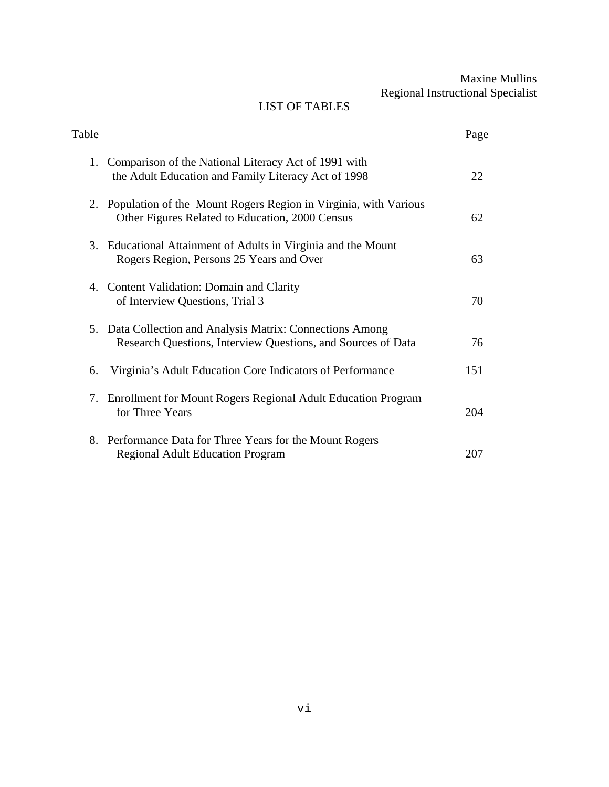# LIST OF TABLES

| Table |                                                                                                                           | Page |
|-------|---------------------------------------------------------------------------------------------------------------------------|------|
|       | 1. Comparison of the National Literacy Act of 1991 with<br>the Adult Education and Family Literacy Act of 1998            | 22   |
|       | 2. Population of the Mount Rogers Region in Virginia, with Various<br>Other Figures Related to Education, 2000 Census     | 62   |
|       | 3. Educational Attainment of Adults in Virginia and the Mount<br>Rogers Region, Persons 25 Years and Over                 | 63   |
|       | 4. Content Validation: Domain and Clarity<br>of Interview Questions, Trial 3                                              | 70   |
|       | 5. Data Collection and Analysis Matrix: Connections Among<br>Research Questions, Interview Questions, and Sources of Data | 76   |
| 6.    | Virginia's Adult Education Core Indicators of Performance                                                                 | 151  |
|       | 7. Enrollment for Mount Rogers Regional Adult Education Program<br>for Three Years                                        | 204  |
|       | 8. Performance Data for Three Years for the Mount Rogers<br><b>Regional Adult Education Program</b>                       | 207  |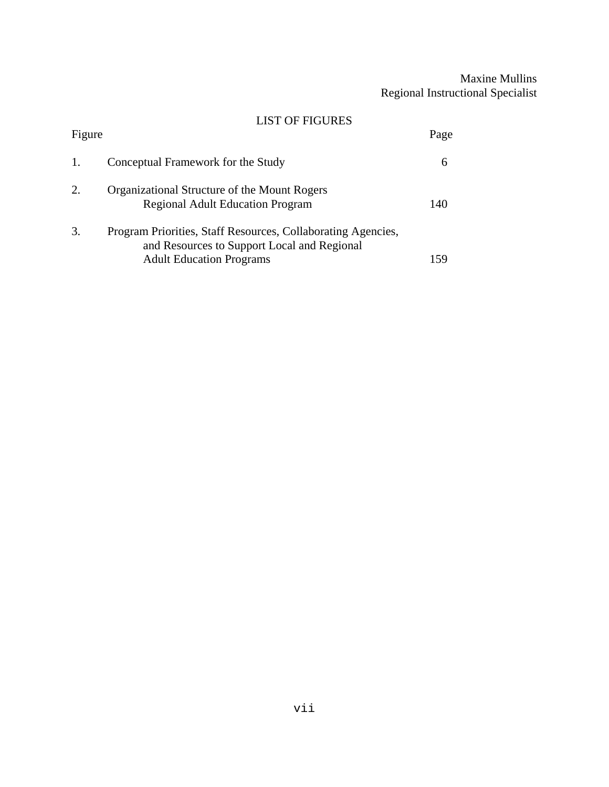# LIST OF FIGURES

| Figure |                                                                                                             | Page |
|--------|-------------------------------------------------------------------------------------------------------------|------|
| 1.     | Conceptual Framework for the Study                                                                          | h    |
| 2.     | Organizational Structure of the Mount Rogers<br><b>Regional Adult Education Program</b>                     | 140  |
| 3.     | Program Priorities, Staff Resources, Collaborating Agencies,<br>and Resources to Support Local and Regional |      |
|        | <b>Adult Education Programs</b>                                                                             |      |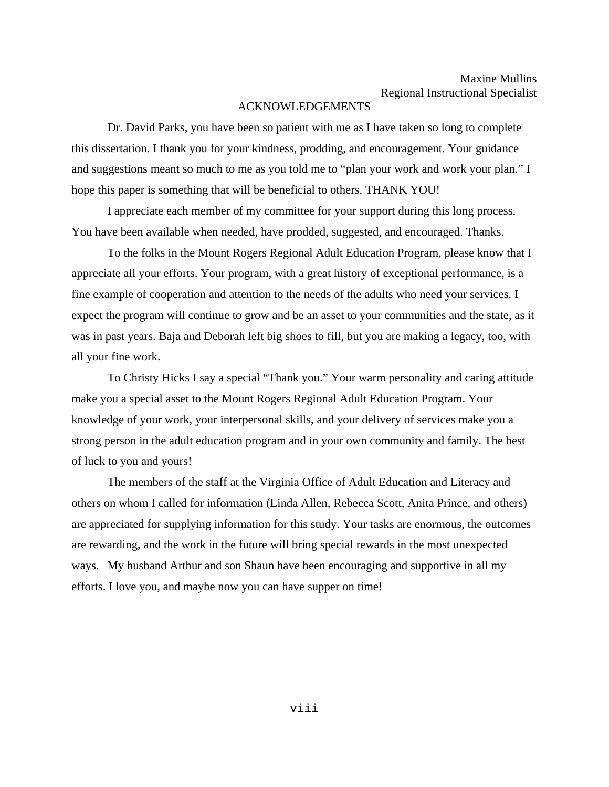## ACKNOWLEDGEMENTS

 Dr. David Parks, you have been so patient with me as I have taken so long to complete this dissertation. I thank you for your kindness, prodding, and encouragement. Your guidance and suggestions meant so much to me as you told me to "plan your work and work your plan." I hope this paper is something that will be beneficial to others. THANK YOU!

 I appreciate each member of my committee for your support during this long process. You have been available when needed, have prodded, suggested, and encouraged. Thanks.

 To the folks in the Mount Rogers Regional Adult Education Program, please know that I appreciate all your efforts. Your program, with a great history of exceptional performance, is a fine example of cooperation and attention to the needs of the adults who need your services. I expect the program will continue to grow and be an asset to your communities and the state, as it was in past years. Baja and Deborah left big shoes to fill, but you are making a legacy, too, with all your fine work.

 To Christy Hicks I say a special "Thank you." Your warm personality and caring attitude make you a special asset to the Mount Rogers Regional Adult Education Program. Your knowledge of your work, your interpersonal skills, and your delivery of services make you a strong person in the adult education program and in your own community and family. The best of luck to you and yours!

 The members of the staff at the Virginia Office of Adult Education and Literacy and others on whom I called for information (Linda Allen, Rebecca Scott, Anita Prince, and others) are appreciated for supplying information for this study. Your tasks are enormous, the outcomes are rewarding, and the work in the future will bring special rewards in the most unexpected ways. My husband Arthur and son Shaun have been encouraging and supportive in all my efforts. I love you, and maybe now you can have supper on time!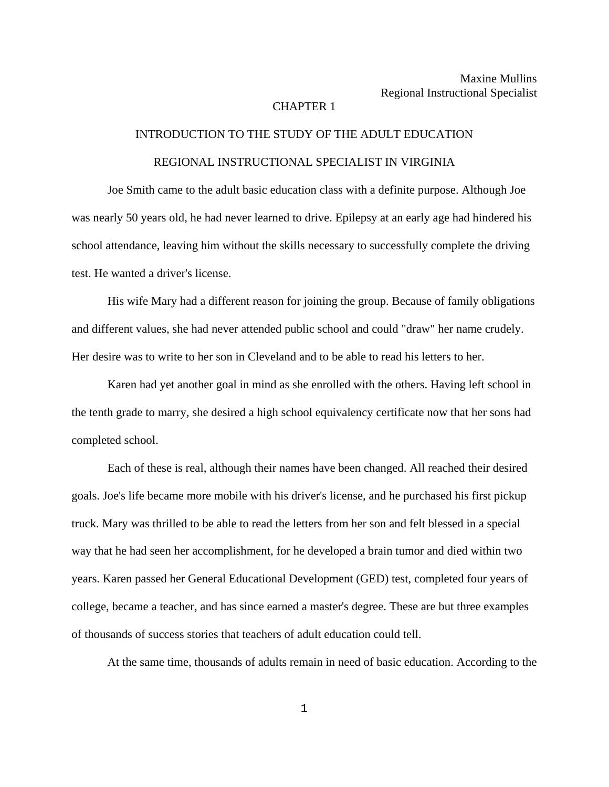## CHAPTER 1

# INTRODUCTION TO THE STUDY OF THE ADULT EDUCATION REGIONAL INSTRUCTIONAL SPECIALIST IN VIRGINIA

 Joe Smith came to the adult basic education class with a definite purpose. Although Joe was nearly 50 years old, he had never learned to drive. Epilepsy at an early age had hindered his school attendance, leaving him without the skills necessary to successfully complete the driving test. He wanted a driver's license.

 His wife Mary had a different reason for joining the group. Because of family obligations and different values, she had never attended public school and could "draw" her name crudely. Her desire was to write to her son in Cleveland and to be able to read his letters to her.

 Karen had yet another goal in mind as she enrolled with the others. Having left school in the tenth grade to marry, she desired a high school equivalency certificate now that her sons had completed school.

 Each of these is real, although their names have been changed. All reached their desired goals. Joe's life became more mobile with his driver's license, and he purchased his first pickup truck. Mary was thrilled to be able to read the letters from her son and felt blessed in a special way that he had seen her accomplishment, for he developed a brain tumor and died within two years. Karen passed her General Educational Development (GED) test, completed four years of college, became a teacher, and has since earned a master's degree. These are but three examples of thousands of success stories that teachers of adult education could tell.

At the same time, thousands of adults remain in need of basic education. According to the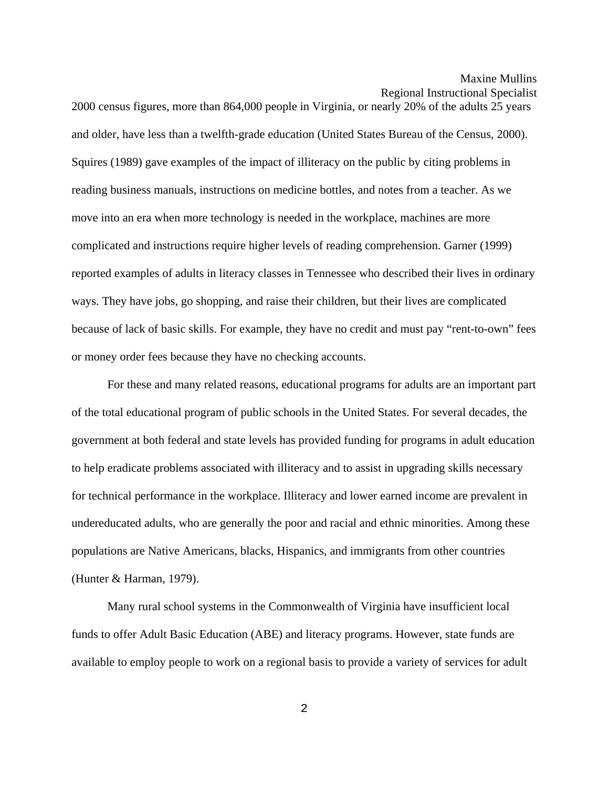## Maxine Mullins

Regional Instructional Specialist

2000 census figures, more than 864,000 people in Virginia, or nearly 20% of the adults 25 years and older, have less than a twelfth-grade education (United States Bureau of the Census, 2000). Squires (1989) gave examples of the impact of illiteracy on the public by citing problems in reading business manuals, instructions on medicine bottles, and notes from a teacher. As we move into an era when more technology is needed in the workplace, machines are more complicated and instructions require higher levels of reading comprehension. Garner (1999) reported examples of adults in literacy classes in Tennessee who described their lives in ordinary ways. They have jobs, go shopping, and raise their children, but their lives are complicated because of lack of basic skills. For example, they have no credit and must pay "rent-to-own" fees or money order fees because they have no checking accounts.

 For these and many related reasons, educational programs for adults are an important part of the total educational program of public schools in the United States. For several decades, the government at both federal and state levels has provided funding for programs in adult education to help eradicate problems associated with illiteracy and to assist in upgrading skills necessary for technical performance in the workplace. Illiteracy and lower earned income are prevalent in undereducated adults, who are generally the poor and racial and ethnic minorities. Among these populations are Native Americans, blacks, Hispanics, and immigrants from other countries (Hunter & Harman, 1979).

 Many rural school systems in the Commonwealth of Virginia have insufficient local funds to offer Adult Basic Education (ABE) and literacy programs. However, state funds are available to employ people to work on a regional basis to provide a variety of services for adult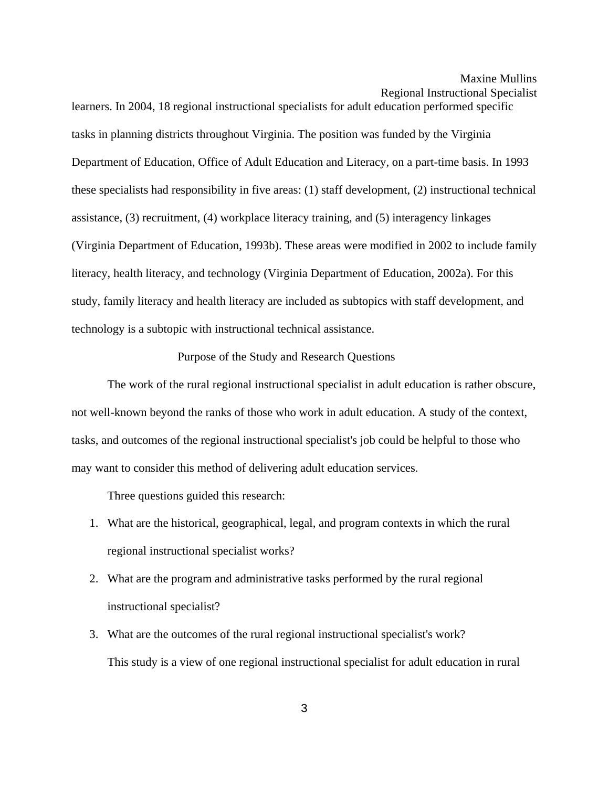learners. In 2004, 18 regional instructional specialists for adult education performed specific tasks in planning districts throughout Virginia. The position was funded by the Virginia Department of Education, Office of Adult Education and Literacy, on a part-time basis. In 1993 these specialists had responsibility in five areas: (1) staff development, (2) instructional technical assistance, (3) recruitment, (4) workplace literacy training, and (5) interagency linkages (Virginia Department of Education, 1993b). These areas were modified in 2002 to include family literacy, health literacy, and technology (Virginia Department of Education, 2002a). For this study, family literacy and health literacy are included as subtopics with staff development, and technology is a subtopic with instructional technical assistance.

### Purpose of the Study and Research Questions

 The work of the rural regional instructional specialist in adult education is rather obscure, not well-known beyond the ranks of those who work in adult education. A study of the context, tasks, and outcomes of the regional instructional specialist's job could be helpful to those who may want to consider this method of delivering adult education services.

Three questions guided this research:

- 1. What are the historical, geographical, legal, and program contexts in which the rural regional instructional specialist works?
- 2. What are the program and administrative tasks performed by the rural regional instructional specialist?
- 3. What are the outcomes of the rural regional instructional specialist's work? This study is a view of one regional instructional specialist for adult education in rural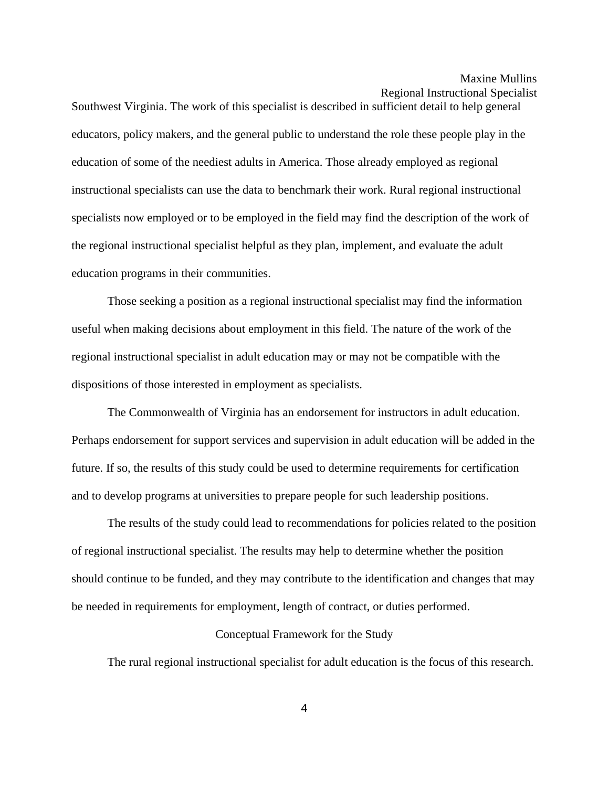## Maxine Mullins

Regional Instructional Specialist

Southwest Virginia. The work of this specialist is described in sufficient detail to help general educators, policy makers, and the general public to understand the role these people play in the education of some of the neediest adults in America. Those already employed as regional instructional specialists can use the data to benchmark their work. Rural regional instructional specialists now employed or to be employed in the field may find the description of the work of the regional instructional specialist helpful as they plan, implement, and evaluate the adult education programs in their communities.

 Those seeking a position as a regional instructional specialist may find the information useful when making decisions about employment in this field. The nature of the work of the regional instructional specialist in adult education may or may not be compatible with the dispositions of those interested in employment as specialists.

 The Commonwealth of Virginia has an endorsement for instructors in adult education. Perhaps endorsement for support services and supervision in adult education will be added in the future. If so, the results of this study could be used to determine requirements for certification and to develop programs at universities to prepare people for such leadership positions.

 The results of the study could lead to recommendations for policies related to the position of regional instructional specialist. The results may help to determine whether the position should continue to be funded, and they may contribute to the identification and changes that may be needed in requirements for employment, length of contract, or duties performed.

### Conceptual Framework for the Study

The rural regional instructional specialist for adult education is the focus of this research.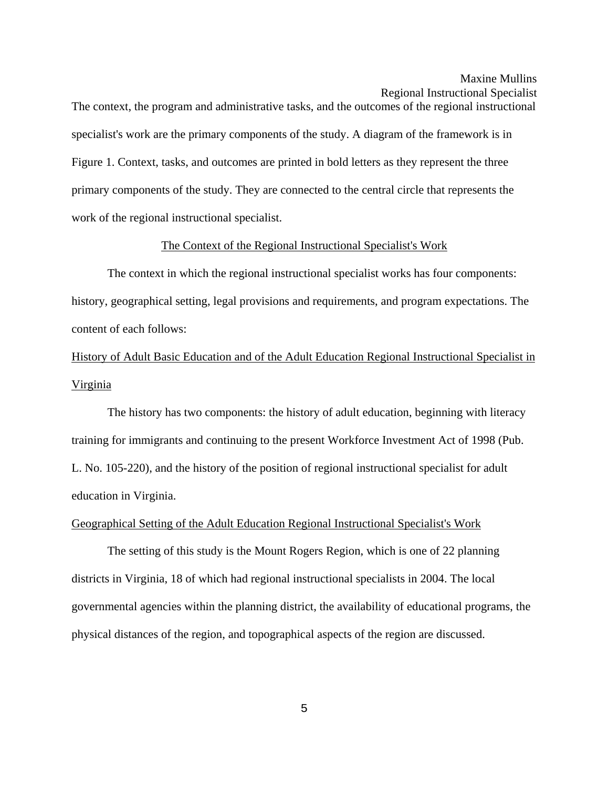The context, the program and administrative tasks, and the outcomes of the regional instructional specialist's work are the primary components of the study. A diagram of the framework is in Figure 1. Context, tasks, and outcomes are printed in bold letters as they represent the three primary components of the study. They are connected to the central circle that represents the work of the regional instructional specialist.

## The Context of the Regional Instructional Specialist's Work

 The context in which the regional instructional specialist works has four components: history, geographical setting, legal provisions and requirements, and program expectations. The content of each follows:

# History of Adult Basic Education and of the Adult Education Regional Instructional Specialist in Virginia

 The history has two components: the history of adult education, beginning with literacy training for immigrants and continuing to the present Workforce Investment Act of 1998 (Pub. L. No. 105-220), and the history of the position of regional instructional specialist for adult education in Virginia.

#### Geographical Setting of the Adult Education Regional Instructional Specialist's Work

 The setting of this study is the Mount Rogers Region, which is one of 22 planning districts in Virginia, 18 of which had regional instructional specialists in 2004. The local governmental agencies within the planning district, the availability of educational programs, the physical distances of the region, and topographical aspects of the region are discussed.

5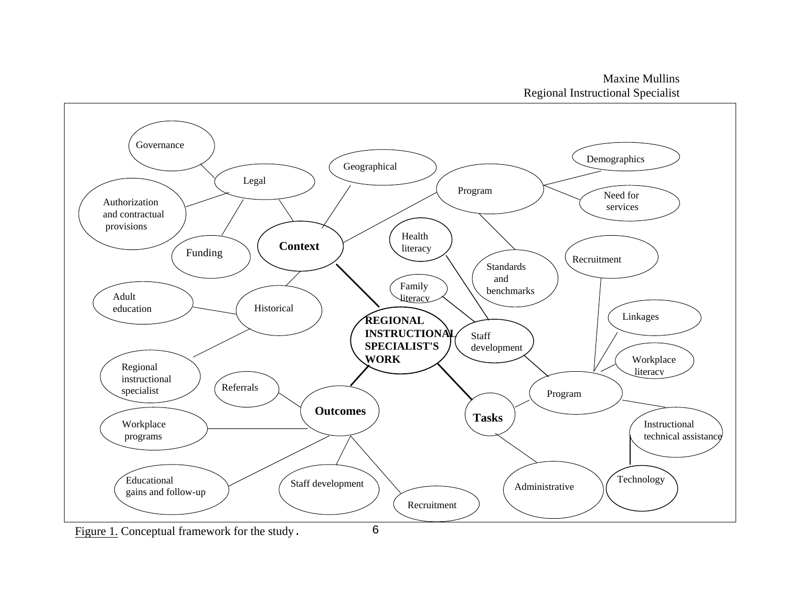Maxine Mullins Regional Instructional Specialist



Figure 1. Conceptual framework for the study.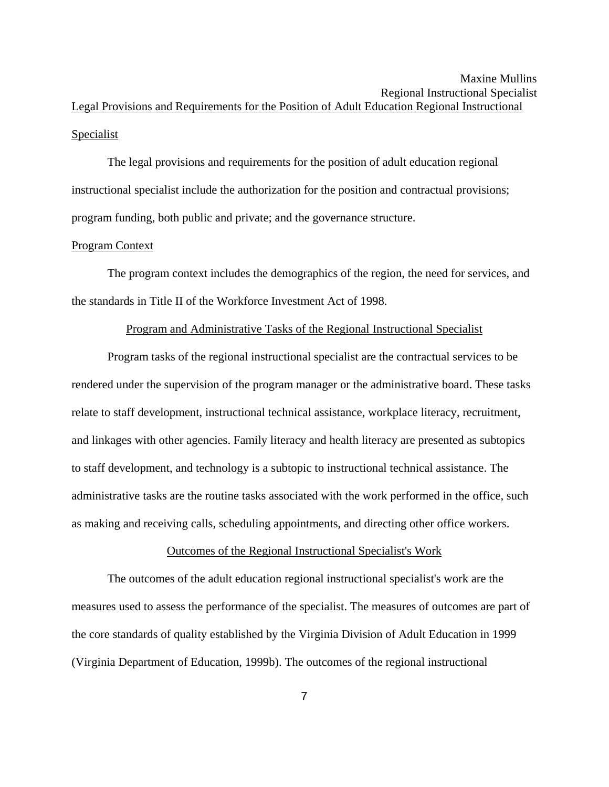Legal Provisions and Requirements for the Position of Adult Education Regional Instructional **Specialist** 

 The legal provisions and requirements for the position of adult education regional instructional specialist include the authorization for the position and contractual provisions; program funding, both public and private; and the governance structure.

### Program Context

 The program context includes the demographics of the region, the need for services, and the standards in Title II of the Workforce Investment Act of 1998.

#### Program and Administrative Tasks of the Regional Instructional Specialist

 Program tasks of the regional instructional specialist are the contractual services to be rendered under the supervision of the program manager or the administrative board. These tasks relate to staff development, instructional technical assistance, workplace literacy, recruitment, and linkages with other agencies. Family literacy and health literacy are presented as subtopics to staff development, and technology is a subtopic to instructional technical assistance. The administrative tasks are the routine tasks associated with the work performed in the office, such as making and receiving calls, scheduling appointments, and directing other office workers.

#### Outcomes of the Regional Instructional Specialist's Work

The outcomes of the adult education regional instructional specialist's work are the measures used to assess the performance of the specialist. The measures of outcomes are part of the core standards of quality established by the Virginia Division of Adult Education in 1999 (Virginia Department of Education, 1999b). The outcomes of the regional instructional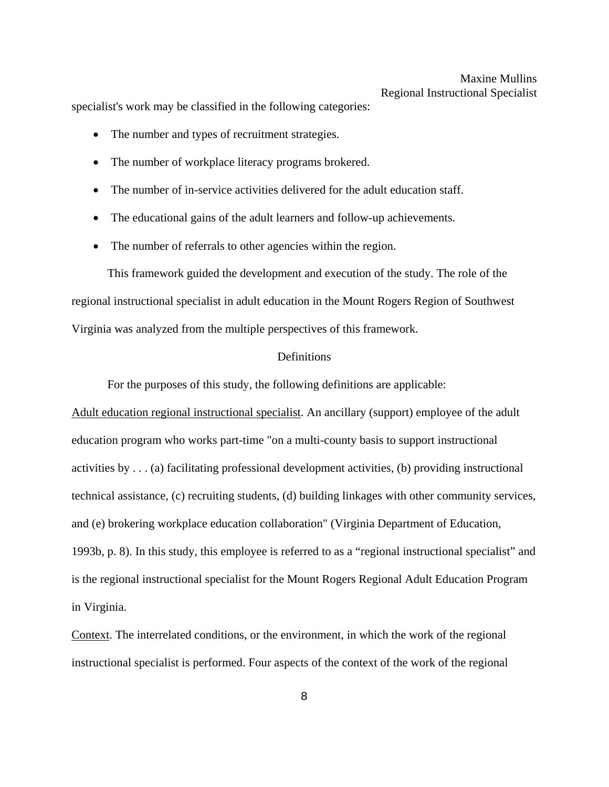specialist's work may be classified in the following categories:

- The number and types of recruitment strategies.
- The number of workplace literacy programs brokered.
- The number of in-service activities delivered for the adult education staff.
- The educational gains of the adult learners and follow-up achievements.
- The number of referrals to other agencies within the region.

This framework guided the development and execution of the study. The role of the regional instructional specialist in adult education in the Mount Rogers Region of Southwest Virginia was analyzed from the multiple perspectives of this framework.

#### Definitions

For the purposes of this study, the following definitions are applicable:

Adult education regional instructional specialist. An ancillary (support) employee of the adult education program who works part-time "on a multi-county basis to support instructional activities by . . . (a) facilitating professional development activities, (b) providing instructional technical assistance, (c) recruiting students, (d) building linkages with other community services, and (e) brokering workplace education collaboration" (Virginia Department of Education, 1993b, p. 8). In this study, this employee is referred to as a "regional instructional specialist" and is the regional instructional specialist for the Mount Rogers Regional Adult Education Program in Virginia.

Context. The interrelated conditions, or the environment, in which the work of the regional instructional specialist is performed. Four aspects of the context of the work of the regional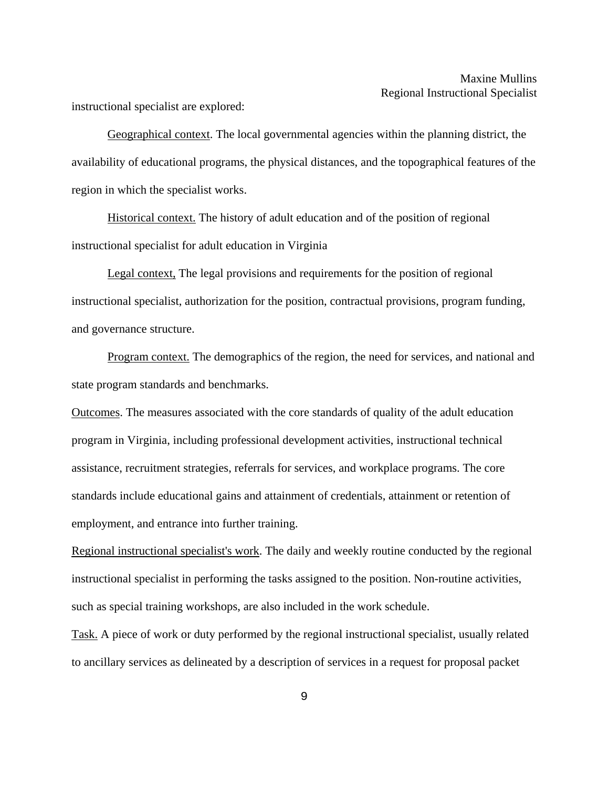instructional specialist are explored:

 Geographical context. The local governmental agencies within the planning district, the availability of educational programs, the physical distances, and the topographical features of the region in which the specialist works.

 Historical context. The history of adult education and of the position of regional instructional specialist for adult education in Virginia

 Legal context, The legal provisions and requirements for the position of regional instructional specialist, authorization for the position, contractual provisions, program funding, and governance structure.

 Program context. The demographics of the region, the need for services, and national and state program standards and benchmarks.

Outcomes. The measures associated with the core standards of quality of the adult education program in Virginia, including professional development activities, instructional technical assistance, recruitment strategies, referrals for services, and workplace programs. The core standards include educational gains and attainment of credentials, attainment or retention of employment, and entrance into further training.

Regional instructional specialist's work. The daily and weekly routine conducted by the regional instructional specialist in performing the tasks assigned to the position. Non-routine activities, such as special training workshops, are also included in the work schedule.

Task. A piece of work or duty performed by the regional instructional specialist, usually related to ancillary services as delineated by a description of services in a request for proposal packet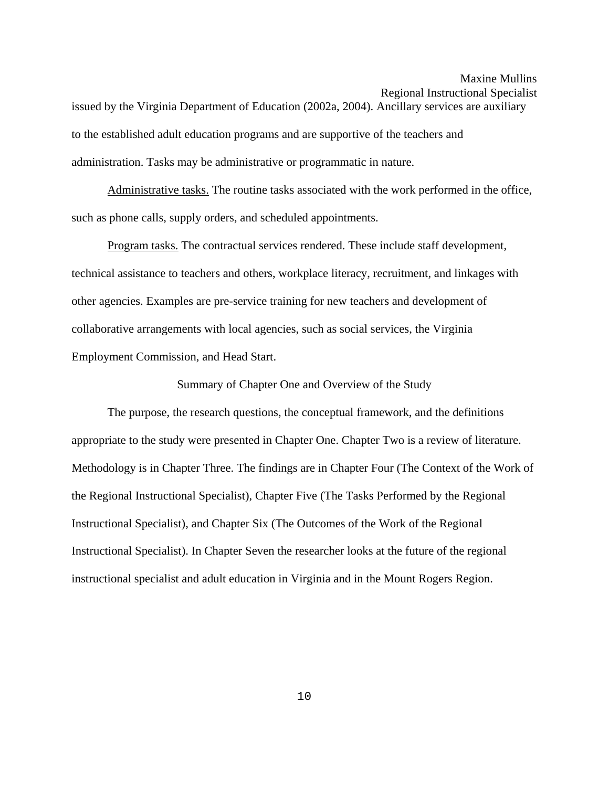# Maxine Mullins

Regional Instructional Specialist issued by the Virginia Department of Education (2002a, 2004). Ancillary services are auxiliary to the established adult education programs and are supportive of the teachers and administration. Tasks may be administrative or programmatic in nature.

 Administrative tasks. The routine tasks associated with the work performed in the office, such as phone calls, supply orders, and scheduled appointments.

 Program tasks. The contractual services rendered. These include staff development, technical assistance to teachers and others, workplace literacy, recruitment, and linkages with other agencies. Examples are pre-service training for new teachers and development of collaborative arrangements with local agencies, such as social services, the Virginia Employment Commission, and Head Start.

#### Summary of Chapter One and Overview of the Study

 The purpose, the research questions, the conceptual framework, and the definitions appropriate to the study were presented in Chapter One. Chapter Two is a review of literature. Methodology is in Chapter Three. The findings are in Chapter Four (The Context of the Work of the Regional Instructional Specialist), Chapter Five (The Tasks Performed by the Regional Instructional Specialist), and Chapter Six (The Outcomes of the Work of the Regional Instructional Specialist). In Chapter Seven the researcher looks at the future of the regional instructional specialist and adult education in Virginia and in the Mount Rogers Region.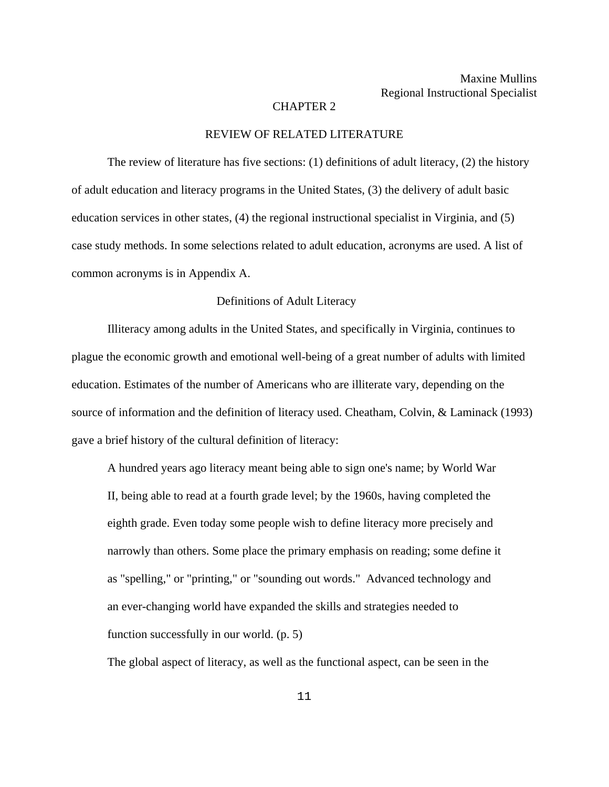## CHAPTER 2

#### REVIEW OF RELATED LITERATURE

The review of literature has five sections:  $(1)$  definitions of adult literacy,  $(2)$  the history of adult education and literacy programs in the United States, (3) the delivery of adult basic education services in other states, (4) the regional instructional specialist in Virginia, and (5) case study methods. In some selections related to adult education, acronyms are used. A list of common acronyms is in Appendix A.

#### Definitions of Adult Literacy

 Illiteracy among adults in the United States, and specifically in Virginia, continues to plague the economic growth and emotional well-being of a great number of adults with limited education. Estimates of the number of Americans who are illiterate vary, depending on the source of information and the definition of literacy used. Cheatham, Colvin, & Laminack (1993) gave a brief history of the cultural definition of literacy:

 A hundred years ago literacy meant being able to sign one's name; by World War II, being able to read at a fourth grade level; by the 1960s, having completed the eighth grade. Even today some people wish to define literacy more precisely and narrowly than others. Some place the primary emphasis on reading; some define it as "spelling," or "printing," or "sounding out words." Advanced technology and an ever-changing world have expanded the skills and strategies needed to function successfully in our world. (p. 5)

The global aspect of literacy, as well as the functional aspect, can be seen in the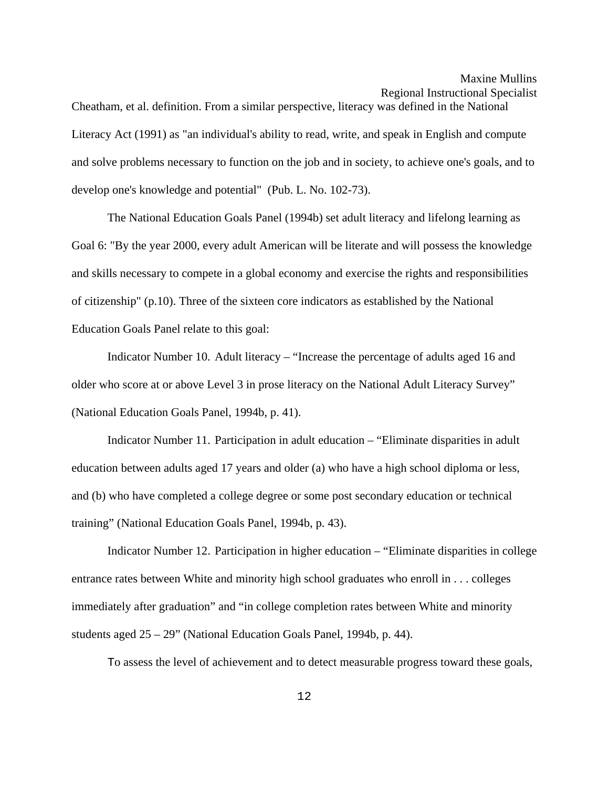Cheatham, et al. definition. From a similar perspective, literacy was defined in the National Literacy Act (1991) as "an individual's ability to read, write, and speak in English and compute and solve problems necessary to function on the job and in society, to achieve one's goals, and to develop one's knowledge and potential" (Pub. L. No. 102-73).

 The National Education Goals Panel (1994b) set adult literacy and lifelong learning as Goal 6: "By the year 2000, every adult American will be literate and will possess the knowledge and skills necessary to compete in a global economy and exercise the rights and responsibilities of citizenship" (p.10). Three of the sixteen core indicators as established by the National Education Goals Panel relate to this goal:

 Indicator Number 10. Adult literacy – "Increase the percentage of adults aged 16 and older who score at or above Level 3 in prose literacy on the National Adult Literacy Survey" (National Education Goals Panel, 1994b, p. 41).

 Indicator Number 11. Participation in adult education – "Eliminate disparities in adult education between adults aged 17 years and older (a) who have a high school diploma or less, and (b) who have completed a college degree or some post secondary education or technical training" (National Education Goals Panel, 1994b, p. 43).

 Indicator Number 12. Participation in higher education – "Eliminate disparities in college entrance rates between White and minority high school graduates who enroll in . . . colleges immediately after graduation" and "in college completion rates between White and minority students aged 25 – 29" (National Education Goals Panel, 1994b, p. 44).

To assess the level of achievement and to detect measurable progress toward these goals,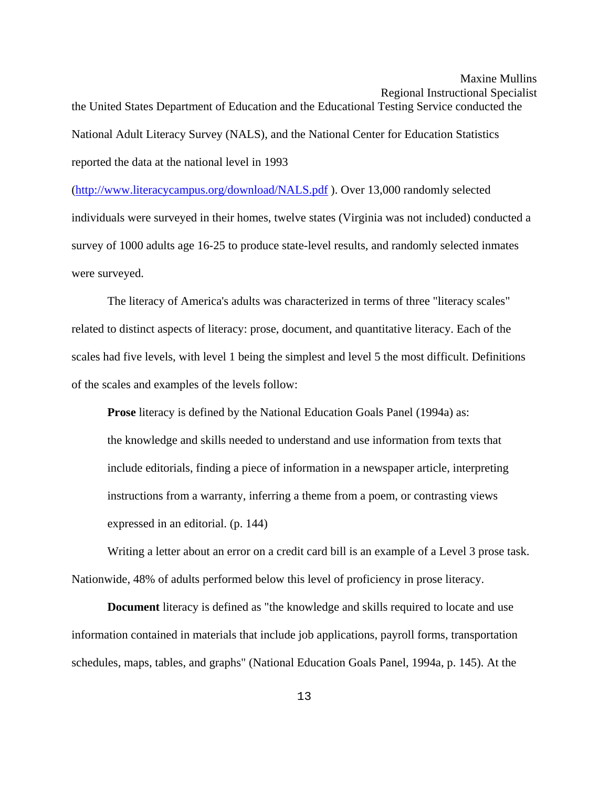the United States Department of Education and the Educational Testing Service conducted the National Adult Literacy Survey (NALS), and the National Center for Education Statistics reported the data at the national level in 1993

(<http://www.literacycampus.org/download/NALS.pdf>). Over 13,000 randomly selected individuals were surveyed in their homes, twelve states (Virginia was not included) conducted a survey of 1000 adults age 16-25 to produce state-level results, and randomly selected inmates were surveyed.

 The literacy of America's adults was characterized in terms of three "literacy scales" related to distinct aspects of literacy: prose, document, and quantitative literacy. Each of the scales had five levels, with level 1 being the simplest and level 5 the most difficult. Definitions of the scales and examples of the levels follow:

**Prose** literacy is defined by the National Education Goals Panel (1994a) as: the knowledge and skills needed to understand and use information from texts that include editorials, finding a piece of information in a newspaper article, interpreting instructions from a warranty, inferring a theme from a poem, or contrasting views expressed in an editorial. (p. 144)

 Writing a letter about an error on a credit card bill is an example of a Level 3 prose task. Nationwide, 48% of adults performed below this level of proficiency in prose literacy.

 **Document** literacy is defined as "the knowledge and skills required to locate and use information contained in materials that include job applications, payroll forms, transportation schedules, maps, tables, and graphs" (National Education Goals Panel, 1994a, p. 145). At the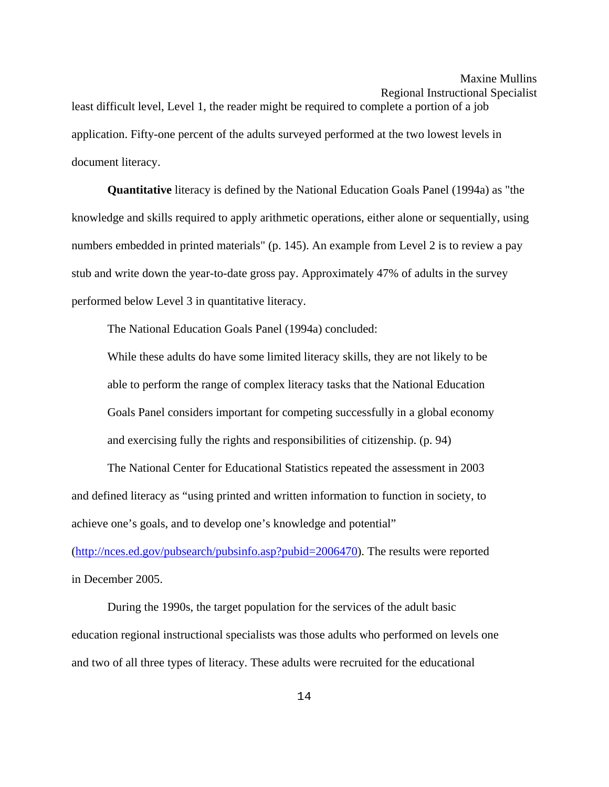least difficult level, Level 1, the reader might be required to complete a portion of a job application. Fifty-one percent of the adults surveyed performed at the two lowest levels in document literacy.

 **Quantitative** literacy is defined by the National Education Goals Panel (1994a) as "the knowledge and skills required to apply arithmetic operations, either alone or sequentially, using numbers embedded in printed materials" (p. 145). An example from Level 2 is to review a pay stub and write down the year-to-date gross pay. Approximately 47% of adults in the survey performed below Level 3 in quantitative literacy.

The National Education Goals Panel (1994a) concluded:

 While these adults do have some limited literacy skills, they are not likely to be able to perform the range of complex literacy tasks that the National Education Goals Panel considers important for competing successfully in a global economy and exercising fully the rights and responsibilities of citizenship. (p. 94)

 The National Center for Educational Statistics repeated the assessment in 2003 and defined literacy as "using printed and written information to function in society, to achieve one's goals, and to develop one's knowledge and potential"

([http://nces.ed.gov/pubsearch/pubsinfo.asp?pubid=2006470\)](http://nces.ed.gov/pubsearch/pubsinfo.asp?pubid=2006470). The results were reported in December 2005.

During the 1990s, the target population for the services of the adult basic education regional instructional specialists was those adults who performed on levels one and two of all three types of literacy. These adults were recruited for the educational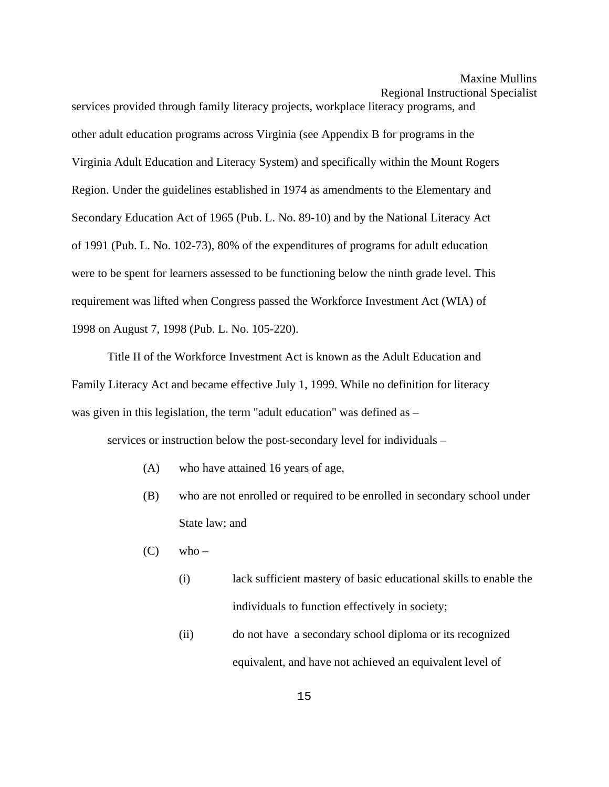services provided through family literacy projects, workplace literacy programs, and other adult education programs across Virginia (see Appendix B for programs in the Virginia Adult Education and Literacy System) and specifically within the Mount Rogers Region. Under the guidelines established in 1974 as amendments to the Elementary and Secondary Education Act of 1965 (Pub. L. No. 89-10) and by the National Literacy Act of 1991 (Pub. L. No. 102-73), 80% of the expenditures of programs for adult education were to be spent for learners assessed to be functioning below the ninth grade level. This requirement was lifted when Congress passed the Workforce Investment Act (WIA) of 1998 on August 7, 1998 (Pub. L. No. 105-220).

Title II of the Workforce Investment Act is known as the Adult Education and Family Literacy Act and became effective July 1, 1999. While no definition for literacy was given in this legislation, the term "adult education" was defined as –

services or instruction below the post-secondary level for individuals –

- (A) who have attained 16 years of age,
- (B) who are not enrolled or required to be enrolled in secondary school under State law; and
- $(C)$  who
	- (i) lack sufficient mastery of basic educational skills to enable the individuals to function effectively in society;
	- (ii) do not have a secondary school diploma or its recognized equivalent, and have not achieved an equivalent level of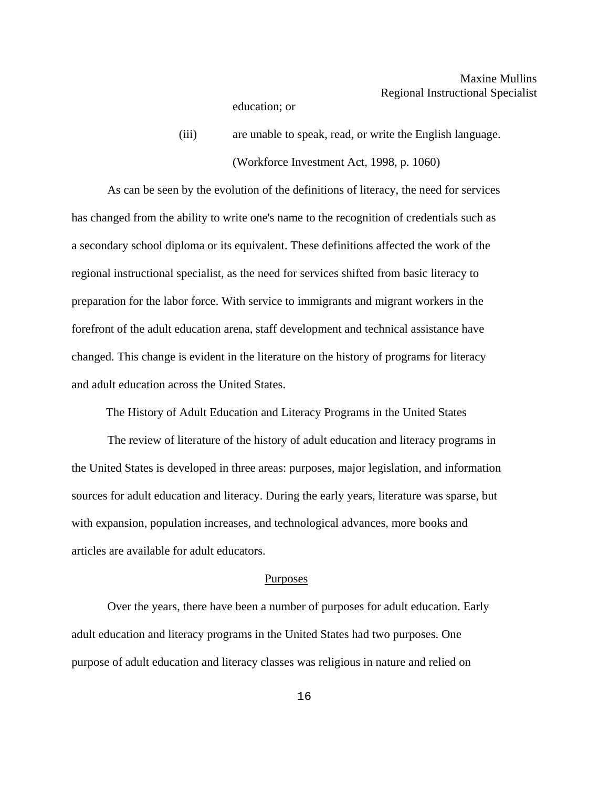education; or

(iii) are unable to speak, read, or write the English language. (Workforce Investment Act, 1998, p. 1060)

 As can be seen by the evolution of the definitions of literacy, the need for services has changed from the ability to write one's name to the recognition of credentials such as a secondary school diploma or its equivalent. These definitions affected the work of the regional instructional specialist, as the need for services shifted from basic literacy to preparation for the labor force. With service to immigrants and migrant workers in the forefront of the adult education arena, staff development and technical assistance have changed. This change is evident in the literature on the history of programs for literacy and adult education across the United States.

The History of Adult Education and Literacy Programs in the United States

The review of literature of the history of adult education and literacy programs in the United States is developed in three areas: purposes, major legislation, and information sources for adult education and literacy. During the early years, literature was sparse, but with expansion, population increases, and technological advances, more books and articles are available for adult educators.

#### Purposes

Over the years, there have been a number of purposes for adult education. Early adult education and literacy programs in the United States had two purposes. One purpose of adult education and literacy classes was religious in nature and relied on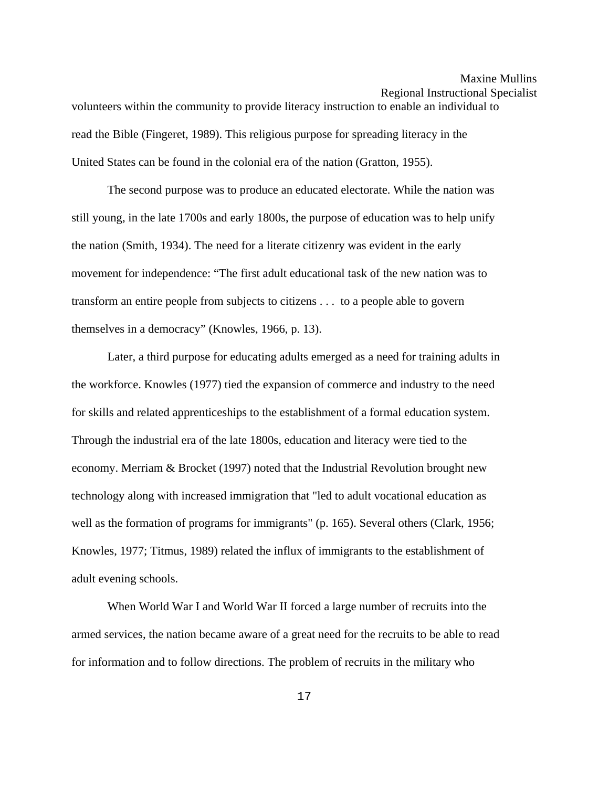# Maxine Mullins

Regional Instructional Specialist volunteers within the community to provide literacy instruction to enable an individual to read the Bible (Fingeret, 1989). This religious purpose for spreading literacy in the United States can be found in the colonial era of the nation (Gratton, 1955).

The second purpose was to produce an educated electorate. While the nation was still young, in the late 1700s and early 1800s, the purpose of education was to help unify the nation (Smith, 1934). The need for a literate citizenry was evident in the early movement for independence: "The first adult educational task of the new nation was to transform an entire people from subjects to citizens . . . to a people able to govern themselves in a democracy" (Knowles, 1966, p. 13).

Later, a third purpose for educating adults emerged as a need for training adults in the workforce. Knowles (1977) tied the expansion of commerce and industry to the need for skills and related apprenticeships to the establishment of a formal education system. Through the industrial era of the late 1800s, education and literacy were tied to the economy. Merriam & Brocket (1997) noted that the Industrial Revolution brought new technology along with increased immigration that "led to adult vocational education as well as the formation of programs for immigrants" (p. 165). Several others (Clark, 1956; Knowles, 1977; Titmus, 1989) related the influx of immigrants to the establishment of adult evening schools.

When World War I and World War II forced a large number of recruits into the armed services, the nation became aware of a great need for the recruits to be able to read for information and to follow directions. The problem of recruits in the military who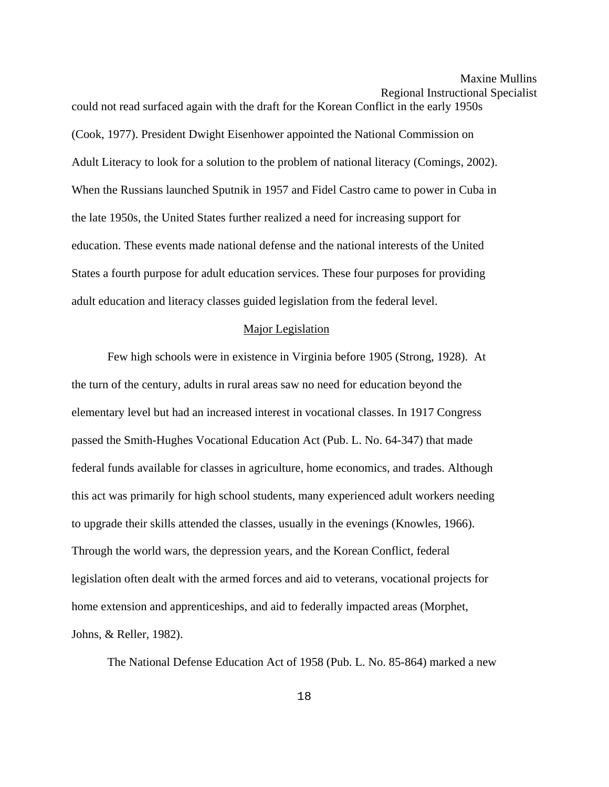could not read surfaced again with the draft for the Korean Conflict in the early 1950s (Cook, 1977). President Dwight Eisenhower appointed the National Commission on Adult Literacy to look for a solution to the problem of national literacy (Comings, 2002). When the Russians launched Sputnik in 1957 and Fidel Castro came to power in Cuba in the late 1950s, the United States further realized a need for increasing support for education. These events made national defense and the national interests of the United States a fourth purpose for adult education services. These four purposes for providing adult education and literacy classes guided legislation from the federal level.

#### Major Legislation

Few high schools were in existence in Virginia before 1905 (Strong, 1928). At the turn of the century, adults in rural areas saw no need for education beyond the elementary level but had an increased interest in vocational classes. In 1917 Congress passed the Smith-Hughes Vocational Education Act (Pub. L. No. 64-347) that made federal funds available for classes in agriculture, home economics, and trades. Although this act was primarily for high school students, many experienced adult workers needing to upgrade their skills attended the classes, usually in the evenings (Knowles, 1966). Through the world wars, the depression years, and the Korean Conflict, federal legislation often dealt with the armed forces and aid to veterans, vocational projects for home extension and apprenticeships, and aid to federally impacted areas (Morphet, Johns, & Reller, 1982).

The National Defense Education Act of 1958 (Pub. L. No. 85-864) marked a new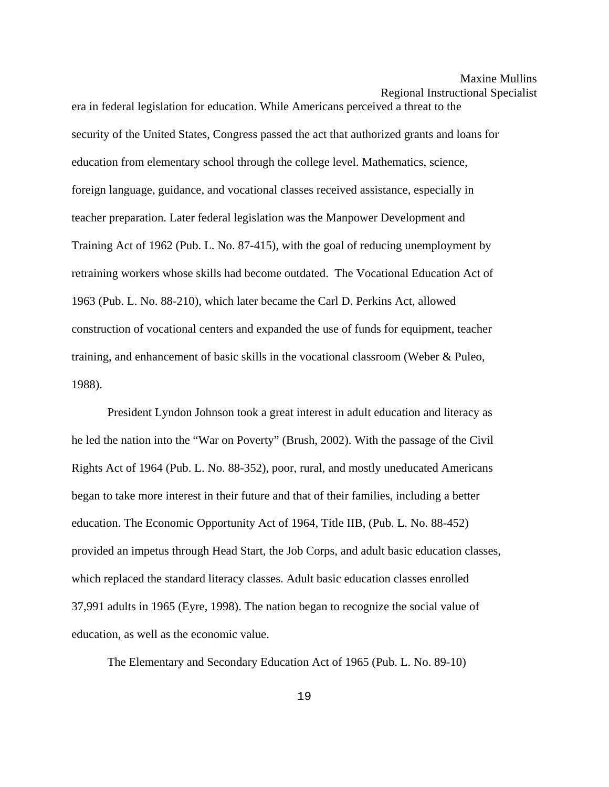## Maxine Mullins

Regional Instructional Specialist

era in federal legislation for education. While Americans perceived a threat to the security of the United States, Congress passed the act that authorized grants and loans for education from elementary school through the college level. Mathematics, science, foreign language, guidance, and vocational classes received assistance, especially in teacher preparation. Later federal legislation was the Manpower Development and Training Act of 1962 (Pub. L. No. 87-415), with the goal of reducing unemployment by retraining workers whose skills had become outdated. The Vocational Education Act of 1963 (Pub. L. No. 88-210), which later became the Carl D. Perkins Act, allowed construction of vocational centers and expanded the use of funds for equipment, teacher training, and enhancement of basic skills in the vocational classroom (Weber & Puleo, 1988).

President Lyndon Johnson took a great interest in adult education and literacy as he led the nation into the "War on Poverty" (Brush, 2002). With the passage of the Civil Rights Act of 1964 (Pub. L. No. 88-352), poor, rural, and mostly uneducated Americans began to take more interest in their future and that of their families, including a better education. The Economic Opportunity Act of 1964, Title IIB, (Pub. L. No. 88-452) provided an impetus through Head Start, the Job Corps, and adult basic education classes, which replaced the standard literacy classes. Adult basic education classes enrolled 37,991 adults in 1965 (Eyre, 1998). The nation began to recognize the social value of education, as well as the economic value.

The Elementary and Secondary Education Act of 1965 (Pub. L. No. 89-10)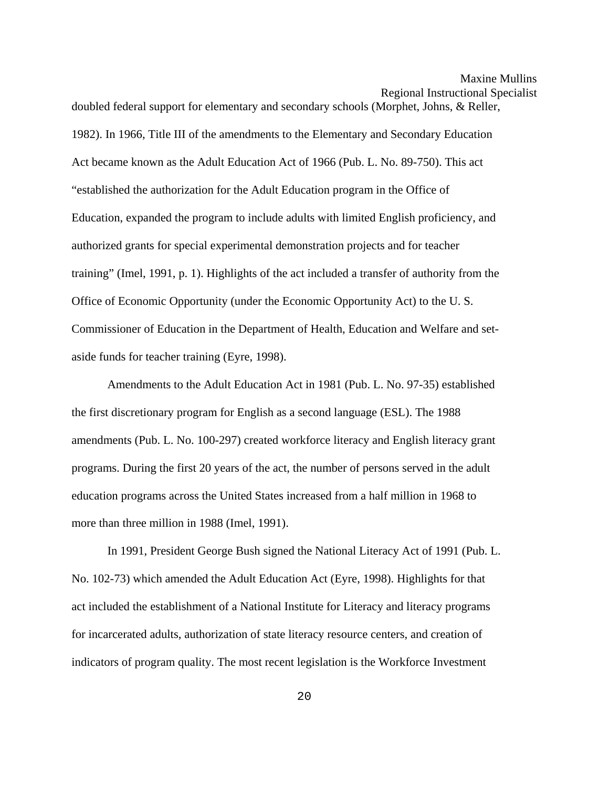# Maxine Mullins

Regional Instructional Specialist

doubled federal support for elementary and secondary schools (Morphet, Johns, & Reller, 1982). In 1966, Title III of the amendments to the Elementary and Secondary Education Act became known as the Adult Education Act of 1966 (Pub. L. No. 89-750). This act "established the authorization for the Adult Education program in the Office of Education, expanded the program to include adults with limited English proficiency, and authorized grants for special experimental demonstration projects and for teacher training" (Imel, 1991, p. 1). Highlights of the act included a transfer of authority from the Office of Economic Opportunity (under the Economic Opportunity Act) to the U. S. Commissioner of Education in the Department of Health, Education and Welfare and setaside funds for teacher training (Eyre, 1998).

Amendments to the Adult Education Act in 1981 (Pub. L. No. 97-35) established the first discretionary program for English as a second language (ESL). The 1988 amendments (Pub. L. No. 100-297) created workforce literacy and English literacy grant programs. During the first 20 years of the act, the number of persons served in the adult education programs across the United States increased from a half million in 1968 to more than three million in 1988 (Imel, 1991).

In 1991, President George Bush signed the National Literacy Act of 1991 (Pub. L. No. 102-73) which amended the Adult Education Act (Eyre, 1998). Highlights for that act included the establishment of a National Institute for Literacy and literacy programs for incarcerated adults, authorization of state literacy resource centers, and creation of indicators of program quality. The most recent legislation is the Workforce Investment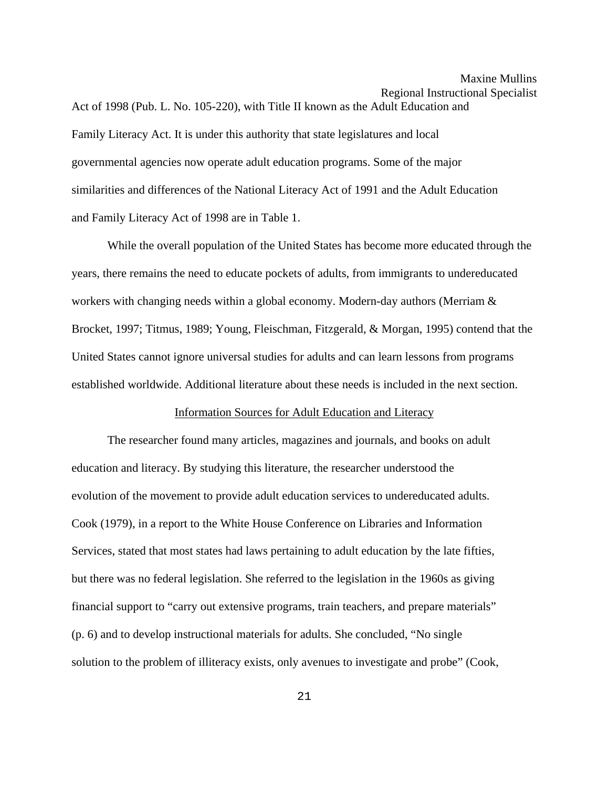Act of 1998 (Pub. L. No. 105-220), with Title II known as the Adult Education and Family Literacy Act. It is under this authority that state legislatures and local governmental agencies now operate adult education programs. Some of the major similarities and differences of the National Literacy Act of 1991 and the Adult Education and Family Literacy Act of 1998 are in Table 1.

 While the overall population of the United States has become more educated through the years, there remains the need to educate pockets of adults, from immigrants to undereducated workers with changing needs within a global economy. Modern-day authors (Merriam & Brocket, 1997; Titmus, 1989; Young, Fleischman, Fitzgerald, & Morgan, 1995) contend that the United States cannot ignore universal studies for adults and can learn lessons from programs established worldwide. Additional literature about these needs is included in the next section.

#### Information Sources for Adult Education and Literacy

The researcher found many articles, magazines and journals, and books on adult education and literacy. By studying this literature, the researcher understood the evolution of the movement to provide adult education services to undereducated adults. Cook (1979), in a report to the White House Conference on Libraries and Information Services, stated that most states had laws pertaining to adult education by the late fifties, but there was no federal legislation. She referred to the legislation in the 1960s as giving financial support to "carry out extensive programs, train teachers, and prepare materials" (p. 6) and to develop instructional materials for adults. She concluded, "No single solution to the problem of illiteracy exists, only avenues to investigate and probe" (Cook,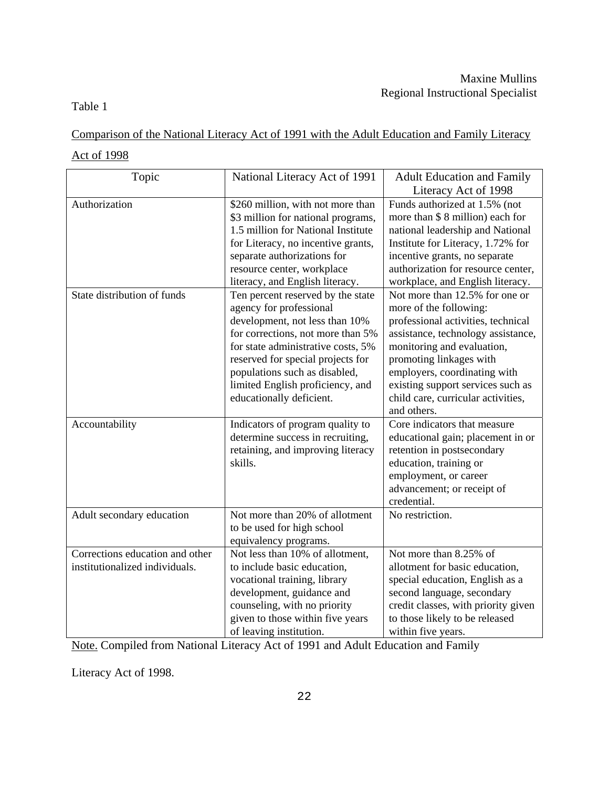# Table 1

Comparison of the National Literacy Act of 1991 with the Adult Education and Family Literacy

# Act of 1998

| Topic                           | National Literacy Act of 1991      | <b>Adult Education and Family</b>   |
|---------------------------------|------------------------------------|-------------------------------------|
|                                 |                                    | Literacy Act of 1998                |
| Authorization                   | \$260 million, with not more than  | Funds authorized at 1.5% (not       |
|                                 | \$3 million for national programs, | more than \$ 8 million) each for    |
|                                 | 1.5 million for National Institute | national leadership and National    |
|                                 | for Literacy, no incentive grants, | Institute for Literacy, 1.72% for   |
|                                 | separate authorizations for        | incentive grants, no separate       |
|                                 | resource center, workplace         | authorization for resource center,  |
|                                 | literacy, and English literacy.    | workplace, and English literacy.    |
| State distribution of funds     | Ten percent reserved by the state  | Not more than 12.5% for one or      |
|                                 | agency for professional            | more of the following:              |
|                                 | development, not less than 10%     | professional activities, technical  |
|                                 | for corrections, not more than 5%  | assistance, technology assistance,  |
|                                 | for state administrative costs, 5% | monitoring and evaluation,          |
|                                 | reserved for special projects for  | promoting linkages with             |
|                                 | populations such as disabled,      | employers, coordinating with        |
|                                 | limited English proficiency, and   | existing support services such as   |
|                                 | educationally deficient.           | child care, curricular activities,  |
|                                 |                                    | and others.                         |
| Accountability                  | Indicators of program quality to   | Core indicators that measure        |
|                                 | determine success in recruiting,   | educational gain; placement in or   |
|                                 | retaining, and improving literacy  | retention in postsecondary          |
|                                 | skills.                            | education, training or              |
|                                 |                                    | employment, or career               |
|                                 |                                    | advancement; or receipt of          |
|                                 |                                    | credential.                         |
| Adult secondary education       | Not more than 20% of allotment     | No restriction.                     |
|                                 | to be used for high school         |                                     |
|                                 | equivalency programs.              |                                     |
| Corrections education and other | Not less than 10% of allotment,    | Not more than 8.25% of              |
| institutionalized individuals.  | to include basic education,        | allotment for basic education,      |
|                                 | vocational training, library       | special education, English as a     |
|                                 | development, guidance and          | second language, secondary          |
|                                 | counseling, with no priority       | credit classes, with priority given |
|                                 | given to those within five years   | to those likely to be released      |
|                                 | of leaving institution.            | within five years.                  |
|                                 |                                    |                                     |

Note. Compiled from National Literacy Act of 1991 and Adult Education and Family

Literacy Act of 1998.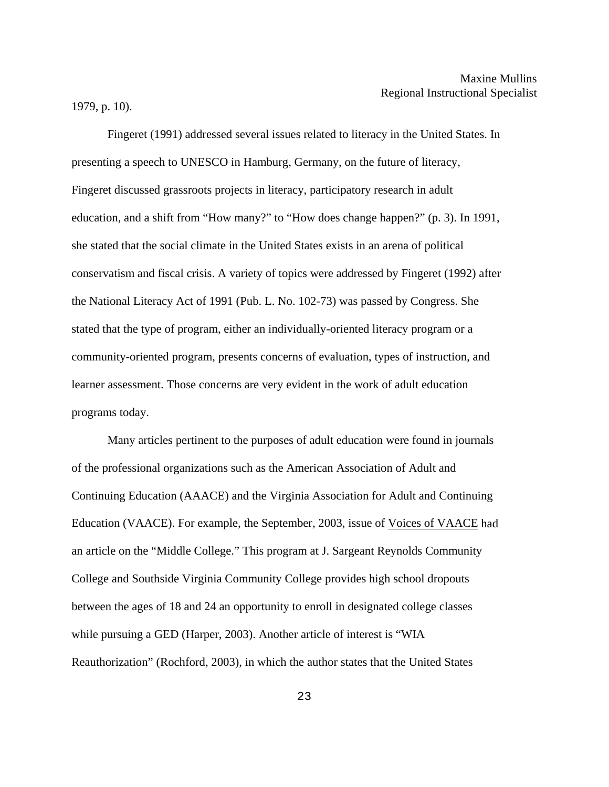1979, p. 10).

 Fingeret (1991) addressed several issues related to literacy in the United States. In presenting a speech to UNESCO in Hamburg, Germany, on the future of literacy, Fingeret discussed grassroots projects in literacy, participatory research in adult education, and a shift from "How many?" to "How does change happen?" (p. 3). In 1991, she stated that the social climate in the United States exists in an arena of political conservatism and fiscal crisis. A variety of topics were addressed by Fingeret (1992) after the National Literacy Act of 1991 (Pub. L. No. 102-73) was passed by Congress. She stated that the type of program, either an individually-oriented literacy program or a community-oriented program, presents concerns of evaluation, types of instruction, and learner assessment. Those concerns are very evident in the work of adult education programs today.

Many articles pertinent to the purposes of adult education were found in journals of the professional organizations such as the American Association of Adult and Continuing Education (AAACE) and the Virginia Association for Adult and Continuing Education (VAACE). For example, the September, 2003, issue of Voices of VAACE had an article on the "Middle College." This program at J. Sargeant Reynolds Community College and Southside Virginia Community College provides high school dropouts between the ages of 18 and 24 an opportunity to enroll in designated college classes while pursuing a GED (Harper, 2003). Another article of interest is "WIA Reauthorization" (Rochford, 2003), in which the author states that the United States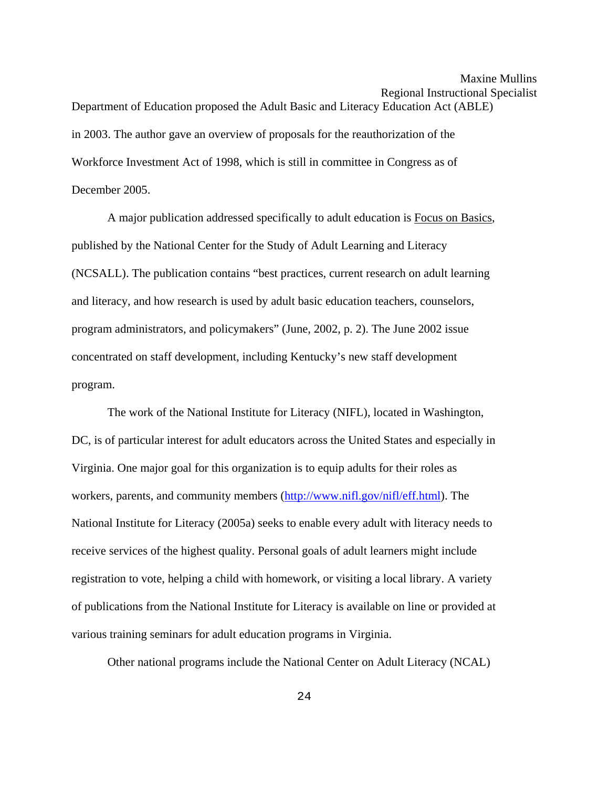Department of Education proposed the Adult Basic and Literacy Education Act (ABLE) in 2003. The author gave an overview of proposals for the reauthorization of the Workforce Investment Act of 1998, which is still in committee in Congress as of December 2005.

A major publication addressed specifically to adult education is Focus on Basics, published by the National Center for the Study of Adult Learning and Literacy (NCSALL). The publication contains "best practices, current research on adult learning and literacy, and how research is used by adult basic education teachers, counselors, program administrators, and policymakers" (June, 2002, p. 2). The June 2002 issue concentrated on staff development, including Kentucky's new staff development program.

The work of the National Institute for Literacy (NIFL), located in Washington, DC, is of particular interest for adult educators across the United States and especially in Virginia. One major goal for this organization is to equip adults for their roles as workers, parents, and community members [\(http://www.nifl.gov/nifl/eff.html](http://www.nifl.gov/nifl/eff.html)). The National Institute for Literacy (2005a) seeks to enable every adult with literacy needs to receive services of the highest quality. Personal goals of adult learners might include registration to vote, helping a child with homework, or visiting a local library. A variety of publications from the National Institute for Literacy is available on line or provided at various training seminars for adult education programs in Virginia.

Other national programs include the National Center on Adult Literacy (NCAL)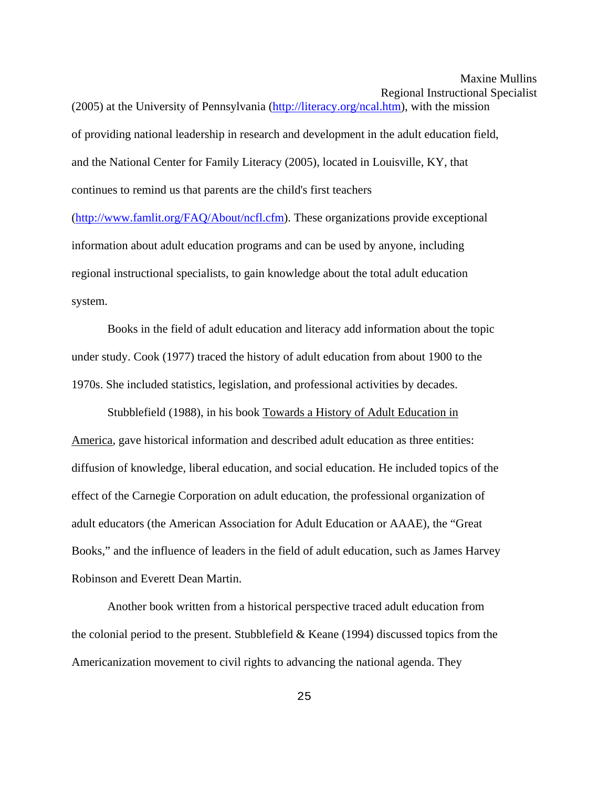(2005) at the University of Pennsylvania [\(http://literacy.org/ncal.htm](http://literacy.org/ncal.htm)), with the mission of providing national leadership in research and development in the adult education field, and the National Center for Family Literacy (2005), located in Louisville, KY, that continues to remind us that parents are the child's first teachers

([http://www.famlit.org/FAQ/About/ncfl.cfm\)](http://www.famlit.org/FAQ/About/ncfl.cfm). These organizations provide exceptional information about adult education programs and can be used by anyone, including regional instructional specialists, to gain knowledge about the total adult education system.

Books in the field of adult education and literacy add information about the topic under study. Cook (1977) traced the history of adult education from about 1900 to the 1970s. She included statistics, legislation, and professional activities by decades.

Stubblefield (1988), in his book Towards a History of Adult Education in America, gave historical information and described adult education as three entities: diffusion of knowledge, liberal education, and social education. He included topics of the effect of the Carnegie Corporation on adult education, the professional organization of adult educators (the American Association for Adult Education or AAAE), the "Great Books," and the influence of leaders in the field of adult education, such as James Harvey Robinson and Everett Dean Martin.

Another book written from a historical perspective traced adult education from the colonial period to the present. Stubblefield  $&$  Keane (1994) discussed topics from the Americanization movement to civil rights to advancing the national agenda. They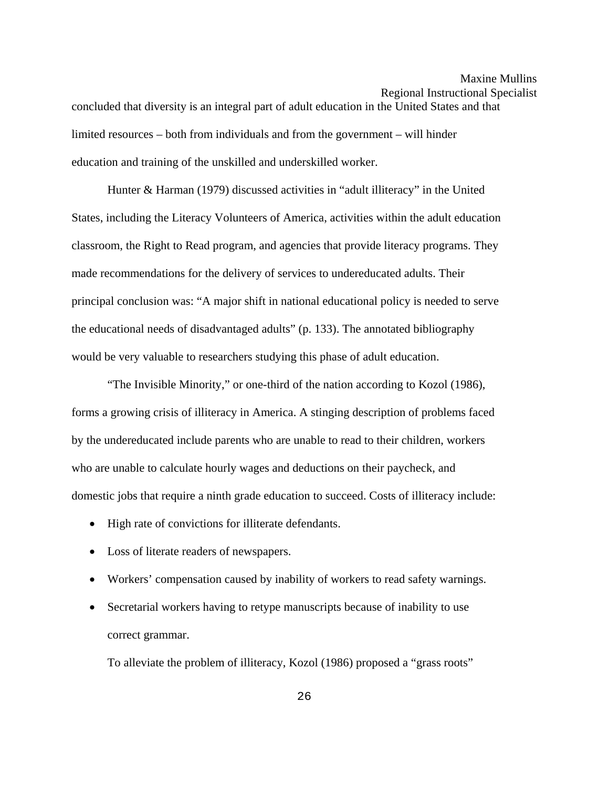concluded that diversity is an integral part of adult education in the United States and that limited resources – both from individuals and from the government – will hinder education and training of the unskilled and underskilled worker.

Hunter & Harman (1979) discussed activities in "adult illiteracy" in the United States, including the Literacy Volunteers of America, activities within the adult education classroom, the Right to Read program, and agencies that provide literacy programs. They made recommendations for the delivery of services to undereducated adults. Their principal conclusion was: "A major shift in national educational policy is needed to serve the educational needs of disadvantaged adults" (p. 133). The annotated bibliography would be very valuable to researchers studying this phase of adult education.

"The Invisible Minority," or one-third of the nation according to Kozol (1986), forms a growing crisis of illiteracy in America. A stinging description of problems faced by the undereducated include parents who are unable to read to their children, workers who are unable to calculate hourly wages and deductions on their paycheck, and domestic jobs that require a ninth grade education to succeed. Costs of illiteracy include:

- High rate of convictions for illiterate defendants.
- Loss of literate readers of newspapers.
- Workers' compensation caused by inability of workers to read safety warnings.
- Secretarial workers having to retype manuscripts because of inability to use correct grammar.

To alleviate the problem of illiteracy, Kozol (1986) proposed a "grass roots"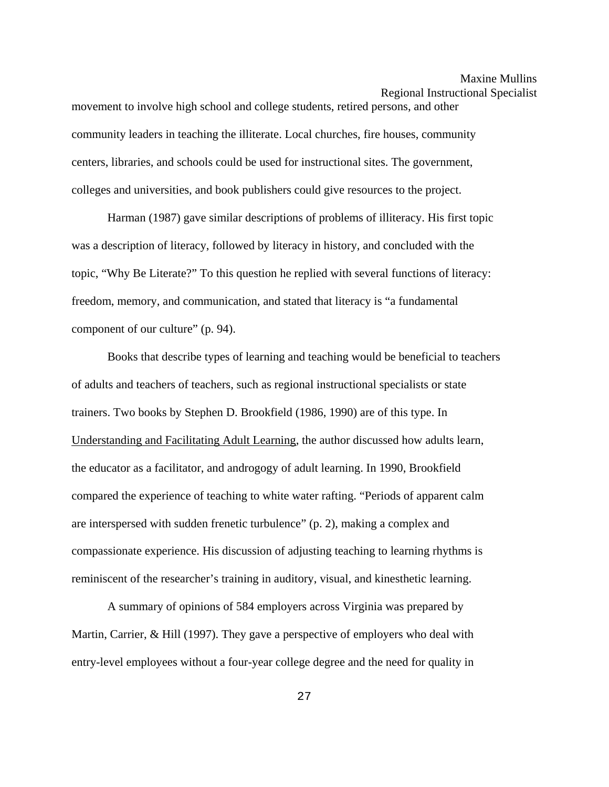movement to involve high school and college students, retired persons, and other community leaders in teaching the illiterate. Local churches, fire houses, community centers, libraries, and schools could be used for instructional sites. The government, colleges and universities, and book publishers could give resources to the project.

 Harman (1987) gave similar descriptions of problems of illiteracy. His first topic was a description of literacy, followed by literacy in history, and concluded with the topic, "Why Be Literate?" To this question he replied with several functions of literacy: freedom, memory, and communication, and stated that literacy is "a fundamental component of our culture" (p. 94).

Books that describe types of learning and teaching would be beneficial to teachers of adults and teachers of teachers, such as regional instructional specialists or state trainers. Two books by Stephen D. Brookfield (1986, 1990) are of this type. In Understanding and Facilitating Adult Learning, the author discussed how adults learn, the educator as a facilitator, and androgogy of adult learning. In 1990, Brookfield compared the experience of teaching to white water rafting. "Periods of apparent calm are interspersed with sudden frenetic turbulence" (p. 2), making a complex and compassionate experience. His discussion of adjusting teaching to learning rhythms is reminiscent of the researcher's training in auditory, visual, and kinesthetic learning.

A summary of opinions of 584 employers across Virginia was prepared by Martin, Carrier, & Hill (1997). They gave a perspective of employers who deal with entry-level employees without a four-year college degree and the need for quality in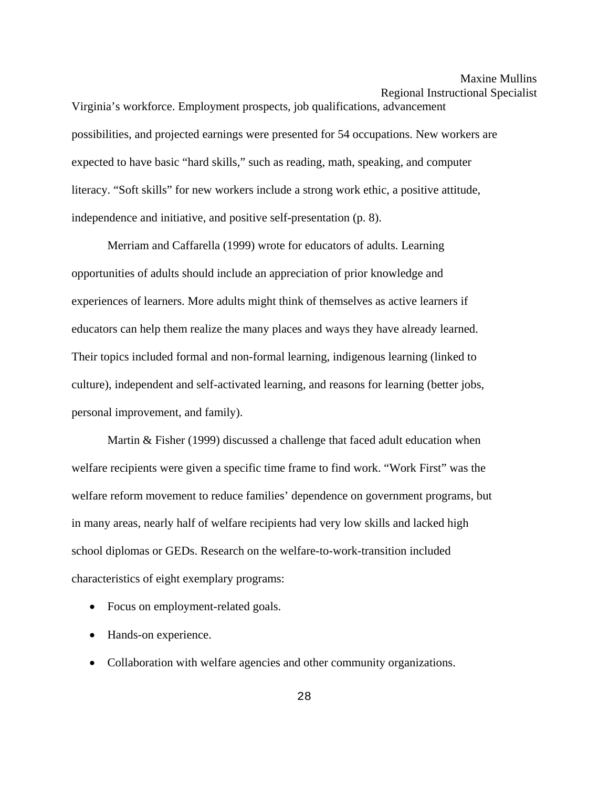Virginia's workforce. Employment prospects, job qualifications, advancement possibilities, and projected earnings were presented for 54 occupations. New workers are expected to have basic "hard skills," such as reading, math, speaking, and computer literacy. "Soft skills" for new workers include a strong work ethic, a positive attitude, independence and initiative, and positive self-presentation (p. 8).

Merriam and Caffarella (1999) wrote for educators of adults. Learning opportunities of adults should include an appreciation of prior knowledge and experiences of learners. More adults might think of themselves as active learners if educators can help them realize the many places and ways they have already learned. Their topics included formal and non-formal learning, indigenous learning (linked to culture), independent and self-activated learning, and reasons for learning (better jobs, personal improvement, and family).

Martin & Fisher (1999) discussed a challenge that faced adult education when welfare recipients were given a specific time frame to find work. "Work First" was the welfare reform movement to reduce families' dependence on government programs, but in many areas, nearly half of welfare recipients had very low skills and lacked high school diplomas or GEDs. Research on the welfare-to-work-transition included characteristics of eight exemplary programs:

- Focus on employment-related goals.
- Hands-on experience.
- Collaboration with welfare agencies and other community organizations.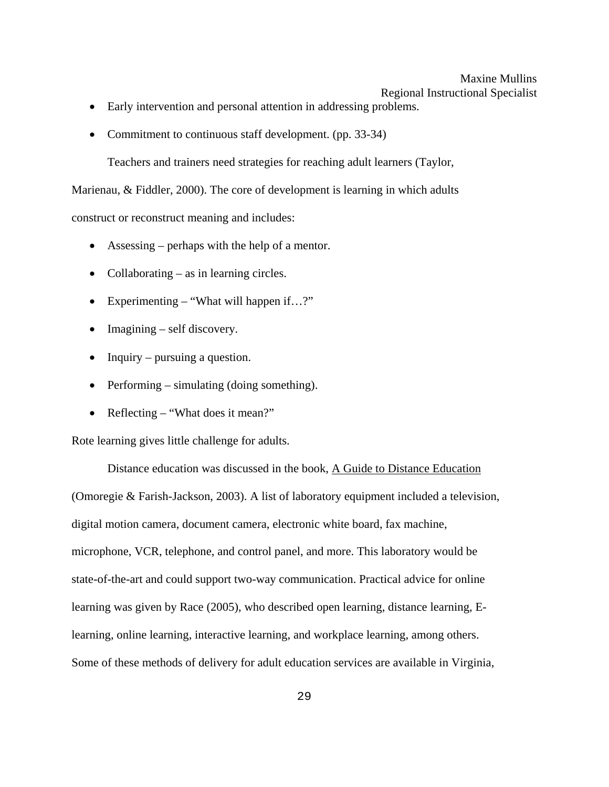Regional Instructional Specialist

- Early intervention and personal attention in addressing problems.
- Commitment to continuous staff development. (pp. 33-34)

Teachers and trainers need strategies for reaching adult learners (Taylor,

Marienau, & Fiddler, 2000). The core of development is learning in which adults

construct or reconstruct meaning and includes:

- Assessing perhaps with the help of a mentor.
- Collaborating as in learning circles.
- Experimenting "What will happen if...?"
- Imagining self discovery.
- Inquiry pursuing a question.
- Performing simulating (doing something).
- Reflecting "What does it mean?"

Rote learning gives little challenge for adults.

Distance education was discussed in the book, A Guide to Distance Education (Omoregie & Farish-Jackson, 2003). A list of laboratory equipment included a television, digital motion camera, document camera, electronic white board, fax machine, microphone, VCR, telephone, and control panel, and more. This laboratory would be state-of-the-art and could support two-way communication. Practical advice for online learning was given by Race (2005), who described open learning, distance learning, Elearning, online learning, interactive learning, and workplace learning, among others. Some of these methods of delivery for adult education services are available in Virginia,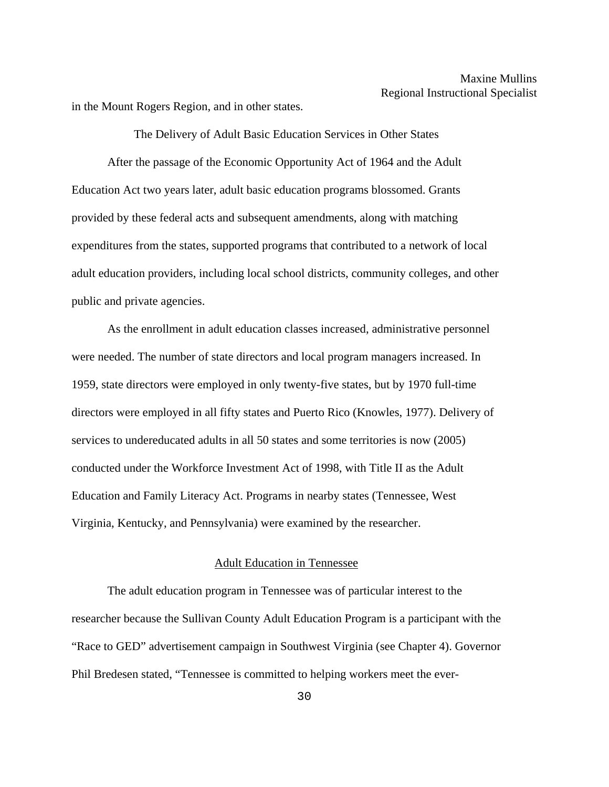in the Mount Rogers Region, and in other states.

The Delivery of Adult Basic Education Services in Other States After the passage of the Economic Opportunity Act of 1964 and the Adult Education Act two years later, adult basic education programs blossomed. Grants provided by these federal acts and subsequent amendments, along with matching expenditures from the states, supported programs that contributed to a network of local adult education providers, including local school districts, community colleges, and other public and private agencies.

 As the enrollment in adult education classes increased, administrative personnel were needed. The number of state directors and local program managers increased. In 1959, state directors were employed in only twenty-five states, but by 1970 full-time directors were employed in all fifty states and Puerto Rico (Knowles, 1977). Delivery of services to undereducated adults in all 50 states and some territories is now (2005) conducted under the Workforce Investment Act of 1998, with Title II as the Adult Education and Family Literacy Act. Programs in nearby states (Tennessee, West Virginia, Kentucky, and Pennsylvania) were examined by the researcher.

#### Adult Education in Tennessee

 The adult education program in Tennessee was of particular interest to the researcher because the Sullivan County Adult Education Program is a participant with the "Race to GED" advertisement campaign in Southwest Virginia (see Chapter 4). Governor Phil Bredesen stated, "Tennessee is committed to helping workers meet the ever-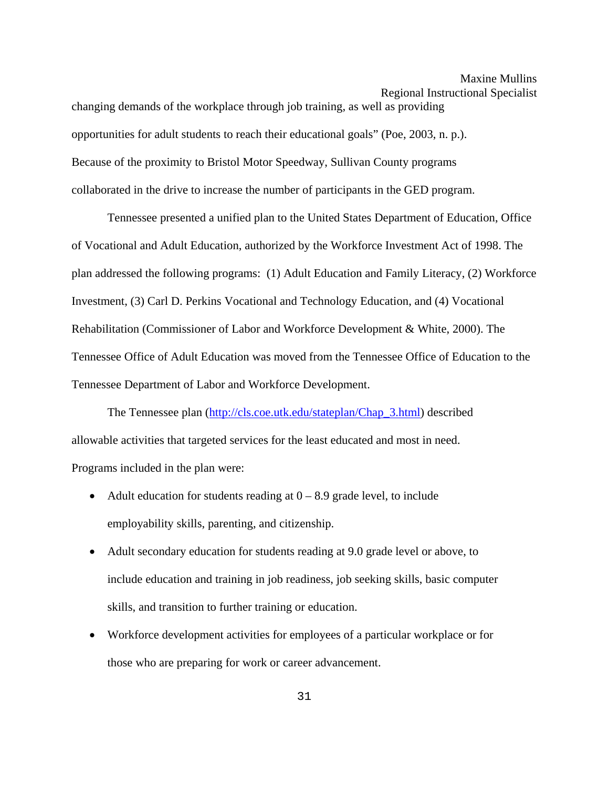Regional Instructional Specialist changing demands of the workplace through job training, as well as providing opportunities for adult students to reach their educational goals" (Poe, 2003, n. p.). Because of the proximity to Bristol Motor Speedway, Sullivan County programs collaborated in the drive to increase the number of participants in the GED program.

 Tennessee presented a unified plan to the United States Department of Education, Office of Vocational and Adult Education, authorized by the Workforce Investment Act of 1998. The plan addressed the following programs: (1) Adult Education and Family Literacy, (2) Workforce Investment, (3) Carl D. Perkins Vocational and Technology Education, and (4) Vocational Rehabilitation (Commissioner of Labor and Workforce Development & White, 2000). The Tennessee Office of Adult Education was moved from the Tennessee Office of Education to the Tennessee Department of Labor and Workforce Development.

 The Tennessee plan [\(http://cls.coe.utk.edu/stateplan/Chap\\_3.html\)](http://cls.coe.utk.edu/stateplan/Chap_3.html) described allowable activities that targeted services for the least educated and most in need. Programs included in the plan were:

- Adult education for students reading at  $0 8.9$  grade level, to include employability skills, parenting, and citizenship.
- Adult secondary education for students reading at 9.0 grade level or above, to include education and training in job readiness, job seeking skills, basic computer skills, and transition to further training or education.
- Workforce development activities for employees of a particular workplace or for those who are preparing for work or career advancement.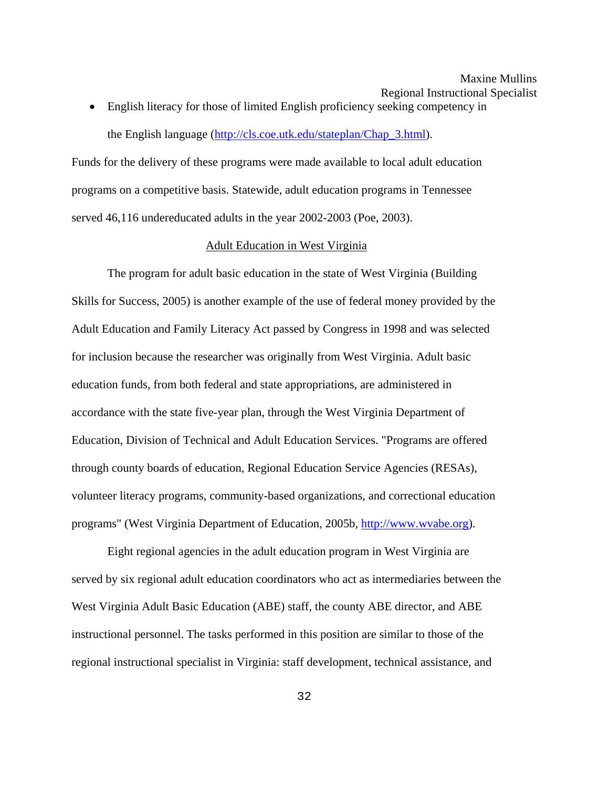• English literacy for those of limited English proficiency seeking competency in

the English language ([http://cls.coe.utk.edu/stateplan/Chap\\_3.html](http://cls.coe.utk.edu/stateplan/Chap_3.html)).

Funds for the delivery of these programs were made available to local adult education programs on a competitive basis. Statewide, adult education programs in Tennessee served 46,116 undereducated adults in the year 2002-2003 (Poe, 2003).

### Adult Education in West Virginia

 The program for adult basic education in the state of West Virginia (Building Skills for Success, 2005) is another example of the use of federal money provided by the Adult Education and Family Literacy Act passed by Congress in 1998 and was selected for inclusion because the researcher was originally from West Virginia. Adult basic education funds, from both federal and state appropriations, are administered in accordance with the state five-year plan, through the West Virginia Department of Education, Division of Technical and Adult Education Services. "Programs are offered through county boards of education, Regional Education Service Agencies (RESAs), volunteer literacy programs, community-based organizations, and correctional education programs" (West Virginia Department of Education, 2005b, [http://www.wvabe.org](http://www.wvabe.org/)).

 Eight regional agencies in the adult education program in West Virginia are served by six regional adult education coordinators who act as intermediaries between the West Virginia Adult Basic Education (ABE) staff, the county ABE director, and ABE instructional personnel. The tasks performed in this position are similar to those of the regional instructional specialist in Virginia: staff development, technical assistance, and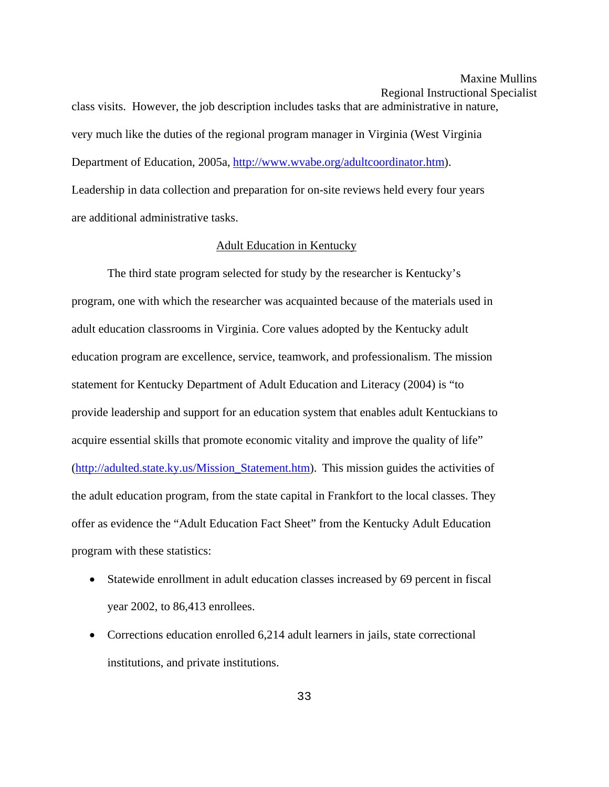class visits. However, the job description includes tasks that are administrative in nature, very much like the duties of the regional program manager in Virginia (West Virginia Department of Education, 2005a, [http://www.wvabe.org/adultcoordinator.htm\)](http://www.wvabe.org/adultcoordinator.htm). Leadership in data collection and preparation for on-site reviews held every four years are additional administrative tasks.

### Adult Education in Kentucky

 The third state program selected for study by the researcher is Kentucky's program, one with which the researcher was acquainted because of the materials used in adult education classrooms in Virginia. Core values adopted by the Kentucky adult education program are excellence, service, teamwork, and professionalism. The mission statement for Kentucky Department of Adult Education and Literacy (2004) is "to provide leadership and support for an education system that enables adult Kentuckians to acquire essential skills that promote economic vitality and improve the quality of life" ([http://adulted.state.ky.us/Mission\\_Statement.htm\)](http://adulted.state.ky.us/Mission_Statement.htm). This mission guides the activities of the adult education program, from the state capital in Frankfort to the local classes. They offer as evidence the "Adult Education Fact Sheet" from the Kentucky Adult Education program with these statistics:

- Statewide enrollment in adult education classes increased by 69 percent in fiscal year 2002, to 86,413 enrollees.
- Corrections education enrolled 6,214 adult learners in jails, state correctional institutions, and private institutions.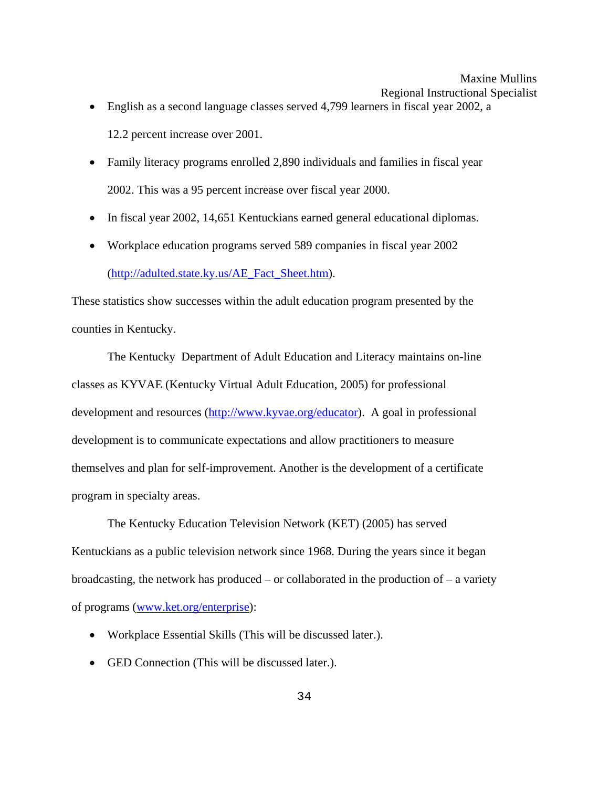- English as a second language classes served 4,799 learners in fiscal year 2002, a 12.2 percent increase over 2001.
- Family literacy programs enrolled 2,890 individuals and families in fiscal year 2002. This was a 95 percent increase over fiscal year 2000.
- In fiscal year 2002, 14,651 Kentuckians earned general educational diplomas.
- Workplace education programs served 589 companies in fiscal year 2002 ([http://adulted.state.ky.us/AE\\_Fact\\_Sheet.htm](http://adulted.state.ky.us/AE_Fact_Sheet.htm)).

These statistics show successes within the adult education program presented by the counties in Kentucky.

 The Kentucky Department of Adult Education and Literacy maintains on-line classes as KYVAE (Kentucky Virtual Adult Education, 2005) for professional development and resources ([http://www.kyvae.org/educator\)](http://www.kyvae.org/educator). A goal in professional development is to communicate expectations and allow practitioners to measure themselves and plan for self-improvement. Another is the development of a certificate program in specialty areas.

 The Kentucky Education Television Network (KET) (2005) has served Kentuckians as a public television network since 1968. During the years since it began broadcasting, the network has produced – or collaborated in the production of  $-$  a variety of programs [\(www.ket.org/enterprise\)](http://www.ket.org/enterprise):

- Workplace Essential Skills (This will be discussed later.).
- GED Connection (This will be discussed later.).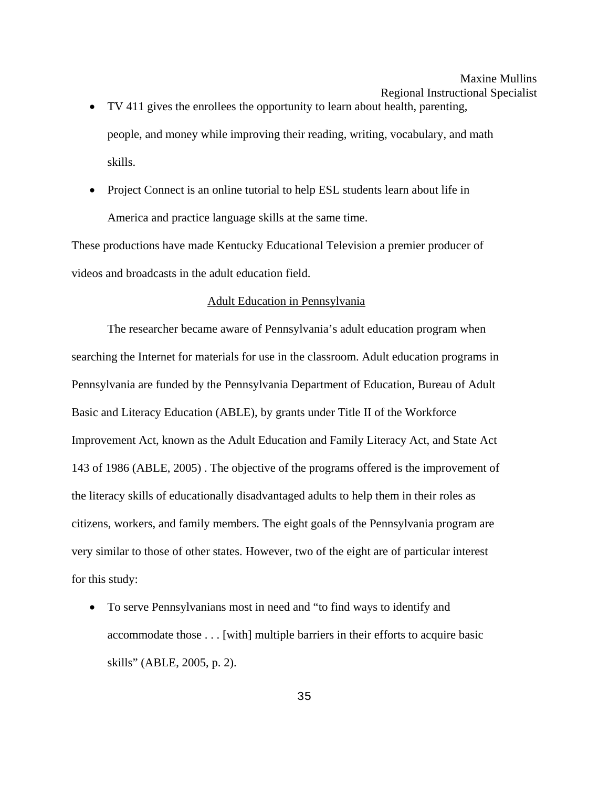- TV 411 gives the enrollees the opportunity to learn about health, parenting, people, and money while improving their reading, writing, vocabulary, and math skills.
- Project Connect is an online tutorial to help ESL students learn about life in America and practice language skills at the same time.

These productions have made Kentucky Educational Television a premier producer of videos and broadcasts in the adult education field.

### Adult Education in Pennsylvania

The researcher became aware of Pennsylvania's adult education program when searching the Internet for materials for use in the classroom. Adult education programs in Pennsylvania are funded by the Pennsylvania Department of Education, Bureau of Adult Basic and Literacy Education (ABLE), by grants under Title II of the Workforce Improvement Act, known as the Adult Education and Family Literacy Act, and State Act 143 of 1986 (ABLE, 2005) . The objective of the programs offered is the improvement of the literacy skills of educationally disadvantaged adults to help them in their roles as citizens, workers, and family members. The eight goals of the Pennsylvania program are very similar to those of other states. However, two of the eight are of particular interest for this study:

• To serve Pennsylvanians most in need and "to find ways to identify and accommodate those . . . [with] multiple barriers in their efforts to acquire basic skills" (ABLE, 2005, p. 2).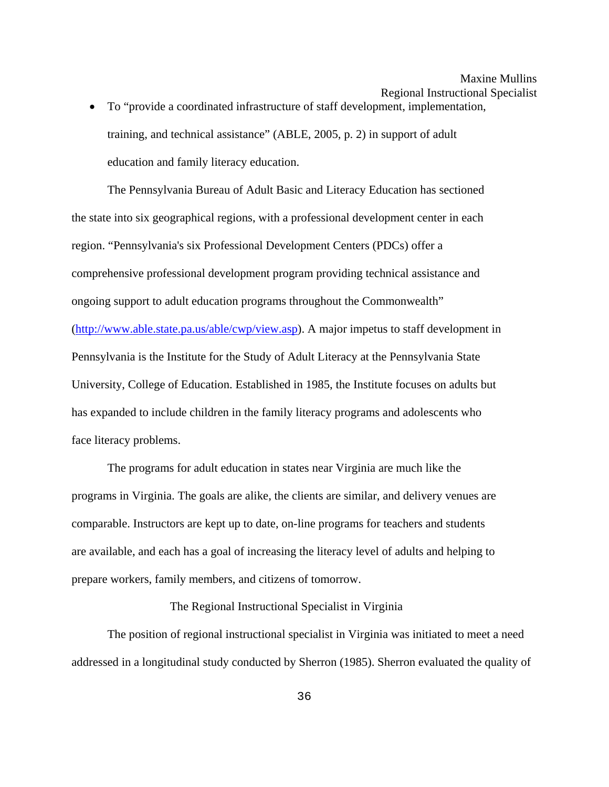• To "provide a coordinated infrastructure of staff development, implementation, training, and technical assistance" (ABLE, 2005, p. 2) in support of adult education and family literacy education.

The Pennsylvania Bureau of Adult Basic and Literacy Education has sectioned the state into six geographical regions, with a professional development center in each region. "Pennsylvania's six Professional Development Centers (PDCs) offer a comprehensive professional development program providing technical assistance and ongoing support to adult education programs throughout the Commonwealth" (<http://www.able.state.pa.us/able/cwp/view.asp>). A major impetus to staff development in Pennsylvania is the Institute for the Study of Adult Literacy at the Pennsylvania State University, College of Education. Established in 1985, the Institute focuses on adults but has expanded to include children in the family literacy programs and adolescents who face literacy problems.

 The programs for adult education in states near Virginia are much like the programs in Virginia. The goals are alike, the clients are similar, and delivery venues are comparable. Instructors are kept up to date, on-line programs for teachers and students are available, and each has a goal of increasing the literacy level of adults and helping to prepare workers, family members, and citizens of tomorrow.

### The Regional Instructional Specialist in Virginia

 The position of regional instructional specialist in Virginia was initiated to meet a need addressed in a longitudinal study conducted by Sherron (1985). Sherron evaluated the quality of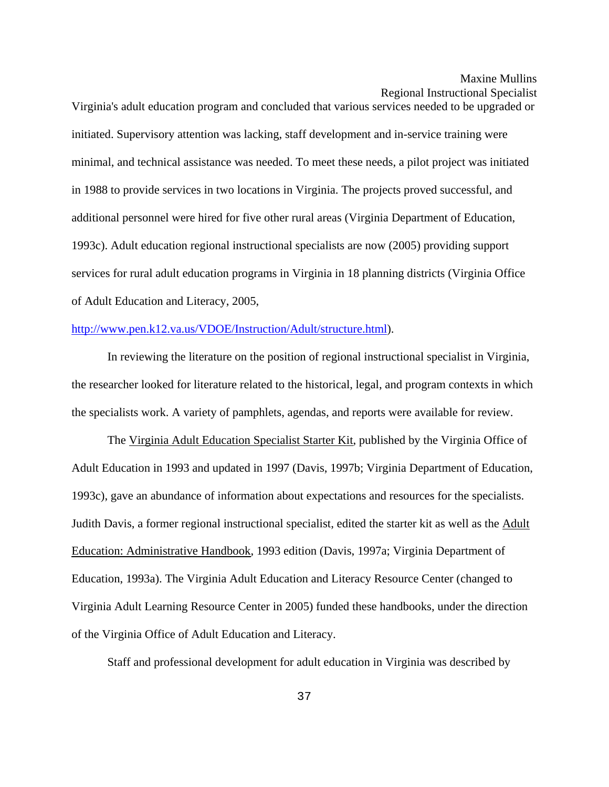Virginia's adult education program and concluded that various services needed to be upgraded or initiated. Supervisory attention was lacking, staff development and in-service training were minimal, and technical assistance was needed. To meet these needs, a pilot project was initiated in 1988 to provide services in two locations in Virginia. The projects proved successful, and additional personnel were hired for five other rural areas (Virginia Department of Education, 1993c). Adult education regional instructional specialists are now (2005) providing support services for rural adult education programs in Virginia in 18 planning districts (Virginia Office of Adult Education and Literacy, 2005,

### <http://www.pen.k12.va.us/VDOE/Instruction/Adult/structure.html>).

 In reviewing the literature on the position of regional instructional specialist in Virginia, the researcher looked for literature related to the historical, legal, and program contexts in which the specialists work. A variety of pamphlets, agendas, and reports were available for review.

 The Virginia Adult Education Specialist Starter Kit, published by the Virginia Office of Adult Education in 1993 and updated in 1997 (Davis, 1997b; Virginia Department of Education, 1993c), gave an abundance of information about expectations and resources for the specialists. Judith Davis, a former regional instructional specialist, edited the starter kit as well as the Adult Education: Administrative Handbook, 1993 edition (Davis, 1997a; Virginia Department of Education, 1993a). The Virginia Adult Education and Literacy Resource Center (changed to Virginia Adult Learning Resource Center in 2005) funded these handbooks, under the direction of the Virginia Office of Adult Education and Literacy.

Staff and professional development for adult education in Virginia was described by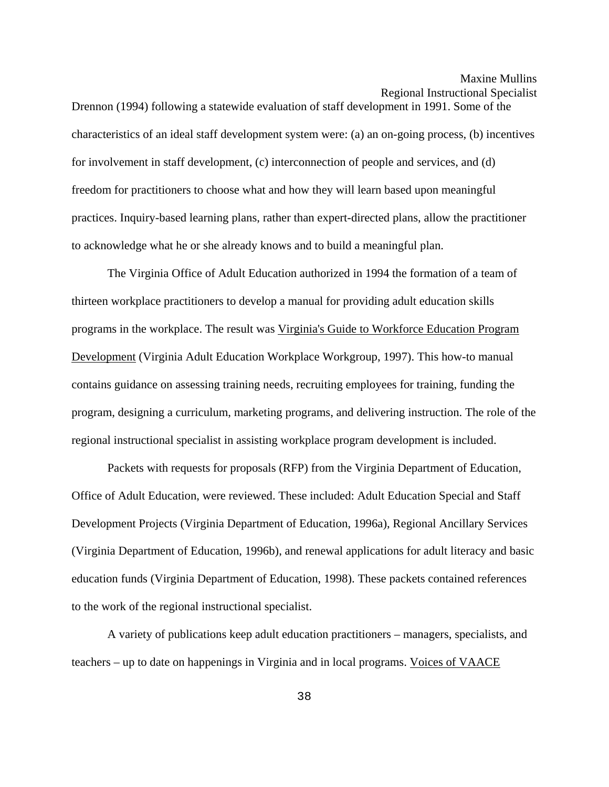#### Regional Instructional Specialist

Drennon (1994) following a statewide evaluation of staff development in 1991. Some of the characteristics of an ideal staff development system were: (a) an on-going process, (b) incentives for involvement in staff development, (c) interconnection of people and services, and (d) freedom for practitioners to choose what and how they will learn based upon meaningful practices. Inquiry-based learning plans, rather than expert-directed plans, allow the practitioner to acknowledge what he or she already knows and to build a meaningful plan.

 The Virginia Office of Adult Education authorized in 1994 the formation of a team of thirteen workplace practitioners to develop a manual for providing adult education skills programs in the workplace. The result was Virginia's Guide to Workforce Education Program Development (Virginia Adult Education Workplace Workgroup, 1997). This how-to manual contains guidance on assessing training needs, recruiting employees for training, funding the program, designing a curriculum, marketing programs, and delivering instruction. The role of the regional instructional specialist in assisting workplace program development is included.

 Packets with requests for proposals (RFP) from the Virginia Department of Education, Office of Adult Education, were reviewed. These included: Adult Education Special and Staff Development Projects (Virginia Department of Education, 1996a), Regional Ancillary Services (Virginia Department of Education, 1996b), and renewal applications for adult literacy and basic education funds (Virginia Department of Education, 1998). These packets contained references to the work of the regional instructional specialist.

 A variety of publications keep adult education practitioners – managers, specialists, and teachers – up to date on happenings in Virginia and in local programs. Voices of VAACE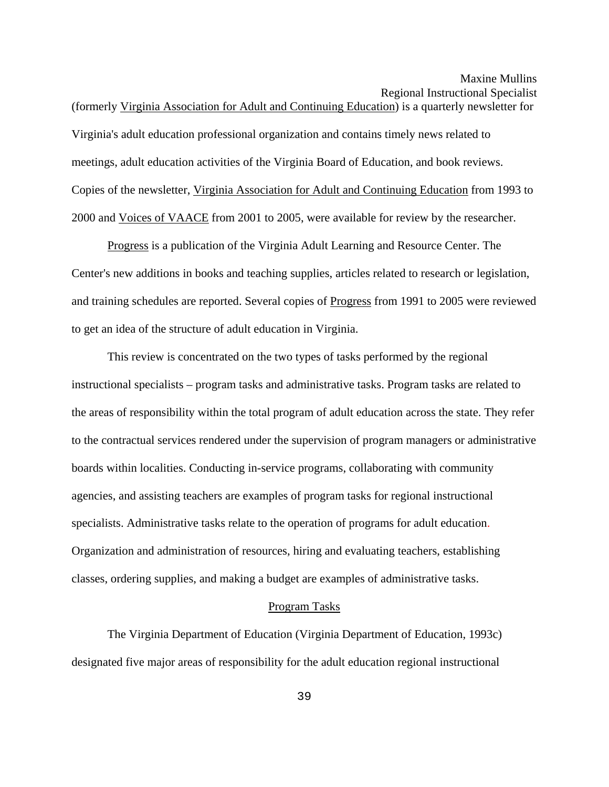(formerly Virginia Association for Adult and Continuing Education) is a quarterly newsletter for Virginia's adult education professional organization and contains timely news related to meetings, adult education activities of the Virginia Board of Education, and book reviews. Copies of the newsletter, Virginia Association for Adult and Continuing Education from 1993 to 2000 and Voices of VAACE from 2001 to 2005, were available for review by the researcher.

 Progress is a publication of the Virginia Adult Learning and Resource Center. The Center's new additions in books and teaching supplies, articles related to research or legislation, and training schedules are reported. Several copies of Progress from 1991 to 2005 were reviewed to get an idea of the structure of adult education in Virginia.

 This review is concentrated on the two types of tasks performed by the regional instructional specialists – program tasks and administrative tasks. Program tasks are related to the areas of responsibility within the total program of adult education across the state. They refer to the contractual services rendered under the supervision of program managers or administrative boards within localities. Conducting in-service programs, collaborating with community agencies, and assisting teachers are examples of program tasks for regional instructional specialists. Administrative tasks relate to the operation of programs for adult education. Organization and administration of resources, hiring and evaluating teachers, establishing classes, ordering supplies, and making a budget are examples of administrative tasks.

### Program Tasks

 The Virginia Department of Education (Virginia Department of Education, 1993c) designated five major areas of responsibility for the adult education regional instructional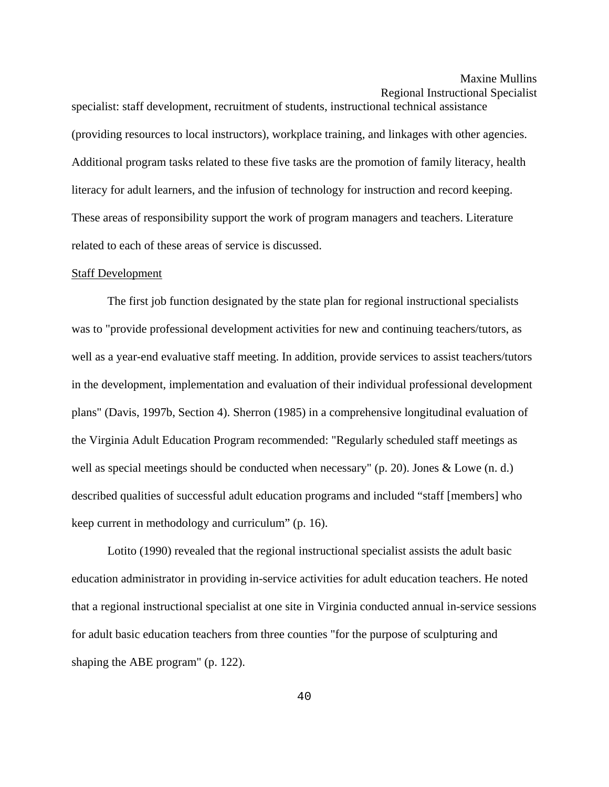specialist: staff development, recruitment of students, instructional technical assistance (providing resources to local instructors), workplace training, and linkages with other agencies. Additional program tasks related to these five tasks are the promotion of family literacy, health literacy for adult learners, and the infusion of technology for instruction and record keeping. These areas of responsibility support the work of program managers and teachers. Literature related to each of these areas of service is discussed.

### Staff Development

 The first job function designated by the state plan for regional instructional specialists was to "provide professional development activities for new and continuing teachers/tutors, as well as a year-end evaluative staff meeting. In addition, provide services to assist teachers/tutors in the development, implementation and evaluation of their individual professional development plans" (Davis, 1997b, Section 4). Sherron (1985) in a comprehensive longitudinal evaluation of the Virginia Adult Education Program recommended: "Regularly scheduled staff meetings as well as special meetings should be conducted when necessary" (p. 20). Jones & Lowe (n. d.) described qualities of successful adult education programs and included "staff [members] who keep current in methodology and curriculum" (p. 16).

 Lotito (1990) revealed that the regional instructional specialist assists the adult basic education administrator in providing in-service activities for adult education teachers. He noted that a regional instructional specialist at one site in Virginia conducted annual in-service sessions for adult basic education teachers from three counties "for the purpose of sculpturing and shaping the ABE program" (p. 122).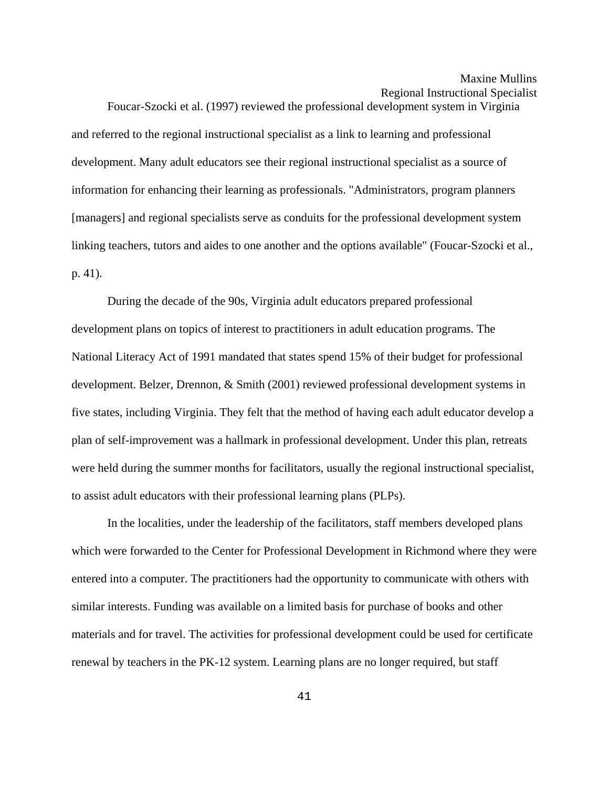Regional Instructional Specialist

Foucar-Szocki et al. (1997) reviewed the professional development system in Virginia and referred to the regional instructional specialist as a link to learning and professional development. Many adult educators see their regional instructional specialist as a source of information for enhancing their learning as professionals. "Administrators, program planners [managers] and regional specialists serve as conduits for the professional development system linking teachers, tutors and aides to one another and the options available" (Foucar-Szocki et al., p. 41).

 During the decade of the 90s, Virginia adult educators prepared professional development plans on topics of interest to practitioners in adult education programs. The National Literacy Act of 1991 mandated that states spend 15% of their budget for professional development. Belzer, Drennon, & Smith (2001) reviewed professional development systems in five states, including Virginia. They felt that the method of having each adult educator develop a plan of self-improvement was a hallmark in professional development. Under this plan, retreats were held during the summer months for facilitators, usually the regional instructional specialist, to assist adult educators with their professional learning plans (PLPs).

 In the localities, under the leadership of the facilitators, staff members developed plans which were forwarded to the Center for Professional Development in Richmond where they were entered into a computer. The practitioners had the opportunity to communicate with others with similar interests. Funding was available on a limited basis for purchase of books and other materials and for travel. The activities for professional development could be used for certificate renewal by teachers in the PK-12 system. Learning plans are no longer required, but staff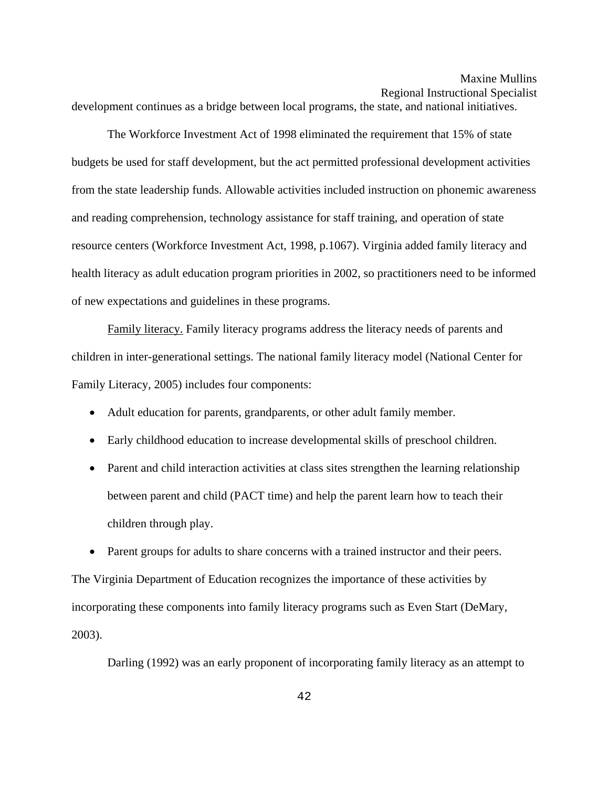development continues as a bridge between local programs, the state, and national initiatives.

 The Workforce Investment Act of 1998 eliminated the requirement that 15% of state budgets be used for staff development, but the act permitted professional development activities from the state leadership funds. Allowable activities included instruction on phonemic awareness and reading comprehension, technology assistance for staff training, and operation of state resource centers (Workforce Investment Act, 1998, p.1067). Virginia added family literacy and health literacy as adult education program priorities in 2002, so practitioners need to be informed of new expectations and guidelines in these programs.

 Family literacy. Family literacy programs address the literacy needs of parents and children in inter-generational settings. The national family literacy model (National Center for Family Literacy, 2005) includes four components:

- Adult education for parents, grandparents, or other adult family member.
- Early childhood education to increase developmental skills of preschool children.
- Parent and child interaction activities at class sites strengthen the learning relationship between parent and child (PACT time) and help the parent learn how to teach their children through play.

• Parent groups for adults to share concerns with a trained instructor and their peers. The Virginia Department of Education recognizes the importance of these activities by incorporating these components into family literacy programs such as Even Start (DeMary, 2003).

Darling (1992) was an early proponent of incorporating family literacy as an attempt to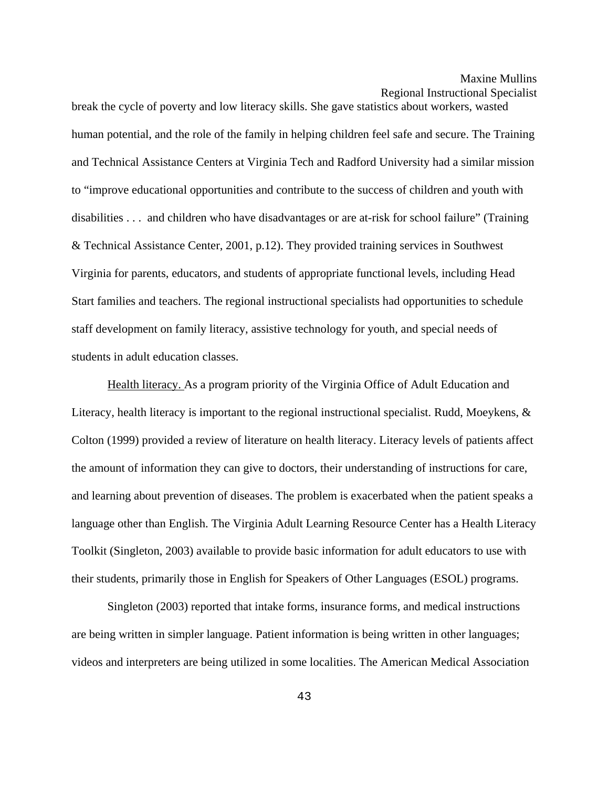break the cycle of poverty and low literacy skills. She gave statistics about workers, wasted human potential, and the role of the family in helping children feel safe and secure. The Training and Technical Assistance Centers at Virginia Tech and Radford University had a similar mission to "improve educational opportunities and contribute to the success of children and youth with disabilities . . . and children who have disadvantages or are at-risk for school failure" (Training & Technical Assistance Center, 2001, p.12). They provided training services in Southwest Virginia for parents, educators, and students of appropriate functional levels, including Head Start families and teachers. The regional instructional specialists had opportunities to schedule staff development on family literacy, assistive technology for youth, and special needs of students in adult education classes.

 Health literacy. As a program priority of the Virginia Office of Adult Education and Literacy, health literacy is important to the regional instructional specialist. Rudd, Moeykens, & Colton (1999) provided a review of literature on health literacy. Literacy levels of patients affect the amount of information they can give to doctors, their understanding of instructions for care, and learning about prevention of diseases. The problem is exacerbated when the patient speaks a language other than English. The Virginia Adult Learning Resource Center has a Health Literacy Toolkit (Singleton, 2003) available to provide basic information for adult educators to use with their students, primarily those in English for Speakers of Other Languages (ESOL) programs.

 Singleton (2003) reported that intake forms, insurance forms, and medical instructions are being written in simpler language. Patient information is being written in other languages; videos and interpreters are being utilized in some localities. The American Medical Association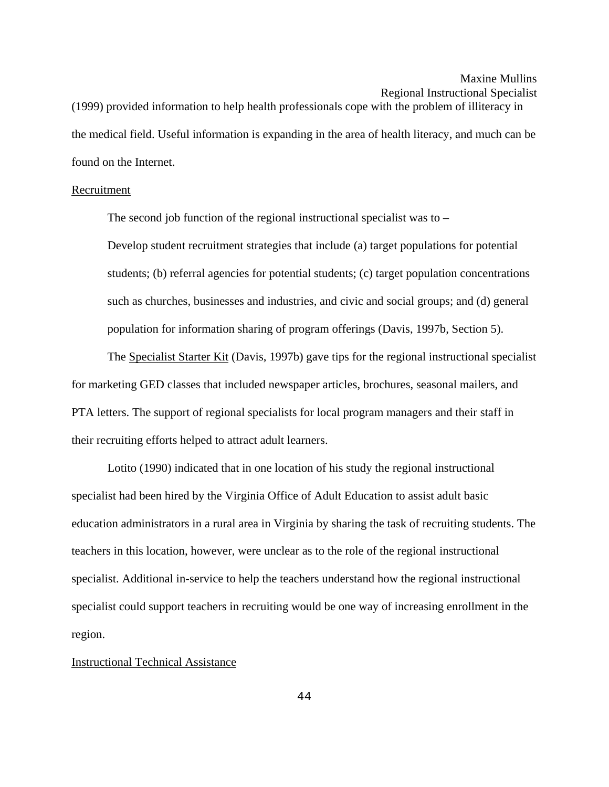Regional Instructional Specialist (1999) provided information to help health professionals cope with the problem of illiteracy in the medical field. Useful information is expanding in the area of health literacy, and much can be

found on the Internet.

#### Recruitment

The second job function of the regional instructional specialist was to –

Develop student recruitment strategies that include (a) target populations for potential students; (b) referral agencies for potential students; (c) target population concentrations such as churches, businesses and industries, and civic and social groups; and (d) general population for information sharing of program offerings (Davis, 1997b, Section 5).

 The Specialist Starter Kit (Davis, 1997b) gave tips for the regional instructional specialist for marketing GED classes that included newspaper articles, brochures, seasonal mailers, and PTA letters. The support of regional specialists for local program managers and their staff in their recruiting efforts helped to attract adult learners.

 Lotito (1990) indicated that in one location of his study the regional instructional specialist had been hired by the Virginia Office of Adult Education to assist adult basic education administrators in a rural area in Virginia by sharing the task of recruiting students. The teachers in this location, however, were unclear as to the role of the regional instructional specialist. Additional in-service to help the teachers understand how the regional instructional specialist could support teachers in recruiting would be one way of increasing enrollment in the region.

### Instructional Technical Assistance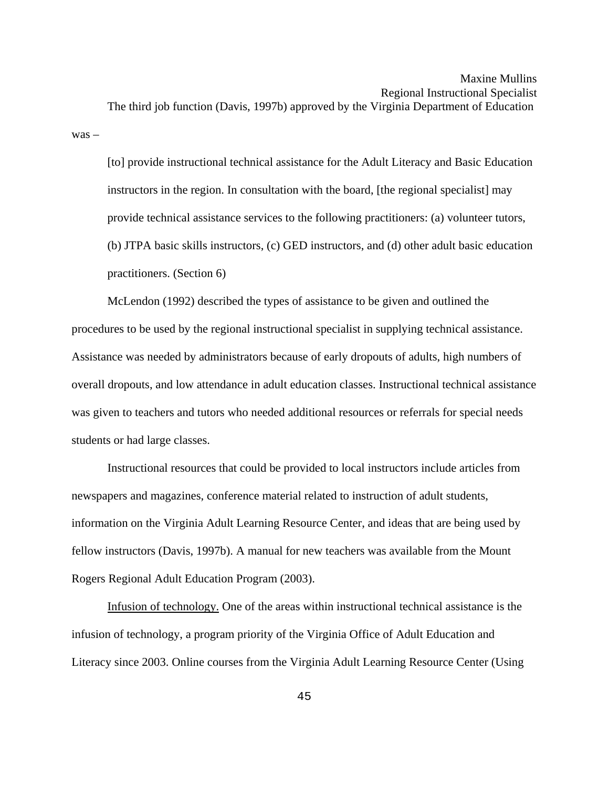The third job function (Davis, 1997b) approved by the Virginia Department of Education was –

[to] provide instructional technical assistance for the Adult Literacy and Basic Education instructors in the region. In consultation with the board, [the regional specialist] may provide technical assistance services to the following practitioners: (a) volunteer tutors, (b) JTPA basic skills instructors, (c) GED instructors, and (d) other adult basic education practitioners. (Section 6)

 McLendon (1992) described the types of assistance to be given and outlined the procedures to be used by the regional instructional specialist in supplying technical assistance. Assistance was needed by administrators because of early dropouts of adults, high numbers of overall dropouts, and low attendance in adult education classes. Instructional technical assistance was given to teachers and tutors who needed additional resources or referrals for special needs students or had large classes.

 Instructional resources that could be provided to local instructors include articles from newspapers and magazines, conference material related to instruction of adult students, information on the Virginia Adult Learning Resource Center, and ideas that are being used by fellow instructors (Davis, 1997b). A manual for new teachers was available from the Mount Rogers Regional Adult Education Program (2003).

 Infusion of technology. One of the areas within instructional technical assistance is the infusion of technology, a program priority of the Virginia Office of Adult Education and Literacy since 2003. Online courses from the Virginia Adult Learning Resource Center (Using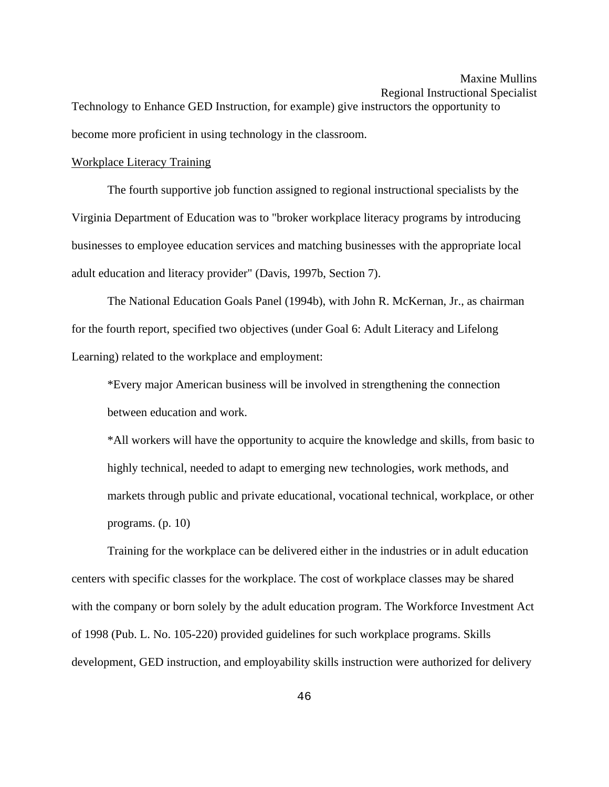Technology to Enhance GED Instruction, for example) give instructors the opportunity to become more proficient in using technology in the classroom.

#### Workplace Literacy Training

 The fourth supportive job function assigned to regional instructional specialists by the Virginia Department of Education was to "broker workplace literacy programs by introducing businesses to employee education services and matching businesses with the appropriate local adult education and literacy provider" (Davis, 1997b, Section 7).

 The National Education Goals Panel (1994b), with John R. McKernan, Jr., as chairman for the fourth report, specified two objectives (under Goal 6: Adult Literacy and Lifelong Learning) related to the workplace and employment:

 \*Every major American business will be involved in strengthening the connection between education and work.

 \*All workers will have the opportunity to acquire the knowledge and skills, from basic to highly technical, needed to adapt to emerging new technologies, work methods, and markets through public and private educational, vocational technical, workplace, or other programs. (p. 10)

Training for the workplace can be delivered either in the industries or in adult education centers with specific classes for the workplace. The cost of workplace classes may be shared with the company or born solely by the adult education program. The Workforce Investment Act of 1998 (Pub. L. No. 105-220) provided guidelines for such workplace programs. Skills development, GED instruction, and employability skills instruction were authorized for delivery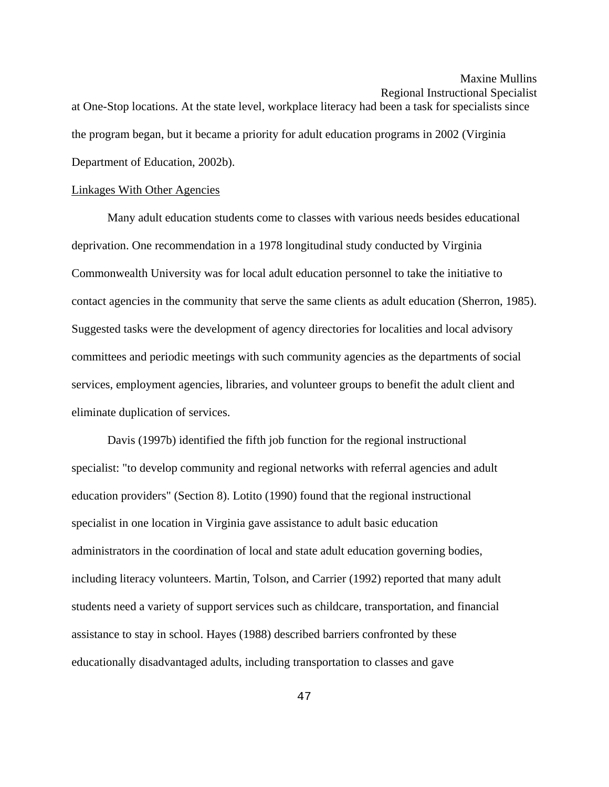Regional Instructional Specialist

at One-Stop locations. At the state level, workplace literacy had been a task for specialists since the program began, but it became a priority for adult education programs in 2002 (Virginia Department of Education, 2002b).

#### Linkages With Other Agencies

 Many adult education students come to classes with various needs besides educational deprivation. One recommendation in a 1978 longitudinal study conducted by Virginia Commonwealth University was for local adult education personnel to take the initiative to contact agencies in the community that serve the same clients as adult education (Sherron, 1985). Suggested tasks were the development of agency directories for localities and local advisory committees and periodic meetings with such community agencies as the departments of social services, employment agencies, libraries, and volunteer groups to benefit the adult client and eliminate duplication of services.

Davis (1997b) identified the fifth job function for the regional instructional specialist: "to develop community and regional networks with referral agencies and adult education providers" (Section 8). Lotito (1990) found that the regional instructional specialist in one location in Virginia gave assistance to adult basic education administrators in the coordination of local and state adult education governing bodies, including literacy volunteers. Martin, Tolson, and Carrier (1992) reported that many adult students need a variety of support services such as childcare, transportation, and financial assistance to stay in school. Hayes (1988) described barriers confronted by these educationally disadvantaged adults, including transportation to classes and gave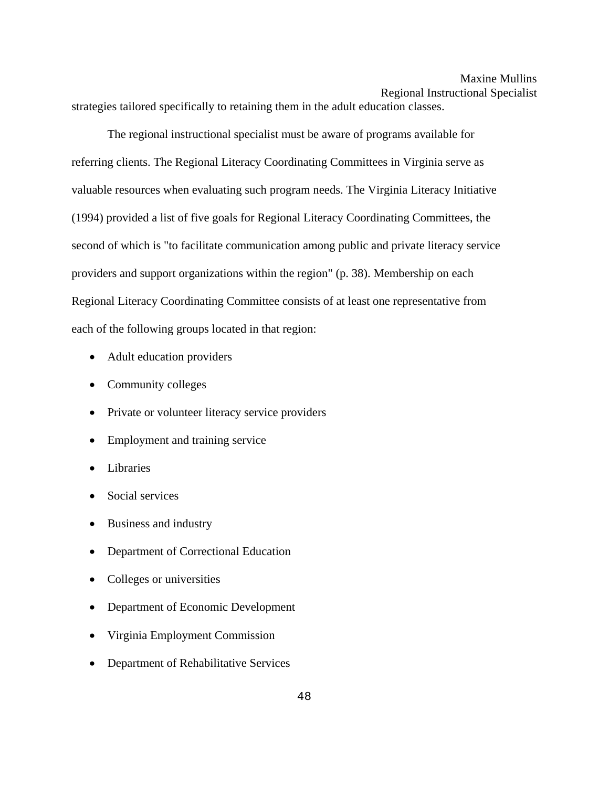strategies tailored specifically to retaining them in the adult education classes.

The regional instructional specialist must be aware of programs available for referring clients. The Regional Literacy Coordinating Committees in Virginia serve as valuable resources when evaluating such program needs. The Virginia Literacy Initiative (1994) provided a list of five goals for Regional Literacy Coordinating Committees, the second of which is "to facilitate communication among public and private literacy service providers and support organizations within the region" (p. 38). Membership on each Regional Literacy Coordinating Committee consists of at least one representative from each of the following groups located in that region:

- Adult education providers
- Community colleges
- Private or volunteer literacy service providers
- Employment and training service
- Libraries
- Social services
- Business and industry
- Department of Correctional Education
- Colleges or universities
- Department of Economic Development
- Virginia Employment Commission
- Department of Rehabilitative Services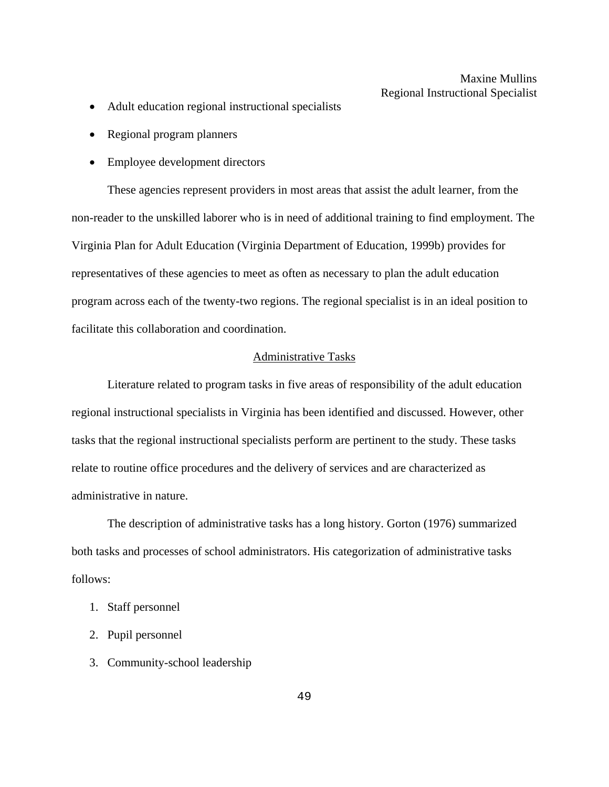- Adult education regional instructional specialists
- Regional program planners
- Employee development directors

 These agencies represent providers in most areas that assist the adult learner, from the non-reader to the unskilled laborer who is in need of additional training to find employment. The Virginia Plan for Adult Education (Virginia Department of Education, 1999b) provides for representatives of these agencies to meet as often as necessary to plan the adult education program across each of the twenty-two regions. The regional specialist is in an ideal position to facilitate this collaboration and coordination.

### Administrative Tasks

 Literature related to program tasks in five areas of responsibility of the adult education regional instructional specialists in Virginia has been identified and discussed. However, other tasks that the regional instructional specialists perform are pertinent to the study. These tasks relate to routine office procedures and the delivery of services and are characterized as administrative in nature.

 The description of administrative tasks has a long history. Gorton (1976) summarized both tasks and processes of school administrators. His categorization of administrative tasks follows:

- 1. Staff personnel
- 2. Pupil personnel
- 3. Community-school leadership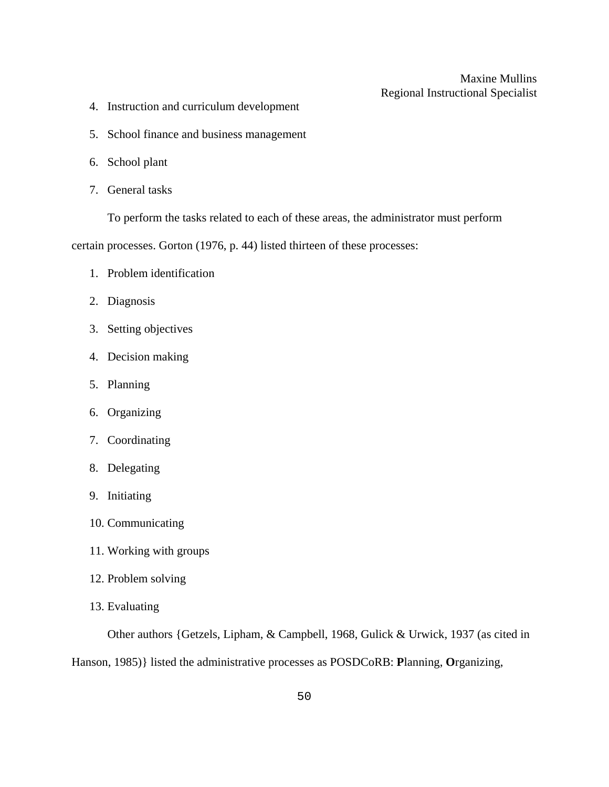- 4. Instruction and curriculum development
- 5. School finance and business management
- 6. School plant
- 7. General tasks

To perform the tasks related to each of these areas, the administrator must perform

certain processes. Gorton (1976, p. 44) listed thirteen of these processes:

- 1. Problem identification
- 2. Diagnosis
- 3. Setting objectives
- 4. Decision making
- 5. Planning
- 6. Organizing
- 7. Coordinating
- 8. Delegating
- 9. Initiating
- 10. Communicating
- 11. Working with groups
- 12. Problem solving
- 13. Evaluating

Other authors {Getzels, Lipham, & Campbell, 1968, Gulick & Urwick, 1937 (as cited in

Hanson, 1985)} listed the administrative processes as POSDCoRB: **P**lanning, **O**rganizing,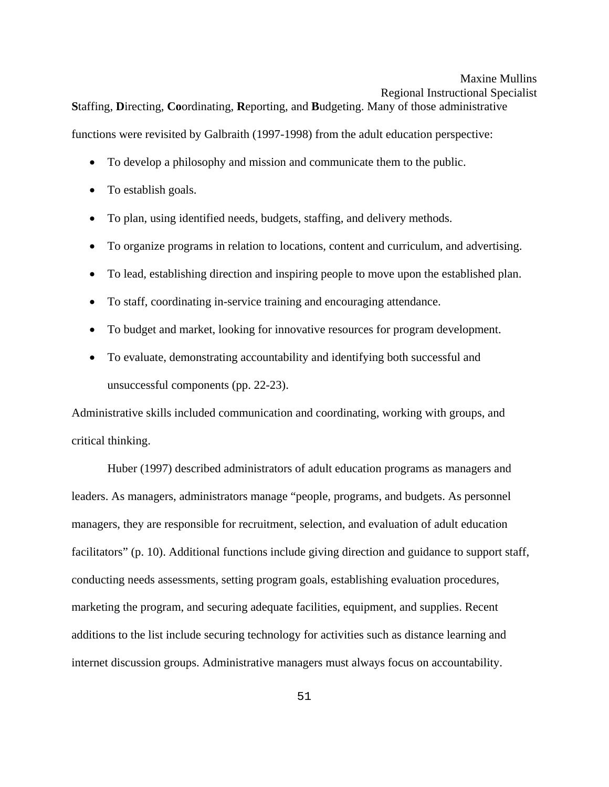Regional Instructional Specialist

**S**taffing, **D**irecting, **Co**ordinating, **R**eporting, and **B**udgeting. Many of those administrative functions were revisited by Galbraith (1997-1998) from the adult education perspective:

- To develop a philosophy and mission and communicate them to the public.
- To establish goals.
- To plan, using identified needs, budgets, staffing, and delivery methods.
- To organize programs in relation to locations, content and curriculum, and advertising.
- To lead, establishing direction and inspiring people to move upon the established plan.
- To staff, coordinating in-service training and encouraging attendance.
- To budget and market, looking for innovative resources for program development.
- To evaluate, demonstrating accountability and identifying both successful and unsuccessful components (pp. 22-23).

Administrative skills included communication and coordinating, working with groups, and critical thinking.

 Huber (1997) described administrators of adult education programs as managers and leaders. As managers, administrators manage "people, programs, and budgets. As personnel managers, they are responsible for recruitment, selection, and evaluation of adult education facilitators" (p. 10). Additional functions include giving direction and guidance to support staff, conducting needs assessments, setting program goals, establishing evaluation procedures, marketing the program, and securing adequate facilities, equipment, and supplies. Recent additions to the list include securing technology for activities such as distance learning and internet discussion groups. Administrative managers must always focus on accountability.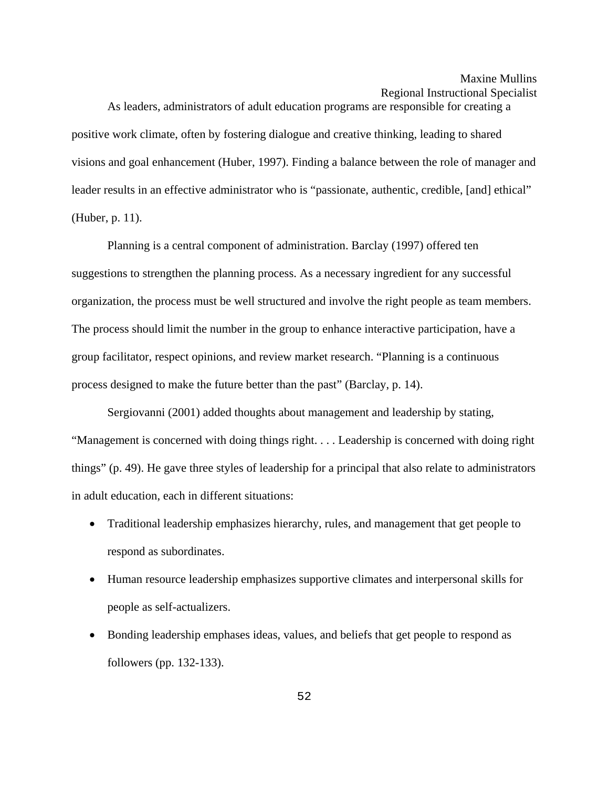As leaders, administrators of adult education programs are responsible for creating a positive work climate, often by fostering dialogue and creative thinking, leading to shared visions and goal enhancement (Huber, 1997). Finding a balance between the role of manager and leader results in an effective administrator who is "passionate, authentic, credible, [and] ethical" (Huber, p. 11).

 Planning is a central component of administration. Barclay (1997) offered ten suggestions to strengthen the planning process. As a necessary ingredient for any successful organization, the process must be well structured and involve the right people as team members. The process should limit the number in the group to enhance interactive participation, have a group facilitator, respect opinions, and review market research. "Planning is a continuous process designed to make the future better than the past" (Barclay, p. 14).

 Sergiovanni (2001) added thoughts about management and leadership by stating, "Management is concerned with doing things right. . . . Leadership is concerned with doing right things" (p. 49). He gave three styles of leadership for a principal that also relate to administrators in adult education, each in different situations:

- Traditional leadership emphasizes hierarchy, rules, and management that get people to respond as subordinates.
- Human resource leadership emphasizes supportive climates and interpersonal skills for people as self-actualizers.
- Bonding leadership emphases ideas, values, and beliefs that get people to respond as followers (pp. 132-133).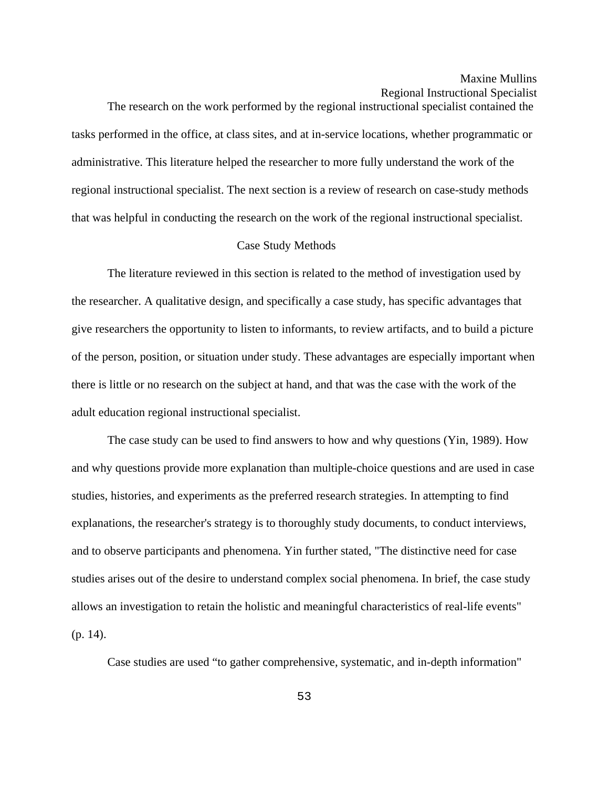The research on the work performed by the regional instructional specialist contained the tasks performed in the office, at class sites, and at in-service locations, whether programmatic or administrative. This literature helped the researcher to more fully understand the work of the regional instructional specialist. The next section is a review of research on case-study methods that was helpful in conducting the research on the work of the regional instructional specialist.

### Case Study Methods

 The literature reviewed in this section is related to the method of investigation used by the researcher. A qualitative design, and specifically a case study, has specific advantages that give researchers the opportunity to listen to informants, to review artifacts, and to build a picture of the person, position, or situation under study. These advantages are especially important when there is little or no research on the subject at hand, and that was the case with the work of the adult education regional instructional specialist.

 The case study can be used to find answers to how and why questions (Yin, 1989). How and why questions provide more explanation than multiple-choice questions and are used in case studies, histories, and experiments as the preferred research strategies. In attempting to find explanations, the researcher's strategy is to thoroughly study documents, to conduct interviews, and to observe participants and phenomena. Yin further stated, "The distinctive need for case studies arises out of the desire to understand complex social phenomena. In brief, the case study allows an investigation to retain the holistic and meaningful characteristics of real-life events" (p. 14).

Case studies are used "to gather comprehensive, systematic, and in-depth information"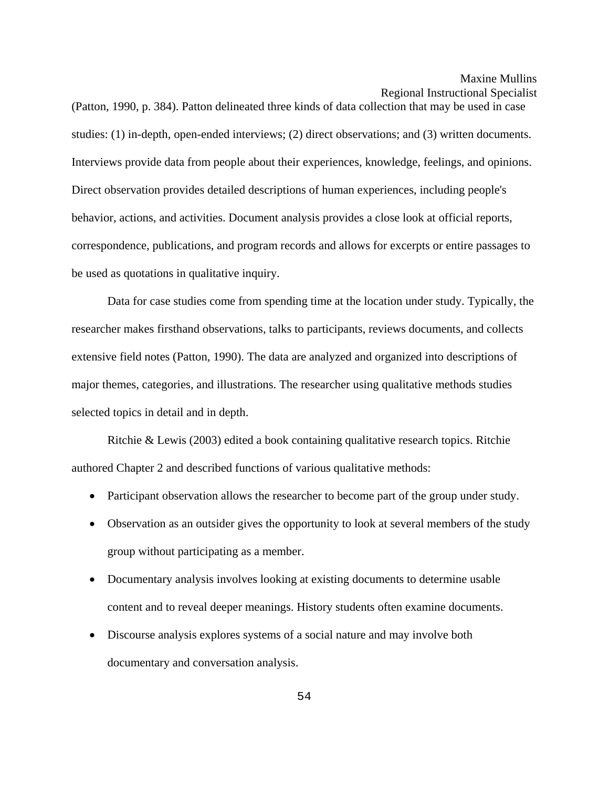(Patton, 1990, p. 384). Patton delineated three kinds of data collection that may be used in case studies: (1) in-depth, open-ended interviews; (2) direct observations; and (3) written documents. Interviews provide data from people about their experiences, knowledge, feelings, and opinions. Direct observation provides detailed descriptions of human experiences, including people's behavior, actions, and activities. Document analysis provides a close look at official reports, correspondence, publications, and program records and allows for excerpts or entire passages to be used as quotations in qualitative inquiry.

 Data for case studies come from spending time at the location under study. Typically, the researcher makes firsthand observations, talks to participants, reviews documents, and collects extensive field notes (Patton, 1990). The data are analyzed and organized into descriptions of major themes, categories, and illustrations. The researcher using qualitative methods studies selected topics in detail and in depth.

 Ritchie & Lewis (2003) edited a book containing qualitative research topics. Ritchie authored Chapter 2 and described functions of various qualitative methods:

- Participant observation allows the researcher to become part of the group under study.
- Observation as an outsider gives the opportunity to look at several members of the study group without participating as a member.
- Documentary analysis involves looking at existing documents to determine usable content and to reveal deeper meanings. History students often examine documents.
- Discourse analysis explores systems of a social nature and may involve both documentary and conversation analysis.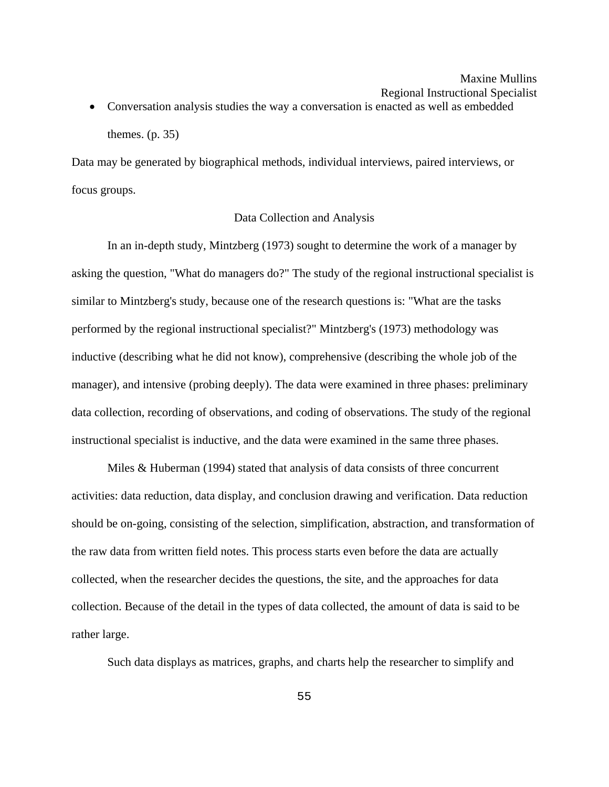### Regional Instructional Specialist

• Conversation analysis studies the way a conversation is enacted as well as embedded themes. (p. 35)

Data may be generated by biographical methods, individual interviews, paired interviews, or focus groups.

### Data Collection and Analysis

 In an in-depth study, Mintzberg (1973) sought to determine the work of a manager by asking the question, "What do managers do?" The study of the regional instructional specialist is similar to Mintzberg's study, because one of the research questions is: "What are the tasks performed by the regional instructional specialist?" Mintzberg's (1973) methodology was inductive (describing what he did not know), comprehensive (describing the whole job of the manager), and intensive (probing deeply). The data were examined in three phases: preliminary data collection, recording of observations, and coding of observations. The study of the regional instructional specialist is inductive, and the data were examined in the same three phases.

 Miles & Huberman (1994) stated that analysis of data consists of three concurrent activities: data reduction, data display, and conclusion drawing and verification. Data reduction should be on-going, consisting of the selection, simplification, abstraction, and transformation of the raw data from written field notes. This process starts even before the data are actually collected, when the researcher decides the questions, the site, and the approaches for data collection. Because of the detail in the types of data collected, the amount of data is said to be rather large.

Such data displays as matrices, graphs, and charts help the researcher to simplify and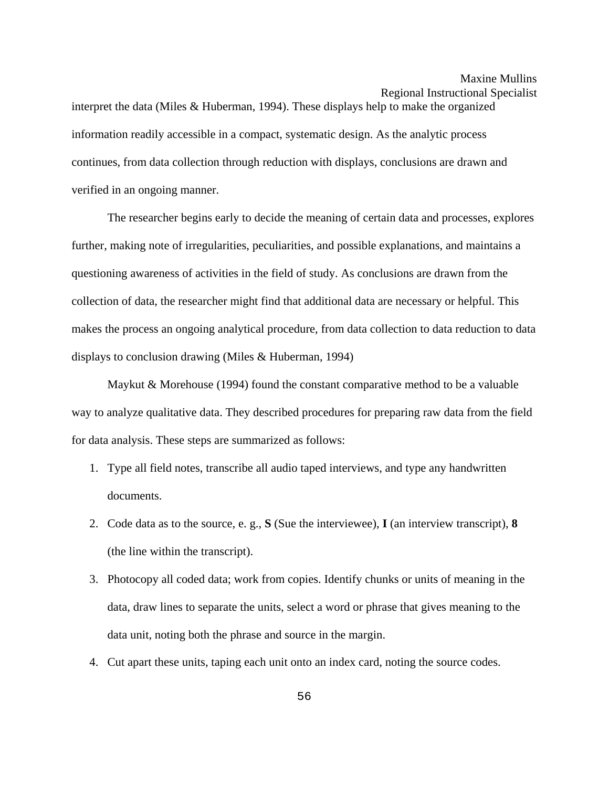Regional Instructional Specialist

interpret the data (Miles & Huberman, 1994). These displays help to make the organized information readily accessible in a compact, systematic design. As the analytic process continues, from data collection through reduction with displays, conclusions are drawn and verified in an ongoing manner.

 The researcher begins early to decide the meaning of certain data and processes, explores further, making note of irregularities, peculiarities, and possible explanations, and maintains a questioning awareness of activities in the field of study. As conclusions are drawn from the collection of data, the researcher might find that additional data are necessary or helpful. This makes the process an ongoing analytical procedure, from data collection to data reduction to data displays to conclusion drawing (Miles & Huberman, 1994)

 Maykut & Morehouse (1994) found the constant comparative method to be a valuable way to analyze qualitative data. They described procedures for preparing raw data from the field for data analysis. These steps are summarized as follows:

- 1. Type all field notes, transcribe all audio taped interviews, and type any handwritten documents.
- 2. Code data as to the source, e. g., **S** (Sue the interviewee), **I** (an interview transcript), **8** (the line within the transcript).
- 3. Photocopy all coded data; work from copies. Identify chunks or units of meaning in the data, draw lines to separate the units, select a word or phrase that gives meaning to the data unit, noting both the phrase and source in the margin.
- 4. Cut apart these units, taping each unit onto an index card, noting the source codes.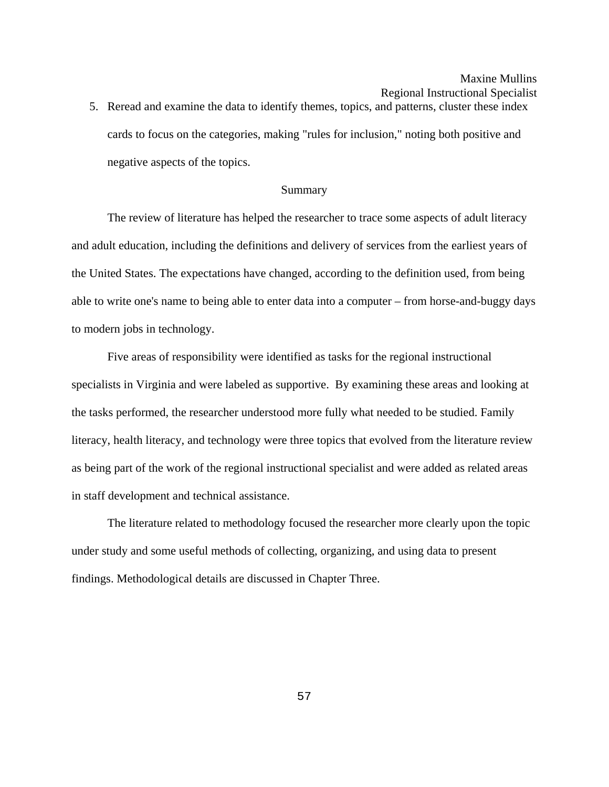5. Reread and examine the data to identify themes, topics, and patterns, cluster these index cards to focus on the categories, making "rules for inclusion," noting both positive and negative aspects of the topics.

#### Summary

The review of literature has helped the researcher to trace some aspects of adult literacy and adult education, including the definitions and delivery of services from the earliest years of the United States. The expectations have changed, according to the definition used, from being able to write one's name to being able to enter data into a computer – from horse-and-buggy days to modern jobs in technology.

 Five areas of responsibility were identified as tasks for the regional instructional specialists in Virginia and were labeled as supportive. By examining these areas and looking at the tasks performed, the researcher understood more fully what needed to be studied. Family literacy, health literacy, and technology were three topics that evolved from the literature review as being part of the work of the regional instructional specialist and were added as related areas in staff development and technical assistance.

 The literature related to methodology focused the researcher more clearly upon the topic under study and some useful methods of collecting, organizing, and using data to present findings. Methodological details are discussed in Chapter Three.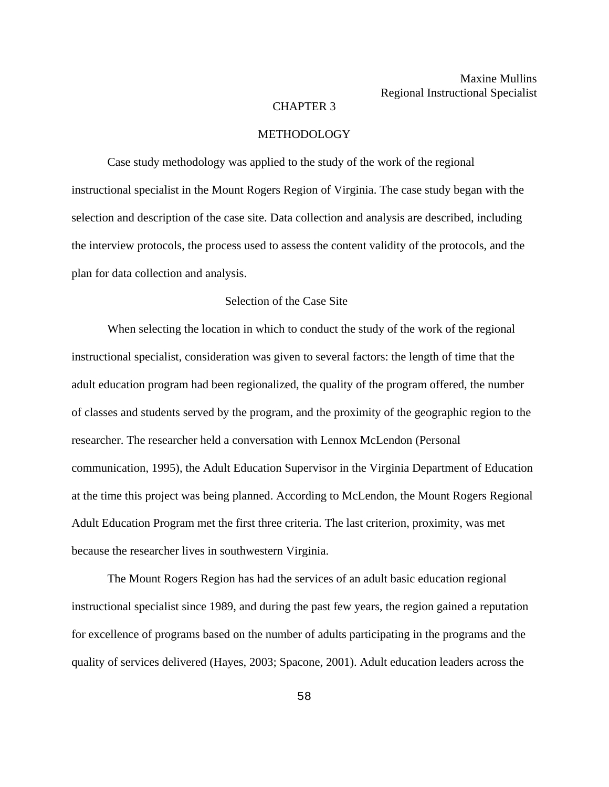### CHAPTER 3

### METHODOLOGY

 Case study methodology was applied to the study of the work of the regional instructional specialist in the Mount Rogers Region of Virginia. The case study began with the selection and description of the case site. Data collection and analysis are described, including the interview protocols, the process used to assess the content validity of the protocols, and the plan for data collection and analysis.

### Selection of the Case Site

 When selecting the location in which to conduct the study of the work of the regional instructional specialist, consideration was given to several factors: the length of time that the adult education program had been regionalized, the quality of the program offered, the number of classes and students served by the program, and the proximity of the geographic region to the researcher. The researcher held a conversation with Lennox McLendon (Personal communication, 1995), the Adult Education Supervisor in the Virginia Department of Education at the time this project was being planned. According to McLendon, the Mount Rogers Regional Adult Education Program met the first three criteria. The last criterion, proximity, was met because the researcher lives in southwestern Virginia.

 The Mount Rogers Region has had the services of an adult basic education regional instructional specialist since 1989, and during the past few years, the region gained a reputation for excellence of programs based on the number of adults participating in the programs and the quality of services delivered (Hayes, 2003; Spacone, 2001). Adult education leaders across the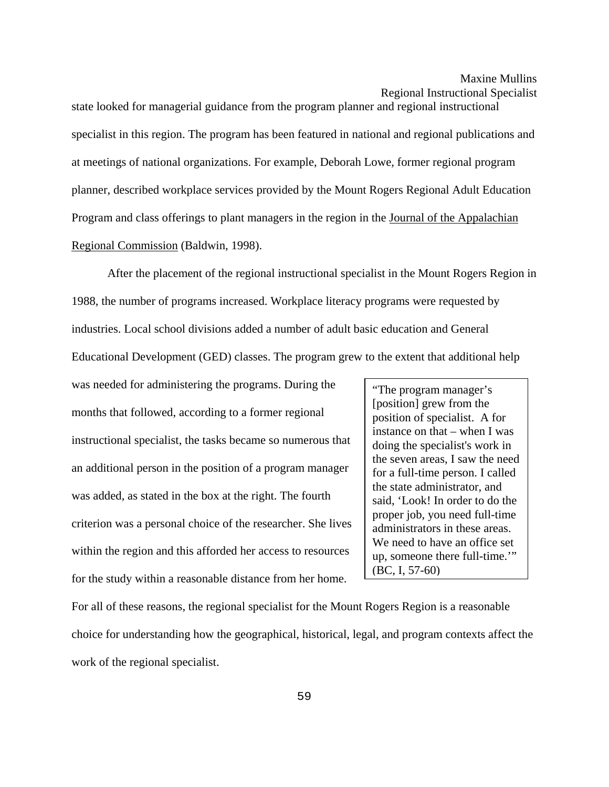state looked for managerial guidance from the program planner and regional instructional specialist in this region. The program has been featured in national and regional publications and at meetings of national organizations. For example, Deborah Lowe, former regional program planner, described workplace services provided by the Mount Rogers Regional Adult Education Program and class offerings to plant managers in the region in the Journal of the Appalachian Regional Commission (Baldwin, 1998).

 After the placement of the regional instructional specialist in the Mount Rogers Region in 1988, the number of programs increased. Workplace literacy programs were requested by industries. Local school divisions added a number of adult basic education and General Educational Development (GED) classes. The program grew to the extent that additional help

was needed for administering the programs. During the months that followed, according to a former regional instructional specialist, the tasks became so numerous that an additional person in the position of a program manager was added, as stated in the box at the right. The fourth criterion was a personal choice of the researcher. She lives within the region and this afforded her access to resources for the study within a reasonable distance from her home.

"The program manager's [position] grew from the position of specialist. A for instance on that – when I was doing the specialist's work in the seven areas, I saw the need for a full-time person. I called the state administrator, and said, 'Look! In order to do the proper job, you need full-time administrators in these areas. We need to have an office set up, someone there full-time.'" (BC, I, 57-60)

For all of these reasons, the regional specialist for the Mount Rogers Region is a reasonable choice for understanding how the geographical, historical, legal, and program contexts affect the work of the regional specialist.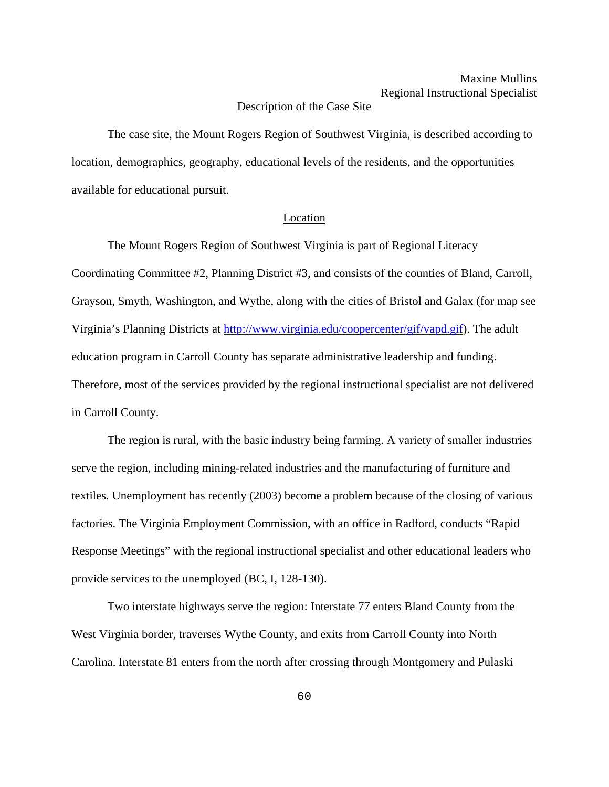### Description of the Case Site

 The case site, the Mount Rogers Region of Southwest Virginia, is described according to location, demographics, geography, educational levels of the residents, and the opportunities available for educational pursuit.

#### Location

 The Mount Rogers Region of Southwest Virginia is part of Regional Literacy Coordinating Committee #2, Planning District #3, and consists of the counties of Bland, Carroll, Grayson, Smyth, Washington, and Wythe, along with the cities of Bristol and Galax (for map see Virginia's Planning Districts at [http://www.virginia.edu/coopercenter/gif/vapd.gif\)](http://www.virginia.edu/coopercenter/gif/vapd.gif). The adult education program in Carroll County has separate administrative leadership and funding. Therefore, most of the services provided by the regional instructional specialist are not delivered in Carroll County.

 The region is rural, with the basic industry being farming. A variety of smaller industries serve the region, including mining-related industries and the manufacturing of furniture and textiles. Unemployment has recently (2003) become a problem because of the closing of various factories. The Virginia Employment Commission, with an office in Radford, conducts "Rapid Response Meetings" with the regional instructional specialist and other educational leaders who provide services to the unemployed (BC, I, 128-130).

 Two interstate highways serve the region: Interstate 77 enters Bland County from the West Virginia border, traverses Wythe County, and exits from Carroll County into North Carolina. Interstate 81 enters from the north after crossing through Montgomery and Pulaski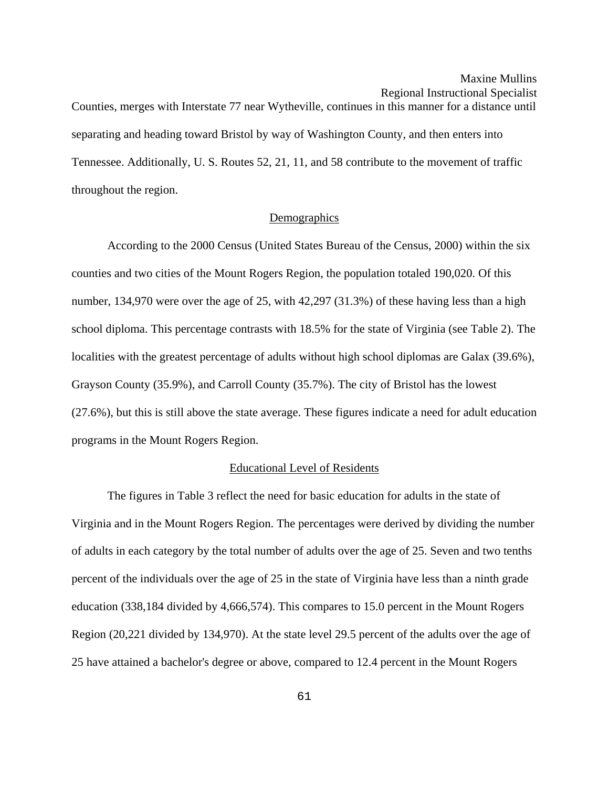Counties, merges with Interstate 77 near Wytheville, continues in this manner for a distance until separating and heading toward Bristol by way of Washington County, and then enters into Tennessee. Additionally, U. S. Routes 52, 21, 11, and 58 contribute to the movement of traffic throughout the region.

#### Demographics

 According to the 2000 Census (United States Bureau of the Census, 2000) within the six counties and two cities of the Mount Rogers Region, the population totaled 190,020. Of this number, 134,970 were over the age of 25, with 42,297 (31.3%) of these having less than a high school diploma. This percentage contrasts with 18.5% for the state of Virginia (see Table 2). The localities with the greatest percentage of adults without high school diplomas are Galax (39.6%), Grayson County (35.9%), and Carroll County (35.7%). The city of Bristol has the lowest (27.6%), but this is still above the state average. These figures indicate a need for adult education programs in the Mount Rogers Region.

### Educational Level of Residents

 The figures in Table 3 reflect the need for basic education for adults in the state of Virginia and in the Mount Rogers Region. The percentages were derived by dividing the number of adults in each category by the total number of adults over the age of 25. Seven and two tenths percent of the individuals over the age of 25 in the state of Virginia have less than a ninth grade education (338,184 divided by 4,666,574). This compares to 15.0 percent in the Mount Rogers Region (20,221 divided by 134,970). At the state level 29.5 percent of the adults over the age of 25 have attained a bachelor's degree or above, compared to 12.4 percent in the Mount Rogers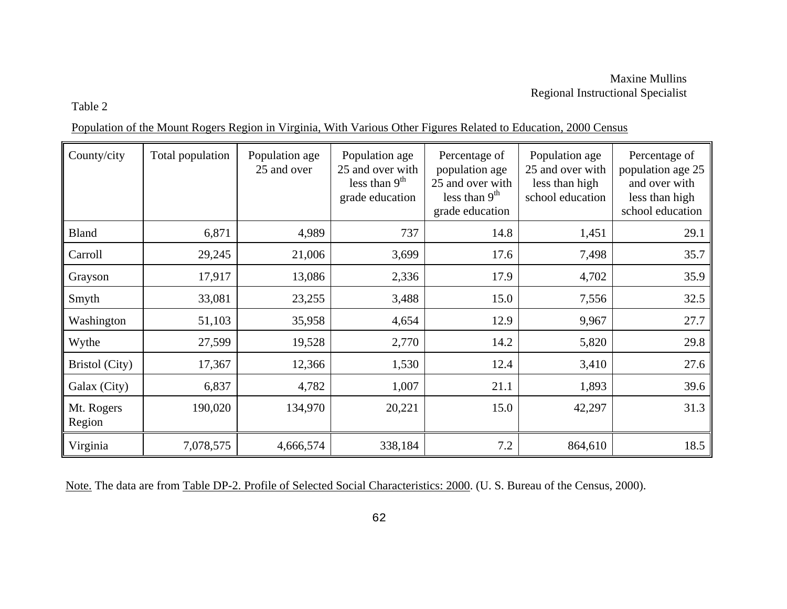### Table 2

Population of the Mount Rogers Region in Virginia, With Various Other Figures Related to Education, 2000 Census

| County/city          | Total population | Population age<br>25 and over | Population age<br>25 and over with<br>less than $9th$<br>grade education | Percentage of<br>population age<br>25 and over with<br>less than $9th$<br>grade education | Population age<br>25 and over with<br>less than high<br>school education | Percentage of<br>population age 25<br>and over with<br>less than high<br>school education |
|----------------------|------------------|-------------------------------|--------------------------------------------------------------------------|-------------------------------------------------------------------------------------------|--------------------------------------------------------------------------|-------------------------------------------------------------------------------------------|
| <b>Bland</b>         | 6,871            | 4,989                         | 737                                                                      | 14.8                                                                                      | 1,451                                                                    | 29.1                                                                                      |
| Carroll              | 29,245           | 21,006                        | 3,699                                                                    | 17.6                                                                                      | 7,498                                                                    | 35.7                                                                                      |
| Grayson              | 17,917           | 13,086                        | 2,336                                                                    | 17.9                                                                                      | 4,702                                                                    | 35.9                                                                                      |
| Smyth                | 33,081           | 23,255                        | 3,488                                                                    | 15.0                                                                                      | 7,556                                                                    | 32.5                                                                                      |
| Washington           | 51,103           | 35,958                        | 4,654                                                                    | 12.9                                                                                      | 9,967                                                                    | 27.7                                                                                      |
| Wythe                | 27,599           | 19,528                        | 2,770                                                                    | 14.2                                                                                      | 5,820                                                                    | 29.8                                                                                      |
| Bristol (City)       | 17,367           | 12,366                        | 1,530                                                                    | 12.4                                                                                      | 3,410                                                                    | 27.6                                                                                      |
| Galax (City)         | 6,837            | 4,782                         | 1,007                                                                    | 21.1                                                                                      | 1,893                                                                    | 39.6                                                                                      |
| Mt. Rogers<br>Region | 190,020          | 134,970                       | 20,221                                                                   | 15.0                                                                                      | 42,297                                                                   | 31.3                                                                                      |
| Virginia             | 7,078,575        | 4,666,574                     | 338,184                                                                  | 7.2                                                                                       | 864,610                                                                  | 18.5                                                                                      |

Note. The data are from Table DP-2. Profile of Selected Social Characteristics: 2000. (U. S. Bureau of the Census, 2000).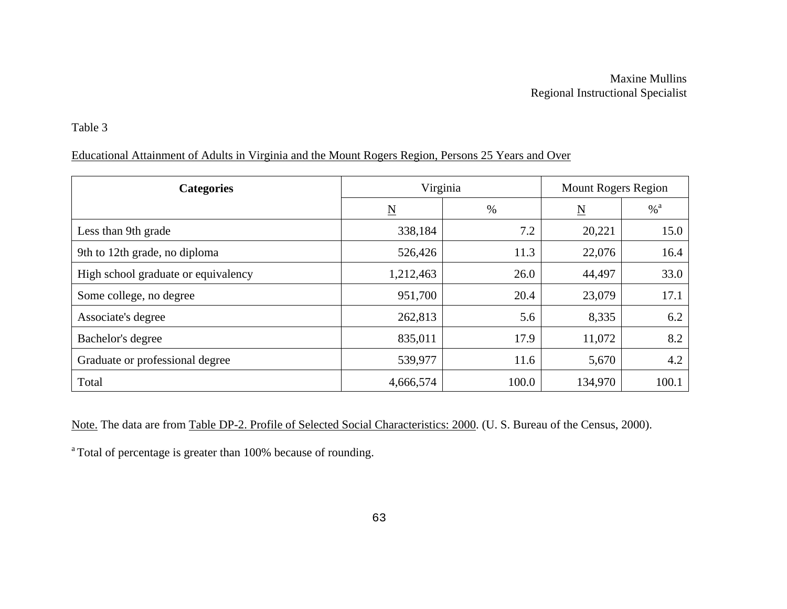Table 3

# Educational Attainment of Adults in Virginia and the Mount Rogers Region, Persons 25 Years and Over

| <b>Categories</b>                   | Virginia            |       | <b>Mount Rogers Region</b> |          |
|-------------------------------------|---------------------|-------|----------------------------|----------|
|                                     | $\underline{\rm N}$ | $\%$  | $\underline{\mathbf{N}}$   | $% ^{a}$ |
| Less than 9th grade                 | 338,184             | 7.2   | 20,221                     | 15.0     |
| 9th to 12th grade, no diploma       | 526,426             | 11.3  | 22,076                     | 16.4     |
| High school graduate or equivalency | 1,212,463           | 26.0  | 44,497                     | 33.0     |
| Some college, no degree             | 951,700             | 20.4  | 23,079                     | 17.1     |
| Associate's degree                  | 262,813             | 5.6   | 8,335                      | 6.2      |
| Bachelor's degree                   | 835,011             | 17.9  | 11,072                     | 8.2      |
| Graduate or professional degree     | 539,977             | 11.6  | 5,670                      | 4.2      |
| Total                               | 4,666,574           | 100.0 | 134,970                    | 100.1    |

Note. The data are from Table DP-2. Profile of Selected Social Characteristics: 2000. (U. S. Bureau of the Census, 2000).

<sup>a</sup> Total of percentage is greater than 100% because of rounding.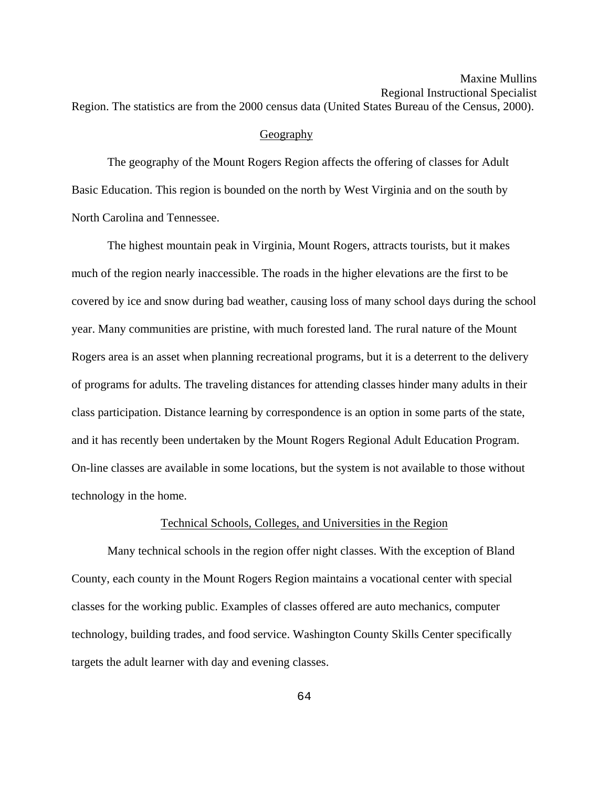Regional Instructional Specialist Region. The statistics are from the 2000 census data (United States Bureau of the Census, 2000).

#### **Geography**

 The geography of the Mount Rogers Region affects the offering of classes for Adult Basic Education. This region is bounded on the north by West Virginia and on the south by North Carolina and Tennessee.

 The highest mountain peak in Virginia, Mount Rogers, attracts tourists, but it makes much of the region nearly inaccessible. The roads in the higher elevations are the first to be covered by ice and snow during bad weather, causing loss of many school days during the school year. Many communities are pristine, with much forested land. The rural nature of the Mount Rogers area is an asset when planning recreational programs, but it is a deterrent to the delivery of programs for adults. The traveling distances for attending classes hinder many adults in their class participation. Distance learning by correspondence is an option in some parts of the state, and it has recently been undertaken by the Mount Rogers Regional Adult Education Program. On-line classes are available in some locations, but the system is not available to those without technology in the home.

### Technical Schools, Colleges, and Universities in the Region

 Many technical schools in the region offer night classes. With the exception of Bland County, each county in the Mount Rogers Region maintains a vocational center with special classes for the working public. Examples of classes offered are auto mechanics, computer technology, building trades, and food service. Washington County Skills Center specifically targets the adult learner with day and evening classes.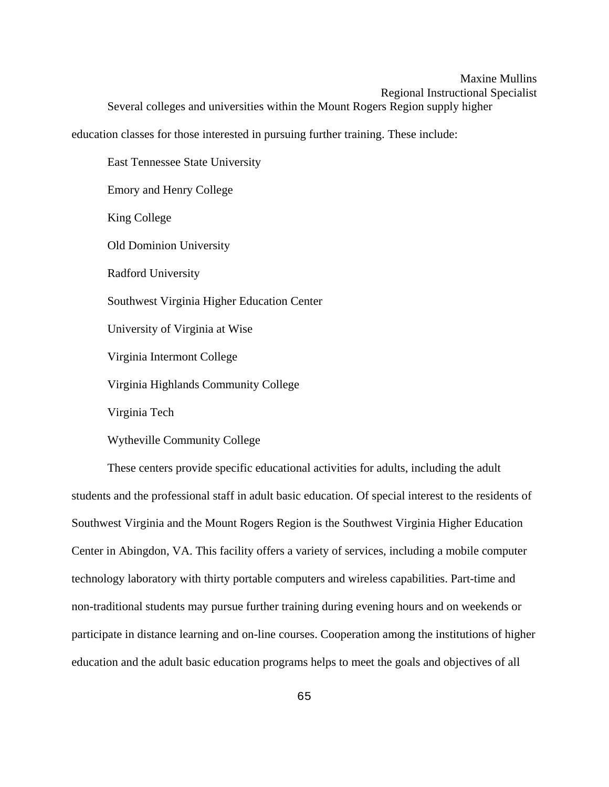## Maxine Mullins Regional Instructional Specialist Several colleges and universities within the Mount Rogers Region supply higher

education classes for those interested in pursuing further training. These include:

 East Tennessee State University Emory and Henry College King College Old Dominion University Radford University Southwest Virginia Higher Education Center University of Virginia at Wise Virginia Intermont College Virginia Highlands Community College Virginia Tech

Wytheville Community College

 These centers provide specific educational activities for adults, including the adult students and the professional staff in adult basic education. Of special interest to the residents of Southwest Virginia and the Mount Rogers Region is the Southwest Virginia Higher Education Center in Abingdon, VA. This facility offers a variety of services, including a mobile computer technology laboratory with thirty portable computers and wireless capabilities. Part-time and non-traditional students may pursue further training during evening hours and on weekends or participate in distance learning and on-line courses. Cooperation among the institutions of higher education and the adult basic education programs helps to meet the goals and objectives of all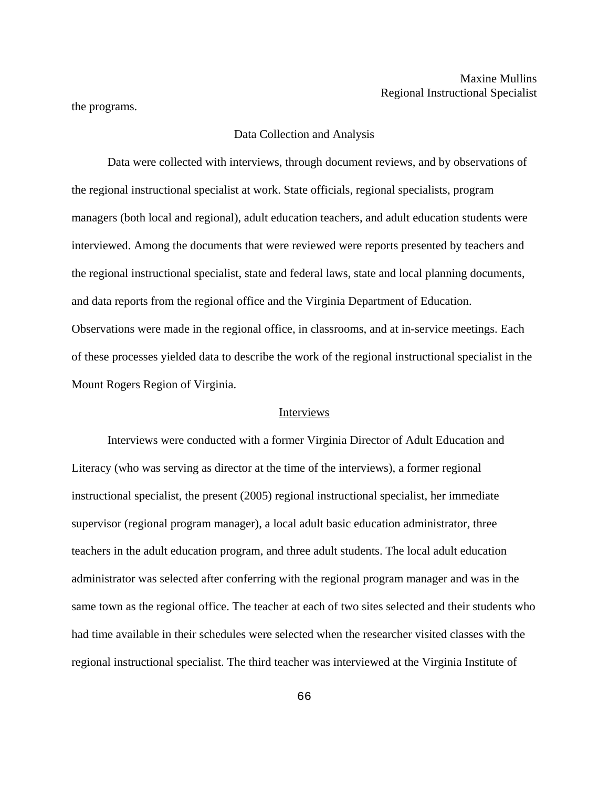the programs.

#### Data Collection and Analysis

 Data were collected with interviews, through document reviews, and by observations of the regional instructional specialist at work. State officials, regional specialists, program managers (both local and regional), adult education teachers, and adult education students were interviewed. Among the documents that were reviewed were reports presented by teachers and the regional instructional specialist, state and federal laws, state and local planning documents, and data reports from the regional office and the Virginia Department of Education. Observations were made in the regional office, in classrooms, and at in-service meetings. Each of these processes yielded data to describe the work of the regional instructional specialist in the Mount Rogers Region of Virginia.

#### Interviews

Interviews were conducted with a former Virginia Director of Adult Education and Literacy (who was serving as director at the time of the interviews), a former regional instructional specialist, the present (2005) regional instructional specialist, her immediate supervisor (regional program manager), a local adult basic education administrator, three teachers in the adult education program, and three adult students. The local adult education administrator was selected after conferring with the regional program manager and was in the same town as the regional office. The teacher at each of two sites selected and their students who had time available in their schedules were selected when the researcher visited classes with the regional instructional specialist. The third teacher was interviewed at the Virginia Institute of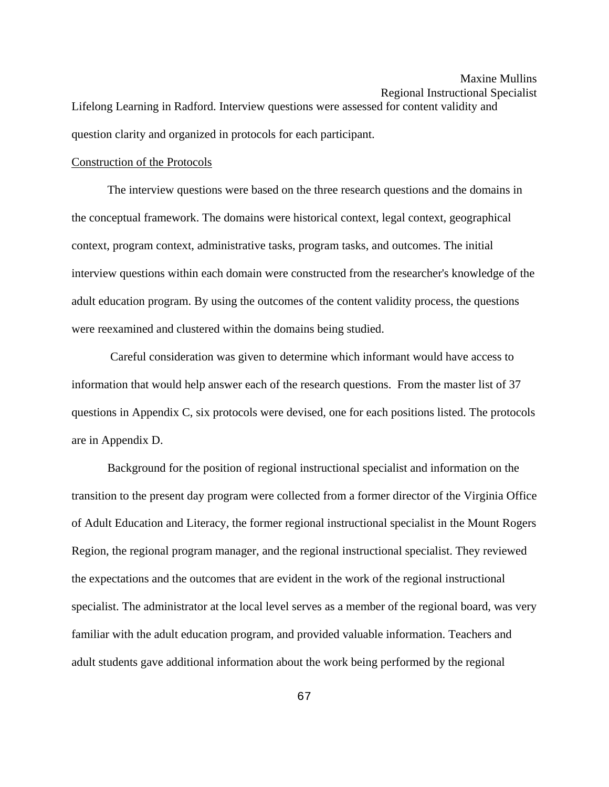# Maxine Mullins

Regional Instructional Specialist Lifelong Learning in Radford. Interview questions were assessed for content validity and question clarity and organized in protocols for each participant.

#### Construction of the Protocols

The interview questions were based on the three research questions and the domains in the conceptual framework. The domains were historical context, legal context, geographical context, program context, administrative tasks, program tasks, and outcomes. The initial interview questions within each domain were constructed from the researcher's knowledge of the adult education program. By using the outcomes of the content validity process, the questions were reexamined and clustered within the domains being studied.

 Careful consideration was given to determine which informant would have access to information that would help answer each of the research questions. From the master list of 37 questions in Appendix C, six protocols were devised, one for each positions listed. The protocols are in Appendix D.

 Background for the position of regional instructional specialist and information on the transition to the present day program were collected from a former director of the Virginia Office of Adult Education and Literacy, the former regional instructional specialist in the Mount Rogers Region, the regional program manager, and the regional instructional specialist. They reviewed the expectations and the outcomes that are evident in the work of the regional instructional specialist. The administrator at the local level serves as a member of the regional board, was very familiar with the adult education program, and provided valuable information. Teachers and adult students gave additional information about the work being performed by the regional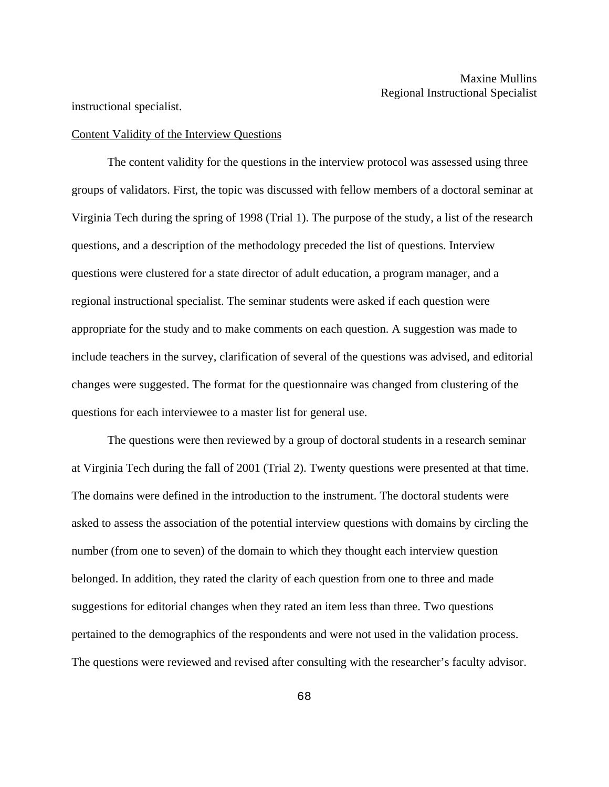instructional specialist.

#### Content Validity of the Interview Questions

 The content validity for the questions in the interview protocol was assessed using three groups of validators. First, the topic was discussed with fellow members of a doctoral seminar at Virginia Tech during the spring of 1998 (Trial 1). The purpose of the study, a list of the research questions, and a description of the methodology preceded the list of questions. Interview questions were clustered for a state director of adult education, a program manager, and a regional instructional specialist. The seminar students were asked if each question were appropriate for the study and to make comments on each question. A suggestion was made to include teachers in the survey, clarification of several of the questions was advised, and editorial changes were suggested. The format for the questionnaire was changed from clustering of the questions for each interviewee to a master list for general use.

 The questions were then reviewed by a group of doctoral students in a research seminar at Virginia Tech during the fall of 2001 (Trial 2). Twenty questions were presented at that time. The domains were defined in the introduction to the instrument. The doctoral students were asked to assess the association of the potential interview questions with domains by circling the number (from one to seven) of the domain to which they thought each interview question belonged. In addition, they rated the clarity of each question from one to three and made suggestions for editorial changes when they rated an item less than three. Two questions pertained to the demographics of the respondents and were not used in the validation process. The questions were reviewed and revised after consulting with the researcher's faculty advisor.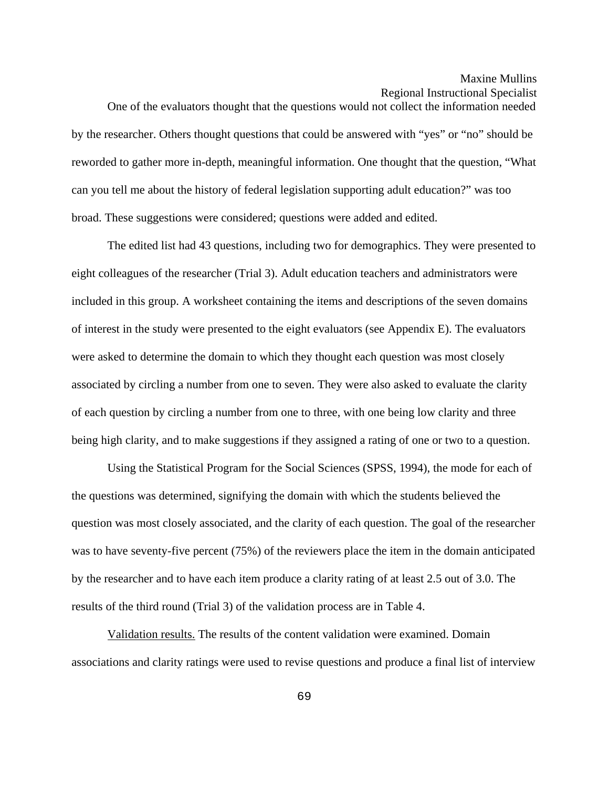One of the evaluators thought that the questions would not collect the information needed by the researcher. Others thought questions that could be answered with "yes" or "no" should be reworded to gather more in-depth, meaningful information. One thought that the question, "What can you tell me about the history of federal legislation supporting adult education?" was too broad. These suggestions were considered; questions were added and edited.

 The edited list had 43 questions, including two for demographics. They were presented to eight colleagues of the researcher (Trial 3). Adult education teachers and administrators were included in this group. A worksheet containing the items and descriptions of the seven domains of interest in the study were presented to the eight evaluators (see Appendix E). The evaluators were asked to determine the domain to which they thought each question was most closely associated by circling a number from one to seven. They were also asked to evaluate the clarity of each question by circling a number from one to three, with one being low clarity and three being high clarity, and to make suggestions if they assigned a rating of one or two to a question.

 Using the Statistical Program for the Social Sciences (SPSS, 1994), the mode for each of the questions was determined, signifying the domain with which the students believed the question was most closely associated, and the clarity of each question. The goal of the researcher was to have seventy-five percent (75%) of the reviewers place the item in the domain anticipated by the researcher and to have each item produce a clarity rating of at least 2.5 out of 3.0. The results of the third round (Trial 3) of the validation process are in Table 4.

 Validation results. The results of the content validation were examined. Domain associations and clarity ratings were used to revise questions and produce a final list of interview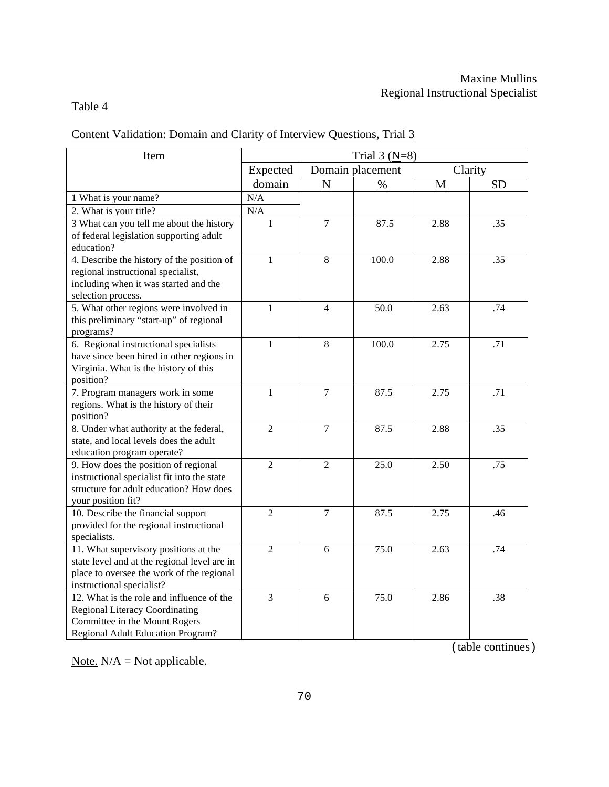# Table 4

| Content Validation: Domain and Clarity of Interview Questions, Trial 3 |
|------------------------------------------------------------------------|
|------------------------------------------------------------------------|

| Item                                                                                                                                                                                                                               | Trial $3(N=8)$ |                |                  |                 |           |  |  |  |
|------------------------------------------------------------------------------------------------------------------------------------------------------------------------------------------------------------------------------------|----------------|----------------|------------------|-----------------|-----------|--|--|--|
|                                                                                                                                                                                                                                    | Expected       |                | Domain placement | Clarity         |           |  |  |  |
|                                                                                                                                                                                                                                    | domain         | $\mathbf N$    | $\%$             | $\underline{M}$ | <b>SD</b> |  |  |  |
| 1 What is your name?                                                                                                                                                                                                               | N/A            |                |                  |                 |           |  |  |  |
| 2. What is your title?                                                                                                                                                                                                             | $\rm N/A$      |                |                  |                 |           |  |  |  |
| 3 What can you tell me about the history                                                                                                                                                                                           | 1              | $\overline{7}$ | 87.5             | 2.88            | .35       |  |  |  |
| of federal legislation supporting adult                                                                                                                                                                                            |                |                |                  |                 |           |  |  |  |
| education?                                                                                                                                                                                                                         |                |                |                  |                 |           |  |  |  |
| 4. Describe the history of the position of                                                                                                                                                                                         | $\mathbf{1}$   | 8              | 100.0            | 2.88            | .35       |  |  |  |
| regional instructional specialist,                                                                                                                                                                                                 |                |                |                  |                 |           |  |  |  |
| including when it was started and the                                                                                                                                                                                              |                |                |                  |                 |           |  |  |  |
| selection process.                                                                                                                                                                                                                 |                |                |                  |                 |           |  |  |  |
| 5. What other regions were involved in                                                                                                                                                                                             | $\mathbf{1}$   | $\overline{4}$ | 50.0             | 2.63            | .74       |  |  |  |
| this preliminary "start-up" of regional                                                                                                                                                                                            |                |                |                  |                 |           |  |  |  |
| programs?                                                                                                                                                                                                                          |                |                |                  |                 |           |  |  |  |
| 6. Regional instructional specialists                                                                                                                                                                                              | $\mathbf{1}$   | 8              | 100.0            | 2.75            | .71       |  |  |  |
| have since been hired in other regions in                                                                                                                                                                                          |                |                |                  |                 |           |  |  |  |
| Virginia. What is the history of this                                                                                                                                                                                              |                |                |                  |                 |           |  |  |  |
| position?                                                                                                                                                                                                                          |                |                |                  |                 |           |  |  |  |
| 7. Program managers work in some                                                                                                                                                                                                   | $\mathbf{1}$   | $\overline{7}$ | 87.5             | 2.75            | .71       |  |  |  |
| regions. What is the history of their                                                                                                                                                                                              |                |                |                  |                 |           |  |  |  |
| position?                                                                                                                                                                                                                          |                |                |                  |                 |           |  |  |  |
| 8. Under what authority at the federal,                                                                                                                                                                                            | $\overline{2}$ | $\overline{7}$ | 87.5             | 2.88            | .35       |  |  |  |
| state, and local levels does the adult                                                                                                                                                                                             |                |                |                  |                 |           |  |  |  |
| education program operate?                                                                                                                                                                                                         |                |                |                  |                 |           |  |  |  |
| 9. How does the position of regional                                                                                                                                                                                               | $\overline{2}$ | $\overline{2}$ | 25.0             | 2.50            | .75       |  |  |  |
| instructional specialist fit into the state                                                                                                                                                                                        |                |                |                  |                 |           |  |  |  |
| structure for adult education? How does                                                                                                                                                                                            |                |                |                  |                 |           |  |  |  |
| your position fit?                                                                                                                                                                                                                 |                |                |                  |                 |           |  |  |  |
| 10. Describe the financial support                                                                                                                                                                                                 | $\overline{2}$ | $\overline{7}$ | 87.5             | 2.75            | .46       |  |  |  |
| provided for the regional instructional                                                                                                                                                                                            |                |                |                  |                 |           |  |  |  |
| specialists.                                                                                                                                                                                                                       |                |                |                  |                 |           |  |  |  |
| 11. What supervisory positions at the                                                                                                                                                                                              | $\overline{2}$ | 6              | 75.0             | 2.63            | .74       |  |  |  |
| state level and at the regional level are in                                                                                                                                                                                       |                |                |                  |                 |           |  |  |  |
|                                                                                                                                                                                                                                    |                |                |                  |                 |           |  |  |  |
|                                                                                                                                                                                                                                    |                |                |                  |                 |           |  |  |  |
|                                                                                                                                                                                                                                    |                |                |                  |                 |           |  |  |  |
|                                                                                                                                                                                                                                    |                |                |                  |                 |           |  |  |  |
|                                                                                                                                                                                                                                    |                |                |                  |                 |           |  |  |  |
| place to oversee the work of the regional<br>instructional specialist?<br>12. What is the role and influence of the<br><b>Regional Literacy Coordinating</b><br>Committee in the Mount Rogers<br>Regional Adult Education Program? | 3              | 6              | 75.0             | 2.86            | .38       |  |  |  |

(table continues)

Note.  $N/A = Not$  applicable.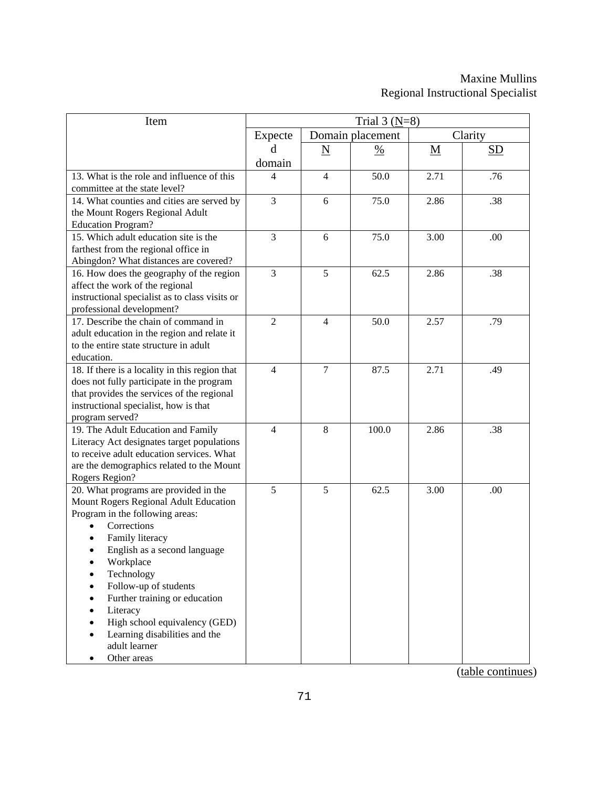| Item                                             |                |                | Trial 3 $(N=8)$  |      |           |
|--------------------------------------------------|----------------|----------------|------------------|------|-----------|
|                                                  | Expecte        |                | Domain placement |      | Clarity   |
|                                                  | d              | N              | %                | M    | <b>SD</b> |
|                                                  | domain         |                |                  |      |           |
| 13. What is the role and influence of this       | 4              | $\overline{4}$ | 50.0             | 2.71 | .76       |
| committee at the state level?                    |                |                |                  |      |           |
| 14. What counties and cities are served by       | 3              | 6              | 75.0             | 2.86 | .38       |
| the Mount Rogers Regional Adult                  |                |                |                  |      |           |
| <b>Education Program?</b>                        |                |                |                  |      |           |
| 15. Which adult education site is the            | 3              | 6              | 75.0             | 3.00 | .00       |
| farthest from the regional office in             |                |                |                  |      |           |
| Abingdon? What distances are covered?            |                |                |                  |      |           |
| 16. How does the geography of the region         | 3              | 5              | 62.5             | 2.86 | .38       |
| affect the work of the regional                  |                |                |                  |      |           |
| instructional specialist as to class visits or   |                |                |                  |      |           |
| professional development?                        |                |                |                  |      |           |
| 17. Describe the chain of command in             | $\overline{2}$ | 4              | 50.0             | 2.57 | .79       |
| adult education in the region and relate it      |                |                |                  |      |           |
| to the entire state structure in adult           |                |                |                  |      |           |
| education.                                       |                |                |                  |      |           |
| 18. If there is a locality in this region that   | $\overline{4}$ | $\overline{7}$ | 87.5             | 2.71 | .49       |
| does not fully participate in the program        |                |                |                  |      |           |
| that provides the services of the regional       |                |                |                  |      |           |
| instructional specialist, how is that            |                |                |                  |      |           |
| program served?                                  |                |                |                  |      |           |
| 19. The Adult Education and Family               | $\overline{4}$ | 8              | 100.0            | 2.86 | .38       |
| Literacy Act designates target populations       |                |                |                  |      |           |
| to receive adult education services. What        |                |                |                  |      |           |
| are the demographics related to the Mount        |                |                |                  |      |           |
| Rogers Region?                                   |                |                |                  |      |           |
| 20. What programs are provided in the            | 5              | 5              | 62.5             | 3.00 | .00       |
| Mount Rogers Regional Adult Education            |                |                |                  |      |           |
| Program in the following areas:                  |                |                |                  |      |           |
| Corrections                                      |                |                |                  |      |           |
| Family literacy                                  |                |                |                  |      |           |
| English as a second language<br>$\bullet$        |                |                |                  |      |           |
| Workplace                                        |                |                |                  |      |           |
| Technology<br>Follow-up of students<br>$\bullet$ |                |                |                  |      |           |
| Further training or education<br>$\bullet$       |                |                |                  |      |           |
| Literacy<br>$\bullet$                            |                |                |                  |      |           |
| High school equivalency (GED)                    |                |                |                  |      |           |
| Learning disabilities and the                    |                |                |                  |      |           |
| adult learner                                    |                |                |                  |      |           |
| Other areas                                      |                |                |                  |      |           |
|                                                  |                |                |                  |      |           |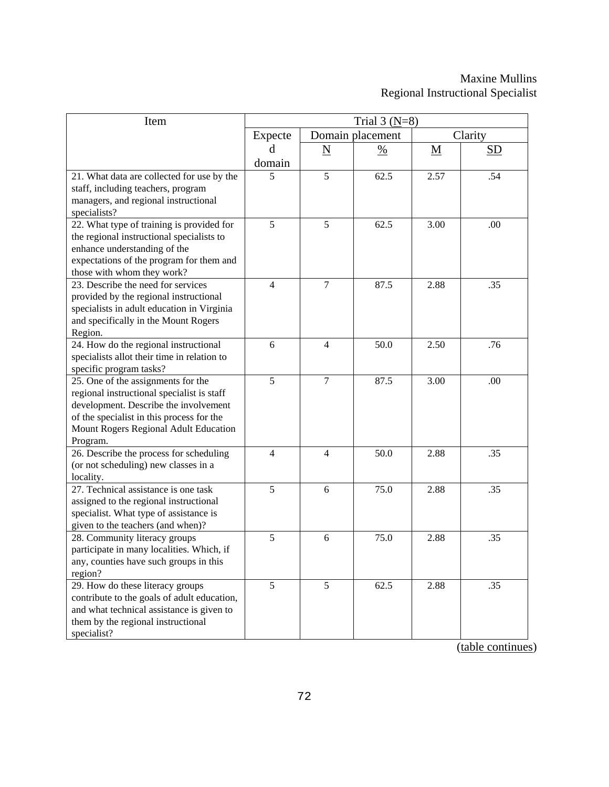| Item                                              | Trial 3 $(N=8)$ |                         |                  |                          |         |  |  |
|---------------------------------------------------|-----------------|-------------------------|------------------|--------------------------|---------|--|--|
|                                                   | Expecte         |                         | Domain placement |                          | Clarity |  |  |
|                                                   | d               | $\overline{\mathbf{N}}$ | $\frac{0}{0}$    | $\underline{\mathbf{M}}$ | SD      |  |  |
|                                                   | domain          |                         |                  |                          |         |  |  |
| 21. What data are collected for use by the        | 5               | 5                       | 62.5             | 2.57                     | .54     |  |  |
| staff, including teachers, program                |                 |                         |                  |                          |         |  |  |
| managers, and regional instructional              |                 |                         |                  |                          |         |  |  |
| specialists?                                      |                 |                         |                  |                          |         |  |  |
| 22. What type of training is provided for         | 5               | 5                       | 62.5             | 3.00                     | .00     |  |  |
| the regional instructional specialists to         |                 |                         |                  |                          |         |  |  |
| enhance understanding of the                      |                 |                         |                  |                          |         |  |  |
| expectations of the program for them and          |                 |                         |                  |                          |         |  |  |
| those with whom they work?                        |                 |                         |                  |                          |         |  |  |
| 23. Describe the need for services                | $\overline{4}$  | $\overline{7}$          | 87.5             | 2.88                     | .35     |  |  |
| provided by the regional instructional            |                 |                         |                  |                          |         |  |  |
| specialists in adult education in Virginia        |                 |                         |                  |                          |         |  |  |
| and specifically in the Mount Rogers              |                 |                         |                  |                          |         |  |  |
| Region.                                           |                 |                         |                  |                          |         |  |  |
| 24. How do the regional instructional             | 6               | 4                       | 50.0             | 2.50                     | .76     |  |  |
| specialists allot their time in relation to       |                 |                         |                  |                          |         |  |  |
| specific program tasks?                           |                 |                         |                  |                          |         |  |  |
| 25. One of the assignments for the                | 5               | $\tau$                  | 87.5             | 3.00                     | .00     |  |  |
| regional instructional specialist is staff        |                 |                         |                  |                          |         |  |  |
| development. Describe the involvement             |                 |                         |                  |                          |         |  |  |
| of the specialist in this process for the         |                 |                         |                  |                          |         |  |  |
| Mount Rogers Regional Adult Education             |                 |                         |                  |                          |         |  |  |
| Program.                                          |                 |                         |                  |                          |         |  |  |
| 26. Describe the process for scheduling           | $\overline{4}$  | $\overline{4}$          | 50.0             | 2.88                     | .35     |  |  |
| (or not scheduling) new classes in a              |                 |                         |                  |                          |         |  |  |
| locality.                                         |                 |                         |                  |                          |         |  |  |
| 27. Technical assistance is one task              | 5               | 6                       | 75.0             | 2.88                     | .35     |  |  |
| assigned to the regional instructional            |                 |                         |                  |                          |         |  |  |
| specialist. What type of assistance is            |                 |                         |                  |                          |         |  |  |
| given to the teachers (and when)?                 | 5               |                         |                  |                          |         |  |  |
| 28. Community literacy groups                     |                 | 6                       | 75.0             | 2.88                     | .35     |  |  |
| participate in many localities. Which, if         |                 |                         |                  |                          |         |  |  |
| any, counties have such groups in this<br>region? |                 |                         |                  |                          |         |  |  |
| 29. How do these literacy groups                  | 5               | 5                       | 62.5             | 2.88                     | .35     |  |  |
| contribute to the goals of adult education,       |                 |                         |                  |                          |         |  |  |
| and what technical assistance is given to         |                 |                         |                  |                          |         |  |  |
| them by the regional instructional                |                 |                         |                  |                          |         |  |  |
| specialist?                                       |                 |                         |                  |                          |         |  |  |
|                                                   |                 |                         |                  |                          |         |  |  |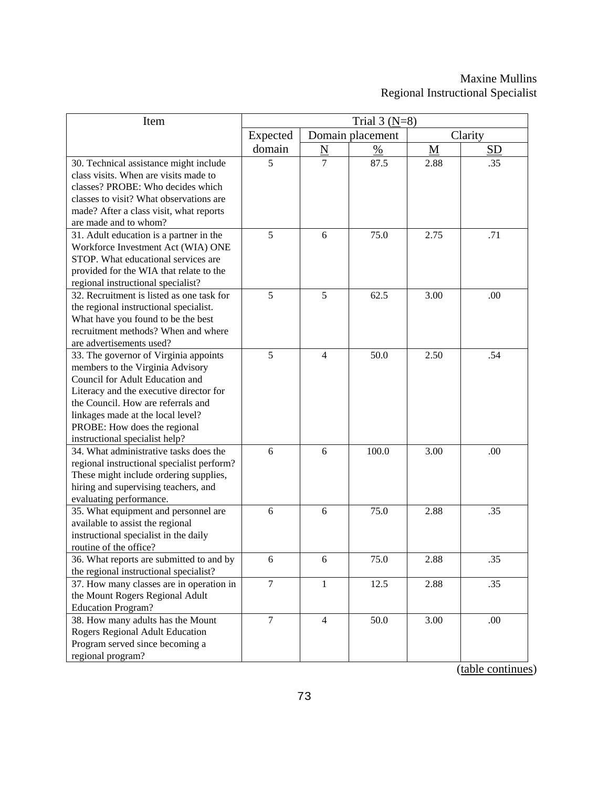| Item                                       |                |                          | Trial 3 $(N=8)$  |             |           |
|--------------------------------------------|----------------|--------------------------|------------------|-------------|-----------|
|                                            | Expected       |                          | Domain placement |             | Clarity   |
|                                            | domain         | $\underline{\mathbf{N}}$ | $\%$             | $\mathbf M$ | <b>SD</b> |
| 30. Technical assistance might include     | 5              | 7                        | 87.5             | 2.88        | .35       |
| class visits. When are visits made to      |                |                          |                  |             |           |
| classes? PROBE: Who decides which          |                |                          |                  |             |           |
| classes to visit? What observations are    |                |                          |                  |             |           |
| made? After a class visit, what reports    |                |                          |                  |             |           |
| are made and to whom?                      |                |                          |                  |             |           |
| 31. Adult education is a partner in the    | 5              | 6                        | 75.0             | 2.75        | .71       |
| Workforce Investment Act (WIA) ONE         |                |                          |                  |             |           |
| STOP. What educational services are        |                |                          |                  |             |           |
| provided for the WIA that relate to the    |                |                          |                  |             |           |
| regional instructional specialist?         |                |                          |                  |             |           |
| 32. Recruitment is listed as one task for  | 5              | 5                        | 62.5             | 3.00        | .00       |
| the regional instructional specialist.     |                |                          |                  |             |           |
| What have you found to be the best         |                |                          |                  |             |           |
| recruitment methods? When and where        |                |                          |                  |             |           |
| are advertisements used?                   |                |                          |                  |             |           |
| 33. The governor of Virginia appoints      | 5              | $\overline{4}$           | 50.0             | 2.50        | .54       |
| members to the Virginia Advisory           |                |                          |                  |             |           |
| Council for Adult Education and            |                |                          |                  |             |           |
| Literacy and the executive director for    |                |                          |                  |             |           |
| the Council. How are referrals and         |                |                          |                  |             |           |
| linkages made at the local level?          |                |                          |                  |             |           |
| PROBE: How does the regional               |                |                          |                  |             |           |
| instructional specialist help?             |                |                          |                  |             |           |
| 34. What administrative tasks does the     | 6              | 6                        | 100.0            | 3.00        | .00       |
| regional instructional specialist perform? |                |                          |                  |             |           |
| These might include ordering supplies,     |                |                          |                  |             |           |
| hiring and supervising teachers, and       |                |                          |                  |             |           |
| evaluating performance.                    |                |                          |                  |             |           |
| 35. What equipment and personnel are       | 6              | 6                        | 75.0             | 2.88        | .35       |
| available to assist the regional           |                |                          |                  |             |           |
| instructional specialist in the daily      |                |                          |                  |             |           |
| routine of the office?                     |                |                          |                  |             |           |
| 36. What reports are submitted to and by   | 6              | 6                        | 75.0             | 2.88        | .35       |
| the regional instructional specialist?     |                |                          |                  |             |           |
| 37. How many classes are in operation in   | $\overline{7}$ | $\mathbf{1}$             | 12.5             | 2.88        | .35       |
| the Mount Rogers Regional Adult            |                |                          |                  |             |           |
| <b>Education Program?</b>                  |                |                          |                  |             |           |
| 38. How many adults has the Mount          | $\overline{7}$ | $\overline{4}$           | 50.0             | 3.00        | .00       |
| Rogers Regional Adult Education            |                |                          |                  |             |           |
| Program served since becoming a            |                |                          |                  |             |           |
| regional program?                          |                |                          |                  |             |           |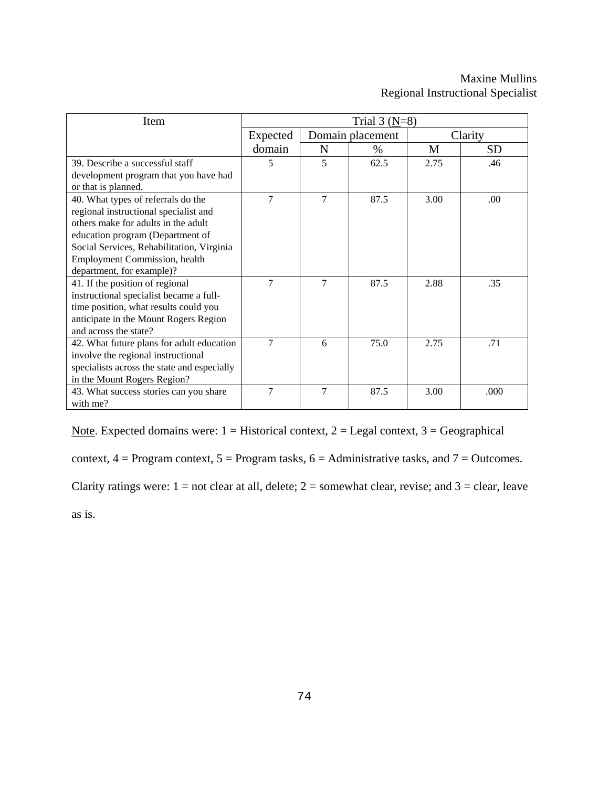| Item                                        |          |                          | Trial $3(N=8)$ |      |         |
|---------------------------------------------|----------|--------------------------|----------------|------|---------|
|                                             | Expected | Domain placement         |                |      | Clarity |
|                                             | domain   | $\underline{\mathbf{N}}$ | $\%$           | M    | SD      |
| 39. Describe a successful staff             | 5        | 5                        | 62.5           | 2.75 | .46     |
| development program that you have had       |          |                          |                |      |         |
| or that is planned.                         |          |                          |                |      |         |
| 40. What types of referrals do the          | 7        | 7                        | 87.5           | 3.00 | .00.    |
| regional instructional specialist and       |          |                          |                |      |         |
| others make for adults in the adult         |          |                          |                |      |         |
| education program (Department of            |          |                          |                |      |         |
| Social Services, Rehabilitation, Virginia   |          |                          |                |      |         |
| Employment Commission, health               |          |                          |                |      |         |
| department, for example)?                   |          |                          |                |      |         |
| 41. If the position of regional             | 7        | $\overline{7}$           | 87.5           | 2.88 | .35     |
| instructional specialist became a full-     |          |                          |                |      |         |
| time position, what results could you       |          |                          |                |      |         |
| anticipate in the Mount Rogers Region       |          |                          |                |      |         |
| and across the state?                       |          |                          |                |      |         |
| 42. What future plans for adult education   | 7        | 6                        | 75.0           | 2.75 | .71     |
| involve the regional instructional          |          |                          |                |      |         |
| specialists across the state and especially |          |                          |                |      |         |
| in the Mount Rogers Region?                 |          |                          |                |      |         |
| 43. What success stories can you share      | 7        | $\overline{7}$           | 87.5           | 3.00 | .000    |
| with me?                                    |          |                          |                |      |         |

Note. Expected domains were:  $1 =$  Historical context,  $2 =$  Legal context,  $3 =$  Geographical

context,  $4 =$  Program context,  $5 =$  Program tasks,  $6 =$  Administrative tasks, and  $7 =$  Outcomes.

Clarity ratings were:  $1 = not$  clear at all, delete;  $2 =$  somewhat clear, revise; and  $3 =$  clear, leave

as is.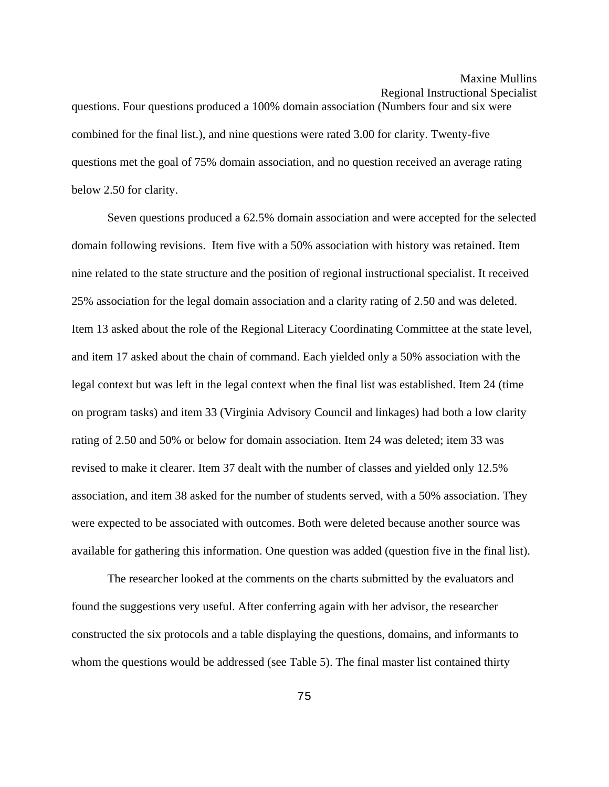## Maxine Mullins

Regional Instructional Specialist

questions. Four questions produced a 100% domain association (Numbers four and six were combined for the final list.), and nine questions were rated 3.00 for clarity. Twenty-five questions met the goal of 75% domain association, and no question received an average rating below 2.50 for clarity.

 Seven questions produced a 62.5% domain association and were accepted for the selected domain following revisions. Item five with a 50% association with history was retained. Item nine related to the state structure and the position of regional instructional specialist. It received 25% association for the legal domain association and a clarity rating of 2.50 and was deleted. Item 13 asked about the role of the Regional Literacy Coordinating Committee at the state level, and item 17 asked about the chain of command. Each yielded only a 50% association with the legal context but was left in the legal context when the final list was established. Item 24 (time on program tasks) and item 33 (Virginia Advisory Council and linkages) had both a low clarity rating of 2.50 and 50% or below for domain association. Item 24 was deleted; item 33 was revised to make it clearer. Item 37 dealt with the number of classes and yielded only 12.5% association, and item 38 asked for the number of students served, with a 50% association. They were expected to be associated with outcomes. Both were deleted because another source was available for gathering this information. One question was added (question five in the final list).

 The researcher looked at the comments on the charts submitted by the evaluators and found the suggestions very useful. After conferring again with her advisor, the researcher constructed the six protocols and a table displaying the questions, domains, and informants to whom the questions would be addressed (see Table 5). The final master list contained thirty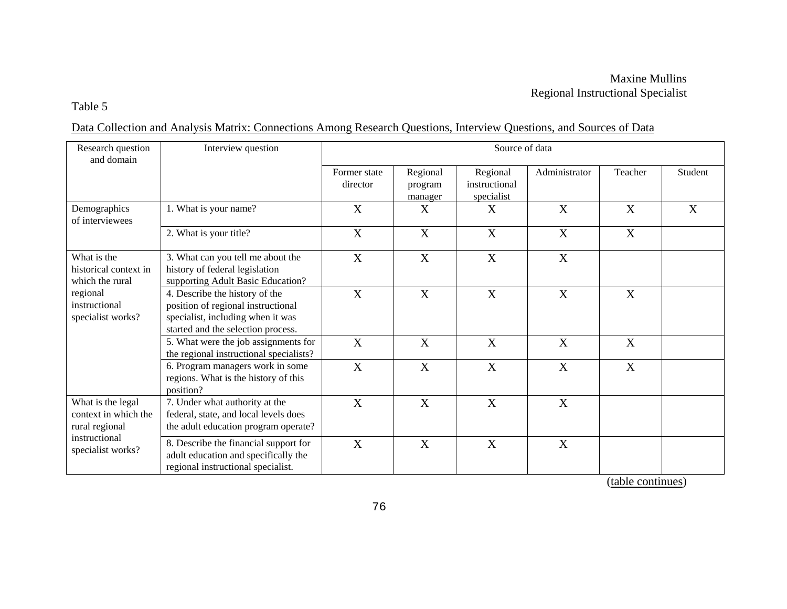#### Table 5

# Data Collection and Analysis Matrix: Connections Among Research Questions, Interview Questions, and Sources of Data

| Research question<br>and domain                                                                           | Interview question                                                                                                                              | Source of data           |                                |                                         |               |         |         |  |
|-----------------------------------------------------------------------------------------------------------|-------------------------------------------------------------------------------------------------------------------------------------------------|--------------------------|--------------------------------|-----------------------------------------|---------------|---------|---------|--|
|                                                                                                           |                                                                                                                                                 | Former state<br>director | Regional<br>program<br>manager | Regional<br>instructional<br>specialist | Administrator | Teacher | Student |  |
| Demographics<br>of interviewees                                                                           | 1. What is your name?                                                                                                                           | X                        | X                              | X                                       | X             | X       | X       |  |
|                                                                                                           | 2. What is your title?                                                                                                                          | X                        | $\boldsymbol{X}$               | X                                       | X             | X       |         |  |
| What is the<br>historical context in<br>which the rural<br>regional<br>instructional<br>specialist works? | 3. What can you tell me about the<br>history of federal legislation<br>supporting Adult Basic Education?                                        | X                        | X                              | X                                       | X             |         |         |  |
|                                                                                                           | 4. Describe the history of the<br>position of regional instructional<br>specialist, including when it was<br>started and the selection process. | X                        | X                              | X                                       | X             | X       |         |  |
|                                                                                                           | 5. What were the job assignments for<br>the regional instructional specialists?                                                                 | X                        | X                              | X                                       | X             | X       |         |  |
|                                                                                                           | 6. Program managers work in some<br>regions. What is the history of this<br>position?                                                           | $\mathbf{X}$             | X                              | X                                       | X             | X       |         |  |
| What is the legal<br>context in which the<br>rural regional                                               | 7. Under what authority at the<br>federal, state, and local levels does<br>the adult education program operate?                                 | X                        | X                              | X                                       | X             |         |         |  |
| instructional<br>specialist works?                                                                        | 8. Describe the financial support for<br>adult education and specifically the<br>regional instructional specialist.                             | X                        | X                              | X                                       | X             |         |         |  |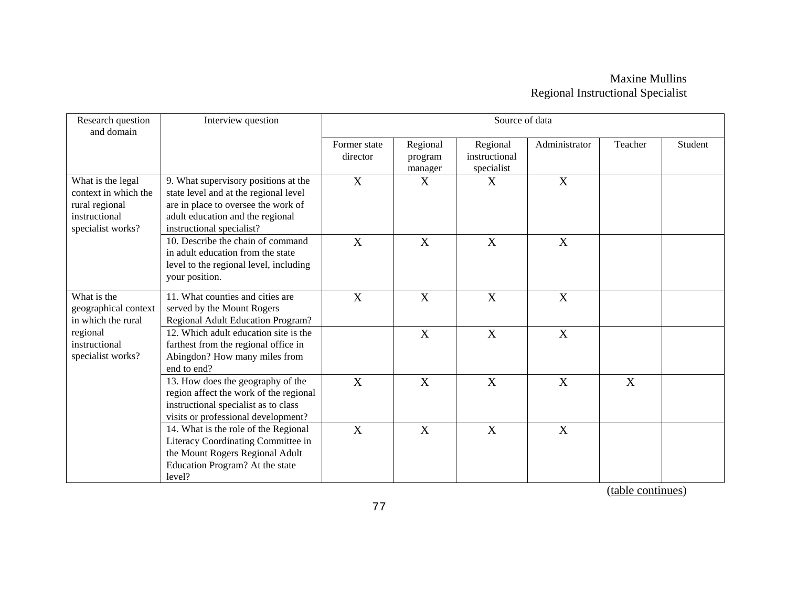| Research question<br>and domain                                                                   | Interview question                                                                                                                                                                    | Source of data           |                                |                                         |                  |         |         |
|---------------------------------------------------------------------------------------------------|---------------------------------------------------------------------------------------------------------------------------------------------------------------------------------------|--------------------------|--------------------------------|-----------------------------------------|------------------|---------|---------|
|                                                                                                   |                                                                                                                                                                                       | Former state<br>director | Regional<br>program<br>manager | Regional<br>instructional<br>specialist | Administrator    | Teacher | Student |
| What is the legal<br>context in which the<br>rural regional<br>instructional<br>specialist works? | 9. What supervisory positions at the<br>state level and at the regional level<br>are in place to oversee the work of<br>adult education and the regional<br>instructional specialist? | X                        | X                              | X                                       | $\boldsymbol{X}$ |         |         |
|                                                                                                   | 10. Describe the chain of command<br>in adult education from the state<br>level to the regional level, including<br>your position.                                                    | X                        | X                              | X                                       | $\boldsymbol{X}$ |         |         |
| What is the<br>geographical context<br>in which the rural                                         | 11. What counties and cities are<br>served by the Mount Rogers<br>Regional Adult Education Program?                                                                                   | X                        | X                              | X                                       | X                |         |         |
| regional<br>instructional<br>specialist works?                                                    | 12. Which adult education site is the<br>farthest from the regional office in<br>Abingdon? How many miles from<br>end to end?                                                         |                          | X                              | X                                       | $\boldsymbol{X}$ |         |         |
|                                                                                                   | 13. How does the geography of the<br>region affect the work of the regional<br>instructional specialist as to class<br>visits or professional development?                            | X                        | X                              | X                                       | X                | X       |         |
|                                                                                                   | 14. What is the role of the Regional<br>Literacy Coordinating Committee in<br>the Mount Rogers Regional Adult<br>Education Program? At the state<br>level?                            | X                        | X                              | X                                       | $\boldsymbol{X}$ |         |         |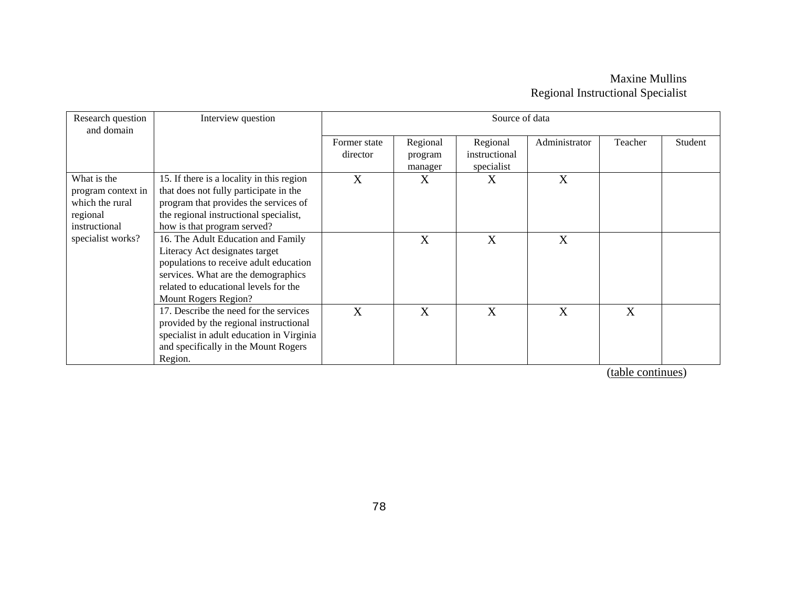| Research question<br>and domain                                                   | Interview question                                                                                                                                                                                                     | Source of data           |                                |                                         |               |         |         |
|-----------------------------------------------------------------------------------|------------------------------------------------------------------------------------------------------------------------------------------------------------------------------------------------------------------------|--------------------------|--------------------------------|-----------------------------------------|---------------|---------|---------|
|                                                                                   |                                                                                                                                                                                                                        | Former state<br>director | Regional<br>program<br>manager | Regional<br>instructional<br>specialist | Administrator | Teacher | Student |
| What is the<br>program context in<br>which the rural<br>regional<br>instructional | 15. If there is a locality in this region<br>that does not fully participate in the<br>program that provides the services of<br>the regional instructional specialist,<br>how is that program served?                  | X                        | X                              | X                                       | X             |         |         |
| specialist works?                                                                 | 16. The Adult Education and Family<br>Literacy Act designates target<br>populations to receive adult education<br>services. What are the demographics<br>related to educational levels for the<br>Mount Rogers Region? |                          | X                              | X                                       | X             |         |         |
|                                                                                   | 17. Describe the need for the services<br>provided by the regional instructional<br>specialist in adult education in Virginia<br>and specifically in the Mount Rogers<br>Region.                                       | $\mathbf{X}$             | X                              | X                                       | X             | X       |         |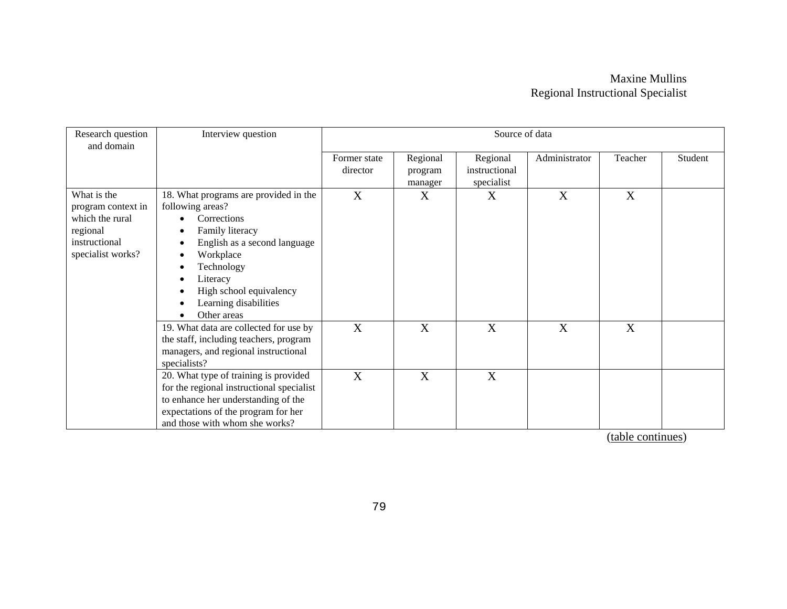| Research question<br>and domain                                                                        | Interview question                                                                                                                                                                                                                    | Source of data           |                                |                                         |               |         |         |
|--------------------------------------------------------------------------------------------------------|---------------------------------------------------------------------------------------------------------------------------------------------------------------------------------------------------------------------------------------|--------------------------|--------------------------------|-----------------------------------------|---------------|---------|---------|
|                                                                                                        |                                                                                                                                                                                                                                       | Former state<br>director | Regional<br>program<br>manager | Regional<br>instructional<br>specialist | Administrator | Teacher | Student |
| What is the<br>program context in<br>which the rural<br>regional<br>instructional<br>specialist works? | 18. What programs are provided in the<br>following areas?<br>Corrections<br>Family literacy<br>English as a second language<br>Workplace<br>Technology<br>Literacy<br>High school equivalency<br>Learning disabilities<br>Other areas | X                        | X                              | X                                       | X             | X       |         |
|                                                                                                        | 19. What data are collected for use by<br>the staff, including teachers, program<br>managers, and regional instructional<br>specialists?                                                                                              | X                        | X                              | X                                       | X             | X       |         |
|                                                                                                        | 20. What type of training is provided<br>for the regional instructional specialist<br>to enhance her understanding of the<br>expectations of the program for her<br>and those with whom she works?                                    | X                        | X                              | X                                       |               |         |         |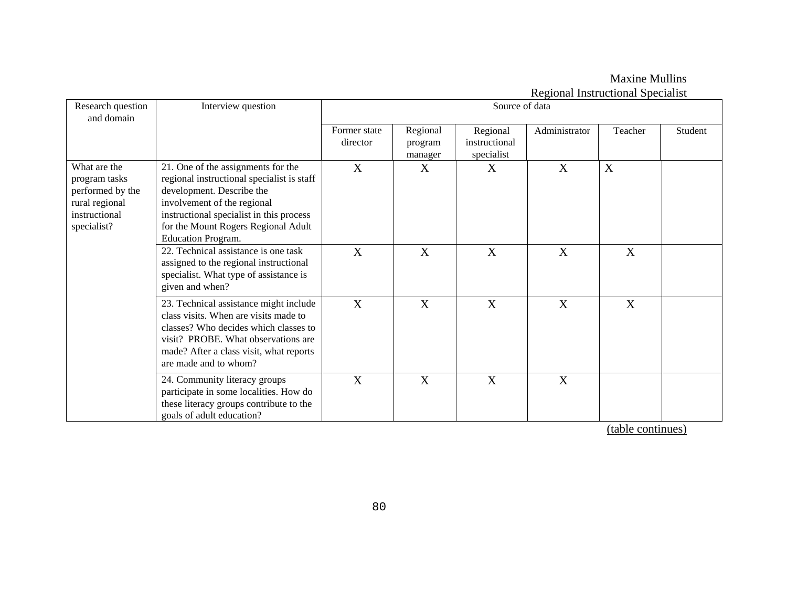| Research question<br>and domain                                                                     | Interview question                                                                                                                                                                                                                                           | Source of data           |                                |                                         |               |         |         |
|-----------------------------------------------------------------------------------------------------|--------------------------------------------------------------------------------------------------------------------------------------------------------------------------------------------------------------------------------------------------------------|--------------------------|--------------------------------|-----------------------------------------|---------------|---------|---------|
|                                                                                                     |                                                                                                                                                                                                                                                              | Former state<br>director | Regional<br>program<br>manager | Regional<br>instructional<br>specialist | Administrator | Teacher | Student |
| What are the<br>program tasks<br>performed by the<br>rural regional<br>instructional<br>specialist? | 21. One of the assignments for the<br>regional instructional specialist is staff<br>development. Describe the<br>involvement of the regional<br>instructional specialist in this process<br>for the Mount Rogers Regional Adult<br><b>Education Program.</b> | X                        | X                              | X                                       | X             | X       |         |
|                                                                                                     | 22. Technical assistance is one task<br>assigned to the regional instructional<br>specialist. What type of assistance is<br>given and when?                                                                                                                  | X                        | X                              | X                                       | X             | X       |         |
|                                                                                                     | 23. Technical assistance might include<br>class visits. When are visits made to<br>classes? Who decides which classes to<br>visit? PROBE. What observations are<br>made? After a class visit, what reports<br>are made and to whom?                          | X                        | X                              | X                                       | X             | X       |         |
|                                                                                                     | 24. Community literacy groups<br>participate in some localities. How do<br>these literacy groups contribute to the<br>goals of adult education?                                                                                                              | X                        | X                              | X                                       | X             |         |         |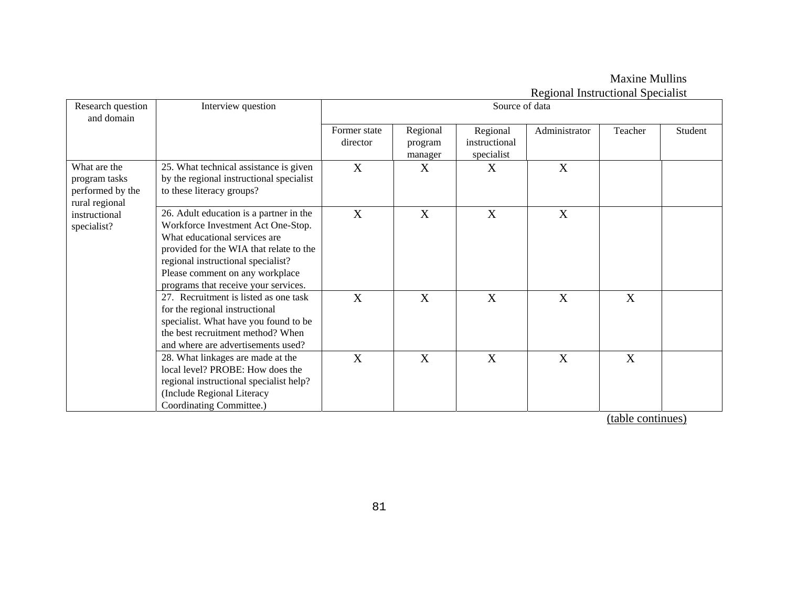|                   |                                          |              |          |                | regional mon actional opecialist |         |         |
|-------------------|------------------------------------------|--------------|----------|----------------|----------------------------------|---------|---------|
| Research question | Interview question                       |              |          | Source of data |                                  |         |         |
| and domain        |                                          |              |          |                |                                  |         |         |
|                   |                                          | Former state | Regional | Regional       | Administrator                    | Teacher | Student |
|                   |                                          | director     | program  | instructional  |                                  |         |         |
|                   |                                          |              | manager  | specialist     |                                  |         |         |
| What are the      | 25. What technical assistance is given   | X            | X        | X              | X                                |         |         |
| program tasks     | by the regional instructional specialist |              |          |                |                                  |         |         |
| performed by the  | to these literacy groups?                |              |          |                |                                  |         |         |
| rural regional    |                                          |              |          |                |                                  |         |         |
| instructional     | 26. Adult education is a partner in the  | X            | X        | X              | X                                |         |         |
| specialist?       | Workforce Investment Act One-Stop.       |              |          |                |                                  |         |         |
|                   | What educational services are            |              |          |                |                                  |         |         |
|                   | provided for the WIA that relate to the  |              |          |                |                                  |         |         |
|                   | regional instructional specialist?       |              |          |                |                                  |         |         |
|                   | Please comment on any workplace          |              |          |                |                                  |         |         |
|                   | programs that receive your services.     |              |          |                |                                  |         |         |
|                   | 27. Recruitment is listed as one task    |              |          |                |                                  |         |         |
|                   |                                          | X            | X        | X              | X                                | X       |         |
|                   | for the regional instructional           |              |          |                |                                  |         |         |
|                   | specialist. What have you found to be    |              |          |                |                                  |         |         |
|                   | the best recruitment method? When        |              |          |                |                                  |         |         |
|                   | and where are advertisements used?       |              |          |                |                                  |         |         |
|                   | 28. What linkages are made at the        | X            | X        | X              | X                                | X       |         |
|                   | local level? PROBE: How does the         |              |          |                |                                  |         |         |
|                   | regional instructional specialist help?  |              |          |                |                                  |         |         |
|                   | (Include Regional Literacy               |              |          |                |                                  |         |         |
|                   | Coordinating Committee.)                 |              |          |                |                                  |         |         |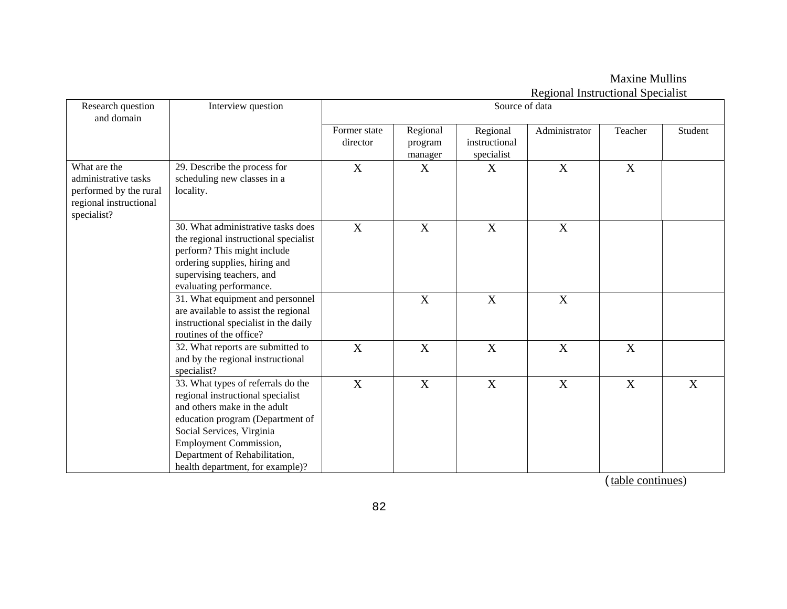| Research question<br>and domain                                                                         | Interview question                                                                                                                                                                                                                                                             | rtogromar modraedomar opeeranol<br>Source of data |                                |                                         |                  |             |         |  |
|---------------------------------------------------------------------------------------------------------|--------------------------------------------------------------------------------------------------------------------------------------------------------------------------------------------------------------------------------------------------------------------------------|---------------------------------------------------|--------------------------------|-----------------------------------------|------------------|-------------|---------|--|
|                                                                                                         |                                                                                                                                                                                                                                                                                | Former state<br>director                          | Regional<br>program<br>manager | Regional<br>instructional<br>specialist | Administrator    | Teacher     | Student |  |
| What are the<br>administrative tasks<br>performed by the rural<br>regional instructional<br>specialist? | 29. Describe the process for<br>scheduling new classes in a<br>locality.                                                                                                                                                                                                       | X                                                 | X                              | X                                       | $\mathbf X$      | $\mathbf X$ |         |  |
|                                                                                                         | 30. What administrative tasks does<br>the regional instructional specialist<br>perform? This might include<br>ordering supplies, hiring and<br>supervising teachers, and<br>evaluating performance.                                                                            | X                                                 | X                              | X                                       | X                |             |         |  |
|                                                                                                         | 31. What equipment and personnel<br>are available to assist the regional<br>instructional specialist in the daily<br>routines of the office?                                                                                                                                   |                                                   | X                              | X                                       | X                |             |         |  |
|                                                                                                         | 32. What reports are submitted to<br>and by the regional instructional<br>specialist?                                                                                                                                                                                          | X                                                 | X                              | $\mathbf X$                             | $\boldsymbol{X}$ | X           |         |  |
|                                                                                                         | 33. What types of referrals do the<br>regional instructional specialist<br>and others make in the adult<br>education program (Department of<br>Social Services, Virginia<br><b>Employment Commission,</b><br>Department of Rehabilitation,<br>health department, for example)? | X                                                 | $\boldsymbol{X}$               | $\mathbf X$                             | $\mathbf X$      | X           | X       |  |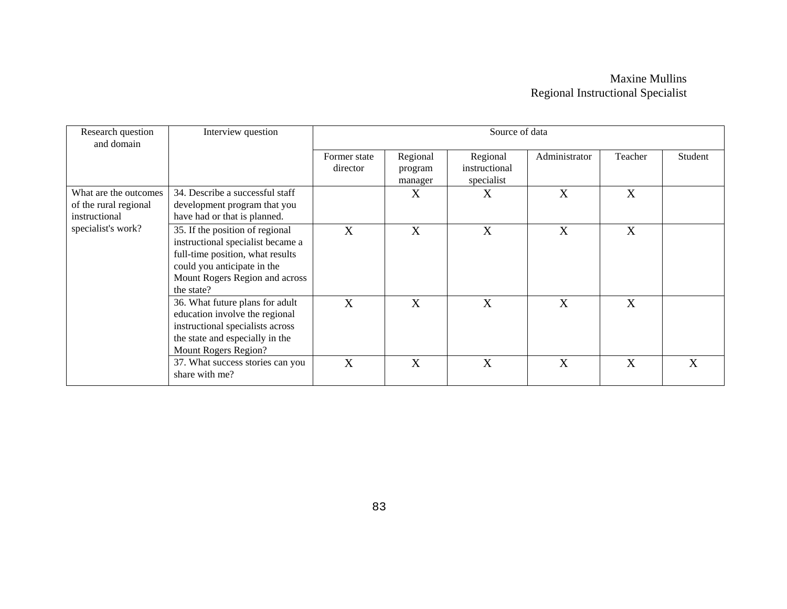| Research question<br>and domain                                                       | Interview question                                                                                                                                                                      | Source of data           |                                |                                         |               |         |              |
|---------------------------------------------------------------------------------------|-----------------------------------------------------------------------------------------------------------------------------------------------------------------------------------------|--------------------------|--------------------------------|-----------------------------------------|---------------|---------|--------------|
|                                                                                       |                                                                                                                                                                                         | Former state<br>director | Regional<br>program<br>manager | Regional<br>instructional<br>specialist | Administrator | Teacher | Student      |
| What are the outcomes<br>of the rural regional<br>instructional<br>specialist's work? | 34. Describe a successful staff<br>development program that you<br>have had or that is planned.                                                                                         |                          | X                              | X                                       | X             | X       |              |
|                                                                                       | 35. If the position of regional<br>instructional specialist became a<br>full-time position, what results<br>could you anticipate in the<br>Mount Rogers Region and across<br>the state? | X                        | X                              | X                                       | X             | X       |              |
|                                                                                       | 36. What future plans for adult<br>education involve the regional<br>instructional specialists across<br>the state and especially in the<br>Mount Rogers Region?                        | X                        | X                              | X                                       | X             | X       |              |
|                                                                                       | 37. What success stories can you<br>share with me?                                                                                                                                      | X                        | X                              | X                                       | X             | X       | $\mathbf{X}$ |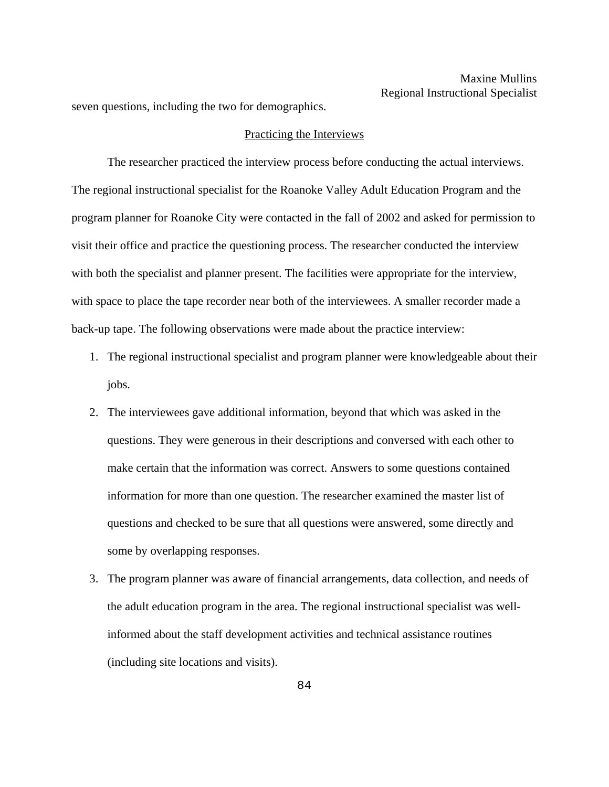seven questions, including the two for demographics.

#### Practicing the Interviews

 The researcher practiced the interview process before conducting the actual interviews. The regional instructional specialist for the Roanoke Valley Adult Education Program and the program planner for Roanoke City were contacted in the fall of 2002 and asked for permission to visit their office and practice the questioning process. The researcher conducted the interview with both the specialist and planner present. The facilities were appropriate for the interview, with space to place the tape recorder near both of the interviewees. A smaller recorder made a back-up tape. The following observations were made about the practice interview:

- 1. The regional instructional specialist and program planner were knowledgeable about their jobs.
- 2. The interviewees gave additional information, beyond that which was asked in the questions. They were generous in their descriptions and conversed with each other to make certain that the information was correct. Answers to some questions contained information for more than one question. The researcher examined the master list of questions and checked to be sure that all questions were answered, some directly and some by overlapping responses.
- 3. The program planner was aware of financial arrangements, data collection, and needs of the adult education program in the area. The regional instructional specialist was wellinformed about the staff development activities and technical assistance routines (including site locations and visits).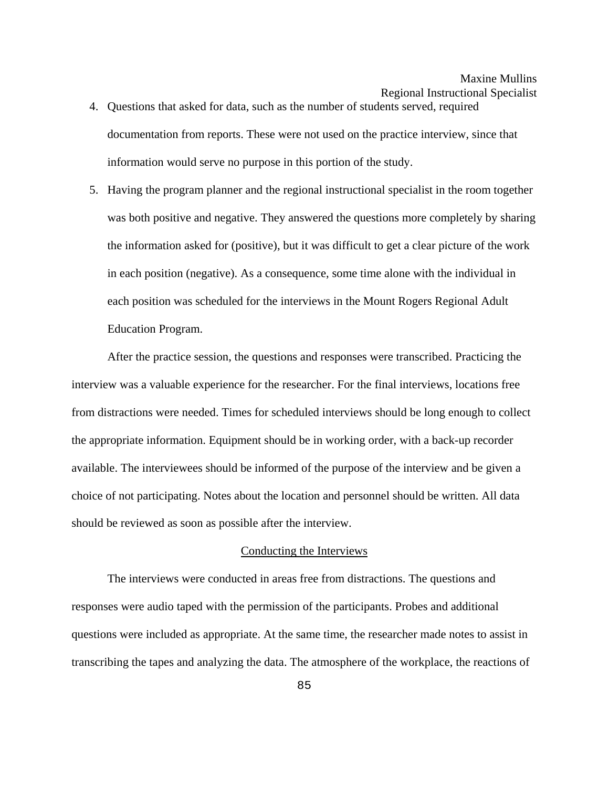- 4. Questions that asked for data, such as the number of students served, required documentation from reports. These were not used on the practice interview, since that information would serve no purpose in this portion of the study.
- 5. Having the program planner and the regional instructional specialist in the room together was both positive and negative. They answered the questions more completely by sharing the information asked for (positive), but it was difficult to get a clear picture of the work in each position (negative). As a consequence, some time alone with the individual in each position was scheduled for the interviews in the Mount Rogers Regional Adult Education Program.

 After the practice session, the questions and responses were transcribed. Practicing the interview was a valuable experience for the researcher. For the final interviews, locations free from distractions were needed. Times for scheduled interviews should be long enough to collect the appropriate information. Equipment should be in working order, with a back-up recorder available. The interviewees should be informed of the purpose of the interview and be given a choice of not participating. Notes about the location and personnel should be written. All data should be reviewed as soon as possible after the interview.

## Conducting the Interviews

The interviews were conducted in areas free from distractions. The questions and responses were audio taped with the permission of the participants. Probes and additional questions were included as appropriate. At the same time, the researcher made notes to assist in transcribing the tapes and analyzing the data. The atmosphere of the workplace, the reactions of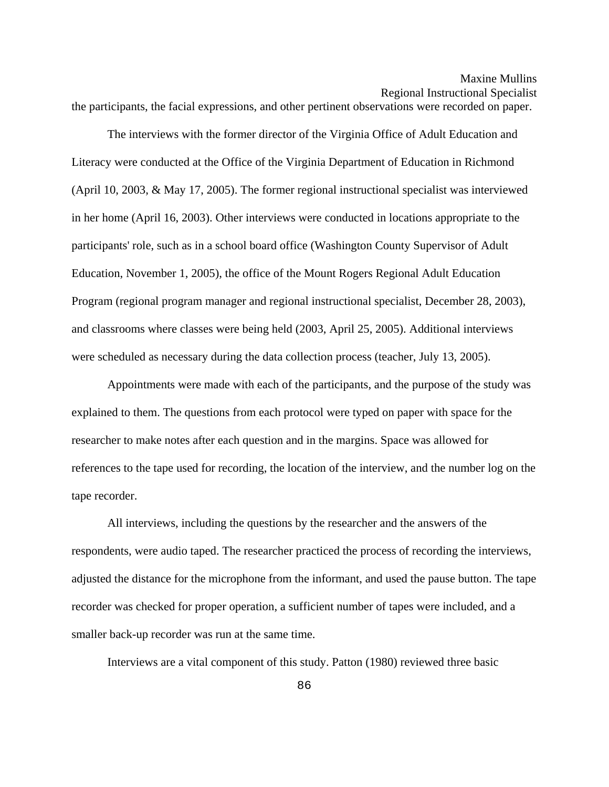the participants, the facial expressions, and other pertinent observations were recorded on paper.

The interviews with the former director of the Virginia Office of Adult Education and Literacy were conducted at the Office of the Virginia Department of Education in Richmond (April 10, 2003, & May 17, 2005). The former regional instructional specialist was interviewed in her home (April 16, 2003). Other interviews were conducted in locations appropriate to the participants' role, such as in a school board office (Washington County Supervisor of Adult Education, November 1, 2005), the office of the Mount Rogers Regional Adult Education Program (regional program manager and regional instructional specialist, December 28, 2003), and classrooms where classes were being held (2003, April 25, 2005). Additional interviews were scheduled as necessary during the data collection process (teacher, July 13, 2005).

Appointments were made with each of the participants, and the purpose of the study was explained to them. The questions from each protocol were typed on paper with space for the researcher to make notes after each question and in the margins. Space was allowed for references to the tape used for recording, the location of the interview, and the number log on the tape recorder.

All interviews, including the questions by the researcher and the answers of the respondents, were audio taped. The researcher practiced the process of recording the interviews, adjusted the distance for the microphone from the informant, and used the pause button. The tape recorder was checked for proper operation, a sufficient number of tapes were included, and a smaller back-up recorder was run at the same time.

Interviews are a vital component of this study. Patton (1980) reviewed three basic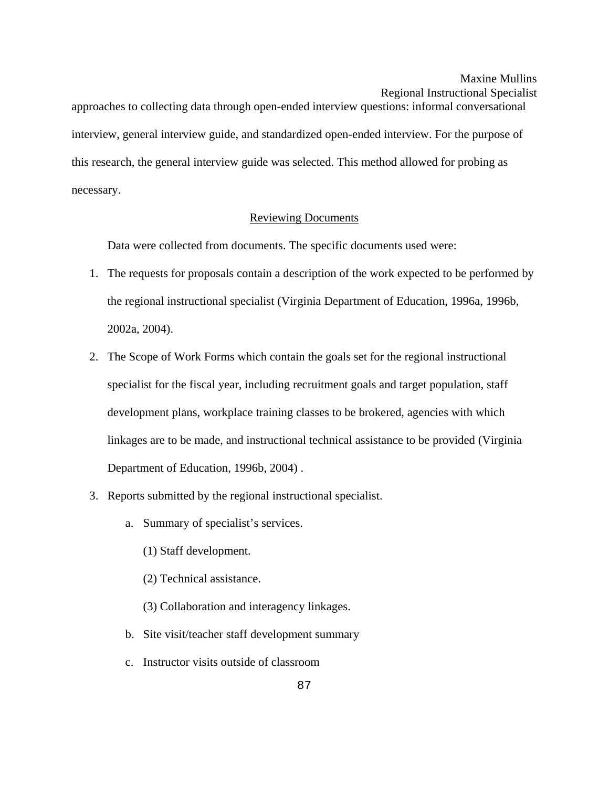approaches to collecting data through open-ended interview questions: informal conversational interview, general interview guide, and standardized open-ended interview. For the purpose of this research, the general interview guide was selected. This method allowed for probing as necessary.

#### Reviewing Documents

Data were collected from documents. The specific documents used were:

- 1. The requests for proposals contain a description of the work expected to be performed by the regional instructional specialist (Virginia Department of Education, 1996a, 1996b, 2002a, 2004).
- 2. The Scope of Work Forms which contain the goals set for the regional instructional specialist for the fiscal year, including recruitment goals and target population, staff development plans, workplace training classes to be brokered, agencies with which linkages are to be made, and instructional technical assistance to be provided (Virginia Department of Education, 1996b, 2004) .
- 3. Reports submitted by the regional instructional specialist.
	- a. Summary of specialist's services.
		- (1) Staff development.
		- (2) Technical assistance.
		- (3) Collaboration and interagency linkages.
	- b. Site visit/teacher staff development summary
	- c. Instructor visits outside of classroom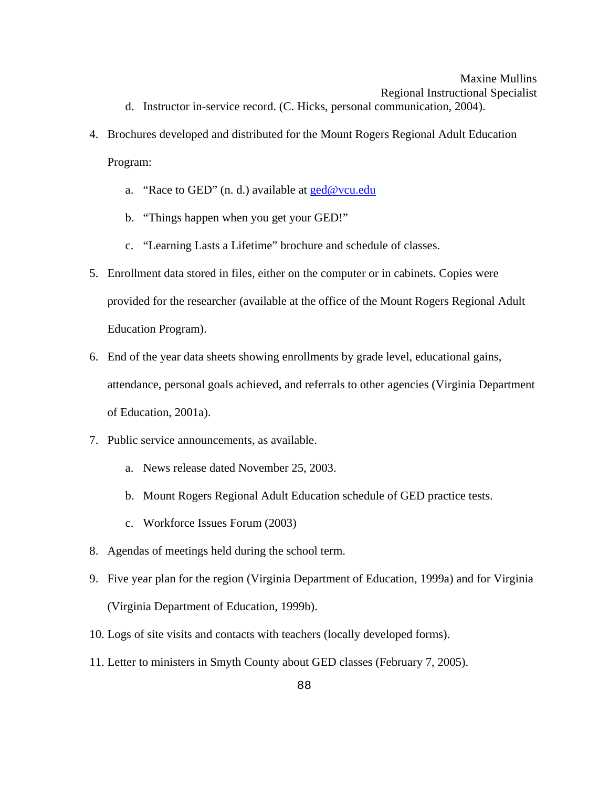- 
- 4. Brochures developed and distributed for the Mount Rogers Regional Adult Education Program:
	- a. "Race to GED" (n. d.) available at  $\text{ged@vcu.edu}$  $\text{ged@vcu.edu}$  $\text{ged@vcu.edu}$
	- b. "Things happen when you get your GED!"
	- c. "Learning Lasts a Lifetime" brochure and schedule of classes.
- 5. Enrollment data stored in files, either on the computer or in cabinets. Copies were provided for the researcher (available at the office of the Mount Rogers Regional Adult Education Program).
- 6. End of the year data sheets showing enrollments by grade level, educational gains, attendance, personal goals achieved, and referrals to other agencies (Virginia Department of Education, 2001a).
- 7. Public service announcements, as available.
	- a. News release dated November 25, 2003.
	- b. Mount Rogers Regional Adult Education schedule of GED practice tests.
	- c. Workforce Issues Forum (2003)
- 8. Agendas of meetings held during the school term.
- 9. Five year plan for the region (Virginia Department of Education, 1999a) and for Virginia (Virginia Department of Education, 1999b).
- 10. Logs of site visits and contacts with teachers (locally developed forms).
- 11. Letter to ministers in Smyth County about GED classes (February 7, 2005).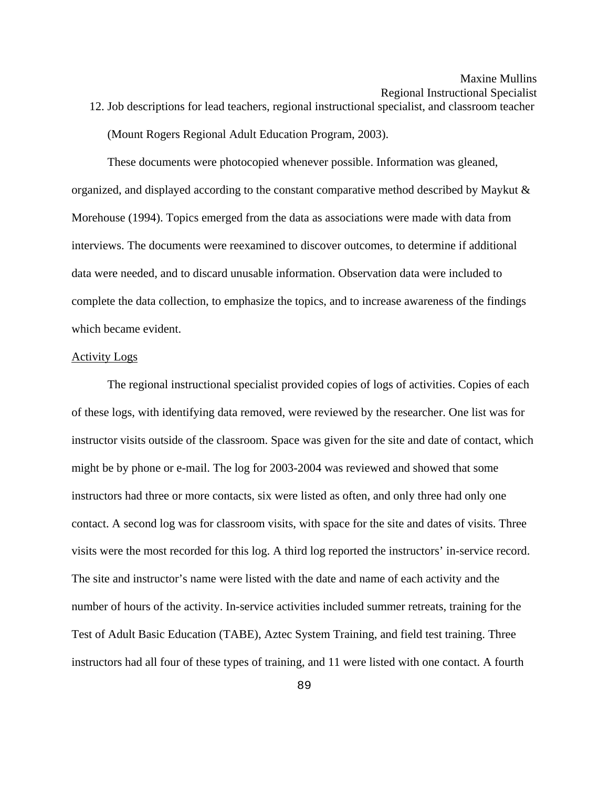12. Job descriptions for lead teachers, regional instructional specialist, and classroom teacher (Mount Rogers Regional Adult Education Program, 2003).

These documents were photocopied whenever possible. Information was gleaned, organized, and displayed according to the constant comparative method described by Maykut & Morehouse (1994). Topics emerged from the data as associations were made with data from interviews. The documents were reexamined to discover outcomes, to determine if additional data were needed, and to discard unusable information. Observation data were included to complete the data collection, to emphasize the topics, and to increase awareness of the findings which became evident.

#### Activity Logs

 The regional instructional specialist provided copies of logs of activities. Copies of each of these logs, with identifying data removed, were reviewed by the researcher. One list was for instructor visits outside of the classroom. Space was given for the site and date of contact, which might be by phone or e-mail. The log for 2003-2004 was reviewed and showed that some instructors had three or more contacts, six were listed as often, and only three had only one contact. A second log was for classroom visits, with space for the site and dates of visits. Three visits were the most recorded for this log. A third log reported the instructors' in-service record. The site and instructor's name were listed with the date and name of each activity and the number of hours of the activity. In-service activities included summer retreats, training for the Test of Adult Basic Education (TABE), Aztec System Training, and field test training. Three instructors had all four of these types of training, and 11 were listed with one contact. A fourth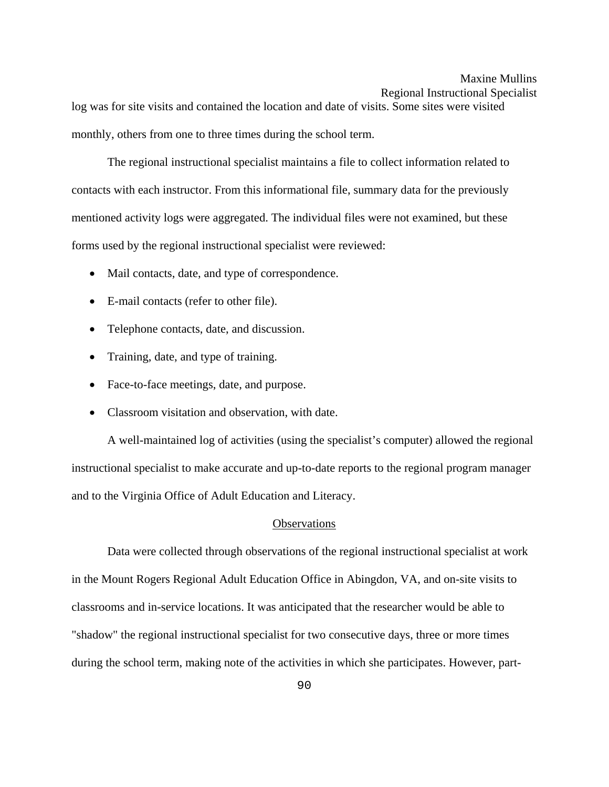log was for site visits and contained the location and date of visits. Some sites were visited monthly, others from one to three times during the school term.

The regional instructional specialist maintains a file to collect information related to contacts with each instructor. From this informational file, summary data for the previously mentioned activity logs were aggregated. The individual files were not examined, but these forms used by the regional instructional specialist were reviewed:

- Mail contacts, date, and type of correspondence.
- E-mail contacts (refer to other file).
- Telephone contacts, date, and discussion.
- Training, date, and type of training.
- Face-to-face meetings, date, and purpose.
- Classroom visitation and observation, with date.

A well-maintained log of activities (using the specialist's computer) allowed the regional instructional specialist to make accurate and up-to-date reports to the regional program manager and to the Virginia Office of Adult Education and Literacy.

## **Observations**

Data were collected through observations of the regional instructional specialist at work in the Mount Rogers Regional Adult Education Office in Abingdon, VA, and on-site visits to classrooms and in-service locations. It was anticipated that the researcher would be able to "shadow" the regional instructional specialist for two consecutive days, three or more times during the school term, making note of the activities in which she participates. However, part-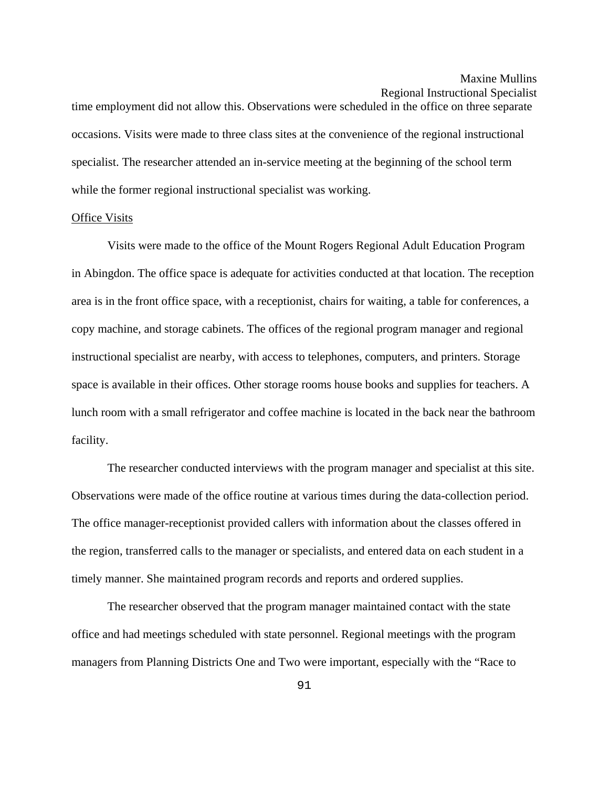time employment did not allow this. Observations were scheduled in the office on three separate occasions. Visits were made to three class sites at the convenience of the regional instructional specialist. The researcher attended an in-service meeting at the beginning of the school term while the former regional instructional specialist was working.

#### Office Visits

 Visits were made to the office of the Mount Rogers Regional Adult Education Program in Abingdon. The office space is adequate for activities conducted at that location. The reception area is in the front office space, with a receptionist, chairs for waiting, a table for conferences, a copy machine, and storage cabinets. The offices of the regional program manager and regional instructional specialist are nearby, with access to telephones, computers, and printers. Storage space is available in their offices. Other storage rooms house books and supplies for teachers. A lunch room with a small refrigerator and coffee machine is located in the back near the bathroom facility.

 The researcher conducted interviews with the program manager and specialist at this site. Observations were made of the office routine at various times during the data-collection period. The office manager-receptionist provided callers with information about the classes offered in the region, transferred calls to the manager or specialists, and entered data on each student in a timely manner. She maintained program records and reports and ordered supplies.

 The researcher observed that the program manager maintained contact with the state office and had meetings scheduled with state personnel. Regional meetings with the program managers from Planning Districts One and Two were important, especially with the "Race to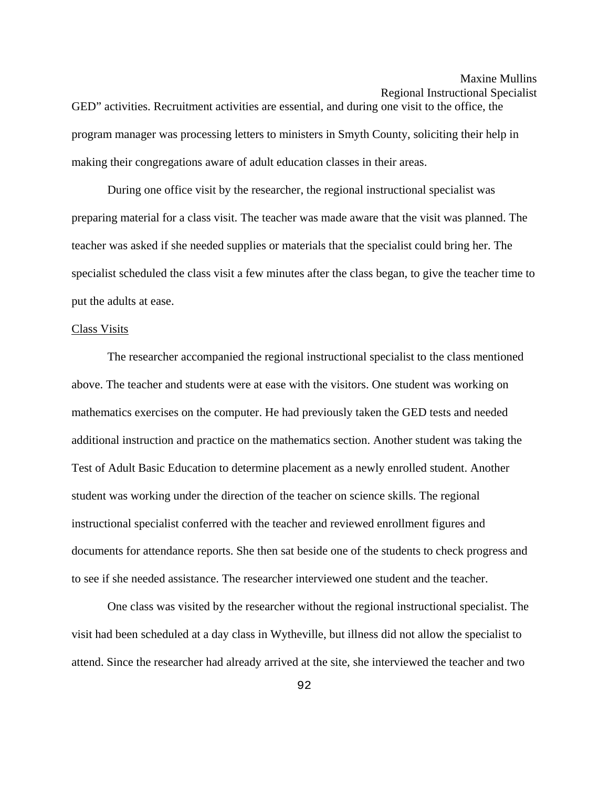GED" activities. Recruitment activities are essential, and during one visit to the office, the program manager was processing letters to ministers in Smyth County, soliciting their help in making their congregations aware of adult education classes in their areas.

 During one office visit by the researcher, the regional instructional specialist was preparing material for a class visit. The teacher was made aware that the visit was planned. The teacher was asked if she needed supplies or materials that the specialist could bring her. The specialist scheduled the class visit a few minutes after the class began, to give the teacher time to put the adults at ease.

#### Class Visits

 The researcher accompanied the regional instructional specialist to the class mentioned above. The teacher and students were at ease with the visitors. One student was working on mathematics exercises on the computer. He had previously taken the GED tests and needed additional instruction and practice on the mathematics section. Another student was taking the Test of Adult Basic Education to determine placement as a newly enrolled student. Another student was working under the direction of the teacher on science skills. The regional instructional specialist conferred with the teacher and reviewed enrollment figures and documents for attendance reports. She then sat beside one of the students to check progress and to see if she needed assistance. The researcher interviewed one student and the teacher.

 One class was visited by the researcher without the regional instructional specialist. The visit had been scheduled at a day class in Wytheville, but illness did not allow the specialist to attend. Since the researcher had already arrived at the site, she interviewed the teacher and two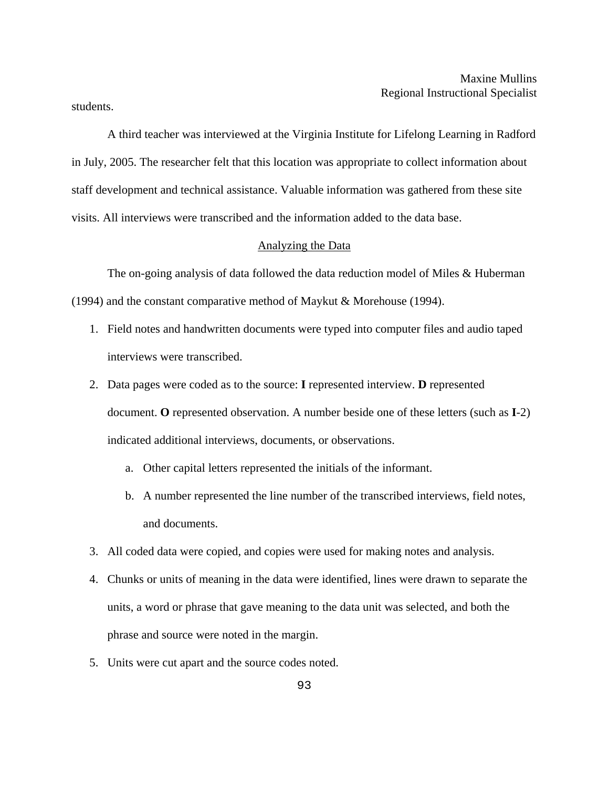students.

 A third teacher was interviewed at the Virginia Institute for Lifelong Learning in Radford in July, 2005. The researcher felt that this location was appropriate to collect information about staff development and technical assistance. Valuable information was gathered from these site visits. All interviews were transcribed and the information added to the data base.

## Analyzing the Data

 The on-going analysis of data followed the data reduction model of Miles & Huberman (1994) and the constant comparative method of Maykut & Morehouse (1994).

- 1. Field notes and handwritten documents were typed into computer files and audio taped interviews were transcribed.
- 2. Data pages were coded as to the source: **I** represented interview. **D** represented document. **O** represented observation. A number beside one of these letters (such as **I**-2) indicated additional interviews, documents, or observations.
	- a. Other capital letters represented the initials of the informant.
	- b. A number represented the line number of the transcribed interviews, field notes, and documents.
- 3. All coded data were copied, and copies were used for making notes and analysis.
- 4. Chunks or units of meaning in the data were identified, lines were drawn to separate the units, a word or phrase that gave meaning to the data unit was selected, and both the phrase and source were noted in the margin.
- 5. Units were cut apart and the source codes noted.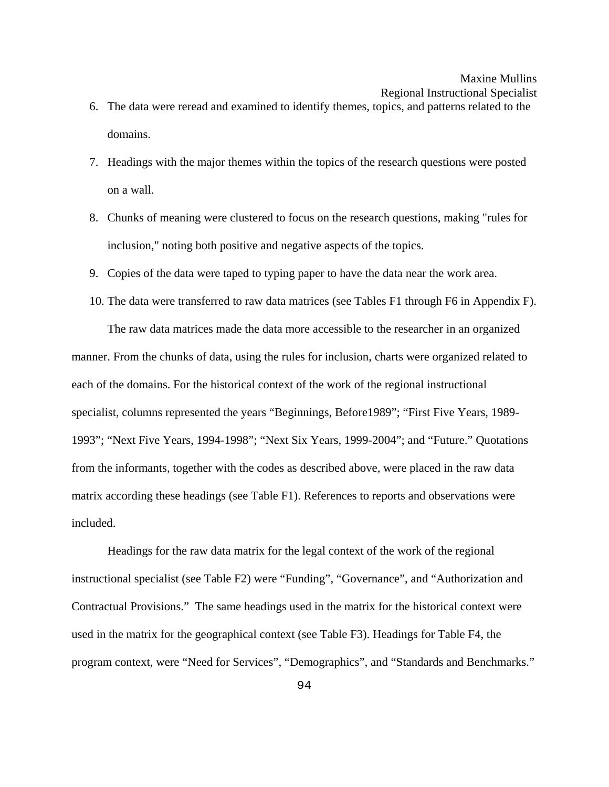## Maxine Mullins

Regional Instructional Specialist

- 6. The data were reread and examined to identify themes, topics, and patterns related to the domains.
- 7. Headings with the major themes within the topics of the research questions were posted on a wall.
- 8. Chunks of meaning were clustered to focus on the research questions, making "rules for inclusion," noting both positive and negative aspects of the topics.
- 9. Copies of the data were taped to typing paper to have the data near the work area.
- 10. The data were transferred to raw data matrices (see Tables F1 through F6 in Appendix F).

 The raw data matrices made the data more accessible to the researcher in an organized manner. From the chunks of data, using the rules for inclusion, charts were organized related to each of the domains. For the historical context of the work of the regional instructional specialist, columns represented the years "Beginnings, Before1989"; "First Five Years, 1989- 1993"; "Next Five Years, 1994-1998"; "Next Six Years, 1999-2004"; and "Future." Quotations from the informants, together with the codes as described above, were placed in the raw data matrix according these headings (see Table F1). References to reports and observations were included.

 Headings for the raw data matrix for the legal context of the work of the regional instructional specialist (see Table F2) were "Funding", "Governance", and "Authorization and Contractual Provisions." The same headings used in the matrix for the historical context were used in the matrix for the geographical context (see Table F3). Headings for Table F4, the program context, were "Need for Services", "Demographics", and "Standards and Benchmarks."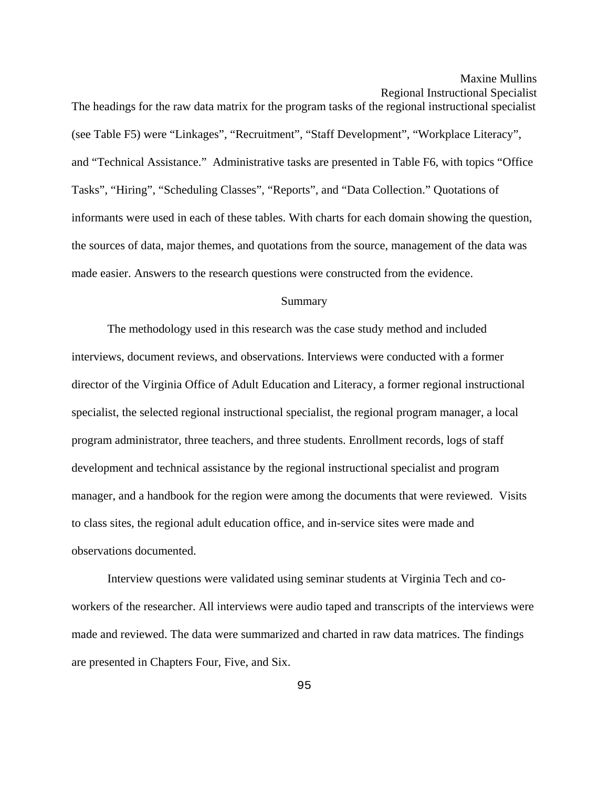The headings for the raw data matrix for the program tasks of the regional instructional specialist (see Table F5) were "Linkages", "Recruitment", "Staff Development", "Workplace Literacy", and "Technical Assistance." Administrative tasks are presented in Table F6, with topics "Office Tasks", "Hiring", "Scheduling Classes", "Reports", and "Data Collection." Quotations of informants were used in each of these tables. With charts for each domain showing the question, the sources of data, major themes, and quotations from the source, management of the data was made easier. Answers to the research questions were constructed from the evidence.

## Summary

 The methodology used in this research was the case study method and included interviews, document reviews, and observations. Interviews were conducted with a former director of the Virginia Office of Adult Education and Literacy, a former regional instructional specialist, the selected regional instructional specialist, the regional program manager, a local program administrator, three teachers, and three students. Enrollment records, logs of staff development and technical assistance by the regional instructional specialist and program manager, and a handbook for the region were among the documents that were reviewed. Visits to class sites, the regional adult education office, and in-service sites were made and observations documented.

Interview questions were validated using seminar students at Virginia Tech and coworkers of the researcher. All interviews were audio taped and transcripts of the interviews were made and reviewed. The data were summarized and charted in raw data matrices. The findings are presented in Chapters Four, Five, and Six.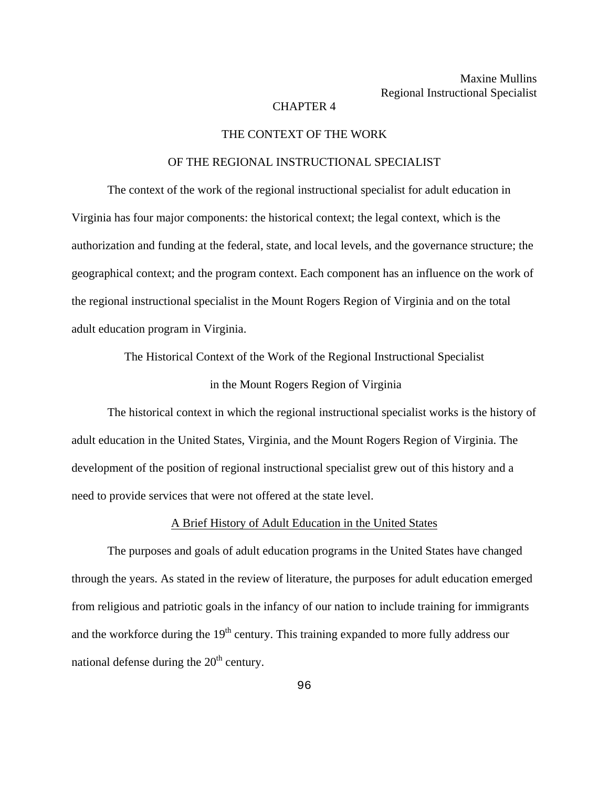## CHAPTER 4

#### THE CONTEXT OF THE WORK

#### OF THE REGIONAL INSTRUCTIONAL SPECIALIST

The context of the work of the regional instructional specialist for adult education in Virginia has four major components: the historical context; the legal context, which is the authorization and funding at the federal, state, and local levels, and the governance structure; the geographical context; and the program context. Each component has an influence on the work of the regional instructional specialist in the Mount Rogers Region of Virginia and on the total adult education program in Virginia.

> The Historical Context of the Work of the Regional Instructional Specialist in the Mount Rogers Region of Virginia

 The historical context in which the regional instructional specialist works is the history of adult education in the United States, Virginia, and the Mount Rogers Region of Virginia. The development of the position of regional instructional specialist grew out of this history and a need to provide services that were not offered at the state level.

#### A Brief History of Adult Education in the United States

 The purposes and goals of adult education programs in the United States have changed through the years. As stated in the review of literature, the purposes for adult education emerged from religious and patriotic goals in the infancy of our nation to include training for immigrants and the workforce during the 19<sup>th</sup> century. This training expanded to more fully address our national defense during the  $20<sup>th</sup>$  century.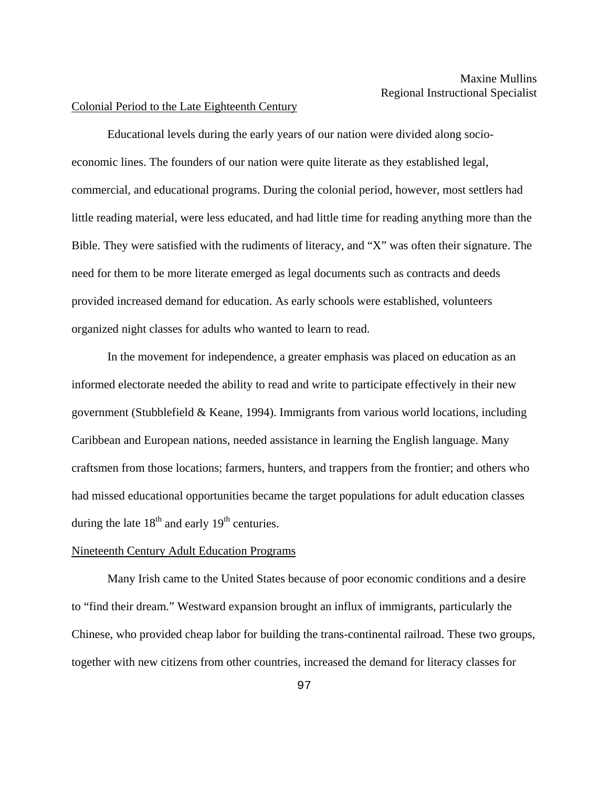#### Colonial Period to the Late Eighteenth Century

 Educational levels during the early years of our nation were divided along socioeconomic lines. The founders of our nation were quite literate as they established legal, commercial, and educational programs. During the colonial period, however, most settlers had little reading material, were less educated, and had little time for reading anything more than the Bible. They were satisfied with the rudiments of literacy, and "X" was often their signature. The need for them to be more literate emerged as legal documents such as contracts and deeds provided increased demand for education. As early schools were established, volunteers organized night classes for adults who wanted to learn to read.

 In the movement for independence, a greater emphasis was placed on education as an informed electorate needed the ability to read and write to participate effectively in their new government (Stubblefield & Keane, 1994). Immigrants from various world locations, including Caribbean and European nations, needed assistance in learning the English language. Many craftsmen from those locations; farmers, hunters, and trappers from the frontier; and others who had missed educational opportunities became the target populations for adult education classes during the late  $18<sup>th</sup>$  and early  $19<sup>th</sup>$  centuries.

## Nineteenth Century Adult Education Programs

 Many Irish came to the United States because of poor economic conditions and a desire to "find their dream." Westward expansion brought an influx of immigrants, particularly the Chinese, who provided cheap labor for building the trans-continental railroad. These two groups, together with new citizens from other countries, increased the demand for literacy classes for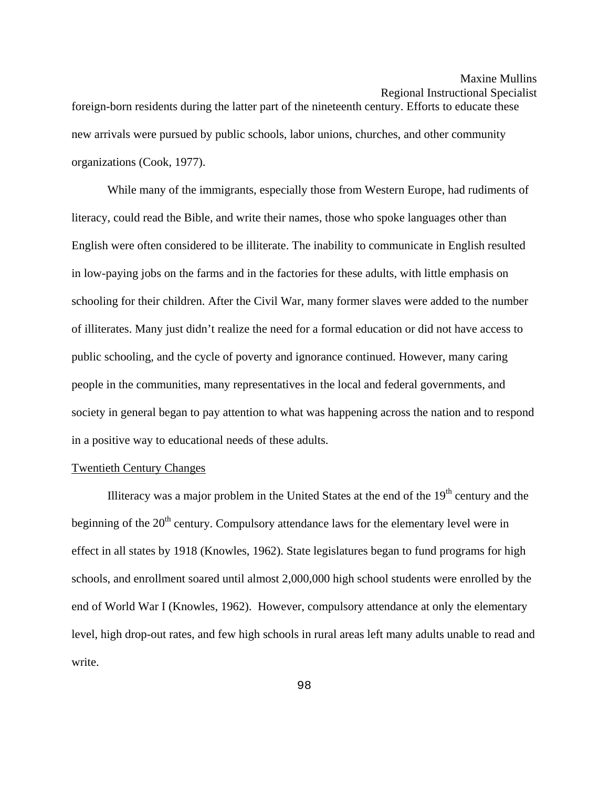## Maxine Mullins

Regional Instructional Specialist

foreign-born residents during the latter part of the nineteenth century. Efforts to educate these new arrivals were pursued by public schools, labor unions, churches, and other community organizations (Cook, 1977).

 While many of the immigrants, especially those from Western Europe, had rudiments of literacy, could read the Bible, and write their names, those who spoke languages other than English were often considered to be illiterate. The inability to communicate in English resulted in low-paying jobs on the farms and in the factories for these adults, with little emphasis on schooling for their children. After the Civil War, many former slaves were added to the number of illiterates. Many just didn't realize the need for a formal education or did not have access to public schooling, and the cycle of poverty and ignorance continued. However, many caring people in the communities, many representatives in the local and federal governments, and society in general began to pay attention to what was happening across the nation and to respond in a positive way to educational needs of these adults.

#### Twentieth Century Changes

Illiteracy was a major problem in the United States at the end of the  $19<sup>th</sup>$  century and the beginning of the  $20<sup>th</sup>$  century. Compulsory attendance laws for the elementary level were in effect in all states by 1918 (Knowles, 1962). State legislatures began to fund programs for high schools, and enrollment soared until almost 2,000,000 high school students were enrolled by the end of World War I (Knowles, 1962). However, compulsory attendance at only the elementary level, high drop-out rates, and few high schools in rural areas left many adults unable to read and write.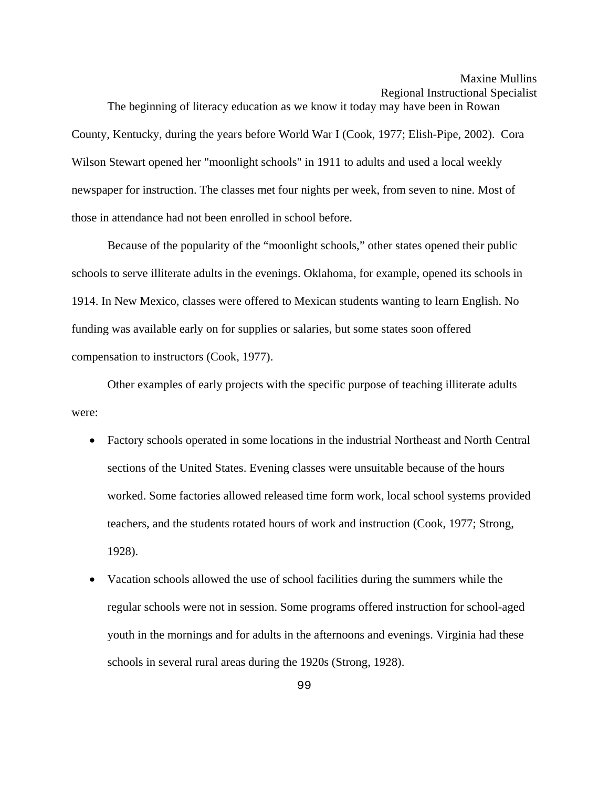The beginning of literacy education as we know it today may have been in Rowan County, Kentucky, during the years before World War I (Cook, 1977; Elish-Pipe, 2002). Cora Wilson Stewart opened her "moonlight schools" in 1911 to adults and used a local weekly newspaper for instruction. The classes met four nights per week, from seven to nine. Most of those in attendance had not been enrolled in school before.

 Because of the popularity of the "moonlight schools," other states opened their public schools to serve illiterate adults in the evenings. Oklahoma, for example, opened its schools in 1914. In New Mexico, classes were offered to Mexican students wanting to learn English. No funding was available early on for supplies or salaries, but some states soon offered compensation to instructors (Cook, 1977).

 Other examples of early projects with the specific purpose of teaching illiterate adults were:

- Factory schools operated in some locations in the industrial Northeast and North Central sections of the United States. Evening classes were unsuitable because of the hours worked. Some factories allowed released time form work, local school systems provided teachers, and the students rotated hours of work and instruction (Cook, 1977; Strong, 1928).
- Vacation schools allowed the use of school facilities during the summers while the regular schools were not in session. Some programs offered instruction for school-aged youth in the mornings and for adults in the afternoons and evenings. Virginia had these schools in several rural areas during the 1920s (Strong, 1928).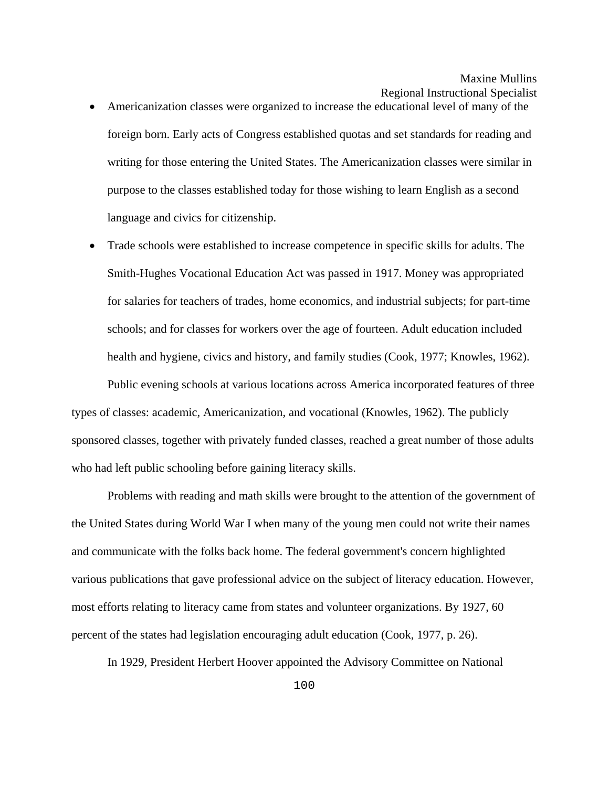- Americanization classes were organized to increase the educational level of many of the foreign born. Early acts of Congress established quotas and set standards for reading and writing for those entering the United States. The Americanization classes were similar in purpose to the classes established today for those wishing to learn English as a second language and civics for citizenship.
- Trade schools were established to increase competence in specific skills for adults. The Smith-Hughes Vocational Education Act was passed in 1917. Money was appropriated for salaries for teachers of trades, home economics, and industrial subjects; for part-time schools; and for classes for workers over the age of fourteen. Adult education included health and hygiene, civics and history, and family studies (Cook, 1977; Knowles, 1962).

 Public evening schools at various locations across America incorporated features of three types of classes: academic, Americanization, and vocational (Knowles, 1962). The publicly sponsored classes, together with privately funded classes, reached a great number of those adults who had left public schooling before gaining literacy skills.

 Problems with reading and math skills were brought to the attention of the government of the United States during World War I when many of the young men could not write their names and communicate with the folks back home. The federal government's concern highlighted various publications that gave professional advice on the subject of literacy education. However, most efforts relating to literacy came from states and volunteer organizations. By 1927, 60 percent of the states had legislation encouraging adult education (Cook, 1977, p. 26).

In 1929, President Herbert Hoover appointed the Advisory Committee on National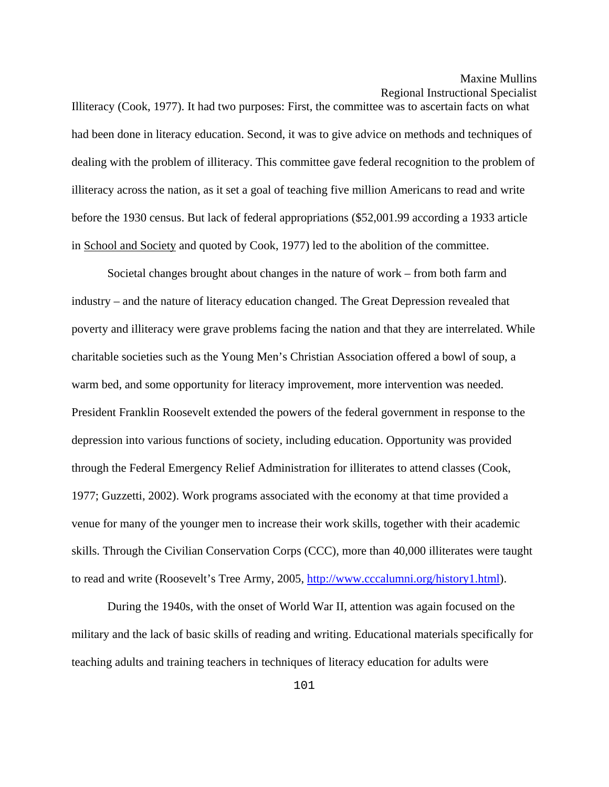Illiteracy (Cook, 1977). It had two purposes: First, the committee was to ascertain facts on what had been done in literacy education. Second, it was to give advice on methods and techniques of dealing with the problem of illiteracy. This committee gave federal recognition to the problem of illiteracy across the nation, as it set a goal of teaching five million Americans to read and write before the 1930 census. But lack of federal appropriations (\$52,001.99 according a 1933 article in School and Society and quoted by Cook, 1977) led to the abolition of the committee.

Societal changes brought about changes in the nature of work – from both farm and industry – and the nature of literacy education changed. The Great Depression revealed that poverty and illiteracy were grave problems facing the nation and that they are interrelated. While charitable societies such as the Young Men's Christian Association offered a bowl of soup, a warm bed, and some opportunity for literacy improvement, more intervention was needed. President Franklin Roosevelt extended the powers of the federal government in response to the depression into various functions of society, including education. Opportunity was provided through the Federal Emergency Relief Administration for illiterates to attend classes (Cook, 1977; Guzzetti, 2002). Work programs associated with the economy at that time provided a venue for many of the younger men to increase their work skills, together with their academic skills. Through the Civilian Conservation Corps (CCC), more than 40,000 illiterates were taught to read and write (Roosevelt's Tree Army, 2005, [http://www.cccalumni.org/history1.html\)](http://www.cccalumni.org/history1.html).

 During the 1940s, with the onset of World War II, attention was again focused on the military and the lack of basic skills of reading and writing. Educational materials specifically for teaching adults and training teachers in techniques of literacy education for adults were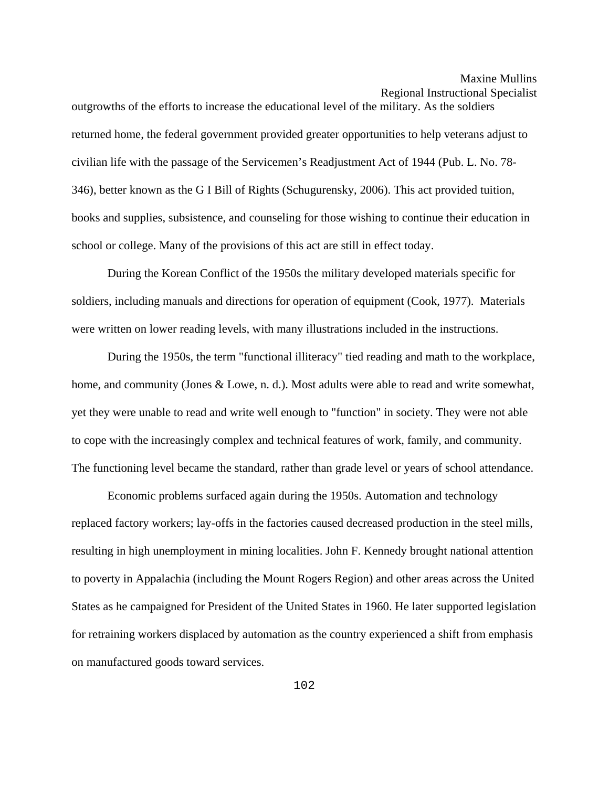outgrowths of the efforts to increase the educational level of the military. As the soldiers returned home, the federal government provided greater opportunities to help veterans adjust to civilian life with the passage of the Servicemen's Readjustment Act of 1944 (Pub. L. No. 78- 346), better known as the G I Bill of Rights (Schugurensky, 2006). This act provided tuition, books and supplies, subsistence, and counseling for those wishing to continue their education in school or college. Many of the provisions of this act are still in effect today.

During the Korean Conflict of the 1950s the military developed materials specific for soldiers, including manuals and directions for operation of equipment (Cook, 1977). Materials were written on lower reading levels, with many illustrations included in the instructions.

 During the 1950s, the term "functional illiteracy" tied reading and math to the workplace, home, and community (Jones & Lowe, n. d.). Most adults were able to read and write somewhat, yet they were unable to read and write well enough to "function" in society. They were not able to cope with the increasingly complex and technical features of work, family, and community. The functioning level became the standard, rather than grade level or years of school attendance.

 Economic problems surfaced again during the 1950s. Automation and technology replaced factory workers; lay-offs in the factories caused decreased production in the steel mills, resulting in high unemployment in mining localities. John F. Kennedy brought national attention to poverty in Appalachia (including the Mount Rogers Region) and other areas across the United States as he campaigned for President of the United States in 1960. He later supported legislation for retraining workers displaced by automation as the country experienced a shift from emphasis on manufactured goods toward services.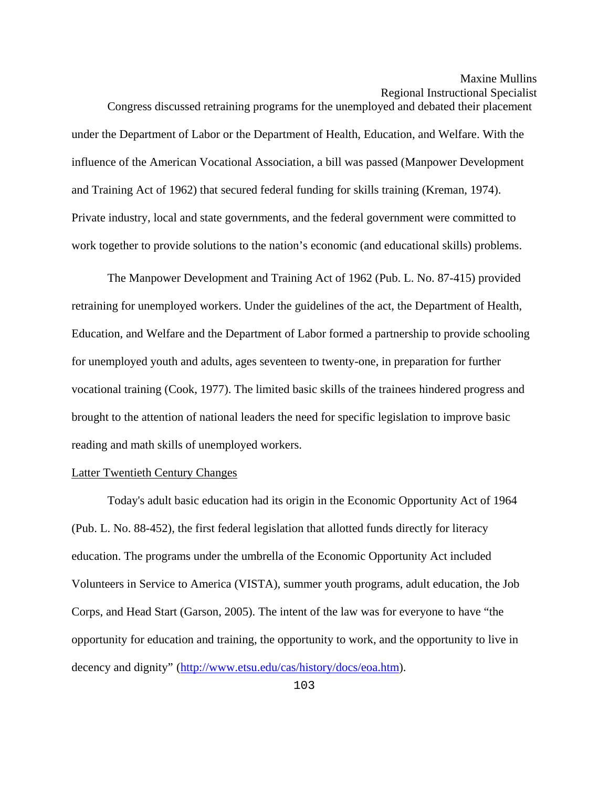Congress discussed retraining programs for the unemployed and debated their placement under the Department of Labor or the Department of Health, Education, and Welfare. With the influence of the American Vocational Association, a bill was passed (Manpower Development and Training Act of 1962) that secured federal funding for skills training (Kreman, 1974). Private industry, local and state governments, and the federal government were committed to work together to provide solutions to the nation's economic (and educational skills) problems.

 The Manpower Development and Training Act of 1962 (Pub. L. No. 87-415) provided retraining for unemployed workers. Under the guidelines of the act, the Department of Health, Education, and Welfare and the Department of Labor formed a partnership to provide schooling for unemployed youth and adults, ages seventeen to twenty-one, in preparation for further vocational training (Cook, 1977). The limited basic skills of the trainees hindered progress and brought to the attention of national leaders the need for specific legislation to improve basic reading and math skills of unemployed workers.

#### Latter Twentieth Century Changes

 Today's adult basic education had its origin in the Economic Opportunity Act of 1964 (Pub. L. No. 88-452), the first federal legislation that allotted funds directly for literacy education. The programs under the umbrella of the Economic Opportunity Act included Volunteers in Service to America (VISTA), summer youth programs, adult education, the Job Corps, and Head Start (Garson, 2005). The intent of the law was for everyone to have "the opportunity for education and training, the opportunity to work, and the opportunity to live in decency and dignity" ([http://www.etsu.edu/cas/history/docs/eoa.htm\)](http://www.etsu.edu/cas/history/docs/eoa.htm).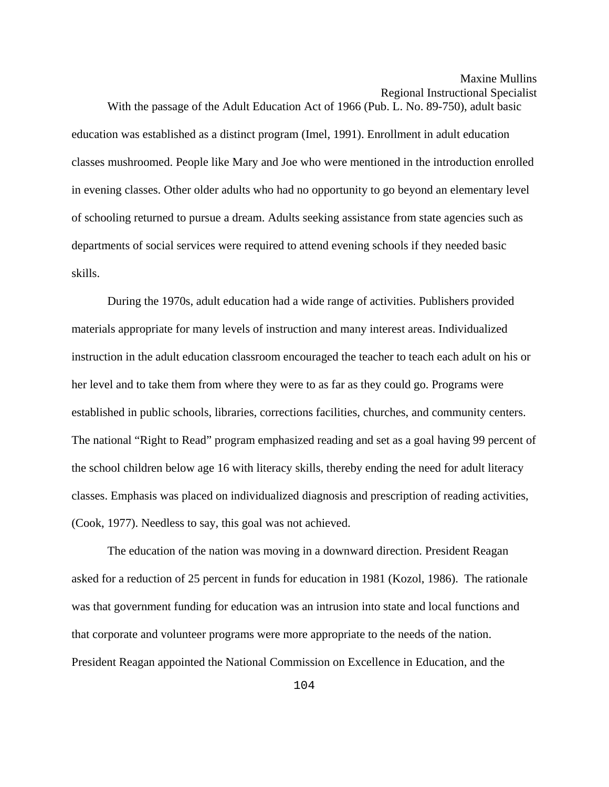With the passage of the Adult Education Act of 1966 (Pub. L. No. 89-750), adult basic education was established as a distinct program (Imel, 1991). Enrollment in adult education classes mushroomed. People like Mary and Joe who were mentioned in the introduction enrolled in evening classes. Other older adults who had no opportunity to go beyond an elementary level of schooling returned to pursue a dream. Adults seeking assistance from state agencies such as departments of social services were required to attend evening schools if they needed basic skills.

 During the 1970s, adult education had a wide range of activities. Publishers provided materials appropriate for many levels of instruction and many interest areas. Individualized instruction in the adult education classroom encouraged the teacher to teach each adult on his or her level and to take them from where they were to as far as they could go. Programs were established in public schools, libraries, corrections facilities, churches, and community centers. The national "Right to Read" program emphasized reading and set as a goal having 99 percent of the school children below age 16 with literacy skills, thereby ending the need for adult literacy classes. Emphasis was placed on individualized diagnosis and prescription of reading activities, (Cook, 1977). Needless to say, this goal was not achieved.

The education of the nation was moving in a downward direction. President Reagan asked for a reduction of 25 percent in funds for education in 1981 (Kozol, 1986). The rationale was that government funding for education was an intrusion into state and local functions and that corporate and volunteer programs were more appropriate to the needs of the nation. President Reagan appointed the National Commission on Excellence in Education, and the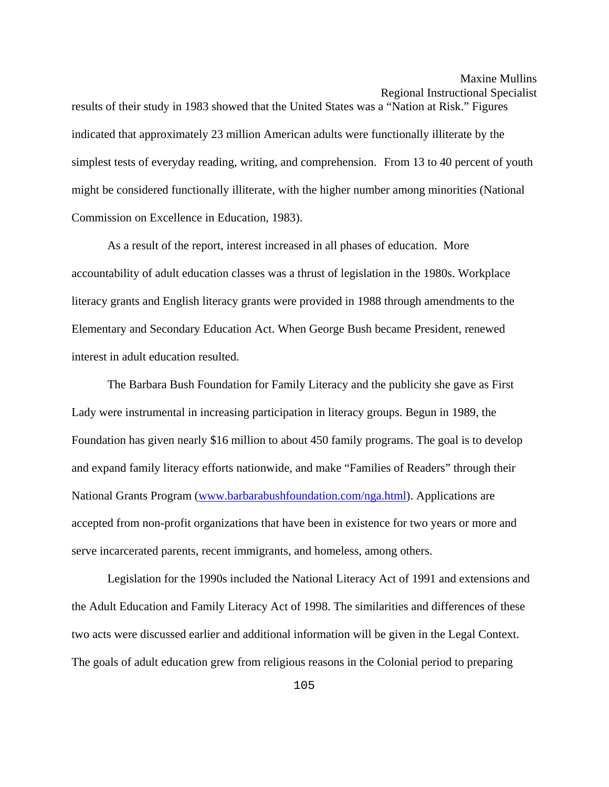results of their study in 1983 showed that the United States was a "Nation at Risk." Figures indicated that approximately 23 million American adults were functionally illiterate by the simplest tests of everyday reading, writing, and comprehension. From 13 to 40 percent of youth might be considered functionally illiterate, with the higher number among minorities (National Commission on Excellence in Education, 1983).

As a result of the report, interest increased in all phases of education. More accountability of adult education classes was a thrust of legislation in the 1980s. Workplace literacy grants and English literacy grants were provided in 1988 through amendments to the Elementary and Secondary Education Act. When George Bush became President, renewed interest in adult education resulted.

The Barbara Bush Foundation for Family Literacy and the publicity she gave as First Lady were instrumental in increasing participation in literacy groups. Begun in 1989, the Foundation has given nearly \$16 million to about 450 family programs. The goal is to develop and expand family literacy efforts nationwide, and make "Families of Readers" through their National Grants Program ([www.barbarabushfoundation.com/nga.html\)](http://www.barbarabushfoundation.com/nga.html). Applications are accepted from non-profit organizations that have been in existence for two years or more and serve incarcerated parents, recent immigrants, and homeless, among others.

Legislation for the 1990s included the National Literacy Act of 1991 and extensions and the Adult Education and Family Literacy Act of 1998. The similarities and differences of these two acts were discussed earlier and additional information will be given in the Legal Context. The goals of adult education grew from religious reasons in the Colonial period to preparing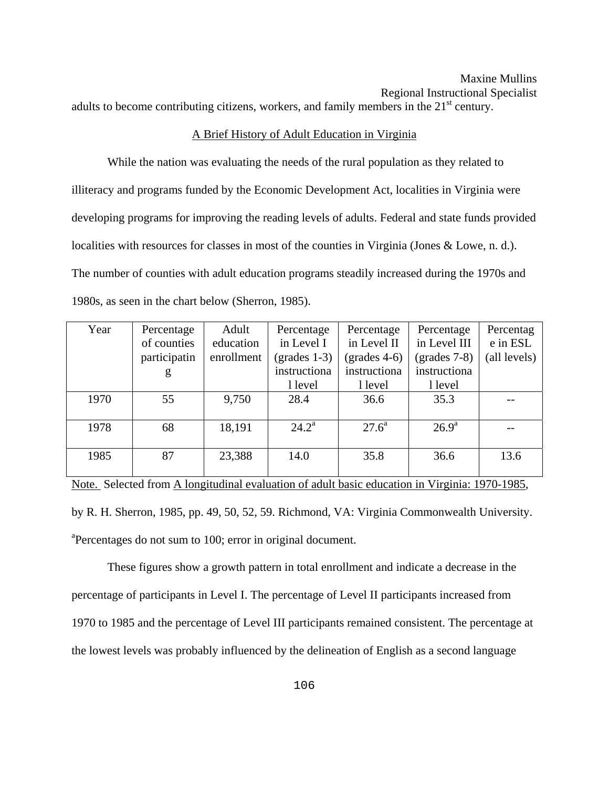# Maxine Mullins

Regional Instructional Specialist

adults to become contributing citizens, workers, and family members in the  $21<sup>st</sup>$  century.

#### A Brief History of Adult Education in Virginia

 While the nation was evaluating the needs of the rural population as they related to illiteracy and programs funded by the Economic Development Act, localities in Virginia were developing programs for improving the reading levels of adults. Federal and state funds provided localities with resources for classes in most of the counties in Virginia (Jones & Lowe, n. d.). The number of counties with adult education programs steadily increased during the 1970s and 1980s, as seen in the chart below (Sherron, 1985).

| Year | Percentage   | Adult      | Percentage            | Percentage                          | Percentage            | Percentag    |
|------|--------------|------------|-----------------------|-------------------------------------|-----------------------|--------------|
|      | of counties  | education  | in Level I            | in Level II                         | in Level III          | e in ESL     |
|      | participatin | enrollment | $\text{(grades 1-3)}$ | $\left( \text{grades } 4-6 \right)$ | $\text{(grades 7-8)}$ | (all levels) |
|      | g            |            | instructiona          | instructiona                        | instructiona          |              |
|      |              |            | l level               | 1 level                             | 1 level               |              |
| 1970 | 55           | 9,750      | 28.4                  | 36.6                                | 35.3                  |              |
| 1978 | 68           | 18,191     | $24.2^{\rm a}$        | $27.6^{\circ}$                      | $26.9^{\rm a}$        |              |
| 1985 | 87           | 23,388     | 14.0                  | 35.8                                | 36.6                  | 13.6         |

Note. Selected from A longitudinal evaluation of adult basic education in Virginia: 1970-1985, by R. H. Sherron, 1985, pp. 49, 50, 52, 59. Richmond, VA: Virginia Commonwealth University. <sup>a</sup>Percentages do not sum to 100; error in original document.

 These figures show a growth pattern in total enrollment and indicate a decrease in the percentage of participants in Level I. The percentage of Level II participants increased from 1970 to 1985 and the percentage of Level III participants remained consistent. The percentage at the lowest levels was probably influenced by the delineation of English as a second language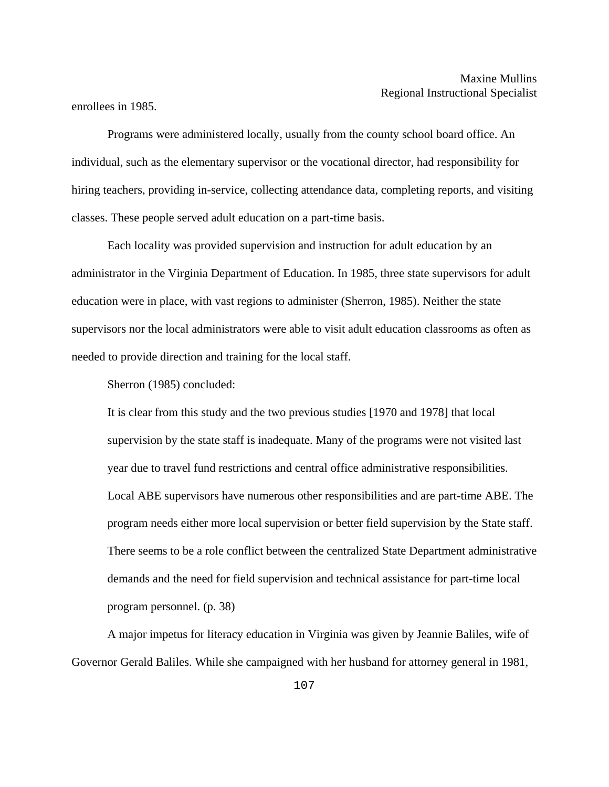enrollees in 1985.

Programs were administered locally, usually from the county school board office. An individual, such as the elementary supervisor or the vocational director, had responsibility for hiring teachers, providing in-service, collecting attendance data, completing reports, and visiting classes. These people served adult education on a part-time basis.

Each locality was provided supervision and instruction for adult education by an administrator in the Virginia Department of Education. In 1985, three state supervisors for adult education were in place, with vast regions to administer (Sherron, 1985). Neither the state supervisors nor the local administrators were able to visit adult education classrooms as often as needed to provide direction and training for the local staff.

Sherron (1985) concluded:

It is clear from this study and the two previous studies [1970 and 1978] that local supervision by the state staff is inadequate. Many of the programs were not visited last year due to travel fund restrictions and central office administrative responsibilities. Local ABE supervisors have numerous other responsibilities and are part-time ABE. The program needs either more local supervision or better field supervision by the State staff. There seems to be a role conflict between the centralized State Department administrative demands and the need for field supervision and technical assistance for part-time local program personnel. (p. 38)

A major impetus for literacy education in Virginia was given by Jeannie Baliles, wife of Governor Gerald Baliles. While she campaigned with her husband for attorney general in 1981,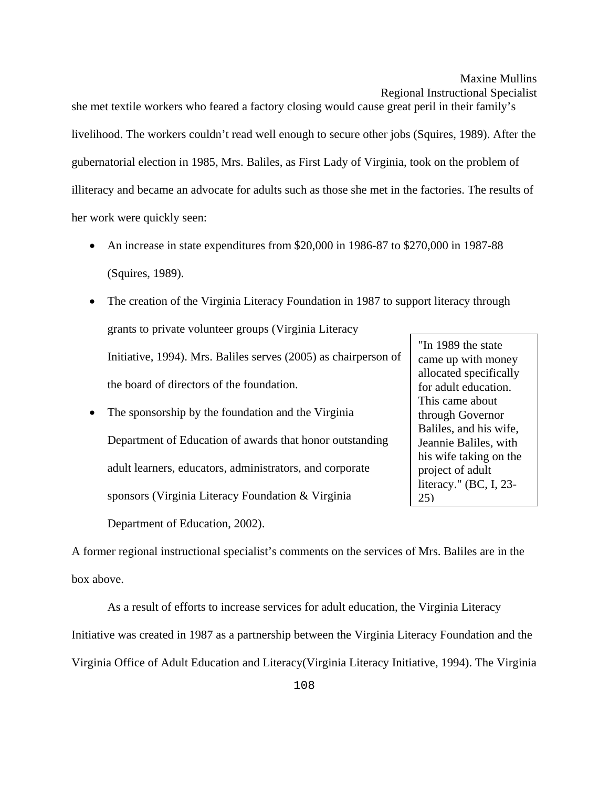she met textile workers who feared a factory closing would cause great peril in their family's livelihood. The workers couldn't read well enough to secure other jobs (Squires, 1989). After the gubernatorial election in 1985, Mrs. Baliles, as First Lady of Virginia, took on the problem of illiteracy and became an advocate for adults such as those she met in the factories. The results of her work were quickly seen:

- An increase in state expenditures from \$20,000 in 1986-87 to \$270,000 in 1987-88 (Squires, 1989).
- The creation of the Virginia Literacy Foundation in 1987 to support literacy through grants to private volunteer groups (Virginia Literacy Initiative, 1994). Mrs. Baliles serves (2005) as chairperson of the board of directors of the foundation.
- The sponsorship by the foundation and the Virginia Department of Education of awards that honor outstanding adult learners, educators, administrators, and corporate sponsors (Virginia Literacy Foundation & Virginia

Department of Education, 2002).

"In 1989 the state came up with money allocated specifically for adult education. This came about through Governor Baliles, and his wife, Jeannie Baliles, with his wife taking on the project of adult literacy." (BC, I, 23- 25)

A former regional instructional specialist's comments on the services of Mrs. Baliles are in the box above.

 As a result of efforts to increase services for adult education, the Virginia Literacy Initiative was created in 1987 as a partnership between the Virginia Literacy Foundation and the Virginia Office of Adult Education and Literacy(Virginia Literacy Initiative, 1994). The Virginia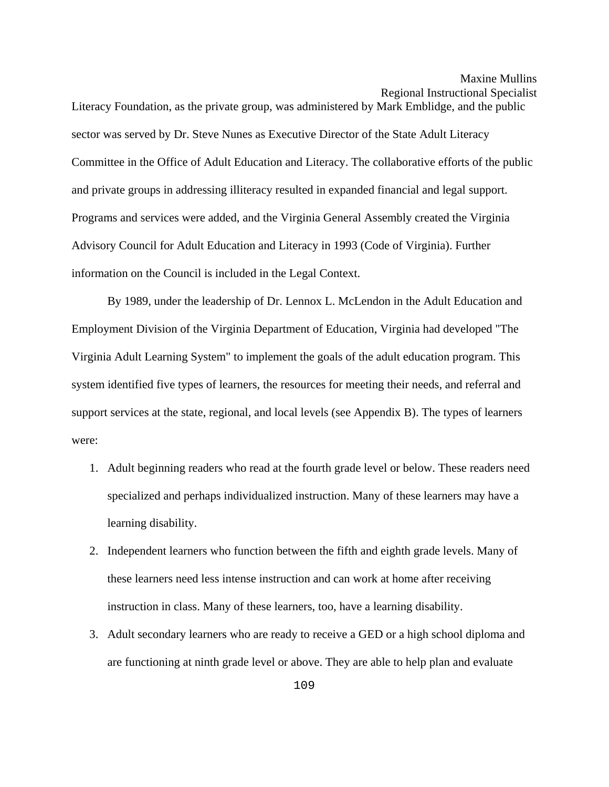Literacy Foundation, as the private group, was administered by Mark Emblidge, and the public sector was served by Dr. Steve Nunes as Executive Director of the State Adult Literacy Committee in the Office of Adult Education and Literacy. The collaborative efforts of the public and private groups in addressing illiteracy resulted in expanded financial and legal support. Programs and services were added, and the Virginia General Assembly created the Virginia Advisory Council for Adult Education and Literacy in 1993 (Code of Virginia). Further information on the Council is included in the Legal Context.

 By 1989, under the leadership of Dr. Lennox L. McLendon in the Adult Education and Employment Division of the Virginia Department of Education, Virginia had developed "The Virginia Adult Learning System" to implement the goals of the adult education program. This system identified five types of learners, the resources for meeting their needs, and referral and support services at the state, regional, and local levels (see Appendix B). The types of learners were:

- 1. Adult beginning readers who read at the fourth grade level or below. These readers need specialized and perhaps individualized instruction. Many of these learners may have a learning disability.
- 2. Independent learners who function between the fifth and eighth grade levels. Many of these learners need less intense instruction and can work at home after receiving instruction in class. Many of these learners, too, have a learning disability.
- 3. Adult secondary learners who are ready to receive a GED or a high school diploma and are functioning at ninth grade level or above. They are able to help plan and evaluate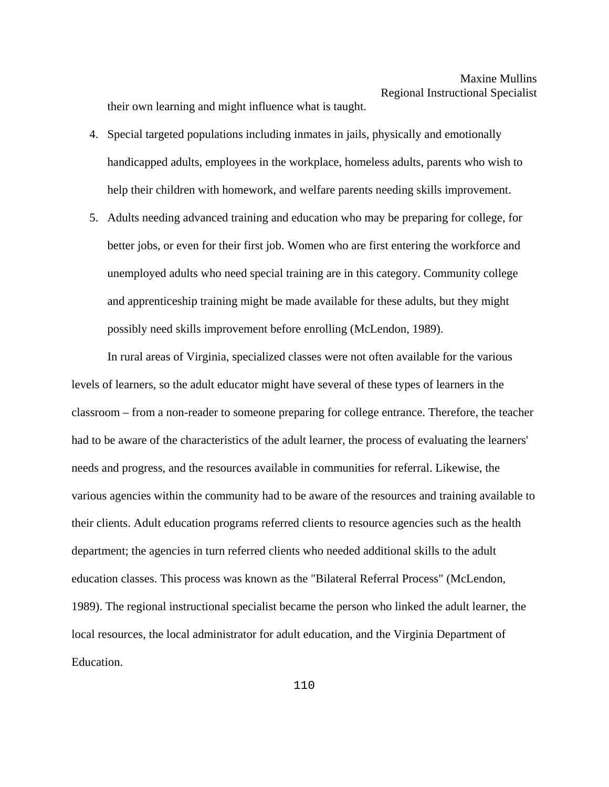their own learning and might influence what is taught.

- 4. Special targeted populations including inmates in jails, physically and emotionally handicapped adults, employees in the workplace, homeless adults, parents who wish to help their children with homework, and welfare parents needing skills improvement.
- 5. Adults needing advanced training and education who may be preparing for college, for better jobs, or even for their first job. Women who are first entering the workforce and unemployed adults who need special training are in this category. Community college and apprenticeship training might be made available for these adults, but they might possibly need skills improvement before enrolling (McLendon, 1989).

In rural areas of Virginia, specialized classes were not often available for the various levels of learners, so the adult educator might have several of these types of learners in the classroom – from a non-reader to someone preparing for college entrance. Therefore, the teacher had to be aware of the characteristics of the adult learner, the process of evaluating the learners' needs and progress, and the resources available in communities for referral. Likewise, the various agencies within the community had to be aware of the resources and training available to their clients. Adult education programs referred clients to resource agencies such as the health department; the agencies in turn referred clients who needed additional skills to the adult education classes. This process was known as the "Bilateral Referral Process" (McLendon, 1989). The regional instructional specialist became the person who linked the adult learner, the local resources, the local administrator for adult education, and the Virginia Department of Education.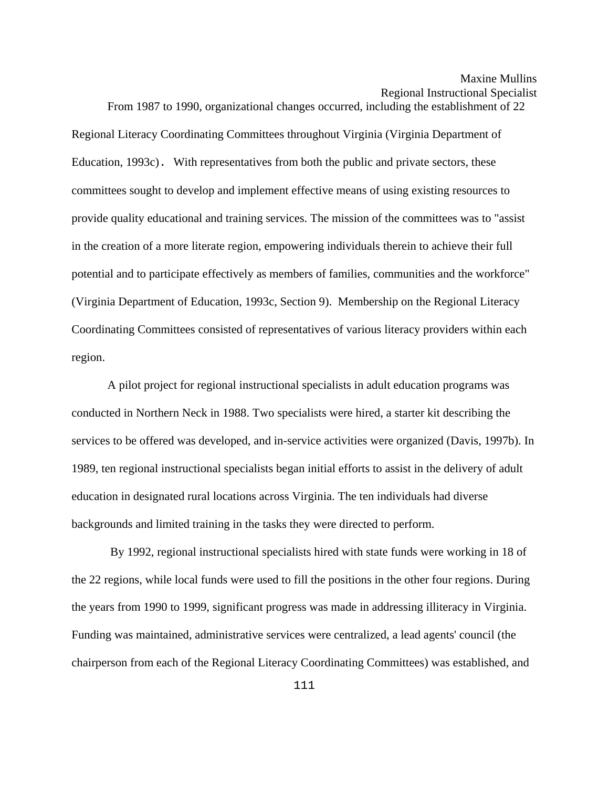From 1987 to 1990, organizational changes occurred, including the establishment of 22 Regional Literacy Coordinating Committees throughout Virginia (Virginia Department of Education, 1993c). With representatives from both the public and private sectors, these committees sought to develop and implement effective means of using existing resources to provide quality educational and training services. The mission of the committees was to "assist in the creation of a more literate region, empowering individuals therein to achieve their full potential and to participate effectively as members of families, communities and the workforce" (Virginia Department of Education, 1993c, Section 9). Membership on the Regional Literacy Coordinating Committees consisted of representatives of various literacy providers within each region.

A pilot project for regional instructional specialists in adult education programs was conducted in Northern Neck in 1988. Two specialists were hired, a starter kit describing the services to be offered was developed, and in-service activities were organized (Davis, 1997b). In 1989, ten regional instructional specialists began initial efforts to assist in the delivery of adult education in designated rural locations across Virginia. The ten individuals had diverse backgrounds and limited training in the tasks they were directed to perform.

 By 1992, regional instructional specialists hired with state funds were working in 18 of the 22 regions, while local funds were used to fill the positions in the other four regions. During the years from 1990 to 1999, significant progress was made in addressing illiteracy in Virginia. Funding was maintained, administrative services were centralized, a lead agents' council (the chairperson from each of the Regional Literacy Coordinating Committees) was established, and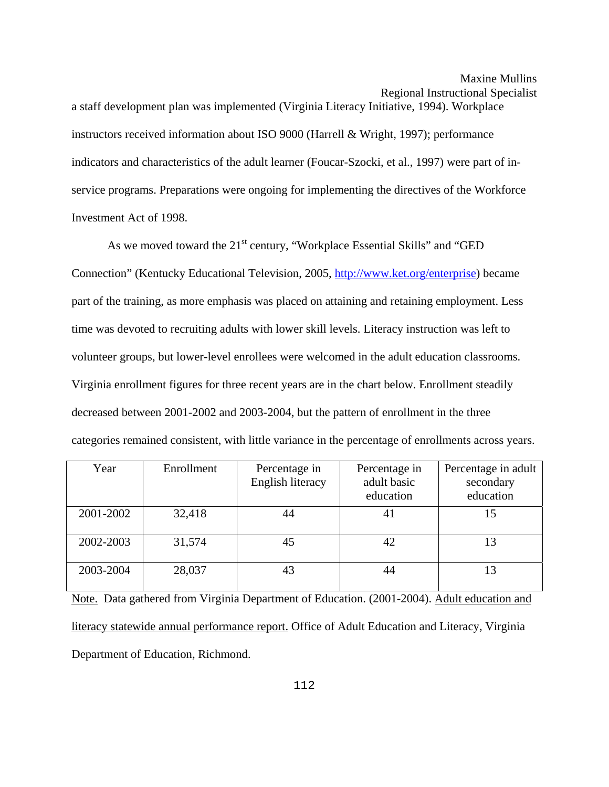a staff development plan was implemented (Virginia Literacy Initiative, 1994). Workplace instructors received information about ISO 9000 (Harrell & Wright, 1997); performance indicators and characteristics of the adult learner (Foucar-Szocki, et al., 1997) were part of inservice programs. Preparations were ongoing for implementing the directives of the Workforce Investment Act of 1998.

As we moved toward the 21<sup>st</sup> century, "Workplace Essential Skills" and "GED Connection" (Kentucky Educational Television, 2005, [http://www.ket.org/enterprise\)](http://www.ket.org/enterprise) became part of the training, as more emphasis was placed on attaining and retaining employment. Less time was devoted to recruiting adults with lower skill levels. Literacy instruction was left to volunteer groups, but lower-level enrollees were welcomed in the adult education classrooms. Virginia enrollment figures for three recent years are in the chart below. Enrollment steadily decreased between 2001-2002 and 2003-2004, but the pattern of enrollment in the three categories remained consistent, with little variance in the percentage of enrollments across years.

| Year      | Enrollment | Percentage in<br>English literacy | Percentage in<br>adult basic<br>education | Percentage in adult<br>secondary<br>education |
|-----------|------------|-----------------------------------|-------------------------------------------|-----------------------------------------------|
| 2001-2002 | 32,418     | 44                                | 41                                        | 15                                            |
| 2002-2003 | 31,574     | 45                                | 42                                        |                                               |
| 2003-2004 | 28,037     | 43                                | 44                                        |                                               |

Note. Data gathered from Virginia Department of Education. (2001-2004). Adult education and literacy statewide annual performance report. Office of Adult Education and Literacy, Virginia Department of Education, Richmond.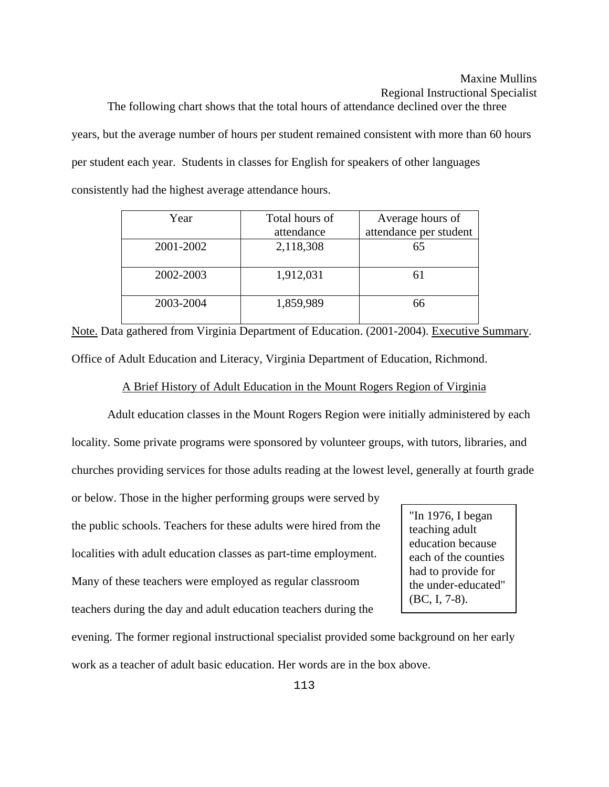The following chart shows that the total hours of attendance declined over the three years, but the average number of hours per student remained consistent with more than 60 hours per student each year. Students in classes for English for speakers of other languages consistently had the highest average attendance hours.

| Year      | Total hours of | Average hours of       |
|-----------|----------------|------------------------|
|           | attendance     | attendance per student |
| 2001-2002 | 2,118,308      | 65                     |
| 2002-2003 | 1,912,031      | 61                     |
| 2003-2004 | 1,859,989      | 66                     |

Note. Data gathered from Virginia Department of Education. (2001-2004). Executive Summary. Office of Adult Education and Literacy, Virginia Department of Education, Richmond.

A Brief History of Adult Education in the Mount Rogers Region of Virginia

Adult education classes in the Mount Rogers Region were initially administered by each locality. Some private programs were sponsored by volunteer groups, with tutors, libraries, and churches providing services for those adults reading at the lowest level, generally at fourth grade

or below. Those in the higher performing groups were served by the public schools. Teachers for these adults were hired from the

localities with adult education classes as part-time employment.

Many of these teachers were employed as regular classroom teachers during the day and adult education teachers during the "In 1976, I began teaching adult education because each of the counties had to provide for the under-educated" (BC, I, 7-8).

evening. The former regional instructional specialist provided some background on her early work as a teacher of adult basic education. Her words are in the box above.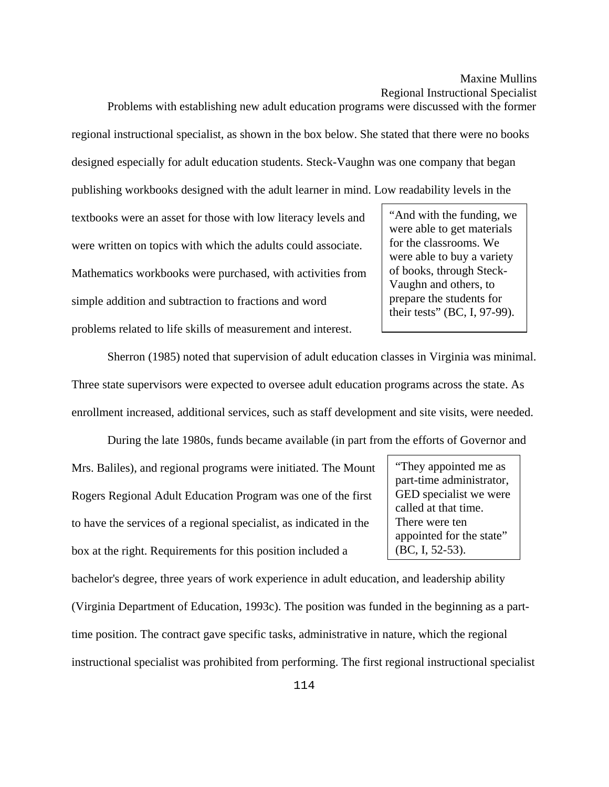Problems with establishing new adult education programs were discussed with the former regional instructional specialist, as shown in the box below. She stated that there were no books designed especially for adult education students. Steck-Vaughn was one company that began publishing workbooks designed with the adult learner in mind. Low readability levels in the

textbooks were an asset for those with low literacy levels and were written on topics with which the adults could associate. Mathematics workbooks were purchased, with activities from simple addition and subtraction to fractions and word problems related to life skills of measurement and interest.

"And with the funding, we were able to get materials for the classrooms. We were able to buy a variety of books, through Steck-Vaughn and others, to prepare the students for their tests" (BC, I, 97-99).

 Sherron (1985) noted that supervision of adult education classes in Virginia was minimal. Three state supervisors were expected to oversee adult education programs across the state. As enrollment increased, additional services, such as staff development and site visits, were needed.

During the late 1980s, funds became available (in part from the efforts of Governor and

Mrs. Baliles), and regional programs were initiated. The Mount Rogers Regional Adult Education Program was one of the first to have the services of a regional specialist, as indicated in the box at the right. Requirements for this position included a

"They appointed me as part-time administrator, GED specialist we were called at that time. There were ten appointed for the state" (BC, I, 52-53).

bachelor's degree, three years of work experience in adult education, and leadership ability (Virginia Department of Education, 1993c). The position was funded in the beginning as a parttime position. The contract gave specific tasks, administrative in nature, which the regional instructional specialist was prohibited from performing. The first regional instructional specialist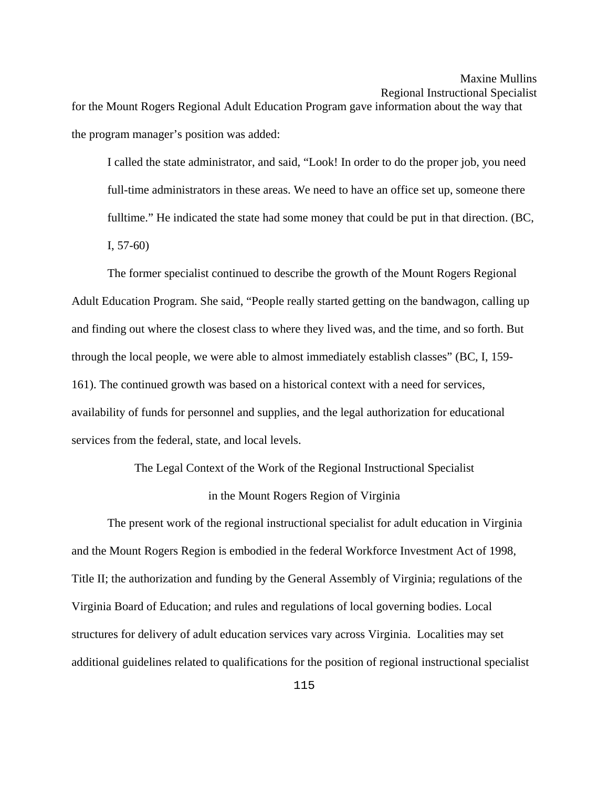# Maxine Mullins

Regional Instructional Specialist for the Mount Rogers Regional Adult Education Program gave information about the way that the program manager's position was added:

I called the state administrator, and said, "Look! In order to do the proper job, you need full-time administrators in these areas. We need to have an office set up, someone there fulltime." He indicated the state had some money that could be put in that direction. (BC, I, 57-60)

The former specialist continued to describe the growth of the Mount Rogers Regional Adult Education Program. She said, "People really started getting on the bandwagon, calling up and finding out where the closest class to where they lived was, and the time, and so forth. But through the local people, we were able to almost immediately establish classes" (BC, I, 159- 161). The continued growth was based on a historical context with a need for services, availability of funds for personnel and supplies, and the legal authorization for educational services from the federal, state, and local levels.

> The Legal Context of the Work of the Regional Instructional Specialist in the Mount Rogers Region of Virginia

 The present work of the regional instructional specialist for adult education in Virginia and the Mount Rogers Region is embodied in the federal Workforce Investment Act of 1998, Title II; the authorization and funding by the General Assembly of Virginia; regulations of the Virginia Board of Education; and rules and regulations of local governing bodies. Local structures for delivery of adult education services vary across Virginia. Localities may set additional guidelines related to qualifications for the position of regional instructional specialist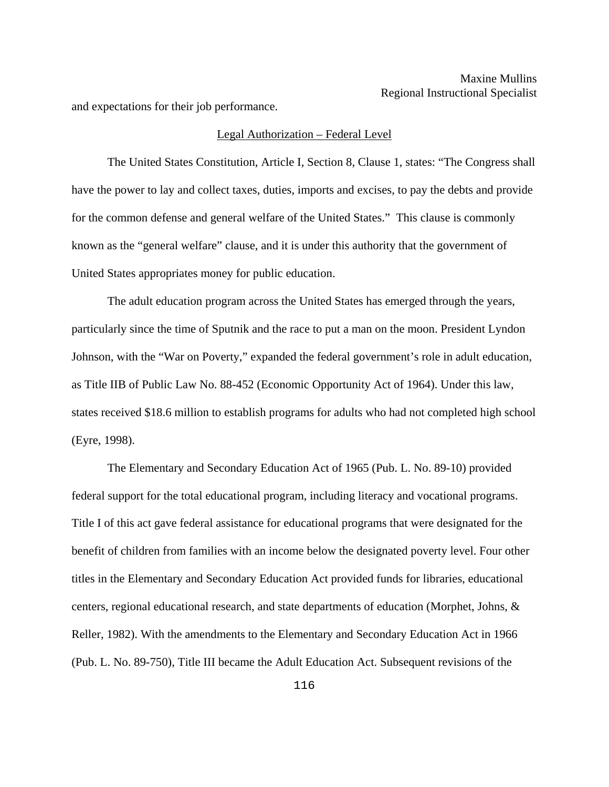and expectations for their job performance.

#### Legal Authorization – Federal Level

 The United States Constitution, Article I, Section 8, Clause 1, states: "The Congress shall have the power to lay and collect taxes, duties, imports and excises, to pay the debts and provide for the common defense and general welfare of the United States." This clause is commonly known as the "general welfare" clause, and it is under this authority that the government of United States appropriates money for public education.

 The adult education program across the United States has emerged through the years, particularly since the time of Sputnik and the race to put a man on the moon. President Lyndon Johnson, with the "War on Poverty," expanded the federal government's role in adult education, as Title IIB of Public Law No. 88-452 (Economic Opportunity Act of 1964). Under this law, states received \$18.6 million to establish programs for adults who had not completed high school (Eyre, 1998).

 The Elementary and Secondary Education Act of 1965 (Pub. L. No. 89-10) provided federal support for the total educational program, including literacy and vocational programs. Title I of this act gave federal assistance for educational programs that were designated for the benefit of children from families with an income below the designated poverty level. Four other titles in the Elementary and Secondary Education Act provided funds for libraries, educational centers, regional educational research, and state departments of education (Morphet, Johns, & Reller, 1982). With the amendments to the Elementary and Secondary Education Act in 1966 (Pub. L. No. 89-750), Title III became the Adult Education Act. Subsequent revisions of the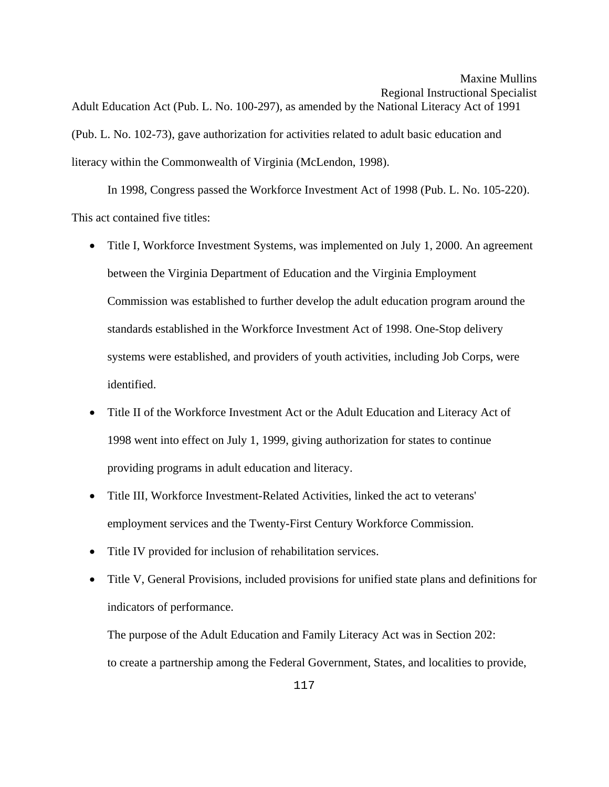Adult Education Act (Pub. L. No. 100-297), as amended by the National Literacy Act of 1991 (Pub. L. No. 102-73), gave authorization for activities related to adult basic education and literacy within the Commonwealth of Virginia (McLendon, 1998).

 In 1998, Congress passed the Workforce Investment Act of 1998 (Pub. L. No. 105-220). This act contained five titles:

- Title I, Workforce Investment Systems, was implemented on July 1, 2000. An agreement between the Virginia Department of Education and the Virginia Employment Commission was established to further develop the adult education program around the standards established in the Workforce Investment Act of 1998. One-Stop delivery systems were established, and providers of youth activities, including Job Corps, were identified.
- Title II of the Workforce Investment Act or the Adult Education and Literacy Act of 1998 went into effect on July 1, 1999, giving authorization for states to continue providing programs in adult education and literacy.
- Title III, Workforce Investment-Related Activities, linked the act to veterans' employment services and the Twenty-First Century Workforce Commission.
- Title IV provided for inclusion of rehabilitation services.
- Title V, General Provisions, included provisions for unified state plans and definitions for indicators of performance.

 The purpose of the Adult Education and Family Literacy Act was in Section 202: to create a partnership among the Federal Government, States, and localities to provide,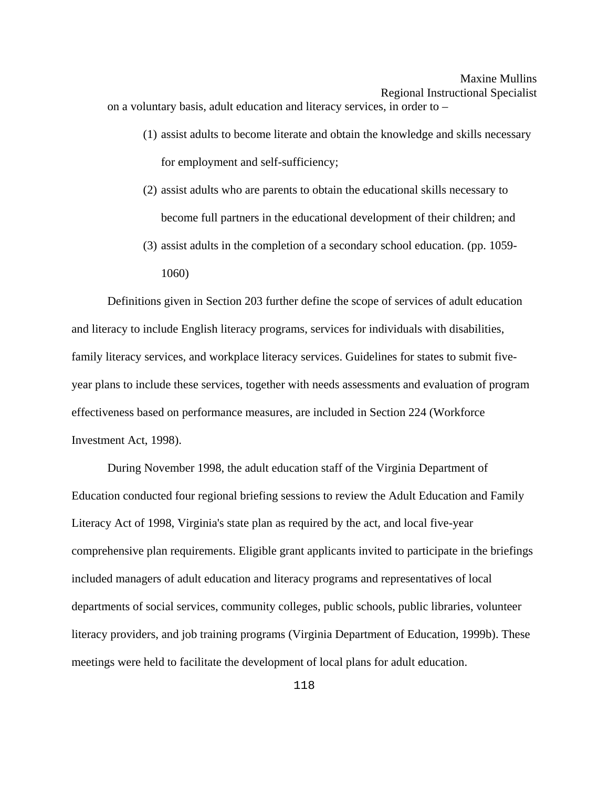on a voluntary basis, adult education and literacy services, in order to –

- (1) assist adults to become literate and obtain the knowledge and skills necessary for employment and self-sufficiency;
- (2) assist adults who are parents to obtain the educational skills necessary to become full partners in the educational development of their children; and
- (3) assist adults in the completion of a secondary school education. (pp. 1059- 1060)

 Definitions given in Section 203 further define the scope of services of adult education and literacy to include English literacy programs, services for individuals with disabilities, family literacy services, and workplace literacy services. Guidelines for states to submit fiveyear plans to include these services, together with needs assessments and evaluation of program effectiveness based on performance measures, are included in Section 224 (Workforce Investment Act, 1998).

 During November 1998, the adult education staff of the Virginia Department of Education conducted four regional briefing sessions to review the Adult Education and Family Literacy Act of 1998, Virginia's state plan as required by the act, and local five-year comprehensive plan requirements. Eligible grant applicants invited to participate in the briefings included managers of adult education and literacy programs and representatives of local departments of social services, community colleges, public schools, public libraries, volunteer literacy providers, and job training programs (Virginia Department of Education, 1999b). These meetings were held to facilitate the development of local plans for adult education.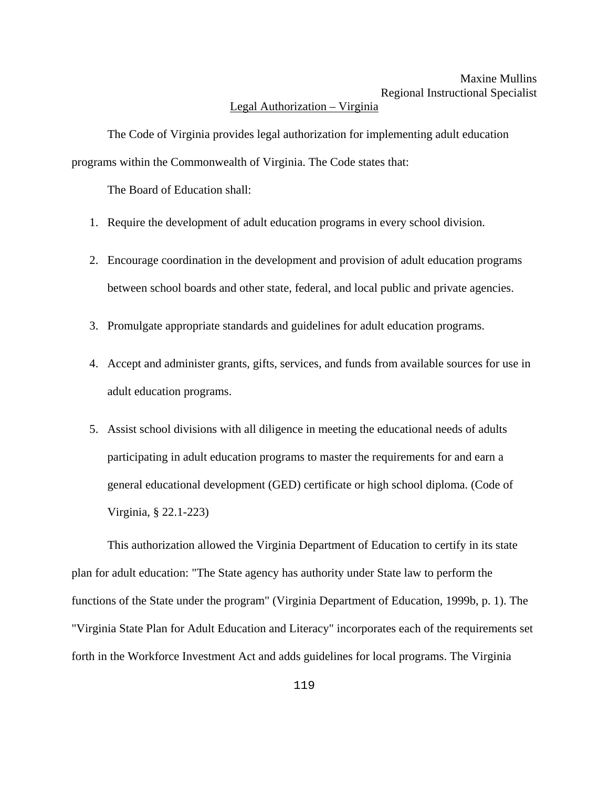#### Legal Authorization – Virginia

 The Code of Virginia provides legal authorization for implementing adult education programs within the Commonwealth of Virginia. The Code states that:

The Board of Education shall:

- 1. Require the development of adult education programs in every school division.
- 2. Encourage coordination in the development and provision of adult education programs between school boards and other state, federal, and local public and private agencies.
- 3. Promulgate appropriate standards and guidelines for adult education programs.
- 4. Accept and administer grants, gifts, services, and funds from available sources for use in adult education programs.
- 5. Assist school divisions with all diligence in meeting the educational needs of adults participating in adult education programs to master the requirements for and earn a general educational development (GED) certificate or high school diploma. (Code of Virginia, § 22.1-223)

 This authorization allowed the Virginia Department of Education to certify in its state plan for adult education: "The State agency has authority under State law to perform the functions of the State under the program" (Virginia Department of Education, 1999b, p. 1). The "Virginia State Plan for Adult Education and Literacy" incorporates each of the requirements set forth in the Workforce Investment Act and adds guidelines for local programs. The Virginia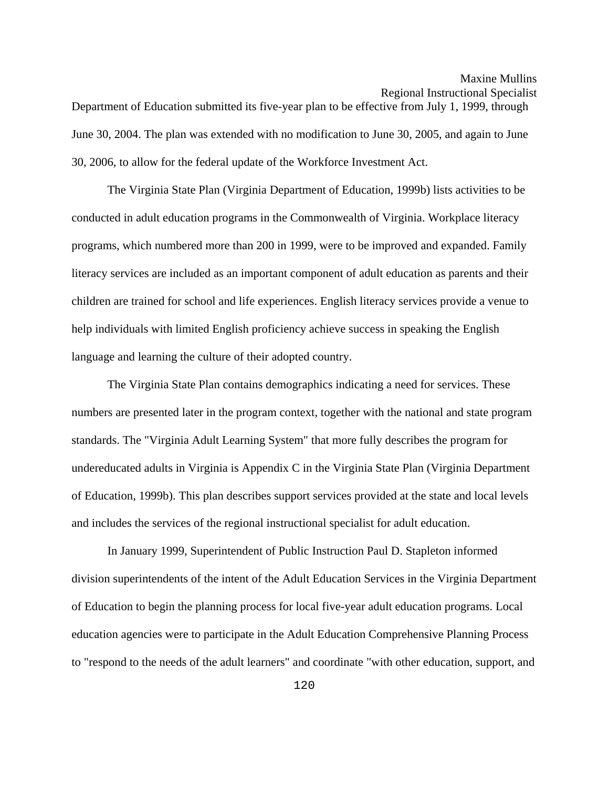Department of Education submitted its five-year plan to be effective from July 1, 1999, through June 30, 2004. The plan was extended with no modification to June 30, 2005, and again to June 30, 2006, to allow for the federal update of the Workforce Investment Act.

 The Virginia State Plan (Virginia Department of Education, 1999b) lists activities to be conducted in adult education programs in the Commonwealth of Virginia. Workplace literacy programs, which numbered more than 200 in 1999, were to be improved and expanded. Family literacy services are included as an important component of adult education as parents and their children are trained for school and life experiences. English literacy services provide a venue to help individuals with limited English proficiency achieve success in speaking the English language and learning the culture of their adopted country.

 The Virginia State Plan contains demographics indicating a need for services. These numbers are presented later in the program context, together with the national and state program standards. The "Virginia Adult Learning System" that more fully describes the program for undereducated adults in Virginia is Appendix C in the Virginia State Plan (Virginia Department of Education, 1999b). This plan describes support services provided at the state and local levels and includes the services of the regional instructional specialist for adult education.

 In January 1999, Superintendent of Public Instruction Paul D. Stapleton informed division superintendents of the intent of the Adult Education Services in the Virginia Department of Education to begin the planning process for local five-year adult education programs. Local education agencies were to participate in the Adult Education Comprehensive Planning Process to "respond to the needs of the adult learners" and coordinate "with other education, support, and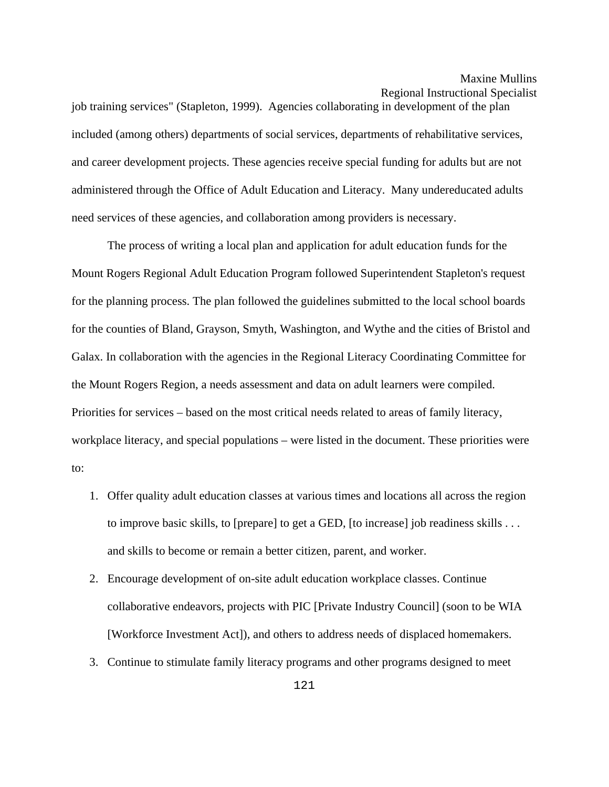job training services" (Stapleton, 1999). Agencies collaborating in development of the plan included (among others) departments of social services, departments of rehabilitative services, and career development projects. These agencies receive special funding for adults but are not administered through the Office of Adult Education and Literacy. Many undereducated adults need services of these agencies, and collaboration among providers is necessary.

 The process of writing a local plan and application for adult education funds for the Mount Rogers Regional Adult Education Program followed Superintendent Stapleton's request for the planning process. The plan followed the guidelines submitted to the local school boards for the counties of Bland, Grayson, Smyth, Washington, and Wythe and the cities of Bristol and Galax. In collaboration with the agencies in the Regional Literacy Coordinating Committee for the Mount Rogers Region, a needs assessment and data on adult learners were compiled. Priorities for services – based on the most critical needs related to areas of family literacy, workplace literacy, and special populations – were listed in the document. These priorities were to:

- 1. Offer quality adult education classes at various times and locations all across the region to improve basic skills, to [prepare] to get a GED, [to increase] job readiness skills . . . and skills to become or remain a better citizen, parent, and worker.
- 2. Encourage development of on-site adult education workplace classes. Continue collaborative endeavors, projects with PIC [Private Industry Council] (soon to be WIA [Workforce Investment Act]), and others to address needs of displaced homemakers.
- 3. Continue to stimulate family literacy programs and other programs designed to meet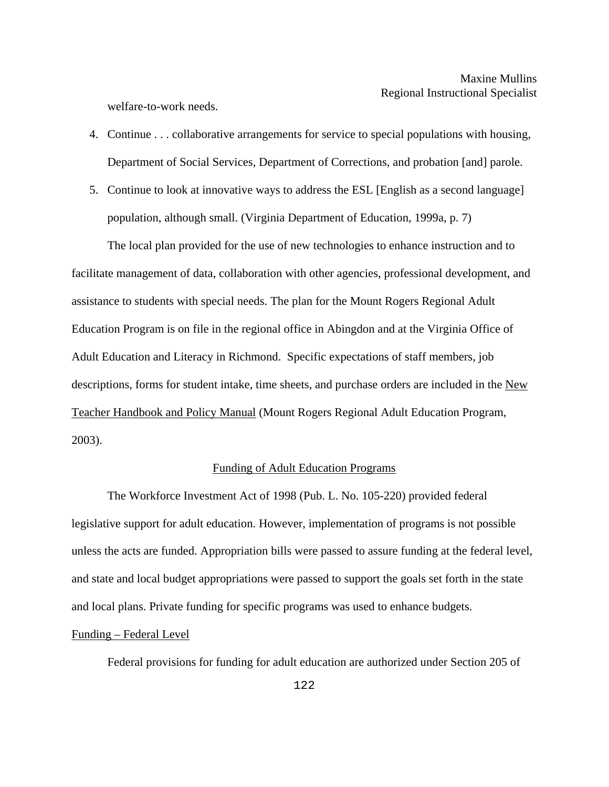welfare-to-work needs.

- 4. Continue . . . collaborative arrangements for service to special populations with housing, Department of Social Services, Department of Corrections, and probation [and] parole.
- 5. Continue to look at innovative ways to address the ESL [English as a second language] population, although small. (Virginia Department of Education, 1999a, p. 7)

 The local plan provided for the use of new technologies to enhance instruction and to facilitate management of data, collaboration with other agencies, professional development, and assistance to students with special needs. The plan for the Mount Rogers Regional Adult Education Program is on file in the regional office in Abingdon and at the Virginia Office of Adult Education and Literacy in Richmond. Specific expectations of staff members, job descriptions, forms for student intake, time sheets, and purchase orders are included in the New Teacher Handbook and Policy Manual (Mount Rogers Regional Adult Education Program, 2003).

#### Funding of Adult Education Programs

The Workforce Investment Act of 1998 (Pub. L. No. 105-220) provided federal legislative support for adult education. However, implementation of programs is not possible unless the acts are funded. Appropriation bills were passed to assure funding at the federal level, and state and local budget appropriations were passed to support the goals set forth in the state and local plans. Private funding for specific programs was used to enhance budgets.

#### Funding – Federal Level

Federal provisions for funding for adult education are authorized under Section 205 of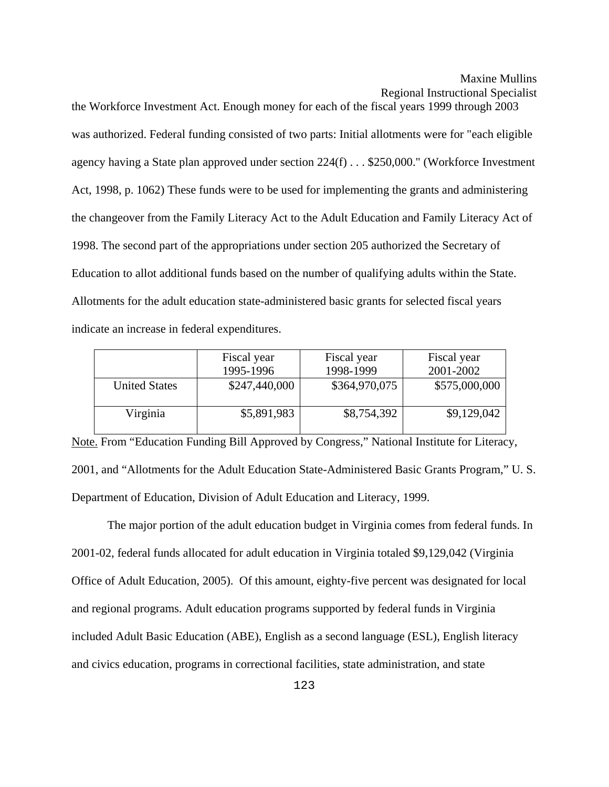# Maxine Mullins

Regional Instructional Specialist

the Workforce Investment Act. Enough money for each of the fiscal years 1999 through 2003 was authorized. Federal funding consisted of two parts: Initial allotments were for "each eligible agency having a State plan approved under section 224(f) . . . \$250,000." (Workforce Investment Act, 1998, p. 1062) These funds were to be used for implementing the grants and administering the changeover from the Family Literacy Act to the Adult Education and Family Literacy Act of 1998. The second part of the appropriations under section 205 authorized the Secretary of Education to allot additional funds based on the number of qualifying adults within the State. Allotments for the adult education state-administered basic grants for selected fiscal years indicate an increase in federal expenditures.

|                      | Fiscal year<br>1995-1996 | Fiscal year<br>1998-1999 | Fiscal year<br>2001-2002 |
|----------------------|--------------------------|--------------------------|--------------------------|
| <b>United States</b> | \$247,440,000            | \$364,970,075            | \$575,000,000            |
| Virginia             | \$5,891,983              | \$8,754,392              | \$9,129,042              |

Note. From "Education Funding Bill Approved by Congress," National Institute for Literacy, 2001, and "Allotments for the Adult Education State-Administered Basic Grants Program," U. S. Department of Education, Division of Adult Education and Literacy, 1999.

 The major portion of the adult education budget in Virginia comes from federal funds. In 2001-02, federal funds allocated for adult education in Virginia totaled \$9,129,042 (Virginia Office of Adult Education, 2005). Of this amount, eighty-five percent was designated for local and regional programs. Adult education programs supported by federal funds in Virginia included Adult Basic Education (ABE), English as a second language (ESL), English literacy and civics education, programs in correctional facilities, state administration, and state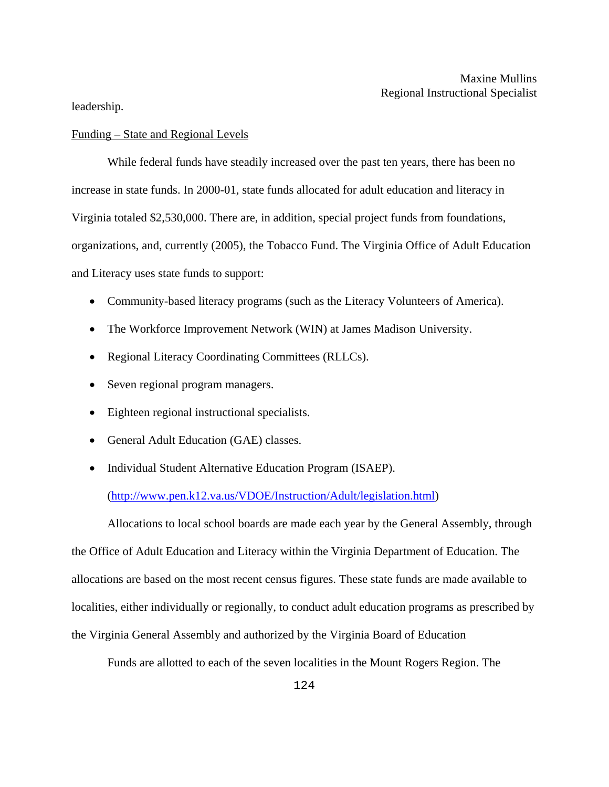leadership.

#### Funding – State and Regional Levels

 While federal funds have steadily increased over the past ten years, there has been no increase in state funds. In 2000-01, state funds allocated for adult education and literacy in Virginia totaled \$2,530,000. There are, in addition, special project funds from foundations, organizations, and, currently (2005), the Tobacco Fund. The Virginia Office of Adult Education and Literacy uses state funds to support:

- Community-based literacy programs (such as the Literacy Volunteers of America).
- The Workforce Improvement Network (WIN) at James Madison University.
- Regional Literacy Coordinating Committees (RLLCs).
- Seven regional program managers.
- Eighteen regional instructional specialists.
- General Adult Education (GAE) classes.
- Individual Student Alternative Education Program (ISAEP).

(<http://www.pen.k12.va.us/VDOE/Instruction/Adult/legislation.html>)

 Allocations to local school boards are made each year by the General Assembly, through the Office of Adult Education and Literacy within the Virginia Department of Education. The allocations are based on the most recent census figures. These state funds are made available to localities, either individually or regionally, to conduct adult education programs as prescribed by the Virginia General Assembly and authorized by the Virginia Board of Education

Funds are allotted to each of the seven localities in the Mount Rogers Region. The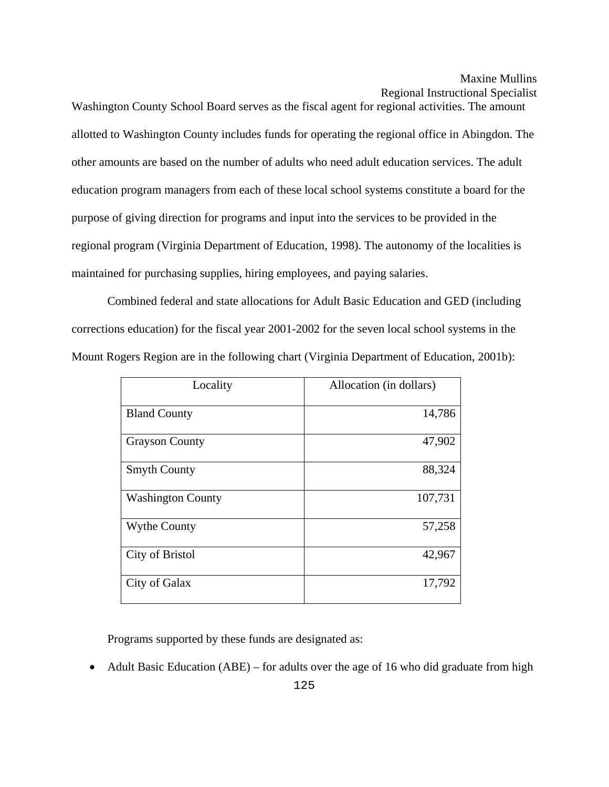Washington County School Board serves as the fiscal agent for regional activities. The amount allotted to Washington County includes funds for operating the regional office in Abingdon. The other amounts are based on the number of adults who need adult education services. The adult education program managers from each of these local school systems constitute a board for the purpose of giving direction for programs and input into the services to be provided in the regional program (Virginia Department of Education, 1998). The autonomy of the localities is maintained for purchasing supplies, hiring employees, and paying salaries.

 Combined federal and state allocations for Adult Basic Education and GED (including corrections education) for the fiscal year 2001-2002 for the seven local school systems in the Mount Rogers Region are in the following chart (Virginia Department of Education, 2001b):

| Locality                 | Allocation (in dollars) |
|--------------------------|-------------------------|
|                          |                         |
| <b>Bland County</b>      | 14,786                  |
| <b>Grayson County</b>    | 47,902                  |
| <b>Smyth County</b>      | 88,324                  |
| <b>Washington County</b> | 107,731                 |
| <b>Wythe County</b>      | 57,258                  |
| City of Bristol          | 42,967                  |
| City of Galax            | 17,792                  |

Programs supported by these funds are designated as:

• Adult Basic Education (ABE) – for adults over the age of 16 who did graduate from high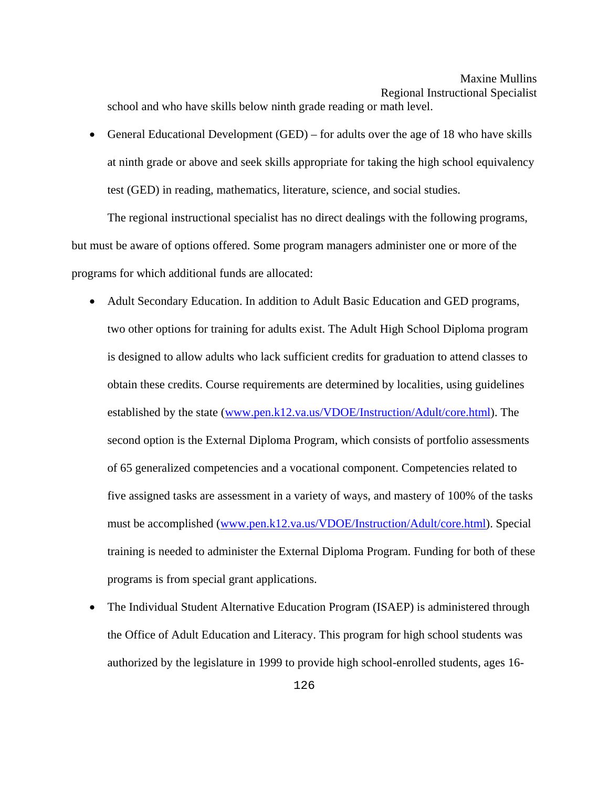• General Educational Development (GED) – for adults over the age of 18 who have skills at ninth grade or above and seek skills appropriate for taking the high school equivalency test (GED) in reading, mathematics, literature, science, and social studies.

 The regional instructional specialist has no direct dealings with the following programs, but must be aware of options offered. Some program managers administer one or more of the programs for which additional funds are allocated:

- Adult Secondary Education. In addition to Adult Basic Education and GED programs, two other options for training for adults exist. The Adult High School Diploma program is designed to allow adults who lack sufficient credits for graduation to attend classes to obtain these credits. Course requirements are determined by localities, using guidelines established by the state [\(www.pen.k12.va.us/VDOE/Instruction/Adult/core.html](http://www.pen.k12.va.us/VDOE/Instruction/Adult/core.html)). The second option is the External Diploma Program, which consists of portfolio assessments of 65 generalized competencies and a vocational component. Competencies related to five assigned tasks are assessment in a variety of ways, and mastery of 100% of the tasks must be accomplished ([www.pen.k12.va.us/VDOE/Instruction/Adult/core.html\)](http://www.pen.k12.va.us/VDOE/Instruction/Adult/core.html). Special training is needed to administer the External Diploma Program. Funding for both of these programs is from special grant applications.
- The Individual Student Alternative Education Program (ISAEP) is administered through the Office of Adult Education and Literacy. This program for high school students was authorized by the legislature in 1999 to provide high school-enrolled students, ages 16-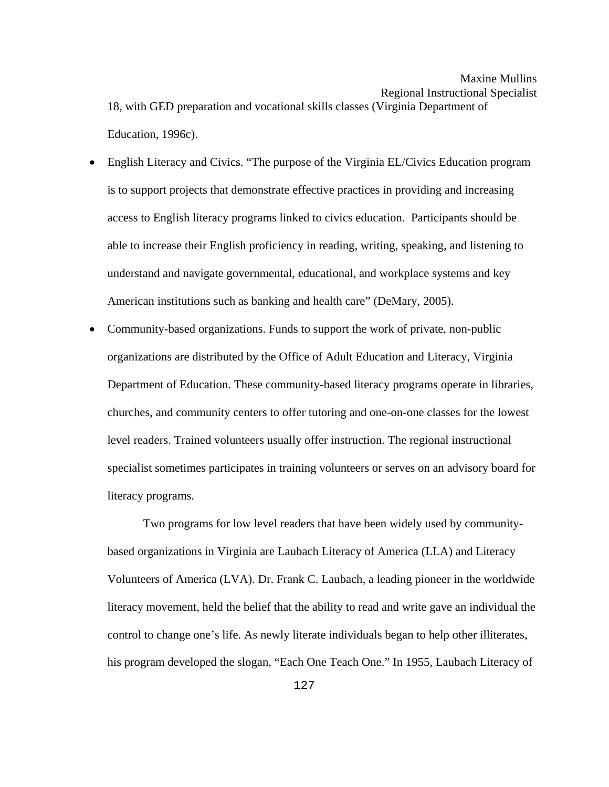18, with GED preparation and vocational skills classes (Virginia Department of Education, 1996c).

- English Literacy and Civics. "The purpose of the Virginia EL/Civics Education program is to support projects that demonstrate effective practices in providing and increasing access to English literacy programs linked to civics education. Participants should be able to increase their English proficiency in reading, writing, speaking, and listening to understand and navigate governmental, educational, and workplace systems and key American institutions such as banking and health care" (DeMary, 2005).
- Community-based organizations. Funds to support the work of private, non-public organizations are distributed by the Office of Adult Education and Literacy, Virginia Department of Education. These community-based literacy programs operate in libraries, churches, and community centers to offer tutoring and one-on-one classes for the lowest level readers. Trained volunteers usually offer instruction. The regional instructional specialist sometimes participates in training volunteers or serves on an advisory board for literacy programs.

 Two programs for low level readers that have been widely used by communitybased organizations in Virginia are Laubach Literacy of America (LLA) and Literacy Volunteers of America (LVA). Dr. Frank C. Laubach, a leading pioneer in the worldwide literacy movement, held the belief that the ability to read and write gave an individual the control to change one's life. As newly literate individuals began to help other illiterates, his program developed the slogan, "Each One Teach One." In 1955, Laubach Literacy of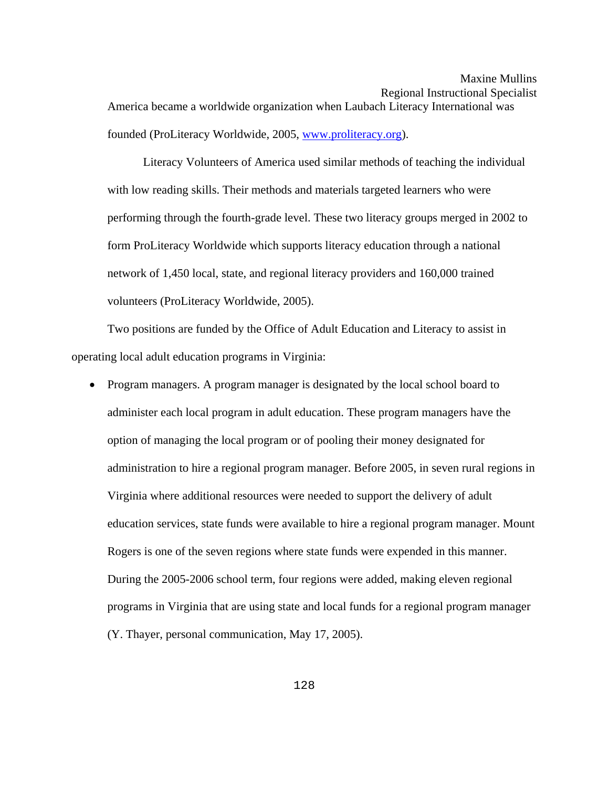America became a worldwide organization when Laubach Literacy International was founded (ProLiteracy Worldwide, 2005, [www.proliteracy.org](http://www.proliteracy.org/)).

 Literacy Volunteers of America used similar methods of teaching the individual with low reading skills. Their methods and materials targeted learners who were performing through the fourth-grade level. These two literacy groups merged in 2002 to form ProLiteracy Worldwide which supports literacy education through a national network of 1,450 local, state, and regional literacy providers and 160,000 trained volunteers (ProLiteracy Worldwide, 2005).

 Two positions are funded by the Office of Adult Education and Literacy to assist in operating local adult education programs in Virginia:

• Program managers. A program manager is designated by the local school board to administer each local program in adult education. These program managers have the option of managing the local program or of pooling their money designated for administration to hire a regional program manager. Before 2005, in seven rural regions in Virginia where additional resources were needed to support the delivery of adult education services, state funds were available to hire a regional program manager. Mount Rogers is one of the seven regions where state funds were expended in this manner. During the 2005-2006 school term, four regions were added, making eleven regional programs in Virginia that are using state and local funds for a regional program manager (Y. Thayer, personal communication, May 17, 2005).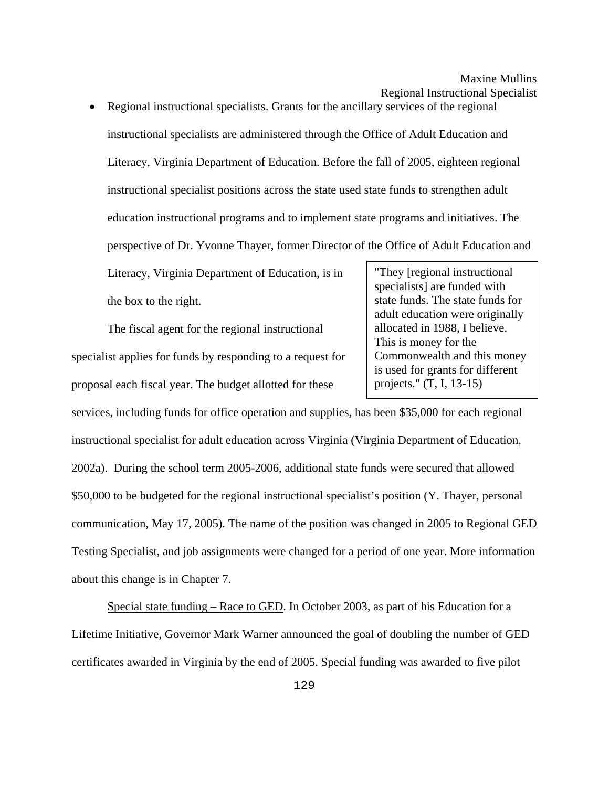• Regional instructional specialists. Grants for the ancillary services of the regional instructional specialists are administered through the Office of Adult Education and Literacy, Virginia Department of Education. Before the fall of 2005, eighteen regional instructional specialist positions across the state used state funds to strengthen adult education instructional programs and to implement state programs and initiatives. The perspective of Dr. Yvonne Thayer, former Director of the Office of Adult Education and

Literacy, Virginia Department of Education, is in the box to the right.

The fiscal agent for the regional instructional specialist applies for funds by responding to a request for proposal each fiscal year. The budget allotted for these

"They [regional instructional specialists] are funded with state funds. The state funds for adult education were originally allocated in 1988, I believe. This is money for the Commonwealth and this money is used for grants for different projects." (T, I, 13-15)

services, including funds for office operation and supplies, has been \$35,000 for each regional instructional specialist for adult education across Virginia (Virginia Department of Education, 2002a). During the school term 2005-2006, additional state funds were secured that allowed \$50,000 to be budgeted for the regional instructional specialist's position (Y. Thayer, personal communication, May 17, 2005). The name of the position was changed in 2005 to Regional GED Testing Specialist, and job assignments were changed for a period of one year. More information about this change is in Chapter 7.

 Special state funding – Race to GED. In October 2003, as part of his Education for a Lifetime Initiative, Governor Mark Warner announced the goal of doubling the number of GED certificates awarded in Virginia by the end of 2005. Special funding was awarded to five pilot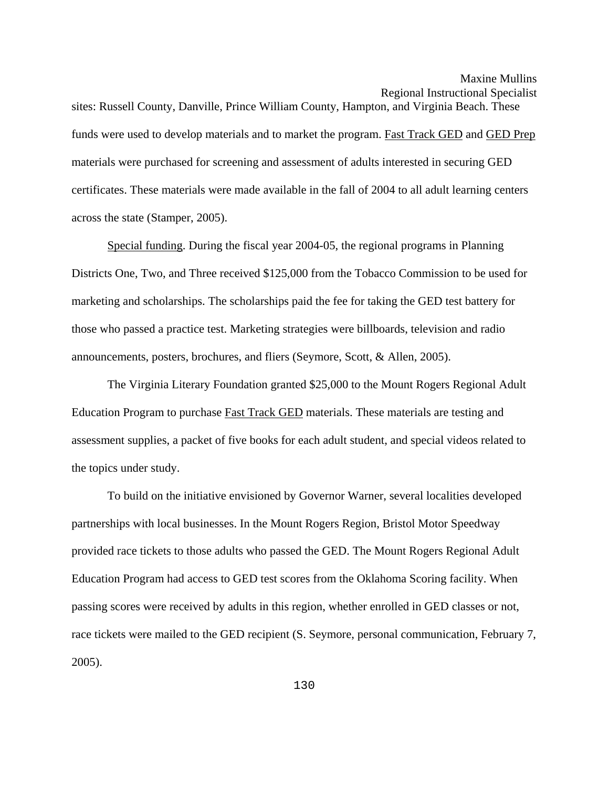sites: Russell County, Danville, Prince William County, Hampton, and Virginia Beach. These funds were used to develop materials and to market the program. Fast Track GED and GED Prep materials were purchased for screening and assessment of adults interested in securing GED certificates. These materials were made available in the fall of 2004 to all adult learning centers across the state (Stamper, 2005).

 Special funding. During the fiscal year 2004-05, the regional programs in Planning Districts One, Two, and Three received \$125,000 from the Tobacco Commission to be used for marketing and scholarships. The scholarships paid the fee for taking the GED test battery for those who passed a practice test. Marketing strategies were billboards, television and radio announcements, posters, brochures, and fliers (Seymore, Scott, & Allen, 2005).

 The Virginia Literary Foundation granted \$25,000 to the Mount Rogers Regional Adult Education Program to purchase Fast Track GED materials. These materials are testing and assessment supplies, a packet of five books for each adult student, and special videos related to the topics under study.

 To build on the initiative envisioned by Governor Warner, several localities developed partnerships with local businesses. In the Mount Rogers Region, Bristol Motor Speedway provided race tickets to those adults who passed the GED. The Mount Rogers Regional Adult Education Program had access to GED test scores from the Oklahoma Scoring facility. When passing scores were received by adults in this region, whether enrolled in GED classes or not, race tickets were mailed to the GED recipient (S. Seymore, personal communication, February 7, 2005).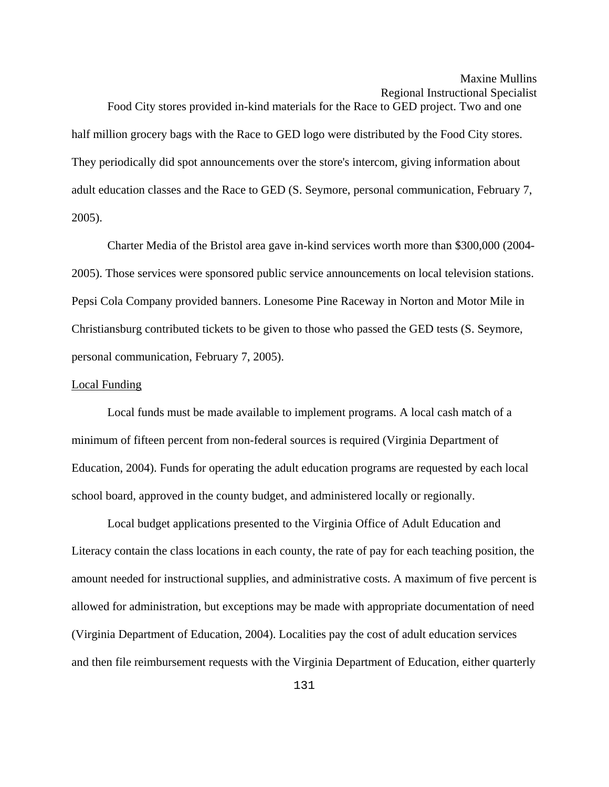Food City stores provided in-kind materials for the Race to GED project. Two and one half million grocery bags with the Race to GED logo were distributed by the Food City stores. They periodically did spot announcements over the store's intercom, giving information about adult education classes and the Race to GED (S. Seymore, personal communication, February 7, 2005).

 Charter Media of the Bristol area gave in-kind services worth more than \$300,000 (2004- 2005). Those services were sponsored public service announcements on local television stations. Pepsi Cola Company provided banners. Lonesome Pine Raceway in Norton and Motor Mile in Christiansburg contributed tickets to be given to those who passed the GED tests (S. Seymore, personal communication, February 7, 2005).

#### Local Funding

 Local funds must be made available to implement programs. A local cash match of a minimum of fifteen percent from non-federal sources is required (Virginia Department of Education, 2004). Funds for operating the adult education programs are requested by each local school board, approved in the county budget, and administered locally or regionally.

 Local budget applications presented to the Virginia Office of Adult Education and Literacy contain the class locations in each county, the rate of pay for each teaching position, the amount needed for instructional supplies, and administrative costs. A maximum of five percent is allowed for administration, but exceptions may be made with appropriate documentation of need (Virginia Department of Education, 2004). Localities pay the cost of adult education services and then file reimbursement requests with the Virginia Department of Education, either quarterly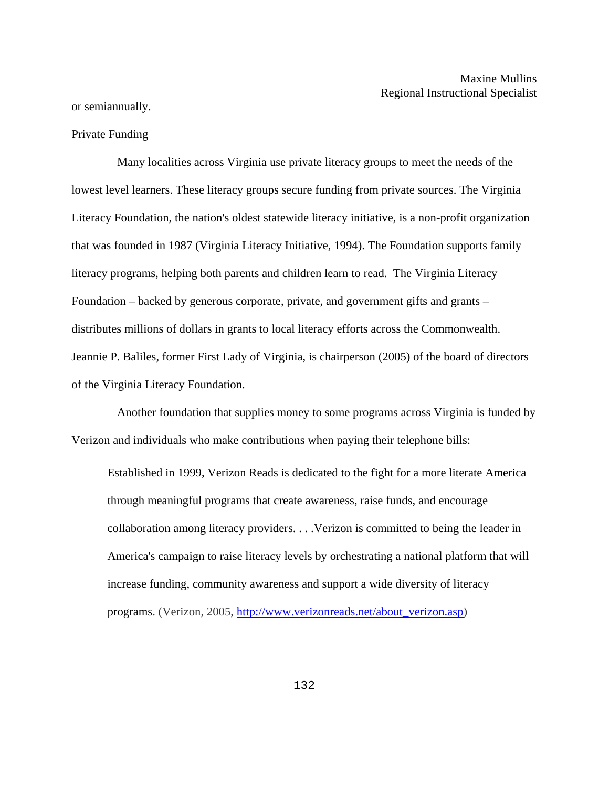or semiannually.

#### Private Funding

 Many localities across Virginia use private literacy groups to meet the needs of the lowest level learners. These literacy groups secure funding from private sources. The Virginia Literacy Foundation, the nation's oldest statewide literacy initiative, is a non-profit organization that was founded in 1987 (Virginia Literacy Initiative, 1994). The Foundation supports family literacy programs, helping both parents and children learn to read. The Virginia Literacy Foundation – backed by generous corporate, private, and government gifts and grants – distributes millions of dollars in grants to local literacy efforts across the Commonwealth. Jeannie P. Baliles, former First Lady of Virginia, is chairperson (2005) of the board of directors of the Virginia Literacy Foundation.

 Another foundation that supplies money to some programs across Virginia is funded by Verizon and individuals who make contributions when paying their telephone bills:

Established in 1999, Verizon Reads is dedicated to the fight for a more literate America through meaningful programs that create awareness, raise funds, and encourage collaboration among literacy providers. . . .Verizon is committed to being the leader in America's campaign to raise literacy levels by orchestrating a national platform that will increase funding, community awareness and support a wide diversity of literacy programs. (Verizon, 2005, [http://www.verizonreads.net/about\\_verizon.asp](http://www.verizonreads.net/about_verizon.asp))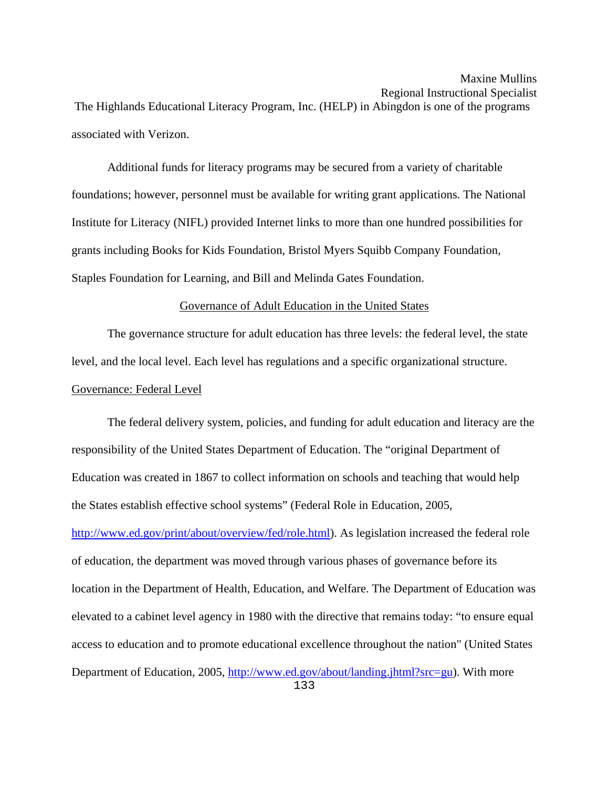# Maxine Mullins

Regional Instructional Specialist The Highlands Educational Literacy Program, Inc. (HELP) in Abingdon is one of the programs associated with Verizon.

 Additional funds for literacy programs may be secured from a variety of charitable foundations; however, personnel must be available for writing grant applications. The National Institute for Literacy (NIFL) provided Internet links to more than one hundred possibilities for grants including Books for Kids Foundation, Bristol Myers Squibb Company Foundation, Staples Foundation for Learning, and Bill and Melinda Gates Foundation.

#### Governance of Adult Education in the United States

The governance structure for adult education has three levels: the federal level, the state level, and the local level. Each level has regulations and a specific organizational structure. Governance: Federal Level

133 The federal delivery system, policies, and funding for adult education and literacy are the responsibility of the United States Department of Education. The "original Department of Education was created in 1867 to collect information on schools and teaching that would help the States establish effective school systems" (Federal Role in Education, 2005, [http://www.ed.gov/print/about/overview/fed/role.html\)](http://www.ed.gov/print/about/overview/fed/role.html). As legislation increased the federal role of education, the department was moved through various phases of governance before its location in the Department of Health, Education, and Welfare. The Department of Education was elevated to a cabinet level agency in 1980 with the directive that remains today: "to ensure equal access to education and to promote educational excellence throughout the nation" (United States Department of Education, 2005,<http://www.ed.gov/about/landing.jhtml?src=gu>). With more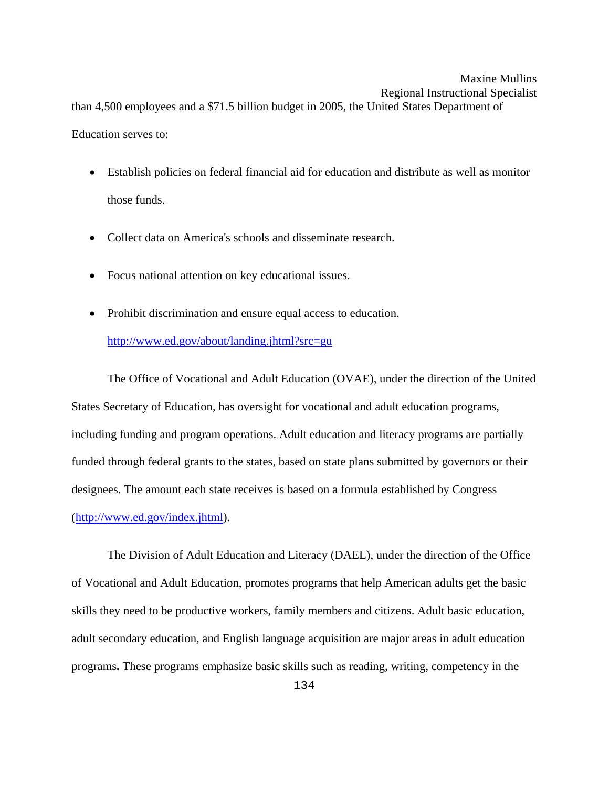than 4,500 employees and a \$71.5 billion budget in 2005, the United States Department of Education serves to:

- Establish policies on federal financial aid for education and distribute as well as monitor those funds.
- Collect data on America's schools and disseminate research.
- Focus national attention on key educational issues.
- Prohibit discrimination and ensure equal access to education.

#### <http://www.ed.gov/about/landing.jhtml?src=gu>

The Office of Vocational and Adult Education (OVAE), under the direction of the United States Secretary of Education, has oversight for vocational and adult education programs, including funding and program operations. Adult education and literacy programs are partially funded through federal grants to the states, based on state plans submitted by governors or their designees. The amount each state receives is based on a formula established by Congress (<http://www.ed.gov/index.jhtml>).

The Division of Adult Education and Literacy (DAEL), under the direction of the Office of Vocational and Adult Education, promotes programs that help American adults get the basic skills they need to be productive workers, family members and citizens. Adult basic education, adult secondary education, and English language acquisition are major areas in adult education programs**.** These programs emphasize basic skills such as reading, writing, competency in the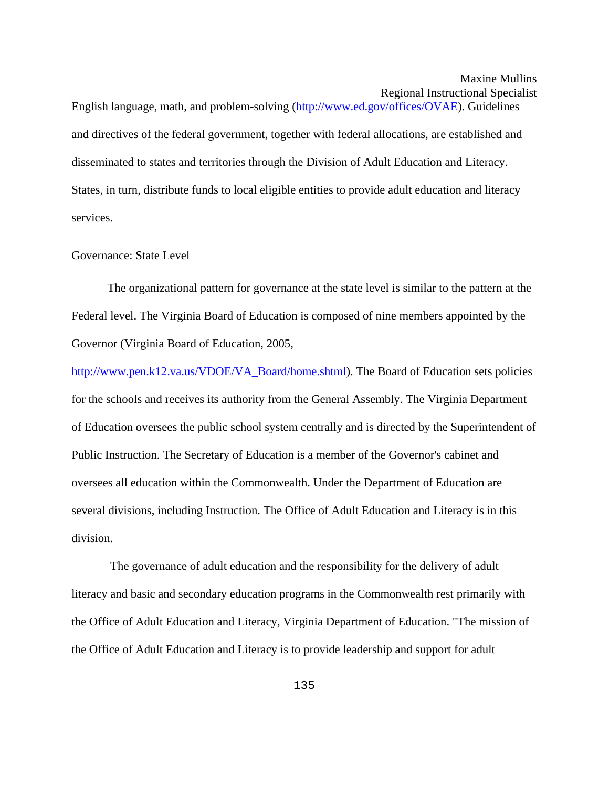English language, math, and problem-solving (<http://www.ed.gov/offices/OVAE>). Guidelines and directives of the federal government, together with federal allocations, are established and disseminated to states and territories through the Division of Adult Education and Literacy. States, in turn, distribute funds to local eligible entities to provide adult education and literacy services.

#### Governance: State Level

The organizational pattern for governance at the state level is similar to the pattern at the Federal level. The Virginia Board of Education is composed of nine members appointed by the Governor (Virginia Board of Education, 2005,

[http://www.pen.k12.va.us/VDOE/VA\\_Board/home.shtml](http://www.pen.k12.va.us/VDOE/VA_Board/home.shtml)). The Board of Education sets policies for the schools and receives its authority from the General Assembly. The Virginia Department of Education oversees the public school system centrally and is directed by the Superintendent of Public Instruction. The Secretary of Education is a member of the Governor's cabinet and oversees all education within the Commonwealth. Under the Department of Education are several divisions, including Instruction. The Office of Adult Education and Literacy is in this division.

 The governance of adult education and the responsibility for the delivery of adult literacy and basic and secondary education programs in the Commonwealth rest primarily with the Office of Adult Education and Literacy, Virginia Department of Education. "The mission of the Office of Adult Education and Literacy is to provide leadership and support for adult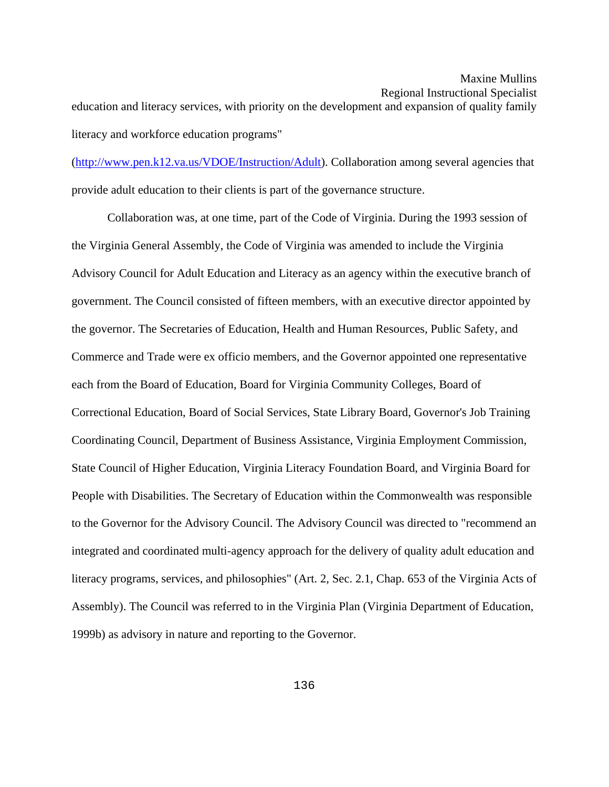# Maxine Mullins

Regional Instructional Specialist education and literacy services, with priority on the development and expansion of quality family literacy and workforce education programs"

([http://www.pen.k12.va.us/VDOE/Instruction/Adult\)](http://www.pen.k12.va.us/VDOE/Instruction/Adult). Collaboration among several agencies that provide adult education to their clients is part of the governance structure.

 Collaboration was, at one time, part of the Code of Virginia. During the 1993 session of the Virginia General Assembly, the Code of Virginia was amended to include the Virginia Advisory Council for Adult Education and Literacy as an agency within the executive branch of government. The Council consisted of fifteen members, with an executive director appointed by the governor. The Secretaries of Education, Health and Human Resources, Public Safety, and Commerce and Trade were ex officio members, and the Governor appointed one representative each from the Board of Education, Board for Virginia Community Colleges, Board of Correctional Education, Board of Social Services, State Library Board, Governor's Job Training Coordinating Council, Department of Business Assistance, Virginia Employment Commission, State Council of Higher Education, Virginia Literacy Foundation Board, and Virginia Board for People with Disabilities. The Secretary of Education within the Commonwealth was responsible to the Governor for the Advisory Council. The Advisory Council was directed to "recommend an integrated and coordinated multi-agency approach for the delivery of quality adult education and literacy programs, services, and philosophies" (Art. 2, Sec. 2.1, Chap. 653 of the Virginia Acts of Assembly). The Council was referred to in the Virginia Plan (Virginia Department of Education, 1999b) as advisory in nature and reporting to the Governor.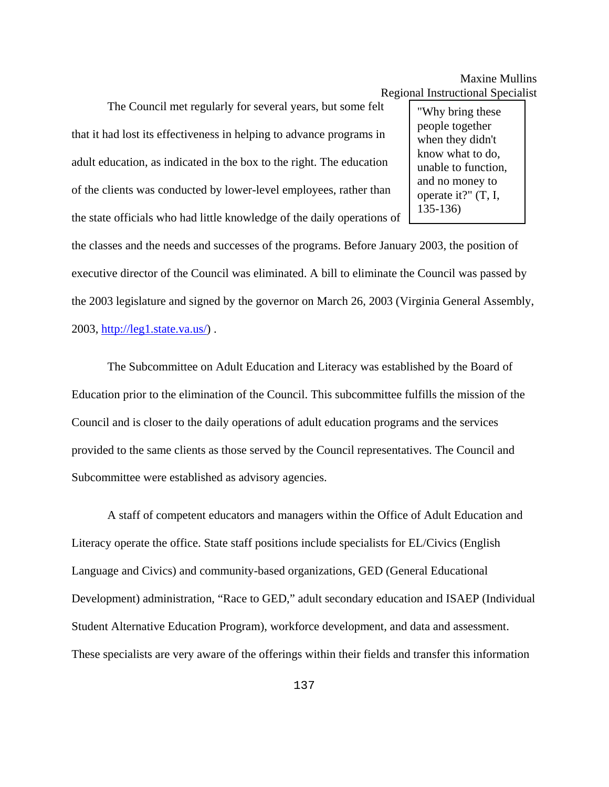The Council met regularly for several years, but some felt that it had lost its effectiveness in helping to advance programs in adult education, as indicated in the box to the right. The education of the clients was conducted by lower-level employees, rather than the state officials who had little knowledge of the daily operations of

"Why bring these people together when they didn't know what to do, unable to function, and no money to operate it?" (T, I, 135-136)

the classes and the needs and successes of the programs. Before January 2003, the position of executive director of the Council was eliminated. A bill to eliminate the Council was passed by the 2003 legislature and signed by the governor on March 26, 2003 (Virginia General Assembly, 2003, [http://leg1.state.va.us/\)](http://leg1.state.va.us/) .

 The Subcommittee on Adult Education and Literacy was established by the Board of Education prior to the elimination of the Council. This subcommittee fulfills the mission of the Council and is closer to the daily operations of adult education programs and the services provided to the same clients as those served by the Council representatives. The Council and Subcommittee were established as advisory agencies.

A staff of competent educators and managers within the Office of Adult Education and Literacy operate the office. State staff positions include specialists for EL/Civics (English Language and Civics) and community-based organizations, GED (General Educational Development) administration, "Race to GED," adult secondary education and ISAEP (Individual Student Alternative Education Program), workforce development, and data and assessment. These specialists are very aware of the offerings within their fields and transfer this information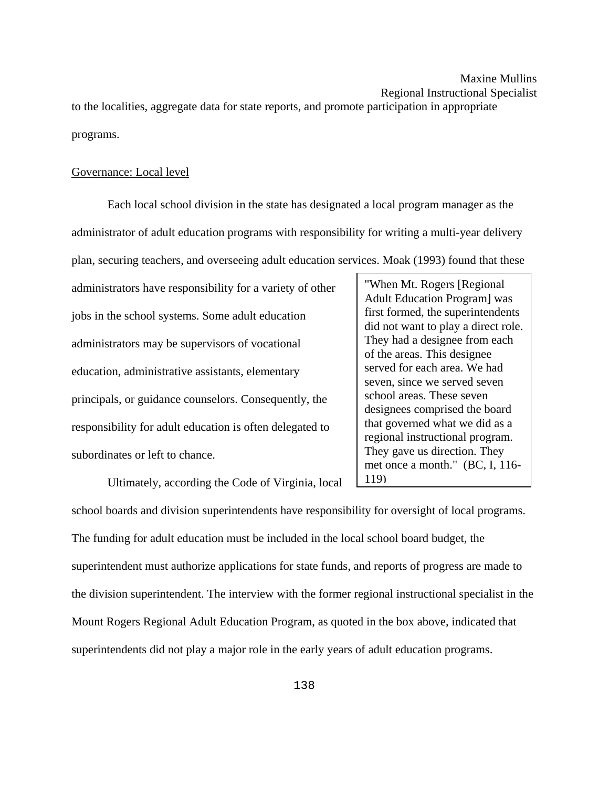Regional Instructional Specialist

to the localities, aggregate data for state reports, and promote participation in appropriate programs.

## Governance: Local level

Each local school division in the state has designated a local program manager as the administrator of adult education programs with responsibility for writing a multi-year delivery plan, securing teachers, and overseeing adult education services. Moak (1993) found that these

administrators have responsibility for a variety of other jobs in the school systems. Some adult education administrators may be supervisors of vocational education, administrative assistants, elementary principals, or guidance counselors. Consequently, the responsibility for adult education is often delegated to subordinates or left to chance.

"When Mt. Rogers [Regional Adult Education Program] was first formed, the superintendents did not want to play a direct role. They had a designee from each of the areas. This designee served for each area. We had seven, since we served seven school areas. These seven designees comprised the board that governed what we did as a regional instructional program. They gave us direction. They met once a month." (BC, I, 116- 119)

Ultimately, according the Code of Virginia, local

school boards and division superintendents have responsibility for oversight of local programs. The funding for adult education must be included in the local school board budget, the superintendent must authorize applications for state funds, and reports of progress are made to the division superintendent. The interview with the former regional instructional specialist in the Mount Rogers Regional Adult Education Program, as quoted in the box above, indicated that superintendents did not play a major role in the early years of adult education programs.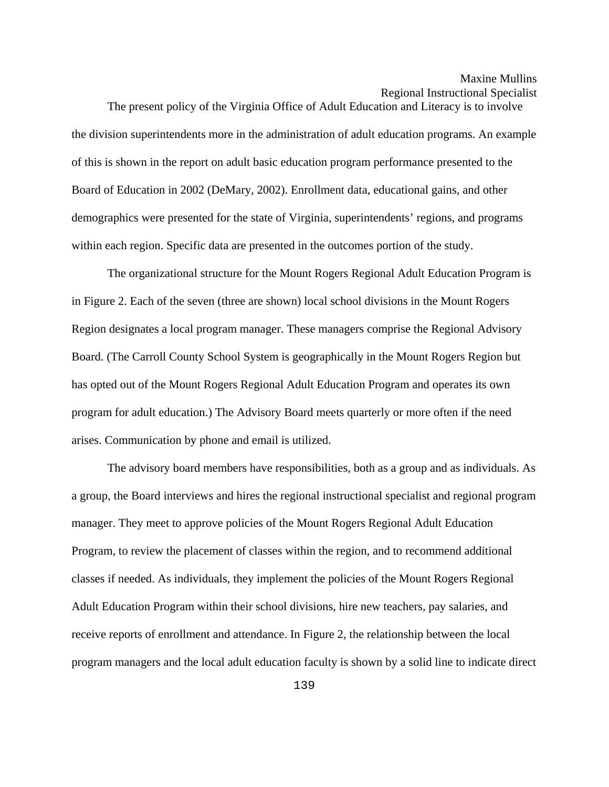Regional Instructional Specialist

 The present policy of the Virginia Office of Adult Education and Literacy is to involve the division superintendents more in the administration of adult education programs. An example of this is shown in the report on adult basic education program performance presented to the Board of Education in 2002 (DeMary, 2002). Enrollment data, educational gains, and other demographics were presented for the state of Virginia, superintendents' regions, and programs within each region. Specific data are presented in the outcomes portion of the study.

 The organizational structure for the Mount Rogers Regional Adult Education Program is in Figure 2. Each of the seven (three are shown) local school divisions in the Mount Rogers Region designates a local program manager. These managers comprise the Regional Advisory Board. (The Carroll County School System is geographically in the Mount Rogers Region but has opted out of the Mount Rogers Regional Adult Education Program and operates its own program for adult education.) The Advisory Board meets quarterly or more often if the need arises. Communication by phone and email is utilized.

 The advisory board members have responsibilities, both as a group and as individuals. As a group, the Board interviews and hires the regional instructional specialist and regional program manager. They meet to approve policies of the Mount Rogers Regional Adult Education Program, to review the placement of classes within the region, and to recommend additional classes if needed. As individuals, they implement the policies of the Mount Rogers Regional Adult Education Program within their school divisions, hire new teachers, pay salaries, and receive reports of enrollment and attendance. In Figure 2, the relationship between the local program managers and the local adult education faculty is shown by a solid line to indicate direct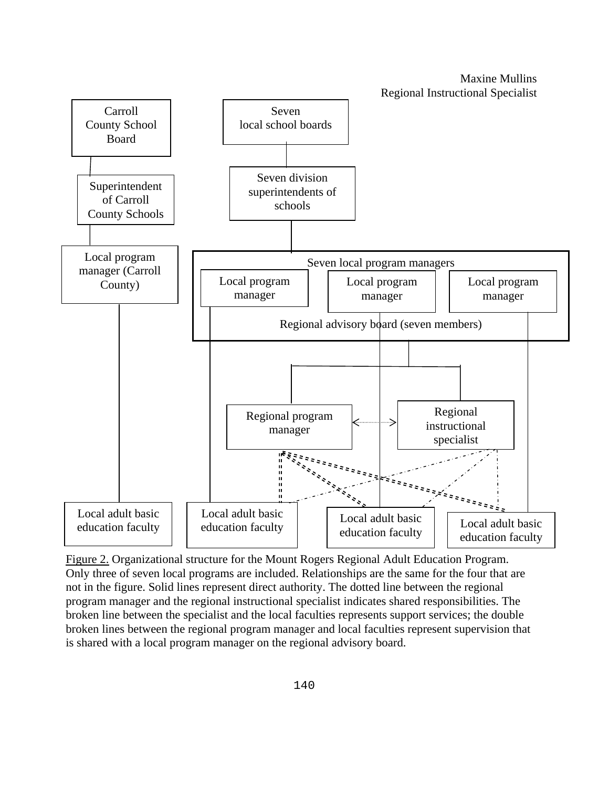Maxine Mullins Regional Instructional Specialist



Figure 2. Organizational structure for the Mount Rogers Regional Adult Education Program. Only three of seven local programs are included. Relationships are the same for the four that are not in the figure. Solid lines represent direct authority. The dotted line between the regional program manager and the regional instructional specialist indicates shared responsibilities. The broken line between the specialist and the local faculties represents support services; the double broken lines between the regional program manager and local faculties represent supervision that is shared with a local program manager on the regional advisory board.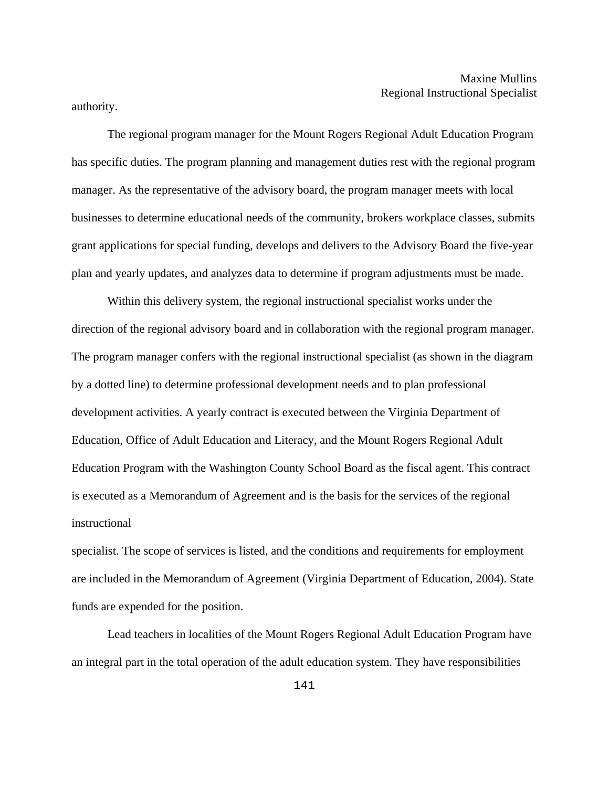authority.

 The regional program manager for the Mount Rogers Regional Adult Education Program has specific duties. The program planning and management duties rest with the regional program manager. As the representative of the advisory board, the program manager meets with local businesses to determine educational needs of the community, brokers workplace classes, submits grant applications for special funding, develops and delivers to the Advisory Board the five-year plan and yearly updates, and analyzes data to determine if program adjustments must be made.

 Within this delivery system, the regional instructional specialist works under the direction of the regional advisory board and in collaboration with the regional program manager. The program manager confers with the regional instructional specialist (as shown in the diagram by a dotted line) to determine professional development needs and to plan professional development activities. A yearly contract is executed between the Virginia Department of Education, Office of Adult Education and Literacy, and the Mount Rogers Regional Adult Education Program with the Washington County School Board as the fiscal agent. This contract is executed as a Memorandum of Agreement and is the basis for the services of the regional instructional

specialist. The scope of services is listed, and the conditions and requirements for employment are included in the Memorandum of Agreement (Virginia Department of Education, 2004). State funds are expended for the position.

 Lead teachers in localities of the Mount Rogers Regional Adult Education Program have an integral part in the total operation of the adult education system. They have responsibilities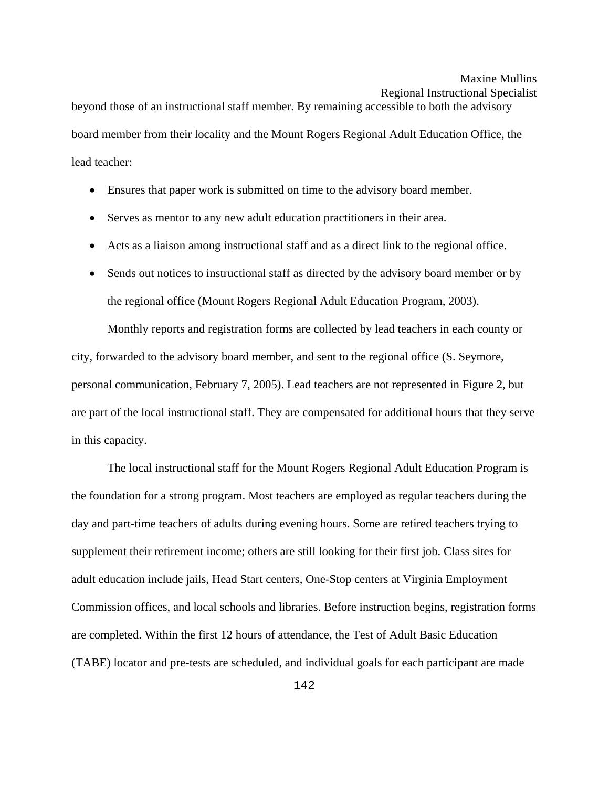Regional Instructional Specialist

beyond those of an instructional staff member. By remaining accessible to both the advisory board member from their locality and the Mount Rogers Regional Adult Education Office, the lead teacher:

- Ensures that paper work is submitted on time to the advisory board member.
- Serves as mentor to any new adult education practitioners in their area.
- Acts as a liaison among instructional staff and as a direct link to the regional office.
- Sends out notices to instructional staff as directed by the advisory board member or by the regional office (Mount Rogers Regional Adult Education Program, 2003).

 Monthly reports and registration forms are collected by lead teachers in each county or city, forwarded to the advisory board member, and sent to the regional office (S. Seymore, personal communication, February 7, 2005). Lead teachers are not represented in Figure 2, but are part of the local instructional staff. They are compensated for additional hours that they serve in this capacity.

 The local instructional staff for the Mount Rogers Regional Adult Education Program is the foundation for a strong program. Most teachers are employed as regular teachers during the day and part-time teachers of adults during evening hours. Some are retired teachers trying to supplement their retirement income; others are still looking for their first job. Class sites for adult education include jails, Head Start centers, One-Stop centers at Virginia Employment Commission offices, and local schools and libraries. Before instruction begins, registration forms are completed. Within the first 12 hours of attendance, the Test of Adult Basic Education (TABE) locator and pre-tests are scheduled, and individual goals for each participant are made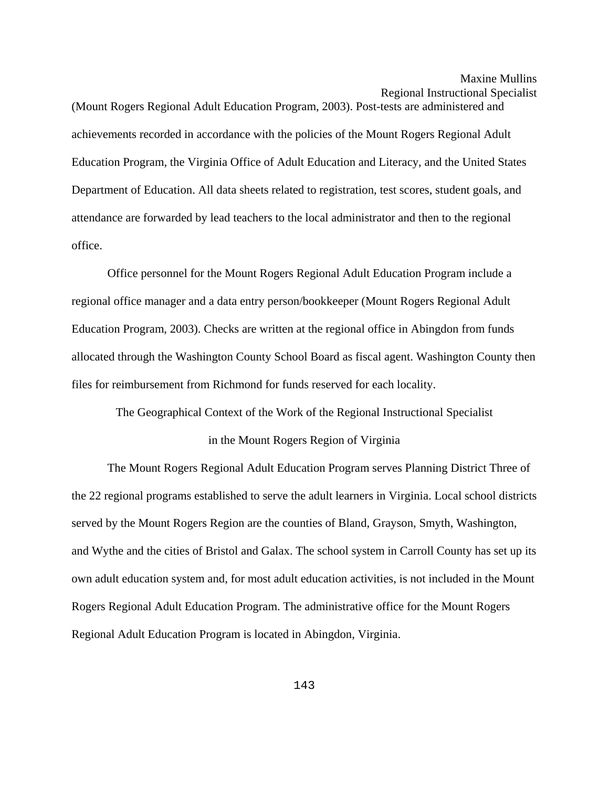Regional Instructional Specialist

(Mount Rogers Regional Adult Education Program, 2003). Post-tests are administered and achievements recorded in accordance with the policies of the Mount Rogers Regional Adult Education Program, the Virginia Office of Adult Education and Literacy, and the United States Department of Education. All data sheets related to registration, test scores, student goals, and attendance are forwarded by lead teachers to the local administrator and then to the regional office.

 Office personnel for the Mount Rogers Regional Adult Education Program include a regional office manager and a data entry person/bookkeeper (Mount Rogers Regional Adult Education Program, 2003). Checks are written at the regional office in Abingdon from funds allocated through the Washington County School Board as fiscal agent. Washington County then files for reimbursement from Richmond for funds reserved for each locality.

The Geographical Context of the Work of the Regional Instructional Specialist

### in the Mount Rogers Region of Virginia

 The Mount Rogers Regional Adult Education Program serves Planning District Three of the 22 regional programs established to serve the adult learners in Virginia. Local school districts served by the Mount Rogers Region are the counties of Bland, Grayson, Smyth, Washington, and Wythe and the cities of Bristol and Galax. The school system in Carroll County has set up its own adult education system and, for most adult education activities, is not included in the Mount Rogers Regional Adult Education Program. The administrative office for the Mount Rogers Regional Adult Education Program is located in Abingdon, Virginia.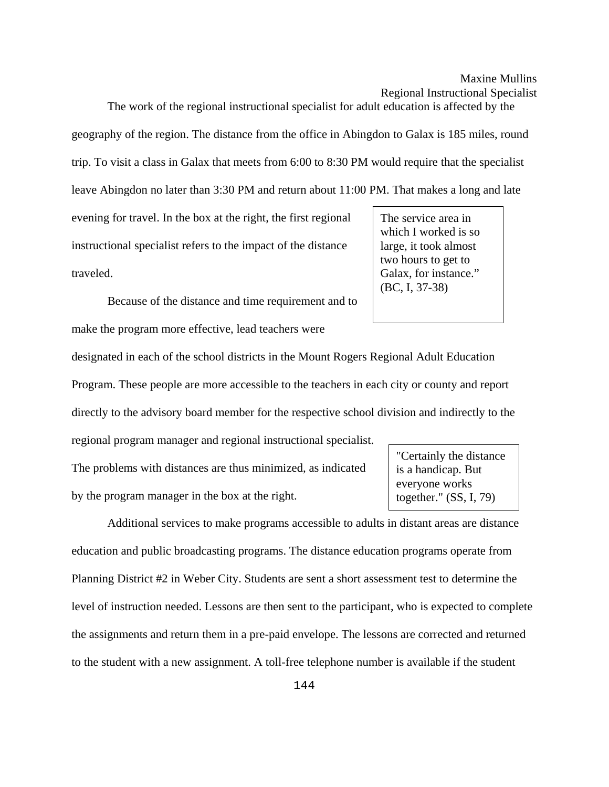The work of the regional instructional specialist for adult education is affected by the geography of the region. The distance from the office in Abingdon to Galax is 185 miles, round trip. To visit a class in Galax that meets from 6:00 to 8:30 PM would require that the specialist leave Abingdon no later than 3:30 PM and return about 11:00 PM. That makes a long and late

evening for travel. In the box at the right, the first regional instructional specialist refers to the impact of the distance traveled.

The service area in which I worked is so large, it took almost two hours to get to Galax, for instance." (BC, I, 37-38)

Because of the distance and time requirement and to make the program more effective, lead teachers were

designated in each of the school districts in the Mount Rogers Regional Adult Education Program. These people are more accessible to the teachers in each city or county and report directly to the advisory board member for the respective school division and indirectly to the

The problems with distances are thus minimized, as indicated by the program manager in the box at the right.

regional program manager and regional instructional specialist.

Additional services to make programs accessible to adults in distant areas are distance education and public broadcasting programs. The distance education programs operate from Planning District #2 in Weber City. Students are sent a short assessment test to determine the level of instruction needed. Lessons are then sent to the participant, who is expected to complete the assignments and return them in a pre-paid envelope. The lessons are corrected and returned to the student with a new assignment. A toll-free telephone number is available if the student

"Certainly the distance is a handicap. But everyone works together." (SS, I, 79)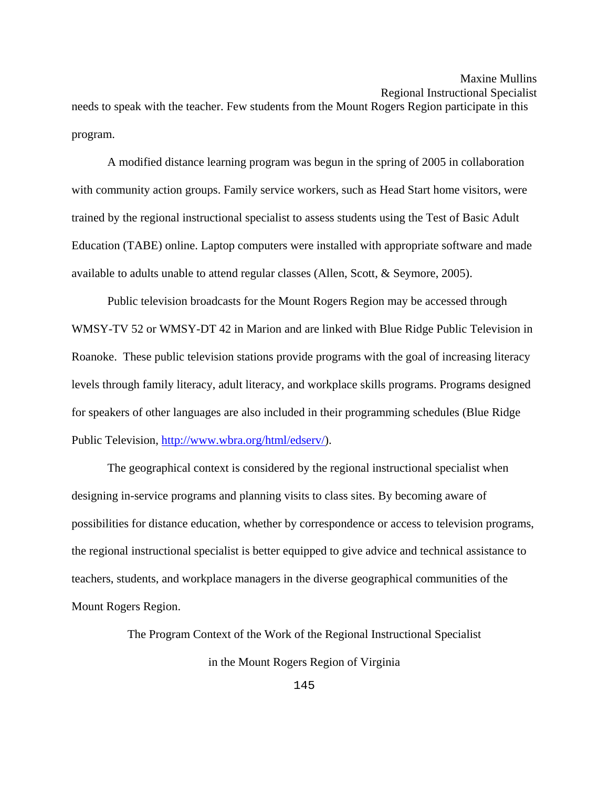Regional Instructional Specialist

needs to speak with the teacher. Few students from the Mount Rogers Region participate in this program.

A modified distance learning program was begun in the spring of 2005 in collaboration with community action groups. Family service workers, such as Head Start home visitors, were trained by the regional instructional specialist to assess students using the Test of Basic Adult Education (TABE) online. Laptop computers were installed with appropriate software and made available to adults unable to attend regular classes (Allen, Scott, & Seymore, 2005).

Public television broadcasts for the Mount Rogers Region may be accessed through WMSY-TV 52 or WMSY-DT 42 in Marion and are linked with Blue Ridge Public Television in Roanoke. These public television stations provide programs with the goal of increasing literacy levels through family literacy, adult literacy, and workplace skills programs. Programs designed for speakers of other languages are also included in their programming schedules (Blue Ridge Public Television, [http://www.wbra.org/html/edserv/\)](http://www.wbra.org/html/edserv/).

The geographical context is considered by the regional instructional specialist when designing in-service programs and planning visits to class sites. By becoming aware of possibilities for distance education, whether by correspondence or access to television programs, the regional instructional specialist is better equipped to give advice and technical assistance to teachers, students, and workplace managers in the diverse geographical communities of the Mount Rogers Region.

> The Program Context of the Work of the Regional Instructional Specialist in the Mount Rogers Region of Virginia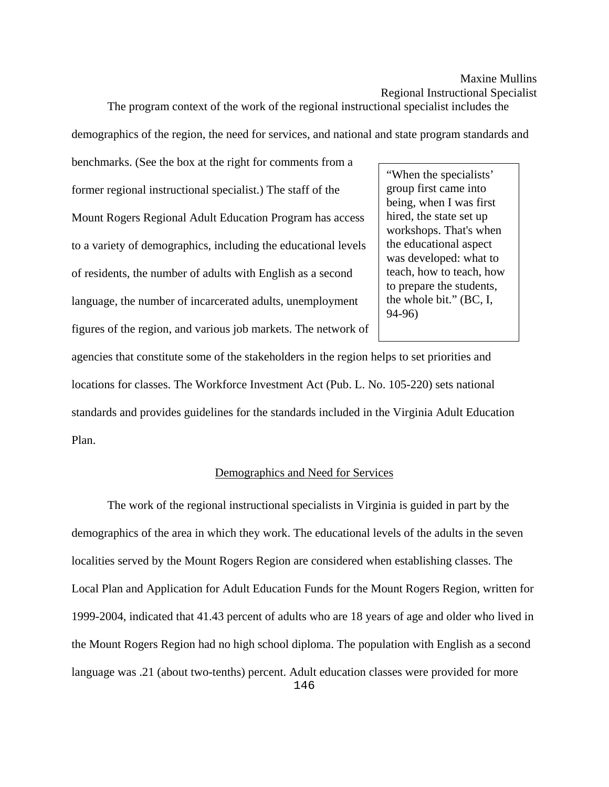demographics of the region, the need for services, and national and state program standards and

benchmarks. (See the box at the right for comments from a former regional instructional specialist.) The staff of the Mount Rogers Regional Adult Education Program has access to a variety of demographics, including the educational levels of residents, the number of adults with English as a second language, the number of incarcerated adults, unemployment figures of the region, and various job markets. The network of

"When the specialists' group first came into being, when I was first hired, the state set up workshops. That's when the educational aspect was developed: what to teach, how to teach, how to prepare the students, the whole bit." (BC, I, 94-96)

agencies that constitute some of the stakeholders in the region helps to set priorities and locations for classes. The Workforce Investment Act (Pub. L. No. 105-220) sets national standards and provides guidelines for the standards included in the Virginia Adult Education Plan.

## Demographics and Need for Services

146 The work of the regional instructional specialists in Virginia is guided in part by the demographics of the area in which they work. The educational levels of the adults in the seven localities served by the Mount Rogers Region are considered when establishing classes. The Local Plan and Application for Adult Education Funds for the Mount Rogers Region, written for 1999-2004, indicated that 41.43 percent of adults who are 18 years of age and older who lived in the Mount Rogers Region had no high school diploma. The population with English as a second language was .21 (about two-tenths) percent. Adult education classes were provided for more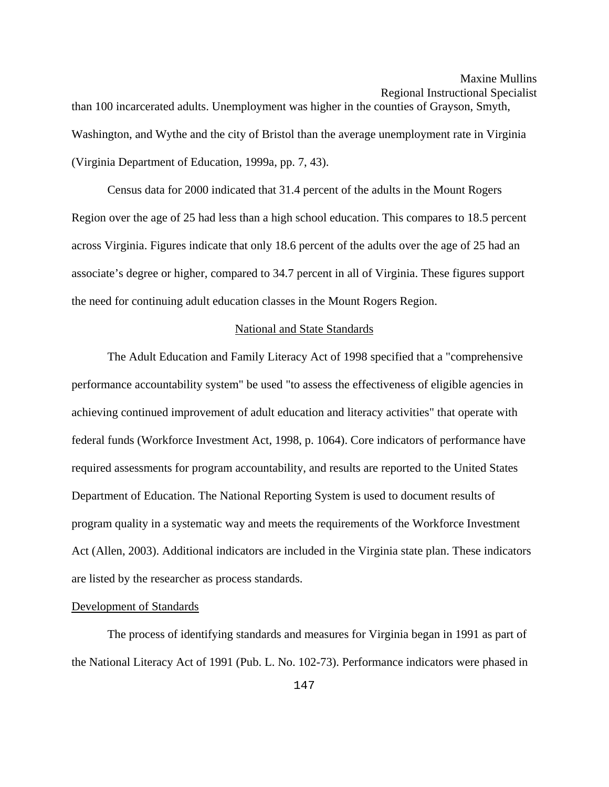than 100 incarcerated adults. Unemployment was higher in the counties of Grayson, Smyth, Washington, and Wythe and the city of Bristol than the average unemployment rate in Virginia (Virginia Department of Education, 1999a, pp. 7, 43).

 Census data for 2000 indicated that 31.4 percent of the adults in the Mount Rogers Region over the age of 25 had less than a high school education. This compares to 18.5 percent across Virginia. Figures indicate that only 18.6 percent of the adults over the age of 25 had an associate's degree or higher, compared to 34.7 percent in all of Virginia. These figures support the need for continuing adult education classes in the Mount Rogers Region.

### National and State Standards

 The Adult Education and Family Literacy Act of 1998 specified that a "comprehensive performance accountability system" be used "to assess the effectiveness of eligible agencies in achieving continued improvement of adult education and literacy activities" that operate with federal funds (Workforce Investment Act, 1998, p. 1064). Core indicators of performance have required assessments for program accountability, and results are reported to the United States Department of Education. The National Reporting System is used to document results of program quality in a systematic way and meets the requirements of the Workforce Investment Act (Allen, 2003). Additional indicators are included in the Virginia state plan. These indicators are listed by the researcher as process standards.

### Development of Standards

 The process of identifying standards and measures for Virginia began in 1991 as part of the National Literacy Act of 1991 (Pub. L. No. 102-73). Performance indicators were phased in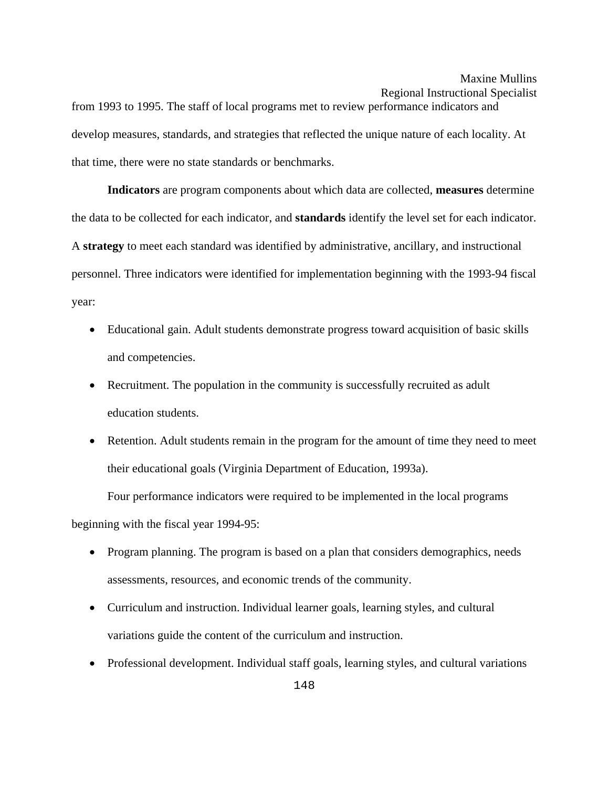from 1993 to 1995. The staff of local programs met to review performance indicators and develop measures, standards, and strategies that reflected the unique nature of each locality. At that time, there were no state standards or benchmarks.

**Indicators** are program components about which data are collected, **measures** determine the data to be collected for each indicator, and **standards** identify the level set for each indicator. A **strategy** to meet each standard was identified by administrative, ancillary, and instructional personnel. Three indicators were identified for implementation beginning with the 1993-94 fiscal year:

- Educational gain. Adult students demonstrate progress toward acquisition of basic skills and competencies.
- Recruitment. The population in the community is successfully recruited as adult education students.
- Retention. Adult students remain in the program for the amount of time they need to meet their educational goals (Virginia Department of Education, 1993a).

 Four performance indicators were required to be implemented in the local programs beginning with the fiscal year 1994-95:

- Program planning. The program is based on a plan that considers demographics, needs assessments, resources, and economic trends of the community.
- Curriculum and instruction. Individual learner goals, learning styles, and cultural variations guide the content of the curriculum and instruction.
- Professional development. Individual staff goals, learning styles, and cultural variations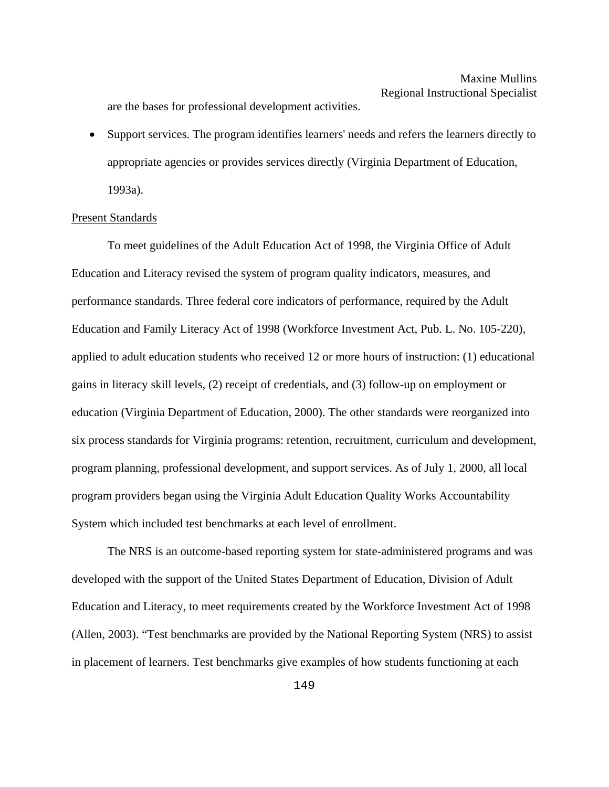are the bases for professional development activities.

• Support services. The program identifies learners' needs and refers the learners directly to appropriate agencies or provides services directly (Virginia Department of Education, 1993a).

### Present Standards

 To meet guidelines of the Adult Education Act of 1998, the Virginia Office of Adult Education and Literacy revised the system of program quality indicators, measures, and performance standards. Three federal core indicators of performance, required by the Adult Education and Family Literacy Act of 1998 (Workforce Investment Act, Pub. L. No. 105-220), applied to adult education students who received 12 or more hours of instruction: (1) educational gains in literacy skill levels, (2) receipt of credentials, and (3) follow-up on employment or education (Virginia Department of Education, 2000). The other standards were reorganized into six process standards for Virginia programs: retention, recruitment, curriculum and development, program planning, professional development, and support services. As of July 1, 2000, all local program providers began using the Virginia Adult Education Quality Works Accountability System which included test benchmarks at each level of enrollment.

 The NRS is an outcome-based reporting system for state-administered programs and was developed with the support of the United States Department of Education, Division of Adult Education and Literacy, to meet requirements created by the Workforce Investment Act of 1998 (Allen, 2003). "Test benchmarks are provided by the National Reporting System (NRS) to assist in placement of learners. Test benchmarks give examples of how students functioning at each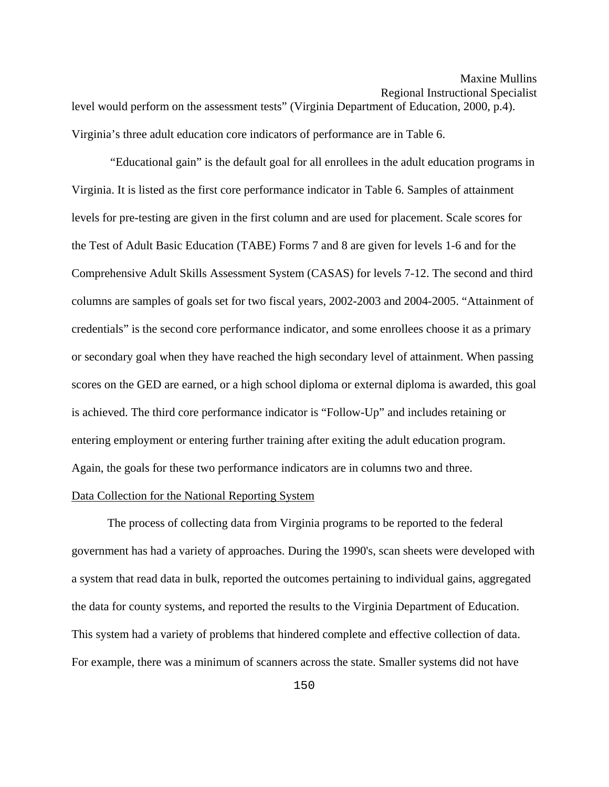level would perform on the assessment tests" (Virginia Department of Education, 2000, p.4). Virginia's three adult education core indicators of performance are in Table 6.

 "Educational gain" is the default goal for all enrollees in the adult education programs in Virginia. It is listed as the first core performance indicator in Table 6. Samples of attainment levels for pre-testing are given in the first column and are used for placement. Scale scores for the Test of Adult Basic Education (TABE) Forms 7 and 8 are given for levels 1-6 and for the Comprehensive Adult Skills Assessment System (CASAS) for levels 7-12. The second and third columns are samples of goals set for two fiscal years, 2002-2003 and 2004-2005. "Attainment of credentials" is the second core performance indicator, and some enrollees choose it as a primary or secondary goal when they have reached the high secondary level of attainment. When passing scores on the GED are earned, or a high school diploma or external diploma is awarded, this goal is achieved. The third core performance indicator is "Follow-Up" and includes retaining or entering employment or entering further training after exiting the adult education program. Again, the goals for these two performance indicators are in columns two and three.

#### Data Collection for the National Reporting System

 The process of collecting data from Virginia programs to be reported to the federal government has had a variety of approaches. During the 1990's, scan sheets were developed with a system that read data in bulk, reported the outcomes pertaining to individual gains, aggregated the data for county systems, and reported the results to the Virginia Department of Education. This system had a variety of problems that hindered complete and effective collection of data. For example, there was a minimum of scanners across the state. Smaller systems did not have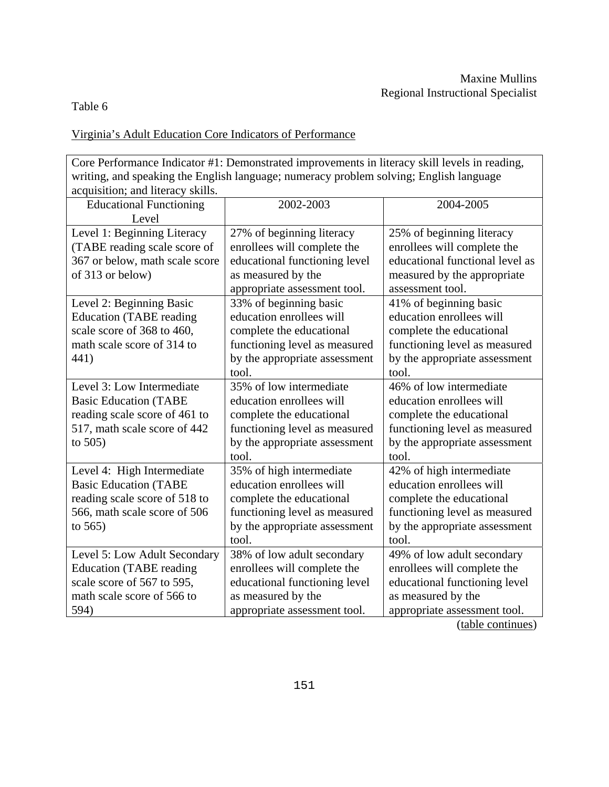# Table 6

Virginia's Adult Education Core Indicators of Performance

Core Performance Indicator #1: Demonstrated improvements in literacy skill levels in reading, writing, and speaking the English language; numeracy problem solving; English language acquisition; and literacy skills.

| $acquation, and increase g$<br><b>Educational Functioning</b> | 2002-2003                     | 2004-2005                       |
|---------------------------------------------------------------|-------------------------------|---------------------------------|
| Level                                                         |                               |                                 |
| Level 1: Beginning Literacy                                   | 27% of beginning literacy     | 25% of beginning literacy       |
| (TABE reading scale score of                                  | enrollees will complete the   | enrollees will complete the     |
| 367 or below, math scale score                                | educational functioning level | educational functional level as |
| of 313 or below)                                              | as measured by the            | measured by the appropriate     |
|                                                               | appropriate assessment tool.  | assessment tool.                |
| Level 2: Beginning Basic                                      | 33% of beginning basic        | 41% of beginning basic          |
| <b>Education (TABE reading</b>                                | education enrollees will      | education enrollees will        |
| scale score of 368 to 460,                                    | complete the educational      | complete the educational        |
| math scale score of 314 to                                    | functioning level as measured | functioning level as measured   |
| 441)                                                          | by the appropriate assessment | by the appropriate assessment   |
|                                                               | tool.                         | tool.                           |
| Level 3: Low Intermediate                                     | 35% of low intermediate       | 46% of low intermediate         |
| <b>Basic Education (TABE</b>                                  | education enrollees will      | education enrollees will        |
| reading scale score of 461 to                                 | complete the educational      | complete the educational        |
| 517, math scale score of 442                                  | functioning level as measured | functioning level as measured   |
| to $505$ )                                                    | by the appropriate assessment | by the appropriate assessment   |
|                                                               | tool.                         | tool.                           |
| Level 4: High Intermediate                                    | 35% of high intermediate      | 42% of high intermediate        |
| <b>Basic Education (TABE</b>                                  | education enrollees will      | education enrollees will        |
| reading scale score of 518 to                                 | complete the educational      | complete the educational        |
| 566, math scale score of 506                                  | functioning level as measured | functioning level as measured   |
| to $565$ )                                                    | by the appropriate assessment | by the appropriate assessment   |
|                                                               | tool.                         | tool.                           |
| Level 5: Low Adult Secondary                                  | 38% of low adult secondary    | 49% of low adult secondary      |
| <b>Education (TABE reading</b>                                | enrollees will complete the   | enrollees will complete the     |
| scale score of 567 to 595,                                    | educational functioning level | educational functioning level   |
| math scale score of 566 to                                    | as measured by the            | as measured by the              |
| 594)                                                          | appropriate assessment tool.  | appropriate assessment tool.    |

(table continues)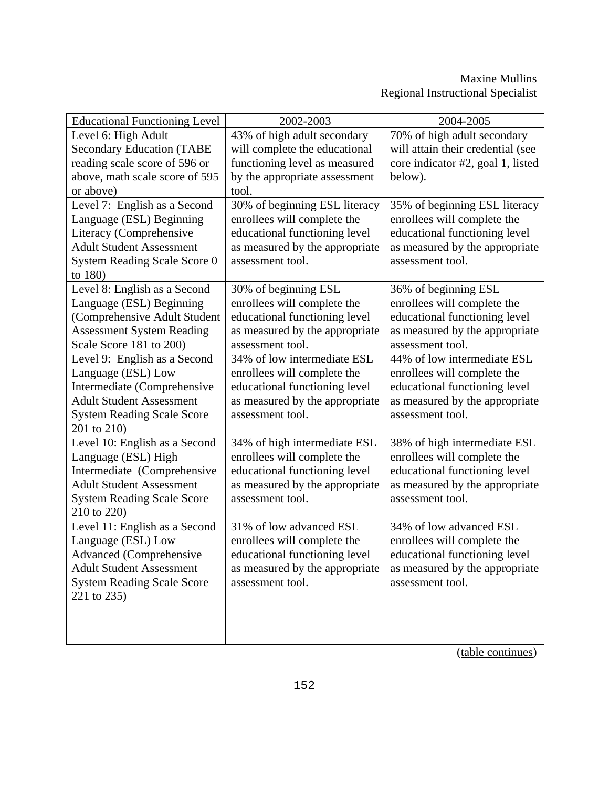| <b>Educational Functioning Level</b> | 2002-2003                      | 2004-2005                         |
|--------------------------------------|--------------------------------|-----------------------------------|
| Level 6: High Adult                  | 43% of high adult secondary    | 70% of high adult secondary       |
| <b>Secondary Education (TABE</b>     | will complete the educational  | will attain their credential (see |
| reading scale score of 596 or        | functioning level as measured  | core indicator #2, goal 1, listed |
| above, math scale score of 595       | by the appropriate assessment  | below).                           |
| or above)                            | tool.                          |                                   |
| Level 7: English as a Second         | 30% of beginning ESL literacy  | 35% of beginning ESL literacy     |
| Language (ESL) Beginning             | enrollees will complete the    | enrollees will complete the       |
| Literacy (Comprehensive              | educational functioning level  | educational functioning level     |
| <b>Adult Student Assessment</b>      | as measured by the appropriate | as measured by the appropriate    |
| <b>System Reading Scale Score 0</b>  | assessment tool.               | assessment tool.                  |
| to 180)                              |                                |                                   |
| Level 8: English as a Second         | 30% of beginning ESL           | 36% of beginning ESL              |
| Language (ESL) Beginning             | enrollees will complete the    | enrollees will complete the       |
| (Comprehensive Adult Student         | educational functioning level  | educational functioning level     |
| <b>Assessment System Reading</b>     | as measured by the appropriate | as measured by the appropriate    |
| Scale Score 181 to 200)              | assessment tool.               | assessment tool.                  |
| Level 9: English as a Second         | 34% of low intermediate ESL    | 44% of low intermediate ESL       |
| Language (ESL) Low                   | enrollees will complete the    | enrollees will complete the       |
| Intermediate (Comprehensive          | educational functioning level  | educational functioning level     |
| <b>Adult Student Assessment</b>      | as measured by the appropriate | as measured by the appropriate    |
| <b>System Reading Scale Score</b>    | assessment tool.               | assessment tool.                  |
| 201 to 210)                          |                                |                                   |
| Level 10: English as a Second        | 34% of high intermediate ESL   | 38% of high intermediate ESL      |
| Language (ESL) High                  | enrollees will complete the    | enrollees will complete the       |
| Intermediate (Comprehensive          | educational functioning level  | educational functioning level     |
| <b>Adult Student Assessment</b>      | as measured by the appropriate | as measured by the appropriate    |
| <b>System Reading Scale Score</b>    | assessment tool.               | assessment tool.                  |
| 210 to 220)                          |                                |                                   |
| Level 11: English as a Second        | 31% of low advanced ESL        | 34% of low advanced ESL           |
| Language (ESL) Low                   | enrollees will complete the    | enrollees will complete the       |
| <b>Advanced</b> (Comprehensive       | educational functioning level  | educational functioning level     |
| <b>Adult Student Assessment</b>      | as measured by the appropriate | as measured by the appropriate    |
| <b>System Reading Scale Score</b>    | assessment tool.               | assessment tool.                  |
| 221 to 235)                          |                                |                                   |
|                                      |                                |                                   |
|                                      |                                |                                   |
|                                      |                                |                                   |

(table continues)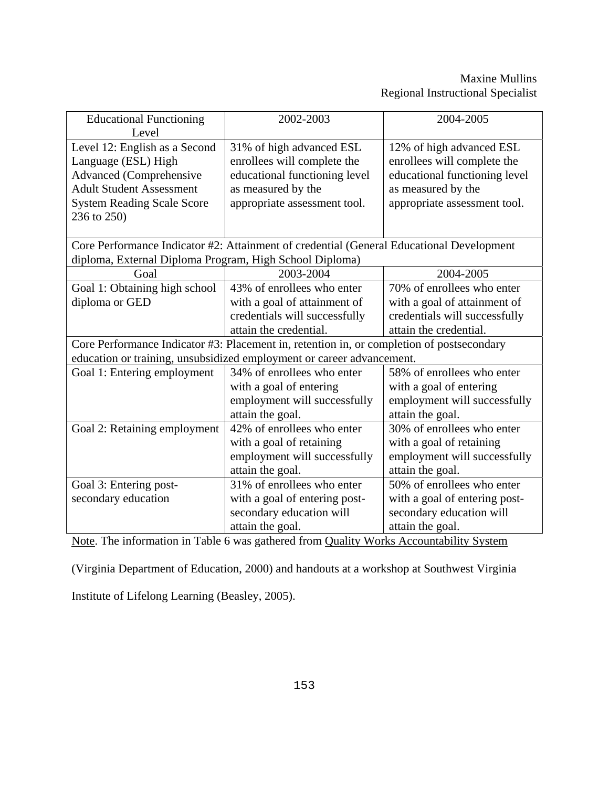| <b>Educational Functioning</b><br>Level                                                                                                                                       | 2002-2003                                                                                                                                      | 2004-2005                                                                                                                                      |  |
|-------------------------------------------------------------------------------------------------------------------------------------------------------------------------------|------------------------------------------------------------------------------------------------------------------------------------------------|------------------------------------------------------------------------------------------------------------------------------------------------|--|
| Level 12: English as a Second<br>Language (ESL) High<br><b>Advanced</b> (Comprehensive<br><b>Adult Student Assessment</b><br><b>System Reading Scale Score</b><br>236 to 250) | 31% of high advanced ESL<br>enrollees will complete the<br>educational functioning level<br>as measured by the<br>appropriate assessment tool. | 12% of high advanced ESL<br>enrollees will complete the<br>educational functioning level<br>as measured by the<br>appropriate assessment tool. |  |
| Core Performance Indicator #2: Attainment of credential (General Educational Development<br>diploma, External Diploma Program, High School Diploma)                           |                                                                                                                                                |                                                                                                                                                |  |
| Goal                                                                                                                                                                          | 2003-2004                                                                                                                                      | 2004-2005                                                                                                                                      |  |
| Goal 1: Obtaining high school                                                                                                                                                 | 43% of enrollees who enter                                                                                                                     | 70% of enrollees who enter                                                                                                                     |  |
| diploma or GED                                                                                                                                                                | with a goal of attainment of                                                                                                                   | with a goal of attainment of                                                                                                                   |  |
|                                                                                                                                                                               | credentials will successfully                                                                                                                  | credentials will successfully                                                                                                                  |  |
|                                                                                                                                                                               | attain the credential.                                                                                                                         | attain the credential.                                                                                                                         |  |
|                                                                                                                                                                               | Core Performance Indicator #3: Placement in, retention in, or completion of postsecondary                                                      |                                                                                                                                                |  |
| education or training, unsubsidized employment or career advancement.                                                                                                         |                                                                                                                                                |                                                                                                                                                |  |
| Goal 1: Entering employment                                                                                                                                                   | 34% of enrollees who enter                                                                                                                     | 58% of enrollees who enter                                                                                                                     |  |
|                                                                                                                                                                               | with a goal of entering                                                                                                                        | with a goal of entering                                                                                                                        |  |
|                                                                                                                                                                               | employment will successfully                                                                                                                   | employment will successfully                                                                                                                   |  |
|                                                                                                                                                                               | attain the goal.                                                                                                                               | attain the goal.                                                                                                                               |  |
| Goal 2: Retaining employment                                                                                                                                                  | 42% of enrollees who enter                                                                                                                     | 30% of enrollees who enter                                                                                                                     |  |
|                                                                                                                                                                               | with a goal of retaining                                                                                                                       | with a goal of retaining                                                                                                                       |  |
|                                                                                                                                                                               | employment will successfully                                                                                                                   | employment will successfully                                                                                                                   |  |
|                                                                                                                                                                               | attain the goal.                                                                                                                               | attain the goal.                                                                                                                               |  |
| Goal 3: Entering post-                                                                                                                                                        | 31% of enrollees who enter                                                                                                                     | 50% of enrollees who enter                                                                                                                     |  |
| secondary education                                                                                                                                                           | with a goal of entering post-                                                                                                                  | with a goal of entering post-                                                                                                                  |  |
|                                                                                                                                                                               | secondary education will                                                                                                                       | secondary education will                                                                                                                       |  |
|                                                                                                                                                                               | attain the goal.                                                                                                                               | attain the goal.                                                                                                                               |  |

Note. The information in Table 6 was gathered from Quality Works Accountability System

(Virginia Department of Education, 2000) and handouts at a workshop at Southwest Virginia

Institute of Lifelong Learning (Beasley, 2005).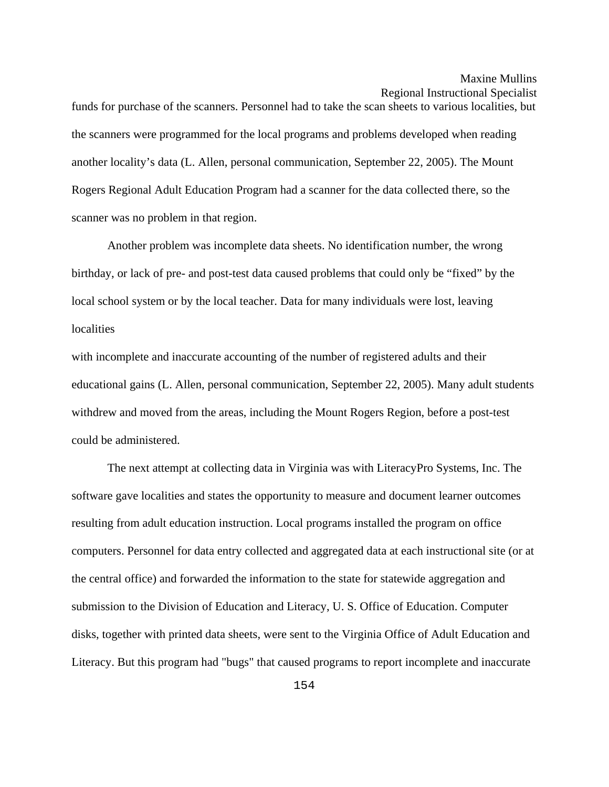funds for purchase of the scanners. Personnel had to take the scan sheets to various localities, but the scanners were programmed for the local programs and problems developed when reading another locality's data (L. Allen, personal communication, September 22, 2005). The Mount Rogers Regional Adult Education Program had a scanner for the data collected there, so the scanner was no problem in that region.

 Another problem was incomplete data sheets. No identification number, the wrong birthday, or lack of pre- and post-test data caused problems that could only be "fixed" by the local school system or by the local teacher. Data for many individuals were lost, leaving localities

with incomplete and inaccurate accounting of the number of registered adults and their educational gains (L. Allen, personal communication, September 22, 2005). Many adult students withdrew and moved from the areas, including the Mount Rogers Region, before a post-test could be administered.

 The next attempt at collecting data in Virginia was with LiteracyPro Systems, Inc. The software gave localities and states the opportunity to measure and document learner outcomes resulting from adult education instruction. Local programs installed the program on office computers. Personnel for data entry collected and aggregated data at each instructional site (or at the central office) and forwarded the information to the state for statewide aggregation and submission to the Division of Education and Literacy, U. S. Office of Education. Computer disks, together with printed data sheets, were sent to the Virginia Office of Adult Education and Literacy. But this program had "bugs" that caused programs to report incomplete and inaccurate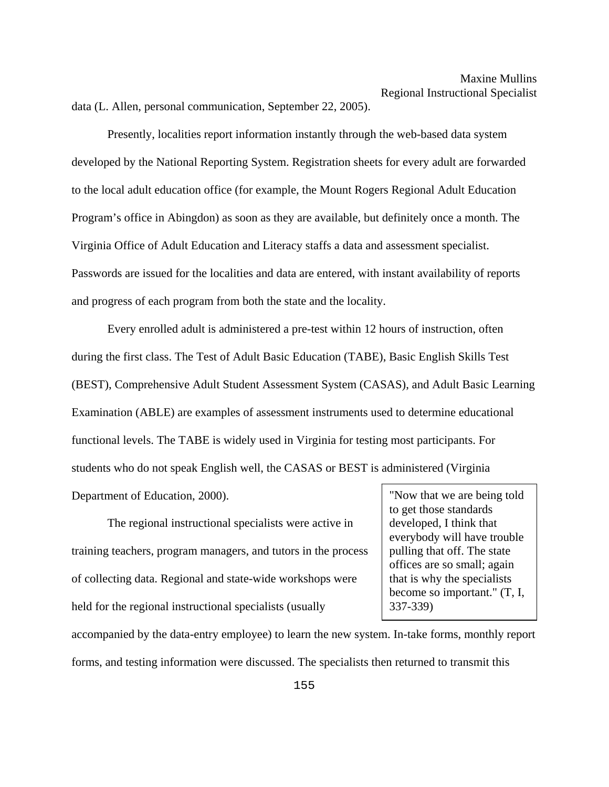data (L. Allen, personal communication, September 22, 2005).

 Presently, localities report information instantly through the web-based data system developed by the National Reporting System. Registration sheets for every adult are forwarded to the local adult education office (for example, the Mount Rogers Regional Adult Education Program's office in Abingdon) as soon as they are available, but definitely once a month. The Virginia Office of Adult Education and Literacy staffs a data and assessment specialist. Passwords are issued for the localities and data are entered, with instant availability of reports and progress of each program from both the state and the locality.

 Every enrolled adult is administered a pre-test within 12 hours of instruction, often during the first class. The Test of Adult Basic Education (TABE), Basic English Skills Test (BEST), Comprehensive Adult Student Assessment System (CASAS), and Adult Basic Learning Examination (ABLE) are examples of assessment instruments used to determine educational functional levels. The TABE is widely used in Virginia for testing most participants. For students who do not speak English well, the CASAS or BEST is administered (Virginia Department of Education, 2000).

 The regional instructional specialists were active in training teachers, program managers, and tutors in the process of collecting data. Regional and state-wide workshops were held for the regional instructional specialists (usually

"Now that we are being told to get those standards developed, I think that everybody will have trouble pulling that off. The state offices are so small; again that is why the specialists become so important." (T, I, 337-339)

accompanied by the data-entry employee) to learn the new system. In-take forms, monthly report forms, and testing information were discussed. The specialists then returned to transmit this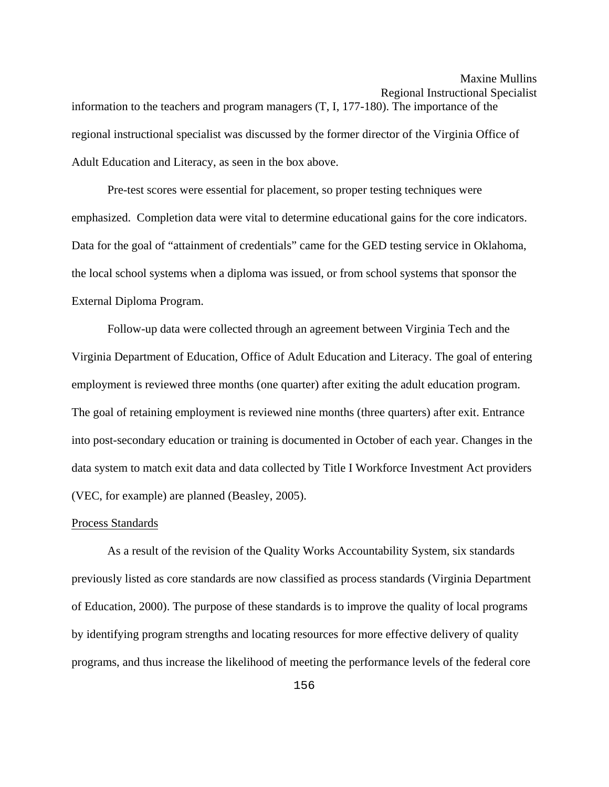Maxine Mullins Regional Instructional Specialist information to the teachers and program managers (T, I, 177-180). The importance of the regional instructional specialist was discussed by the former director of the Virginia Office of Adult Education and Literacy, as seen in the box above.

 Pre-test scores were essential for placement, so proper testing techniques were emphasized. Completion data were vital to determine educational gains for the core indicators. Data for the goal of "attainment of credentials" came for the GED testing service in Oklahoma, the local school systems when a diploma was issued, or from school systems that sponsor the External Diploma Program.

 Follow-up data were collected through an agreement between Virginia Tech and the Virginia Department of Education, Office of Adult Education and Literacy. The goal of entering employment is reviewed three months (one quarter) after exiting the adult education program. The goal of retaining employment is reviewed nine months (three quarters) after exit. Entrance into post-secondary education or training is documented in October of each year. Changes in the data system to match exit data and data collected by Title I Workforce Investment Act providers (VEC, for example) are planned (Beasley, 2005).

### Process Standards

 As a result of the revision of the Quality Works Accountability System, six standards previously listed as core standards are now classified as process standards (Virginia Department of Education, 2000). The purpose of these standards is to improve the quality of local programs by identifying program strengths and locating resources for more effective delivery of quality programs, and thus increase the likelihood of meeting the performance levels of the federal core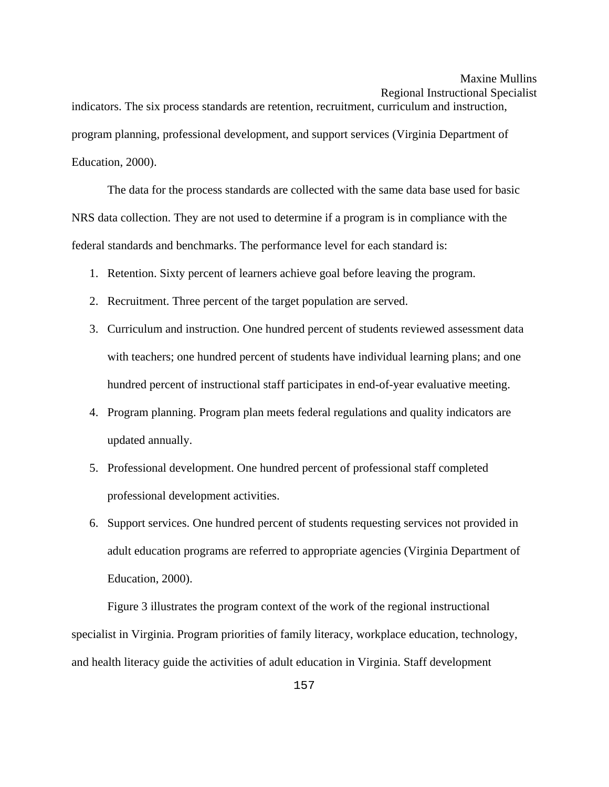Regional Instructional Specialist indicators. The six process standards are retention, recruitment, curriculum and instruction, program planning, professional development, and support services (Virginia Department of Education, 2000).

 The data for the process standards are collected with the same data base used for basic NRS data collection. They are not used to determine if a program is in compliance with the federal standards and benchmarks. The performance level for each standard is:

- 1. Retention. Sixty percent of learners achieve goal before leaving the program.
- 2. Recruitment. Three percent of the target population are served.
- 3. Curriculum and instruction. One hundred percent of students reviewed assessment data with teachers; one hundred percent of students have individual learning plans; and one hundred percent of instructional staff participates in end-of-year evaluative meeting.
- 4. Program planning. Program plan meets federal regulations and quality indicators are updated annually.
- 5. Professional development. One hundred percent of professional staff completed professional development activities.
- 6. Support services. One hundred percent of students requesting services not provided in adult education programs are referred to appropriate agencies (Virginia Department of Education, 2000).

 Figure 3 illustrates the program context of the work of the regional instructional specialist in Virginia. Program priorities of family literacy, workplace education, technology, and health literacy guide the activities of adult education in Virginia. Staff development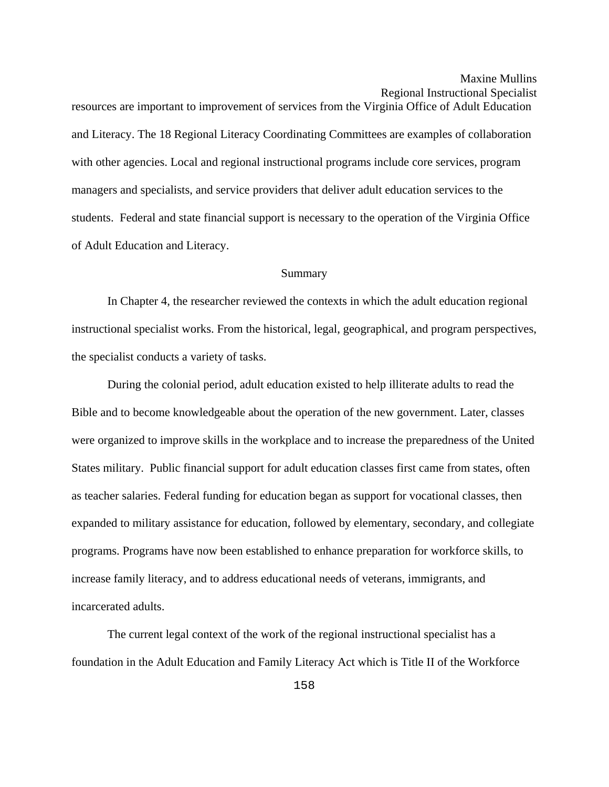resources are important to improvement of services from the Virginia Office of Adult Education and Literacy. The 18 Regional Literacy Coordinating Committees are examples of collaboration with other agencies. Local and regional instructional programs include core services, program managers and specialists, and service providers that deliver adult education services to the students. Federal and state financial support is necessary to the operation of the Virginia Office of Adult Education and Literacy.

## Summary

 In Chapter 4, the researcher reviewed the contexts in which the adult education regional instructional specialist works. From the historical, legal, geographical, and program perspectives, the specialist conducts a variety of tasks.

 During the colonial period, adult education existed to help illiterate adults to read the Bible and to become knowledgeable about the operation of the new government. Later, classes were organized to improve skills in the workplace and to increase the preparedness of the United States military. Public financial support for adult education classes first came from states, often as teacher salaries. Federal funding for education began as support for vocational classes, then expanded to military assistance for education, followed by elementary, secondary, and collegiate programs. Programs have now been established to enhance preparation for workforce skills, to increase family literacy, and to address educational needs of veterans, immigrants, and incarcerated adults.

 The current legal context of the work of the regional instructional specialist has a foundation in the Adult Education and Family Literacy Act which is Title II of the Workforce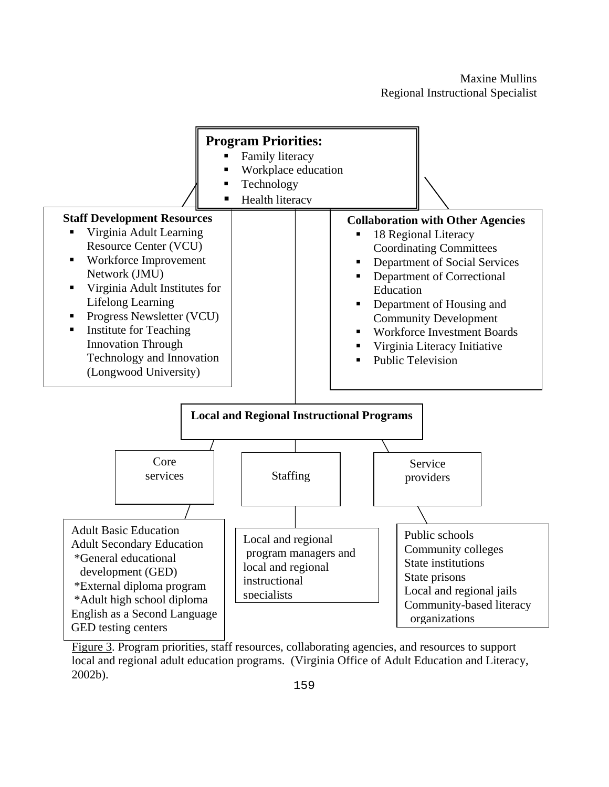

Figure 3. Program priorities, staff resources, collaborating agencies, and resources to support local and regional adult education programs. (Virginia Office of Adult Education and Literacy, 2002b).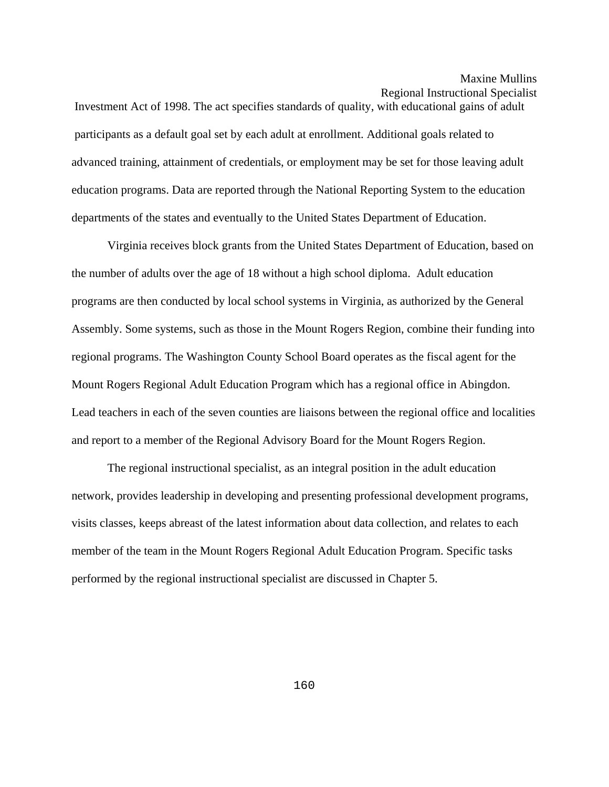Investment Act of 1998. The act specifies standards of quality, with educational gains of adult participants as a default goal set by each adult at enrollment. Additional goals related to advanced training, attainment of credentials, or employment may be set for those leaving adult education programs. Data are reported through the National Reporting System to the education departments of the states and eventually to the United States Department of Education.

 Virginia receives block grants from the United States Department of Education, based on the number of adults over the age of 18 without a high school diploma. Adult education programs are then conducted by local school systems in Virginia, as authorized by the General Assembly. Some systems, such as those in the Mount Rogers Region, combine their funding into regional programs. The Washington County School Board operates as the fiscal agent for the Mount Rogers Regional Adult Education Program which has a regional office in Abingdon. Lead teachers in each of the seven counties are liaisons between the regional office and localities and report to a member of the Regional Advisory Board for the Mount Rogers Region.

 The regional instructional specialist, as an integral position in the adult education network, provides leadership in developing and presenting professional development programs, visits classes, keeps abreast of the latest information about data collection, and relates to each member of the team in the Mount Rogers Regional Adult Education Program. Specific tasks performed by the regional instructional specialist are discussed in Chapter 5.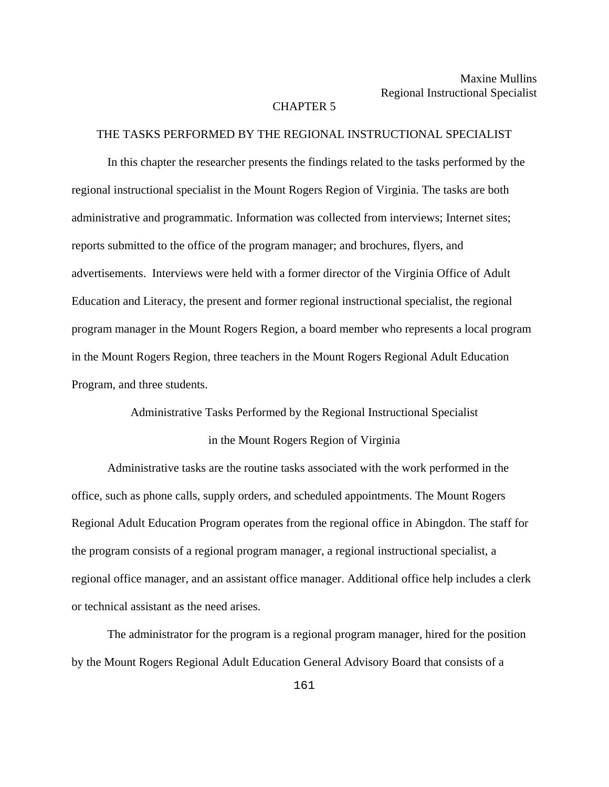## CHAPTER 5

### THE TASKS PERFORMED BY THE REGIONAL INSTRUCTIONAL SPECIALIST

In this chapter the researcher presents the findings related to the tasks performed by the regional instructional specialist in the Mount Rogers Region of Virginia. The tasks are both administrative and programmatic. Information was collected from interviews; Internet sites; reports submitted to the office of the program manager; and brochures, flyers, and advertisements. Interviews were held with a former director of the Virginia Office of Adult Education and Literacy, the present and former regional instructional specialist, the regional program manager in the Mount Rogers Region, a board member who represents a local program in the Mount Rogers Region, three teachers in the Mount Rogers Regional Adult Education Program, and three students.

Administrative Tasks Performed by the Regional Instructional Specialist

in the Mount Rogers Region of Virginia

 Administrative tasks are the routine tasks associated with the work performed in the office, such as phone calls, supply orders, and scheduled appointments. The Mount Rogers Regional Adult Education Program operates from the regional office in Abingdon. The staff for the program consists of a regional program manager, a regional instructional specialist, a regional office manager, and an assistant office manager. Additional office help includes a clerk or technical assistant as the need arises.

The administrator for the program is a regional program manager, hired for the position by the Mount Rogers Regional Adult Education General Advisory Board that consists of a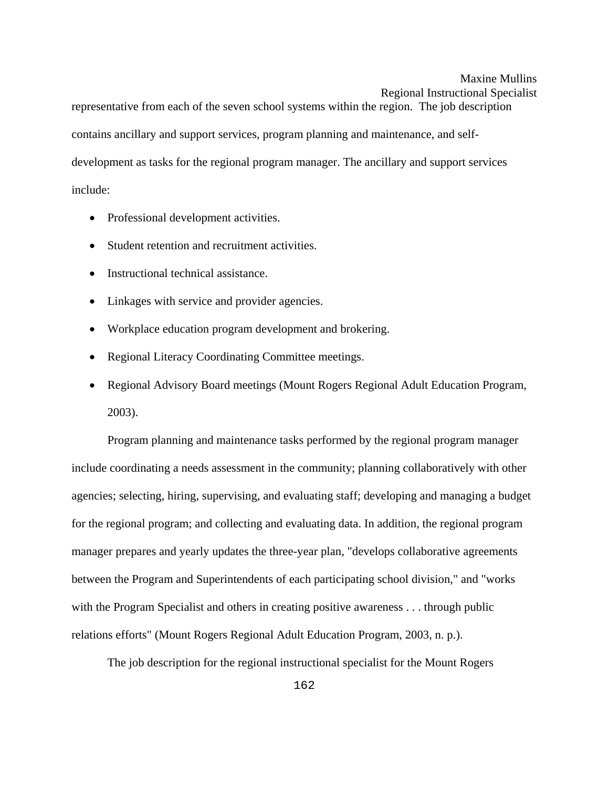representative from each of the seven school systems within the region. The job description contains ancillary and support services, program planning and maintenance, and selfdevelopment as tasks for the regional program manager. The ancillary and support services include:

- Professional development activities.
- Student retention and recruitment activities.
- Instructional technical assistance.
- Linkages with service and provider agencies.
- Workplace education program development and brokering.
- Regional Literacy Coordinating Committee meetings.
- Regional Advisory Board meetings (Mount Rogers Regional Adult Education Program, 2003).

Program planning and maintenance tasks performed by the regional program manager include coordinating a needs assessment in the community; planning collaboratively with other agencies; selecting, hiring, supervising, and evaluating staff; developing and managing a budget for the regional program; and collecting and evaluating data. In addition, the regional program manager prepares and yearly updates the three-year plan, "develops collaborative agreements between the Program and Superintendents of each participating school division," and "works with the Program Specialist and others in creating positive awareness . . . through public relations efforts" (Mount Rogers Regional Adult Education Program, 2003, n. p.).

The job description for the regional instructional specialist for the Mount Rogers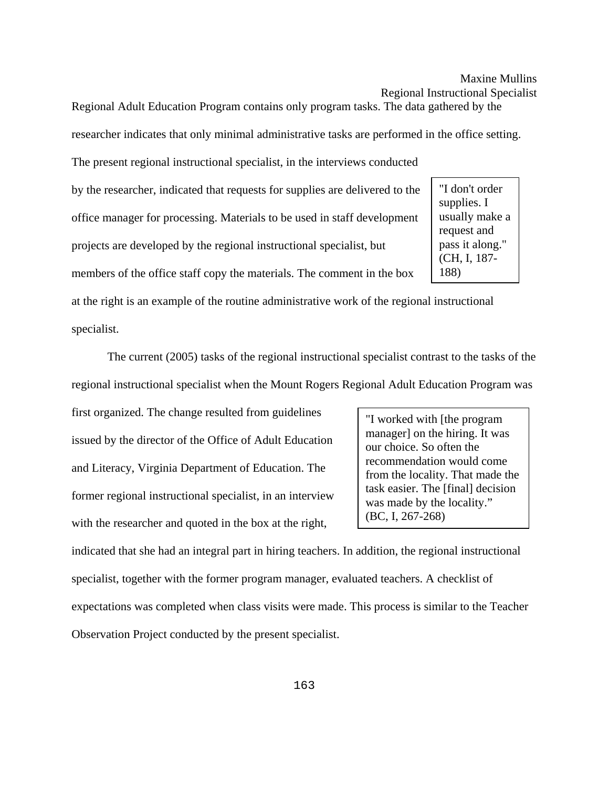Regional Adult Education Program contains only program tasks. The data gathered by the

researcher indicates that only minimal administrative tasks are performed in the office setting.

by the researcher, indicated that requests for supplies are delivered to the office manager for processing. Materials to be used in staff development projects are developed by the regional instructional specialist, but members of the office staff copy the materials. The comment in the box

The present regional instructional specialist, in the interviews conducted

"I don't order supplies. I usually make a request and pass it along." (CH, I, 187- 188)

at the right is an example of the routine administrative work of the regional instructional specialist.

The current (2005) tasks of the regional instructional specialist contrast to the tasks of the regional instructional specialist when the Mount Rogers Regional Adult Education Program was

first organized. The change resulted from guidelines issued by the director of the Office of Adult Education and Literacy, Virginia Department of Education. The former regional instructional specialist, in an interview with the researcher and quoted in the box at the right,

"I worked with [the program manager] on the hiring. It was our choice. So often the recommendation would come from the locality. That made the task easier. The [final] decision was made by the locality." (BC, I, 267-268)

indicated that she had an integral part in hiring teachers. In addition, the regional instructional specialist, together with the former program manager, evaluated teachers. A checklist of expectations was completed when class visits were made. This process is similar to the Teacher Observation Project conducted by the present specialist.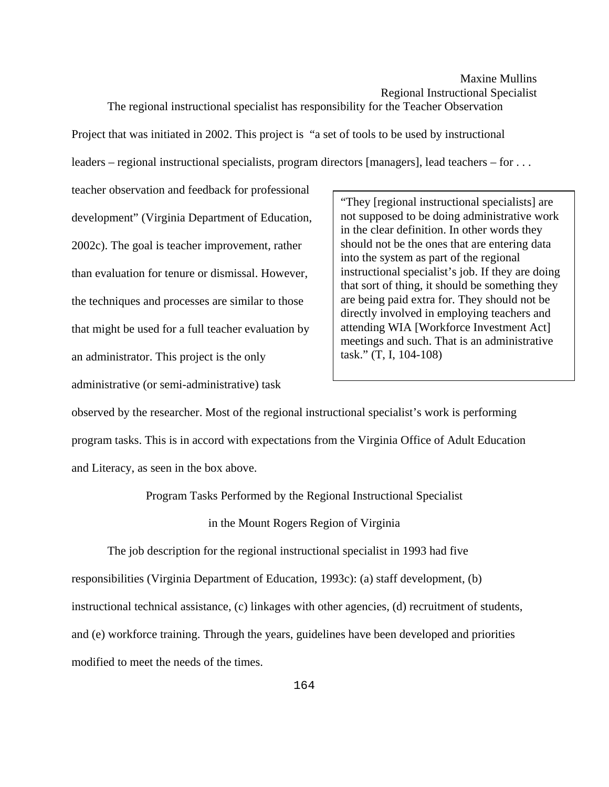The regional instructional specialist has responsibility for the Teacher Observation

Project that was initiated in 2002. This project is "a set of tools to be used by instructional

leaders – regional instructional specialists, program directors [managers], lead teachers – for . . .

teacher observation and feedback for professional development" (Virginia Department of Education, 2002c). The goal is teacher improvement, rather than evaluation for tenure or dismissal. However, the techniques and processes are similar to those that might be used for a full teacher evaluation by an administrator. This project is the only administrative (or semi-administrative) task

"They [regional instructional specialists] are not supposed to be doing administrative work in the clear definition. In other words they should not be the ones that are entering data into the system as part of the regional instructional specialist's job. If they are doing that sort of thing, it should be something they are being paid extra for. They should not be directly involved in employing teachers and attending WIA [Workforce Investment Act] meetings and such. That is an administrative task." (T, I, 104-108)

observed by the researcher. Most of the regional instructional specialist's work is performing program tasks. This is in accord with expectations from the Virginia Office of Adult Education and Literacy, as seen in the box above.

Program Tasks Performed by the Regional Instructional Specialist

in the Mount Rogers Region of Virginia

The job description for the regional instructional specialist in 1993 had five

responsibilities (Virginia Department of Education, 1993c): (a) staff development, (b)

instructional technical assistance, (c) linkages with other agencies, (d) recruitment of students,

and (e) workforce training. Through the years, guidelines have been developed and priorities

modified to meet the needs of the times.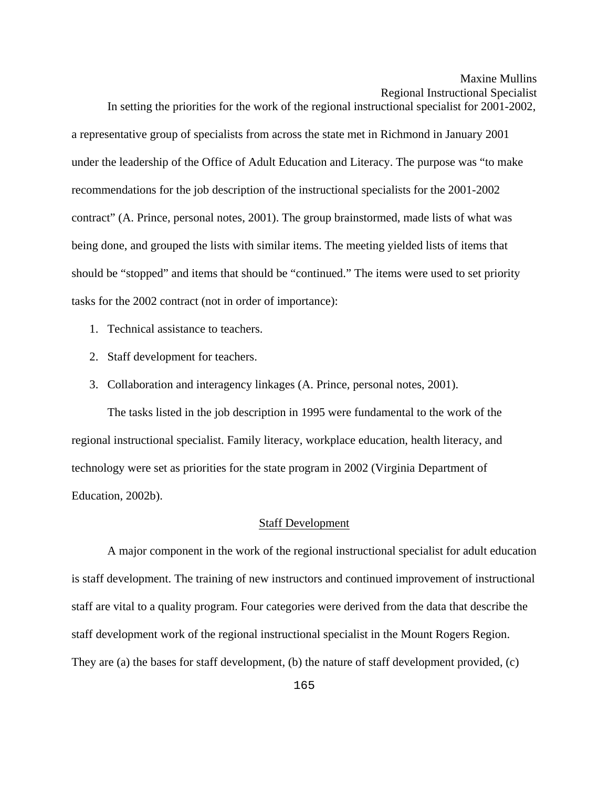In setting the priorities for the work of the regional instructional specialist for 2001-2002, a representative group of specialists from across the state met in Richmond in January 2001 under the leadership of the Office of Adult Education and Literacy. The purpose was "to make recommendations for the job description of the instructional specialists for the 2001-2002 contract" (A. Prince, personal notes, 2001). The group brainstormed, made lists of what was being done, and grouped the lists with similar items. The meeting yielded lists of items that should be "stopped" and items that should be "continued." The items were used to set priority tasks for the 2002 contract (not in order of importance):

- 1. Technical assistance to teachers.
- 2. Staff development for teachers.
- 3. Collaboration and interagency linkages (A. Prince, personal notes, 2001).

The tasks listed in the job description in 1995 were fundamental to the work of the regional instructional specialist. Family literacy, workplace education, health literacy, and technology were set as priorities for the state program in 2002 (Virginia Department of Education, 2002b).

### Staff Development

A major component in the work of the regional instructional specialist for adult education is staff development. The training of new instructors and continued improvement of instructional staff are vital to a quality program. Four categories were derived from the data that describe the staff development work of the regional instructional specialist in the Mount Rogers Region. They are (a) the bases for staff development, (b) the nature of staff development provided, (c)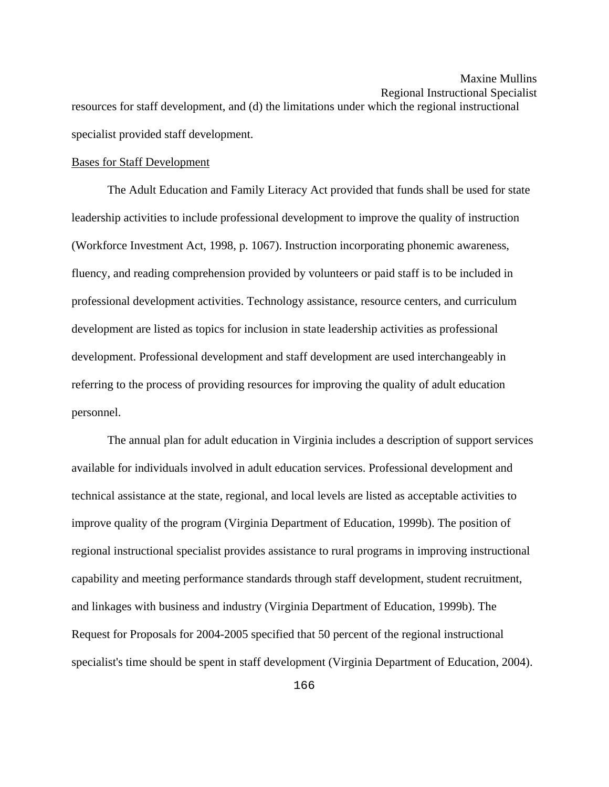Regional Instructional Specialist resources for staff development, and (d) the limitations under which the regional instructional specialist provided staff development.

#### Bases for Staff Development

 The Adult Education and Family Literacy Act provided that funds shall be used for state leadership activities to include professional development to improve the quality of instruction (Workforce Investment Act, 1998, p. 1067). Instruction incorporating phonemic awareness, fluency, and reading comprehension provided by volunteers or paid staff is to be included in professional development activities. Technology assistance, resource centers, and curriculum development are listed as topics for inclusion in state leadership activities as professional development. Professional development and staff development are used interchangeably in referring to the process of providing resources for improving the quality of adult education personnel.

 The annual plan for adult education in Virginia includes a description of support services available for individuals involved in adult education services. Professional development and technical assistance at the state, regional, and local levels are listed as acceptable activities to improve quality of the program (Virginia Department of Education, 1999b). The position of regional instructional specialist provides assistance to rural programs in improving instructional capability and meeting performance standards through staff development, student recruitment, and linkages with business and industry (Virginia Department of Education, 1999b). The Request for Proposals for 2004-2005 specified that 50 percent of the regional instructional specialist's time should be spent in staff development (Virginia Department of Education, 2004).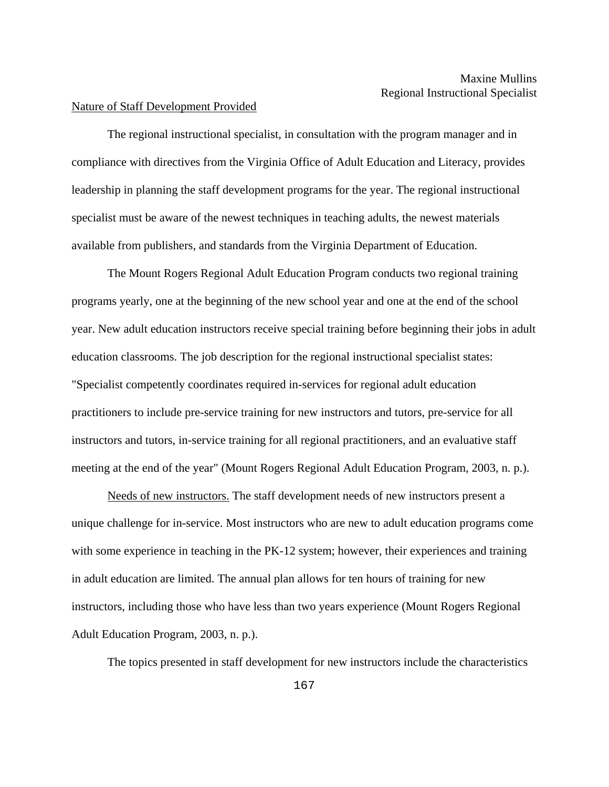### Nature of Staff Development Provided

The regional instructional specialist, in consultation with the program manager and in compliance with directives from the Virginia Office of Adult Education and Literacy, provides leadership in planning the staff development programs for the year. The regional instructional specialist must be aware of the newest techniques in teaching adults, the newest materials available from publishers, and standards from the Virginia Department of Education.

The Mount Rogers Regional Adult Education Program conducts two regional training programs yearly, one at the beginning of the new school year and one at the end of the school year. New adult education instructors receive special training before beginning their jobs in adult education classrooms. The job description for the regional instructional specialist states: "Specialist competently coordinates required in-services for regional adult education practitioners to include pre-service training for new instructors and tutors, pre-service for all instructors and tutors, in-service training for all regional practitioners, and an evaluative staff meeting at the end of the year" (Mount Rogers Regional Adult Education Program, 2003, n. p.).

Needs of new instructors. The staff development needs of new instructors present a unique challenge for in-service. Most instructors who are new to adult education programs come with some experience in teaching in the PK-12 system; however, their experiences and training in adult education are limited. The annual plan allows for ten hours of training for new instructors, including those who have less than two years experience (Mount Rogers Regional Adult Education Program, 2003, n. p.).

The topics presented in staff development for new instructors include the characteristics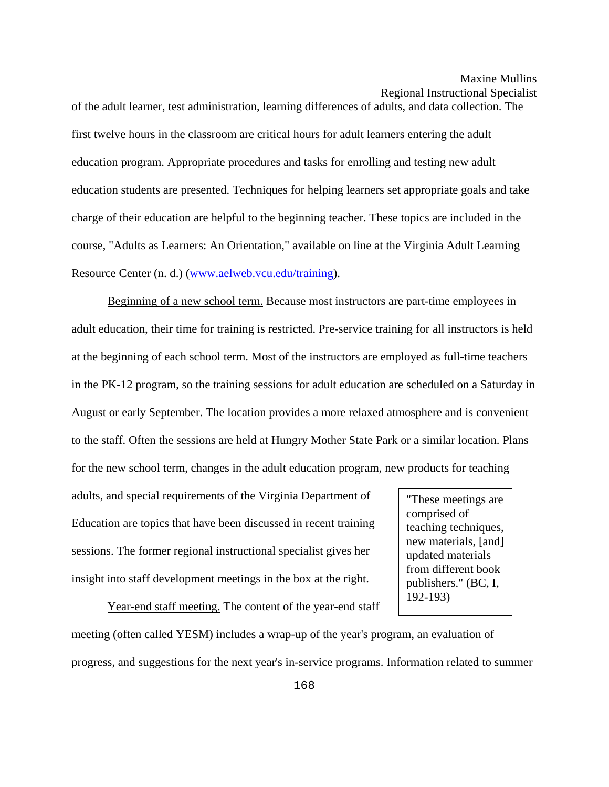Regional Instructional Specialist

of the adult learner, test administration, learning differences of adults, and data collection. The first twelve hours in the classroom are critical hours for adult learners entering the adult education program. Appropriate procedures and tasks for enrolling and testing new adult education students are presented. Techniques for helping learners set appropriate goals and take charge of their education are helpful to the beginning teacher. These topics are included in the course, "Adults as Learners: An Orientation," available on line at the Virginia Adult Learning Resource Center (n. d.) ([www.aelweb.vcu.edu/training](http://www.aelweb.vcu.edu/training)).

Beginning of a new school term. Because most instructors are part-time employees in adult education, their time for training is restricted. Pre-service training for all instructors is held at the beginning of each school term. Most of the instructors are employed as full-time teachers in the PK-12 program, so the training sessions for adult education are scheduled on a Saturday in August or early September. The location provides a more relaxed atmosphere and is convenient to the staff. Often the sessions are held at Hungry Mother State Park or a similar location. Plans for the new school term, changes in the adult education program, new products for teaching

adults, and special requirements of the Virginia Department of Education are topics that have been discussed in recent training sessions. The former regional instructional specialist gives her insight into staff development meetings in the box at the right.

Year-end staff meeting. The content of the year-end staff

"These meetings are comprised of teaching techniques, new materials, [and] updated materials from different book publishers." (BC, I, 192-193)

meeting (often called YESM) includes a wrap-up of the year's program, an evaluation of progress, and suggestions for the next year's in-service programs. Information related to summer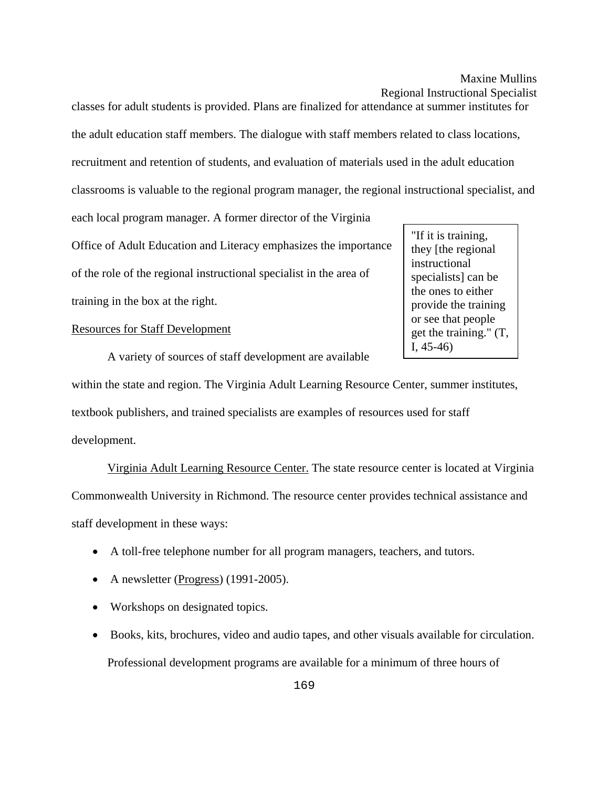classes for adult students is provided. Plans are finalized for attendance at summer institutes for

the adult education staff members. The dialogue with staff members related to class locations,

recruitment and retention of students, and evaluation of materials used in the adult education

classrooms is valuable to the regional program manager, the regional instructional specialist, and

each local program manager. A former director of the Virginia

Office of Adult Education and Literacy emphasizes the importance of the role of the regional instructional specialist in the area of training in the box at the right.

Resources for Staff Development

"If it is training, they [the regional instructional specialists] can be the ones to either provide the training or see that people get the training." (T, I, 45-46)

A variety of sources of staff development are available

within the state and region. The Virginia Adult Learning Resource Center, summer institutes, textbook publishers, and trained specialists are examples of resources used for staff

development.

 Virginia Adult Learning Resource Center. The state resource center is located at Virginia Commonwealth University in Richmond. The resource center provides technical assistance and staff development in these ways:

- A toll-free telephone number for all program managers, teachers, and tutors.
- A newsletter (Progress) (1991-2005).
- Workshops on designated topics.
- Books, kits, brochures, video and audio tapes, and other visuals available for circulation. Professional development programs are available for a minimum of three hours of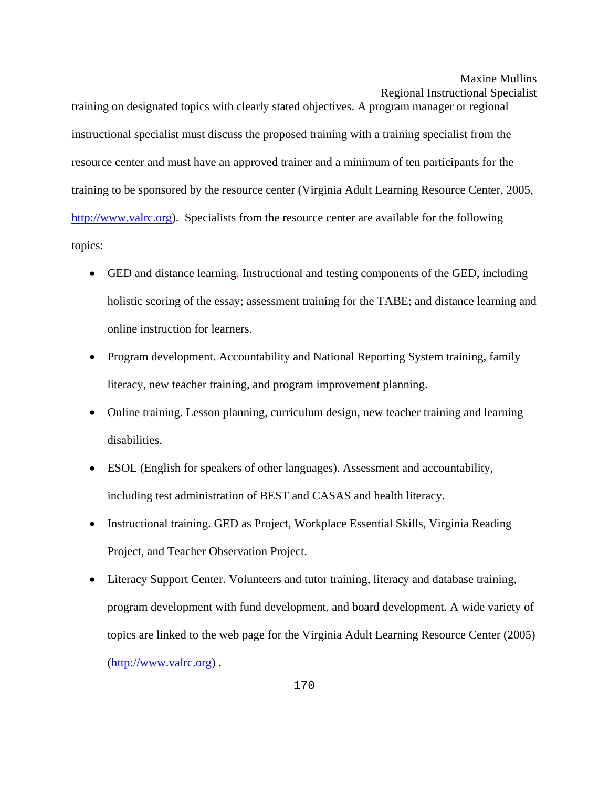training on designated topics with clearly stated objectives. A program manager or regional instructional specialist must discuss the proposed training with a training specialist from the resource center and must have an approved trainer and a minimum of ten participants for the training to be sponsored by the resource center (Virginia Adult Learning Resource Center, 2005, [http://www.valrc.org\)](http://www.valrc.org/). Specialists from the resource center are available for the following topics:

- GED and distance learning. Instructional and testing components of the GED, including holistic scoring of the essay; assessment training for the TABE; and distance learning and online instruction for learners.
- Program development. Accountability and National Reporting System training, family literacy, new teacher training, and program improvement planning.
- Online training. Lesson planning, curriculum design, new teacher training and learning disabilities.
- ESOL (English for speakers of other languages). Assessment and accountability, including test administration of BEST and CASAS and health literacy.
- Instructional training. GED as Project, Workplace Essential Skills, Virginia Reading Project, and Teacher Observation Project.
- Literacy Support Center. Volunteers and tutor training, literacy and database training, program development with fund development, and board development. A wide variety of topics are linked to the web page for the Virginia Adult Learning Resource Center (2005) ([http://www.valrc.org\)](http://www.valrc.org/) .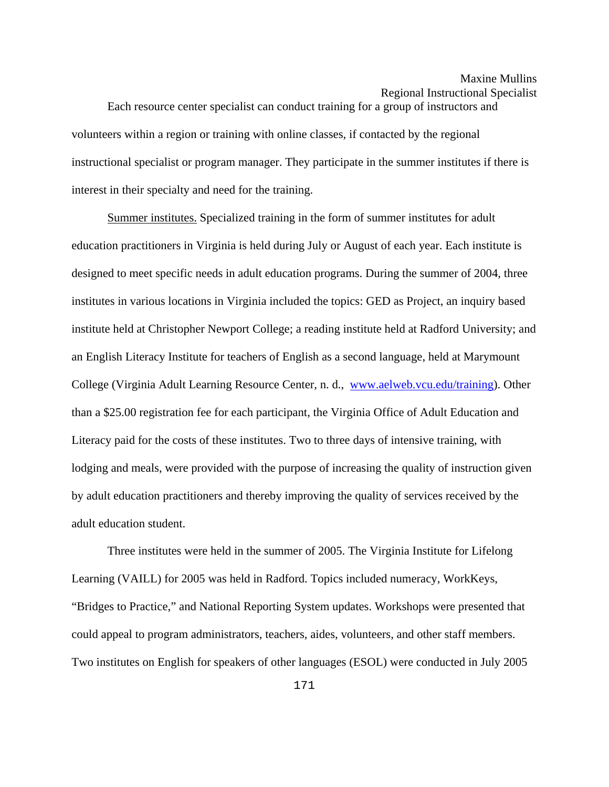Each resource center specialist can conduct training for a group of instructors and volunteers within a region or training with online classes, if contacted by the regional instructional specialist or program manager. They participate in the summer institutes if there is interest in their specialty and need for the training.

Summer institutes. Specialized training in the form of summer institutes for adult education practitioners in Virginia is held during July or August of each year. Each institute is designed to meet specific needs in adult education programs. During the summer of 2004, three institutes in various locations in Virginia included the topics: GED as Project, an inquiry based institute held at Christopher Newport College; a reading institute held at Radford University; and an English Literacy Institute for teachers of English as a second language, held at Marymount College (Virginia Adult Learning Resource Center, n. d., [www.aelweb.vcu.edu/training](http://www.aelweb.vcu.edu/training)). Other than a \$25.00 registration fee for each participant, the Virginia Office of Adult Education and Literacy paid for the costs of these institutes. Two to three days of intensive training, with lodging and meals, were provided with the purpose of increasing the quality of instruction given by adult education practitioners and thereby improving the quality of services received by the adult education student.

Three institutes were held in the summer of 2005. The Virginia Institute for Lifelong Learning (VAILL) for 2005 was held in Radford. Topics included numeracy, WorkKeys, "Bridges to Practice," and National Reporting System updates. Workshops were presented that could appeal to program administrators, teachers, aides, volunteers, and other staff members. Two institutes on English for speakers of other languages (ESOL) were conducted in July 2005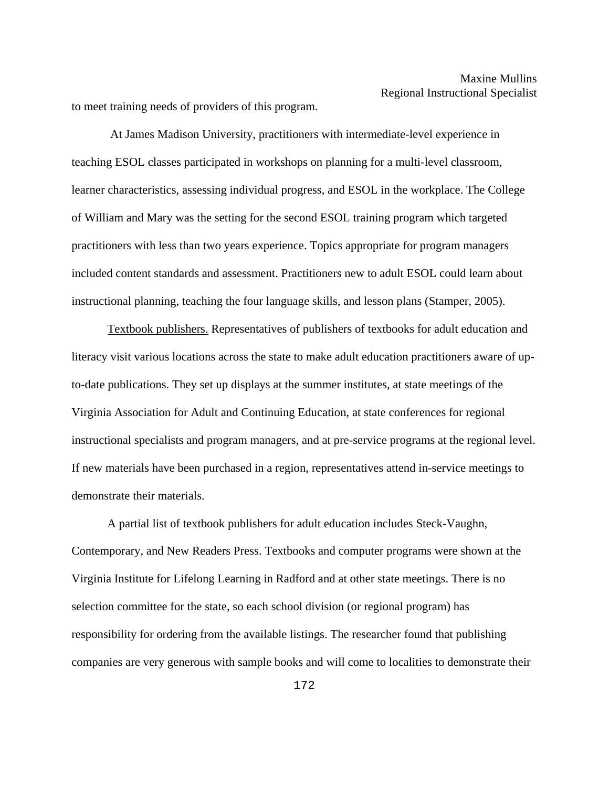to meet training needs of providers of this program.

 At James Madison University, practitioners with intermediate-level experience in teaching ESOL classes participated in workshops on planning for a multi-level classroom, learner characteristics, assessing individual progress, and ESOL in the workplace. The College of William and Mary was the setting for the second ESOL training program which targeted practitioners with less than two years experience. Topics appropriate for program managers included content standards and assessment. Practitioners new to adult ESOL could learn about instructional planning, teaching the four language skills, and lesson plans (Stamper, 2005).

Textbook publishers. Representatives of publishers of textbooks for adult education and literacy visit various locations across the state to make adult education practitioners aware of upto-date publications. They set up displays at the summer institutes, at state meetings of the Virginia Association for Adult and Continuing Education, at state conferences for regional instructional specialists and program managers, and at pre-service programs at the regional level. If new materials have been purchased in a region, representatives attend in-service meetings to demonstrate their materials.

A partial list of textbook publishers for adult education includes Steck-Vaughn, Contemporary, and New Readers Press. Textbooks and computer programs were shown at the Virginia Institute for Lifelong Learning in Radford and at other state meetings. There is no selection committee for the state, so each school division (or regional program) has responsibility for ordering from the available listings. The researcher found that publishing companies are very generous with sample books and will come to localities to demonstrate their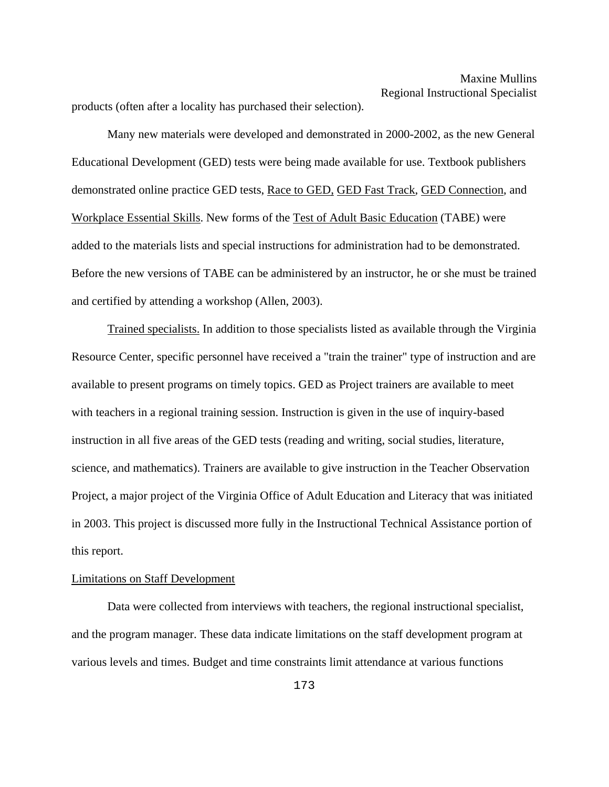products (often after a locality has purchased their selection).

Many new materials were developed and demonstrated in 2000-2002, as the new General Educational Development (GED) tests were being made available for use. Textbook publishers demonstrated online practice GED tests, Race to GED, GED Fast Track, GED Connection, and Workplace Essential Skills. New forms of the Test of Adult Basic Education (TABE) were added to the materials lists and special instructions for administration had to be demonstrated. Before the new versions of TABE can be administered by an instructor, he or she must be trained and certified by attending a workshop (Allen, 2003).

Trained specialists. In addition to those specialists listed as available through the Virginia Resource Center, specific personnel have received a "train the trainer" type of instruction and are available to present programs on timely topics. GED as Project trainers are available to meet with teachers in a regional training session. Instruction is given in the use of inquiry-based instruction in all five areas of the GED tests (reading and writing, social studies, literature, science, and mathematics). Trainers are available to give instruction in the Teacher Observation Project, a major project of the Virginia Office of Adult Education and Literacy that was initiated in 2003. This project is discussed more fully in the Instructional Technical Assistance portion of this report.

#### Limitations on Staff Development

Data were collected from interviews with teachers, the regional instructional specialist, and the program manager. These data indicate limitations on the staff development program at various levels and times. Budget and time constraints limit attendance at various functions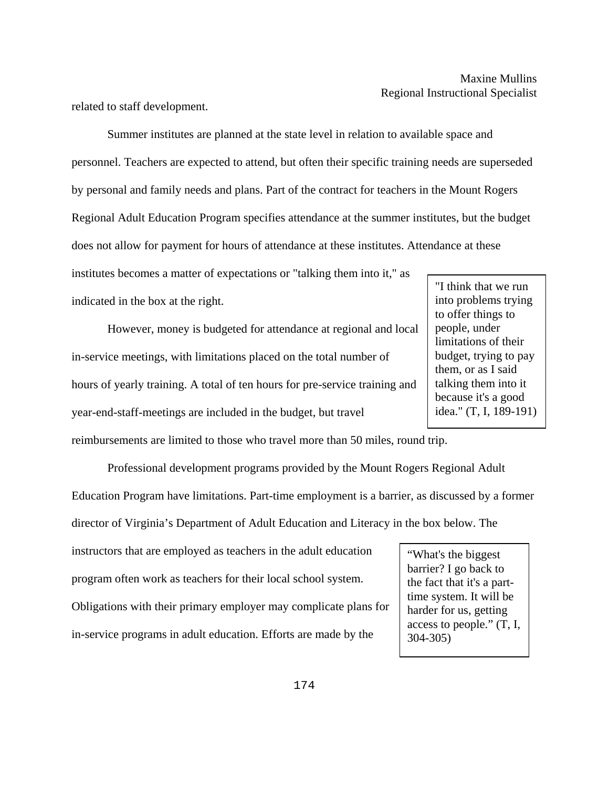related to staff development.

 Summer institutes are planned at the state level in relation to available space and personnel. Teachers are expected to attend, but often their specific training needs are superseded by personal and family needs and plans. Part of the contract for teachers in the Mount Rogers Regional Adult Education Program specifies attendance at the summer institutes, but the budget does not allow for payment for hours of attendance at these institutes. Attendance at these institutes becomes a matter of expectations or "talking them into it," as

indicated in the box at the right.

 However, money is budgeted for attendance at regional and local in-service meetings, with limitations placed on the total number of hours of yearly training. A total of ten hours for pre-service training and year-end-staff-meetings are included in the budget, but travel

reimbursements are limited to those who travel more than 50 miles, round trip.

 Professional development programs provided by the Mount Rogers Regional Adult Education Program have limitations. Part-time employment is a barrier, as discussed by a former

director of Virginia's Department of Adult Education and Literacy in the box below. The

instructors that are employed as teachers in the adult education program often work as teachers for their local school system. Obligations with their primary employer may complicate plans for in-service programs in adult education. Efforts are made by the

"What's the biggest barrier? I go back to the fact that it's a parttime system. It will be harder for us, getting access to people." (T, I, 304-305)

"I think that we run into problems trying to offer things to people, under limitations of their budget, trying to pay them, or as I said talking them into it because it's a good idea." (T, I, 189-191)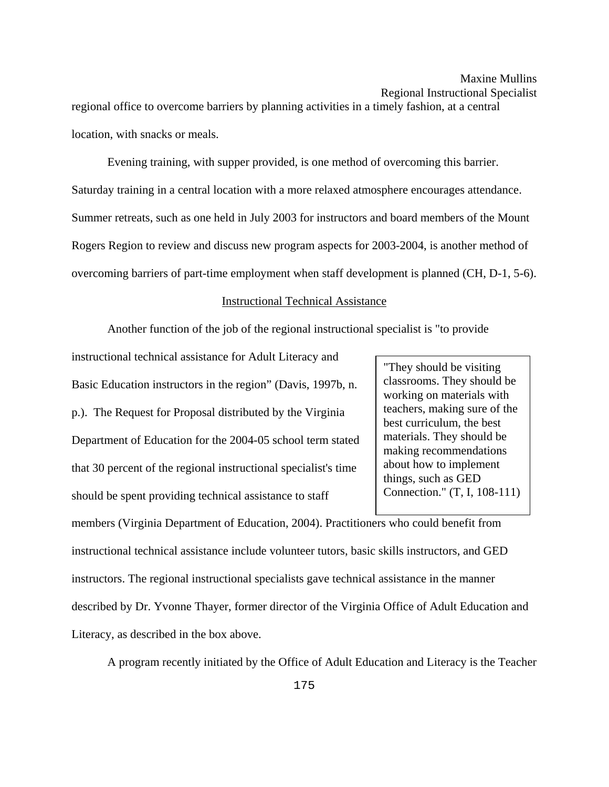#### Maxine Mullins

Regional Instructional Specialist

regional office to overcome barriers by planning activities in a timely fashion, at a central location, with snacks or meals.

Evening training, with supper provided, is one method of overcoming this barrier. Saturday training in a central location with a more relaxed atmosphere encourages attendance. Summer retreats, such as one held in July 2003 for instructors and board members of the Mount Rogers Region to review and discuss new program aspects for 2003-2004, is another method of overcoming barriers of part-time employment when staff development is planned (CH, D-1, 5-6).

### Instructional Technical Assistance

Another function of the job of the regional instructional specialist is "to provide

instructional technical assistance for Adult Literacy and Basic Education instructors in the region" (Davis, 1997b, n. p.). The Request for Proposal distributed by the Virginia Department of Education for the 2004-05 school term stated that 30 percent of the regional instructional specialist's time should be spent providing technical assistance to staff

"They should be visiting classrooms. They should be working on materials with teachers, making sure of the best curriculum, the best materials. They should be making recommendations about how to implement things, such as GED Connection." (T, I, 108-111)

members (Virginia Department of Education, 2004). Practitioners who could benefit from instructional technical assistance include volunteer tutors, basic skills instructors, and GED instructors. The regional instructional specialists gave technical assistance in the manner described by Dr. Yvonne Thayer, former director of the Virginia Office of Adult Education and Literacy, as described in the box above.

A program recently initiated by the Office of Adult Education and Literacy is the Teacher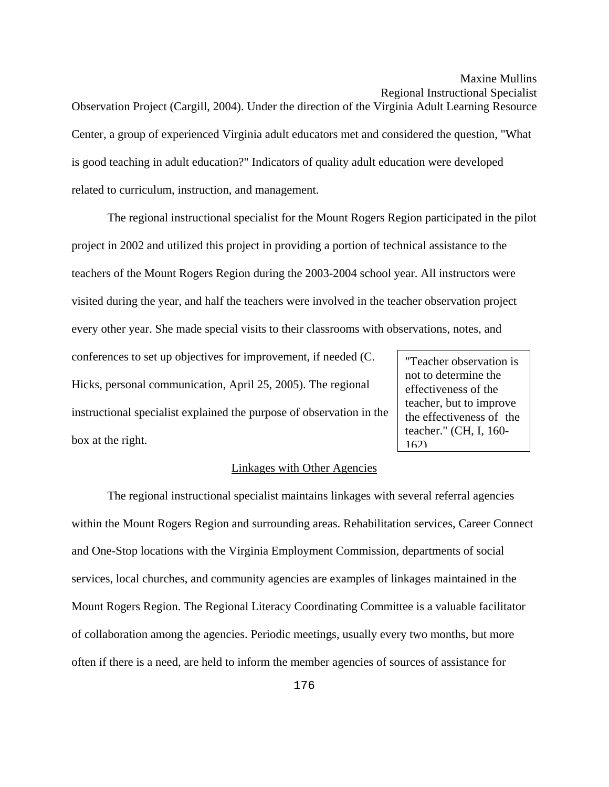# Maxine Mullins

Regional Instructional Specialist Observation Project (Cargill, 2004). Under the direction of the Virginia Adult Learning Resource Center, a group of experienced Virginia adult educators met and considered the question, "What is good teaching in adult education?" Indicators of quality adult education were developed related to curriculum, instruction, and management.

The regional instructional specialist for the Mount Rogers Region participated in the pilot project in 2002 and utilized this project in providing a portion of technical assistance to the teachers of the Mount Rogers Region during the 2003-2004 school year. All instructors were visited during the year, and half the teachers were involved in the teacher observation project every other year. She made special visits to their classrooms with observations, notes, and

conferences to set up objectives for improvement, if needed (C. Hicks, personal communication, April 25, 2005). The regional instructional specialist explained the purpose of observation in the box at the right.

"Teacher observation is not to determine the effectiveness of the teacher, but to improve the effectiveness of the teacher." (CH, I, 160- 162)

#### Linkages with Other Agencies

The regional instructional specialist maintains linkages with several referral agencies within the Mount Rogers Region and surrounding areas. Rehabilitation services, Career Connect and One-Stop locations with the Virginia Employment Commission, departments of social services, local churches, and community agencies are examples of linkages maintained in the Mount Rogers Region. The Regional Literacy Coordinating Committee is a valuable facilitator of collaboration among the agencies. Periodic meetings, usually every two months, but more often if there is a need, are held to inform the member agencies of sources of assistance for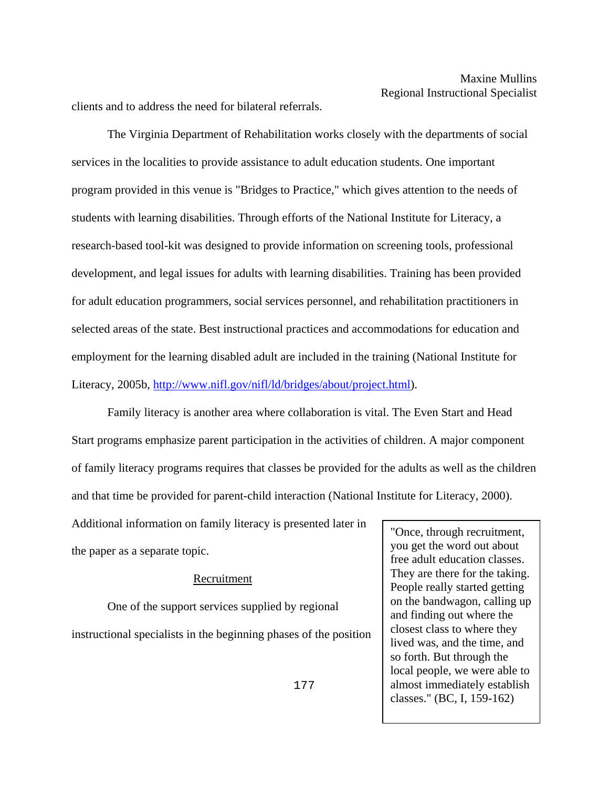clients and to address the need for bilateral referrals.

The Virginia Department of Rehabilitation works closely with the departments of social services in the localities to provide assistance to adult education students. One important program provided in this venue is "Bridges to Practice," which gives attention to the needs of students with learning disabilities. Through efforts of the National Institute for Literacy, a research-based tool-kit was designed to provide information on screening tools, professional development, and legal issues for adults with learning disabilities. Training has been provided for adult education programmers, social services personnel, and rehabilitation practitioners in selected areas of the state. Best instructional practices and accommodations for education and employment for the learning disabled adult are included in the training (National Institute for Literacy, 2005b, [http://www.nifl.gov/nifl/ld/bridges/about/project.html\)](http://www.nifl.gov/nifl/ld/bridges/about/project.html).

Family literacy is another area where collaboration is vital. The Even Start and Head Start programs emphasize parent participation in the activities of children. A major component of family literacy programs requires that classes be provided for the adults as well as the children and that time be provided for parent-child interaction (National Institute for Literacy, 2000).

Additional information on family literacy is presented later in the paper as a separate topic.

### Recruitment

 One of the support services supplied by regional instructional specialists in the beginning phases of the position

"Once, through recruitment, you get the word out about free adult education classes. They are there for the taking. People really started getting on the bandwagon, calling up and finding out where the closest class to where they lived was, and the time, and so forth. But through the local people, we were able to almost immediately establish classes." (BC, I, 159-162)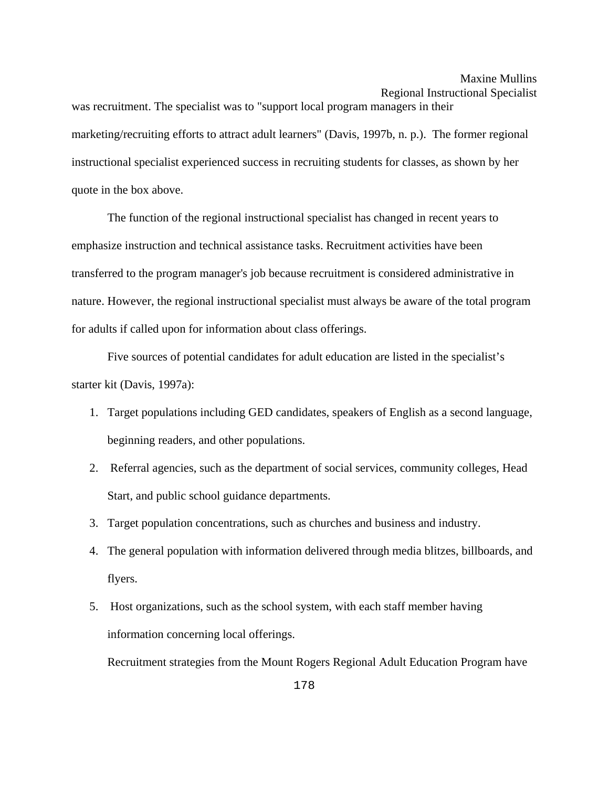was recruitment. The specialist was to "support local program managers in their marketing/recruiting efforts to attract adult learners" (Davis, 1997b, n. p.). The former regional instructional specialist experienced success in recruiting students for classes, as shown by her quote in the box above.

The function of the regional instructional specialist has changed in recent years to emphasize instruction and technical assistance tasks. Recruitment activities have been transferred to the program manager's job because recruitment is considered administrative in nature. However, the regional instructional specialist must always be aware of the total program for adults if called upon for information about class offerings.

 Five sources of potential candidates for adult education are listed in the specialist's starter kit (Davis, 1997a):

- 1. Target populations including GED candidates, speakers of English as a second language, beginning readers, and other populations.
- 2. Referral agencies, such as the department of social services, community colleges, Head Start, and public school guidance departments.
- 3. Target population concentrations, such as churches and business and industry.
- 4. The general population with information delivered through media blitzes, billboards, and flyers.
- 5. Host organizations, such as the school system, with each staff member having information concerning local offerings.

Recruitment strategies from the Mount Rogers Regional Adult Education Program have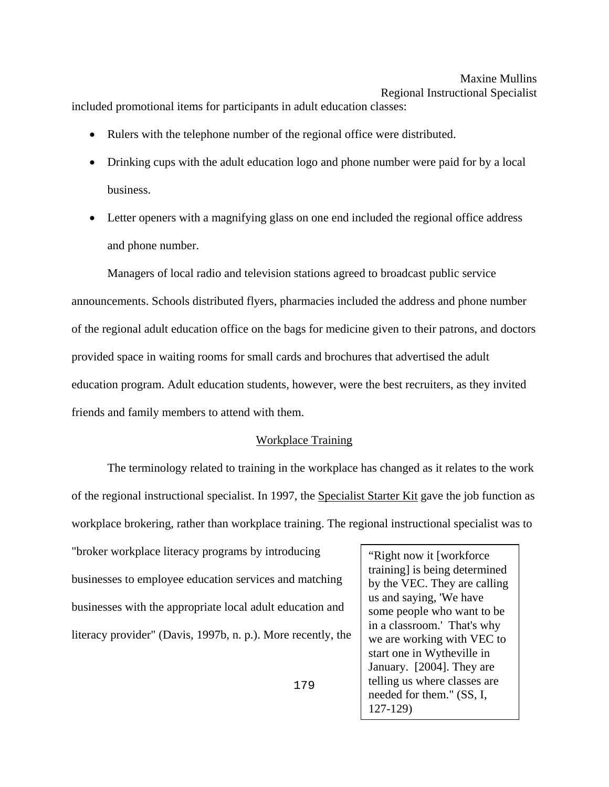included promotional items for participants in adult education classes:

- Rulers with the telephone number of the regional office were distributed.
- Drinking cups with the adult education logo and phone number were paid for by a local business.
- Letter openers with a magnifying glass on one end included the regional office address and phone number.

Managers of local radio and television stations agreed to broadcast public service announcements. Schools distributed flyers, pharmacies included the address and phone number of the regional adult education office on the bags for medicine given to their patrons, and doctors provided space in waiting rooms for small cards and brochures that advertised the adult education program. Adult education students, however, were the best recruiters, as they invited friends and family members to attend with them.

## Workplace Training

The terminology related to training in the workplace has changed as it relates to the work of the regional instructional specialist. In 1997, the Specialist Starter Kit gave the job function as workplace brokering, rather than workplace training. The regional instructional specialist was to

"broker workplace literacy programs by introducing businesses to employee education services and matching businesses with the appropriate local adult education and literacy provider" (Davis, 1997b, n. p.). More recently, the

"Right now it [workforce training] is being determined by the VEC. They are calling us and saying, 'We have some people who want to be in a classroom.' That's why we are working with VEC to start one in Wytheville in January. [2004]. They are telling us where classes are needed for them." (SS, I, 127-129)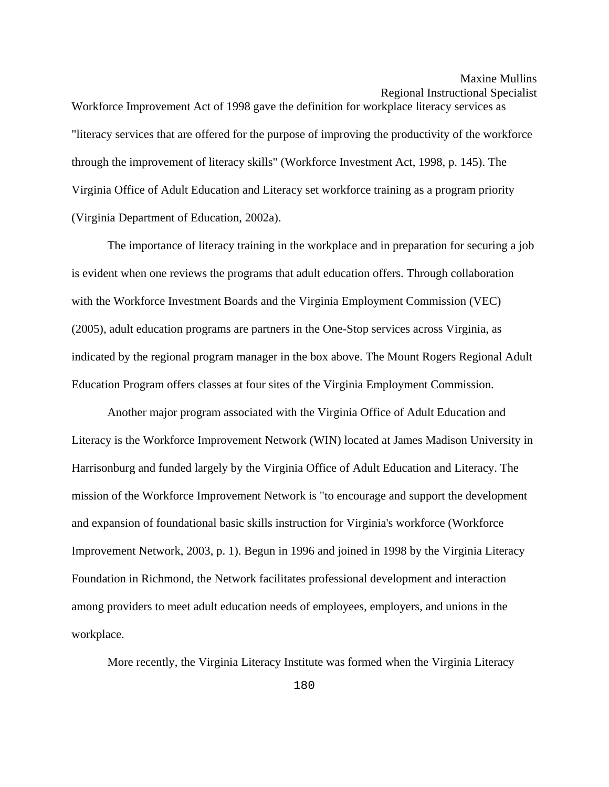Workforce Improvement Act of 1998 gave the definition for workplace literacy services as "literacy services that are offered for the purpose of improving the productivity of the workforce through the improvement of literacy skills" (Workforce Investment Act, 1998, p. 145). The Virginia Office of Adult Education and Literacy set workforce training as a program priority (Virginia Department of Education, 2002a).

The importance of literacy training in the workplace and in preparation for securing a job is evident when one reviews the programs that adult education offers. Through collaboration with the Workforce Investment Boards and the Virginia Employment Commission (VEC) (2005), adult education programs are partners in the One-Stop services across Virginia, as indicated by the regional program manager in the box above. The Mount Rogers Regional Adult Education Program offers classes at four sites of the Virginia Employment Commission.

Another major program associated with the Virginia Office of Adult Education and Literacy is the Workforce Improvement Network (WIN) located at James Madison University in Harrisonburg and funded largely by the Virginia Office of Adult Education and Literacy. The mission of the Workforce Improvement Network is "to encourage and support the development and expansion of foundational basic skills instruction for Virginia's workforce (Workforce Improvement Network, 2003, p. 1). Begun in 1996 and joined in 1998 by the Virginia Literacy Foundation in Richmond, the Network facilitates professional development and interaction among providers to meet adult education needs of employees, employers, and unions in the workplace.

More recently, the Virginia Literacy Institute was formed when the Virginia Literacy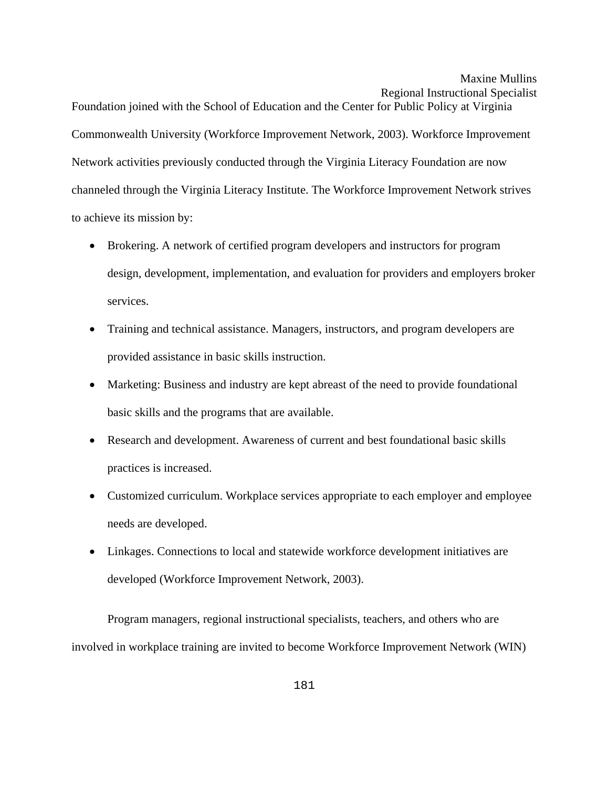Foundation joined with the School of Education and the Center for Public Policy at Virginia Commonwealth University (Workforce Improvement Network, 2003). Workforce Improvement Network activities previously conducted through the Virginia Literacy Foundation are now channeled through the Virginia Literacy Institute. The Workforce Improvement Network strives to achieve its mission by:

- Brokering. A network of certified program developers and instructors for program design, development, implementation, and evaluation for providers and employers broker services.
- Training and technical assistance. Managers, instructors, and program developers are provided assistance in basic skills instruction.
- Marketing: Business and industry are kept abreast of the need to provide foundational basic skills and the programs that are available.
- Research and development. Awareness of current and best foundational basic skills practices is increased.
- Customized curriculum. Workplace services appropriate to each employer and employee needs are developed.
- Linkages. Connections to local and statewide workforce development initiatives are developed (Workforce Improvement Network, 2003).

Program managers, regional instructional specialists, teachers, and others who are involved in workplace training are invited to become Workforce Improvement Network (WIN)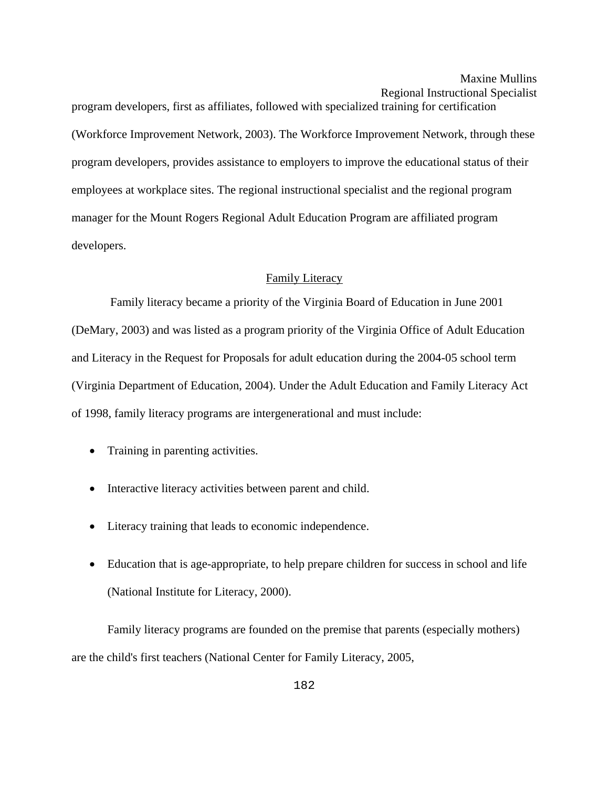program developers, first as affiliates, followed with specialized training for certification (Workforce Improvement Network, 2003). The Workforce Improvement Network, through these program developers, provides assistance to employers to improve the educational status of their employees at workplace sites. The regional instructional specialist and the regional program manager for the Mount Rogers Regional Adult Education Program are affiliated program developers.

### Family Literacy

 Family literacy became a priority of the Virginia Board of Education in June 2001 (DeMary, 2003) and was listed as a program priority of the Virginia Office of Adult Education and Literacy in the Request for Proposals for adult education during the 2004-05 school term (Virginia Department of Education, 2004). Under the Adult Education and Family Literacy Act of 1998, family literacy programs are intergenerational and must include:

- Training in parenting activities.
- Interactive literacy activities between parent and child.
- Literacy training that leads to economic independence.
- Education that is age-appropriate, to help prepare children for success in school and life (National Institute for Literacy, 2000).

Family literacy programs are founded on the premise that parents (especially mothers) are the child's first teachers (National Center for Family Literacy, 2005,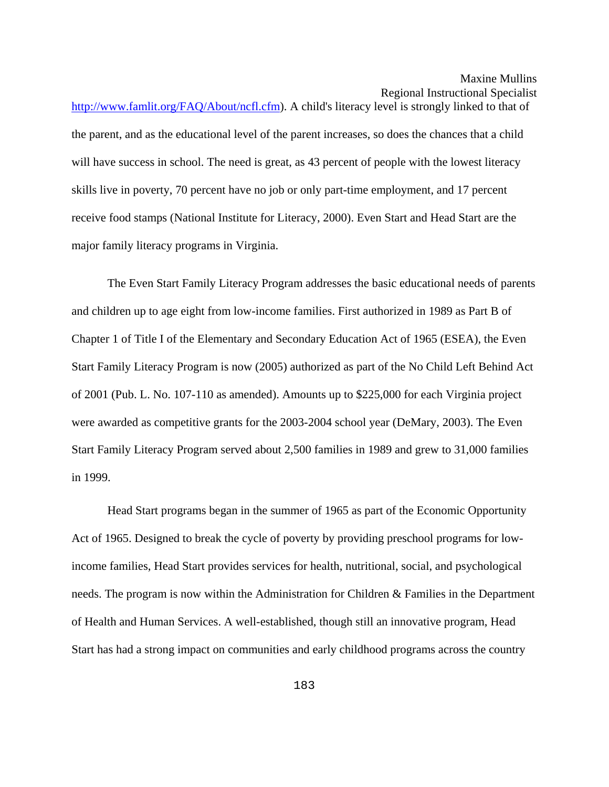[http://www.famlit.org/FAQ/About/ncfl.cfm\)](http://www.famlit.org/FAQ/About/ncfl.cfm). A child's literacy level is strongly linked to that of the parent, and as the educational level of the parent increases, so does the chances that a child will have success in school. The need is great, as 43 percent of people with the lowest literacy skills live in poverty, 70 percent have no job or only part-time employment, and 17 percent receive food stamps (National Institute for Literacy, 2000). Even Start and Head Start are the major family literacy programs in Virginia.

The Even Start Family Literacy Program addresses the basic educational needs of parents and children up to age eight from low-income families. First authorized in 1989 as Part B of Chapter 1 of Title I of the Elementary and Secondary Education Act of 1965 (ESEA), the Even Start Family Literacy Program is now (2005) authorized as part of the No Child Left Behind Act of 2001 (Pub. L. No. 107-110 as amended). Amounts up to \$225,000 for each Virginia project were awarded as competitive grants for the 2003-2004 school year (DeMary, 2003). The Even Start Family Literacy Program served about 2,500 families in 1989 and grew to 31,000 families in 1999.

Head Start programs began in the summer of 1965 as part of the Economic Opportunity Act of 1965. Designed to break the cycle of poverty by providing preschool programs for lowincome families, Head Start provides services for health, nutritional, social, and psychological needs. The program is now within the Administration for Children & Families in the Department of Health and Human Services. A well-established, though still an innovative program, Head Start has had a strong impact on communities and early childhood programs across the country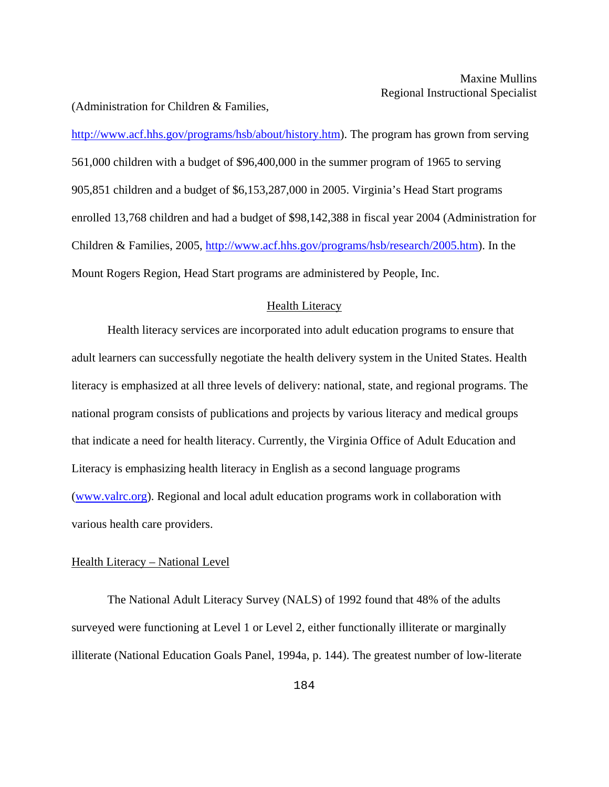(Administration for Children & Families,

<http://www.acf.hhs.gov/programs/hsb/about/history.htm>). The program has grown from serving 561,000 children with a budget of \$96,400,000 in the summer program of 1965 to serving 905,851 children and a budget of \$6,153,287,000 in 2005. Virginia's Head Start programs enrolled 13,768 children and had a budget of \$98,142,388 in fiscal year 2004 (Administration for Children & Families, 2005, [http://www.acf.hhs.gov/programs/hsb/research/2005.htm\)](http://www.acf.hhs.gov/programs/hsb/research/2005.htm). In the Mount Rogers Region, Head Start programs are administered by People, Inc.

#### Health Literacy

 Health literacy services are incorporated into adult education programs to ensure that adult learners can successfully negotiate the health delivery system in the United States. Health literacy is emphasized at all three levels of delivery: national, state, and regional programs. The national program consists of publications and projects by various literacy and medical groups that indicate a need for health literacy. Currently, the Virginia Office of Adult Education and Literacy is emphasizing health literacy in English as a second language programs ([www.valrc.org](http://www.valrc.org/)). Regional and local adult education programs work in collaboration with various health care providers.

#### Health Literacy – National Level

The National Adult Literacy Survey (NALS) of 1992 found that 48% of the adults surveyed were functioning at Level 1 or Level 2, either functionally illiterate or marginally illiterate (National Education Goals Panel, 1994a, p. 144). The greatest number of low-literate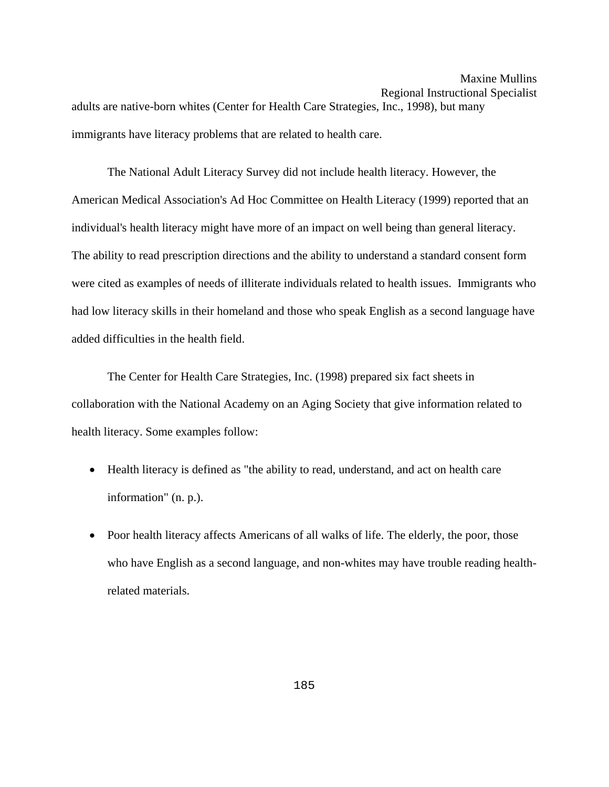adults are native-born whites (Center for Health Care Strategies, Inc., 1998), but many immigrants have literacy problems that are related to health care.

The National Adult Literacy Survey did not include health literacy. However, the American Medical Association's Ad Hoc Committee on Health Literacy (1999) reported that an individual's health literacy might have more of an impact on well being than general literacy. The ability to read prescription directions and the ability to understand a standard consent form were cited as examples of needs of illiterate individuals related to health issues. Immigrants who had low literacy skills in their homeland and those who speak English as a second language have added difficulties in the health field.

 The Center for Health Care Strategies, Inc. (1998) prepared six fact sheets in collaboration with the National Academy on an Aging Society that give information related to health literacy. Some examples follow:

- Health literacy is defined as "the ability to read, understand, and act on health care information" (n. p.).
- Poor health literacy affects Americans of all walks of life. The elderly, the poor, those who have English as a second language, and non-whites may have trouble reading healthrelated materials.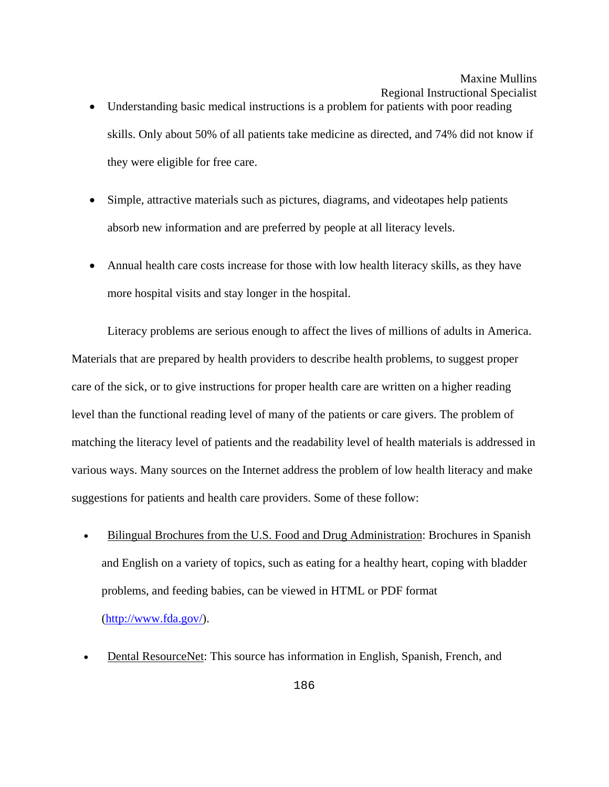- Understanding basic medical instructions is a problem for patients with poor reading skills. Only about 50% of all patients take medicine as directed, and 74% did not know if they were eligible for free care.
- Simple, attractive materials such as pictures, diagrams, and videotapes help patients absorb new information and are preferred by people at all literacy levels.
- Annual health care costs increase for those with low health literacy skills, as they have more hospital visits and stay longer in the hospital.

Literacy problems are serious enough to affect the lives of millions of adults in America. Materials that are prepared by health providers to describe health problems, to suggest proper care of the sick, or to give instructions for proper health care are written on a higher reading level than the functional reading level of many of the patients or care givers. The problem of matching the literacy level of patients and the readability level of health materials is addressed in various ways. Many sources on the Internet address the problem of low health literacy and make suggestions for patients and health care providers. Some of these follow:

- [Bilingual Brochures from the U.S. Food and Drug Administration:](http://www.fda.gov/opacom/lowlit/7lowlit.html) Brochures in Spanish and English on a variety of topics, such as eating for a healthy heart, coping with bladder problems, and feeding babies, can be viewed in HTML or PDF format [\(http://www.fda.gov/\)](http://www.fda.gov/).
- [Dental ResourceNet](http://www.dentalcare.com/soap/patient/english/menu.htm): This source has information in English, Spanish, French, and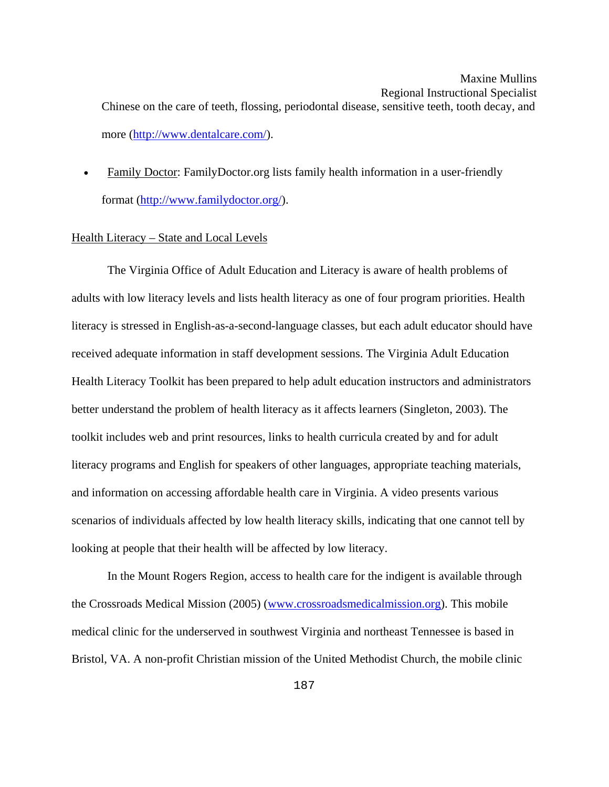Maxine Mullins Regional Instructional Specialist Chinese on the care of teeth, flossing, periodontal disease, sensitive teeth, tooth decay, and more ([http://www.dentalcare.com/\)](http://www.dentalcare.com/).

• [Family Doctor](http://familydoctor.org/): FamilyDoctor.org lists family health information in a user-friendly format [\(http://www.familydoctor.org/](http://www.familydoctor.org/)).

### Health Literacy – State and Local Levels

The Virginia Office of Adult Education and Literacy is aware of health problems of adults with low literacy levels and lists health literacy as one of four program priorities. Health literacy is stressed in English-as-a-second-language classes, but each adult educator should have received adequate information in staff development sessions. The Virginia Adult Education Health Literacy Toolkit has been prepared to help adult education instructors and administrators better understand the problem of health literacy as it affects learners (Singleton, 2003). The toolkit includes web and print resources, links to health curricula created by and for adult literacy programs and English for speakers of other languages, appropriate teaching materials, and information on accessing affordable health care in Virginia. A video presents various scenarios of individuals affected by low health literacy skills, indicating that one cannot tell by looking at people that their health will be affected by low literacy.

In the Mount Rogers Region, access to health care for the indigent is available through the Crossroads Medical Mission (2005) [\(www.crossroadsmedicalmission.org](http://www.crossroadsmedicalmission.org/)). This mobile medical clinic for the underserved in southwest Virginia and northeast Tennessee is based in Bristol, VA. A non-profit Christian mission of the United Methodist Church, the mobile clinic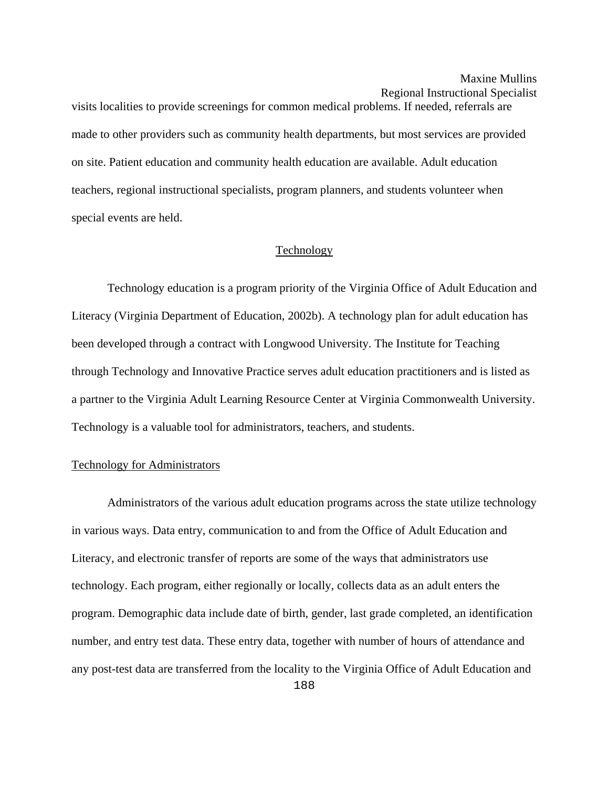visits localities to provide screenings for common medical problems. If needed, referrals are made to other providers such as community health departments, but most services are provided on site. Patient education and community health education are available. Adult education teachers, regional instructional specialists, program planners, and students volunteer when special events are held.

#### Technology

 Technology education is a program priority of the Virginia Office of Adult Education and Literacy (Virginia Department of Education, 2002b). A technology plan for adult education has been developed through a contract with Longwood University. The Institute for Teaching through Technology and Innovative Practice serves adult education practitioners and is listed as a partner to the Virginia Adult Learning Resource Center at Virginia Commonwealth University. Technology is a valuable tool for administrators, teachers, and students.

### Technology for Administrators

 Administrators of the various adult education programs across the state utilize technology in various ways. Data entry, communication to and from the Office of Adult Education and Literacy, and electronic transfer of reports are some of the ways that administrators use technology. Each program, either regionally or locally, collects data as an adult enters the program. Demographic data include date of birth, gender, last grade completed, an identification number, and entry test data. These entry data, together with number of hours of attendance and any post-test data are transferred from the locality to the Virginia Office of Adult Education and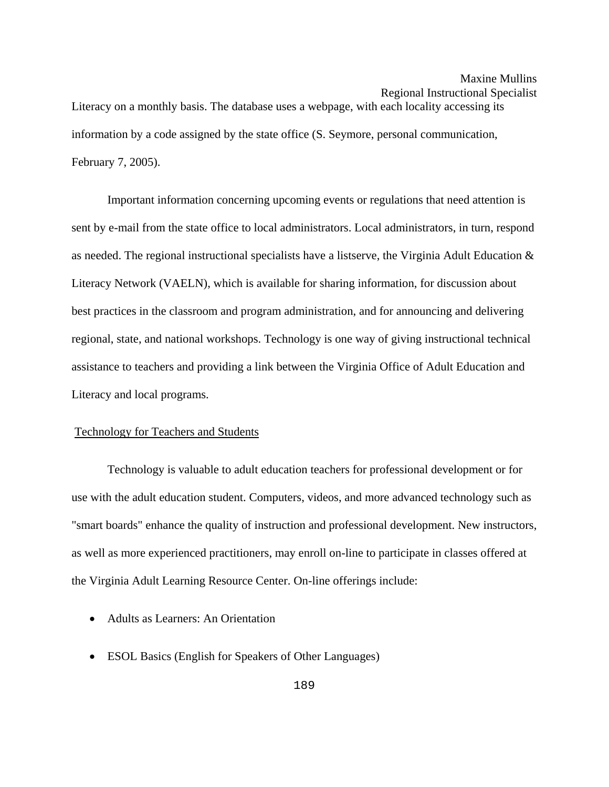Literacy on a monthly basis. The database uses a webpage, with each locality accessing its information by a code assigned by the state office (S. Seymore, personal communication, February 7, 2005).

 Important information concerning upcoming events or regulations that need attention is sent by e-mail from the state office to local administrators. Local administrators, in turn, respond as needed. The regional instructional specialists have a listserve, the Virginia Adult Education & Literacy Network (VAELN), which is available for sharing information, for discussion about best practices in the classroom and program administration, and for announcing and delivering regional, state, and national workshops. Technology is one way of giving instructional technical assistance to teachers and providing a link between the Virginia Office of Adult Education and Literacy and local programs.

#### Technology for Teachers and Students

 Technology is valuable to adult education teachers for professional development or for use with the adult education student. Computers, videos, and more advanced technology such as "smart boards" enhance the quality of instruction and professional development. New instructors, as well as more experienced practitioners, may enroll on-line to participate in classes offered at the Virginia Adult Learning Resource Center. On-line offerings include:

- Adults as Learners: An Orientation
- ESOL Basics (English for Speakers of Other Languages)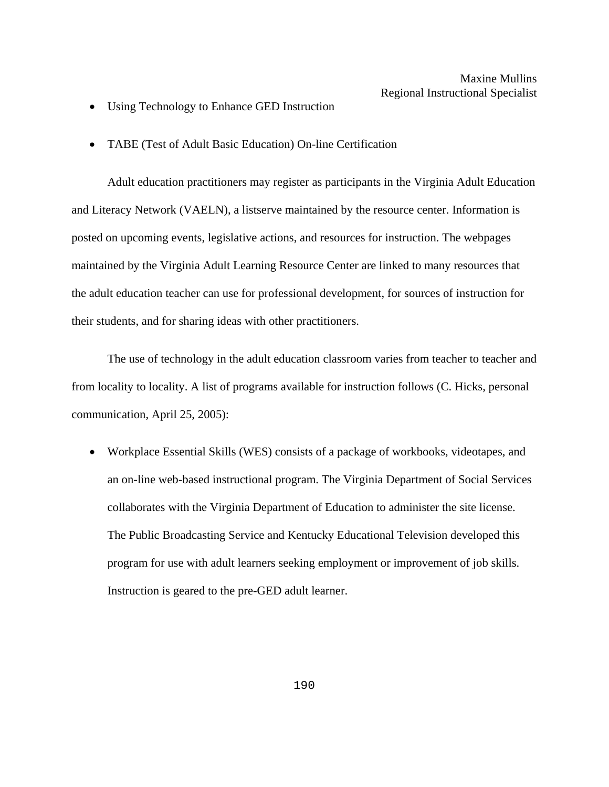- Using Technology to Enhance GED Instruction
- TABE (Test of Adult Basic Education) On-line Certification

Adult education practitioners may register as participants in the Virginia Adult Education and Literacy Network (VAELN), a listserve maintained by the resource center. Information is posted on upcoming events, legislative actions, and resources for instruction. The webpages maintained by the Virginia Adult Learning Resource Center are linked to many resources that the adult education teacher can use for professional development, for sources of instruction for their students, and for sharing ideas with other practitioners.

The use of technology in the adult education classroom varies from teacher to teacher and from locality to locality. A list of programs available for instruction follows (C. Hicks, personal communication, April 25, 2005):

• Workplace Essential Skills (WES) consists of a package of workbooks, videotapes, and an on-line web-based instructional program. The Virginia Department of Social Services collaborates with the Virginia Department of Education to administer the site license. The Public Broadcasting Service and Kentucky Educational Television developed this program for use with adult learners seeking employment or improvement of job skills. Instruction is geared to the pre-GED adult learner.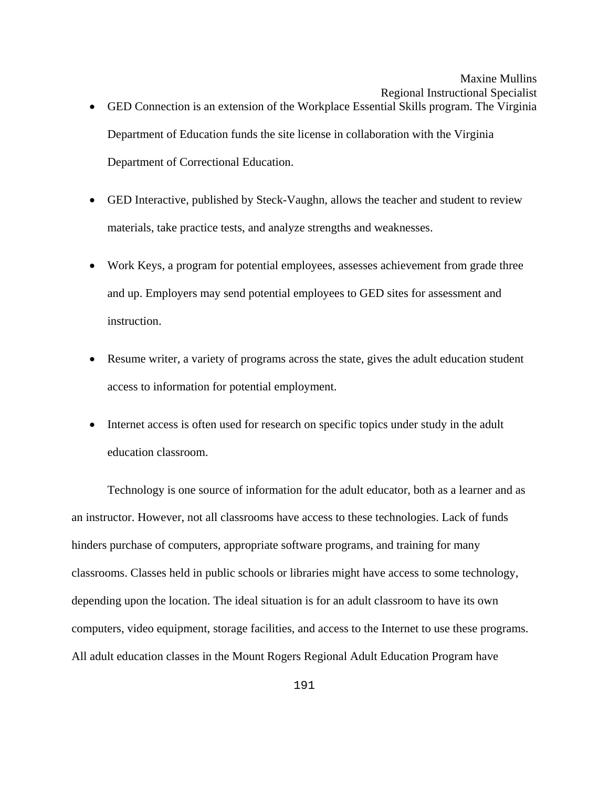- GED Connection is an extension of the Workplace Essential Skills program. The Virginia Department of Education funds the site license in collaboration with the Virginia Department of Correctional Education.
- GED Interactive, published by Steck-Vaughn, allows the teacher and student to review materials, take practice tests, and analyze strengths and weaknesses.
- Work Keys, a program for potential employees, assesses achievement from grade three and up. Employers may send potential employees to GED sites for assessment and instruction.
- Resume writer, a variety of programs across the state, gives the adult education student access to information for potential employment.
- Internet access is often used for research on specific topics under study in the adult education classroom.

Technology is one source of information for the adult educator, both as a learner and as an instructor. However, not all classrooms have access to these technologies. Lack of funds hinders purchase of computers, appropriate software programs, and training for many classrooms. Classes held in public schools or libraries might have access to some technology, depending upon the location. The ideal situation is for an adult classroom to have its own computers, video equipment, storage facilities, and access to the Internet to use these programs. All adult education classes in the Mount Rogers Regional Adult Education Program have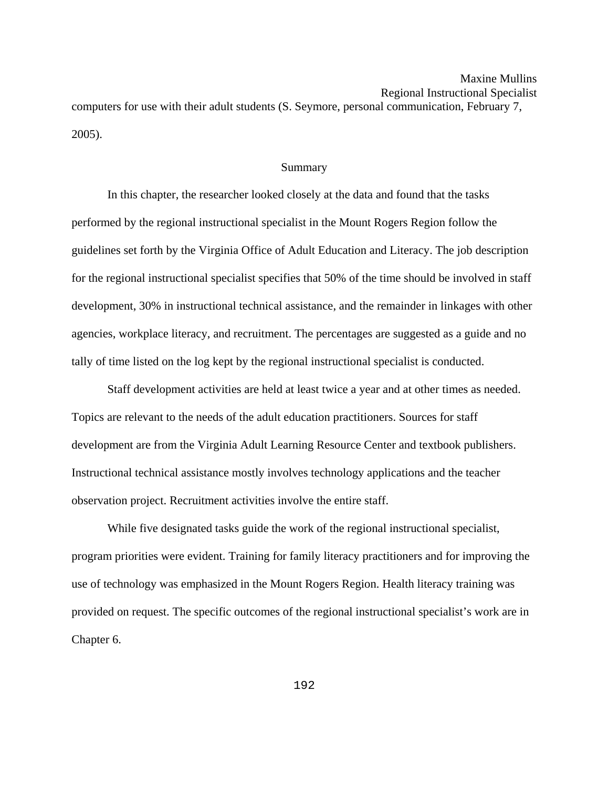Regional Instructional Specialist computers for use with their adult students (S. Seymore, personal communication, February 7, 2005).

Maxine Mullins

#### Summary

In this chapter, the researcher looked closely at the data and found that the tasks performed by the regional instructional specialist in the Mount Rogers Region follow the guidelines set forth by the Virginia Office of Adult Education and Literacy. The job description for the regional instructional specialist specifies that 50% of the time should be involved in staff development, 30% in instructional technical assistance, and the remainder in linkages with other agencies, workplace literacy, and recruitment. The percentages are suggested as a guide and no tally of time listed on the log kept by the regional instructional specialist is conducted.

Staff development activities are held at least twice a year and at other times as needed. Topics are relevant to the needs of the adult education practitioners. Sources for staff development are from the Virginia Adult Learning Resource Center and textbook publishers. Instructional technical assistance mostly involves technology applications and the teacher observation project. Recruitment activities involve the entire staff.

While five designated tasks guide the work of the regional instructional specialist, program priorities were evident. Training for family literacy practitioners and for improving the use of technology was emphasized in the Mount Rogers Region. Health literacy training was provided on request. The specific outcomes of the regional instructional specialist's work are in Chapter 6.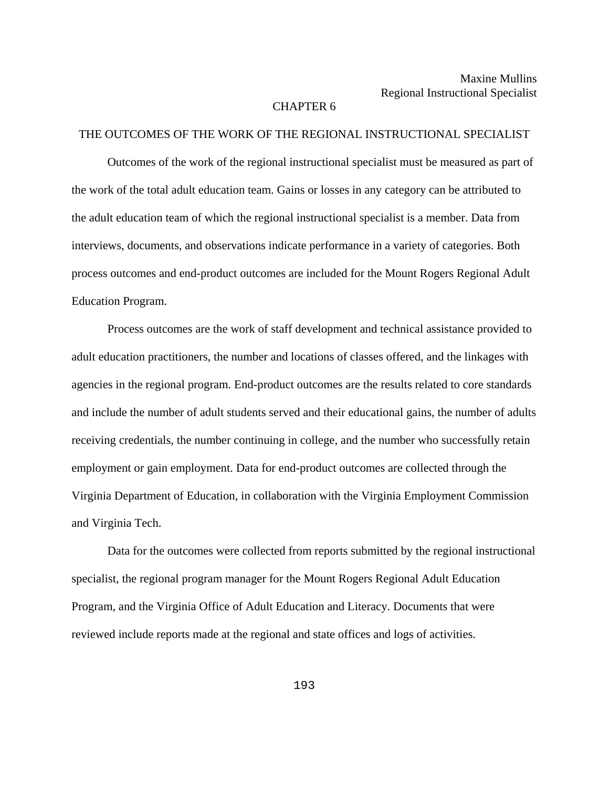### CHAPTER 6

#### THE OUTCOMES OF THE WORK OF THE REGIONAL INSTRUCTIONAL SPECIALIST

Outcomes of the work of the regional instructional specialist must be measured as part of the work of the total adult education team. Gains or losses in any category can be attributed to the adult education team of which the regional instructional specialist is a member. Data from interviews, documents, and observations indicate performance in a variety of categories. Both process outcomes and end-product outcomes are included for the Mount Rogers Regional Adult Education Program.

Process outcomes are the work of staff development and technical assistance provided to adult education practitioners, the number and locations of classes offered, and the linkages with agencies in the regional program. End-product outcomes are the results related to core standards and include the number of adult students served and their educational gains, the number of adults receiving credentials, the number continuing in college, and the number who successfully retain employment or gain employment. Data for end-product outcomes are collected through the Virginia Department of Education, in collaboration with the Virginia Employment Commission and Virginia Tech.

Data for the outcomes were collected from reports submitted by the regional instructional specialist, the regional program manager for the Mount Rogers Regional Adult Education Program, and the Virginia Office of Adult Education and Literacy. Documents that were reviewed include reports made at the regional and state offices and logs of activities.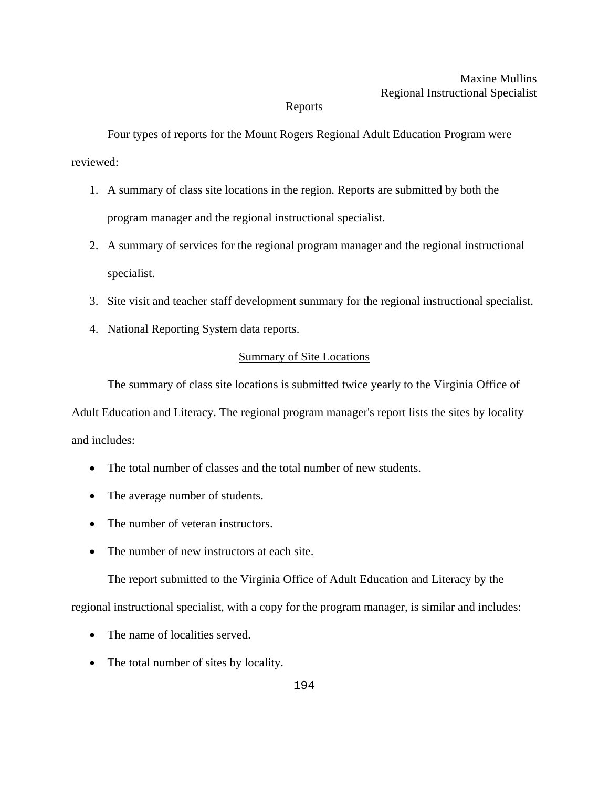### Reports

Four types of reports for the Mount Rogers Regional Adult Education Program were reviewed:

- 1. A summary of class site locations in the region. Reports are submitted by both the program manager and the regional instructional specialist.
- 2. A summary of services for the regional program manager and the regional instructional specialist.
- 3. Site visit and teacher staff development summary for the regional instructional specialist.
- 4. National Reporting System data reports.

### Summary of Site Locations

 The summary of class site locations is submitted twice yearly to the Virginia Office of Adult Education and Literacy. The regional program manager's report lists the sites by locality and includes:

- The total number of classes and the total number of new students.
- The average number of students.
- The number of veteran instructors.
- The number of new instructors at each site.

The report submitted to the Virginia Office of Adult Education and Literacy by the

regional instructional specialist, with a copy for the program manager, is similar and includes:

- The name of localities served.
- The total number of sites by locality.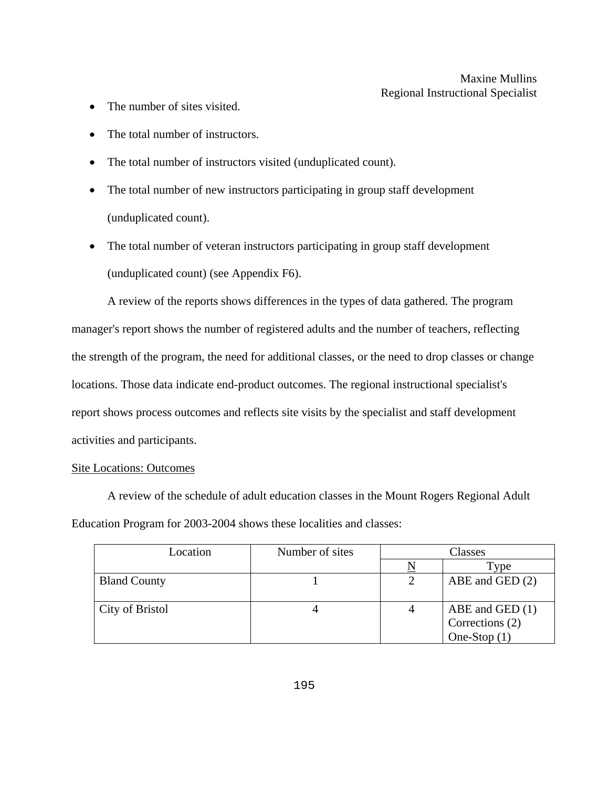- The number of sites visited.
- The total number of instructors.
- The total number of instructors visited (unduplicated count).
- The total number of new instructors participating in group staff development (unduplicated count).
- The total number of veteran instructors participating in group staff development (unduplicated count) (see Appendix F6).

A review of the reports shows differences in the types of data gathered. The program manager's report shows the number of registered adults and the number of teachers, reflecting the strength of the program, the need for additional classes, or the need to drop classes or change locations. Those data indicate end-product outcomes. The regional instructional specialist's report shows process outcomes and reflects site visits by the specialist and staff development activities and participants.

### Site Locations: Outcomes

 A review of the schedule of adult education classes in the Mount Rogers Regional Adult Education Program for 2003-2004 shows these localities and classes:

| Location            | Number of sites | Classes |                                                        |
|---------------------|-----------------|---------|--------------------------------------------------------|
|                     |                 |         | Type                                                   |
| <b>Bland County</b> |                 |         | $ABE$ and GED $(2)$                                    |
| City of Bristol     |                 |         | ABE and GED $(1)$<br>Corrections (2)<br>One-Stop $(1)$ |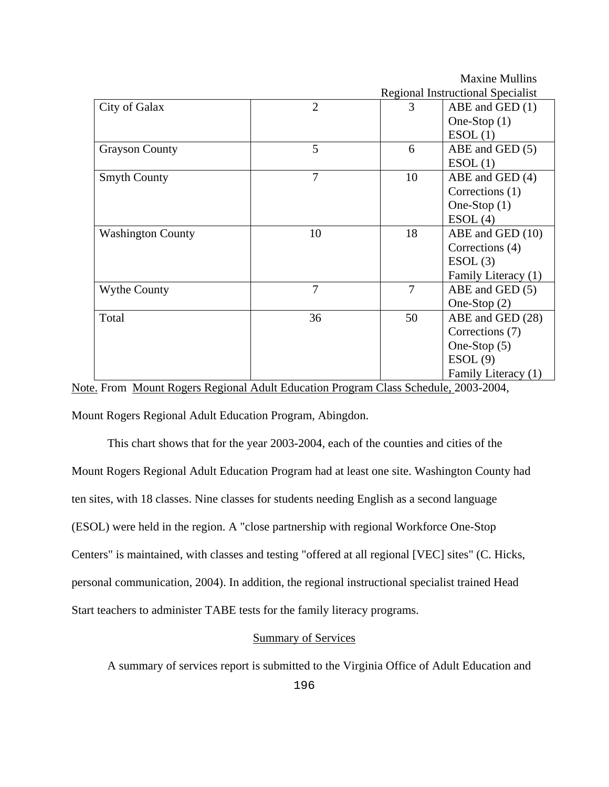|                          |                |                | <b>Regional Instructional Specialist</b> |
|--------------------------|----------------|----------------|------------------------------------------|
| City of Galax            | $\overline{2}$ | 3              | ABE and GED (1)                          |
|                          |                |                | One-Stop $(1)$                           |
|                          |                |                | ESOL(1)                                  |
| <b>Grayson County</b>    | 5              | 6              | $ABE$ and GED $(5)$                      |
|                          |                |                | ESOL(1)                                  |
| <b>Smyth County</b>      | 7              | 10             | ABE and GED (4)                          |
|                          |                |                | Corrections (1)                          |
|                          |                |                | One-Stop $(1)$                           |
|                          |                |                | ESOL(4)                                  |
| <b>Washington County</b> | 10             | 18             | ABE and GED (10)                         |
|                          |                |                | Corrections (4)                          |
|                          |                |                | ESOL(3)                                  |
|                          |                |                | Family Literacy (1)                      |
| <b>Wythe County</b>      | 7              | $\overline{7}$ | ABE and GED (5)                          |
|                          |                |                | One-Stop $(2)$                           |
| Total                    | 36             | 50             | ABE and GED (28)                         |
|                          |                |                | Corrections (7)                          |
|                          |                |                | One-Stop $(5)$                           |
|                          |                |                | ESOL(9)                                  |
|                          |                |                | Family Literacy (1)                      |

Maxine Mullins

Note. From Mount Rogers Regional Adult Education Program Class Schedule, 2003-2004,

Mount Rogers Regional Adult Education Program, Abingdon.

 This chart shows that for the year 2003-2004, each of the counties and cities of the Mount Rogers Regional Adult Education Program had at least one site. Washington County had ten sites, with 18 classes. Nine classes for students needing English as a second language (ESOL) were held in the region. A "close partnership with regional Workforce One-Stop Centers" is maintained, with classes and testing "offered at all regional [VEC] sites" (C. Hicks, personal communication, 2004). In addition, the regional instructional specialist trained Head Start teachers to administer TABE tests for the family literacy programs.

### Summary of Services

A summary of services report is submitted to the Virginia Office of Adult Education and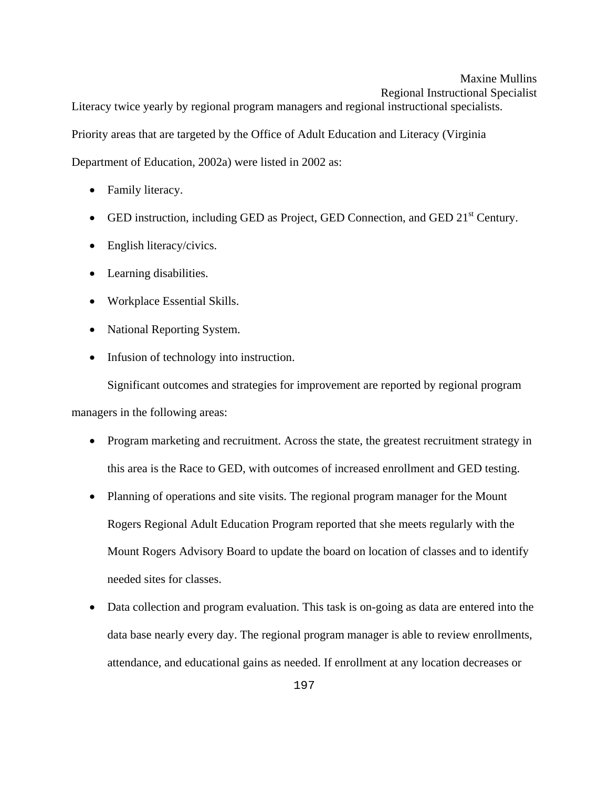Literacy twice yearly by regional program managers and regional instructional specialists. Priority areas that are targeted by the Office of Adult Education and Literacy (Virginia Department of Education, 2002a) were listed in 2002 as:

- Family literacy.
- GED instruction, including GED as Project, GED Connection, and GED 21<sup>st</sup> Century.
- English literacy/civics.
- Learning disabilities.
- Workplace Essential Skills.
- National Reporting System.
- Infusion of technology into instruction.

Significant outcomes and strategies for improvement are reported by regional program managers in the following areas:

- Program marketing and recruitment. Across the state, the greatest recruitment strategy in this area is the Race to GED, with outcomes of increased enrollment and GED testing.
- Planning of operations and site visits. The regional program manager for the Mount Rogers Regional Adult Education Program reported that she meets regularly with the Mount Rogers Advisory Board to update the board on location of classes and to identify needed sites for classes.
- Data collection and program evaluation. This task is on-going as data are entered into the data base nearly every day. The regional program manager is able to review enrollments, attendance, and educational gains as needed. If enrollment at any location decreases or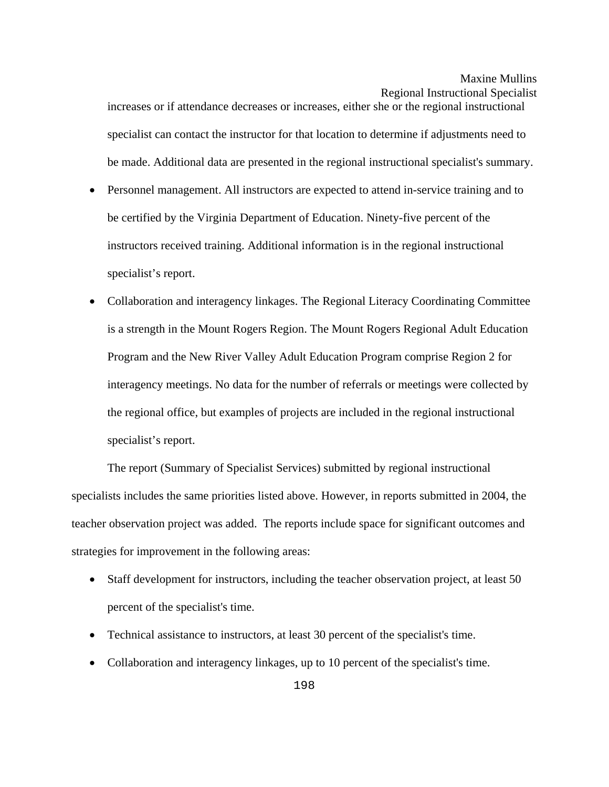increases or if attendance decreases or increases, either she or the regional instructional specialist can contact the instructor for that location to determine if adjustments need to be made. Additional data are presented in the regional instructional specialist's summary.

- Personnel management. All instructors are expected to attend in-service training and to be certified by the Virginia Department of Education. Ninety-five percent of the instructors received training. Additional information is in the regional instructional specialist's report.
- Collaboration and interagency linkages. The Regional Literacy Coordinating Committee is a strength in the Mount Rogers Region. The Mount Rogers Regional Adult Education Program and the New River Valley Adult Education Program comprise Region 2 for interagency meetings. No data for the number of referrals or meetings were collected by the regional office, but examples of projects are included in the regional instructional specialist's report.

The report (Summary of Specialist Services) submitted by regional instructional specialists includes the same priorities listed above. However, in reports submitted in 2004, the teacher observation project was added. The reports include space for significant outcomes and strategies for improvement in the following areas:

- Staff development for instructors, including the teacher observation project, at least 50 percent of the specialist's time.
- Technical assistance to instructors, at least 30 percent of the specialist's time.
- Collaboration and interagency linkages, up to 10 percent of the specialist's time.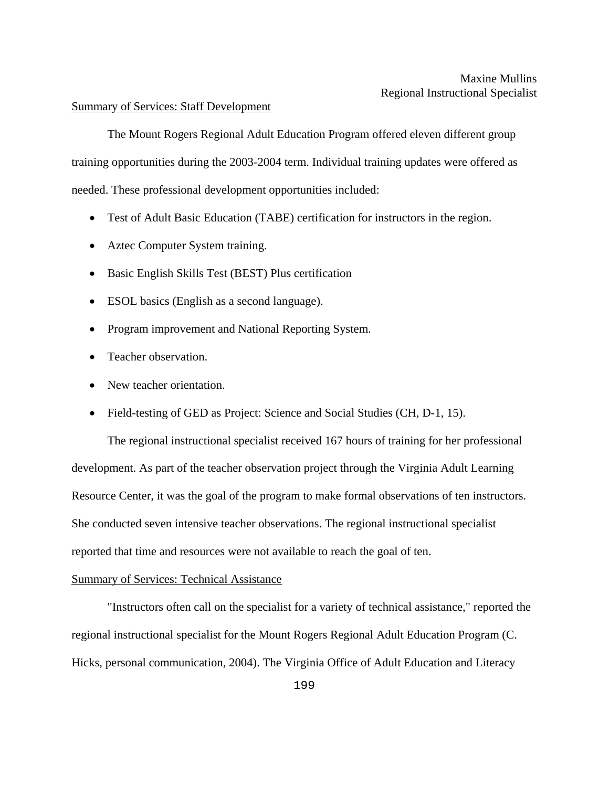#### Summary of Services: Staff Development

 The Mount Rogers Regional Adult Education Program offered eleven different group training opportunities during the 2003-2004 term. Individual training updates were offered as needed. These professional development opportunities included:

- Test of Adult Basic Education (TABE) certification for instructors in the region.
- Aztec Computer System training.
- Basic English Skills Test (BEST) Plus certification
- ESOL basics (English as a second language).
- Program improvement and National Reporting System.
- Teacher observation.
- New teacher orientation.
- Field-testing of GED as Project: Science and Social Studies (CH, D-1, 15).

The regional instructional specialist received 167 hours of training for her professional development. As part of the teacher observation project through the Virginia Adult Learning Resource Center, it was the goal of the program to make formal observations of ten instructors. She conducted seven intensive teacher observations. The regional instructional specialist reported that time and resources were not available to reach the goal of ten.

### Summary of Services: Technical Assistance

 "Instructors often call on the specialist for a variety of technical assistance," reported the regional instructional specialist for the Mount Rogers Regional Adult Education Program (C. Hicks, personal communication, 2004). The Virginia Office of Adult Education and Literacy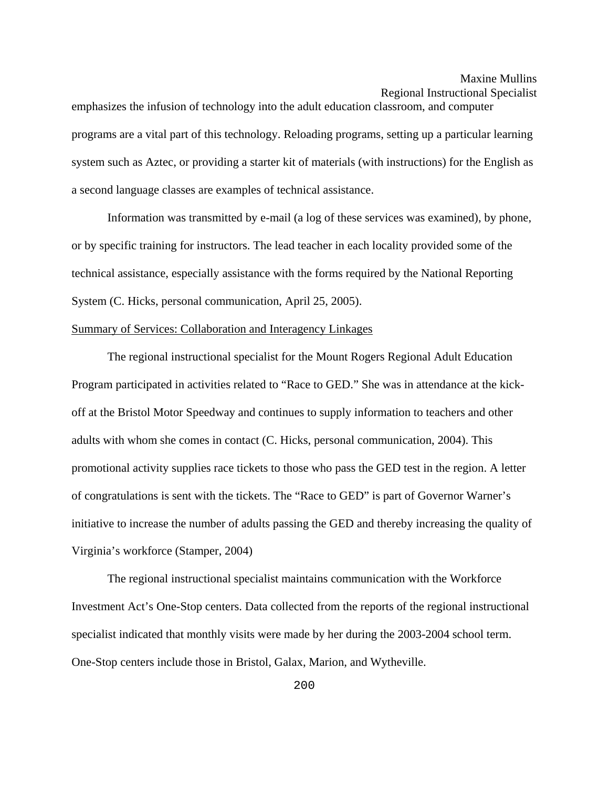emphasizes the infusion of technology into the adult education classroom, and computer programs are a vital part of this technology. Reloading programs, setting up a particular learning system such as Aztec, or providing a starter kit of materials (with instructions) for the English as a second language classes are examples of technical assistance.

 Information was transmitted by e-mail (a log of these services was examined), by phone, or by specific training for instructors. The lead teacher in each locality provided some of the technical assistance, especially assistance with the forms required by the National Reporting System (C. Hicks, personal communication, April 25, 2005).

### Summary of Services: Collaboration and Interagency Linkages

The regional instructional specialist for the Mount Rogers Regional Adult Education Program participated in activities related to "Race to GED." She was in attendance at the kickoff at the Bristol Motor Speedway and continues to supply information to teachers and other adults with whom she comes in contact (C. Hicks, personal communication, 2004). This promotional activity supplies race tickets to those who pass the GED test in the region. A letter of congratulations is sent with the tickets. The "Race to GED" is part of Governor Warner's initiative to increase the number of adults passing the GED and thereby increasing the quality of Virginia's workforce (Stamper, 2004)

The regional instructional specialist maintains communication with the Workforce Investment Act's One-Stop centers. Data collected from the reports of the regional instructional specialist indicated that monthly visits were made by her during the 2003-2004 school term. One-Stop centers include those in Bristol, Galax, Marion, and Wytheville.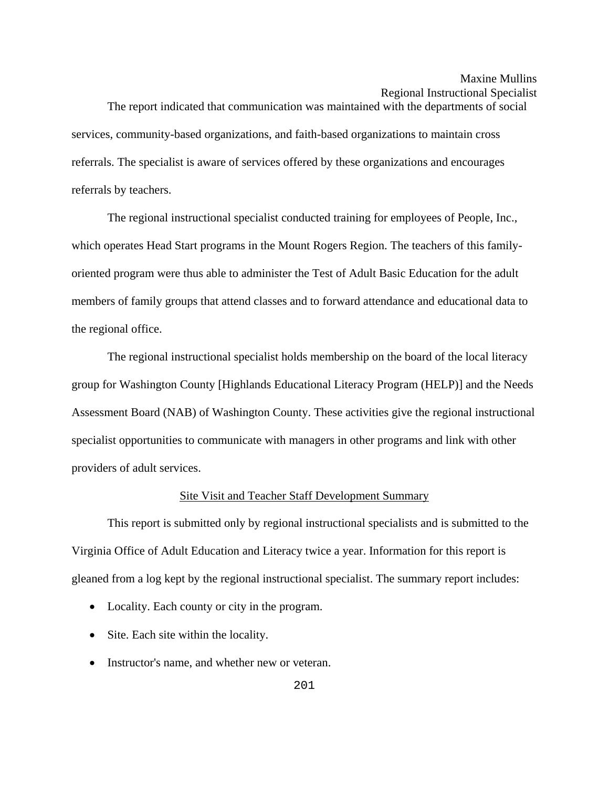The report indicated that communication was maintained with the departments of social services, community-based organizations, and faith-based organizations to maintain cross referrals. The specialist is aware of services offered by these organizations and encourages referrals by teachers.

The regional instructional specialist conducted training for employees of People, Inc., which operates Head Start programs in the Mount Rogers Region. The teachers of this familyoriented program were thus able to administer the Test of Adult Basic Education for the adult members of family groups that attend classes and to forward attendance and educational data to the regional office.

The regional instructional specialist holds membership on the board of the local literacy group for Washington County [Highlands Educational Literacy Program (HELP)] and the Needs Assessment Board (NAB) of Washington County. These activities give the regional instructional specialist opportunities to communicate with managers in other programs and link with other providers of adult services.

### Site Visit and Teacher Staff Development Summary

 This report is submitted only by regional instructional specialists and is submitted to the Virginia Office of Adult Education and Literacy twice a year. Information for this report is gleaned from a log kept by the regional instructional specialist. The summary report includes:

- Locality. Each county or city in the program.
- Site. Each site within the locality.
- Instructor's name, and whether new or veteran.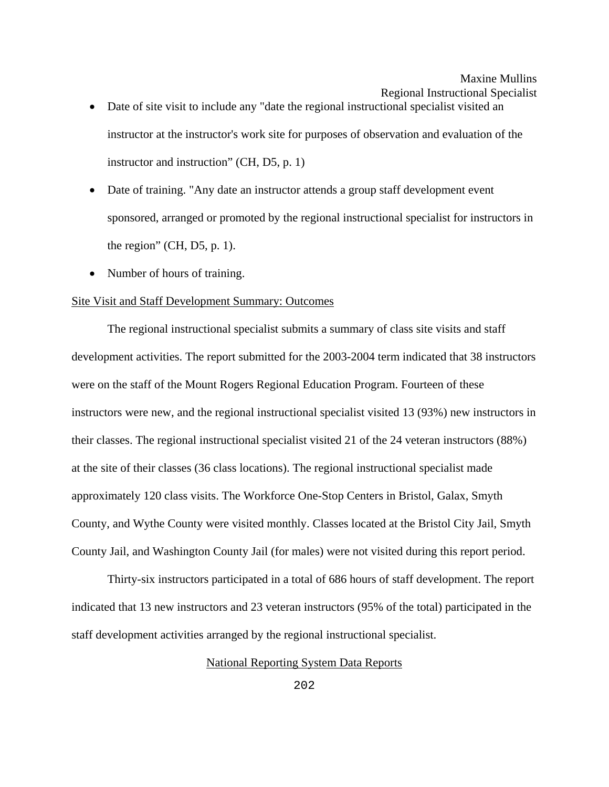- Date of site visit to include any "date the regional instructional specialist visited an instructor at the instructor's work site for purposes of observation and evaluation of the instructor and instruction" (CH, D5, p. 1)
- Date of training. "Any date an instructor attends a group staff development event sponsored, arranged or promoted by the regional instructional specialist for instructors in the region" (CH,  $D5$ , p. 1).
- Number of hours of training.

#### Site Visit and Staff Development Summary: Outcomes

The regional instructional specialist submits a summary of class site visits and staff development activities. The report submitted for the 2003-2004 term indicated that 38 instructors were on the staff of the Mount Rogers Regional Education Program. Fourteen of these instructors were new, and the regional instructional specialist visited 13 (93%) new instructors in their classes. The regional instructional specialist visited 21 of the 24 veteran instructors (88%) at the site of their classes (36 class locations). The regional instructional specialist made approximately 120 class visits. The Workforce One-Stop Centers in Bristol, Galax, Smyth County, and Wythe County were visited monthly. Classes located at the Bristol City Jail, Smyth County Jail, and Washington County Jail (for males) were not visited during this report period.

Thirty-six instructors participated in a total of 686 hours of staff development. The report indicated that 13 new instructors and 23 veteran instructors (95% of the total) participated in the staff development activities arranged by the regional instructional specialist.

#### National Reporting System Data Reports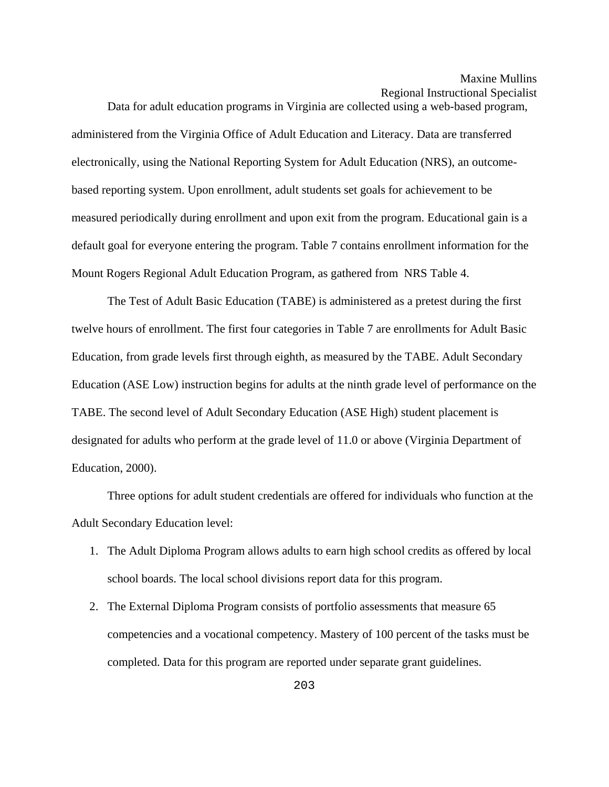Data for adult education programs in Virginia are collected using a web-based program, administered from the Virginia Office of Adult Education and Literacy. Data are transferred electronically, using the National Reporting System for Adult Education (NRS), an outcomebased reporting system. Upon enrollment, adult students set goals for achievement to be measured periodically during enrollment and upon exit from the program. Educational gain is a default goal for everyone entering the program. Table 7 contains enrollment information for the Mount Rogers Regional Adult Education Program, as gathered from NRS Table 4.

 The Test of Adult Basic Education (TABE) is administered as a pretest during the first twelve hours of enrollment. The first four categories in Table 7 are enrollments for Adult Basic Education, from grade levels first through eighth, as measured by the TABE. Adult Secondary Education (ASE Low) instruction begins for adults at the ninth grade level of performance on the TABE. The second level of Adult Secondary Education (ASE High) student placement is designated for adults who perform at the grade level of 11.0 or above (Virginia Department of Education, 2000).

 Three options for adult student credentials are offered for individuals who function at the Adult Secondary Education level:

- 1. The Adult Diploma Program allows adults to earn high school credits as offered by local school boards. The local school divisions report data for this program.
- 2. The External Diploma Program consists of portfolio assessments that measure 65 competencies and a vocational competency. Mastery of 100 percent of the tasks must be completed. Data for this program are reported under separate grant guidelines.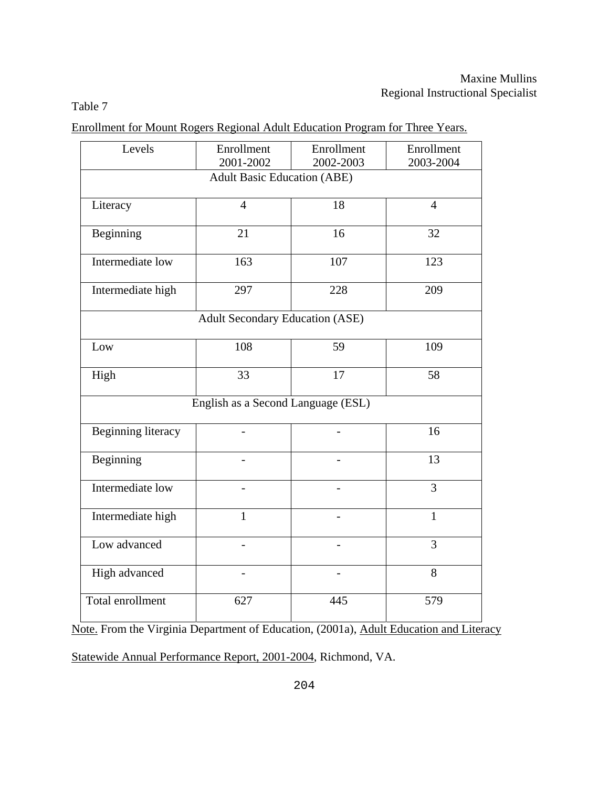# Table 7

Enrollment for Mount Rogers Regional Adult Education Program for Three Years.

| Levels                             | Enrollment<br>2001-2002                | Enrollment<br>2002-2003 | Enrollment<br>2003-2004 |  |
|------------------------------------|----------------------------------------|-------------------------|-------------------------|--|
| <b>Adult Basic Education (ABE)</b> |                                        |                         |                         |  |
|                                    |                                        |                         |                         |  |
| Literacy                           | $\overline{4}$                         | 18                      | $\overline{4}$          |  |
| Beginning                          | 21                                     | 16                      | 32                      |  |
| Intermediate low                   | 163                                    | 107                     | 123                     |  |
| Intermediate high                  | 297                                    | 228                     | 209                     |  |
|                                    | <b>Adult Secondary Education (ASE)</b> |                         |                         |  |
| Low                                | 108                                    | 59                      | 109                     |  |
| High                               | 33                                     | 17                      | 58                      |  |
|                                    | English as a Second Language (ESL)     |                         |                         |  |
| <b>Beginning literacy</b>          |                                        |                         | 16                      |  |
| Beginning                          |                                        |                         | 13                      |  |
| Intermediate low                   |                                        |                         | $\overline{3}$          |  |
| Intermediate high                  | $\mathbf{1}$                           |                         | $\mathbf{1}$            |  |
| Low advanced                       |                                        |                         | 3                       |  |
| High advanced                      | $\overline{\phantom{0}}$               |                         | 8                       |  |
| Total enrollment                   | 627                                    | 445                     | 579                     |  |

Note. From the Virginia Department of Education, (2001a), Adult Education and Literacy

Statewide Annual Performance Report, 2001-2004, Richmond, VA.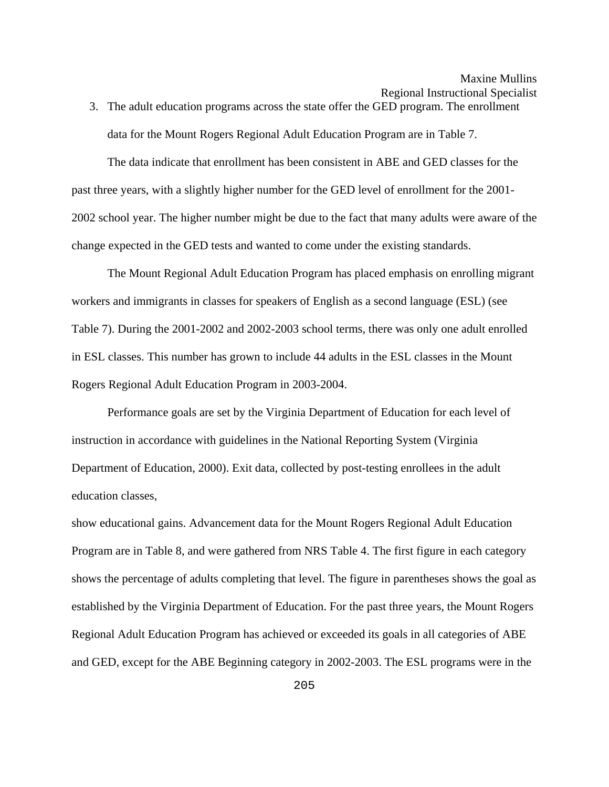3. The adult education programs across the state offer the GED program. The enrollment data for the Mount Rogers Regional Adult Education Program are in Table 7.

The data indicate that enrollment has been consistent in ABE and GED classes for the past three years, with a slightly higher number for the GED level of enrollment for the 2001- 2002 school year. The higher number might be due to the fact that many adults were aware of the change expected in the GED tests and wanted to come under the existing standards.

The Mount Regional Adult Education Program has placed emphasis on enrolling migrant workers and immigrants in classes for speakers of English as a second language (ESL) (see Table 7). During the 2001-2002 and 2002-2003 school terms, there was only one adult enrolled in ESL classes. This number has grown to include 44 adults in the ESL classes in the Mount Rogers Regional Adult Education Program in 2003-2004.

Performance goals are set by the Virginia Department of Education for each level of instruction in accordance with guidelines in the National Reporting System (Virginia Department of Education, 2000). Exit data, collected by post-testing enrollees in the adult education classes,

show educational gains. Advancement data for the Mount Rogers Regional Adult Education Program are in Table 8, and were gathered from NRS Table 4. The first figure in each category shows the percentage of adults completing that level. The figure in parentheses shows the goal as established by the Virginia Department of Education. For the past three years, the Mount Rogers Regional Adult Education Program has achieved or exceeded its goals in all categories of ABE and GED, except for the ABE Beginning category in 2002-2003. The ESL programs were in the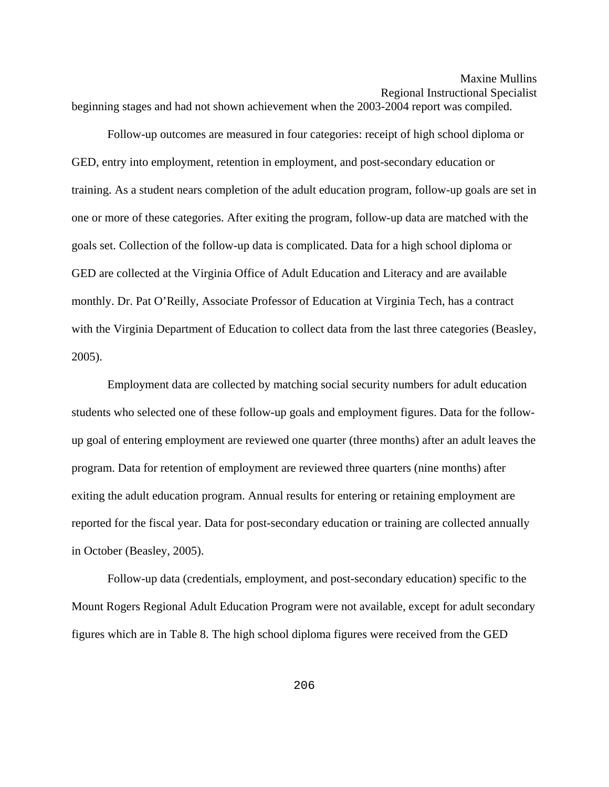# Maxine Mullins

Regional Instructional Specialist

beginning stages and had not shown achievement when the 2003-2004 report was compiled.

 Follow-up outcomes are measured in four categories: receipt of high school diploma or GED, entry into employment, retention in employment, and post-secondary education or training. As a student nears completion of the adult education program, follow-up goals are set in one or more of these categories. After exiting the program, follow-up data are matched with the goals set. Collection of the follow-up data is complicated. Data for a high school diploma or GED are collected at the Virginia Office of Adult Education and Literacy and are available monthly. Dr. Pat O'Reilly, Associate Professor of Education at Virginia Tech, has a contract with the Virginia Department of Education to collect data from the last three categories (Beasley, 2005).

Employment data are collected by matching social security numbers for adult education students who selected one of these follow-up goals and employment figures. Data for the followup goal of entering employment are reviewed one quarter (three months) after an adult leaves the program. Data for retention of employment are reviewed three quarters (nine months) after exiting the adult education program. Annual results for entering or retaining employment are reported for the fiscal year. Data for post-secondary education or training are collected annually in October (Beasley, 2005).

Follow-up data (credentials, employment, and post-secondary education) specific to the Mount Rogers Regional Adult Education Program were not available, except for adult secondary figures which are in Table 8. The high school diploma figures were received from the GED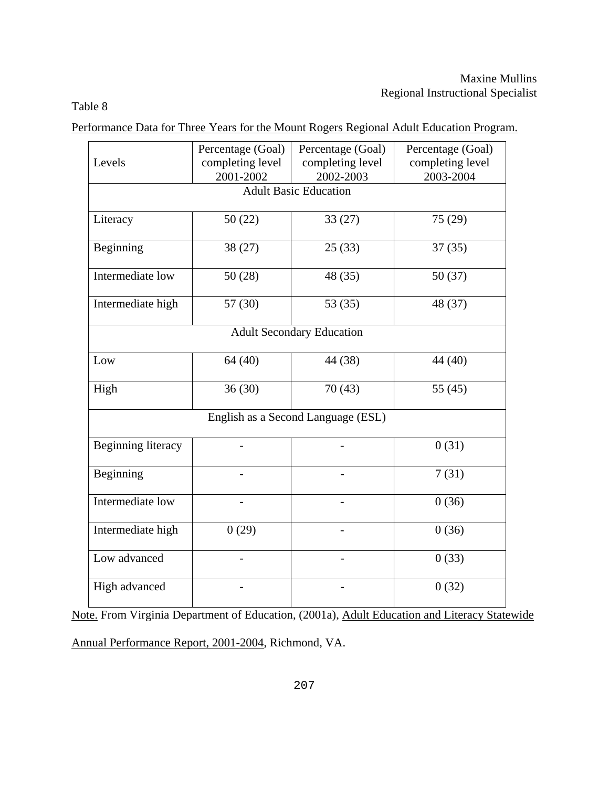# Table 8

Performance Data for Three Years for the Mount Rogers Regional Adult Education Program.

|                                    | Percentage (Goal) | Percentage (Goal)                | Percentage (Goal) |
|------------------------------------|-------------------|----------------------------------|-------------------|
| Levels                             | completing level  | completing level                 | completing level  |
|                                    | 2001-2002         | 2002-2003                        | 2003-2004         |
|                                    |                   | <b>Adult Basic Education</b>     |                   |
|                                    |                   |                                  |                   |
| Literacy                           | 50(22)            | 33(27)                           | 75(29)            |
|                                    |                   |                                  |                   |
| Beginning                          | 38 (27)           | 25(33)                           | 37(35)            |
|                                    |                   |                                  |                   |
| Intermediate low                   | 50(28)            | 48 (35)                          | 50(37)            |
|                                    |                   |                                  |                   |
| Intermediate high                  | 57(30)            | 53 $(35)$                        | 48 (37)           |
|                                    |                   |                                  |                   |
|                                    |                   | <b>Adult Secondary Education</b> |                   |
|                                    |                   |                                  |                   |
| Low                                | 64(40)            | 44 (38)                          | 44 (40)           |
|                                    |                   |                                  |                   |
| High                               | 36(30)            | 70(43)                           | 55 $(45)$         |
|                                    |                   |                                  |                   |
| English as a Second Language (ESL) |                   |                                  |                   |
| <b>Beginning literacy</b>          |                   |                                  | 0(31)             |
|                                    |                   |                                  |                   |
| Beginning                          |                   |                                  | 7(31)             |
|                                    |                   |                                  |                   |
| Intermediate low                   |                   |                                  | 0(36)             |
|                                    |                   |                                  |                   |
| Intermediate high                  | 0(29)             |                                  | 0(36)             |
|                                    |                   |                                  |                   |
| Low advanced                       |                   |                                  | 0(33)             |
|                                    |                   |                                  |                   |
| High advanced                      |                   |                                  | 0(32)             |
|                                    |                   |                                  |                   |

Note. From Virginia Department of Education, (2001a), Adult Education and Literacy Statewide Annual Performance Report, 2001-2004, Richmond, VA.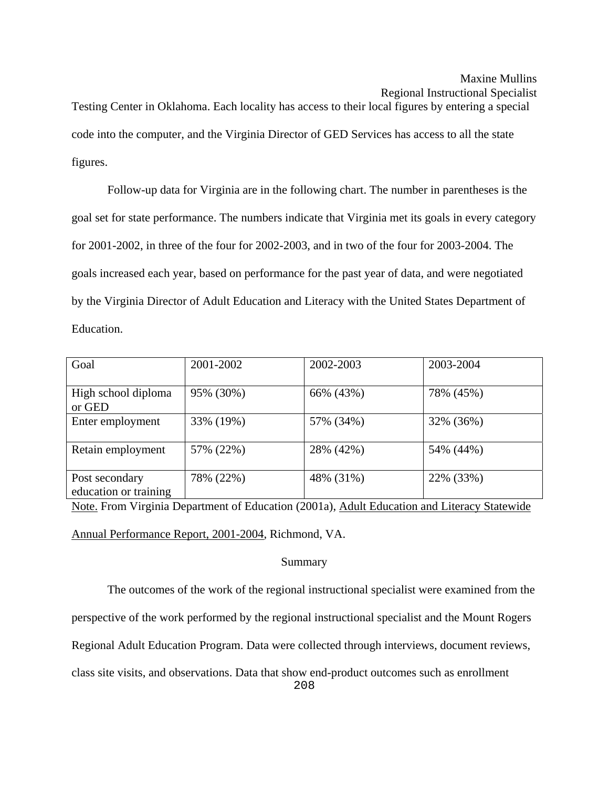## Maxine Mullins

Regional Instructional Specialist

Testing Center in Oklahoma. Each locality has access to their local figures by entering a special code into the computer, and the Virginia Director of GED Services has access to all the state figures.

Follow-up data for Virginia are in the following chart. The number in parentheses is the goal set for state performance. The numbers indicate that Virginia met its goals in every category for 2001-2002, in three of the four for 2002-2003, and in two of the four for 2003-2004. The goals increased each year, based on performance for the past year of data, and were negotiated by the Virginia Director of Adult Education and Literacy with the United States Department of Education.

| Goal                                    | 2001-2002 | 2002-2003 | 2003-2004 |
|-----------------------------------------|-----------|-----------|-----------|
| High school diploma<br>or GED           | 95% (30%) | 66% (43%) | 78% (45%) |
| Enter employment                        | 33% (19%) | 57% (34%) | 32% (36%) |
| Retain employment                       | 57% (22%) | 28% (42%) | 54% (44%) |
| Post secondary<br>education or training | 78% (22%) | 48% (31%) | 22% (33%) |

Note. From Virginia Department of Education (2001a), Adult Education and Literacy Statewide

Annual Performance Report, 2001-2004, Richmond, VA.

### Summary

The outcomes of the work of the regional instructional specialist were examined from the

perspective of the work performed by the regional instructional specialist and the Mount Rogers

Regional Adult Education Program. Data were collected through interviews, document reviews,

class site visits, and observations. Data that show end-product outcomes such as enrollment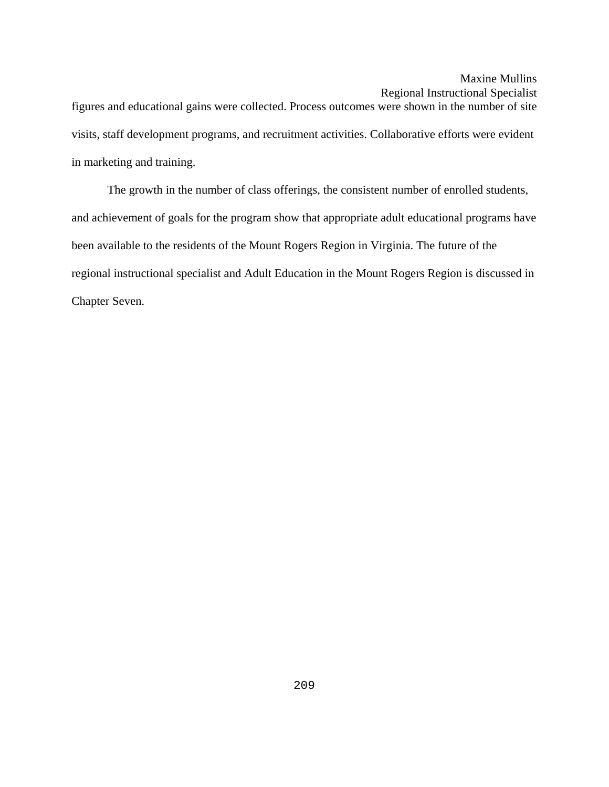figures and educational gains were collected. Process outcomes were shown in the number of site visits, staff development programs, and recruitment activities. Collaborative efforts were evident in marketing and training.

 The growth in the number of class offerings, the consistent number of enrolled students, and achievement of goals for the program show that appropriate adult educational programs have been available to the residents of the Mount Rogers Region in Virginia. The future of the regional instructional specialist and Adult Education in the Mount Rogers Region is discussed in Chapter Seven.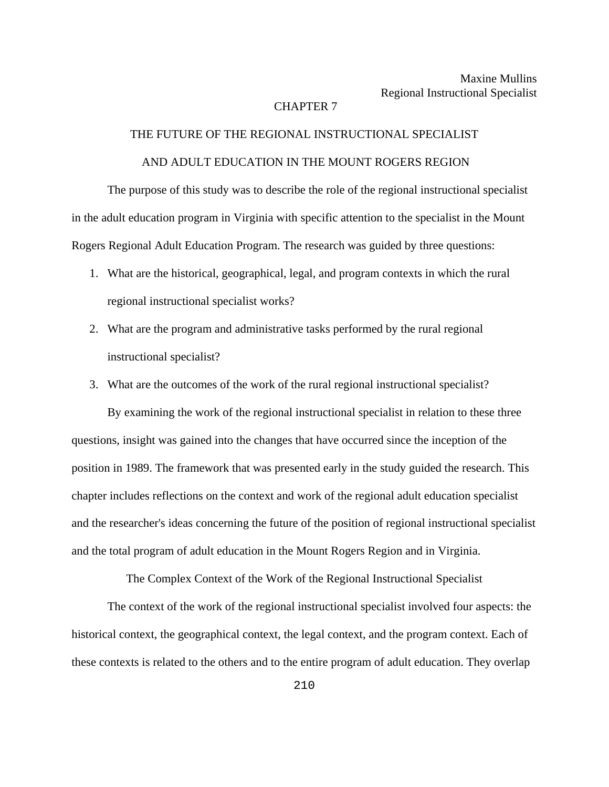### CHAPTER 7

# THE FUTURE OF THE REGIONAL INSTRUCTIONAL SPECIALIST

# AND ADULT EDUCATION IN THE MOUNT ROGERS REGION

The purpose of this study was to describe the role of the regional instructional specialist in the adult education program in Virginia with specific attention to the specialist in the Mount Rogers Regional Adult Education Program. The research was guided by three questions:

- 1. What are the historical, geographical, legal, and program contexts in which the rural regional instructional specialist works?
- 2. What are the program and administrative tasks performed by the rural regional instructional specialist?
- 3. What are the outcomes of the work of the rural regional instructional specialist?

By examining the work of the regional instructional specialist in relation to these three questions, insight was gained into the changes that have occurred since the inception of the position in 1989. The framework that was presented early in the study guided the research. This chapter includes reflections on the context and work of the regional adult education specialist and the researcher's ideas concerning the future of the position of regional instructional specialist and the total program of adult education in the Mount Rogers Region and in Virginia.

The Complex Context of the Work of the Regional Instructional Specialist

 The context of the work of the regional instructional specialist involved four aspects: the historical context, the geographical context, the legal context, and the program context. Each of these contexts is related to the others and to the entire program of adult education. They overlap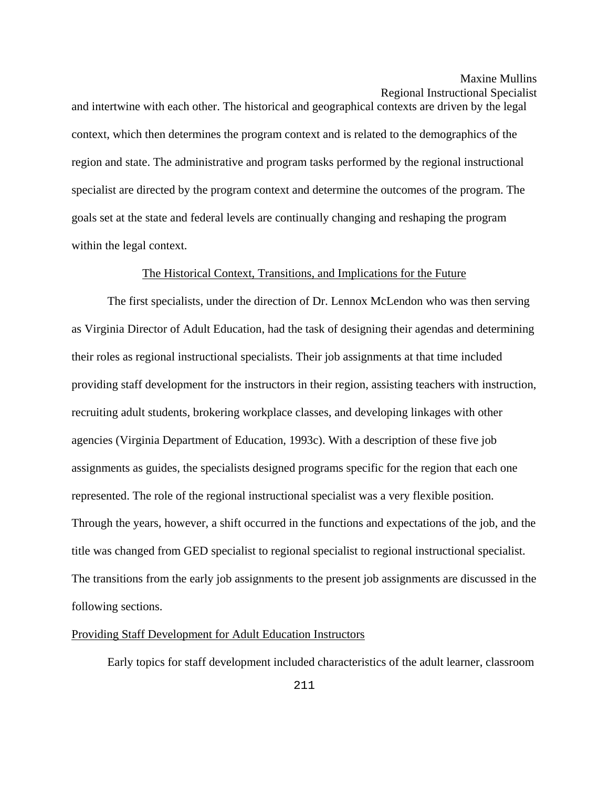Regional Instructional Specialist

and intertwine with each other. The historical and geographical contexts are driven by the legal context, which then determines the program context and is related to the demographics of the region and state. The administrative and program tasks performed by the regional instructional specialist are directed by the program context and determine the outcomes of the program. The goals set at the state and federal levels are continually changing and reshaping the program within the legal context.

### The Historical Context, Transitions, and Implications for the Future

The first specialists, under the direction of Dr. Lennox McLendon who was then serving as Virginia Director of Adult Education, had the task of designing their agendas and determining their roles as regional instructional specialists. Their job assignments at that time included providing staff development for the instructors in their region, assisting teachers with instruction, recruiting adult students, brokering workplace classes, and developing linkages with other agencies (Virginia Department of Education, 1993c). With a description of these five job assignments as guides, the specialists designed programs specific for the region that each one represented. The role of the regional instructional specialist was a very flexible position. Through the years, however, a shift occurred in the functions and expectations of the job, and the title was changed from GED specialist to regional specialist to regional instructional specialist. The transitions from the early job assignments to the present job assignments are discussed in the following sections.

#### Providing Staff Development for Adult Education Instructors

Early topics for staff development included characteristics of the adult learner, classroom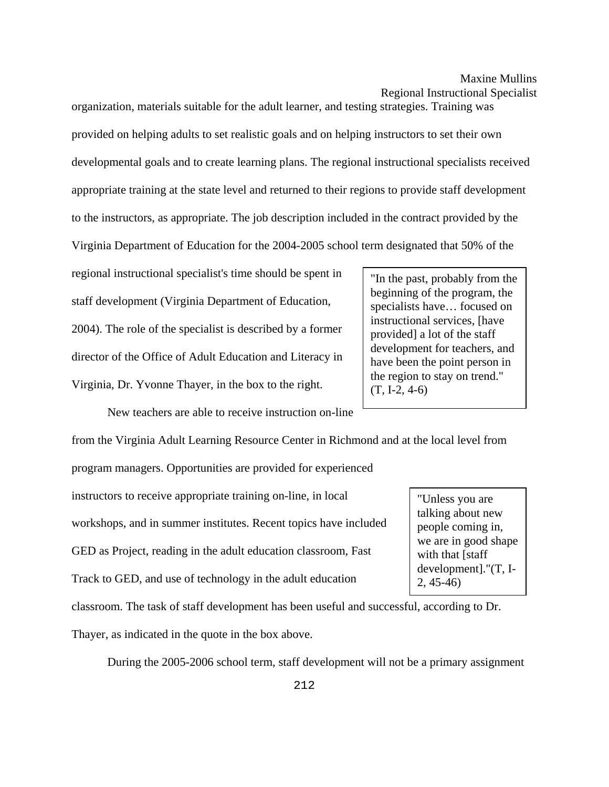organization, materials suitable for the adult learner, and testing strategies. Training was provided on helping adults to set realistic goals and on helping instructors to set their own developmental goals and to create learning plans. The regional instructional specialists received appropriate training at the state level and returned to their regions to provide staff development to the instructors, as appropriate. The job description included in the contract provided by the Virginia Department of Education for the 2004-2005 school term designated that 50% of the

regional instructional specialist's time should be spent in staff development (Virginia Department of Education, 2004). The role of the specialist is described by a former director of the Office of Adult Education and Literacy in Virginia, Dr. Yvonne Thayer, in the box to the right.

"In the past, probably from the beginning of the program, the specialists have… focused on instructional services, [have provided] a lot of the staff development for teachers, and have been the point person in the region to stay on trend." (T, I-2, 4-6)

New teachers are able to receive instruction on-line

from the Virginia Adult Learning Resource Center in Richmond and at the local level from

program managers. Opportunities are provided for experienced

instructors to receive appropriate training on-line, in local workshops, and in summer institutes. Recent topics have included GED as Project, reading in the adult education classroom, Fast Track to GED, and use of technology in the adult education

classroom. The task of staff development has been useful and successful, according to Dr.

Thayer, as indicated in the quote in the box above.

During the 2005-2006 school term, staff development will not be a primary assignment

"Unless you are talking about new people coming in, we are in good shape with that [staff development]."(T, I-2, 45-46)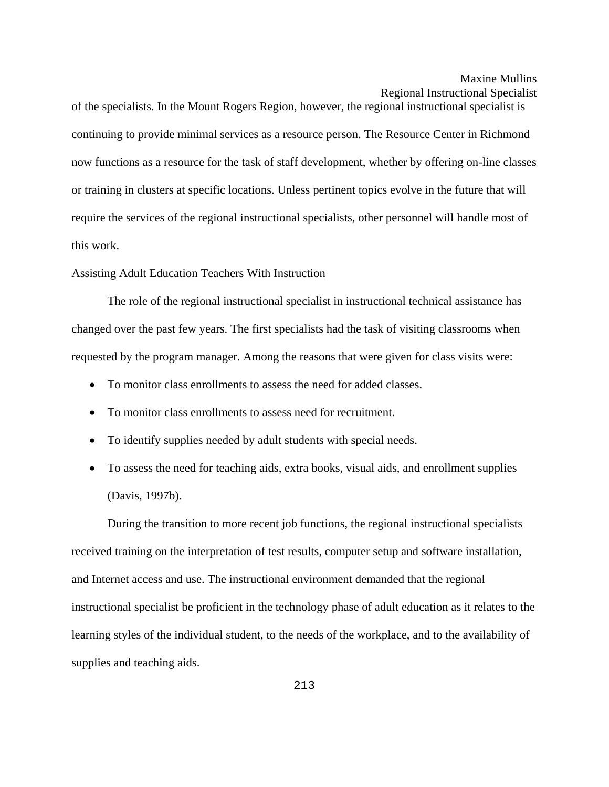of the specialists. In the Mount Rogers Region, however, the regional instructional specialist is continuing to provide minimal services as a resource person. The Resource Center in Richmond now functions as a resource for the task of staff development, whether by offering on-line classes or training in clusters at specific locations. Unless pertinent topics evolve in the future that will require the services of the regional instructional specialists, other personnel will handle most of this work.

#### Assisting Adult Education Teachers With Instruction

 The role of the regional instructional specialist in instructional technical assistance has changed over the past few years. The first specialists had the task of visiting classrooms when requested by the program manager. Among the reasons that were given for class visits were:

- To monitor class enrollments to assess the need for added classes.
- To monitor class enrollments to assess need for recruitment.
- To identify supplies needed by adult students with special needs.
- To assess the need for teaching aids, extra books, visual aids, and enrollment supplies (Davis, 1997b).

During the transition to more recent job functions, the regional instructional specialists received training on the interpretation of test results, computer setup and software installation, and Internet access and use. The instructional environment demanded that the regional instructional specialist be proficient in the technology phase of adult education as it relates to the learning styles of the individual student, to the needs of the workplace, and to the availability of supplies and teaching aids.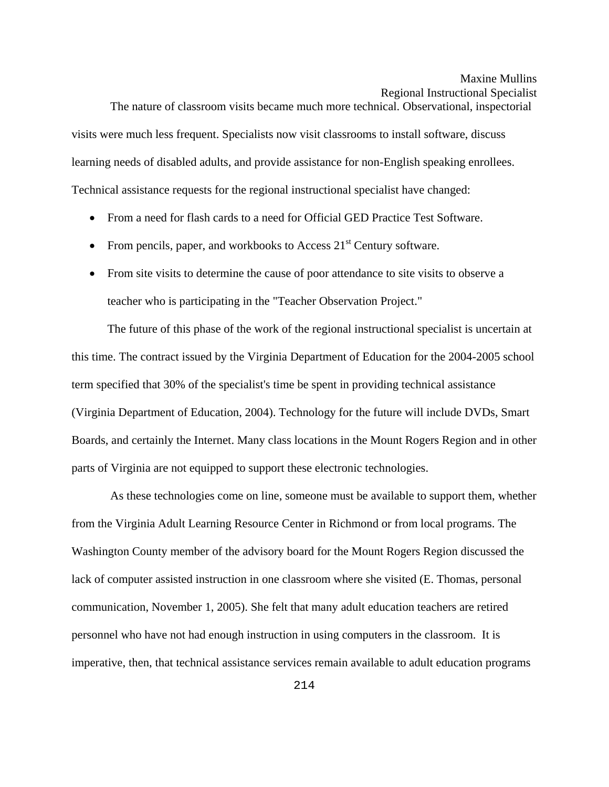The nature of classroom visits became much more technical. Observational, inspectorial visits were much less frequent. Specialists now visit classrooms to install software, discuss learning needs of disabled adults, and provide assistance for non-English speaking enrollees. Technical assistance requests for the regional instructional specialist have changed:

- From a need for flash cards to a need for Official GED Practice Test Software.
- From pencils, paper, and workbooks to Access  $21<sup>st</sup>$  Century software.
- From site visits to determine the cause of poor attendance to site visits to observe a teacher who is participating in the "Teacher Observation Project."

The future of this phase of the work of the regional instructional specialist is uncertain at this time. The contract issued by the Virginia Department of Education for the 2004-2005 school term specified that 30% of the specialist's time be spent in providing technical assistance (Virginia Department of Education, 2004). Technology for the future will include DVDs, Smart Boards, and certainly the Internet. Many class locations in the Mount Rogers Region and in other parts of Virginia are not equipped to support these electronic technologies.

 As these technologies come on line, someone must be available to support them, whether from the Virginia Adult Learning Resource Center in Richmond or from local programs. The Washington County member of the advisory board for the Mount Rogers Region discussed the lack of computer assisted instruction in one classroom where she visited (E. Thomas, personal communication, November 1, 2005). She felt that many adult education teachers are retired personnel who have not had enough instruction in using computers in the classroom. It is imperative, then, that technical assistance services remain available to adult education programs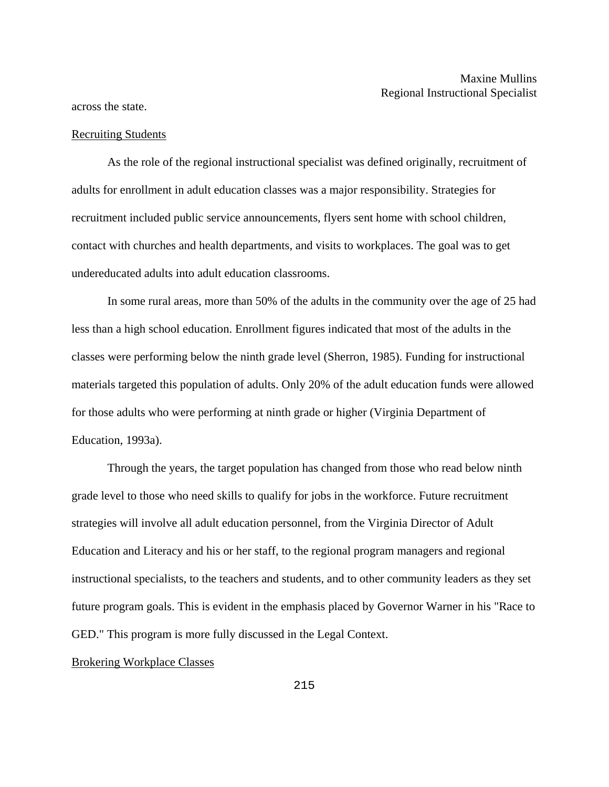across the state.

#### Recruiting Students

As the role of the regional instructional specialist was defined originally, recruitment of adults for enrollment in adult education classes was a major responsibility. Strategies for recruitment included public service announcements, flyers sent home with school children, contact with churches and health departments, and visits to workplaces. The goal was to get undereducated adults into adult education classrooms.

In some rural areas, more than 50% of the adults in the community over the age of 25 had less than a high school education. Enrollment figures indicated that most of the adults in the classes were performing below the ninth grade level (Sherron, 1985). Funding for instructional materials targeted this population of adults. Only 20% of the adult education funds were allowed for those adults who were performing at ninth grade or higher (Virginia Department of Education, 1993a).

Through the years, the target population has changed from those who read below ninth grade level to those who need skills to qualify for jobs in the workforce. Future recruitment strategies will involve all adult education personnel, from the Virginia Director of Adult Education and Literacy and his or her staff, to the regional program managers and regional instructional specialists, to the teachers and students, and to other community leaders as they set future program goals. This is evident in the emphasis placed by Governor Warner in his "Race to GED." This program is more fully discussed in the Legal Context.

#### Brokering Workplace Classes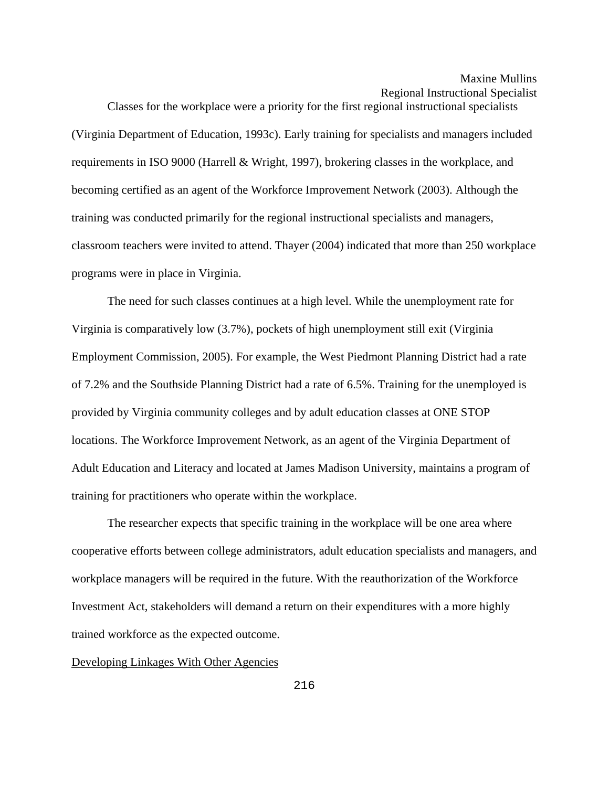Classes for the workplace were a priority for the first regional instructional specialists (Virginia Department of Education, 1993c). Early training for specialists and managers included requirements in ISO 9000 (Harrell & Wright, 1997), brokering classes in the workplace, and becoming certified as an agent of the Workforce Improvement Network (2003). Although the training was conducted primarily for the regional instructional specialists and managers, classroom teachers were invited to attend. Thayer (2004) indicated that more than 250 workplace programs were in place in Virginia.

 The need for such classes continues at a high level. While the unemployment rate for Virginia is comparatively low (3.7%), pockets of high unemployment still exit (Virginia Employment Commission, 2005). For example, the West Piedmont Planning District had a rate of 7.2% and the Southside Planning District had a rate of 6.5%. Training for the unemployed is provided by Virginia community colleges and by adult education classes at ONE STOP locations. The Workforce Improvement Network, as an agent of the Virginia Department of Adult Education and Literacy and located at James Madison University, maintains a program of training for practitioners who operate within the workplace.

 The researcher expects that specific training in the workplace will be one area where cooperative efforts between college administrators, adult education specialists and managers, and workplace managers will be required in the future. With the reauthorization of the Workforce Investment Act, stakeholders will demand a return on their expenditures with a more highly trained workforce as the expected outcome.

#### Developing Linkages With Other Agencies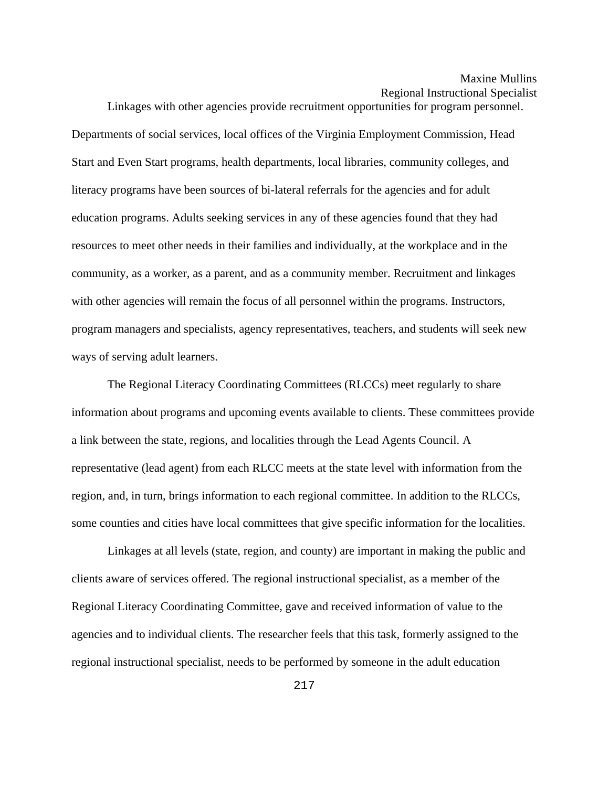Linkages with other agencies provide recruitment opportunities for program personnel. Departments of social services, local offices of the Virginia Employment Commission, Head Start and Even Start programs, health departments, local libraries, community colleges, and literacy programs have been sources of bi-lateral referrals for the agencies and for adult education programs. Adults seeking services in any of these agencies found that they had resources to meet other needs in their families and individually, at the workplace and in the community, as a worker, as a parent, and as a community member. Recruitment and linkages with other agencies will remain the focus of all personnel within the programs. Instructors, program managers and specialists, agency representatives, teachers, and students will seek new ways of serving adult learners.

The Regional Literacy Coordinating Committees (RLCCs) meet regularly to share information about programs and upcoming events available to clients. These committees provide a link between the state, regions, and localities through the Lead Agents Council. A representative (lead agent) from each RLCC meets at the state level with information from the region, and, in turn, brings information to each regional committee. In addition to the RLCCs, some counties and cities have local committees that give specific information for the localities.

Linkages at all levels (state, region, and county) are important in making the public and clients aware of services offered. The regional instructional specialist, as a member of the Regional Literacy Coordinating Committee, gave and received information of value to the agencies and to individual clients. The researcher feels that this task, formerly assigned to the regional instructional specialist, needs to be performed by someone in the adult education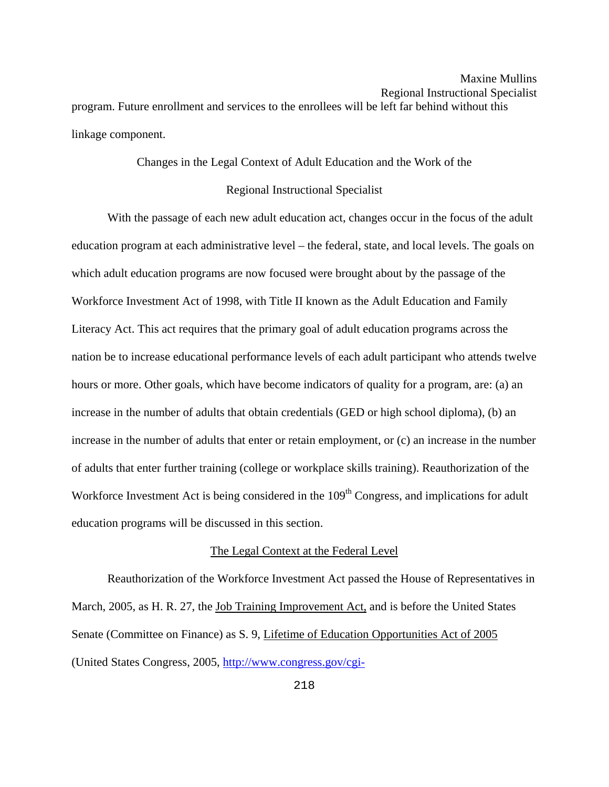Regional Instructional Specialist program. Future enrollment and services to the enrollees will be left far behind without this linkage component.

#### Changes in the Legal Context of Adult Education and the Work of the

#### Regional Instructional Specialist

With the passage of each new adult education act, changes occur in the focus of the adult education program at each administrative level – the federal, state, and local levels. The goals on which adult education programs are now focused were brought about by the passage of the Workforce Investment Act of 1998, with Title II known as the Adult Education and Family Literacy Act. This act requires that the primary goal of adult education programs across the nation be to increase educational performance levels of each adult participant who attends twelve hours or more. Other goals, which have become indicators of quality for a program, are: (a) an increase in the number of adults that obtain credentials (GED or high school diploma), (b) an increase in the number of adults that enter or retain employment, or (c) an increase in the number of adults that enter further training (college or workplace skills training). Reauthorization of the Workforce Investment Act is being considered in the 109<sup>th</sup> Congress, and implications for adult education programs will be discussed in this section.

#### The Legal Context at the Federal Level

Reauthorization of the Workforce Investment Act passed the House of Representatives in March, 2005, as H. R. 27, the Job Training Improvement Act, and is before the United States Senate (Committee on Finance) as S. 9, Lifetime of Education Opportunities Act of 2005 (United States Congress, 2005, http://www.congress.gov/cgi-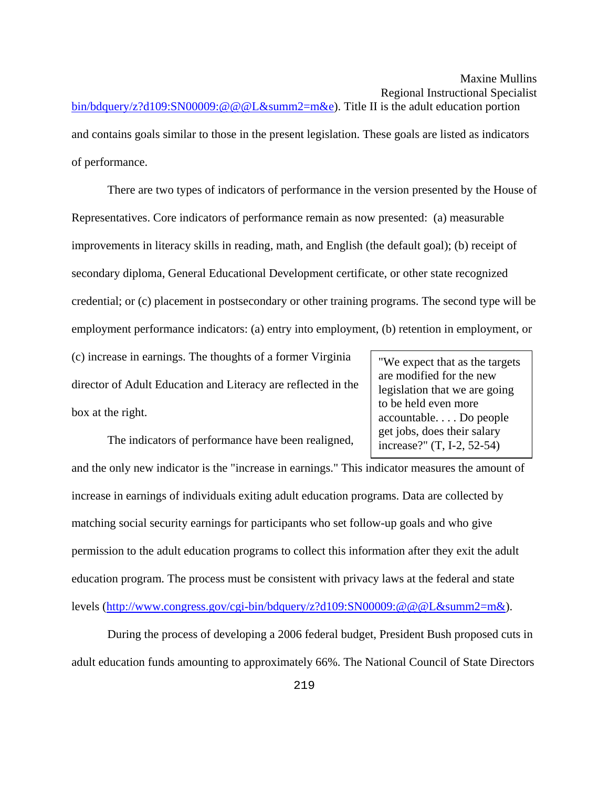[Regional Instructional Spe](http://www.congress.gov/cgi-bin/bdquery/z?d109:SN00009:@@@L&summ2=m&e)cialist bin/bdquery/z?d109:SN00009:@@@L&summ2=m&e). Title II is the adult education portion and contains goals similar to those in the present legislation. These goals are listed as indicators of performance.

There are two types of indicators of performance in the version presented by the House of Representatives. Core indicators of performance remain as now presented: (a) measurable improvements in literacy skills in reading, math, and English (the default goal); (b) receipt of secondary diploma, General Educational Development certificate, or other state recognized credential; or (c) placement in postsecondary or other training programs. The second type will be employment performance indicators: (a) entry into employment, (b) retention in employment, or

(c) increase in earnings. The thoughts of a former Virginia director of Adult Education and Literacy are reflected in the box at the right.

The indicators of performance have been realigned,

"We expect that as the targets are modified for the new legislation that we are going to be held even more accountable. . . . Do people get jobs, does their salary increase?" (T, I-2, 52-54)

and the only new indicator is the "increase in earnings." This indicator measures the amount of increase in earnings of individuals exiting adult education programs. Data are collected by matching social security earnings for participants who set follow-up goals and who give permission to the adult education programs to collect this information after they exit the adult education program. The process must be consistent with privacy laws at the federal and state levels [\(http://www.congress.gov/cgi-bin/bdquery/z?d109:SN00009:@@@L&summ2=m&\)](http://www.congress.gov/cgi-bin/bdquery/z?d109:SN00009:@@@L&summ2=m&).

During the process of developing a 2006 federal budget, President Bush proposed cuts in adult education funds amountin[g to approximately 66%. The](http://www.congress.gov/cgi-bin/bdquery/z?d109:SN00009:@@@L&summ2=m&e) National Council of State Directors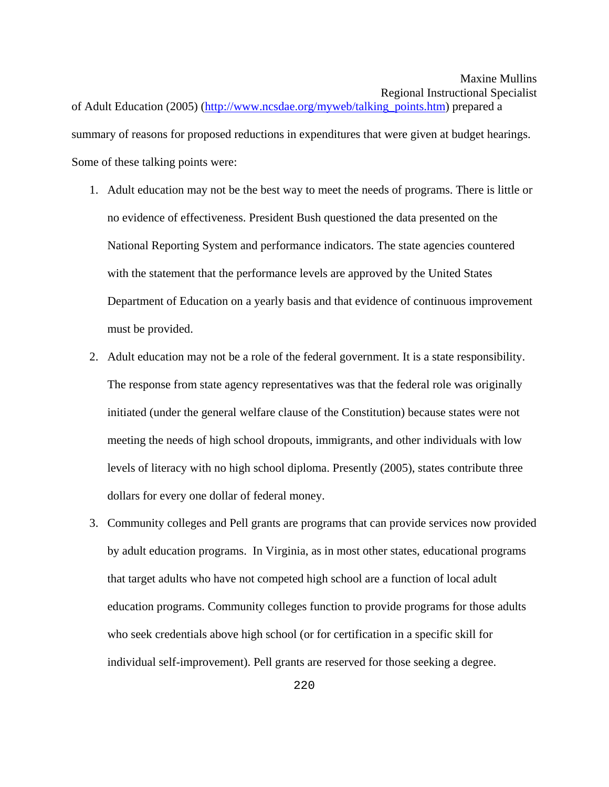of Adult Education (2005) [\(http://www.ncsdae.org/myweb/talking\\_points.htm\)](http://www.ncsdae.org/myweb/talking_points.htm) prepared a summary of reasons for proposed reductions in expenditures that were given at budget hearings. Some of these talking points were:

- 1. Adult education may not be the best way to meet the needs of programs. There is little or no evidence of effectiveness. President Bush questioned the data presented on the National Reporting System and performance indicators. The state agencies countered with the statement that the performance levels are approved by the United States Department of Education on a yearly basis and that evidence of continuous improvement must be provided.
- 2. Adult education may not be a role of the federal government. It is a state responsibility. The response from state agency representatives was that the federal role was originally initiated (under the general welfare clause of the Constitution) because states were not meeting the needs of high school dropouts, immigrants, and other individuals with low levels of literacy with no high school diploma. Presently (2005), states contribute three dollars for every one dollar of federal money.
- 3. Community colleges and Pell grants are programs that can provide services now provided by adult education programs. In Virginia, as in most other states, educational programs that target adults who have not competed high school are a function of local adult education programs. Community colleges function to provide programs for those adults who seek credentials above high school (or for certification in a specific skill for individual self-improvement). Pell grants are reserved for those seeking a degree.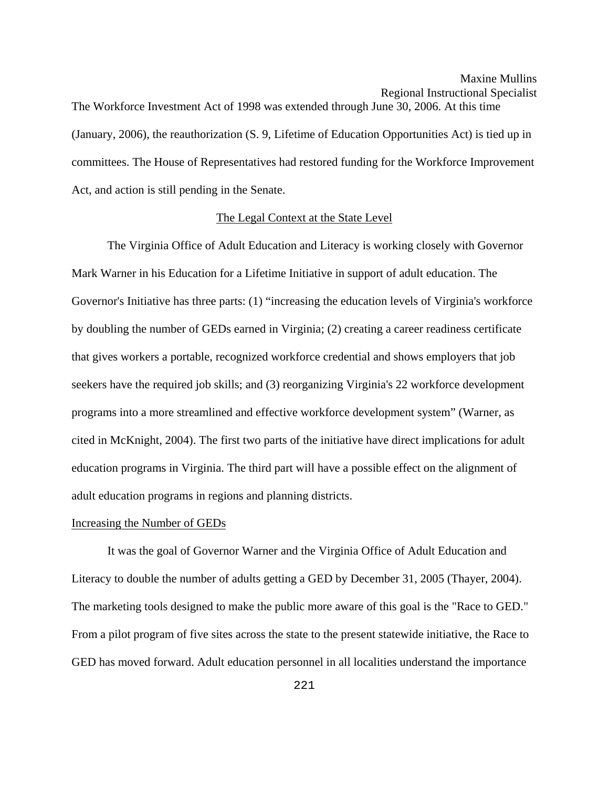The Workforce Investment Act of 1998 was extended through June 30, 2006. At this time (January, 2006), the reauthorization (S. 9, Lifetime of Education Opportunities Act) is tied up in committees. The House of Representatives had restored funding for the Workforce Improvement Act, and action is still pending in the Senate.

#### The Legal Context at the State Level

The Virginia Office of Adult Education and Literacy is working closely with Governor Mark Warner in his Education for a Lifetime Initiative in support of adult education. The Governor's Initiative has three parts: (1) "increasing the education levels of Virginia's workforce by doubling the number of GEDs earned in Virginia; (2) creating a career readiness certificate that gives workers a portable, recognized workforce credential and shows employers that job seekers have the required job skills; and (3) reorganizing Virginia's 22 workforce development programs into a more streamlined and effective workforce development system" (Warner, as cited in McKnight, 2004). The first two parts of the initiative have direct implications for adult education programs in Virginia. The third part will have a possible effect on the alignment of adult education programs in regions and planning districts.

#### Increasing the Number of GEDs

It was the goal of Governor Warner and the Virginia Office of Adult Education and Literacy to double the number of adults getting a GED by December 31, 2005 (Thayer, 2004). The marketing tools designed to make the public more aware of this goal is the "Race to GED." From a pilot program of five sites across the state to the present statewide initiative, the Race to GED has moved forward. Adult education personnel in all localities understand the importance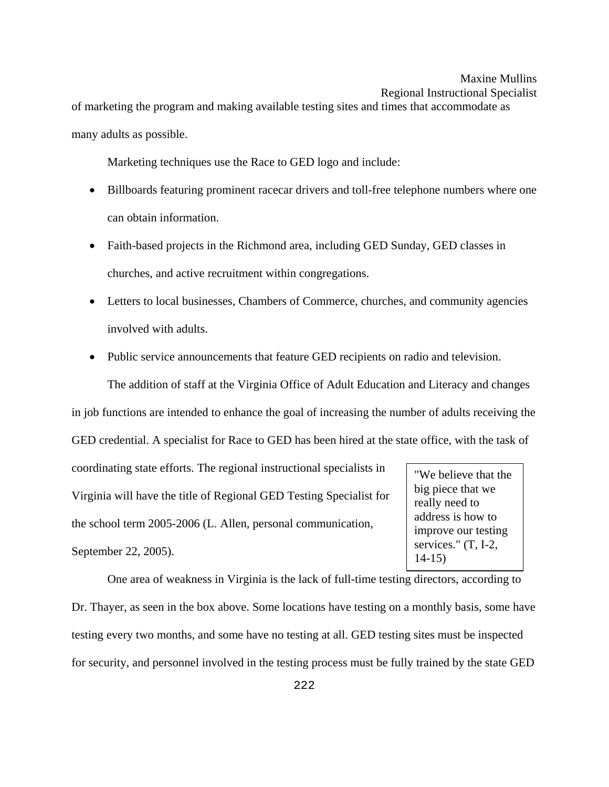#### Regional Instructional Specialist

of marketing the program and making available testing sites and times that accommodate as many adults as possible.

Marketing techniques use the Race to GED logo and include:

- Billboards featuring prominent racecar drivers and toll-free telephone numbers where one can obtain information.
- Faith-based projects in the Richmond area, including GED Sunday, GED classes in churches, and active recruitment within congregations.
- Letters to local businesses, Chambers of Commerce, churches, and community agencies involved with adults.
- Public service announcements that feature GED recipients on radio and television.

The addition of staff at the Virginia Office of Adult Education and Literacy and changes

in job functions are intended to enhance the goal of increasing the number of adults receiving the

GED credential. A specialist for Race to GED has been hired at the state office, with the task of

coordinating state efforts. The regional instructional specialists in Virginia will have the title of Regional GED Testing Specialist for the school term 2005-2006 (L. Allen, personal communication, September 22, 2005).

"We believe that the big piece that we really need to address is how to improve our testing services." (T, I-2, 14-15)

One area of weakness in Virginia is the lack of full-time testing directors, according to Dr. Thayer, as seen in the box above. Some locations have testing on a monthly basis, some have testing every two months, and some have no testing at all. GED testing sites must be inspected for security, and personnel involved in the testing process must be fully trained by the state GED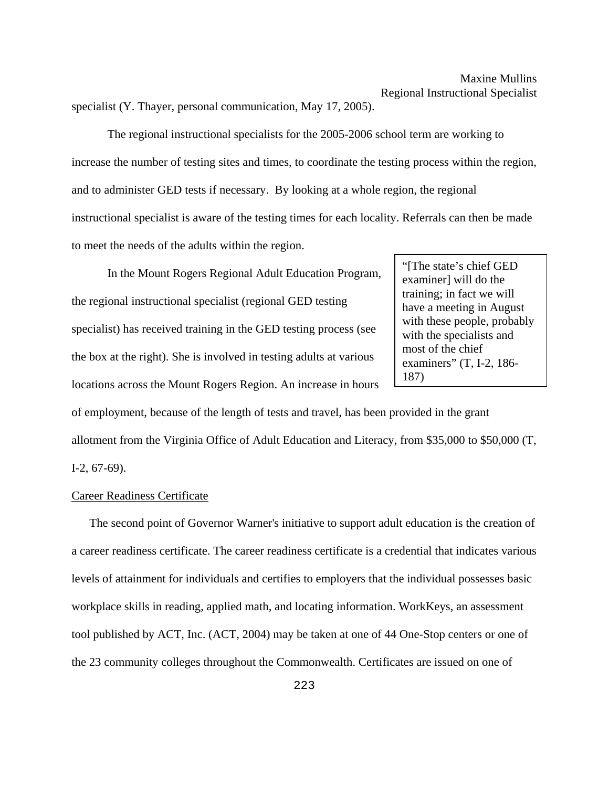specialist (Y. Thayer, personal communication, May 17, 2005).

The regional instructional specialists for the 2005-2006 school term are working to increase the number of testing sites and times, to coordinate the testing process within the region, and to administer GED tests if necessary. By looking at a whole region, the regional instructional specialist is aware of the testing times for each locality. Referrals can then be made to meet the needs of the adults within the region.

In the Mount Rogers Regional Adult Education Program, the regional instructional specialist (regional GED testing specialist) has received training in the GED testing process (see the box at the right). She is involved in testing adults at various locations across the Mount Rogers Region. An increase in hours

"[The state's chief GED examiner] will do the training; in fact we will have a meeting in August with these people, probably with the specialists and most of the chief examiners" (T, I-2, 186- 187)

of employment, because of the length of tests and travel, has been provided in the grant

allotment from the Virginia Office of Adult Education and Literacy, from \$35,000 to \$50,000 (T, I-2, 67-69).

#### Career Readiness Certificate

The second point of Governor Warner's initiative to support adult education is the creation of a career readiness certificate. The career readiness certificate is a credential that indicates various levels of attainment for individuals and certifies to employers that the individual possesses basic workplace skills in reading, applied math, and locating information. WorkKeys, an assessment tool published by ACT, Inc. (ACT, 2004) may be taken at one of 44 One-Stop centers or one of the 23 community colleges throughout the Commonwealth. Certificates are issued on one of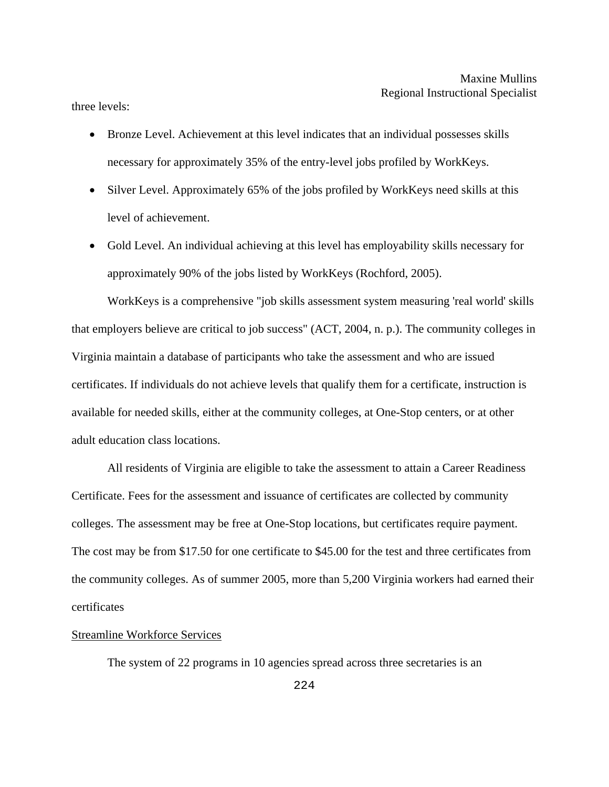three levels:

- Bronze Level. Achievement at this level indicates that an individual possesses skills necessary for approximately 35% of the entry-level jobs profiled by WorkKeys.
- Silver Level. Approximately 65% of the jobs profiled by WorkKeys need skills at this level of achievement.
- Gold Level. An individual achieving at this level has employability skills necessary for approximately 90% of the jobs listed by WorkKeys (Rochford, 2005).

WorkKeys is a comprehensive "job skills assessment system measuring 'real world' skills that employers believe are critical to job success" (ACT, 2004, n. p.). The community colleges in Virginia maintain a database of participants who take the assessment and who are issued certificates. If individuals do not achieve levels that qualify them for a certificate, instruction is available for needed skills, either at the community colleges, at One-Stop centers, or at other adult education class locations.

All residents of Virginia are eligible to take the assessment to attain a Career Readiness Certificate. Fees for the assessment and issuance of certificates are collected by community colleges. The assessment may be free at One-Stop locations, but certificates require payment. The cost may be from \$17.50 for one certificate to \$45.00 for the test and three certificates from the community colleges. As of summer 2005, more than 5,200 Virginia workers had earned their certificates

#### Streamline Workforce Services

The system of 22 programs in 10 agencies spread across three secretaries is an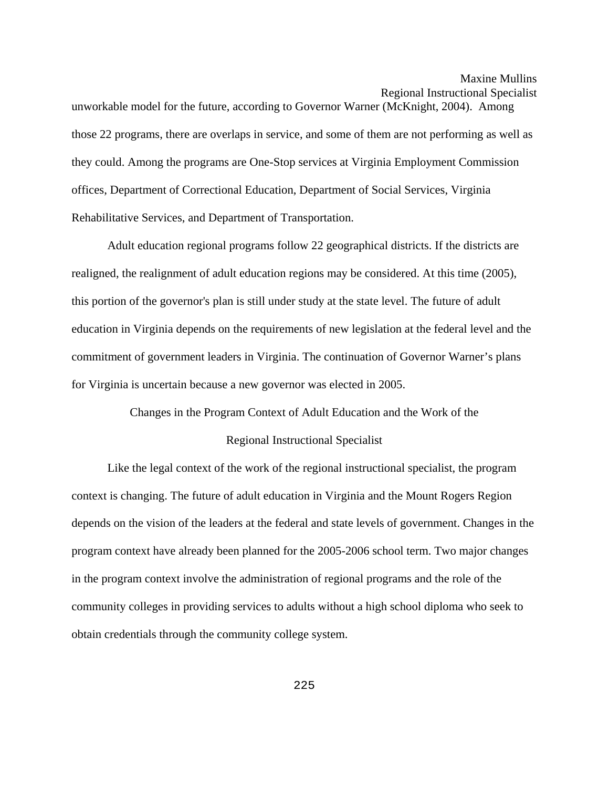unworkable model for the future, according to Governor Warner (McKnight, 2004). Among those 22 programs, there are overlaps in service, and some of them are not performing as well as they could. Among the programs are One-Stop services at Virginia Employment Commission offices, Department of Correctional Education, Department of Social Services, Virginia Rehabilitative Services, and Department of Transportation.

Adult education regional programs follow 22 geographical districts. If the districts are realigned, the realignment of adult education regions may be considered. At this time (2005), this portion of the governor's plan is still under study at the state level. The future of adult education in Virginia depends on the requirements of new legislation at the federal level and the commitment of government leaders in Virginia. The continuation of Governor Warner's plans for Virginia is uncertain because a new governor was elected in 2005.

Changes in the Program Context of Adult Education and the Work of the

#### Regional Instructional Specialist

 Like the legal context of the work of the regional instructional specialist, the program context is changing. The future of adult education in Virginia and the Mount Rogers Region depends on the vision of the leaders at the federal and state levels of government. Changes in the program context have already been planned for the 2005-2006 school term. Two major changes in the program context involve the administration of regional programs and the role of the community colleges in providing services to adults without a high school diploma who seek to obtain credentials through the community college system.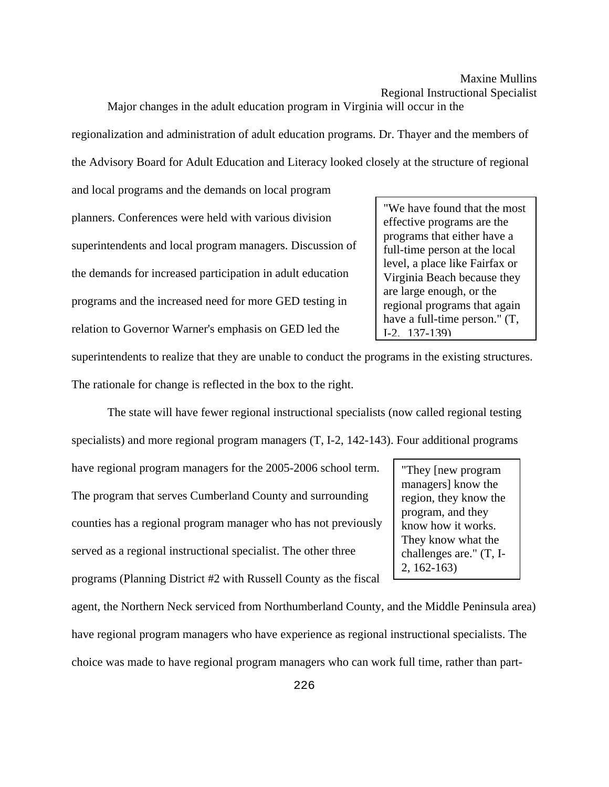Major changes in the adult education program in Virginia will occur in the

regionalization and administration of adult education programs. Dr. Thayer and the members of the Advisory Board for Adult Education and Literacy looked closely at the structure of regional

and local programs and the demands on local program planners. Conferences were held with various division superintendents and local program managers. Discussion of the demands for increased participation in adult education programs and the increased need for more GED testing in relation to Governor Warner's emphasis on GED led the

"We have found that the most effective programs are the programs that either have a full-time person at the local level, a place like Fairfax or Virginia Beach because they are large enough, or the regional programs that again have a full-time person." (T, I-2, 137-139)

superintendents to realize that they are unable to conduct the programs in the existing structures. The rationale for change is reflected in the box to the right.

The state will have fewer regional instructional specialists (now called regional testing specialists) and more regional program managers (T, I-2, 142-143). Four additional programs

have regional program managers for the 2005-2006 school term. The program that serves Cumberland County and surrounding counties has a regional program manager who has not previously served as a regional instructional specialist. The other three programs (Planning District #2 with Russell County as the fiscal

"They [new program managers] know the region, they know the program, and they know how it works. They know what the challenges are." (T, I-2, 162-163)

agent, the Northern Neck serviced from Northumberland County, and the Middle Peninsula area) have regional program managers who have experience as regional instructional specialists. The choice was made to have regional program managers who can work full time, rather than part-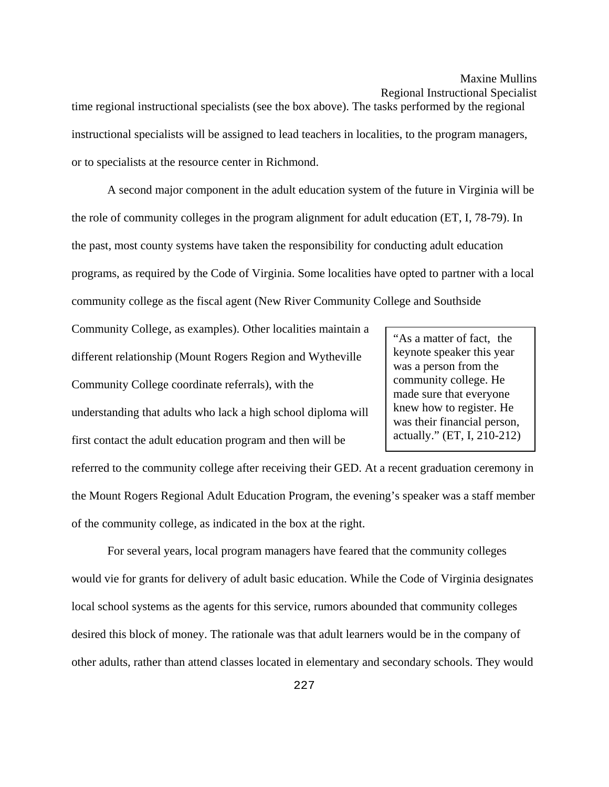Regional Instructional Specialist time regional instructional specialists (see the box above). The tasks performed by the regional instructional specialists will be assigned to lead teachers in localities, to the program managers, or to specialists at the resource center in Richmond.

 A second major component in the adult education system of the future in Virginia will be the role of community colleges in the program alignment for adult education (ET, I, 78-79). In the past, most county systems have taken the responsibility for conducting adult education programs, as required by the Code of Virginia. Some localities have opted to partner with a local community college as the fiscal agent (New River Community College and Southside

Community College, as examples). Other localities maintain a different relationship (Mount Rogers Region and Wytheville Community College coordinate referrals), with the understanding that adults who lack a high school diploma will first contact the adult education program and then will be

"As a matter of fact, the keynote speaker this year was a person from the community college. He made sure that everyone knew how to register. He was their financial person, actually." (ET, I, 210-212)

referred to the community college after receiving their GED. At a recent graduation ceremony in the Mount Rogers Regional Adult Education Program, the evening's speaker was a staff member of the community college, as indicated in the box at the right.

 For several years, local program managers have feared that the community colleges would vie for grants for delivery of adult basic education. While the Code of Virginia designates local school systems as the agents for this service, rumors abounded that community colleges desired this block of money. The rationale was that adult learners would be in the company of other adults, rather than attend classes located in elementary and secondary schools. They would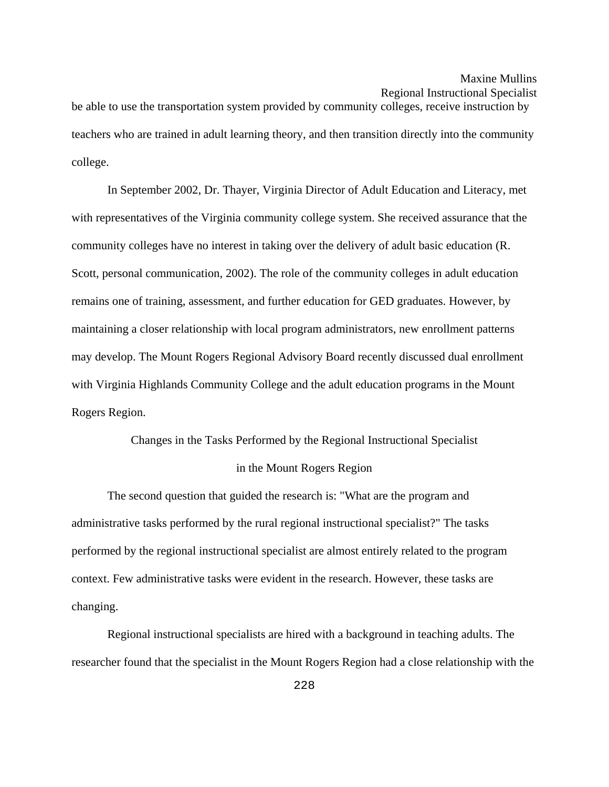Regional Instructional Specialist

be able to use the transportation system provided by community colleges, receive instruction by teachers who are trained in adult learning theory, and then transition directly into the community college.

 In September 2002, Dr. Thayer, Virginia Director of Adult Education and Literacy, met with representatives of the Virginia community college system. She received assurance that the community colleges have no interest in taking over the delivery of adult basic education (R. Scott, personal communication, 2002). The role of the community colleges in adult education remains one of training, assessment, and further education for GED graduates. However, by maintaining a closer relationship with local program administrators, new enrollment patterns may develop. The Mount Rogers Regional Advisory Board recently discussed dual enrollment with Virginia Highlands Community College and the adult education programs in the Mount Rogers Region.

> Changes in the Tasks Performed by the Regional Instructional Specialist in the Mount Rogers Region

 The second question that guided the research is: "What are the program and administrative tasks performed by the rural regional instructional specialist?" The tasks performed by the regional instructional specialist are almost entirely related to the program context. Few administrative tasks were evident in the research. However, these tasks are changing.

 Regional instructional specialists are hired with a background in teaching adults. The researcher found that the specialist in the Mount Rogers Region had a close relationship with the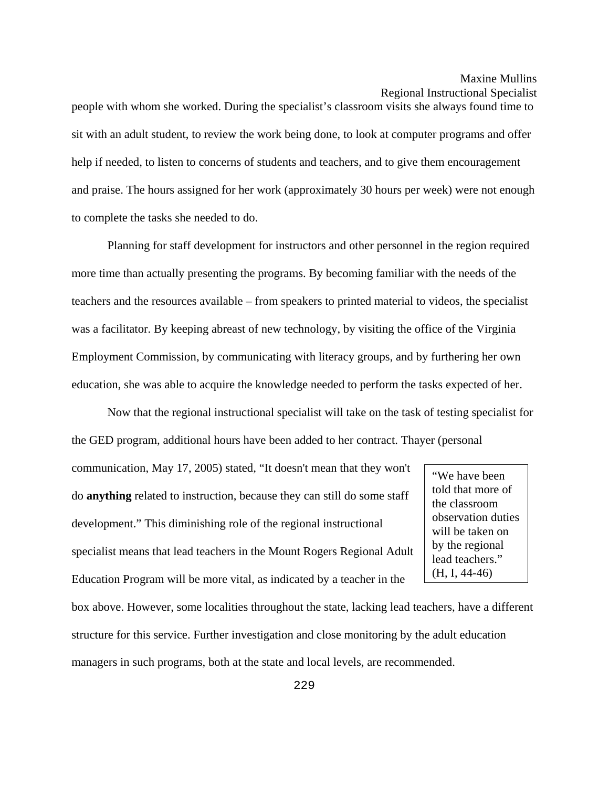people with whom she worked. During the specialist's classroom visits she always found time to sit with an adult student, to review the work being done, to look at computer programs and offer help if needed, to listen to concerns of students and teachers, and to give them encouragement and praise. The hours assigned for her work (approximately 30 hours per week) were not enough to complete the tasks she needed to do.

 Planning for staff development for instructors and other personnel in the region required more time than actually presenting the programs. By becoming familiar with the needs of the teachers and the resources available – from speakers to printed material to videos, the specialist was a facilitator. By keeping abreast of new technology, by visiting the office of the Virginia Employment Commission, by communicating with literacy groups, and by furthering her own education, she was able to acquire the knowledge needed to perform the tasks expected of her.

 Now that the regional instructional specialist will take on the task of testing specialist for the GED program, additional hours have been added to her contract. Thayer (personal

communication, May 17, 2005) stated, "It doesn't mean that they won't do **anything** related to instruction, because they can still do some staff development." This diminishing role of the regional instructional specialist means that lead teachers in the Mount Rogers Regional Adult Education Program will be more vital, as indicated by a teacher in the

"We have been told that more of the classroom observation duties will be taken on by the regional lead teachers." (H, I, 44-46)

box above. However, some localities throughout the state, lacking lead teachers, have a different structure for this service. Further investigation and close monitoring by the adult education managers in such programs, both at the state and local levels, are recommended.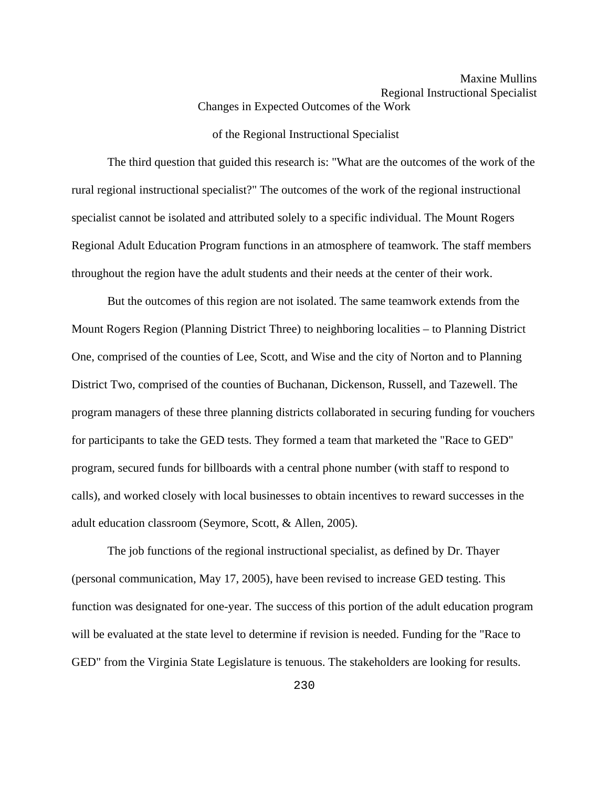of the Regional Instructional Specialist

 The third question that guided this research is: "What are the outcomes of the work of the rural regional instructional specialist?" The outcomes of the work of the regional instructional specialist cannot be isolated and attributed solely to a specific individual. The Mount Rogers Regional Adult Education Program functions in an atmosphere of teamwork. The staff members throughout the region have the adult students and their needs at the center of their work.

But the outcomes of this region are not isolated. The same teamwork extends from the Mount Rogers Region (Planning District Three) to neighboring localities – to Planning District One, comprised of the counties of Lee, Scott, and Wise and the city of Norton and to Planning District Two, comprised of the counties of Buchanan, Dickenson, Russell, and Tazewell. The program managers of these three planning districts collaborated in securing funding for vouchers for participants to take the GED tests. They formed a team that marketed the "Race to GED" program, secured funds for billboards with a central phone number (with staff to respond to calls), and worked closely with local businesses to obtain incentives to reward successes in the adult education classroom (Seymore, Scott, & Allen, 2005).

 The job functions of the regional instructional specialist, as defined by Dr. Thayer (personal communication, May 17, 2005), have been revised to increase GED testing. This function was designated for one-year. The success of this portion of the adult education program will be evaluated at the state level to determine if revision is needed. Funding for the "Race to GED" from the Virginia State Legislature is tenuous. The stakeholders are looking for results.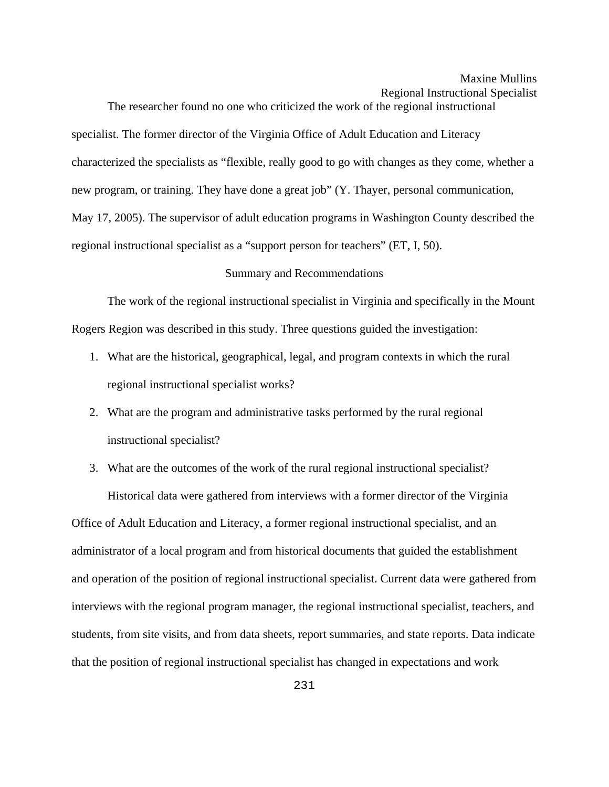The researcher found no one who criticized the work of the regional instructional specialist. The former director of the Virginia Office of Adult Education and Literacy characterized the specialists as "flexible, really good to go with changes as they come, whether a new program, or training. They have done a great job" (Y. Thayer, personal communication, May 17, 2005). The supervisor of adult education programs in Washington County described the regional instructional specialist as a "support person for teachers" (ET, I, 50).

#### Summary and Recommendations

 The work of the regional instructional specialist in Virginia and specifically in the Mount Rogers Region was described in this study. Three questions guided the investigation:

- 1. What are the historical, geographical, legal, and program contexts in which the rural regional instructional specialist works?
- 2. What are the program and administrative tasks performed by the rural regional instructional specialist?
- 3. What are the outcomes of the work of the rural regional instructional specialist?

Historical data were gathered from interviews with a former director of the Virginia

Office of Adult Education and Literacy, a former regional instructional specialist, and an administrator of a local program and from historical documents that guided the establishment and operation of the position of regional instructional specialist. Current data were gathered from interviews with the regional program manager, the regional instructional specialist, teachers, and students, from site visits, and from data sheets, report summaries, and state reports. Data indicate that the position of regional instructional specialist has changed in expectations and work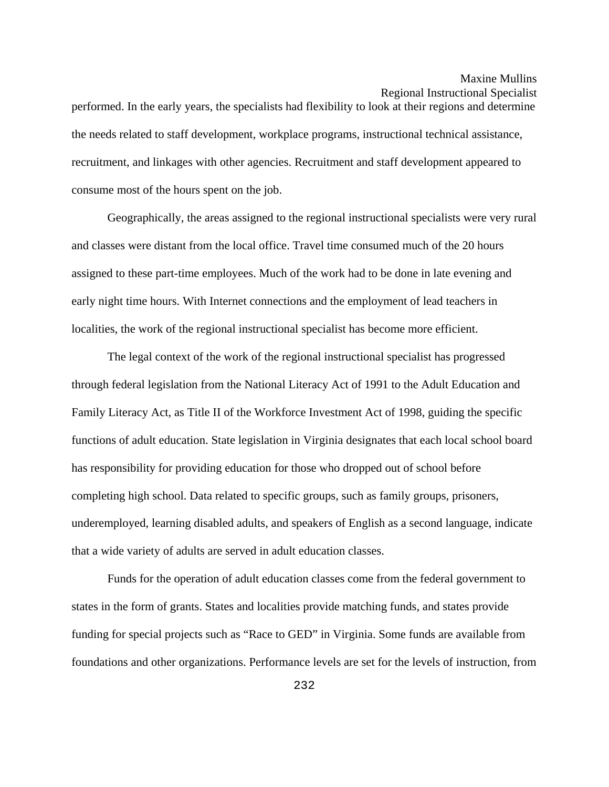performed. In the early years, the specialists had flexibility to look at their regions and determine the needs related to staff development, workplace programs, instructional technical assistance, recruitment, and linkages with other agencies. Recruitment and staff development appeared to consume most of the hours spent on the job.

 Geographically, the areas assigned to the regional instructional specialists were very rural and classes were distant from the local office. Travel time consumed much of the 20 hours assigned to these part-time employees. Much of the work had to be done in late evening and early night time hours. With Internet connections and the employment of lead teachers in localities, the work of the regional instructional specialist has become more efficient.

 The legal context of the work of the regional instructional specialist has progressed through federal legislation from the National Literacy Act of 1991 to the Adult Education and Family Literacy Act, as Title II of the Workforce Investment Act of 1998, guiding the specific functions of adult education. State legislation in Virginia designates that each local school board has responsibility for providing education for those who dropped out of school before completing high school. Data related to specific groups, such as family groups, prisoners, underemployed, learning disabled adults, and speakers of English as a second language, indicate that a wide variety of adults are served in adult education classes.

 Funds for the operation of adult education classes come from the federal government to states in the form of grants. States and localities provide matching funds, and states provide funding for special projects such as "Race to GED" in Virginia. Some funds are available from foundations and other organizations. Performance levels are set for the levels of instruction, from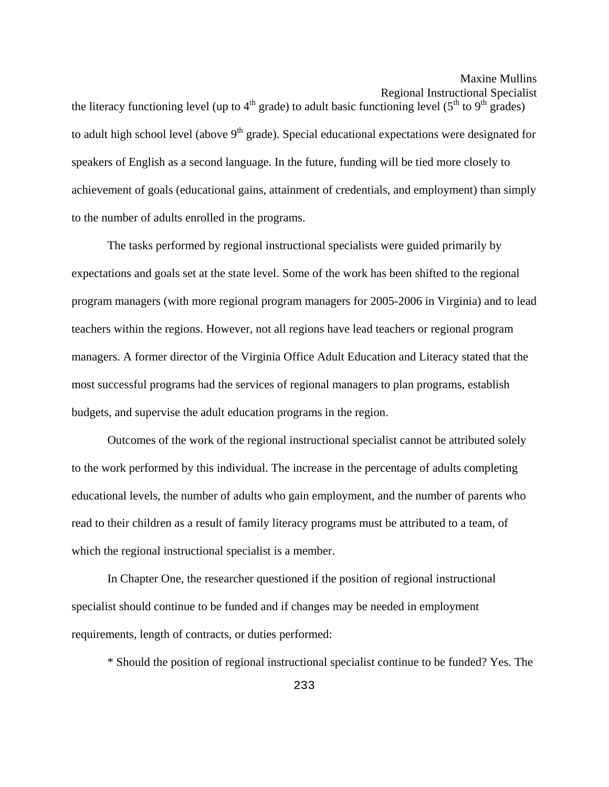Regional Instructional Specialist

the literacy functioning level (up to  $4<sup>th</sup>$  grade) to adult basic functioning level ( $5<sup>th</sup>$  to  $9<sup>th</sup>$  grades) to adult high school level (above  $9<sup>th</sup>$  grade). Special educational expectations were designated for speakers of English as a second language. In the future, funding will be tied more closely to achievement of goals (educational gains, attainment of credentials, and employment) than simply to the number of adults enrolled in the programs.

 The tasks performed by regional instructional specialists were guided primarily by expectations and goals set at the state level. Some of the work has been shifted to the regional program managers (with more regional program managers for 2005-2006 in Virginia) and to lead teachers within the regions. However, not all regions have lead teachers or regional program managers. A former director of the Virginia Office Adult Education and Literacy stated that the most successful programs had the services of regional managers to plan programs, establish budgets, and supervise the adult education programs in the region.

 Outcomes of the work of the regional instructional specialist cannot be attributed solely to the work performed by this individual. The increase in the percentage of adults completing educational levels, the number of adults who gain employment, and the number of parents who read to their children as a result of family literacy programs must be attributed to a team, of which the regional instructional specialist is a member.

 In Chapter One, the researcher questioned if the position of regional instructional specialist should continue to be funded and if changes may be needed in employment requirements, length of contracts, or duties performed:

\* Should the position of regional instructional specialist continue to be funded? Yes. The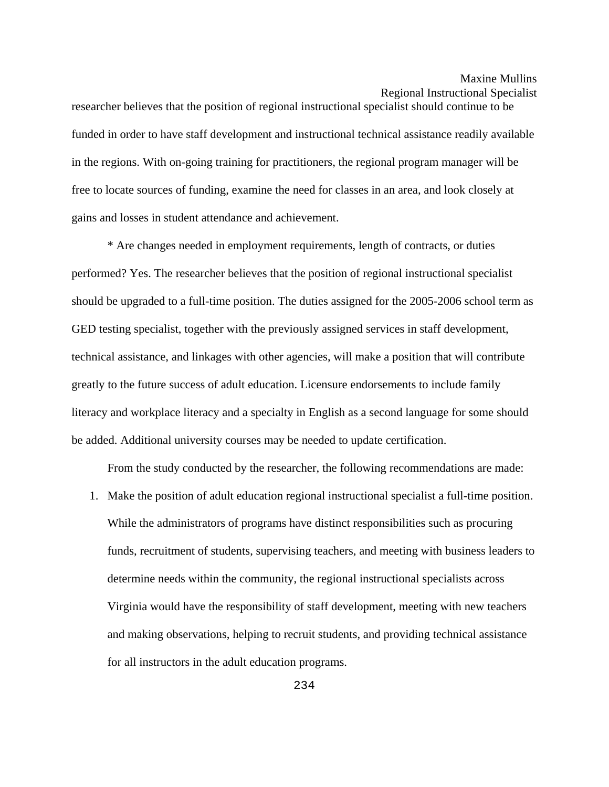researcher believes that the position of regional instructional specialist should continue to be funded in order to have staff development and instructional technical assistance readily available in the regions. With on-going training for practitioners, the regional program manager will be free to locate sources of funding, examine the need for classes in an area, and look closely at gains and losses in student attendance and achievement.

 \* Are changes needed in employment requirements, length of contracts, or duties performed? Yes. The researcher believes that the position of regional instructional specialist should be upgraded to a full-time position. The duties assigned for the 2005-2006 school term as GED testing specialist, together with the previously assigned services in staff development, technical assistance, and linkages with other agencies, will make a position that will contribute greatly to the future success of adult education. Licensure endorsements to include family literacy and workplace literacy and a specialty in English as a second language for some should be added. Additional university courses may be needed to update certification.

From the study conducted by the researcher, the following recommendations are made:

1. Make the position of adult education regional instructional specialist a full-time position. While the administrators of programs have distinct responsibilities such as procuring funds, recruitment of students, supervising teachers, and meeting with business leaders to determine needs within the community, the regional instructional specialists across Virginia would have the responsibility of staff development, meeting with new teachers and making observations, helping to recruit students, and providing technical assistance for all instructors in the adult education programs.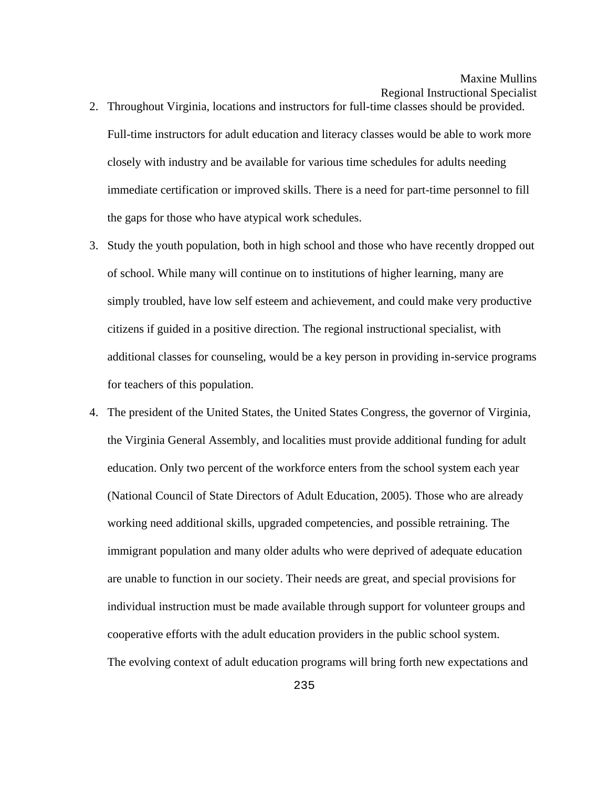- 2. Throughout Virginia, locations and instructors for full-time classes should be provided. Full-time instructors for adult education and literacy classes would be able to work more closely with industry and be available for various time schedules for adults needing immediate certification or improved skills. There is a need for part-time personnel to fill the gaps for those who have atypical work schedules.
- 3. Study the youth population, both in high school and those who have recently dropped out of school. While many will continue on to institutions of higher learning, many are simply troubled, have low self esteem and achievement, and could make very productive citizens if guided in a positive direction. The regional instructional specialist, with additional classes for counseling, would be a key person in providing in-service programs for teachers of this population.
- 4. The president of the United States, the United States Congress, the governor of Virginia, the Virginia General Assembly, and localities must provide additional funding for adult education. Only two percent of the workforce enters from the school system each year (National Council of State Directors of Adult Education, 2005). Those who are already working need additional skills, upgraded competencies, and possible retraining. The immigrant population and many older adults who were deprived of adequate education are unable to function in our society. Their needs are great, and special provisions for individual instruction must be made available through support for volunteer groups and cooperative efforts with the adult education providers in the public school system. The evolving context of adult education programs will bring forth new expectations and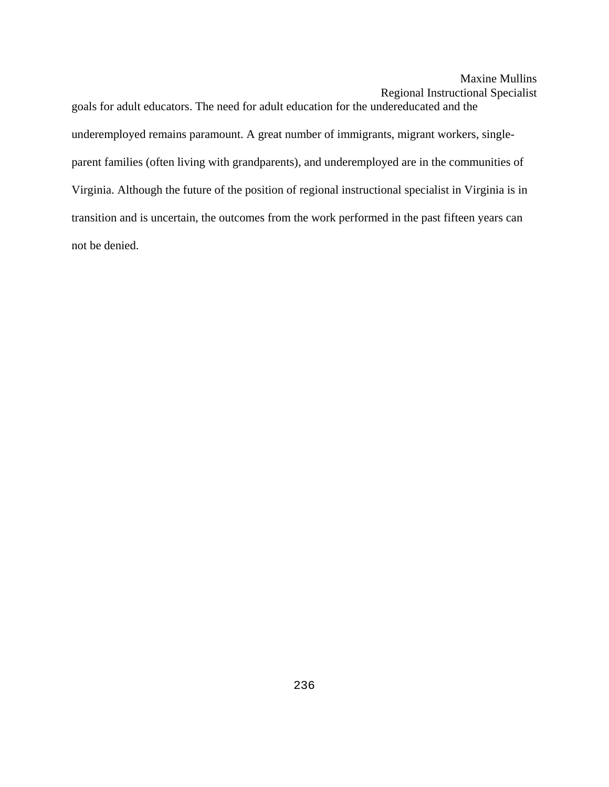goals for adult educators. The need for adult education for the undereducated and the underemployed remains paramount. A great number of immigrants, migrant workers, singleparent families (often living with grandparents), and underemployed are in the communities of Virginia. Although the future of the position of regional instructional specialist in Virginia is in transition and is uncertain, the outcomes from the work performed in the past fifteen years can not be denied.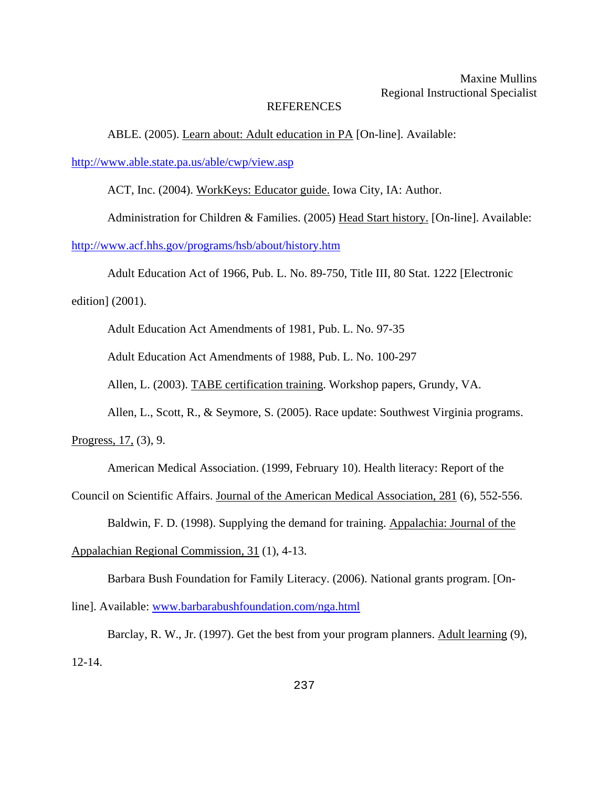### **REFERENCES**

ABLE. (2005). Learn about: Adult education in PA [On-line]. Available:

<http://www.able.state.pa.us/able/cwp/view.asp>

ACT, Inc. (2004). WorkKeys: Educator guide. Iowa City, IA: Author.

Administration for Children & Families. (2005) Head Start history. [On-line]. Available:

<http://www.acf.hhs.gov/programs/hsb/about/history.htm>

 Adult Education Act of 1966, Pub. L. No. 89-750, Title III, 80 Stat. 1222 [Electronic edition] (2001).

Adult Education Act Amendments of 1981, Pub. L. No. 97-35

Adult Education Act Amendments of 1988, Pub. L. No. 100-297

Allen, L. (2003). TABE certification training. Workshop papers, Grundy, VA.

Allen, L., Scott, R., & Seymore, S. (2005). Race update: Southwest Virginia programs.

Progress, 17, (3), 9.

American Medical Association. (1999, February 10). Health literacy: Report of the

Council on Scientific Affairs. Journal of the American Medical Association, 281 (6), 552-556.

Baldwin, F. D. (1998). Supplying the demand for training. Appalachia: Journal of the

Appalachian Regional Commission, 31 (1), 4-13.

Barbara Bush Foundation for Family Literacy. (2006). National grants program. [On-

line]. Available: [www.barbarabushfoundation.com/nga.html](http://www.barbarabushfoundation.com/nga.html)

 Barclay, R. W., Jr. (1997). Get the best from your program planners. Adult learning (9), 12-14.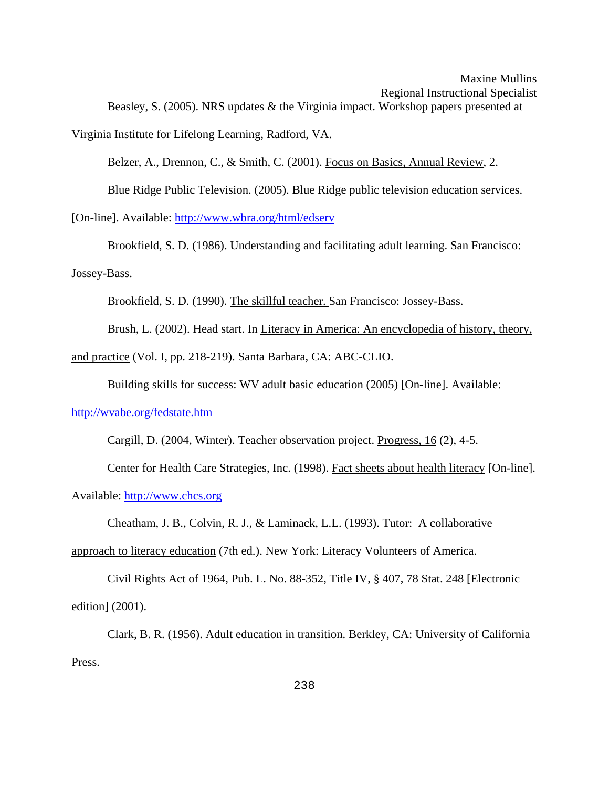# Maxine Mullins Regional Instructional Specialist Beasley, S. (2005). NRS updates  $&$  the Virginia impact. Workshop papers presented at Virginia Institute for Lifelong Learning, Radford, VA.

Belzer, A., Drennon, C., & Smith, C. (2001). Focus on Basics, Annual Review, 2.

Blue Ridge Public Television. (2005). Blue Ridge public television education services.

[On-line]. Available: <http://www.wbra.org/html/edserv>

 Brookfield, S. D. (1986). Understanding and facilitating adult learning. San Francisco: Jossey-Bass.

Brookfield, S. D. (1990). The skillful teacher. San Francisco: Jossey-Bass.

Brush, L. (2002). Head start. In Literacy in America: An encyclopedia of history, theory,

and practice (Vol. I, pp. 218-219). Santa Barbara, CA: ABC-CLIO.

Building skills for success: WV adult basic education (2005) [On-line]. Available:

<http://wvabe.org/fedstate.htm>

Cargill, D. (2004, Winter). Teacher observation project. Progress, 16 (2), 4-5.

Center for Health Care Strategies, Inc. (1998). Fact sheets about health literacy [On-line].

Available: [http://www.chcs.org](http://www.chcs.org/)

Cheatham, J. B., Colvin, R. J., & Laminack, L.L. (1993). Tutor: A collaborative

approach to literacy education (7th ed.). New York: Literacy Volunteers of America.

 Civil Rights Act of 1964, Pub. L. No. 88-352, Title IV, § 407, 78 Stat. 248 [Electronic edition] (2001).

 Clark, B. R. (1956). Adult education in transition. Berkley, CA: University of California Press.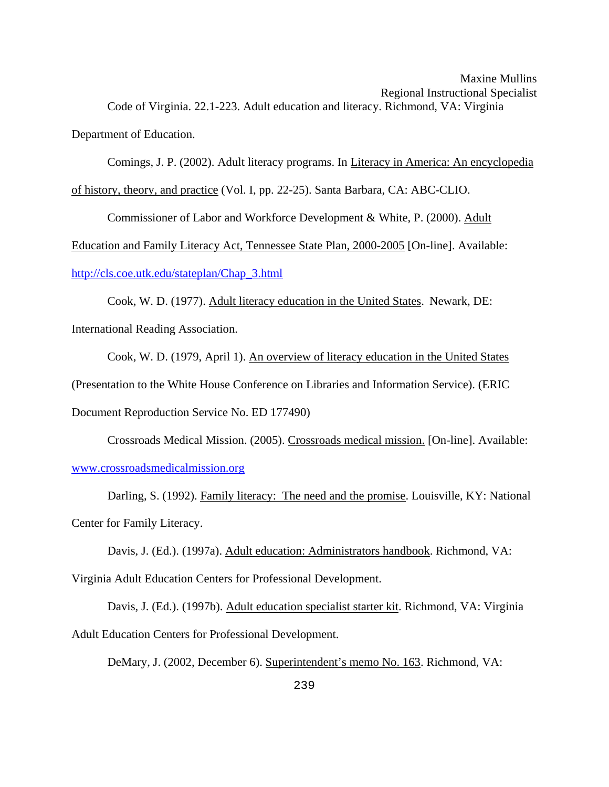Maxine Mullins Regional Instructional Specialist Code of Virginia. 22.1-223. Adult education and literacy. Richmond, VA: Virginia

Department of Education.

 Comings, J. P. (2002). Adult literacy programs. In Literacy in America: An encyclopedia of history, theory, and practice (Vol. I, pp. 22-25). Santa Barbara, CA: ABC-CLIO.

Commissioner of Labor and Workforce Development & White, P. (2000). Adult

Education and Family Literacy Act, Tennessee State Plan, 2000-2005 [On-line]. Available:

[http://cls.coe.utk.edu/stateplan/Chap\\_3.html](http://cls.coe.utk.edu/stateplan/Chap_3.html)

 Cook, W. D. (1977). Adult literacy education in the United States. Newark, DE: International Reading Association.

 Cook, W. D. (1979, April 1). An overview of literacy education in the United States (Presentation to the White House Conference on Libraries and Information Service). (ERIC Document Reproduction Service No. ED 177490)

 Crossroads Medical Mission. (2005). Crossroads medical mission. [On-line]. Available: [www.crossroadsmedicalmission.org](http://www.crossroadsmedicalmission.org/)

 Darling, S. (1992). Family literacy: The need and the promise. Louisville, KY: National Center for Family Literacy.

Davis, J. (Ed.). (1997a). Adult education: Administrators handbook. Richmond, VA: Virginia Adult Education Centers for Professional Development.

 Davis, J. (Ed.). (1997b). Adult education specialist starter kit. Richmond, VA: Virginia Adult Education Centers for Professional Development.

DeMary, J. (2002, December 6). Superintendent's memo No. 163. Richmond, VA: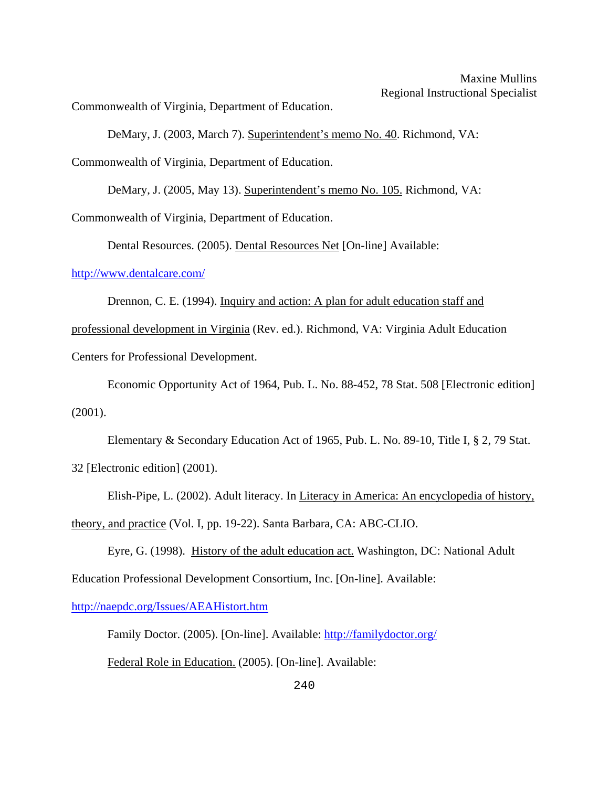Commonwealth of Virginia, Department of Education.

 DeMary, J. (2003, March 7). Superintendent's memo No. 40. Richmond, VA: Commonwealth of Virginia, Department of Education.

DeMary, J. (2005, May 13). Superintendent's memo No. 105. Richmond, VA:

Commonwealth of Virginia, Department of Education.

Dental Resources. (2005). Dental Resources Net [On-line] Available:

<http://www.dentalcare.com/>

 Drennon, C. E. (1994). Inquiry and action: A plan for adult education staff and professional development in Virginia (Rev. ed.). Richmond, VA: Virginia Adult Education

Centers for Professional Development.

 Economic Opportunity Act of 1964, Pub. L. No. 88-452, 78 Stat. 508 [Electronic edition] (2001).

 Elementary & Secondary Education Act of 1965, Pub. L. No. 89-10, Title I, § 2, 79 Stat. 32 [Electronic edition] (2001).

Elish-Pipe, L. (2002). Adult literacy. In Literacy in America: An encyclopedia of history,

theory, and practice (Vol. I, pp. 19-22). Santa Barbara, CA: ABC-CLIO.

 Eyre, G. (1998). History of the adult education act. Washington, DC: National Adult Education Professional Development Consortium, Inc. [On-line]. Available:

<http://naepdc.org/Issues/AEAHistort.htm>

Family Doctor. (2005). [On-line]. Available:<http://familydoctor.org/>

Federal Role in Education. (2005). [On-line]. Available: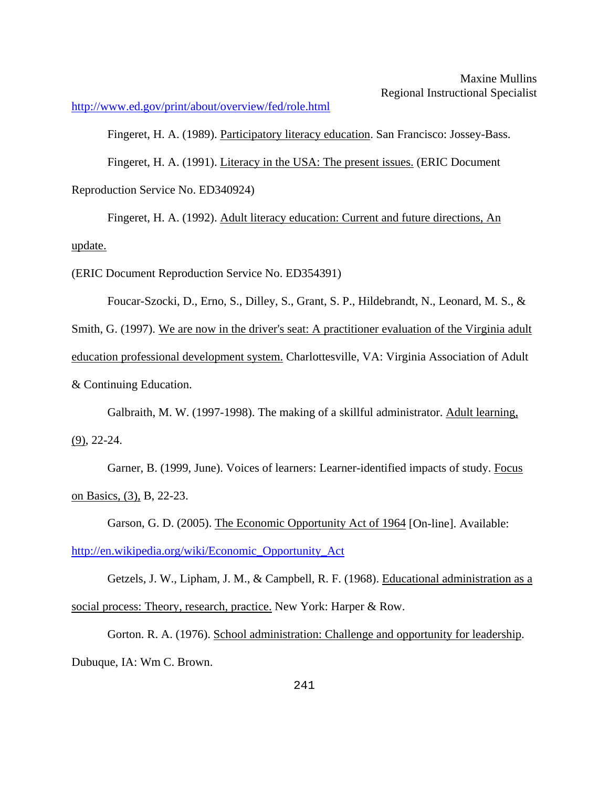<http://www.ed.gov/print/about/overview/fed/role.html>

Fingeret, H. A. (1989). Participatory literacy education. San Francisco: Jossey-Bass.

 Fingeret, H. A. (1991). Literacy in the USA: The present issues. (ERIC Document Reproduction Service No. ED340924)

 Fingeret, H. A. (1992). Adult literacy education: Current and future directions, An update.

(ERIC Document Reproduction Service No. ED354391)

 Foucar-Szocki, D., Erno, S., Dilley, S., Grant, S. P., Hildebrandt, N., Leonard, M. S., & Smith, G. (1997). We are now in the driver's seat: A practitioner evaluation of the Virginia adult education professional development system. Charlottesville, VA: Virginia Association of Adult & Continuing Education.

Galbraith, M. W. (1997-1998). The making of a skillful administrator. Adult learning,

(9), 22-24.

Garner, B. (1999, June). Voices of learners: Learner-identified impacts of study. Focus on Basics, (3), B, 22-23.

Garson, G. D. (2005). The Economic Opportunity Act of 1964 [On-line]. Available: [http://en.wikipedia.org/wiki/Economic\\_Opportunity\\_Act](http://en.wikipedia.org/wiki/Economic_Opportunity_Act)

Getzels, J. W., Lipham, J. M., & Campbell, R. F. (1968). Educational administration as a social process: Theory, research, practice. New York: Harper & Row.

 Gorton. R. A. (1976). School administration: Challenge and opportunity for leadership. Dubuque, IA: Wm C. Brown.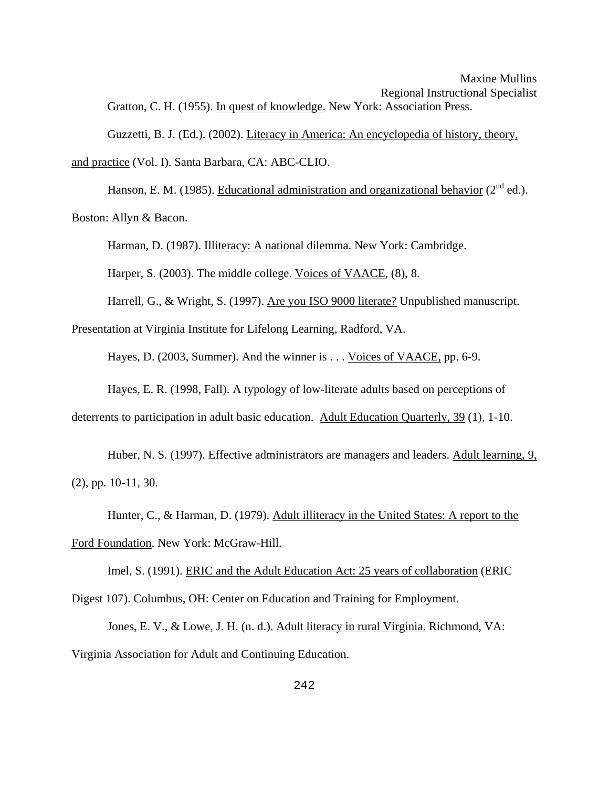Guzzetti, B. J. (Ed.). (2002). Literacy in America: An encyclopedia of history, theory,

and practice (Vol. I). Santa Barbara, CA: ABC-CLIO.

Hanson, E. M. (1985). Educational administration and organizational behavior ( $2<sup>nd</sup>$  ed.).

Boston: Allyn & Bacon.

Harman, D. (1987). Illiteracy: A national dilemma. New York: Cambridge.

Harper, S. (2003). The middle college. Voices of VAACE, (8), 8.

Harrell, G., & Wright, S. (1997). Are you ISO 9000 literate? Unpublished manuscript.

Presentation at Virginia Institute for Lifelong Learning, Radford, VA.

Hayes, D. (2003, Summer). And the winner is . . . Voices of VAACE, pp. 6-9.

Hayes, E. R. (1998, Fall). A typology of low-literate adults based on perceptions of

deterrents to participation in adult basic education. Adult Education Quarterly, 39 (1), 1-10.

 Huber, N. S. (1997). Effective administrators are managers and leaders. Adult learning, 9, (2), pp. 10-11, 30.

 Hunter, C., & Harman, D. (1979). Adult illiteracy in the United States: A report to the Ford Foundation. New York: McGraw-Hill.

 Imel, S. (1991). ERIC and the Adult Education Act: 25 years of collaboration (ERIC Digest 107). Columbus, OH: Center on Education and Training for Employment.

Jones, E. V., & Lowe, J. H. (n. d.). Adult literacy in rural Virginia. Richmond, VA: Virginia Association for Adult and Continuing Education.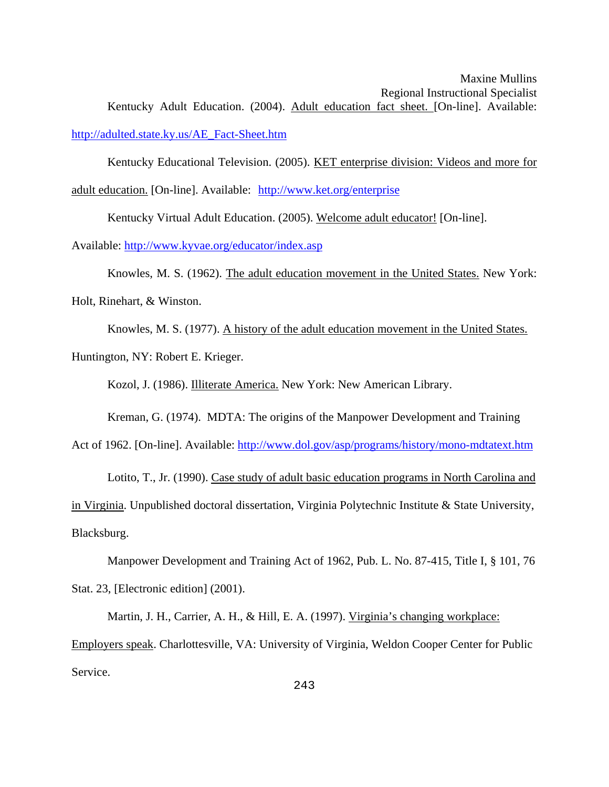Maxine Mullins Regional Instructional Specialist Kentucky Adult Education. (2004). Adult education fact sheet. [On-line]. Available: [http://adulted.state.ky.us/AE\\_Fact-Sheet.htm](http://adulted.state.ky.us/AE_Fact-Sheet.htm)

 Kentucky Educational Television. (2005). KET enterprise division: Videos and more for adult education. [On-line]. Available: <http://www.ket.org/enterprise>

Kentucky Virtual Adult Education. (2005). Welcome adult educator! [On-line].

Available:<http://www.kyvae.org/educator/index.asp>

Knowles, M. S. (1962). The adult education movement in the United States. New York:

Holt, Rinehart, & Winston.

Knowles, M. S. (1977). A history of the adult education movement in the United States.

Huntington, NY: Robert E. Krieger.

Kozol, J. (1986). Illiterate America. New York: New American Library.

Kreman, G. (1974). MDTA: The origins of the Manpower Development and Training

Act of 1962. [On-line]. Available:<http://www.dol.gov/asp/programs/history/mono-mdtatext.htm>

 Lotito, T., Jr. (1990). Case study of adult basic education programs in North Carolina and in Virginia. Unpublished doctoral dissertation, Virginia Polytechnic Institute & State University, Blacksburg.

 Manpower Development and Training Act of 1962, Pub. L. No. 87-415, Title I, § 101, 76 Stat. 23, [Electronic edition] (2001).

Martin, J. H., Carrier, A. H., & Hill, E. A. (1997). Virginia's changing workplace: Employers speak. Charlottesville, VA: University of Virginia, Weldon Cooper Center for Public Service.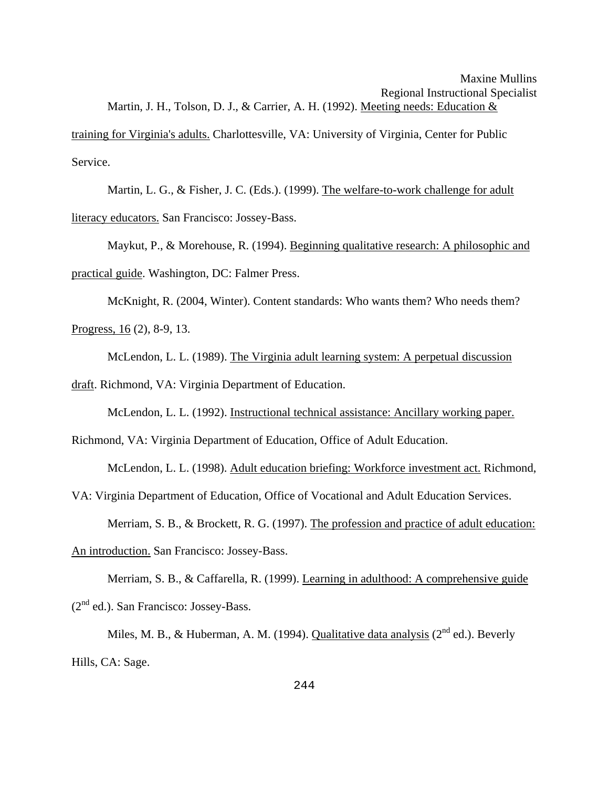training for Virginia's adults. Charlottesville, VA: University of Virginia, Center for Public Service.

 Martin, L. G., & Fisher, J. C. (Eds.). (1999). The welfare-to-work challenge for adult literacy educators. San Francisco: Jossey-Bass.

 Maykut, P., & Morehouse, R. (1994). Beginning qualitative research: A philosophic and practical guide. Washington, DC: Falmer Press.

McKnight, R. (2004, Winter). Content standards: Who wants them? Who needs them?

Progress, 16 (2), 8-9, 13.

 McLendon, L. L. (1989). The Virginia adult learning system: A perpetual discussion draft. Richmond, VA: Virginia Department of Education.

McLendon, L. L. (1992). Instructional technical assistance: Ancillary working paper.

Richmond, VA: Virginia Department of Education, Office of Adult Education.

McLendon, L. L. (1998). Adult education briefing: Workforce investment act. Richmond,

VA: Virginia Department of Education, Office of Vocational and Adult Education Services.

Merriam, S. B., & Brockett, R. G. (1997). The profession and practice of adult education:

An introduction. San Francisco: Jossey-Bass.

 Merriam, S. B., & Caffarella, R. (1999). Learning in adulthood: A comprehensive guide (2nd ed.). San Francisco: Jossey-Bass.

Miles, M. B., & Huberman, A. M. (1994). Qualitative data analysis ( $2<sup>nd</sup>$  ed.). Beverly Hills, CA: Sage.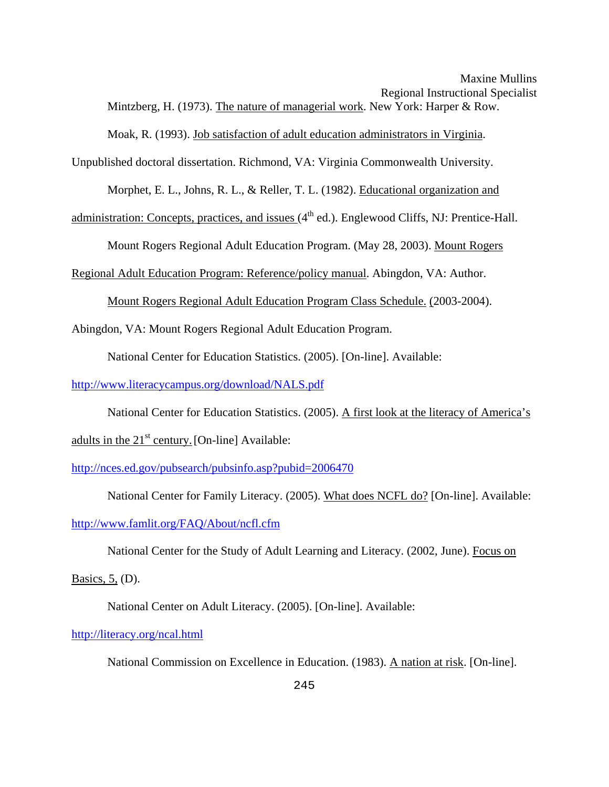Mintzberg, H. (1973). The nature of managerial work. New York: Harper & Row.

Moak, R. (1993). Job satisfaction of adult education administrators in Virginia.

Unpublished doctoral dissertation. Richmond, VA: Virginia Commonwealth University.

Morphet, E. L., Johns, R. L., & Reller, T. L. (1982). Educational organization and

administration: Concepts, practices, and issues  $(4<sup>th</sup>$  ed.). Englewood Cliffs, NJ: Prentice-Hall.

Mount Rogers Regional Adult Education Program. (May 28, 2003). Mount Rogers

Regional Adult Education Program: Reference/policy manual. Abingdon, VA: Author.

Mount Rogers Regional Adult Education Program Class Schedule. (2003-2004).

Abingdon, VA: Mount Rogers Regional Adult Education Program.

National Center for Education Statistics. (2005). [On-line]. Available:

<http://www.literacycampus.org/download/NALS.pdf>

National Center for Education Statistics. (2005). A first look at the literacy of America's

adults in the  $21<sup>st</sup>$  century. [On-line] Available:

<http://nces.ed.gov/pubsearch/pubsinfo.asp?pubid=2006470>

National Center for Family Literacy. (2005). What does NCFL do? [On-line]. Available:

<http://www.famlit.org/FAQ/About/ncfl.cfm>

National Center for the Study of Adult Learning and Literacy. (2002, June). Focus on

Basics,  $5$ ,  $(D)$ .

National Center on Adult Literacy. (2005). [On-line]. Available:

<http://literacy.org/ncal.html>

National Commission on Excellence in Education. (1983). A nation at risk. [On-line].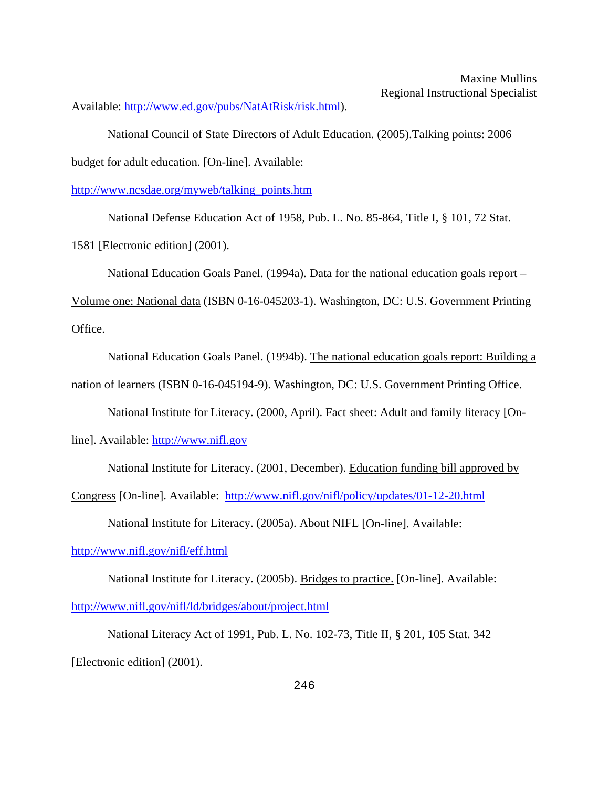Available:<http://www.ed.gov/pubs/NatAtRisk/risk.html>).

 National Council of State Directors of Adult Education. (2005).Talking points: 2006 budget for adult education. [On-line]. Available:

[http://www.ncsdae.org/myweb/talking\\_points.htm](http://www.ncsdae.org/myweb/talking_points.htm)

National Defense Education Act of 1958, Pub. L. No. 85-864, Title I, § 101, 72 Stat.

1581 [Electronic edition] (2001).

National Education Goals Panel. (1994a). Data for the national education goals report –

Volume one: National data (ISBN 0-16-045203-1). Washington, DC: U.S. Government Printing Office.

National Education Goals Panel. (1994b). The national education goals report: Building a

nation of learners (ISBN 0-16-045194-9). Washington, DC: U.S. Government Printing Office.

National Institute for Literacy. (2000, April). Fact sheet: Adult and family literacy [On-

line]. Available: [http://www.nifl.gov](http://www.nifl.gov/) 

National Institute for Literacy. (2001, December). Education funding bill approved by

Congress [On-line]. Available: <http://www.nifl.gov/nifl/policy/updates/01-12-20.html>

National Institute for Literacy. (2005a). About NIFL [On-line]. Available:

#### <http://www.nifl.gov/nifl/eff.html>

National Institute for Literacy. (2005b). Bridges to practice. [On-line]. Available: <http://www.nifl.gov/nifl/ld/bridges/about/project.html>

 National Literacy Act of 1991, Pub. L. No. 102-73, Title II, § 201, 105 Stat. 342 [Electronic edition] (2001).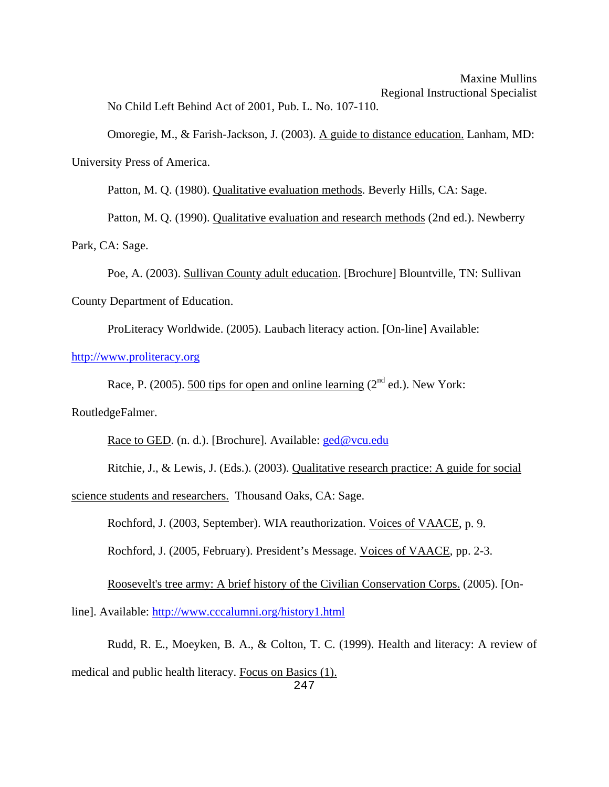No Child Left Behind Act of 2001, Pub. L. No. 107-110.

 Omoregie, M., & Farish-Jackson, J. (2003). A guide to distance education. Lanham, MD: University Press of America.

Patton, M. Q. (1980). Qualitative evaluation methods. Beverly Hills, CA: Sage.

 Patton, M. Q. (1990). Qualitative evaluation and research methods (2nd ed.). Newberry Park, CA: Sage.

 Poe, A. (2003). Sullivan County adult education. [Brochure] Blountville, TN: Sullivan County Department of Education.

ProLiteracy Worldwide. (2005). Laubach literacy action. [On-line] Available:

[http://www.proliteracy.org](http://www.proliteracy.org/)

Race, P. (2005). 500 tips for open and online learning ( $2<sup>nd</sup>$  ed.). New York:

RoutledgeFalmer.

Race to GED. (n. d.). [Brochure]. Available: ged@vcu.edu

Ritchie, J., & Lewis, J. (Eds.). (2003). Qualitative research practice: A guide for social

science students and researchers. Thousand Oaks, CA: Sage.

Rochford, J. (2003, September). WIA reauthorization. Voices of VAACE, p. 9.

Rochford, J. (2005, February). President's Message. Voices of VAACE, pp. 2-3.

Roosevelt's tree army: A brief history of the Civilian Conservation Corps. (2005). [On-

line]. Available:<http://www.cccalumni.org/history1.html>

Rudd, R. E., Moeyken, B. A., & Colton, T. C. (1999). Health and literacy: A review of

medical and public health literacy. Focus on Basics (1).

247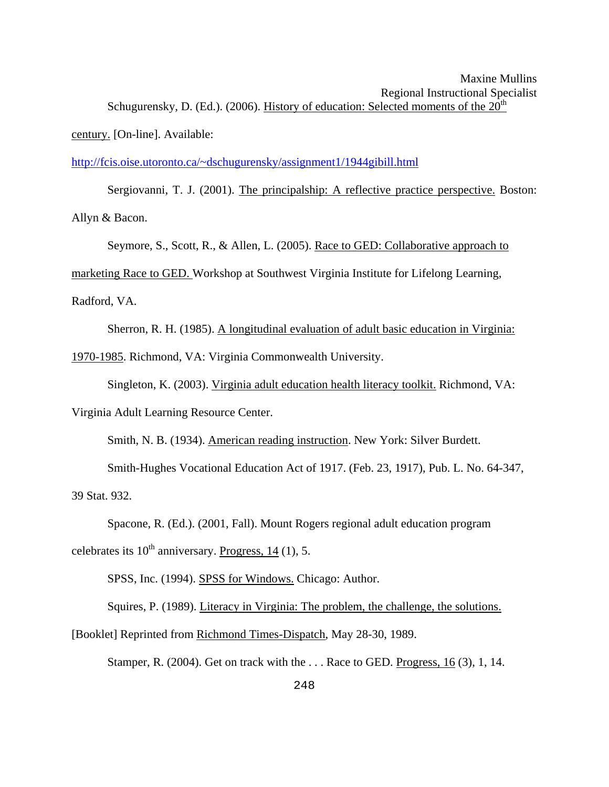Schugurensky, D. (Ed.). (2006). History of education: Selected moments of the  $20<sup>th</sup>$ 

century. [On-line]. Available:

<http://fcis.oise.utoronto.ca/~dschugurensky/assignment1/1944gibill.html>

 Sergiovanni, T. J. (2001). The principalship: A reflective practice perspective. Boston: Allyn & Bacon.

Seymore, S., Scott, R., & Allen, L. (2005). Race to GED: Collaborative approach to

marketing Race to GED. Workshop at Southwest Virginia Institute for Lifelong Learning,

Radford, VA.

Sherron, R. H. (1985). A longitudinal evaluation of adult basic education in Virginia:

1970-1985. Richmond, VA: Virginia Commonwealth University.

Singleton, K. (2003). Virginia adult education health literacy toolkit. Richmond, VA:

Virginia Adult Learning Resource Center.

Smith, N. B. (1934). American reading instruction. New York: Silver Burdett.

 Smith-Hughes Vocational Education Act of 1917. (Feb. 23, 1917), Pub. L. No. 64-347, 39 Stat. 932.

 Spacone, R. (Ed.). (2001, Fall). Mount Rogers regional adult education program celebrates its  $10^{th}$  anniversary. Progress, 14 (1), 5.

SPSS, Inc. (1994). SPSS for Windows. Chicago: Author.

Squires, P. (1989). Literacy in Virginia: The problem, the challenge, the solutions.

[Booklet] Reprinted from Richmond Times-Dispatch, May 28-30, 1989.

Stamper, R. (2004). Get on track with the . . . Race to GED. Progress, 16 (3), 1, 14.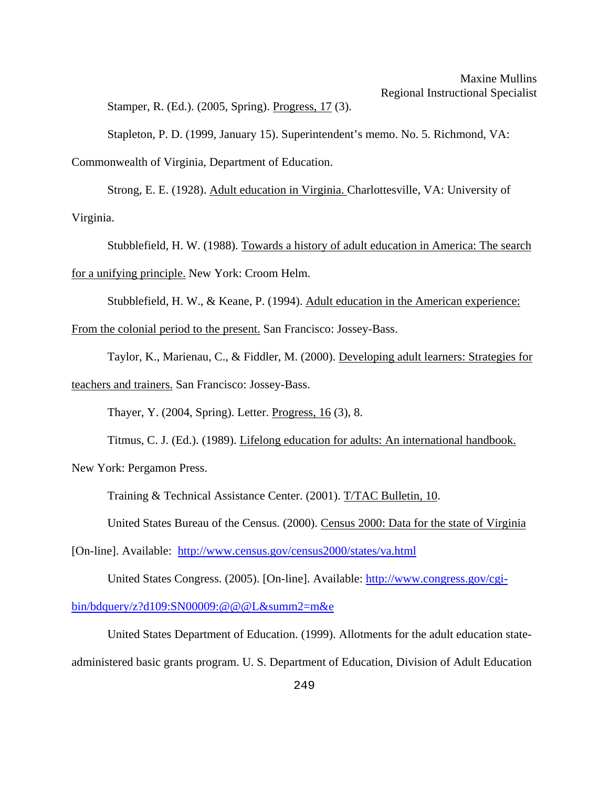Stamper, R. (Ed.). (2005, Spring). Progress, 17 (3).

 Stapleton, P. D. (1999, January 15). Superintendent's memo. No. 5. Richmond, VA: Commonwealth of Virginia, Department of Education.

 Strong, E. E. (1928). Adult education in Virginia. Charlottesville, VA: University of Virginia.

 Stubblefield, H. W. (1988). Towards a history of adult education in America: The search for a unifying principle. New York: Croom Helm.

Stubblefield, H. W., & Keane, P. (1994). Adult education in the American experience:

From the colonial period to the present. San Francisco: Jossey-Bass.

Taylor, K., Marienau, C., & Fiddler, M. (2000). Developing adult learners: Strategies for

teachers and trainers. San Francisco: Jossey-Bass.

Thayer, Y. (2004, Spring). Letter. Progress, 16 (3), 8.

Titmus, C. J. (Ed.). (1989). Lifelong education for adults: An international handbook.

New York: Pergamon Press.

Training & Technical Assistance Center. (2001). T/TAC Bulletin, 10.

United States Bureau of the Census. (2000). Census 2000: Data for the state of Virginia

[On-line]. Available: <http://www.census.gov/census2000/states/va.html>

United States Congress. (2005). [On-line]. Available: [http://www.congress.gov/cgi-](http://www.congress.gov/cgi-bin/bdquery/z?d109:SN00009:@@@L&summ2=m&e)

[bin/bdquery/z?d109:SN00009:@@@L&summ2=m&e](http://www.congress.gov/cgi-bin/bdquery/z?d109:SN00009:@@@L&summ2=m&e)

 United States Department of Education. (1999). Allotments for the adult education stateadministered basic grants program. U. S. Department of Education, Division of Adult Education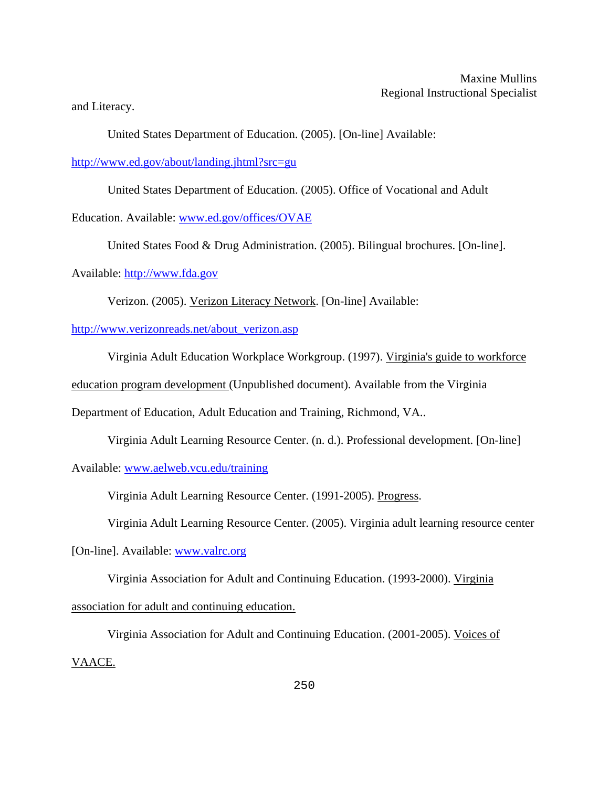and Literacy.

United States Department of Education. (2005). [On-line] Available:

<http://www.ed.gov/about/landing.jhtml?src=gu>

United States Department of Education. (2005). Office of Vocational and Adult

Education. Available: [www.ed.gov/offices/OVAE](http://www.ed.gov/offices/OVAE) 

United States Food & Drug Administration. (2005). Bilingual brochures. [On-line].

Available: [http://www.fda.gov](http://www.fda.gov/)

Verizon. (2005). Verizon Literacy Network. [On-line] Available:

[http://www.verizonreads.net/about\\_verizon.asp](http://www.verizonreads.net/about_verizon.asp)

Virginia Adult Education Workplace Workgroup. (1997). Virginia's guide to workforce

education program development (Unpublished document). Available from the Virginia

Department of Education, Adult Education and Training, Richmond, VA..

Virginia Adult Learning Resource Center. (n. d.). Professional development. [On-line]

Available: [www.aelweb.vcu.edu/training](http://www.aelweb.vcu.edu/training) 

Virginia Adult Learning Resource Center. (1991-2005). Progress.

Virginia Adult Learning Resource Center. (2005). Virginia adult learning resource center

[On-line]. Available: www.valrc.org

Virginia Association for Adult and Continuing Education. (1993-2000). Virginia

association for adult and continuing education.

Virginia Association for Adult and Continuing Education. (2001-2005). Voices of

#### VAACE.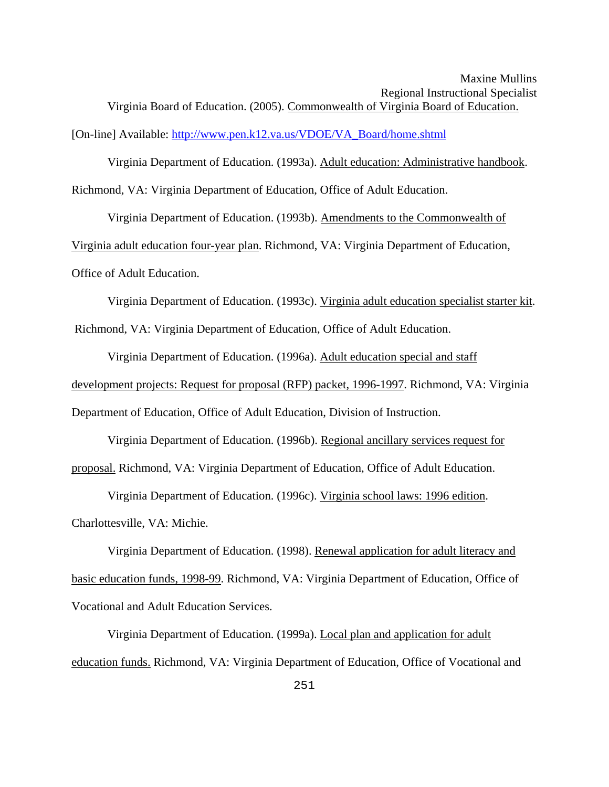[On-line] Available: [http://www.pen.k12.va.us/VDOE/VA\\_Board/home.shtml](http://www.pen.k12.va.us/VDOE/VA_Board/home.shtml) 

 Virginia Department of Education. (1993a). Adult education: Administrative handbook. Richmond, VA: Virginia Department of Education, Office of Adult Education.

 Virginia Department of Education. (1993b). Amendments to the Commonwealth of Virginia adult education four-year plan. Richmond, VA: Virginia Department of Education, Office of Adult Education.

 Virginia Department of Education. (1993c). Virginia adult education specialist starter kit. Richmond, VA: Virginia Department of Education, Office of Adult Education.

 Virginia Department of Education. (1996a). Adult education special and staff development projects: Request for proposal (RFP) packet, 1996-1997. Richmond, VA: Virginia Department of Education, Office of Adult Education, Division of Instruction.

 Virginia Department of Education. (1996b). Regional ancillary services request for proposal. Richmond, VA: Virginia Department of Education, Office of Adult Education.

Virginia Department of Education. (1996c). Virginia school laws: 1996 edition.

Charlottesville, VA: Michie.

 Virginia Department of Education. (1998). Renewal application for adult literacy and basic education funds, 1998-99. Richmond, VA: Virginia Department of Education, Office of Vocational and Adult Education Services.

 Virginia Department of Education. (1999a). Local plan and application for adult education funds. Richmond, VA: Virginia Department of Education, Office of Vocational and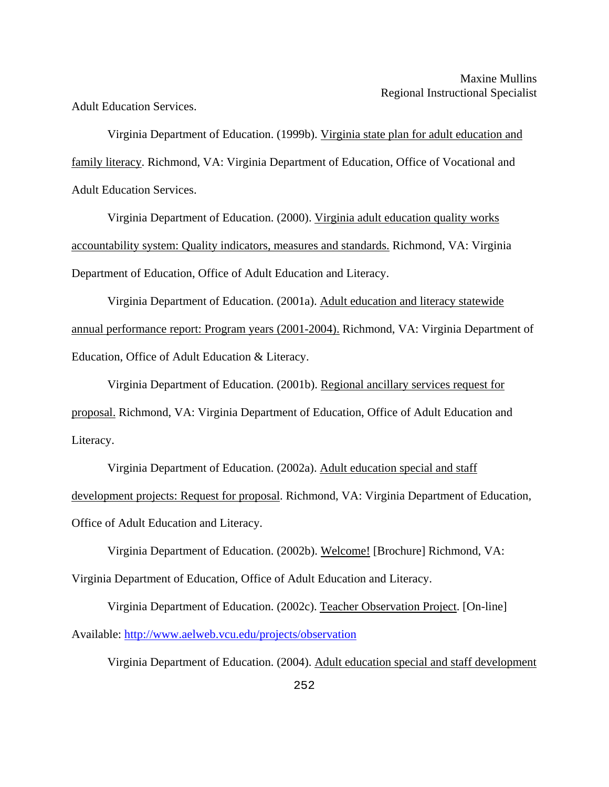Adult Education Services.

 Virginia Department of Education. (1999b). Virginia state plan for adult education and family literacy. Richmond, VA: Virginia Department of Education, Office of Vocational and Adult Education Services.

 Virginia Department of Education. (2000). Virginia adult education quality works accountability system: Quality indicators, measures and standards. Richmond, VA: Virginia Department of Education, Office of Adult Education and Literacy.

 Virginia Department of Education. (2001a). Adult education and literacy statewide annual performance report: Program years (2001-2004). Richmond, VA: Virginia Department of Education, Office of Adult Education & Literacy.

 Virginia Department of Education. (2001b). Regional ancillary services request for proposal. Richmond, VA: Virginia Department of Education, Office of Adult Education and Literacy.

 Virginia Department of Education. (2002a). Adult education special and staff development projects: Request for proposal. Richmond, VA: Virginia Department of Education, Office of Adult Education and Literacy.

 Virginia Department of Education. (2002b). Welcome! [Brochure] Richmond, VA: Virginia Department of Education, Office of Adult Education and Literacy.

 Virginia Department of Education. (2002c). Teacher Observation Project. [On-line] Available:<http://www.aelweb.vcu.edu/projects/observation>

Virginia Department of Education. (2004). Adult education special and staff development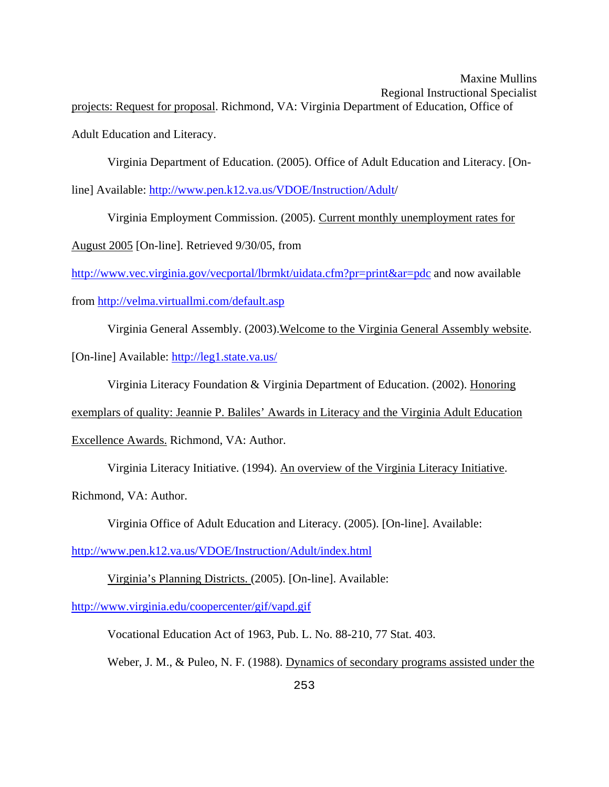Regional Instructional Specialist projects: Request for proposal. Richmond, VA: Virginia Department of Education, Office of Adult Education and Literacy.

Maxine Mullins

Virginia Department of Education. (2005). Office of Adult Education and Literacy. [On-

line] Available:<http://www.pen.k12.va.us/VDOE/Instruction/Adult>/

Virginia Employment Commission. (2005). Current monthly unemployment rates for

August 2005 [On-line]. Retrieved 9/30/05, from

http://www.vec.virginia.gov/vecportal/lbrmkt/uidata.cfm?pr=print&ar=pdc and now available from<http://velma.virtuallmi.com/default.asp>

Virginia General Assembly. (2003).Welcome to the Virginia General Assembly website.

[On-line] Available: <http://leg1.state.va.us/>

Virginia Literacy Foundation & Virginia Department of Education. (2002). Honoring

exemplars of quality: Jeannie P. Baliles' Awards in Literacy and the Virginia Adult Education

Excellence Awards. Richmond, VA: Author.

Virginia Literacy Initiative. (1994). An overview of the Virginia Literacy Initiative.

Richmond, VA: Author.

Virginia Office of Adult Education and Literacy. (2005). [On-line]. Available:

<http://www.pen.k12.va.us/VDOE/Instruction/Adult/index.html>

Virginia's Planning Districts. (2005). [On-line]. Available:

<http://www.virginia.edu/coopercenter/gif/vapd.gif>

Vocational Education Act of 1963, Pub. L. No. 88-210, 77 Stat. 403.

Weber, J. M., & Puleo, N. F. (1988). Dynamics of secondary programs assisted under the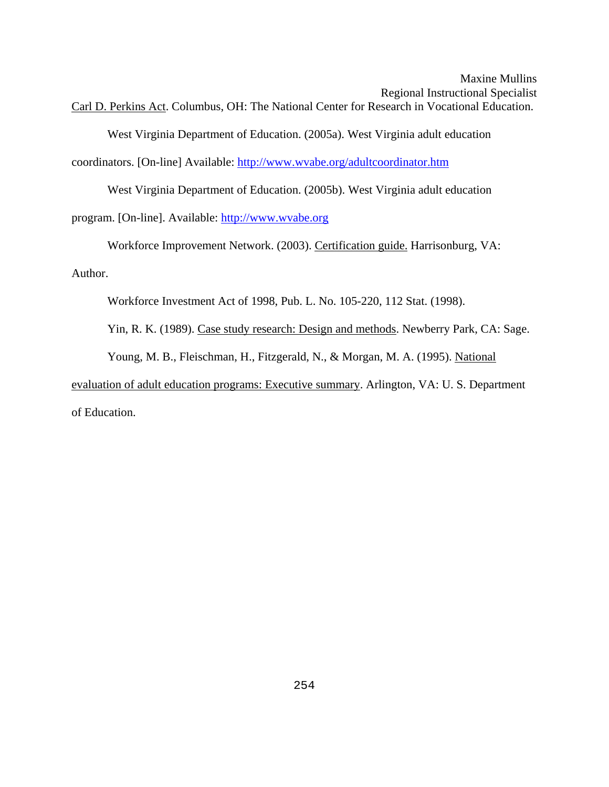Carl D. Perkins Act. Columbus, OH: The National Center for Research in Vocational Education.

West Virginia Department of Education. (2005a). West Virginia adult education

coordinators. [On-line] Available: <http://www.wvabe.org/adultcoordinator.htm>

West Virginia Department of Education. (2005b). West Virginia adult education

program. [On-line]. Available: [http://www.wvabe.org](http://www.wvabe.org/)

 Workforce Improvement Network. (2003). Certification guide. Harrisonburg, VA: Author.

Workforce Investment Act of 1998, Pub. L. No. 105-220, 112 Stat. (1998).

 Yin, R. K. (1989). Case study research: Design and methods. Newberry Park, CA: Sage. Young, M. B., Fleischman, H., Fitzgerald, N., & Morgan, M. A. (1995). National evaluation of adult education programs: Executive summary. Arlington, VA: U. S. Department of Education.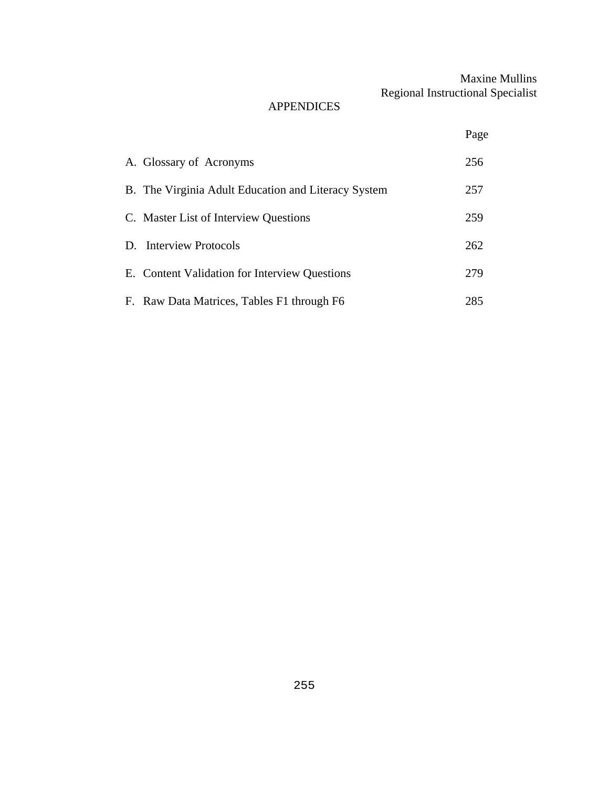# APPENDICES

|                                                     | Page |
|-----------------------------------------------------|------|
| A. Glossary of Acronyms                             | 256  |
| B. The Virginia Adult Education and Literacy System | 257  |
| C. Master List of Interview Questions               | 259  |
| D. Interview Protocols                              | 262  |
| E. Content Validation for Interview Questions       | 279  |
| F. Raw Data Matrices, Tables F1 through F6          | 285  |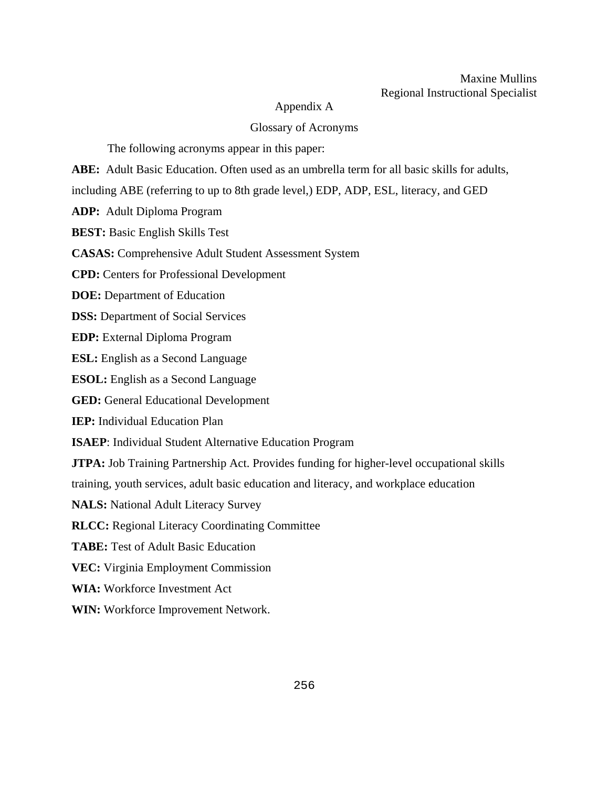### Appendix A

### Glossary of Acronyms

The following acronyms appear in this paper:

**ABE:** Adult Basic Education. Often used as an umbrella term for all basic skills for adults,

including ABE (referring to up to 8th grade level,) EDP, ADP, ESL, literacy, and GED

**ADP:** Adult Diploma Program

**BEST:** Basic English Skills Test

**CASAS:** Comprehensive Adult Student Assessment System

**CPD:** Centers for Professional Development

**DOE:** Department of Education

**DSS:** Department of Social Services

**EDP:** External Diploma Program

**ESL:** English as a Second Language

**ESOL:** English as a Second Language

**GED:** General Educational Development

**IEP:** Individual Education Plan

**ISAEP**: Individual Student Alternative Education Program

**JTPA:** Job Training Partnership Act. Provides funding for higher-level occupational skills

training, youth services, adult basic education and literacy, and workplace education

**NALS:** National Adult Literacy Survey

**RLCC:** Regional Literacy Coordinating Committee

**TABE:** Test of Adult Basic Education

**VEC:** Virginia Employment Commission

**WIA:** Workforce Investment Act

**WIN:** Workforce Improvement Network.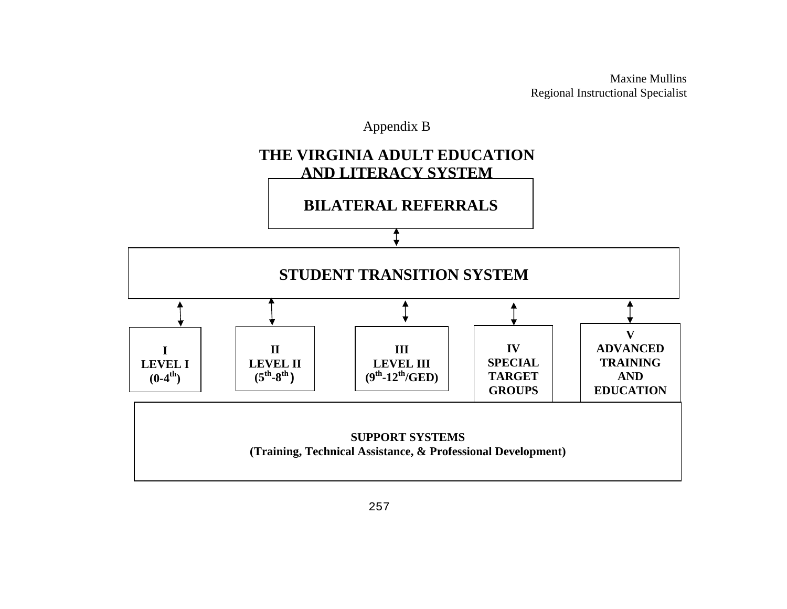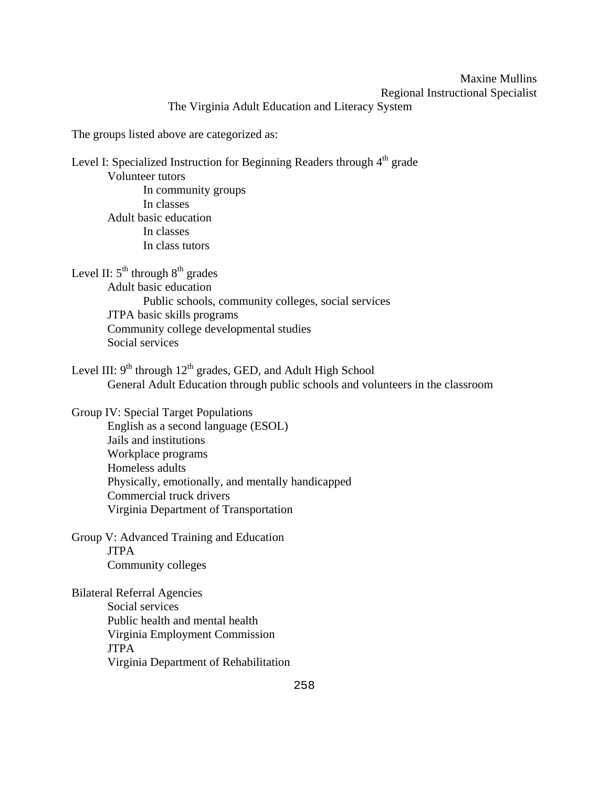The Virginia Adult Education and Literacy System

The groups listed above are categorized as:

Level I: Specialized Instruction for Beginning Readers through  $4<sup>th</sup>$  grade

 Volunteer tutors In community groups In classes Adult basic education In classes In class tutors

Level II:  $5<sup>th</sup>$  through  $8<sup>th</sup>$  grades Adult basic education Public schools, community colleges, social services JTPA basic skills programs Community college developmental studies Social services

Level III:  $9<sup>th</sup>$  through  $12<sup>th</sup>$  grades, GED, and Adult High School General Adult Education through public schools and volunteers in the classroom

Group IV: Special Target Populations English as a second language (ESOL) Jails and institutions Workplace programs Homeless adults Physically, emotionally, and mentally handicapped Commercial truck drivers Virginia Department of Transportation

Group V: Advanced Training and Education JTPA Community colleges

Bilateral Referral Agencies Social services Public health and mental health Virginia Employment Commission JTPA Virginia Department of Rehabilitation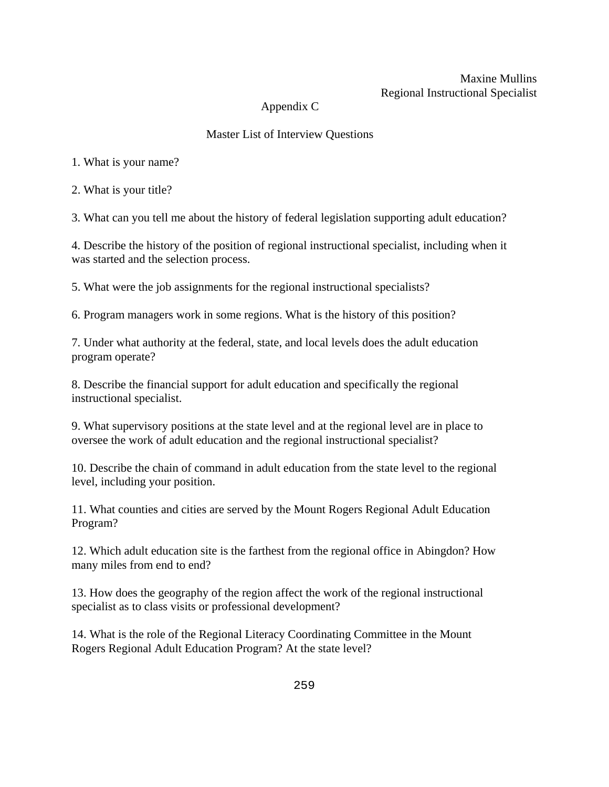## Appendix C

## Master List of Interview Questions

1. What is your name?

2. What is your title?

3. What can you tell me about the history of federal legislation supporting adult education?

4. Describe the history of the position of regional instructional specialist, including when it was started and the selection process.

5. What were the job assignments for the regional instructional specialists?

6. Program managers work in some regions. What is the history of this position?

7. Under what authority at the federal, state, and local levels does the adult education program operate?

8. Describe the financial support for adult education and specifically the regional instructional specialist.

9. What supervisory positions at the state level and at the regional level are in place to oversee the work of adult education and the regional instructional specialist?

10. Describe the chain of command in adult education from the state level to the regional level, including your position.

11. What counties and cities are served by the Mount Rogers Regional Adult Education Program?

12. Which adult education site is the farthest from the regional office in Abingdon? How many miles from end to end?

13. How does the geography of the region affect the work of the regional instructional specialist as to class visits or professional development?

14. What is the role of the Regional Literacy Coordinating Committee in the Mount Rogers Regional Adult Education Program? At the state level?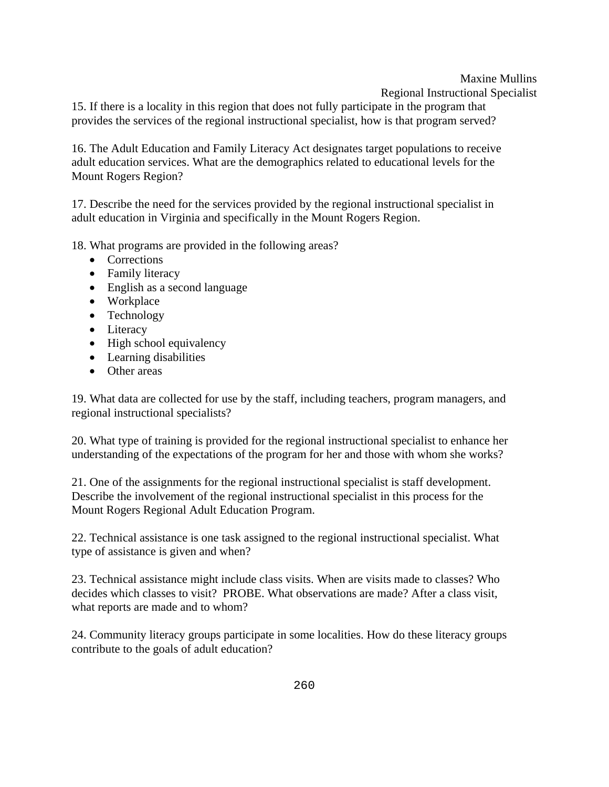15. If there is a locality in this region that does not fully participate in the program that provides the services of the regional instructional specialist, how is that program served?

16. The Adult Education and Family Literacy Act designates target populations to receive adult education services. What are the demographics related to educational levels for the Mount Rogers Region?

17. Describe the need for the services provided by the regional instructional specialist in adult education in Virginia and specifically in the Mount Rogers Region.

18. What programs are provided in the following areas?

- Corrections
- Family literacy
- English as a second language
- Workplace
- Technology
- Literacy
- High school equivalency
- Learning disabilities
- Other areas

19. What data are collected for use by the staff, including teachers, program managers, and regional instructional specialists?

20. What type of training is provided for the regional instructional specialist to enhance her understanding of the expectations of the program for her and those with whom she works?

21. One of the assignments for the regional instructional specialist is staff development. Describe the involvement of the regional instructional specialist in this process for the Mount Rogers Regional Adult Education Program.

22. Technical assistance is one task assigned to the regional instructional specialist. What type of assistance is given and when?

23. Technical assistance might include class visits. When are visits made to classes? Who decides which classes to visit? PROBE. What observations are made? After a class visit, what reports are made and to whom?

24. Community literacy groups participate in some localities. How do these literacy groups contribute to the goals of adult education?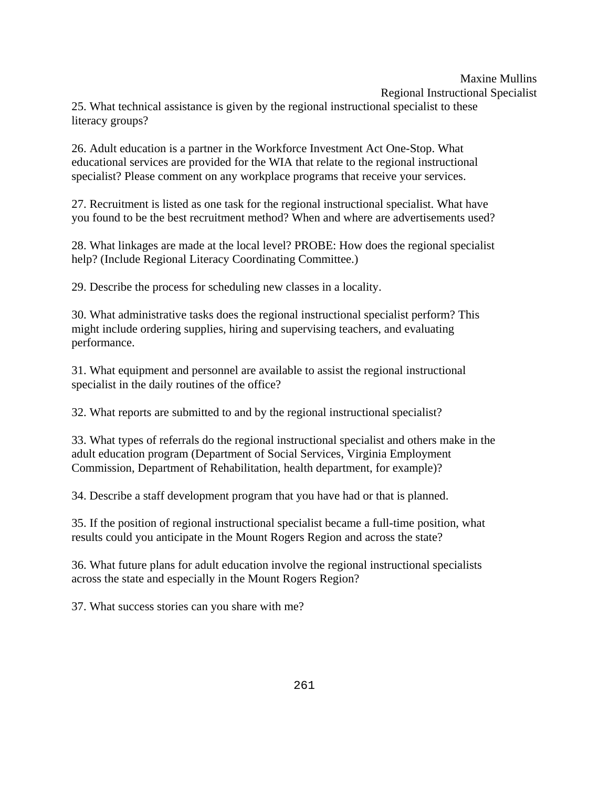## Maxine Mullins

Regional Instructional Specialist

25. What technical assistance is given by the regional instructional specialist to these literacy groups?

26. Adult education is a partner in the Workforce Investment Act One-Stop. What educational services are provided for the WIA that relate to the regional instructional specialist? Please comment on any workplace programs that receive your services.

27. Recruitment is listed as one task for the regional instructional specialist. What have you found to be the best recruitment method? When and where are advertisements used?

28. What linkages are made at the local level? PROBE: How does the regional specialist help? (Include Regional Literacy Coordinating Committee.)

29. Describe the process for scheduling new classes in a locality.

30. What administrative tasks does the regional instructional specialist perform? This might include ordering supplies, hiring and supervising teachers, and evaluating performance.

31. What equipment and personnel are available to assist the regional instructional specialist in the daily routines of the office?

32. What reports are submitted to and by the regional instructional specialist?

33. What types of referrals do the regional instructional specialist and others make in the adult education program (Department of Social Services, Virginia Employment Commission, Department of Rehabilitation, health department, for example)?

34. Describe a staff development program that you have had or that is planned.

35. If the position of regional instructional specialist became a full-time position, what results could you anticipate in the Mount Rogers Region and across the state?

36. What future plans for adult education involve the regional instructional specialists across the state and especially in the Mount Rogers Region?

37. What success stories can you share with me?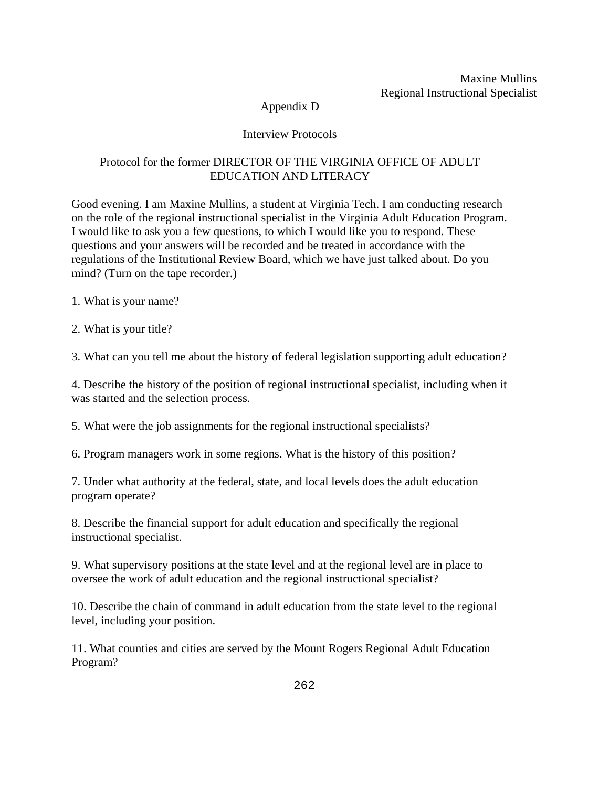## Appendix D

## Interview Protocols

## Protocol for the former DIRECTOR OF THE VIRGINIA OFFICE OF ADULT EDUCATION AND LITERACY

Good evening. I am Maxine Mullins, a student at Virginia Tech. I am conducting research on the role of the regional instructional specialist in the Virginia Adult Education Program. I would like to ask you a few questions, to which I would like you to respond. These questions and your answers will be recorded and be treated in accordance with the regulations of the Institutional Review Board, which we have just talked about. Do you mind? (Turn on the tape recorder.)

1. What is your name?

2. What is your title?

3. What can you tell me about the history of federal legislation supporting adult education?

4. Describe the history of the position of regional instructional specialist, including when it was started and the selection process.

5. What were the job assignments for the regional instructional specialists?

6. Program managers work in some regions. What is the history of this position?

7. Under what authority at the federal, state, and local levels does the adult education program operate?

8. Describe the financial support for adult education and specifically the regional instructional specialist.

9. What supervisory positions at the state level and at the regional level are in place to oversee the work of adult education and the regional instructional specialist?

10. Describe the chain of command in adult education from the state level to the regional level, including your position.

11. What counties and cities are served by the Mount Rogers Regional Adult Education Program?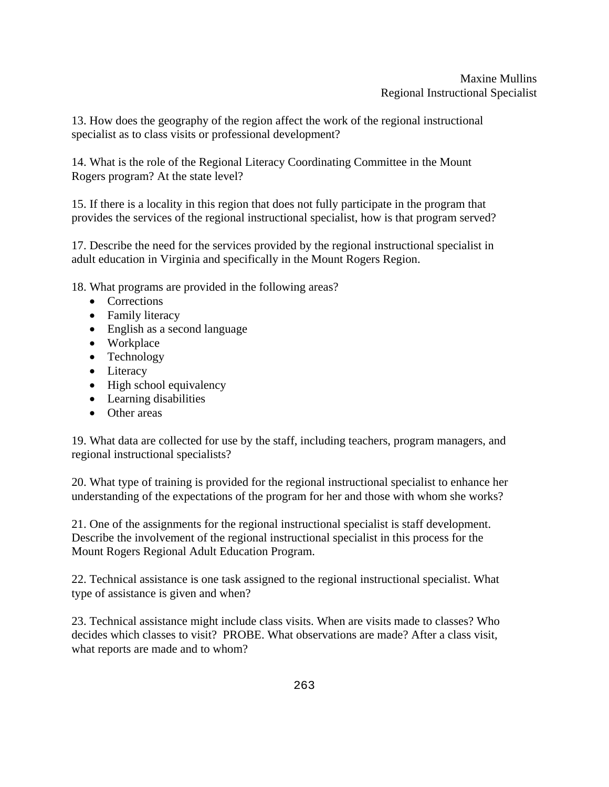13. How does the geography of the region affect the work of the regional instructional specialist as to class visits or professional development?

14. What is the role of the Regional Literacy Coordinating Committee in the Mount Rogers program? At the state level?

15. If there is a locality in this region that does not fully participate in the program that provides the services of the regional instructional specialist, how is that program served?

17. Describe the need for the services provided by the regional instructional specialist in adult education in Virginia and specifically in the Mount Rogers Region.

18. What programs are provided in the following areas?

- Corrections
- Family literacy
- English as a second language
- Workplace
- Technology
- Literacy
- High school equivalency
- Learning disabilities
- Other areas

19. What data are collected for use by the staff, including teachers, program managers, and regional instructional specialists?

20. What type of training is provided for the regional instructional specialist to enhance her understanding of the expectations of the program for her and those with whom she works?

21. One of the assignments for the regional instructional specialist is staff development. Describe the involvement of the regional instructional specialist in this process for the Mount Rogers Regional Adult Education Program.

22. Technical assistance is one task assigned to the regional instructional specialist. What type of assistance is given and when?

23. Technical assistance might include class visits. When are visits made to classes? Who decides which classes to visit? PROBE. What observations are made? After a class visit, what reports are made and to whom?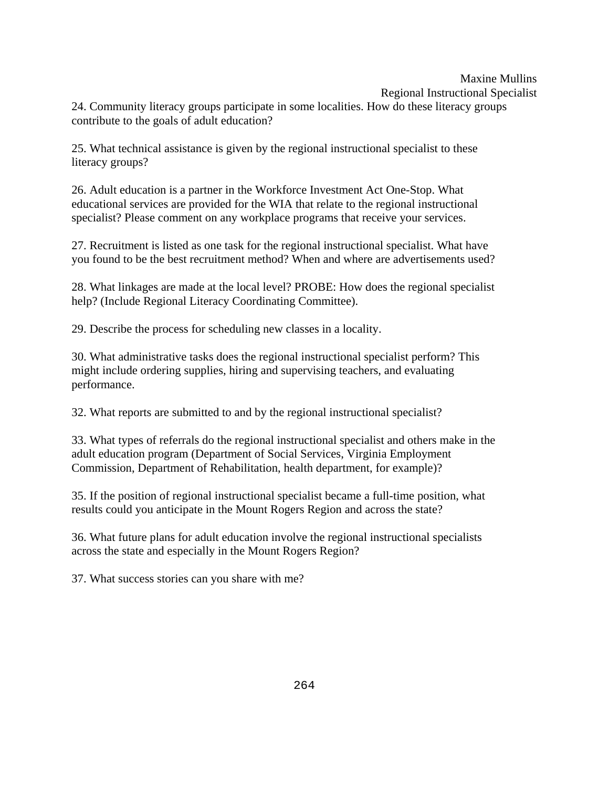# Maxine Mullins

Regional Instructional Specialist

24. Community literacy groups participate in some localities. How do these literacy groups contribute to the goals of adult education?

25. What technical assistance is given by the regional instructional specialist to these literacy groups?

26. Adult education is a partner in the Workforce Investment Act One-Stop. What educational services are provided for the WIA that relate to the regional instructional specialist? Please comment on any workplace programs that receive your services.

27. Recruitment is listed as one task for the regional instructional specialist. What have you found to be the best recruitment method? When and where are advertisements used?

28. What linkages are made at the local level? PROBE: How does the regional specialist help? (Include Regional Literacy Coordinating Committee).

29. Describe the process for scheduling new classes in a locality.

30. What administrative tasks does the regional instructional specialist perform? This might include ordering supplies, hiring and supervising teachers, and evaluating performance.

32. What reports are submitted to and by the regional instructional specialist?

33. What types of referrals do the regional instructional specialist and others make in the adult education program (Department of Social Services, Virginia Employment Commission, Department of Rehabilitation, health department, for example)?

35. If the position of regional instructional specialist became a full-time position, what results could you anticipate in the Mount Rogers Region and across the state?

36. What future plans for adult education involve the regional instructional specialists across the state and especially in the Mount Rogers Region?

37. What success stories can you share with me?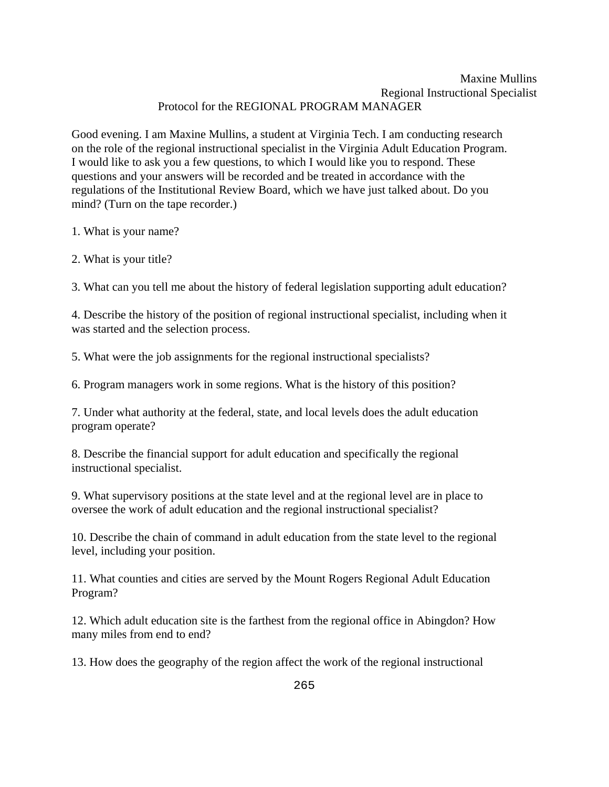#### Maxine Mullins Regional Instructional Specialist Protocol for the REGIONAL PROGRAM MANAGER

Good evening. I am Maxine Mullins, a student at Virginia Tech. I am conducting research on the role of the regional instructional specialist in the Virginia Adult Education Program. I would like to ask you a few questions, to which I would like you to respond. These questions and your answers will be recorded and be treated in accordance with the regulations of the Institutional Review Board, which we have just talked about. Do you mind? (Turn on the tape recorder.)

1. What is your name?

2. What is your title?

3. What can you tell me about the history of federal legislation supporting adult education?

4. Describe the history of the position of regional instructional specialist, including when it was started and the selection process.

5. What were the job assignments for the regional instructional specialists?

6. Program managers work in some regions. What is the history of this position?

7. Under what authority at the federal, state, and local levels does the adult education program operate?

8. Describe the financial support for adult education and specifically the regional instructional specialist.

9. What supervisory positions at the state level and at the regional level are in place to oversee the work of adult education and the regional instructional specialist?

10. Describe the chain of command in adult education from the state level to the regional level, including your position.

11. What counties and cities are served by the Mount Rogers Regional Adult Education Program?

12. Which adult education site is the farthest from the regional office in Abingdon? How many miles from end to end?

13. How does the geography of the region affect the work of the regional instructional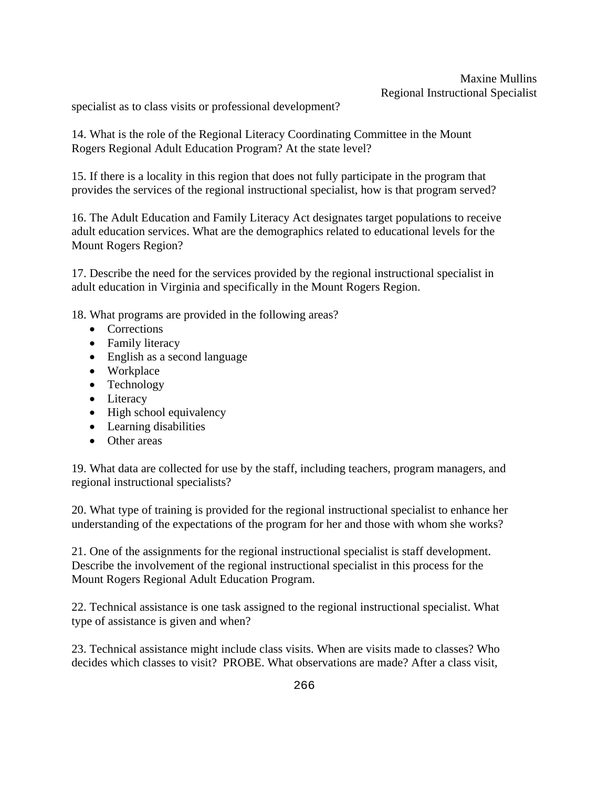specialist as to class visits or professional development?

14. What is the role of the Regional Literacy Coordinating Committee in the Mount Rogers Regional Adult Education Program? At the state level?

15. If there is a locality in this region that does not fully participate in the program that provides the services of the regional instructional specialist, how is that program served?

16. The Adult Education and Family Literacy Act designates target populations to receive adult education services. What are the demographics related to educational levels for the Mount Rogers Region?

17. Describe the need for the services provided by the regional instructional specialist in adult education in Virginia and specifically in the Mount Rogers Region.

18. What programs are provided in the following areas?

- Corrections
- Family literacy
- English as a second language
- Workplace
- Technology
- Literacy
- High school equivalency
- Learning disabilities
- Other areas

19. What data are collected for use by the staff, including teachers, program managers, and regional instructional specialists?

20. What type of training is provided for the regional instructional specialist to enhance her understanding of the expectations of the program for her and those with whom she works?

21. One of the assignments for the regional instructional specialist is staff development. Describe the involvement of the regional instructional specialist in this process for the Mount Rogers Regional Adult Education Program.

22. Technical assistance is one task assigned to the regional instructional specialist. What type of assistance is given and when?

23. Technical assistance might include class visits. When are visits made to classes? Who decides which classes to visit? PROBE. What observations are made? After a class visit,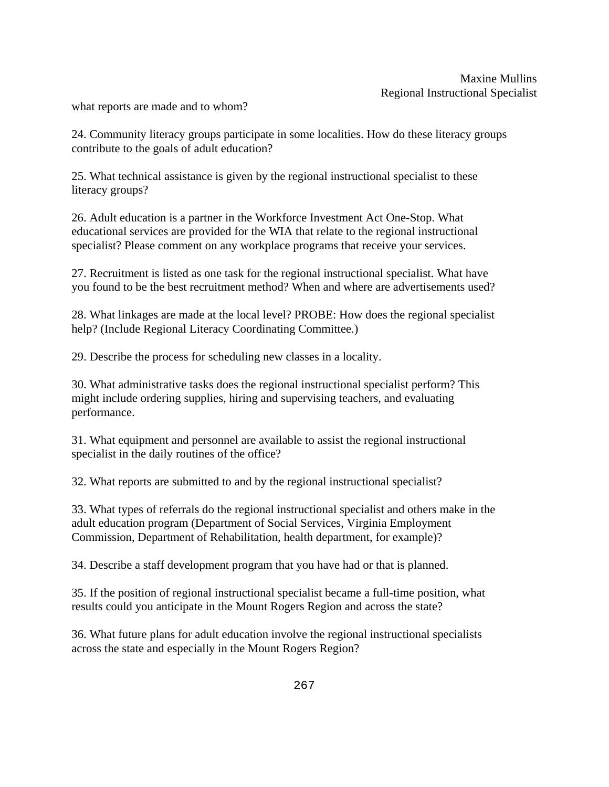what reports are made and to whom?

24. Community literacy groups participate in some localities. How do these literacy groups contribute to the goals of adult education?

25. What technical assistance is given by the regional instructional specialist to these literacy groups?

26. Adult education is a partner in the Workforce Investment Act One-Stop. What educational services are provided for the WIA that relate to the regional instructional specialist? Please comment on any workplace programs that receive your services.

27. Recruitment is listed as one task for the regional instructional specialist. What have you found to be the best recruitment method? When and where are advertisements used?

28. What linkages are made at the local level? PROBE: How does the regional specialist help? (Include Regional Literacy Coordinating Committee.)

29. Describe the process for scheduling new classes in a locality.

30. What administrative tasks does the regional instructional specialist perform? This might include ordering supplies, hiring and supervising teachers, and evaluating performance.

31. What equipment and personnel are available to assist the regional instructional specialist in the daily routines of the office?

32. What reports are submitted to and by the regional instructional specialist?

33. What types of referrals do the regional instructional specialist and others make in the adult education program (Department of Social Services, Virginia Employment Commission, Department of Rehabilitation, health department, for example)?

34. Describe a staff development program that you have had or that is planned.

35. If the position of regional instructional specialist became a full-time position, what results could you anticipate in the Mount Rogers Region and across the state?

36. What future plans for adult education involve the regional instructional specialists across the state and especially in the Mount Rogers Region?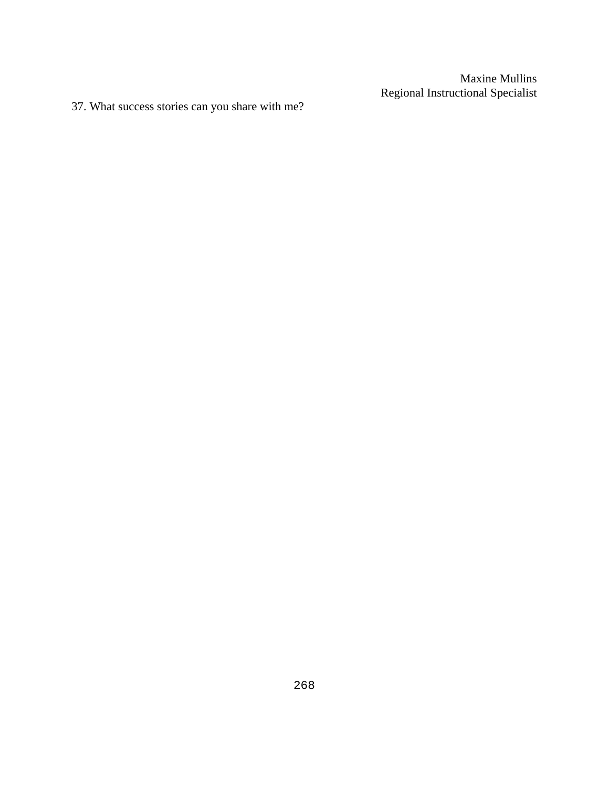37. What success stories can you share with me?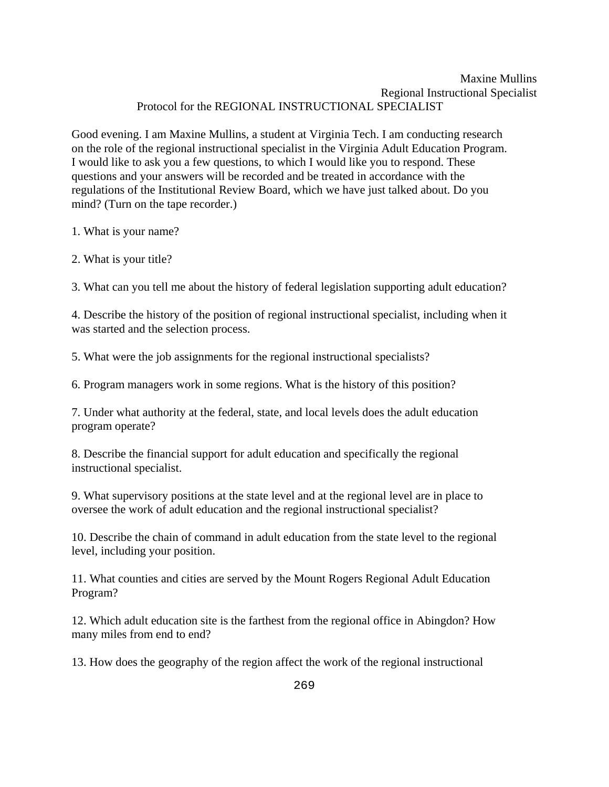#### Maxine Mullins Regional Instructional Specialist Protocol for the REGIONAL INSTRUCTIONAL SPECIALIST

Good evening. I am Maxine Mullins, a student at Virginia Tech. I am conducting research on the role of the regional instructional specialist in the Virginia Adult Education Program. I would like to ask you a few questions, to which I would like you to respond. These questions and your answers will be recorded and be treated in accordance with the regulations of the Institutional Review Board, which we have just talked about. Do you mind? (Turn on the tape recorder.)

1. What is your name?

2. What is your title?

3. What can you tell me about the history of federal legislation supporting adult education?

4. Describe the history of the position of regional instructional specialist, including when it was started and the selection process.

5. What were the job assignments for the regional instructional specialists?

6. Program managers work in some regions. What is the history of this position?

7. Under what authority at the federal, state, and local levels does the adult education program operate?

8. Describe the financial support for adult education and specifically the regional instructional specialist.

9. What supervisory positions at the state level and at the regional level are in place to oversee the work of adult education and the regional instructional specialist?

10. Describe the chain of command in adult education from the state level to the regional level, including your position.

11. What counties and cities are served by the Mount Rogers Regional Adult Education Program?

12. Which adult education site is the farthest from the regional office in Abingdon? How many miles from end to end?

13. How does the geography of the region affect the work of the regional instructional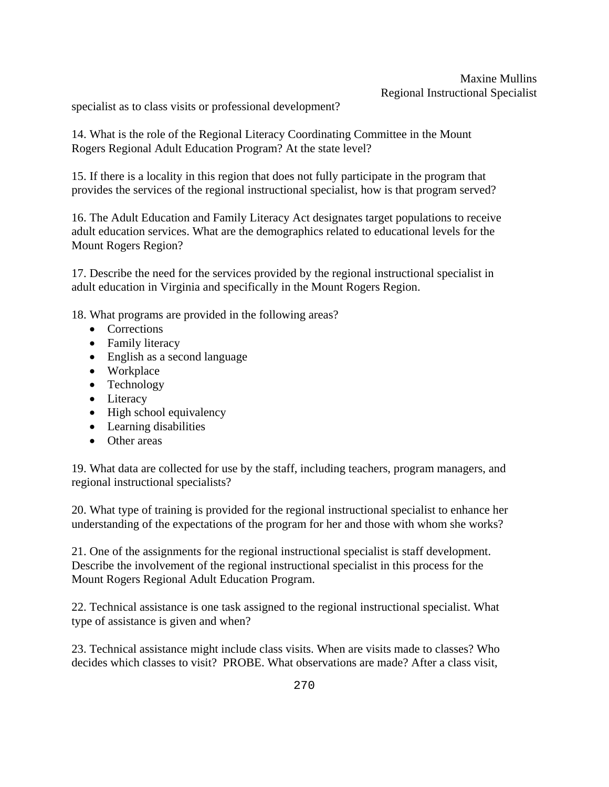specialist as to class visits or professional development?

14. What is the role of the Regional Literacy Coordinating Committee in the Mount Rogers Regional Adult Education Program? At the state level?

15. If there is a locality in this region that does not fully participate in the program that provides the services of the regional instructional specialist, how is that program served?

16. The Adult Education and Family Literacy Act designates target populations to receive adult education services. What are the demographics related to educational levels for the Mount Rogers Region?

17. Describe the need for the services provided by the regional instructional specialist in adult education in Virginia and specifically in the Mount Rogers Region.

18. What programs are provided in the following areas?

- Corrections
- Family literacy
- English as a second language
- Workplace
- Technology
- Literacy
- High school equivalency
- Learning disabilities
- Other areas

19. What data are collected for use by the staff, including teachers, program managers, and regional instructional specialists?

20. What type of training is provided for the regional instructional specialist to enhance her understanding of the expectations of the program for her and those with whom she works?

21. One of the assignments for the regional instructional specialist is staff development. Describe the involvement of the regional instructional specialist in this process for the Mount Rogers Regional Adult Education Program.

22. Technical assistance is one task assigned to the regional instructional specialist. What type of assistance is given and when?

23. Technical assistance might include class visits. When are visits made to classes? Who decides which classes to visit? PROBE. What observations are made? After a class visit,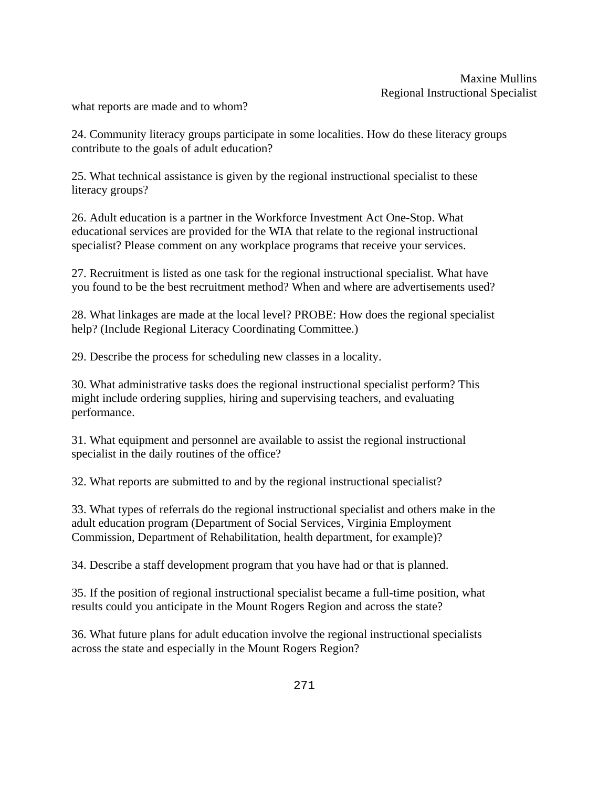what reports are made and to whom?

24. Community literacy groups participate in some localities. How do these literacy groups contribute to the goals of adult education?

25. What technical assistance is given by the regional instructional specialist to these literacy groups?

26. Adult education is a partner in the Workforce Investment Act One-Stop. What educational services are provided for the WIA that relate to the regional instructional specialist? Please comment on any workplace programs that receive your services.

27. Recruitment is listed as one task for the regional instructional specialist. What have you found to be the best recruitment method? When and where are advertisements used?

28. What linkages are made at the local level? PROBE: How does the regional specialist help? (Include Regional Literacy Coordinating Committee.)

29. Describe the process for scheduling new classes in a locality.

30. What administrative tasks does the regional instructional specialist perform? This might include ordering supplies, hiring and supervising teachers, and evaluating performance.

31. What equipment and personnel are available to assist the regional instructional specialist in the daily routines of the office?

32. What reports are submitted to and by the regional instructional specialist?

33. What types of referrals do the regional instructional specialist and others make in the adult education program (Department of Social Services, Virginia Employment Commission, Department of Rehabilitation, health department, for example)?

34. Describe a staff development program that you have had or that is planned.

35. If the position of regional instructional specialist became a full-time position, what results could you anticipate in the Mount Rogers Region and across the state?

36. What future plans for adult education involve the regional instructional specialists across the state and especially in the Mount Rogers Region?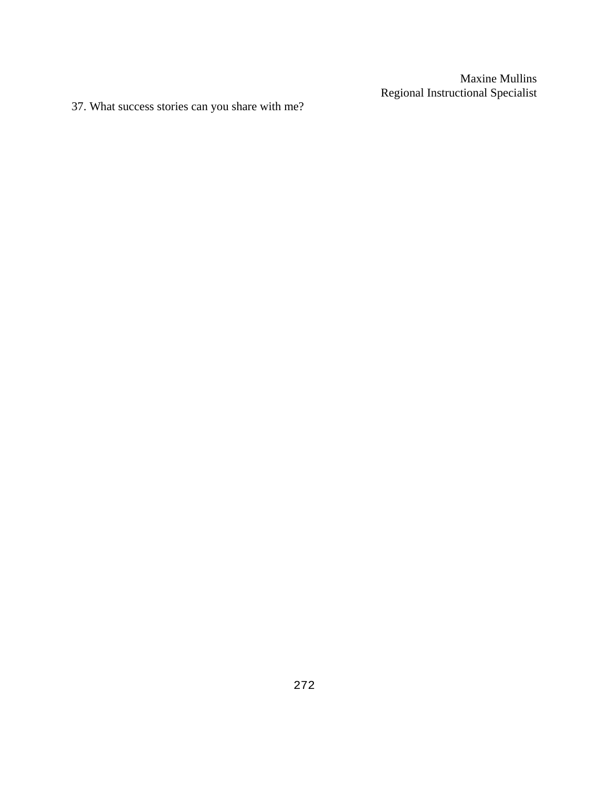37. What success stories can you share with me?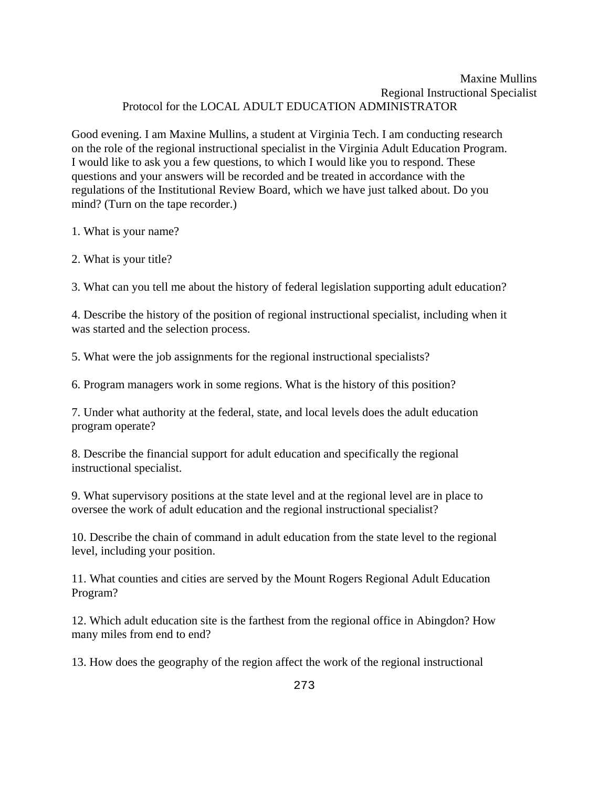### Maxine Mullins Regional Instructional Specialist Protocol for the LOCAL ADULT EDUCATION ADMINISTRATOR

Good evening. I am Maxine Mullins, a student at Virginia Tech. I am conducting research on the role of the regional instructional specialist in the Virginia Adult Education Program. I would like to ask you a few questions, to which I would like you to respond. These questions and your answers will be recorded and be treated in accordance with the regulations of the Institutional Review Board, which we have just talked about. Do you mind? (Turn on the tape recorder.)

1. What is your name?

2. What is your title?

3. What can you tell me about the history of federal legislation supporting adult education?

4. Describe the history of the position of regional instructional specialist, including when it was started and the selection process.

5. What were the job assignments for the regional instructional specialists?

6. Program managers work in some regions. What is the history of this position?

7. Under what authority at the federal, state, and local levels does the adult education program operate?

8. Describe the financial support for adult education and specifically the regional instructional specialist.

9. What supervisory positions at the state level and at the regional level are in place to oversee the work of adult education and the regional instructional specialist?

10. Describe the chain of command in adult education from the state level to the regional level, including your position.

11. What counties and cities are served by the Mount Rogers Regional Adult Education Program?

12. Which adult education site is the farthest from the regional office in Abingdon? How many miles from end to end?

13. How does the geography of the region affect the work of the regional instructional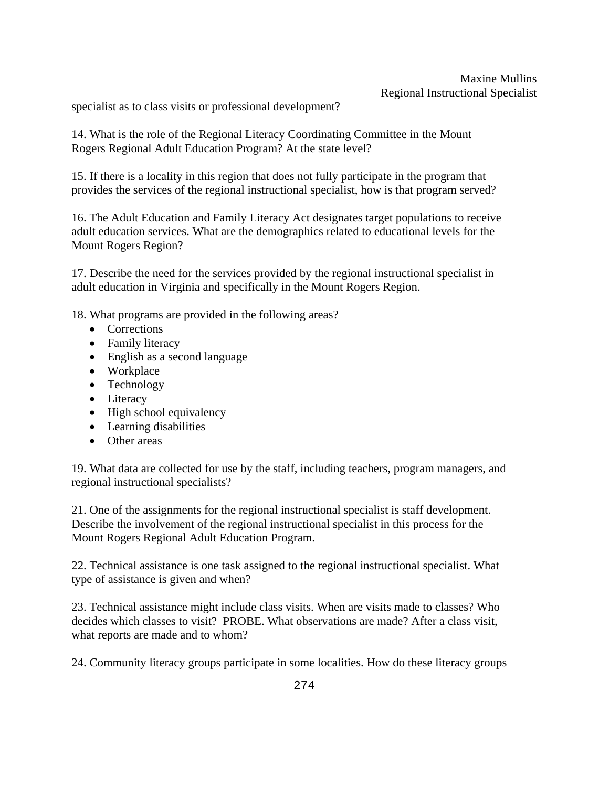specialist as to class visits or professional development?

14. What is the role of the Regional Literacy Coordinating Committee in the Mount Rogers Regional Adult Education Program? At the state level?

15. If there is a locality in this region that does not fully participate in the program that provides the services of the regional instructional specialist, how is that program served?

16. The Adult Education and Family Literacy Act designates target populations to receive adult education services. What are the demographics related to educational levels for the Mount Rogers Region?

17. Describe the need for the services provided by the regional instructional specialist in adult education in Virginia and specifically in the Mount Rogers Region.

18. What programs are provided in the following areas?

- Corrections
- Family literacy
- English as a second language
- Workplace
- Technology
- Literacy
- High school equivalency
- Learning disabilities
- Other areas

19. What data are collected for use by the staff, including teachers, program managers, and regional instructional specialists?

21. One of the assignments for the regional instructional specialist is staff development. Describe the involvement of the regional instructional specialist in this process for the Mount Rogers Regional Adult Education Program.

22. Technical assistance is one task assigned to the regional instructional specialist. What type of assistance is given and when?

23. Technical assistance might include class visits. When are visits made to classes? Who decides which classes to visit? PROBE. What observations are made? After a class visit, what reports are made and to whom?

24. Community literacy groups participate in some localities. How do these literacy groups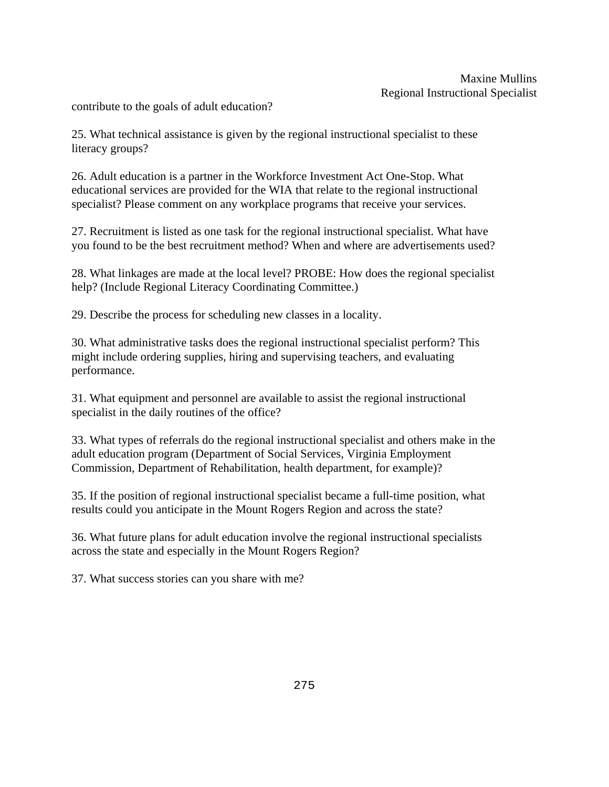contribute to the goals of adult education?

25. What technical assistance is given by the regional instructional specialist to these literacy groups?

26. Adult education is a partner in the Workforce Investment Act One-Stop. What educational services are provided for the WIA that relate to the regional instructional specialist? Please comment on any workplace programs that receive your services.

27. Recruitment is listed as one task for the regional instructional specialist. What have you found to be the best recruitment method? When and where are advertisements used?

28. What linkages are made at the local level? PROBE: How does the regional specialist help? (Include Regional Literacy Coordinating Committee.)

29. Describe the process for scheduling new classes in a locality.

30. What administrative tasks does the regional instructional specialist perform? This might include ordering supplies, hiring and supervising teachers, and evaluating performance.

31. What equipment and personnel are available to assist the regional instructional specialist in the daily routines of the office?

33. What types of referrals do the regional instructional specialist and others make in the adult education program (Department of Social Services, Virginia Employment Commission, Department of Rehabilitation, health department, for example)?

35. If the position of regional instructional specialist became a full-time position, what results could you anticipate in the Mount Rogers Region and across the state?

36. What future plans for adult education involve the regional instructional specialists across the state and especially in the Mount Rogers Region?

37. What success stories can you share with me?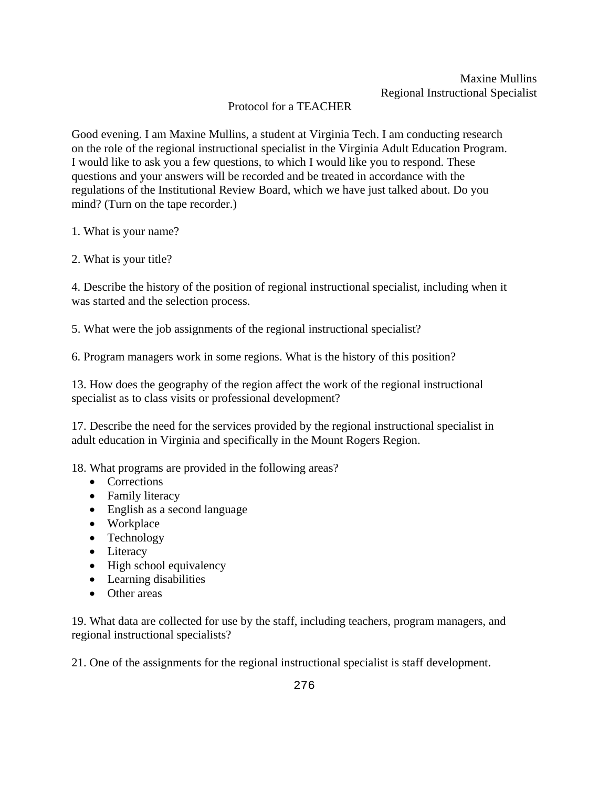## Protocol for a TEACHER

Good evening. I am Maxine Mullins, a student at Virginia Tech. I am conducting research on the role of the regional instructional specialist in the Virginia Adult Education Program. I would like to ask you a few questions, to which I would like you to respond. These questions and your answers will be recorded and be treated in accordance with the regulations of the Institutional Review Board, which we have just talked about. Do you mind? (Turn on the tape recorder.)

1. What is your name?

2. What is your title?

4. Describe the history of the position of regional instructional specialist, including when it was started and the selection process.

5. What were the job assignments of the regional instructional specialist?

6. Program managers work in some regions. What is the history of this position?

13. How does the geography of the region affect the work of the regional instructional specialist as to class visits or professional development?

17. Describe the need for the services provided by the regional instructional specialist in adult education in Virginia and specifically in the Mount Rogers Region.

18. What programs are provided in the following areas?

- Corrections
- Family literacy
- English as a second language
- Workplace
- Technology
- Literacy
- High school equivalency
- Learning disabilities
- Other areas

19. What data are collected for use by the staff, including teachers, program managers, and regional instructional specialists?

21. One of the assignments for the regional instructional specialist is staff development.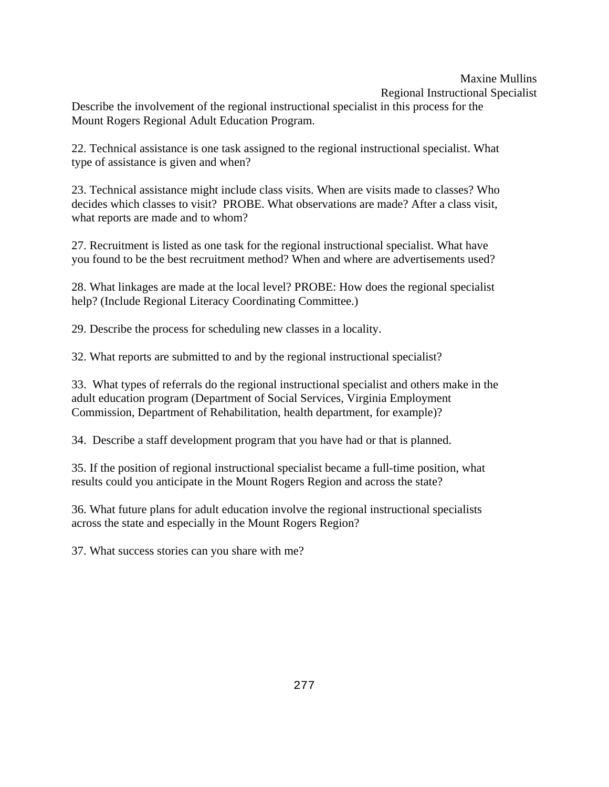Describe the involvement of the regional instructional specialist in this process for the Mount Rogers Regional Adult Education Program.

22. Technical assistance is one task assigned to the regional instructional specialist. What type of assistance is given and when?

23. Technical assistance might include class visits. When are visits made to classes? Who decides which classes to visit? PROBE. What observations are made? After a class visit, what reports are made and to whom?

27. Recruitment is listed as one task for the regional instructional specialist. What have you found to be the best recruitment method? When and where are advertisements used?

28. What linkages are made at the local level? PROBE: How does the regional specialist help? (Include Regional Literacy Coordinating Committee.)

29. Describe the process for scheduling new classes in a locality.

32. What reports are submitted to and by the regional instructional specialist?

33. What types of referrals do the regional instructional specialist and others make in the adult education program (Department of Social Services, Virginia Employment Commission, Department of Rehabilitation, health department, for example)?

34. Describe a staff development program that you have had or that is planned.

35. If the position of regional instructional specialist became a full-time position, what results could you anticipate in the Mount Rogers Region and across the state?

36. What future plans for adult education involve the regional instructional specialists across the state and especially in the Mount Rogers Region?

37. What success stories can you share with me?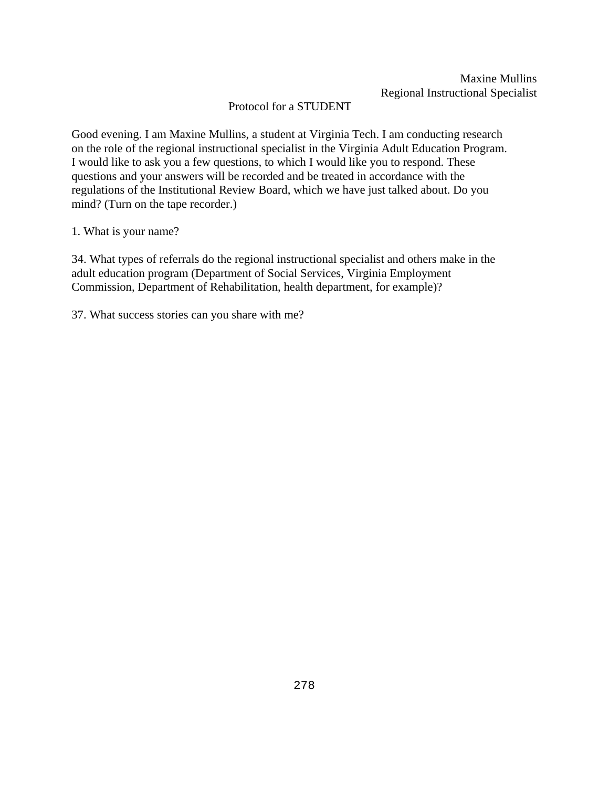## Protocol for a STUDENT

Good evening. I am Maxine Mullins, a student at Virginia Tech. I am conducting research on the role of the regional instructional specialist in the Virginia Adult Education Program. I would like to ask you a few questions, to which I would like you to respond. These questions and your answers will be recorded and be treated in accordance with the regulations of the Institutional Review Board, which we have just talked about. Do you mind? (Turn on the tape recorder.)

1. What is your name?

34. What types of referrals do the regional instructional specialist and others make in the adult education program (Department of Social Services, Virginia Employment Commission, Department of Rehabilitation, health department, for example)?

37. What success stories can you share with me?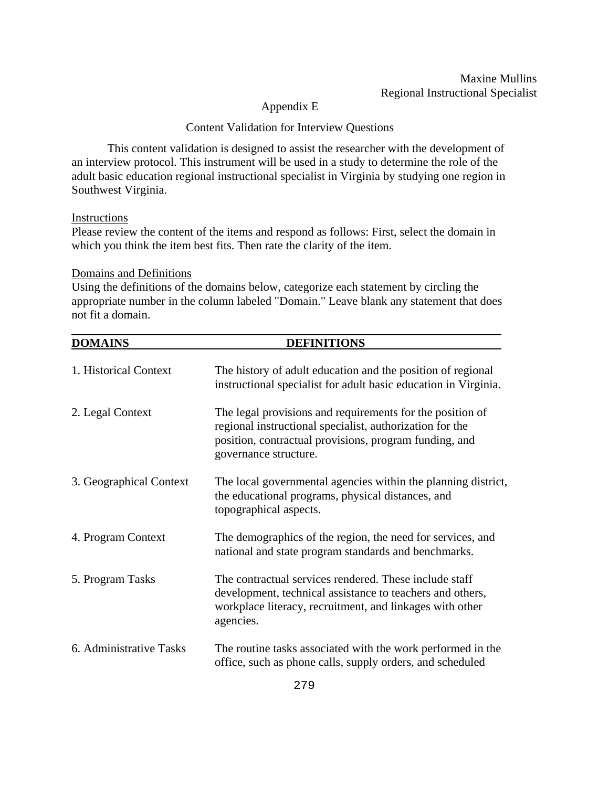#### Appendix E

#### Content Validation for Interview Questions

This content validation is designed to assist the researcher with the development of an interview protocol. This instrument will be used in a study to determine the role of the adult basic education regional instructional specialist in Virginia by studying one region in Southwest Virginia.

#### **Instructions**

Please review the content of the items and respond as follows: First, select the domain in which you think the item best fits. Then rate the clarity of the item.

#### Domains and Definitions

Using the definitions of the domains below, categorize each statement by circling the appropriate number in the column labeled "Domain." Leave blank any statement that does not fit a domain.

| <b>DOMAINS</b>          | <b>DEFINITIONS</b>                                                                                                                                                                                       |  |
|-------------------------|----------------------------------------------------------------------------------------------------------------------------------------------------------------------------------------------------------|--|
| 1. Historical Context   | The history of adult education and the position of regional<br>instructional specialist for adult basic education in Virginia.                                                                           |  |
| 2. Legal Context        | The legal provisions and requirements for the position of<br>regional instructional specialist, authorization for the<br>position, contractual provisions, program funding, and<br>governance structure. |  |
| 3. Geographical Context | The local governmental agencies within the planning district,<br>the educational programs, physical distances, and<br>topographical aspects.                                                             |  |
| 4. Program Context      | The demographics of the region, the need for services, and<br>national and state program standards and benchmarks.                                                                                       |  |
| 5. Program Tasks        | The contractual services rendered. These include staff<br>development, technical assistance to teachers and others,<br>workplace literacy, recruitment, and linkages with other<br>agencies.             |  |
| 6. Administrative Tasks | The routine tasks associated with the work performed in the<br>office, such as phone calls, supply orders, and scheduled                                                                                 |  |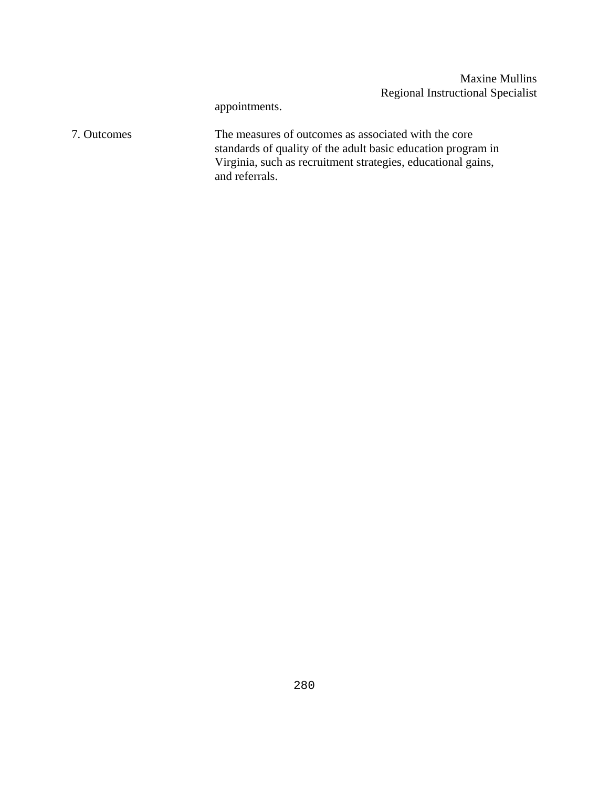appointments.

7. Outcomes The measures of outcomes as associated with the core standards of quality of the adult basic education program in Virginia, such as recruitment strategies, educational gains, and referrals.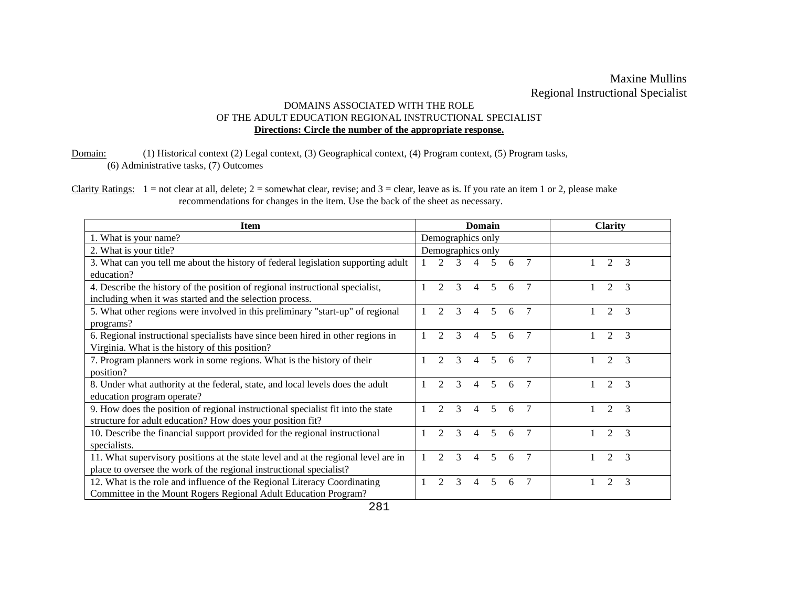#### DOMAINS ASSOCIATED WITH THE ROLE OF THE ADULT EDUCATION REGIONAL INSTRUCTIONAL SPECIALIST **Directions: Circle the number of the appropriate response.**

Domain: (1) Historical context (2) Legal context, (3) Geographical context, (4) Program context, (5) Program tasks, (6) Administrative tasks, (7) Outcomes

Clarity Ratings:  $1 =$  not clear at all, delete;  $2 =$  somewhat clear, revise; and  $3 =$  clear, leave as is. If you rate an item 1 or 2, please make recommendations for changes in the item. Use the back of the sheet as necessary.

| <b>Item</b>                                                                                                                                               | Domain                                                                 | <b>Clarity</b>                               |  |  |
|-----------------------------------------------------------------------------------------------------------------------------------------------------------|------------------------------------------------------------------------|----------------------------------------------|--|--|
| 1. What is your name?                                                                                                                                     | Demographics only                                                      |                                              |  |  |
| 2. What is your title?                                                                                                                                    | Demographics only                                                      |                                              |  |  |
| 3. What can you tell me about the history of federal legislation supporting adult<br>education?                                                           | $\mathcal{D}_{\mathcal{L}}$<br>$\mathcal{E}$<br>5<br>6<br>4            | $\mathfrak{D}$<br>3                          |  |  |
| 4. Describe the history of the position of regional instructional specialist,<br>including when it was started and the selection process.                 | $\mathfrak{D}$<br>3<br>4<br>5<br>6                                     | 2<br>3                                       |  |  |
| 5. What other regions were involved in this preliminary "start-up" of regional<br>programs?                                                               | $\mathcal{D}$<br>$\mathcal{R}$<br>$\overline{\mathcal{L}}$<br>4<br>6   | $\mathcal{D}_{\mathcal{L}}$<br>$\mathcal{R}$ |  |  |
| 6. Regional instructional specialists have since been hired in other regions in<br>Virginia. What is the history of this position?                        | C<br>3<br>$\overline{\mathcal{L}}$<br>4<br>6                           | $\mathfrak{D}$<br>3                          |  |  |
| 7. Program planners work in some regions. What is the history of their<br>position?                                                                       | $\mathcal{D}$<br>$\overline{\mathcal{L}}$                              | $\mathcal{D}_{\mathcal{L}}$<br>$\mathcal{R}$ |  |  |
| 8. Under what authority at the federal, state, and local levels does the adult<br>education program operate?                                              | $\mathfrak{D}$<br>$\mathcal{R}$<br>5<br>4<br>6                         | 2<br>3                                       |  |  |
| 9. How does the position of regional instructional specialist fit into the state<br>structure for adult education? How does your position fit?            | $\mathcal{D}$<br>$\mathcal{R}$<br>$\overline{5}$<br>4<br>6             | $\mathcal{D}_{\mathcal{L}}$<br>$\mathcal{R}$ |  |  |
| 10. Describe the financial support provided for the regional instructional<br>specialists.                                                                | $\mathcal{D}_{\mathcal{L}}$<br>3<br>$\overline{\mathcal{L}}$<br>Δ<br>6 | $\mathcal{D}_{\mathcal{L}}$<br>$\mathcal{R}$ |  |  |
| 11. What supervisory positions at the state level and at the regional level are in<br>place to oversee the work of the regional instructional specialist? | $\mathcal{R}$<br>5<br>6                                                | 3<br>$\mathcal{D}_{\mathcal{L}}$             |  |  |
| 12. What is the role and influence of the Regional Literacy Coordinating<br>Committee in the Mount Rogers Regional Adult Education Program?               | 5<br>6                                                                 | 3<br>$\mathfrak{D}$                          |  |  |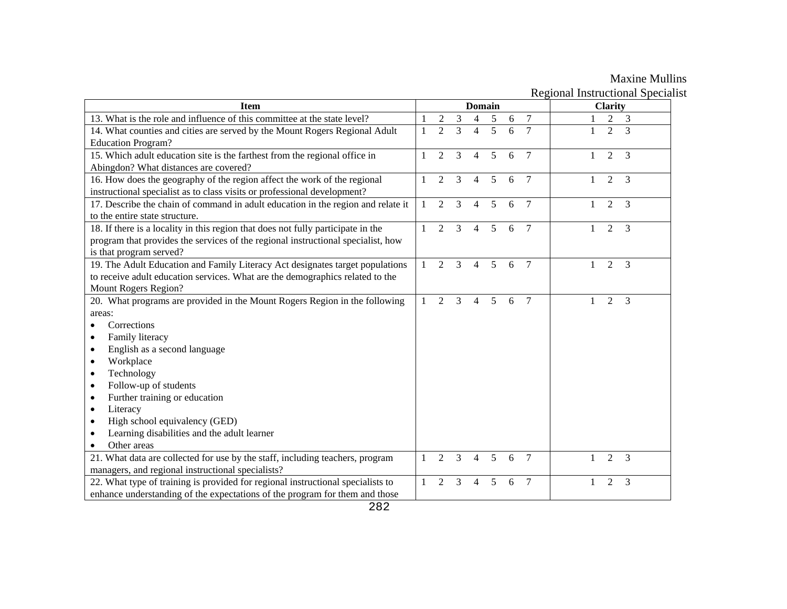| <b>Item</b>                                                                      |              |                | <b>Domain</b> |   |                |   | <b>Clarity</b> |  |   |                |                |
|----------------------------------------------------------------------------------|--------------|----------------|---------------|---|----------------|---|----------------|--|---|----------------|----------------|
| 13. What is the role and influence of this committee at the state level?         |              | $\overline{c}$ | 3             | 4 | 5              | 6 | 7              |  |   | $\overline{2}$ | 3              |
| 14. What counties and cities are served by the Mount Rogers Regional Adult       | $\mathbf{1}$ | $\overline{2}$ | 3             |   | $\overline{5}$ |   | $\overline{7}$ |  |   | $\overline{2}$ | $\overline{3}$ |
| <b>Education Program?</b>                                                        |              |                |               |   |                |   |                |  |   |                |                |
| 15. Which adult education site is the farthest from the regional office in       | 1            | $\overline{2}$ | 3             | 4 | 5              | 6 | $\tau$         |  | 1 | 2              | 3              |
| Abingdon? What distances are covered?                                            |              |                |               |   |                |   |                |  |   |                |                |
| 16. How does the geography of the region affect the work of the regional         | 1            | $\overline{2}$ | 3             | 4 | 5              | 6 | $\overline{7}$ |  | 1 | 2              | 3              |
| instructional specialist as to class visits or professional development?         |              |                |               |   |                |   |                |  |   |                |                |
| 17. Describe the chain of command in adult education in the region and relate it | 1            | $\overline{2}$ | 3             | 4 | 5              | 6 | 7              |  | 1 | 2              | 3              |
| to the entire state structure.                                                   |              |                |               |   |                |   |                |  |   |                |                |
| 18. If there is a locality in this region that does not fully participate in the | 1            | 2              | 3             | 4 | 5              | 6 | $\overline{7}$ |  |   | $\overline{2}$ | 3              |
| program that provides the services of the regional instructional specialist, how |              |                |               |   |                |   |                |  |   |                |                |
| is that program served?                                                          |              |                |               |   |                |   |                |  |   |                |                |
| 19. The Adult Education and Family Literacy Act designates target populations    |              | $\mathfrak{D}$ | 3             | 4 | 5              | 6 | $\tau$         |  |   | 2              | 3              |
| to receive adult education services. What are the demographics related to the    |              |                |               |   |                |   |                |  |   |                |                |
| Mount Rogers Region?                                                             |              | 2              | 3             |   |                |   |                |  |   |                |                |
| 20. What programs are provided in the Mount Rogers Region in the following       |              |                |               | 4 | 5              | 6 | $\overline{7}$ |  | 1 | 2              | 3              |
| areas:                                                                           |              |                |               |   |                |   |                |  |   |                |                |
| Corrections                                                                      |              |                |               |   |                |   |                |  |   |                |                |
| Family literacy<br>$\bullet$                                                     |              |                |               |   |                |   |                |  |   |                |                |
| English as a second language<br>$\bullet$                                        |              |                |               |   |                |   |                |  |   |                |                |
| Workplace<br>٠                                                                   |              |                |               |   |                |   |                |  |   |                |                |
| Technology<br>$\bullet$                                                          |              |                |               |   |                |   |                |  |   |                |                |
| Follow-up of students<br>٠                                                       |              |                |               |   |                |   |                |  |   |                |                |
| Further training or education<br>$\bullet$                                       |              |                |               |   |                |   |                |  |   |                |                |
| Literacy<br>٠                                                                    |              |                |               |   |                |   |                |  |   |                |                |
| High school equivalency (GED)<br>$\bullet$                                       |              |                |               |   |                |   |                |  |   |                |                |
| Learning disabilities and the adult learner                                      |              |                |               |   |                |   |                |  |   |                |                |
| Other areas                                                                      |              |                |               |   |                |   |                |  |   |                |                |
| 21. What data are collected for use by the staff, including teachers, program    |              | $\mathfrak{D}$ | 3             | 4 | 5              | 6 | $\tau$         |  |   | 2              | 3              |
| managers, and regional instructional specialists?                                |              |                |               |   |                |   |                |  |   |                |                |
| 22. What type of training is provided for regional instructional specialists to  | 1            | $\overline{2}$ | 3             |   | 5              | 6 | 7              |  |   | 2              | 3              |
| enhance understanding of the expectations of the program for them and those      |              |                |               |   |                |   |                |  |   |                |                |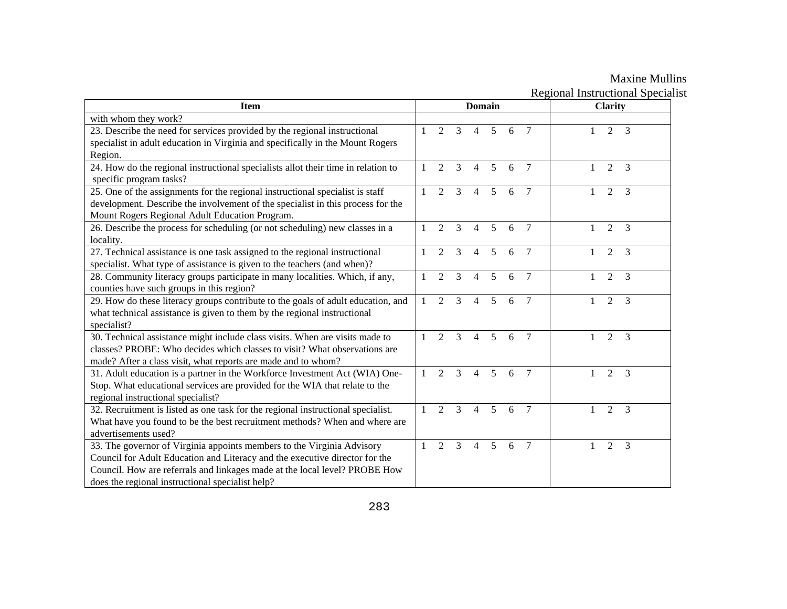| <b>Item</b>                                                                       | <b>Domain</b> |                |               |                |                |   | <b>Clarity</b> |   |                |                |
|-----------------------------------------------------------------------------------|---------------|----------------|---------------|----------------|----------------|---|----------------|---|----------------|----------------|
| with whom they work?                                                              |               |                |               |                |                |   |                |   |                |                |
| 23. Describe the need for services provided by the regional instructional         |               | $\overline{2}$ | 3             | 4              | 5              | 6 | 7              |   | 2              | 3              |
| specialist in adult education in Virginia and specifically in the Mount Rogers    |               |                |               |                |                |   |                |   |                |                |
| Region.                                                                           |               |                |               |                |                |   |                |   |                |                |
| 24. How do the regional instructional specialists allot their time in relation to | 1             | $\overline{2}$ | 3             | 4              | 5              | 6 | $\overline{7}$ | 1 | 2              | 3              |
| specific program tasks?                                                           |               |                |               |                |                |   |                |   |                |                |
| 25. One of the assignments for the regional instructional specialist is staff     |               | $\overline{2}$ | 3             | $\overline{4}$ | $\overline{5}$ | 6 | $\tau$         |   | 2              | 3              |
| development. Describe the involvement of the specialist in this process for the   |               |                |               |                |                |   |                |   |                |                |
| Mount Rogers Regional Adult Education Program.                                    |               |                |               |                |                |   |                |   |                |                |
| 26. Describe the process for scheduling (or not scheduling) new classes in a      |               | $\overline{2}$ | 3             | 4              | 5              | 6 | $\overline{7}$ |   | $\overline{2}$ | 3              |
| locality.                                                                         |               |                |               |                |                |   |                |   |                |                |
| 27. Technical assistance is one task assigned to the regional instructional       |               | 2              | 3             | 4              | 5              | 6 | 7              |   | 2              | 3              |
| specialist. What type of assistance is given to the teachers (and when)?          |               |                |               |                |                |   |                |   |                |                |
| 28. Community literacy groups participate in many localities. Which, if any,      | 1             | $\overline{2}$ | 3             | 4              | 5              | 6 | $\overline{7}$ | 1 | 2              | 3              |
| counties have such groups in this region?                                         |               |                |               |                |                |   |                |   |                |                |
| 29. How do these literacy groups contribute to the goals of adult education, and  |               | $\mathfrak{D}$ | $\mathbf{3}$  | $\overline{4}$ | 5              | 6 | $\tau$         |   | $\overline{2}$ | 3              |
| what technical assistance is given to them by the regional instructional          |               |                |               |                |                |   |                |   |                |                |
| specialist?                                                                       |               |                |               |                |                |   |                |   |                |                |
| 30. Technical assistance might include class visits. When are visits made to      | $\mathbf{1}$  | $\overline{2}$ | 3             | $\overline{4}$ | 5              | 6 | $\tau$         |   | 2              | $\overline{3}$ |
| classes? PROBE: Who decides which classes to visit? What observations are         |               |                |               |                |                |   |                |   |                |                |
| made? After a class visit, what reports are made and to whom?                     |               |                |               |                |                |   |                |   |                |                |
| 31. Adult education is a partner in the Workforce Investment Act (WIA) One-       |               | $\mathfrak{D}$ | 3             | 4              | 5              | 6 | $\tau$         |   | $\overline{2}$ | 3              |
| Stop. What educational services are provided for the WIA that relate to the       |               |                |               |                |                |   |                |   |                |                |
| regional instructional specialist?                                                |               |                |               |                |                |   |                |   |                |                |
| 32. Recruitment is listed as one task for the regional instructional specialist.  | $\mathbf{1}$  | 2              | $\mathcal{E}$ | $\overline{4}$ | $\overline{5}$ | 6 | $\overline{7}$ | 1 | 2              | 3              |
| What have you found to be the best recruitment methods? When and where are        |               |                |               |                |                |   |                |   |                |                |
| advertisements used?                                                              |               |                |               |                |                |   |                |   |                |                |
| 33. The governor of Virginia appoints members to the Virginia Advisory            | $\mathbf{1}$  | $\mathfrak{D}$ | 3             | $\overline{4}$ | 5              | 6 | $\tau$         |   | 2              | 3              |
| Council for Adult Education and Literacy and the executive director for the       |               |                |               |                |                |   |                |   |                |                |
| Council. How are referrals and linkages made at the local level? PROBE How        |               |                |               |                |                |   |                |   |                |                |
| does the regional instructional specialist help?                                  |               |                |               |                |                |   |                |   |                |                |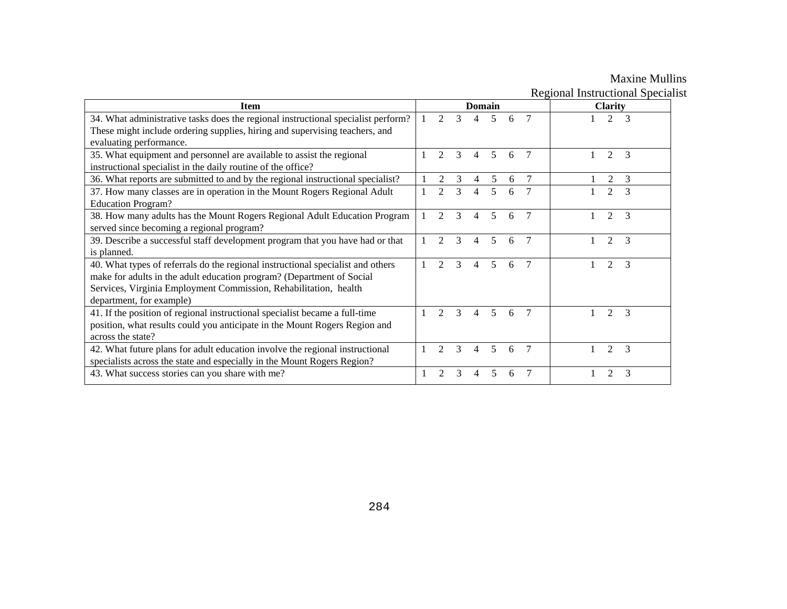Maxine Mullins Regional Instructional Specialist

| <b>Item</b>                                                                       |                             |   | <b>Domain</b> |   |   |   | <b>Clarity</b>                               |  |
|-----------------------------------------------------------------------------------|-----------------------------|---|---------------|---|---|---|----------------------------------------------|--|
| 34. What administrative tasks does the regional instructional specialist perform? | $\mathcal{D}_{\mathcal{A}}$ | 3 |               | 5 | 6 |   | 2<br>3                                       |  |
| These might include ordering supplies, hiring and supervising teachers, and       |                             |   |               |   |   |   |                                              |  |
| evaluating performance.                                                           |                             |   |               |   |   |   |                                              |  |
| 35. What equipment and personnel are available to assist the regional             | 2                           |   |               | 5 | 6 |   | $\mathfrak{D}$<br>3                          |  |
| instructional specialist in the daily routine of the office?                      |                             |   |               |   |   |   |                                              |  |
| 36. What reports are submitted to and by the regional instructional specialist?   |                             |   |               |   | 6 |   | 3                                            |  |
| 37. How many classes are in operation in the Mount Rogers Regional Adult          | $\mathfrak{D}$              | 3 | 4             | 5 | 6 |   | $\mathfrak{D}$<br>$\mathcal{R}$              |  |
| <b>Education Program?</b>                                                         |                             |   |               |   |   |   |                                              |  |
| 38. How many adults has the Mount Rogers Regional Adult Education Program         | $\mathfrak{D}$              | 3 |               | 5 | 6 | 7 | $\mathcal{D}_{\mathcal{L}}$<br>$\mathcal{R}$ |  |
| served since becoming a regional program?                                         |                             |   |               |   |   |   |                                              |  |
| 39. Describe a successful staff development program that you have had or that     |                             |   | Δ             |   | 6 |   | $\mathcal{D}_{\mathcal{L}}$<br>$\mathcal{R}$ |  |
| is planned.                                                                       |                             |   |               |   |   |   |                                              |  |
| 40. What types of referrals do the regional instructional specialist and others   | $\mathcal{D}_{\mathcal{L}}$ | 3 | 4             | 5 | 6 |   | $\mathfrak{D}$<br>3                          |  |
| make for adults in the adult education program? (Department of Social             |                             |   |               |   |   |   |                                              |  |
| Services, Virginia Employment Commission, Rehabilitation, health                  |                             |   |               |   |   |   |                                              |  |
| department, for example)                                                          |                             |   |               |   |   |   |                                              |  |
| 41. If the position of regional instructional specialist became a full-time       | $\mathcal{D}_{\mathcal{L}}$ | 3 | 4             | 5 | 6 |   | 2<br>$\mathcal{R}$                           |  |
| position, what results could you anticipate in the Mount Rogers Region and        |                             |   |               |   |   |   |                                              |  |
| across the state?                                                                 |                             |   |               |   |   |   |                                              |  |
| 42. What future plans for adult education involve the regional instructional      | $\mathcal{D}_{\mathcal{L}}$ | 3 | Δ             | 5 | 6 |   | $\mathfrak{D}$<br>3                          |  |
| specialists across the state and especially in the Mount Rogers Region?           |                             |   |               |   |   |   |                                              |  |
| 43. What success stories can you share with me?                                   |                             |   |               |   | 6 |   | $\mathfrak{D}$<br>$\mathcal{R}$              |  |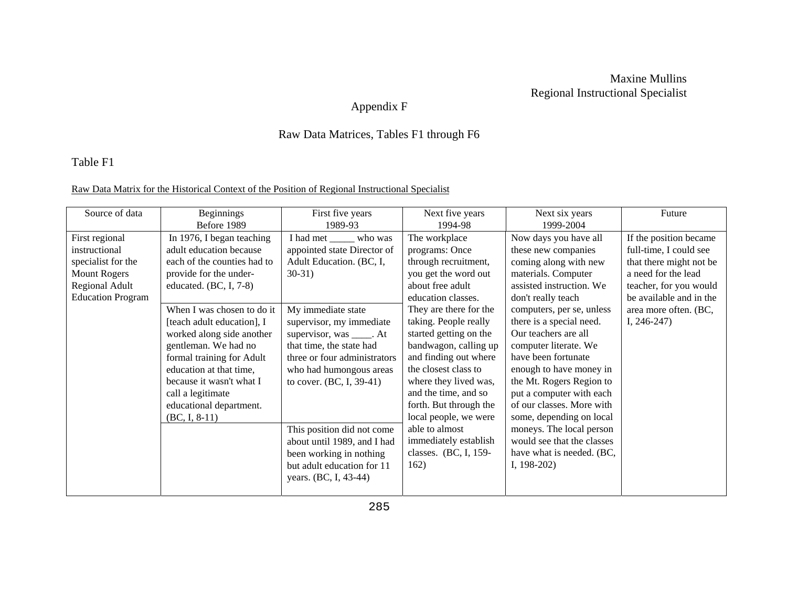### Appendix F

#### Raw Data Matrices, Tables F1 through F6

Table F1

#### Raw Data Matrix for the Historical Context of the Position of Regional Instructional Specialist

| Source of data           | Beginnings                  | First five years             | Next five years        | Next six years             | Future                  |
|--------------------------|-----------------------------|------------------------------|------------------------|----------------------------|-------------------------|
|                          | Before 1989                 | 1989-93                      | 1994-98                | 1999-2004                  |                         |
| First regional           | In 1976, I began teaching   | I had met ______ who was     | The workplace          | Now days you have all      | If the position became  |
| instructional            | adult education because     | appointed state Director of  | programs: Once         | these new companies        | full-time, I could see  |
| specialist for the       | each of the counties had to | Adult Education. (BC, I,     | through recruitment,   | coming along with new      | that there might not be |
| <b>Mount Rogers</b>      | provide for the under-      | $30-31)$                     | you get the word out   | materials. Computer        | a need for the lead     |
| Regional Adult           | educated. $(BC, I, 7-8)$    |                              | about free adult       | assisted instruction. We   | teacher, for you would  |
| <b>Education Program</b> |                             |                              | education classes.     | don't really teach         | be available and in the |
|                          | When I was chosen to do it  | My immediate state           | They are there for the | computers, per se, unless  | area more often. (BC,   |
|                          | [teach adult education], I  | supervisor, my immediate     | taking. People really  | there is a special need.   | I, $246-247$ )          |
|                          | worked along side another   | supervisor, was _____. At    | started getting on the | Our teachers are all       |                         |
|                          | gentleman. We had no        | that time, the state had     | bandwagon, calling up  | computer literate. We      |                         |
|                          | formal training for Adult   | three or four administrators | and finding out where  | have been fortunate        |                         |
|                          | education at that time,     | who had humongous areas      | the closest class to   | enough to have money in    |                         |
|                          | because it wasn't what I    | to cover. (BC, I, 39-41)     | where they lived was,  | the Mt. Rogers Region to   |                         |
|                          | call a legitimate           |                              | and the time, and so   | put a computer with each   |                         |
|                          | educational department.     |                              | forth. But through the | of our classes. More with  |                         |
|                          | $(BC, I, 8-11)$             |                              | local people, we were  | some, depending on local   |                         |
|                          |                             | This position did not come   | able to almost         | moneys. The local person   |                         |
|                          |                             | about until 1989, and I had  | immediately establish  | would see that the classes |                         |
|                          |                             | been working in nothing      | classes. (BC, I, 159-  | have what is needed. (BC,  |                         |
|                          |                             | but adult education for 11   | 162)                   | I, $198-202$ )             |                         |
|                          |                             | years. (BC, I, 43-44)        |                        |                            |                         |
|                          |                             |                              |                        |                            |                         |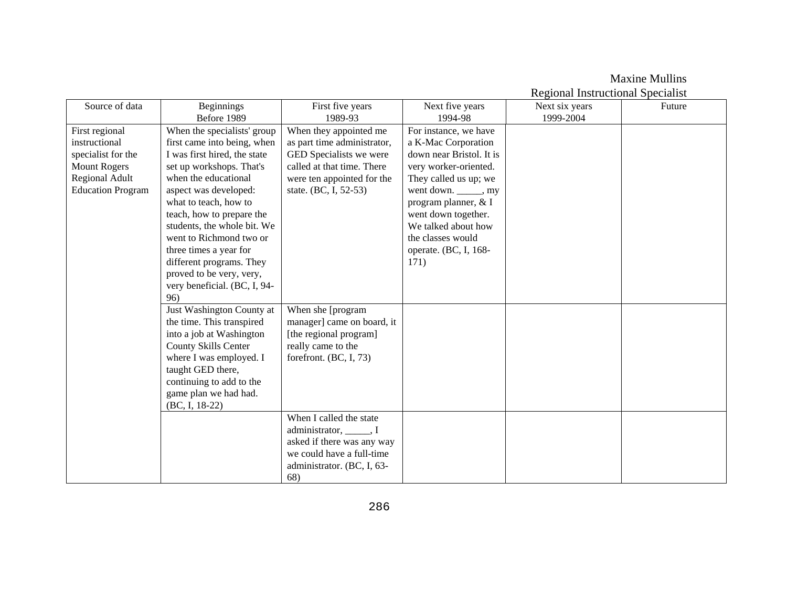#### Source of data Beginnings Before 1989 First five years 1989-93 Next five years 1994-98 Next six years 1999-2004 Future When the specialists' group first came into being, when I was first hired, the state set up workshops. That's when the educational aspect was developed: what to teach, how to teach, how to prepare the students, the whole bit. We went to Richmond two or three times a year for different programs. They proved to be very, very, very beneficial. (BC, I, 94- 96) When they appointed me as part time administrator, GED Specialists we were called at that time. There were ten appointed for the state. (BC, I, 52-53) For instance, we have a K-Mac Corporation down near Bristol. It is very worker-oriented. They called us up; we went down. \_\_\_\_\_\_, my program planner, & I went down together. We talked about how the classes would operate. (BC, I, 168- 171) Just Washington County at the time. This transpired into a job at Washington County Skills Center where I was employed. I taught GED there, continuing to add to the game plan we had had. (BC, I, 18-22) When she [program manager] came on board, it [the regional program] really came to the forefront. (BC, I, 73) First regional instructional specialist for the Mount Rogers Regional Adult Education Program When I called the state administrator, \_\_\_\_\_, I asked if there was any way we could have a full-time administrator. (BC, I, 63- 68)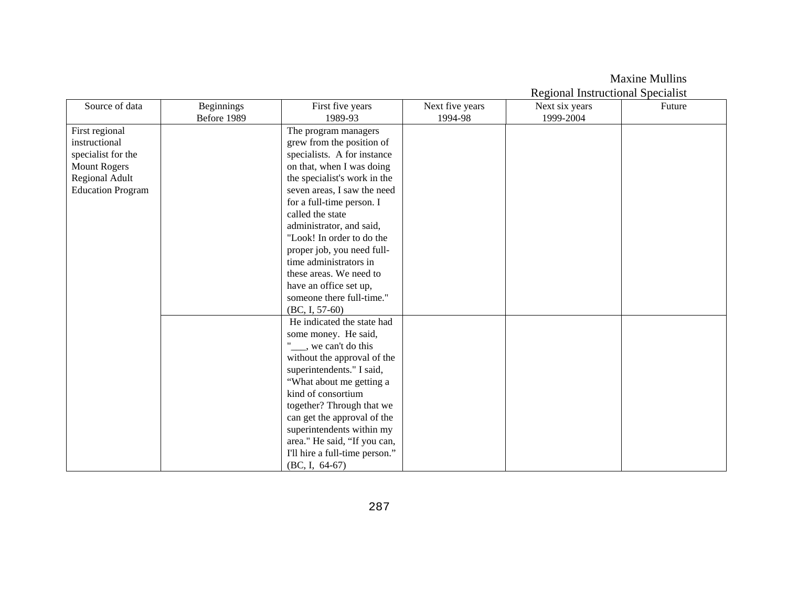|                          |                           |                                     |                            | Regional Instructional Specialist |        |
|--------------------------|---------------------------|-------------------------------------|----------------------------|-----------------------------------|--------|
| Source of data           | Beginnings<br>Before 1989 | First five years<br>1989-93         | Next five years<br>1994-98 | Next six years<br>1999-2004       | Future |
| First regional           |                           | The program managers                |                            |                                   |        |
| instructional            |                           | grew from the position of           |                            |                                   |        |
| specialist for the       |                           | specialists. A for instance         |                            |                                   |        |
| <b>Mount Rogers</b>      |                           | on that, when I was doing           |                            |                                   |        |
| Regional Adult           |                           | the specialist's work in the        |                            |                                   |        |
| <b>Education Program</b> |                           | seven areas, I saw the need         |                            |                                   |        |
|                          |                           | for a full-time person. I           |                            |                                   |        |
|                          |                           | called the state                    |                            |                                   |        |
|                          |                           | administrator, and said,            |                            |                                   |        |
|                          |                           | "Look! In order to do the           |                            |                                   |        |
|                          |                           | proper job, you need full-          |                            |                                   |        |
|                          |                           | time administrators in              |                            |                                   |        |
|                          |                           | these areas. We need to             |                            |                                   |        |
|                          |                           | have an office set up,              |                            |                                   |        |
|                          |                           | someone there full-time."           |                            |                                   |        |
|                          |                           | $(BC, I, 57-60)$                    |                            |                                   |        |
|                          |                           | He indicated the state had          |                            |                                   |        |
|                          |                           | some money. He said,                |                            |                                   |        |
|                          |                           | " <sub>___</sub> , we can't do this |                            |                                   |        |
|                          |                           | without the approval of the         |                            |                                   |        |
|                          |                           | superintendents." I said,           |                            |                                   |        |
|                          |                           | "What about me getting a            |                            |                                   |        |
|                          |                           | kind of consortium                  |                            |                                   |        |
|                          |                           | together? Through that we           |                            |                                   |        |
|                          |                           | can get the approval of the         |                            |                                   |        |
|                          |                           | superintendents within my           |                            |                                   |        |
|                          |                           | area." He said, "If you can,        |                            |                                   |        |
|                          |                           | I'll hire a full-time person."      |                            |                                   |        |
|                          |                           | $(BC, I, 64-67)$                    |                            |                                   |        |

Maxine Mullins Regional Instructional Specialist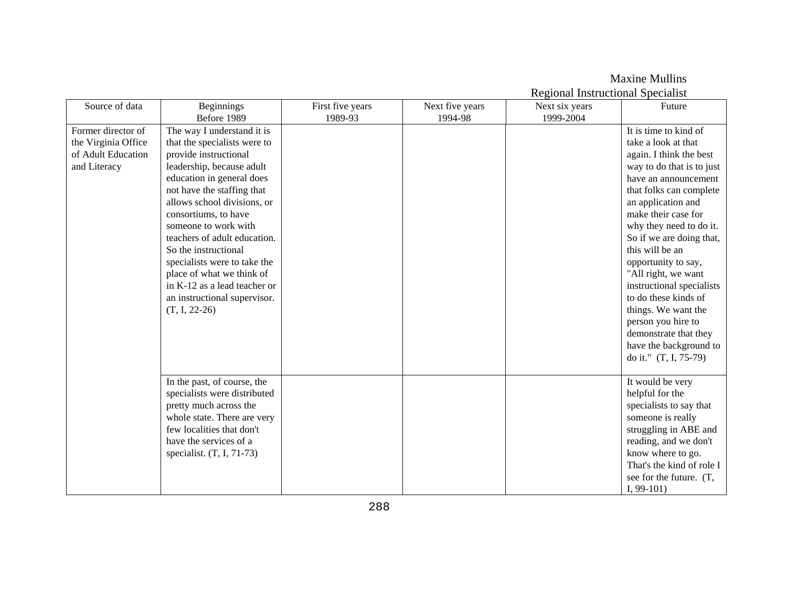|                     |                              |                  |                 | KULUMAI IIISU UUUNIAI SPUUAIISU |                           |
|---------------------|------------------------------|------------------|-----------------|---------------------------------|---------------------------|
| Source of data      | Beginnings                   | First five years | Next five years | Next six years                  | Future                    |
|                     | Before 1989                  | 1989-93          | 1994-98         | 1999-2004                       |                           |
| Former director of  | The way I understand it is   |                  |                 |                                 | It is time to kind of     |
| the Virginia Office | that the specialists were to |                  |                 |                                 | take a look at that       |
| of Adult Education  | provide instructional        |                  |                 |                                 | again. I think the best   |
| and Literacy        | leadership, because adult    |                  |                 |                                 | way to do that is to just |
|                     | education in general does    |                  |                 |                                 | have an announcement      |
|                     | not have the staffing that   |                  |                 |                                 | that folks can complete   |
|                     | allows school divisions, or  |                  |                 |                                 | an application and        |
|                     | consortiums, to have         |                  |                 |                                 | make their case for       |
|                     | someone to work with         |                  |                 |                                 | why they need to do it.   |
|                     | teachers of adult education. |                  |                 |                                 | So if we are doing that,  |
|                     | So the instructional         |                  |                 |                                 | this will be an           |
|                     | specialists were to take the |                  |                 |                                 | opportunity to say,       |
|                     | place of what we think of    |                  |                 |                                 | "All right, we want       |
|                     | in K-12 as a lead teacher or |                  |                 |                                 | instructional specialists |
|                     | an instructional supervisor. |                  |                 |                                 | to do these kinds of      |
|                     | $(T, I, 22-26)$              |                  |                 |                                 | things. We want the       |
|                     |                              |                  |                 |                                 | person you hire to        |
|                     |                              |                  |                 |                                 | demonstrate that they     |
|                     |                              |                  |                 |                                 | have the background to    |
|                     |                              |                  |                 |                                 | do it." (T, I, 75-79)     |
|                     |                              |                  |                 |                                 |                           |
|                     | In the past, of course, the  |                  |                 |                                 | It would be very          |
|                     | specialists were distributed |                  |                 |                                 | helpful for the           |
|                     | pretty much across the       |                  |                 |                                 | specialists to say that   |
|                     | whole state. There are very  |                  |                 |                                 | someone is really         |
|                     | few localities that don't    |                  |                 |                                 | struggling in ABE and     |
|                     | have the services of a       |                  |                 |                                 | reading, and we don't     |
|                     | specialist. $(T, I, 71-73)$  |                  |                 |                                 | know where to go.         |
|                     |                              |                  |                 |                                 | That's the kind of role I |
|                     |                              |                  |                 |                                 | see for the future. (T,   |
|                     |                              |                  |                 |                                 | I, $99-101$               |
|                     |                              |                  |                 |                                 |                           |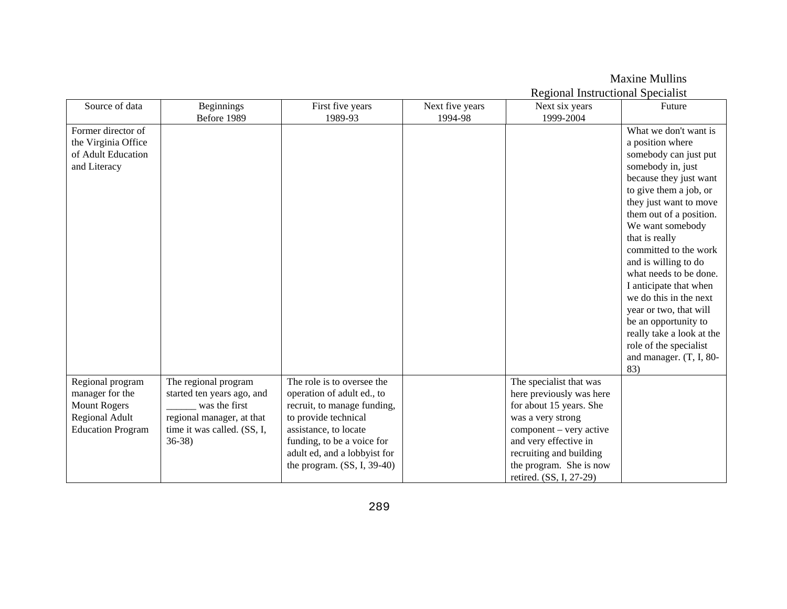|                                                                                                          |                                                                                                                                            |                                                                                                                                                                                                                                         |                            | Regional msufuctional opecialist                                                                                                                                                                                                         |                                                                                                                                                                                                                                                                                                                                                                                                                                                                                                                  |
|----------------------------------------------------------------------------------------------------------|--------------------------------------------------------------------------------------------------------------------------------------------|-----------------------------------------------------------------------------------------------------------------------------------------------------------------------------------------------------------------------------------------|----------------------------|------------------------------------------------------------------------------------------------------------------------------------------------------------------------------------------------------------------------------------------|------------------------------------------------------------------------------------------------------------------------------------------------------------------------------------------------------------------------------------------------------------------------------------------------------------------------------------------------------------------------------------------------------------------------------------------------------------------------------------------------------------------|
| Source of data                                                                                           | <b>Beginnings</b><br>Before 1989                                                                                                           | First five years<br>1989-93                                                                                                                                                                                                             | Next five years<br>1994-98 | Next six years<br>1999-2004                                                                                                                                                                                                              | Future                                                                                                                                                                                                                                                                                                                                                                                                                                                                                                           |
| Former director of<br>the Virginia Office<br>of Adult Education<br>and Literacy                          |                                                                                                                                            |                                                                                                                                                                                                                                         |                            |                                                                                                                                                                                                                                          | What we don't want is<br>a position where<br>somebody can just put<br>somebody in, just<br>because they just want<br>to give them a job, or<br>they just want to move<br>them out of a position.<br>We want somebody<br>that is really<br>committed to the work<br>and is willing to do<br>what needs to be done.<br>I anticipate that when<br>we do this in the next<br>year or two, that will<br>be an opportunity to<br>really take a look at the<br>role of the specialist<br>and manager. (T, I, 80-<br>83) |
| Regional program<br>manager for the<br><b>Mount Rogers</b><br>Regional Adult<br><b>Education Program</b> | The regional program<br>started ten years ago, and<br>was the first<br>regional manager, at that<br>time it was called. (SS, I,<br>$36-38$ | The role is to oversee the<br>operation of adult ed., to<br>recruit, to manage funding,<br>to provide technical<br>assistance, to locate<br>funding, to be a voice for<br>adult ed, and a lobbyist for<br>the program. $(SS, I, 39-40)$ |                            | The specialist that was<br>here previously was here<br>for about 15 years. She<br>was a very strong<br>component – very active<br>and very effective in<br>recruiting and building<br>the program. She is now<br>retired. (SS, I, 27-29) |                                                                                                                                                                                                                                                                                                                                                                                                                                                                                                                  |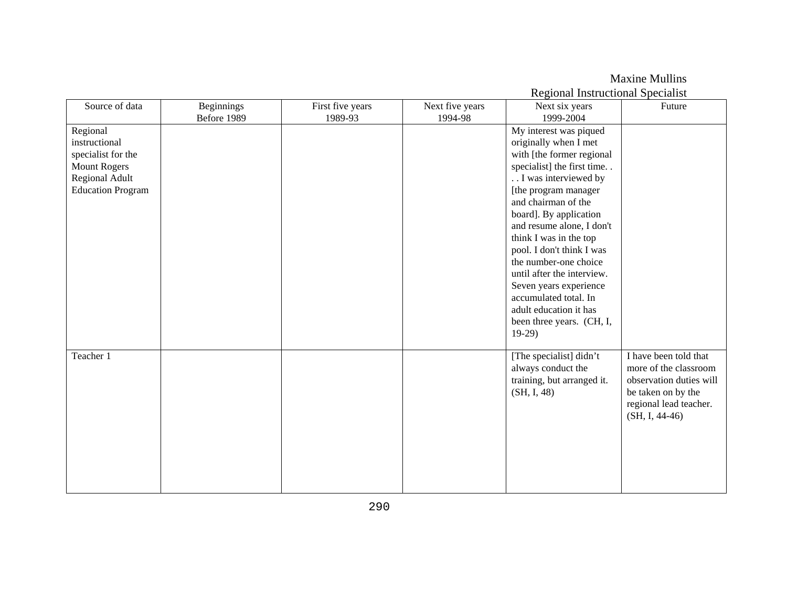Source of data Beginnings Before 1989 First five years 1989-93 Next five years 1994-98 Next six years 1999-2004 Future Regional instructional specialist for the Mount Rogers Regional Adult Education Program My interest was piqued originally when I met with [the former regional specialist] the first time. . . . I was interviewed by [the program manager and chairman of the board]. By application and resume alone, I don't think I was in the top pool. I don't think I was the number-one choice until after the interview. Seven years experience accumulated total. In adult education it has been three years. (CH, I, 19-29) Teacher 1 [The specialist] didn't always conduct the training, but arranged it. (SH, I, 48) I have been told that more of the classroom observation duties will be taken on by the regional lead teacher. (SH, I, 44-46)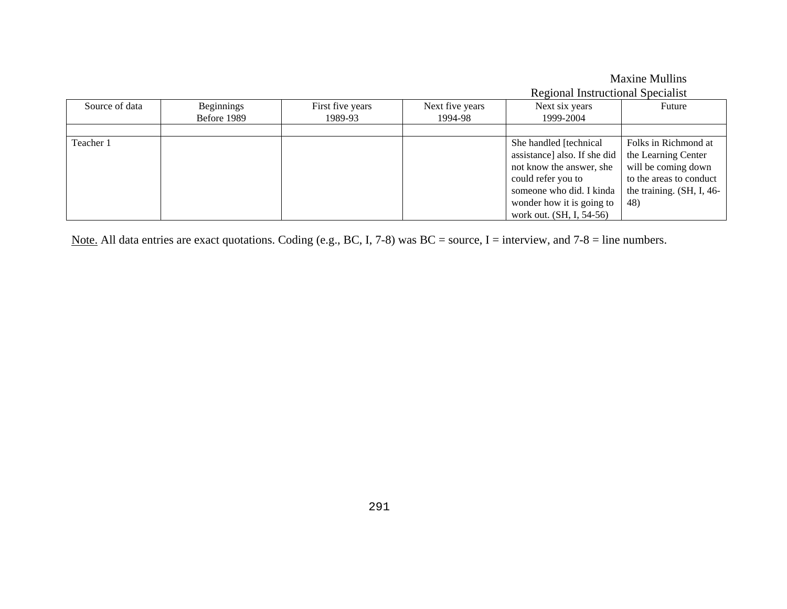|                |             |                  |                 | Regional Instructional Specialist |                           |  |  |
|----------------|-------------|------------------|-----------------|-----------------------------------|---------------------------|--|--|
| Source of data | Beginnings  | First five years | Next five years | Next six years                    | Future                    |  |  |
|                | Before 1989 | 1989-93          | 1994-98         | 1999-2004                         |                           |  |  |
|                |             |                  |                 |                                   |                           |  |  |
| Teacher 1      |             |                  |                 | She handled [technical]           | Folks in Richmond at      |  |  |
|                |             |                  |                 | assistance] also. If she did      | the Learning Center       |  |  |
|                |             |                  |                 | not know the answer, she          | will be coming down       |  |  |
|                |             |                  |                 | could refer you to                | to the areas to conduct   |  |  |
|                |             |                  |                 | someone who did. I kinda          | the training. (SH, I, 46- |  |  |
|                |             |                  |                 | wonder how it is going to         | 48)                       |  |  |
|                |             |                  |                 | work out. (SH, I, 54-56)          |                           |  |  |

### Maxine Mullins

Note. All data entries are exact quotations. Coding (e.g., BC, I, 7-8) was BC = source, I = interview, and 7-8 = line numbers.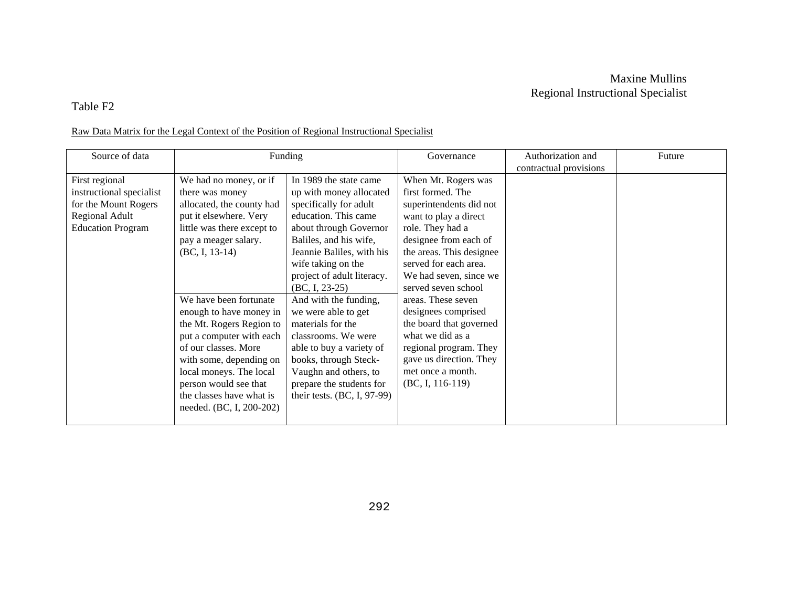#### Table F2

#### Raw Data Matrix for the Legal Context of the Position of Regional Instructional Specialist

| Source of data                                                                                                   |                                                                                                                                                                                                                                                                                                                                                                                                                                                        | Funding                                                                                                                                                                                                                                                                                                                                                                                                                                                                                             | Governance                                                                                                                                                                                                                                                                                                                                                                                                                                  | Authorization and<br>contractual provisions | Future |
|------------------------------------------------------------------------------------------------------------------|--------------------------------------------------------------------------------------------------------------------------------------------------------------------------------------------------------------------------------------------------------------------------------------------------------------------------------------------------------------------------------------------------------------------------------------------------------|-----------------------------------------------------------------------------------------------------------------------------------------------------------------------------------------------------------------------------------------------------------------------------------------------------------------------------------------------------------------------------------------------------------------------------------------------------------------------------------------------------|---------------------------------------------------------------------------------------------------------------------------------------------------------------------------------------------------------------------------------------------------------------------------------------------------------------------------------------------------------------------------------------------------------------------------------------------|---------------------------------------------|--------|
| First regional<br>instructional specialist<br>for the Mount Rogers<br>Regional Adult<br><b>Education Program</b> | We had no money, or if<br>there was money<br>allocated, the county had<br>put it elsewhere. Very<br>little was there except to<br>pay a meager salary.<br>$(BC, I, 13-14)$<br>We have been fortunate<br>enough to have money in<br>the Mt. Rogers Region to<br>put a computer with each<br>of our classes. More<br>with some, depending on<br>local moneys. The local<br>person would see that<br>the classes have what is<br>needed. (BC, I, 200-202) | In 1989 the state came<br>up with money allocated<br>specifically for adult<br>education. This came<br>about through Governor<br>Baliles, and his wife,<br>Jeannie Baliles, with his<br>wife taking on the<br>project of adult literacy.<br>$(BC, I, 23-25)$<br>And with the funding,<br>we were able to get<br>materials for the<br>classrooms. We were<br>able to buy a variety of<br>books, through Steck-<br>Vaughn and others, to<br>prepare the students for<br>their tests. $(BC, I, 97-99)$ | When Mt. Rogers was<br>first formed. The<br>superintendents did not<br>want to play a direct<br>role. They had a<br>designee from each of<br>the areas. This designee<br>served for each area.<br>We had seven, since we<br>served seven school<br>areas. These seven<br>designees comprised<br>the board that governed<br>what we did as a<br>regional program. They<br>gave us direction. They<br>met once a month.<br>$(BC, I, 116-119)$ |                                             |        |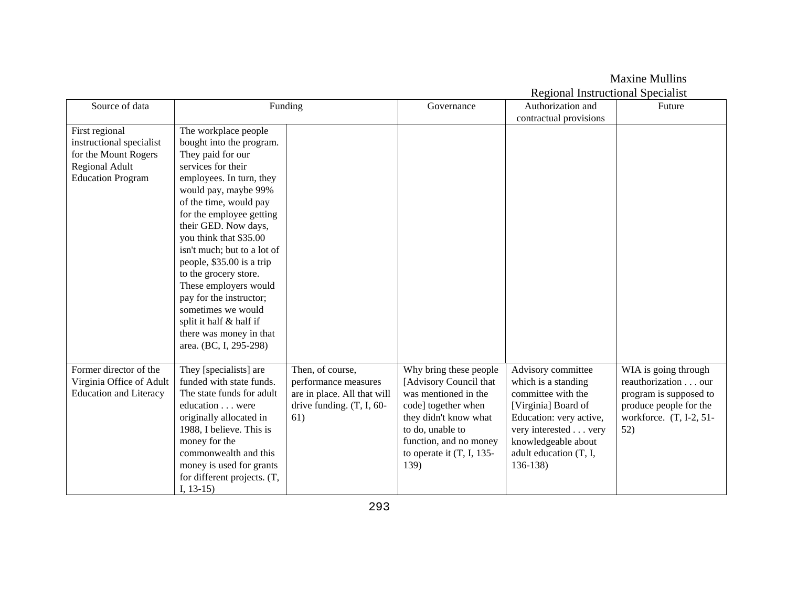|                                                                                                                  |                                                                                                                                                                                                                                                                                                                                                                                                                                                                                                        |                                                                                                                |                                                                                                                                                                                                                | Regional mistraetional opeelanst                                                                                                                                                                        |                                                                                                                                   |
|------------------------------------------------------------------------------------------------------------------|--------------------------------------------------------------------------------------------------------------------------------------------------------------------------------------------------------------------------------------------------------------------------------------------------------------------------------------------------------------------------------------------------------------------------------------------------------------------------------------------------------|----------------------------------------------------------------------------------------------------------------|----------------------------------------------------------------------------------------------------------------------------------------------------------------------------------------------------------------|---------------------------------------------------------------------------------------------------------------------------------------------------------------------------------------------------------|-----------------------------------------------------------------------------------------------------------------------------------|
| Source of data                                                                                                   | Funding                                                                                                                                                                                                                                                                                                                                                                                                                                                                                                |                                                                                                                | Governance                                                                                                                                                                                                     | Authorization and                                                                                                                                                                                       | Future                                                                                                                            |
|                                                                                                                  |                                                                                                                                                                                                                                                                                                                                                                                                                                                                                                        |                                                                                                                |                                                                                                                                                                                                                | contractual provisions                                                                                                                                                                                  |                                                                                                                                   |
| First regional<br>instructional specialist<br>for the Mount Rogers<br>Regional Adult<br><b>Education Program</b> | The workplace people<br>bought into the program.<br>They paid for our<br>services for their<br>employees. In turn, they<br>would pay, maybe 99%<br>of the time, would pay<br>for the employee getting<br>their GED. Now days,<br>you think that \$35.00<br>isn't much; but to a lot of<br>people, \$35.00 is a trip<br>to the grocery store.<br>These employers would<br>pay for the instructor;<br>sometimes we would<br>split it half & half if<br>there was money in that<br>area. (BC, I, 295-298) |                                                                                                                |                                                                                                                                                                                                                |                                                                                                                                                                                                         |                                                                                                                                   |
|                                                                                                                  |                                                                                                                                                                                                                                                                                                                                                                                                                                                                                                        |                                                                                                                |                                                                                                                                                                                                                |                                                                                                                                                                                                         |                                                                                                                                   |
| Former director of the<br>Virginia Office of Adult<br><b>Education and Literacy</b>                              | They [specialists] are<br>funded with state funds.<br>The state funds for adult<br>education were<br>originally allocated in<br>1988, I believe. This is<br>money for the<br>commonwealth and this<br>money is used for grants<br>for different projects. (T,<br>$I, 13-15$                                                                                                                                                                                                                            | Then, of course,<br>performance measures<br>are in place. All that will<br>drive funding. $(T, I, 60$ -<br>61) | Why bring these people<br>[Advisory Council that<br>was mentioned in the<br>code] together when<br>they didn't know what<br>to do, unable to<br>function, and no money<br>to operate it $(T, I, 135$ -<br>139) | Advisory committee<br>which is a standing<br>committee with the<br>[Virginia] Board of<br>Education: very active,<br>very interested very<br>knowledgeable about<br>adult education (T, I,<br>$136-138$ | WIA is going through<br>reauthorization our<br>program is supposed to<br>produce people for the<br>workforce. (T, I-2, 51-<br>52) |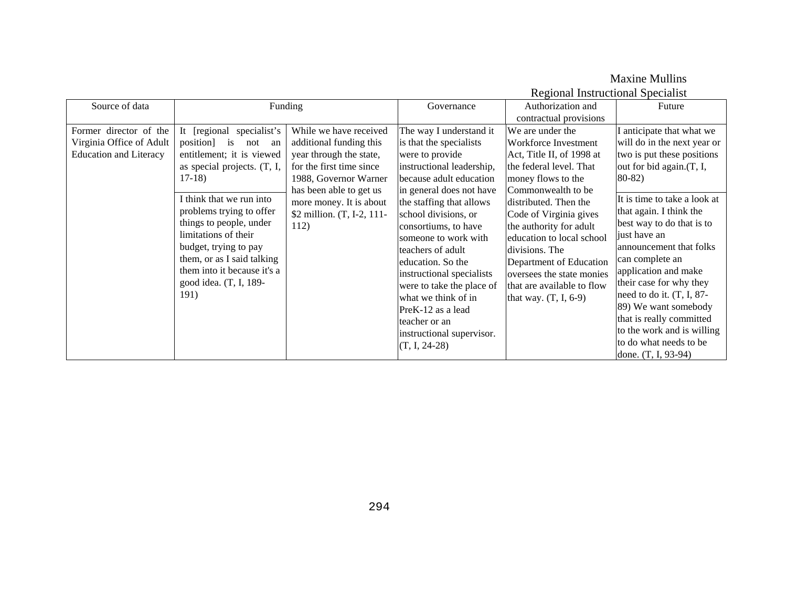|                               |                             |                              |                           | Regional Instructional Specialist |                              |
|-------------------------------|-----------------------------|------------------------------|---------------------------|-----------------------------------|------------------------------|
| Source of data                |                             | Funding                      | Governance                | Authorization and                 | Future                       |
|                               |                             |                              |                           | contractual provisions            |                              |
| Former director of the        | It [regional specialist's   | While we have received       | The way I understand it   | We are under the                  | anticipate that what we      |
| Virginia Office of Adult      | position]<br>is<br>not an   | additional funding this      | is that the specialists   | Workforce Investment              | will do in the next year or  |
| <b>Education and Literacy</b> | entitlement; it is viewed   | year through the state,      | were to provide           | Act, Title II, of 1998 at         | two is put these positions   |
|                               | as special projects. (T, I, | for the first time since     | instructional leadership, | the federal level. That           | out for bid again. (T, I,    |
|                               | $17-18$                     | 1988, Governor Warner        | because adult education   | money flows to the                | $80-82$                      |
|                               |                             | has been able to get us      | in general does not have  | Commonwealth to be                |                              |
|                               | I think that we run into    | more money. It is about      | the staffing that allows  | distributed. Then the             | It is time to take a look at |
|                               | problems trying to offer    | \$2 million. $(T, I-2, 111-$ | school divisions, or      | Code of Virginia gives            | that again. I think the      |
|                               | things to people, under     | 112)                         | consortiums, to have      | the authority for adult           | best way to do that is to    |
|                               | limitations of their        |                              | someone to work with      | education to local school         | just have an                 |
|                               | budget, trying to pay       |                              | teachers of adult         | divisions. The                    | announcement that folks      |
|                               | them, or as I said talking  |                              | education. So the         | Department of Education           | can complete an              |
|                               | them into it because it's a |                              | instructional specialists | oversees the state monies         | application and make         |
|                               | good idea. (T, I, 189-      |                              | were to take the place of | that are available to flow        | their case for why they      |
|                               | 191)                        |                              | what we think of in       | that way. $(T, I, 6-9)$           | need to do it. $(T, I, 87-$  |
|                               |                             |                              | PreK-12 as a lead         |                                   | 89) We want somebody         |
|                               |                             |                              | teacher or an             |                                   | that is really committed     |
|                               |                             |                              | instructional supervisor. |                                   | to the work and is willing   |
|                               |                             |                              | $(T, I, 24-28)$           |                                   | to do what needs to be       |
|                               |                             |                              |                           |                                   | done. (T, I, 93-94)          |

# Maxine Mullins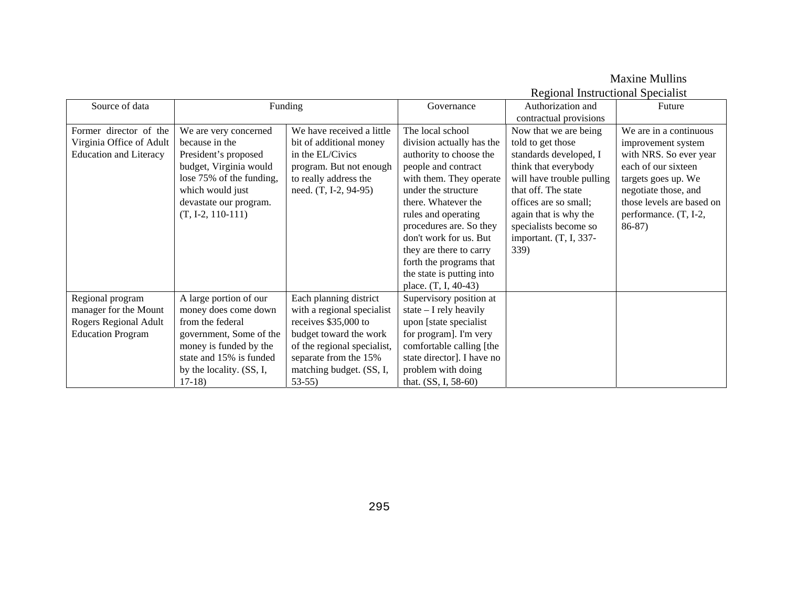| <b>Regional Instructional Specialist</b> |                          |                             |                            |                           |                           |
|------------------------------------------|--------------------------|-----------------------------|----------------------------|---------------------------|---------------------------|
| Source of data                           |                          | Funding                     | Governance                 | Authorization and         | Future                    |
|                                          |                          |                             |                            | contractual provisions    |                           |
| Former director of the                   | We are very concerned    | We have received a little   | The local school           | Now that we are being     | We are in a continuous    |
| Virginia Office of Adult                 | because in the           | bit of additional money     | division actually has the  | told to get those         | improvement system        |
| <b>Education and Literacy</b>            | President's proposed     | in the EL/Civics            | authority to choose the    | standards developed, I    | with NRS. So ever year    |
|                                          | budget, Virginia would   | program. But not enough     | people and contract        | think that everybody      | each of our sixteen       |
|                                          | lose 75% of the funding, | to really address the       | with them. They operate    | will have trouble pulling | targets goes up. We       |
|                                          | which would just         | need. (T, I-2, 94-95)       | under the structure        | that off. The state       | negotiate those, and      |
|                                          | devastate our program.   |                             | there. Whatever the        | offices are so small;     | those levels are based on |
|                                          | $(T, I-2, 110-111)$      |                             | rules and operating        | again that is why the     | performance. (T, I-2,     |
|                                          |                          |                             | procedures are. So they    | specialists become so     | $86-87$                   |
|                                          |                          |                             | don't work for us. But     | important. $(T, I, 337-$  |                           |
|                                          |                          |                             | they are there to carry    | 339)                      |                           |
|                                          |                          |                             | forth the programs that    |                           |                           |
|                                          |                          |                             | the state is putting into  |                           |                           |
|                                          |                          |                             | place. (T, I, 40-43)       |                           |                           |
| Regional program                         | A large portion of our   | Each planning district      | Supervisory position at    |                           |                           |
| manager for the Mount                    | money does come down     | with a regional specialist  | state $-$ I rely heavily   |                           |                           |
| Rogers Regional Adult                    | from the federal         | receives \$35,000 to        | upon [state specialist]    |                           |                           |
| <b>Education Program</b>                 | government, Some of the  | budget toward the work      | for program]. I'm very     |                           |                           |
|                                          | money is funded by the   | of the regional specialist, | comfortable calling [the   |                           |                           |
|                                          | state and 15% is funded  | separate from the 15%       | state director]. I have no |                           |                           |
|                                          | by the locality. (SS, I, | matching budget. (SS, I,    | problem with doing         |                           |                           |
|                                          | $17-18$                  | $53-55$                     | that. $(SS, I, 58-60)$     |                           |                           |

## Maxine Mullins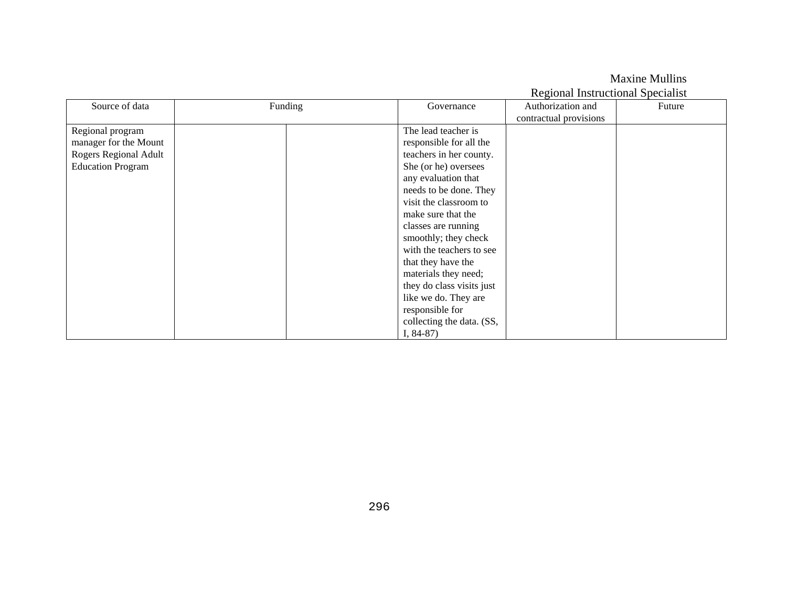|                          |         |                           | regional montecnoma opeenanol |        |
|--------------------------|---------|---------------------------|-------------------------------|--------|
| Source of data           | Funding | Governance                | Authorization and             | Future |
|                          |         |                           | contractual provisions        |        |
| Regional program         |         | The lead teacher is       |                               |        |
| manager for the Mount    |         | responsible for all the   |                               |        |
| Rogers Regional Adult    |         | teachers in her county.   |                               |        |
| <b>Education Program</b> |         | She (or he) oversees      |                               |        |
|                          |         | any evaluation that       |                               |        |
|                          |         | needs to be done. They    |                               |        |
|                          |         | visit the classroom to    |                               |        |
|                          |         | make sure that the        |                               |        |
|                          |         | classes are running       |                               |        |
|                          |         | smoothly; they check      |                               |        |
|                          |         | with the teachers to see  |                               |        |
|                          |         | that they have the        |                               |        |
|                          |         | materials they need;      |                               |        |
|                          |         | they do class visits just |                               |        |
|                          |         | like we do. They are      |                               |        |
|                          |         | responsible for           |                               |        |
|                          |         | collecting the data. (SS, |                               |        |
|                          |         | $I, 84-87$                |                               |        |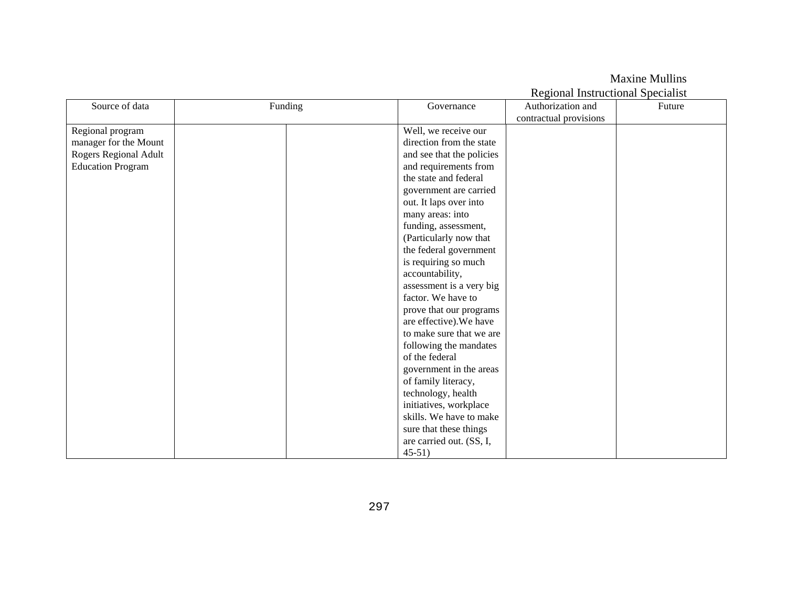| Source of data           | Funding | Governance                | Authorization and      | Future |
|--------------------------|---------|---------------------------|------------------------|--------|
|                          |         |                           | contractual provisions |        |
| Regional program         |         | Well, we receive our      |                        |        |
| manager for the Mount    |         | direction from the state  |                        |        |
| Rogers Regional Adult    |         | and see that the policies |                        |        |
| <b>Education Program</b> |         | and requirements from     |                        |        |
|                          |         | the state and federal     |                        |        |
|                          |         | government are carried    |                        |        |
|                          |         | out. It laps over into    |                        |        |
|                          |         | many areas: into          |                        |        |
|                          |         | funding, assessment,      |                        |        |
|                          |         | (Particularly now that    |                        |        |
|                          |         | the federal government    |                        |        |
|                          |         | is requiring so much      |                        |        |
|                          |         | accountability,           |                        |        |
|                          |         | assessment is a very big  |                        |        |
|                          |         | factor. We have to        |                        |        |
|                          |         | prove that our programs   |                        |        |
|                          |         | are effective). We have   |                        |        |
|                          |         | to make sure that we are  |                        |        |
|                          |         | following the mandates    |                        |        |
|                          |         | of the federal            |                        |        |
|                          |         | government in the areas   |                        |        |
|                          |         | of family literacy,       |                        |        |
|                          |         | technology, health        |                        |        |
|                          |         | initiatives, workplace    |                        |        |
|                          |         | skills. We have to make   |                        |        |
|                          |         | sure that these things    |                        |        |
|                          |         | are carried out. (SS, I,  |                        |        |
|                          |         | $45-51$                   |                        |        |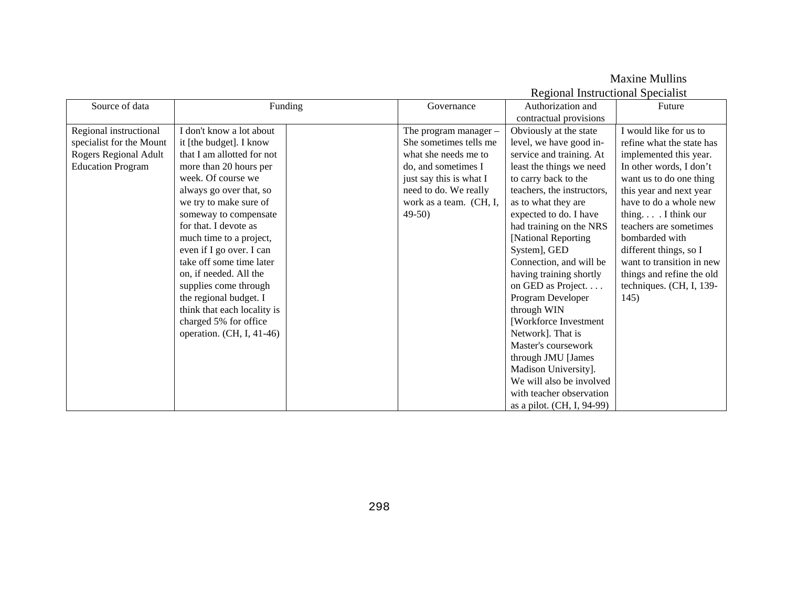|                          |                             |                         | Regional Instructional Specialist |                                  |
|--------------------------|-----------------------------|-------------------------|-----------------------------------|----------------------------------|
| Source of data           | Funding                     | Governance              | Authorization and                 | Future                           |
|                          |                             |                         | contractual provisions            |                                  |
| Regional instructional   | I don't know a lot about    | The program manager $-$ | Obviously at the state            | I would like for us to           |
| specialist for the Mount | it [the budget]. I know     | She sometimes tells me  | level, we have good in-           | refine what the state has        |
| Rogers Regional Adult    | that I am allotted for not  | what she needs me to    | service and training. At          | implemented this year.           |
| <b>Education Program</b> | more than 20 hours per      | do, and sometimes I     | least the things we need          | In other words, I don't          |
|                          | week. Of course we          | just say this is what I | to carry back to the              | want us to do one thing          |
|                          | always go over that, so     | need to do. We really   | teachers, the instructors,        | this year and next year          |
|                          | we try to make sure of      | work as a team. (CH, I, | as to what they are               | have to do a whole new           |
|                          | someway to compensate       | $49-50$                 | expected to do. I have            | thing $\blacksquare$ I think our |
|                          | for that. I devote as       |                         | had training on the NRS           | teachers are sometimes           |
|                          | much time to a project,     |                         | [National Reporting               | bombarded with                   |
|                          | even if I go over. I can    |                         | System], GED                      | different things, so I           |
|                          | take off some time later    |                         | Connection, and will be           | want to transition in new        |
|                          | on, if needed. All the      |                         | having training shortly           | things and refine the old        |
|                          | supplies come through       |                         | on GED as Project                 | techniques. (CH, I, 139-         |
|                          | the regional budget. I      |                         | Program Developer                 | 145)                             |
|                          | think that each locality is |                         | through WIN                       |                                  |
|                          | charged 5% for office       |                         | [Workforce Investment             |                                  |
|                          | operation. $(CH, I, 41-46)$ |                         | Network]. That is                 |                                  |
|                          |                             |                         | Master's coursework               |                                  |
|                          |                             |                         | through JMU [James                |                                  |
|                          |                             |                         | Madison University].              |                                  |
|                          |                             |                         | We will also be involved          |                                  |
|                          |                             |                         | with teacher observation          |                                  |
|                          |                             |                         | as a pilot. (CH, I, 94-99)        |                                  |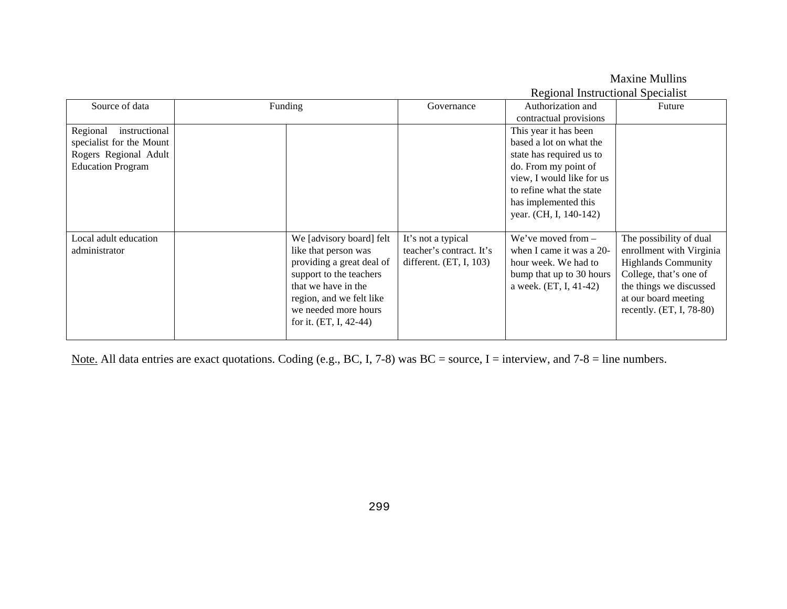|                           |         |                           |                           |                                          | <b>Maxine Mullins</b>      |
|---------------------------|---------|---------------------------|---------------------------|------------------------------------------|----------------------------|
|                           |         |                           |                           | <b>Regional Instructional Specialist</b> |                            |
| Source of data            | Funding |                           | Governance                | Authorization and                        | Future                     |
|                           |         |                           |                           | contractual provisions                   |                            |
| Regional<br>instructional |         |                           |                           | This year it has been                    |                            |
| specialist for the Mount  |         |                           |                           | based a lot on what the                  |                            |
| Rogers Regional Adult     |         |                           |                           | state has required us to                 |                            |
| <b>Education Program</b>  |         |                           |                           | do. From my point of                     |                            |
|                           |         |                           |                           | view, I would like for us                |                            |
|                           |         |                           |                           | to refine what the state                 |                            |
|                           |         |                           |                           | has implemented this                     |                            |
|                           |         |                           |                           | year. (CH, I, 140-142)                   |                            |
|                           |         |                           |                           |                                          |                            |
| Local adult education     |         | We [advisory board] felt  | It's not a typical        | We've moved from $-$                     | The possibility of dual    |
| administrator             |         | like that person was      | teacher's contract. It's  | when I came it was a 20-                 | enrollment with Virginia   |
|                           |         | providing a great deal of | different. $(ET, I, 103)$ | hour week. We had to                     | <b>Highlands Community</b> |
|                           |         | support to the teachers   |                           | bump that up to 30 hours                 | College, that's one of     |
|                           |         | that we have in the       |                           | a week. (ET, I, 41-42)                   | the things we discussed    |
|                           |         | region, and we felt like  |                           |                                          | at our board meeting       |
|                           |         | we needed more hours      |                           |                                          | recently. $(ET, I, 78-80)$ |
|                           |         | for it. (ET, I, 42-44)    |                           |                                          |                            |
|                           |         |                           |                           |                                          |                            |

Note. All data entries are exact quotations. Coding (e.g., BC, I, 7-8) was BC = source, I = interview, and 7-8 = line numbers.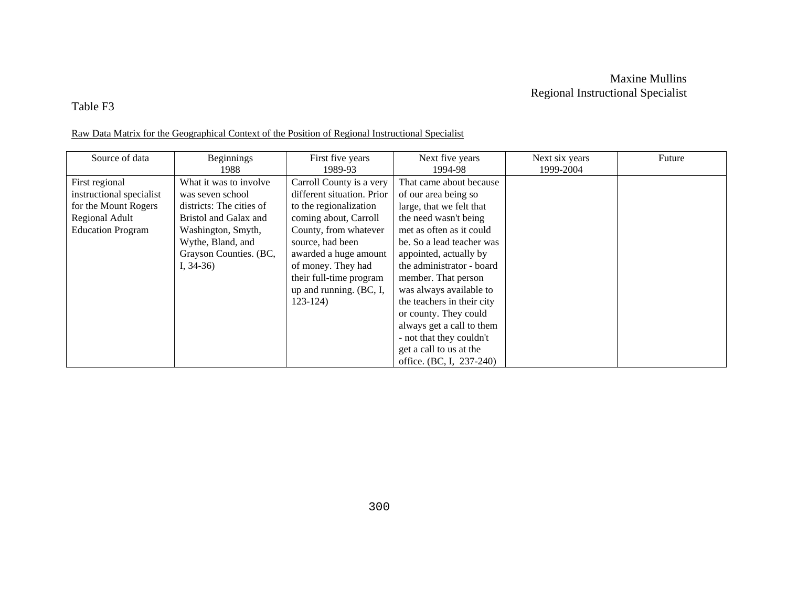#### Table F3

#### Raw Data Matrix for the Geographical Context of the Position of Regional Instructional Specialist

| Source of data           | Beginnings<br>1988       | First five years<br>1989-93 | Next five years<br>1994-98 | Next six years<br>1999-2004 | Future |
|--------------------------|--------------------------|-----------------------------|----------------------------|-----------------------------|--------|
|                          |                          |                             |                            |                             |        |
| First regional           | What it was to involve   | Carroll County is a very    | That came about because    |                             |        |
| instructional specialist | was seven school         | different situation. Prior  | of our area being so       |                             |        |
| for the Mount Rogers     | districts: The cities of | to the regionalization      | large, that we felt that   |                             |        |
| Regional Adult           | Bristol and Galax and    | coming about, Carroll       | the need wasn't being      |                             |        |
| <b>Education Program</b> | Washington, Smyth,       | County, from whatever       | met as often as it could   |                             |        |
|                          | Wythe, Bland, and        | source, had been            | be. So a lead teacher was  |                             |        |
|                          | Grayson Counties. (BC,   | awarded a huge amount       | appointed, actually by     |                             |        |
|                          | I, $34-36$ )             | of money. They had          | the administrator - board  |                             |        |
|                          |                          | their full-time program     | member. That person        |                             |        |
|                          |                          | up and running. (BC, I,     | was always available to    |                             |        |
|                          |                          | $123 - 124$                 | the teachers in their city |                             |        |
|                          |                          |                             | or county. They could      |                             |        |
|                          |                          |                             | always get a call to them  |                             |        |
|                          |                          |                             | - not that they couldn't   |                             |        |
|                          |                          |                             | get a call to us at the    |                             |        |
|                          |                          |                             | office. (BC, I, 237-240)   |                             |        |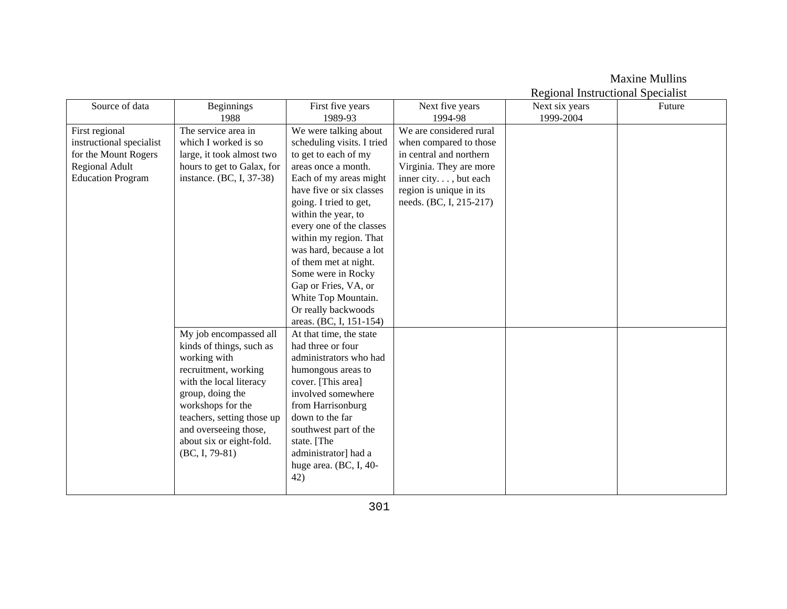|                          |                            |                            |                         | regional montecnonal opeeland |        |
|--------------------------|----------------------------|----------------------------|-------------------------|-------------------------------|--------|
| Source of data           | <b>Beginnings</b>          | First five years           | Next five years         | Next six years                | Future |
|                          | 1988                       | 1989-93                    | 1994-98                 | 1999-2004                     |        |
| First regional           | The service area in        | We were talking about      | We are considered rural |                               |        |
| instructional specialist | which I worked is so       | scheduling visits. I tried | when compared to those  |                               |        |
| for the Mount Rogers     | large, it took almost two  | to get to each of my       | in central and northern |                               |        |
| <b>Regional Adult</b>    | hours to get to Galax, for | areas once a month.        | Virginia. They are more |                               |        |
| <b>Education Program</b> | instance. (BC, I, 37-38)   | Each of my areas might     | inner city. , but each  |                               |        |
|                          |                            | have five or six classes   | region is unique in its |                               |        |
|                          |                            | going. I tried to get,     | needs. (BC, I, 215-217) |                               |        |
|                          |                            | within the year, to        |                         |                               |        |
|                          |                            | every one of the classes   |                         |                               |        |
|                          |                            | within my region. That     |                         |                               |        |
|                          |                            | was hard, because a lot    |                         |                               |        |
|                          |                            | of them met at night.      |                         |                               |        |
|                          |                            | Some were in Rocky         |                         |                               |        |
|                          |                            | Gap or Fries, VA, or       |                         |                               |        |
|                          |                            | White Top Mountain.        |                         |                               |        |
|                          |                            | Or really backwoods        |                         |                               |        |
|                          |                            | areas. (BC, I, 151-154)    |                         |                               |        |
|                          | My job encompassed all     | At that time, the state    |                         |                               |        |
|                          | kinds of things, such as   | had three or four          |                         |                               |        |
|                          | working with               | administrators who had     |                         |                               |        |
|                          | recruitment, working       | humongous areas to         |                         |                               |        |
|                          | with the local literacy    | cover. [This area]         |                         |                               |        |
|                          | group, doing the           | involved somewhere         |                         |                               |        |
|                          | workshops for the          | from Harrisonburg          |                         |                               |        |
|                          | teachers, setting those up | down to the far            |                         |                               |        |
|                          | and overseeing those,      | southwest part of the      |                         |                               |        |
|                          | about six or eight-fold.   | state. [The                |                         |                               |        |
|                          | $(BC, I, 79-81)$           | administrator] had a       |                         |                               |        |
|                          |                            | huge area. $(BC, I, 40-)$  |                         |                               |        |
|                          |                            | 42)                        |                         |                               |        |
|                          |                            |                            |                         |                               |        |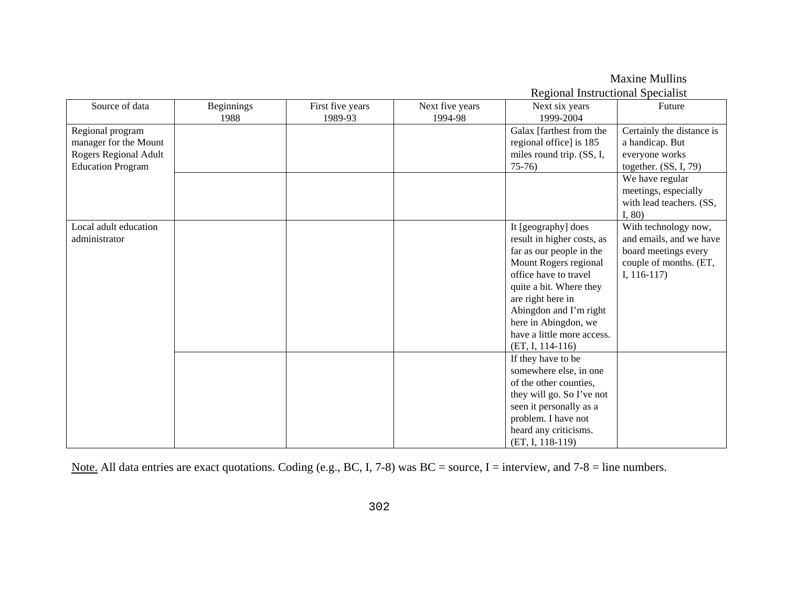|                          |                   |                  |                 | Regional Instructional Specialist |                           |
|--------------------------|-------------------|------------------|-----------------|-----------------------------------|---------------------------|
| Source of data           | <b>Beginnings</b> | First five years | Next five years | Next six years                    | Future                    |
|                          | 1988              | 1989-93          | 1994-98         | 1999-2004                         |                           |
| Regional program         |                   |                  |                 | Galax [farthest from the          | Certainly the distance is |
| manager for the Mount    |                   |                  |                 | regional office] is 185           | a handicap. But           |
| Rogers Regional Adult    |                   |                  |                 | miles round trip. (SS, I,         | everyone works            |
| <b>Education Program</b> |                   |                  |                 | $75-76$                           | together. $(SS, I, 79)$   |
|                          |                   |                  |                 |                                   | We have regular           |
|                          |                   |                  |                 |                                   | meetings, especially      |
|                          |                   |                  |                 |                                   | with lead teachers. (SS,  |
|                          |                   |                  |                 |                                   | I, 80                     |
| Local adult education    |                   |                  |                 | It [geography] does               | With technology now,      |
| administrator            |                   |                  |                 | result in higher costs, as        | and emails, and we have   |
|                          |                   |                  |                 | far as our people in the          | board meetings every      |
|                          |                   |                  |                 | Mount Rogers regional             | couple of months. (ET,    |
|                          |                   |                  |                 | office have to travel             | I, $116-117$ )            |
|                          |                   |                  |                 | quite a bit. Where they           |                           |
|                          |                   |                  |                 | are right here in                 |                           |
|                          |                   |                  |                 | Abingdon and I'm right            |                           |
|                          |                   |                  |                 | here in Abingdon, we              |                           |
|                          |                   |                  |                 | have a little more access.        |                           |
|                          |                   |                  |                 | $(ET, I, 114-116)$                |                           |
|                          |                   |                  |                 | If they have to be                |                           |
|                          |                   |                  |                 | somewhere else, in one            |                           |
|                          |                   |                  |                 | of the other counties,            |                           |
|                          |                   |                  |                 | they will go. So I've not         |                           |
|                          |                   |                  |                 | seen it personally as a           |                           |
|                          |                   |                  |                 | problem. I have not               |                           |
|                          |                   |                  |                 | heard any criticisms.             |                           |
|                          |                   |                  |                 | $(ET, I, 118-119)$                |                           |

Maxine Mullins

Note. All data entries are exact quotations. Coding (e.g., BC, I, 7-8) was BC = source, I = interview, and 7-8 = line numbers.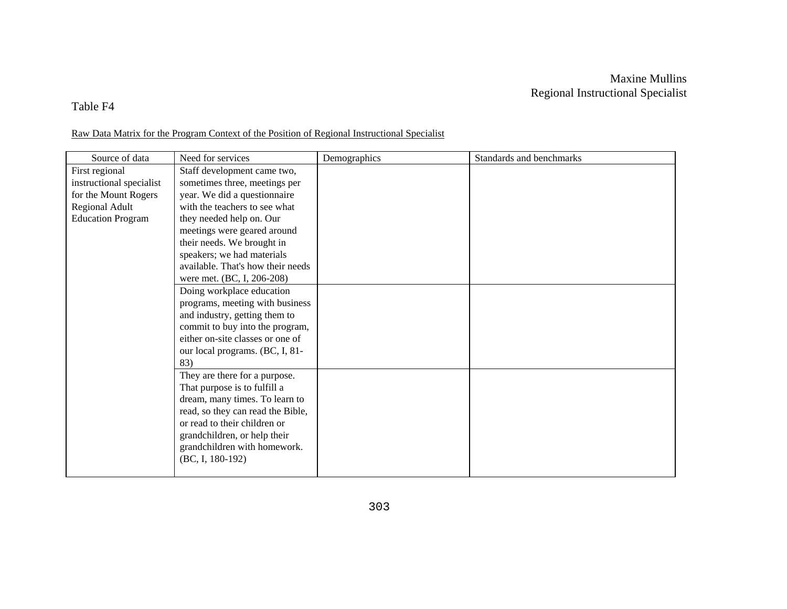#### Table F4

Raw Data Matrix for the Program Context of the Position of Regional Instructional Specialist

| Source of data           | Need for services                 | Demographics | Standards and benchmarks |
|--------------------------|-----------------------------------|--------------|--------------------------|
| First regional           | Staff development came two,       |              |                          |
| instructional specialist | sometimes three, meetings per     |              |                          |
| for the Mount Rogers     | year. We did a questionnaire      |              |                          |
| Regional Adult           | with the teachers to see what     |              |                          |
| <b>Education Program</b> | they needed help on. Our          |              |                          |
|                          | meetings were geared around       |              |                          |
|                          | their needs. We brought in        |              |                          |
|                          | speakers; we had materials        |              |                          |
|                          | available. That's how their needs |              |                          |
|                          | were met. (BC, I, 206-208)        |              |                          |
|                          | Doing workplace education         |              |                          |
|                          | programs, meeting with business   |              |                          |
|                          | and industry, getting them to     |              |                          |
|                          | commit to buy into the program,   |              |                          |
|                          | either on-site classes or one of  |              |                          |
|                          | our local programs. (BC, I, 81-   |              |                          |
|                          | 83)                               |              |                          |
|                          | They are there for a purpose.     |              |                          |
|                          | That purpose is to fulfill a      |              |                          |
|                          | dream, many times. To learn to    |              |                          |
|                          | read, so they can read the Bible, |              |                          |
|                          | or read to their children or      |              |                          |
|                          | grandchildren, or help their      |              |                          |
|                          | grandchildren with homework.      |              |                          |
|                          | (BC, I, 180-192)                  |              |                          |
|                          |                                   |              |                          |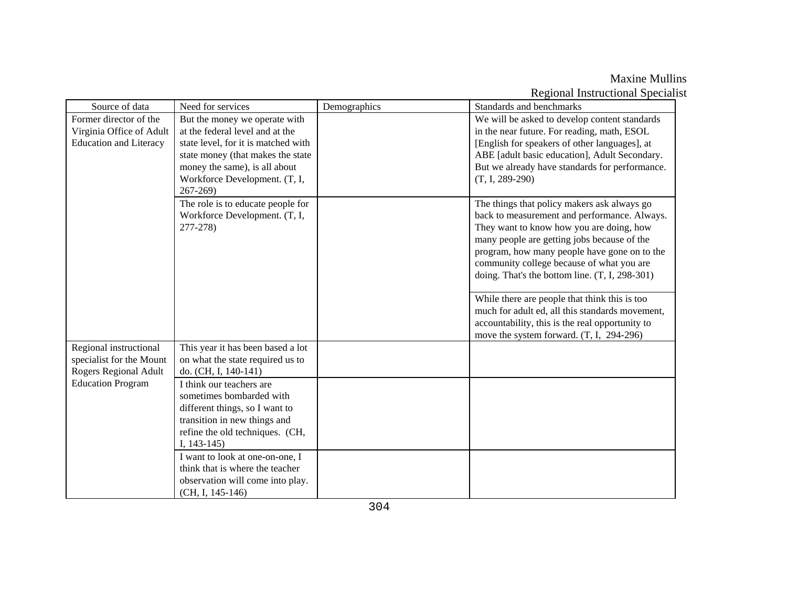| Source of data                                                                                                 | Need for services                                                                                                                                                                                                             | Demographics | Standards and benchmarks                                                                                                                                                                                                                                                                                                                                                                                                                                                                                                                   |
|----------------------------------------------------------------------------------------------------------------|-------------------------------------------------------------------------------------------------------------------------------------------------------------------------------------------------------------------------------|--------------|--------------------------------------------------------------------------------------------------------------------------------------------------------------------------------------------------------------------------------------------------------------------------------------------------------------------------------------------------------------------------------------------------------------------------------------------------------------------------------------------------------------------------------------------|
| Former director of the<br>Virginia Office of Adult<br><b>Education and Literacy</b>                            | But the money we operate with<br>at the federal level and at the<br>state level, for it is matched with<br>state money (that makes the state<br>money the same), is all about<br>Workforce Development. (T, I,<br>$267 - 269$ |              | We will be asked to develop content standards<br>in the near future. For reading, math, ESOL<br>[English for speakers of other languages], at<br>ABE [adult basic education], Adult Secondary.<br>But we already have standards for performance.<br>$(T, I, 289-290)$                                                                                                                                                                                                                                                                      |
|                                                                                                                | The role is to educate people for<br>Workforce Development. (T, I,<br>$277 - 278$                                                                                                                                             |              | The things that policy makers ask always go<br>back to measurement and performance. Always.<br>They want to know how you are doing, how<br>many people are getting jobs because of the<br>program, how many people have gone on to the<br>community college because of what you are<br>doing. That's the bottom line. $(T, I, 298-301)$<br>While there are people that think this is too<br>much for adult ed, all this standards movement,<br>accountability, this is the real opportunity to<br>move the system forward. (T, I, 294-296) |
| Regional instructional<br>specialist for the Mount<br><b>Rogers Regional Adult</b><br><b>Education Program</b> | This year it has been based a lot<br>on what the state required us to<br>do. (CH, I, 140-141)<br>I think our teachers are<br>sometimes bombarded with<br>different things, so I want to<br>transition in new things and       |              |                                                                                                                                                                                                                                                                                                                                                                                                                                                                                                                                            |
|                                                                                                                | refine the old techniques. (CH,<br>I, $143-145$<br>I want to look at one-on-one, I<br>think that is where the teacher<br>observation will come into play.<br>$(CH, I, 145-146)$                                               |              |                                                                                                                                                                                                                                                                                                                                                                                                                                                                                                                                            |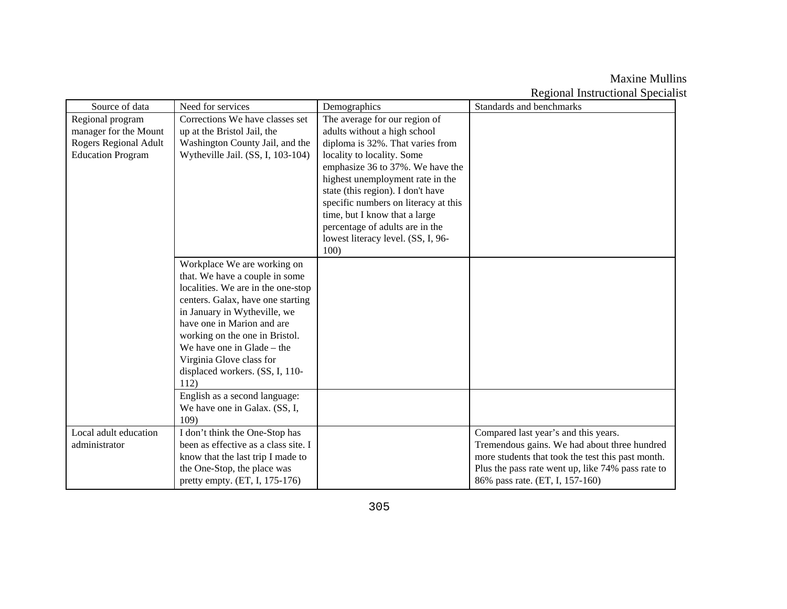| Source of data               | Need for services                    | Demographics                         | Standards and benchmarks                          |
|------------------------------|--------------------------------------|--------------------------------------|---------------------------------------------------|
| Regional program             | Corrections We have classes set      | The average for our region of        |                                                   |
| manager for the Mount        | up at the Bristol Jail, the          | adults without a high school         |                                                   |
| <b>Rogers Regional Adult</b> | Washington County Jail, and the      | diploma is 32%. That varies from     |                                                   |
| <b>Education Program</b>     | Wytheville Jail. (SS, I, 103-104)    | locality to locality. Some           |                                                   |
|                              |                                      | emphasize 36 to 37%. We have the     |                                                   |
|                              |                                      | highest unemployment rate in the     |                                                   |
|                              |                                      | state (this region). I don't have    |                                                   |
|                              |                                      | specific numbers on literacy at this |                                                   |
|                              |                                      | time, but I know that a large        |                                                   |
|                              |                                      | percentage of adults are in the      |                                                   |
|                              |                                      | lowest literacy level. (SS, I, 96-   |                                                   |
|                              |                                      | 100)                                 |                                                   |
|                              | Workplace We are working on          |                                      |                                                   |
|                              | that. We have a couple in some       |                                      |                                                   |
|                              | localities. We are in the one-stop   |                                      |                                                   |
|                              | centers. Galax, have one starting    |                                      |                                                   |
|                              | in January in Wytheville, we         |                                      |                                                   |
|                              | have one in Marion and are           |                                      |                                                   |
|                              | working on the one in Bristol.       |                                      |                                                   |
|                              | We have one in Glade $-$ the         |                                      |                                                   |
|                              | Virginia Glove class for             |                                      |                                                   |
|                              | displaced workers. (SS, I, 110-      |                                      |                                                   |
|                              | 112)                                 |                                      |                                                   |
|                              | English as a second language:        |                                      |                                                   |
|                              | We have one in Galax. (SS, I,        |                                      |                                                   |
|                              | 109)                                 |                                      |                                                   |
| Local adult education        | I don't think the One-Stop has       |                                      | Compared last year's and this years.              |
| administrator                | been as effective as a class site. I |                                      | Tremendous gains. We had about three hundred      |
|                              | know that the last trip I made to    |                                      | more students that took the test this past month. |
|                              | the One-Stop, the place was          |                                      | Plus the pass rate went up, like 74% pass rate to |
|                              | pretty empty. (ET, I, 175-176)       |                                      | 86% pass rate. (ET, I, 157-160)                   |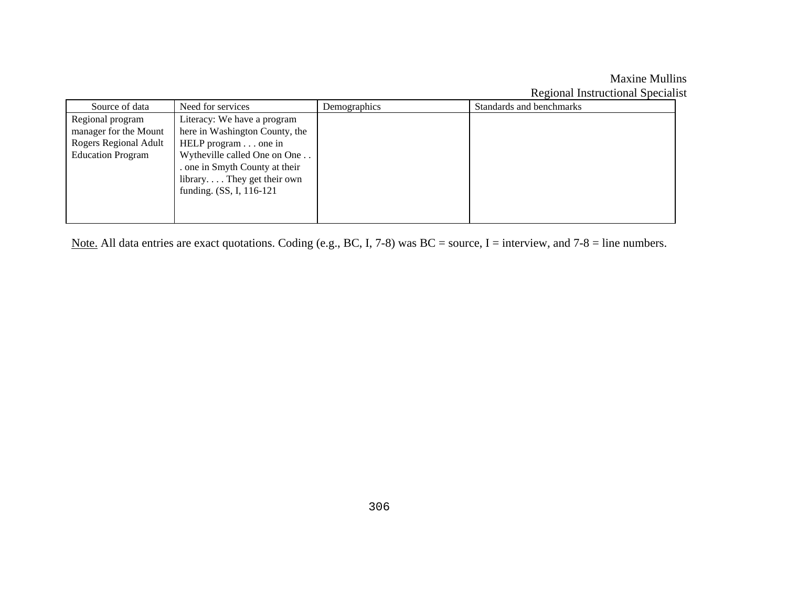| Source of data           | Need for services              | Demographics | Standards and benchmarks |
|--------------------------|--------------------------------|--------------|--------------------------|
| Regional program         | Literacy: We have a program    |              |                          |
| manager for the Mount    | here in Washington County, the |              |                          |
| Rogers Regional Adult    | HELP program $\ldots$ one in   |              |                          |
| <b>Education Program</b> | Wytheville called One on One   |              |                          |
|                          | . one in Smyth County at their |              |                          |
|                          | library They get their own     |              |                          |
|                          | funding. (SS, I, 116-121)      |              |                          |
|                          |                                |              |                          |
|                          |                                |              |                          |

Note. All data entries are exact quotations. Coding (e.g., BC, I, 7-8) was BC = source, I = interview, and 7-8 = line numbers.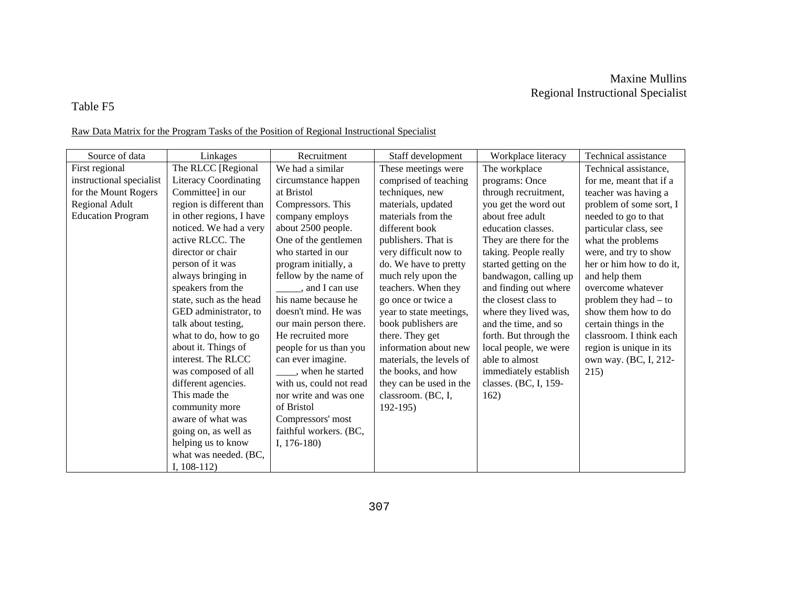#### Table F5

#### Raw Data Matrix for the Program Tasks of the Position of Regional Instructional Specialist

| Source of data           | Linkages                     | Recruitment             | Staff development        | Workplace literacy     | Technical assistance     |
|--------------------------|------------------------------|-------------------------|--------------------------|------------------------|--------------------------|
| First regional           | The RLCC [Regional           | We had a similar        | These meetings were      | The workplace          | Technical assistance,    |
| instructional specialist | <b>Literacy Coordinating</b> | circumstance happen     | comprised of teaching    | programs: Once         | for me, meant that if a  |
| for the Mount Rogers     | Committee] in our            | at Bristol              | techniques, new          | through recruitment,   | teacher was having a     |
| Regional Adult           | region is different than     | Compressors. This       | materials, updated       | you get the word out   | problem of some sort, I  |
| <b>Education Program</b> | in other regions, I have     | company employs         | materials from the       | about free adult       | needed to go to that     |
|                          | noticed. We had a very       | about 2500 people.      | different book           | education classes.     | particular class, see    |
|                          | active RLCC. The             | One of the gentlemen    | publishers. That is      | They are there for the | what the problems        |
|                          | director or chair            | who started in our      | very difficult now to    | taking. People really  | were, and try to show    |
|                          | person of it was             | program initially, a    | do. We have to pretty    | started getting on the | her or him how to do it, |
|                          | always bringing in           | fellow by the name of   | much rely upon the       | bandwagon, calling up  | and help them            |
|                          | speakers from the            | _, and I can use        | teachers. When they      | and finding out where  | overcome whatever        |
|                          | state, such as the head      | his name because he     | go once or twice a       | the closest class to   | problem they had $-$ to  |
|                          | GED administrator, to        | doesn't mind. He was    | year to state meetings,  | where they lived was,  | show them how to do      |
|                          | talk about testing,          | our main person there.  | book publishers are      | and the time, and so   | certain things in the    |
|                          | what to do, how to go        | He recruited more       | there. They get          | forth. But through the | classroom. I think each  |
|                          | about it. Things of          | people for us than you  | information about new    | local people, we were  | region is unique in its  |
|                          | interest. The RLCC           | can ever imagine.       | materials, the levels of | able to almost         | own way. (BC, I, 212-    |
|                          | was composed of all          | _____, when he started  | the books, and how       | immediately establish  | 215)                     |
|                          | different agencies.          | with us, could not read | they can be used in the  | classes. (BC, I, 159-  |                          |
|                          | This made the                | nor write and was one   | classroom. (BC, I,       | 162)                   |                          |
|                          | community more               | of Bristol              | $192-195$                |                        |                          |
|                          | aware of what was            | Compressors' most       |                          |                        |                          |
|                          | going on, as well as         | faithful workers. (BC,  |                          |                        |                          |
|                          | helping us to know           | I, $176-180$ )          |                          |                        |                          |
|                          | what was needed. (BC,        |                         |                          |                        |                          |
|                          | I, $108-112$ )               |                         |                          |                        |                          |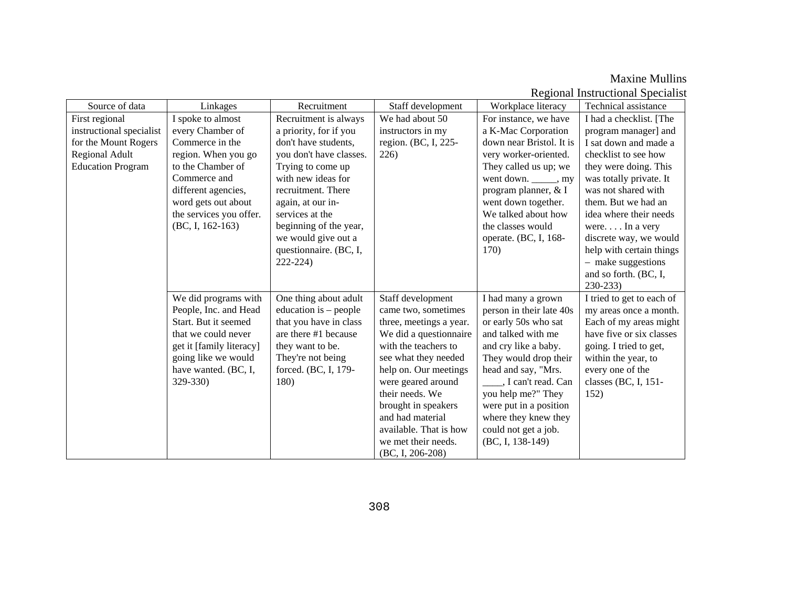| Source of data           | Linkages                 | Recruitment             | Staff development       | Workplace literacy       | Technical assistance      |
|--------------------------|--------------------------|-------------------------|-------------------------|--------------------------|---------------------------|
| First regional           | I spoke to almost        | Recruitment is always   | We had about 50         | For instance, we have    | I had a checklist. [The   |
| instructional specialist | every Chamber of         | a priority, for if you  | instructors in my       | a K-Mac Corporation      | program manager] and      |
| for the Mount Rogers     | Commerce in the          | don't have students,    | region. (BC, I, 225-    | down near Bristol. It is | I sat down and made a     |
| Regional Adult           | region. When you go      | you don't have classes. | 226)                    | very worker-oriented.    | checklist to see how      |
| <b>Education Program</b> | to the Chamber of        | Trying to come up       |                         | They called us up; we    | they were doing. This     |
|                          | Commerce and             | with new ideas for      |                         | went down. ______, my    | was totally private. It   |
|                          | different agencies,      | recruitment. There      |                         | program planner, & I     | was not shared with       |
|                          | word gets out about      | again, at our in-       |                         | went down together.      | them. But we had an       |
|                          | the services you offer.  | services at the         |                         | We talked about how      | idea where their needs    |
|                          | $(BC, I, 162-163)$       | beginning of the year,  |                         | the classes would        | were In a very            |
|                          |                          | we would give out a     |                         | operate. (BC, I, 168-    | discrete way, we would    |
|                          |                          | questionnaire. (BC, I,  |                         | 170)                     | help with certain things  |
|                          |                          | $222 - 224$             |                         |                          | - make suggestions        |
|                          |                          |                         |                         |                          | and so forth. (BC, I,     |
|                          |                          |                         |                         |                          | $230 - 233$               |
|                          | We did programs with     | One thing about adult   | Staff development       | I had many a grown       | I tried to get to each of |
|                          | People, Inc. and Head    | education is $-$ people | came two, sometimes     | person in their late 40s | my areas once a month.    |
|                          | Start. But it seemed     | that you have in class  | three, meetings a year. | or early 50s who sat     | Each of my areas might    |
|                          | that we could never      | are there #1 because    | We did a questionnaire  | and talked with me       | have five or six classes  |
|                          | get it [family literacy] | they want to be.        | with the teachers to    | and cry like a baby.     | going. I tried to get,    |
|                          | going like we would      | They're not being       | see what they needed    | They would drop their    | within the year, to       |
|                          | have wanted. (BC, I,     | forced. (BC, I, 179-    | help on. Our meetings   | head and say, "Mrs.      | every one of the          |
|                          | 329-330)                 | 180)                    | were geared around      | ., I can't read. Can     | classes (BC, I, 151-      |
|                          |                          |                         | their needs. We         | you help me?" They       | 152)                      |
|                          |                          |                         | brought in speakers     | were put in a position   |                           |
|                          |                          |                         | and had material        | where they knew they     |                           |
|                          |                          |                         | available. That is how  | could not get a job.     |                           |
|                          |                          |                         | we met their needs.     | (BC, I, 138-149)         |                           |
|                          |                          |                         | $(BC, I, 206-208)$      |                          |                           |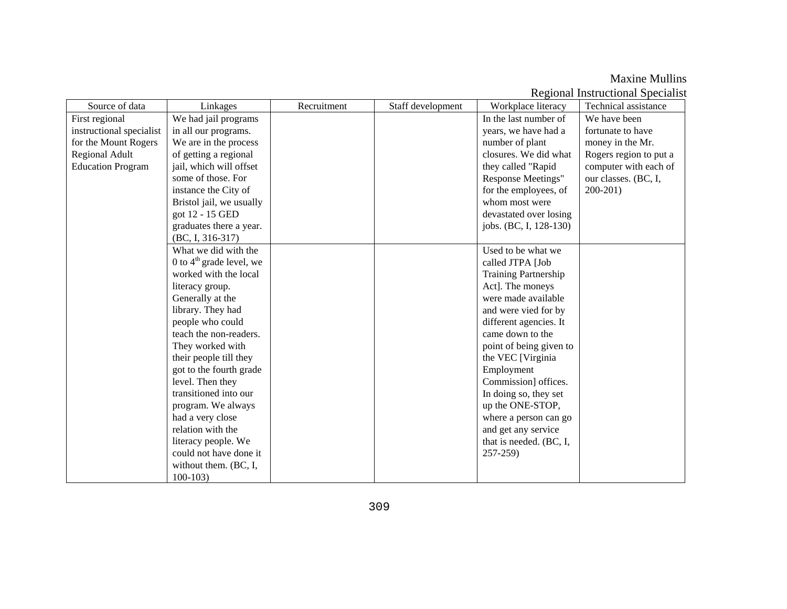| Source of data           | Linkages                   | Recruitment | Staff development | Workplace literacy          | regional mon actional opeciant<br>Technical assistance |
|--------------------------|----------------------------|-------------|-------------------|-----------------------------|--------------------------------------------------------|
| First regional           | We had jail programs       |             |                   | In the last number of       | We have been                                           |
| instructional specialist | in all our programs.       |             |                   | years, we have had a        | fortunate to have                                      |
| for the Mount Rogers     | We are in the process      |             |                   | number of plant             | money in the Mr.                                       |
| Regional Adult           | of getting a regional      |             |                   | closures. We did what       | Rogers region to put a                                 |
| <b>Education Program</b> | jail, which will offset    |             |                   | they called "Rapid          | computer with each of                                  |
|                          | some of those. For         |             |                   | Response Meetings"          | our classes. (BC, I,                                   |
|                          | instance the City of       |             |                   | for the employees, of       | $200 - 201$                                            |
|                          | Bristol jail, we usually   |             |                   | whom most were              |                                                        |
|                          | got 12 - 15 GED            |             |                   | devastated over losing      |                                                        |
|                          | graduates there a year.    |             |                   | jobs. (BC, I, 128-130)      |                                                        |
|                          | $(BC, I, 316-317)$         |             |                   |                             |                                                        |
|                          | What we did with the       |             |                   | Used to be what we          |                                                        |
|                          | 0 to $4th$ grade level, we |             |                   | called JTPA [Job            |                                                        |
|                          | worked with the local      |             |                   | <b>Training Partnership</b> |                                                        |
|                          | literacy group.            |             |                   | Act]. The moneys            |                                                        |
|                          | Generally at the           |             |                   | were made available         |                                                        |
|                          | library. They had          |             |                   | and were vied for by        |                                                        |
|                          | people who could           |             |                   | different agencies. It      |                                                        |
|                          | teach the non-readers.     |             |                   | came down to the            |                                                        |
|                          | They worked with           |             |                   | point of being given to     |                                                        |
|                          | their people till they     |             |                   | the VEC [Virginia           |                                                        |
|                          | got to the fourth grade    |             |                   | Employment                  |                                                        |
|                          | level. Then they           |             |                   | Commission] offices.        |                                                        |
|                          | transitioned into our      |             |                   | In doing so, they set       |                                                        |
|                          | program. We always         |             |                   | up the ONE-STOP,            |                                                        |
|                          | had a very close           |             |                   | where a person can go       |                                                        |
|                          | relation with the          |             |                   | and get any service         |                                                        |
|                          | literacy people. We        |             |                   | that is needed. (BC, I,     |                                                        |
|                          | could not have done it     |             |                   | $257 - 259$                 |                                                        |
|                          | without them. (BC, I,      |             |                   |                             |                                                        |
|                          | $100-103$                  |             |                   |                             |                                                        |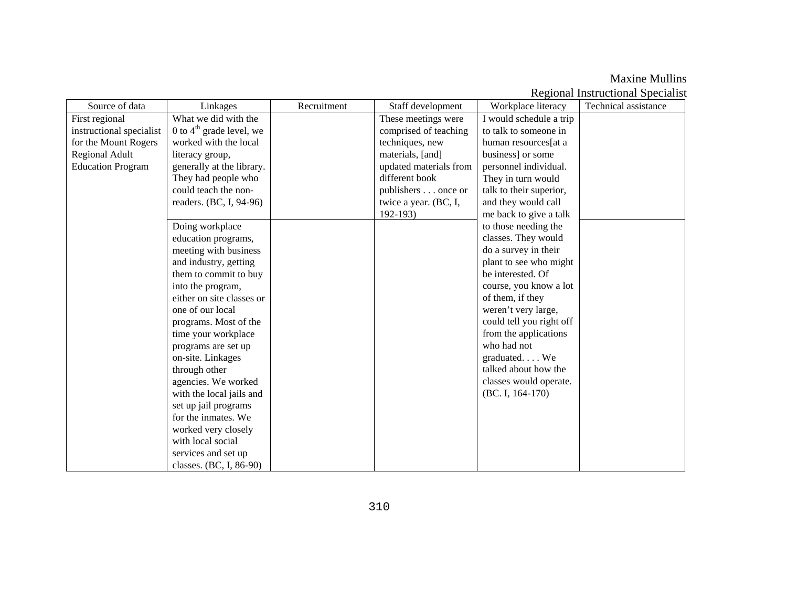| Source of data           | Linkages                   | Recruitment | Staff development      | Workplace literacy       | Technical assistance |
|--------------------------|----------------------------|-------------|------------------------|--------------------------|----------------------|
| First regional           | What we did with the       |             | These meetings were    | I would schedule a trip  |                      |
| instructional specialist | 0 to $4th$ grade level, we |             | comprised of teaching  | to talk to someone in    |                      |
| for the Mount Rogers     | worked with the local      |             | techniques, new        | human resources[at a     |                      |
| Regional Adult           | literacy group,            |             | materials, [and]       | business] or some        |                      |
| <b>Education Program</b> | generally at the library.  |             | updated materials from | personnel individual.    |                      |
|                          | They had people who        |             | different book         | They in turn would       |                      |
|                          | could teach the non-       |             | publishers once or     | talk to their superior,  |                      |
|                          | readers. (BC, I, 94-96)    |             | twice a year. (BC, I,  | and they would call      |                      |
|                          |                            |             | $192-193$              | me back to give a talk   |                      |
|                          | Doing workplace            |             |                        | to those needing the     |                      |
|                          | education programs,        |             |                        | classes. They would      |                      |
|                          | meeting with business      |             |                        | do a survey in their     |                      |
|                          | and industry, getting      |             |                        | plant to see who might   |                      |
|                          | them to commit to buy      |             |                        | be interested. Of        |                      |
|                          | into the program,          |             |                        | course, you know a lot   |                      |
|                          | either on site classes or  |             |                        | of them, if they         |                      |
|                          | one of our local           |             |                        | weren't very large,      |                      |
|                          | programs. Most of the      |             |                        | could tell you right off |                      |
|                          | time your workplace        |             |                        | from the applications    |                      |
|                          | programs are set up        |             |                        | who had not              |                      |
|                          | on-site. Linkages          |             |                        | graduated We             |                      |
|                          | through other              |             |                        | talked about how the     |                      |
|                          | agencies. We worked        |             |                        | classes would operate.   |                      |
|                          | with the local jails and   |             |                        | $(BC. I, 164-170)$       |                      |
|                          | set up jail programs       |             |                        |                          |                      |
|                          | for the inmates. We        |             |                        |                          |                      |
|                          | worked very closely        |             |                        |                          |                      |
|                          | with local social          |             |                        |                          |                      |
|                          | services and set up        |             |                        |                          |                      |
|                          | classes. (BC, I, 86-90)    |             |                        |                          |                      |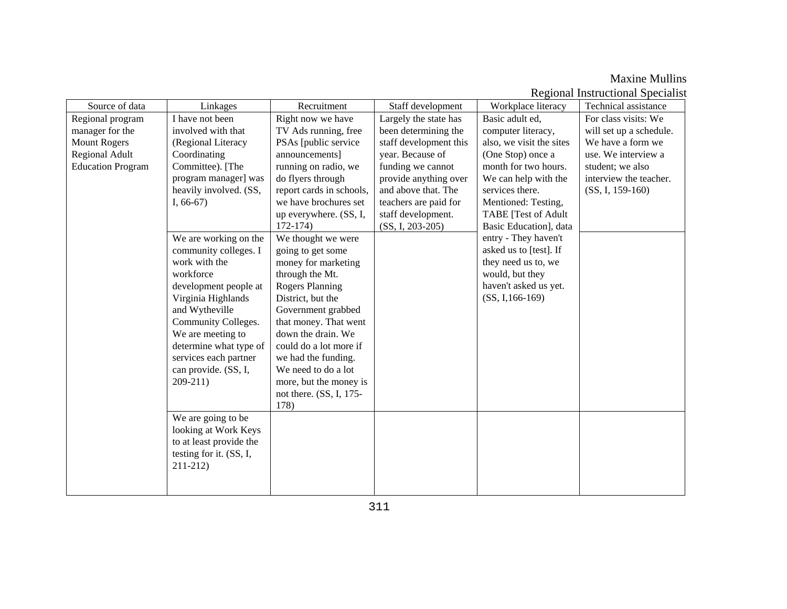| Source of data           | Linkages                | Recruitment              | Staff development      | Workplace literacy       | Technical assistance                         |
|--------------------------|-------------------------|--------------------------|------------------------|--------------------------|----------------------------------------------|
| Regional program         | I have not been         | Right now we have        | Largely the state has  | Basic adult ed,          | For class visits: We                         |
| manager for the          | involved with that      | TV Ads running, free     | been determining the   | computer literacy,       |                                              |
|                          |                         |                          |                        |                          | will set up a schedule.<br>We have a form we |
| <b>Mount Rogers</b>      | (Regional Literacy      | PSAs [public service     | staff development this | also, we visit the sites |                                              |
| Regional Adult           | Coordinating            | announcements]           | year. Because of       | (One Stop) once a        | use. We interview a                          |
| <b>Education Program</b> | Committee). [The        | running on radio, we     | funding we cannot      | month for two hours.     | student; we also                             |
|                          | program manager] was    | do flyers through        | provide anything over  | We can help with the     | interview the teacher.                       |
|                          | heavily involved. (SS,  | report cards in schools, | and above that. The    | services there.          | $(SS, I, 159-160)$                           |
|                          | I, $66-67$ )            | we have brochures set    | teachers are paid for  | Mentioned: Testing,      |                                              |
|                          |                         | up everywhere. (SS, I,   | staff development.     | TABE [Test of Adult      |                                              |
|                          |                         | $172 - 174$              | $(SS, I, 203-205)$     | Basic Education], data   |                                              |
|                          | We are working on the   | We thought we were       |                        | entry - They haven't     |                                              |
|                          | community colleges. I   | going to get some        |                        | asked us to [test]. If   |                                              |
|                          | work with the           | money for marketing      |                        | they need us to, we      |                                              |
|                          | workforce               | through the Mt.          |                        | would, but they          |                                              |
|                          | development people at   | <b>Rogers Planning</b>   |                        | haven't asked us yet.    |                                              |
|                          | Virginia Highlands      | District, but the        |                        | $(SS, I, 166-169)$       |                                              |
|                          | and Wytheville          | Government grabbed       |                        |                          |                                              |
|                          | Community Colleges.     | that money. That went    |                        |                          |                                              |
|                          | We are meeting to       | down the drain. We       |                        |                          |                                              |
|                          | determine what type of  | could do a lot more if   |                        |                          |                                              |
|                          | services each partner   | we had the funding.      |                        |                          |                                              |
|                          | can provide. (SS, I,    | We need to do a lot      |                        |                          |                                              |
|                          | $209 - 211$             |                          |                        |                          |                                              |
|                          |                         | more, but the money is   |                        |                          |                                              |
|                          |                         | not there. (SS, I, 175-  |                        |                          |                                              |
|                          |                         | 178)                     |                        |                          |                                              |
|                          | We are going to be      |                          |                        |                          |                                              |
|                          | looking at Work Keys    |                          |                        |                          |                                              |
|                          | to at least provide the |                          |                        |                          |                                              |
|                          | testing for it. (SS, I, |                          |                        |                          |                                              |
|                          | $211-212$               |                          |                        |                          |                                              |
|                          |                         |                          |                        |                          |                                              |
|                          |                         |                          |                        |                          |                                              |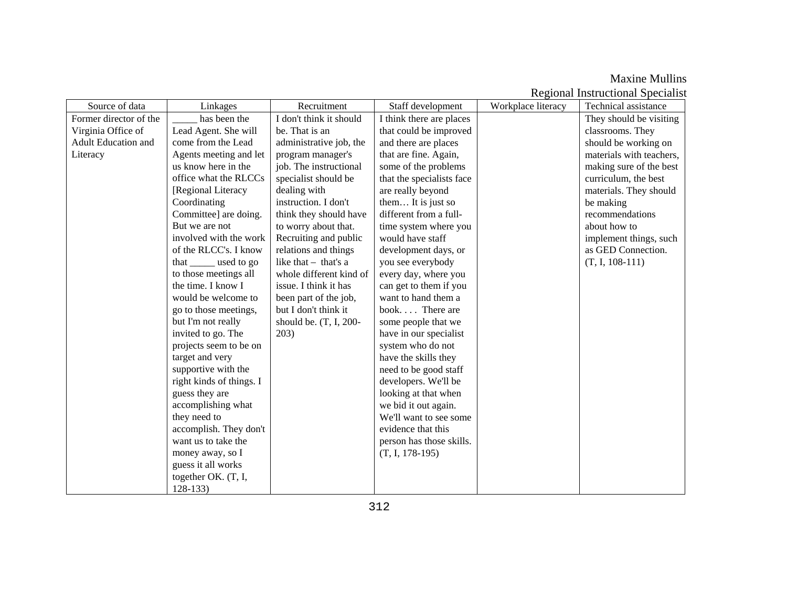| Source of data             | Linkages                 | Recruitment              | Staff development         | Workplace literacy | Technical assistance     |
|----------------------------|--------------------------|--------------------------|---------------------------|--------------------|--------------------------|
| Former director of the     | has been the             | I don't think it should  | I think there are places  |                    | They should be visiting  |
| Virginia Office of         | Lead Agent. She will     | be. That is an           | that could be improved    |                    | classrooms. They         |
| <b>Adult Education and</b> | come from the Lead       | administrative job, the  | and there are places      |                    | should be working on     |
| Literacy                   | Agents meeting and let   | program manager's        | that are fine. Again,     |                    | materials with teachers, |
|                            | us know here in the      | job. The instructional   | some of the problems      |                    | making sure of the best  |
|                            | office what the RLCCs    | specialist should be     | that the specialists face |                    | curriculum, the best     |
|                            | [Regional Literacy       | dealing with             | are really beyond         |                    | materials. They should   |
|                            | Coordinating             | instruction. I don't     | them It is just so        |                    | be making                |
|                            | Committee] are doing.    | think they should have   | different from a full-    |                    | recommendations          |
|                            | But we are not           | to worry about that.     | time system where you     |                    | about how to             |
|                            | involved with the work   | Recruiting and public    | would have staff          |                    | implement things, such   |
|                            | of the RLCC's. I know    | relations and things     | development days, or      |                    | as GED Connection.       |
|                            | that used to go          | like that $-$ that's a   | you see everybody         |                    | $(T, I, 108-111)$        |
|                            | to those meetings all    | whole different kind of  | every day, where you      |                    |                          |
|                            | the time. I know I       | issue. I think it has    | can get to them if you    |                    |                          |
|                            | would be welcome to      | been part of the job,    | want to hand them a       |                    |                          |
|                            | go to those meetings,    | but I don't think it     | book There are            |                    |                          |
|                            | but I'm not really       | should be. $(T, I, 200-$ | some people that we       |                    |                          |
|                            | invited to go. The       | 203)                     | have in our specialist    |                    |                          |
|                            | projects seem to be on   |                          | system who do not         |                    |                          |
|                            | target and very          |                          | have the skills they      |                    |                          |
|                            | supportive with the      |                          | need to be good staff     |                    |                          |
|                            | right kinds of things. I |                          | developers. We'll be      |                    |                          |
|                            | guess they are           |                          | looking at that when      |                    |                          |
|                            | accomplishing what       |                          | we bid it out again.      |                    |                          |
|                            | they need to             |                          | We'll want to see some    |                    |                          |
|                            | accomplish. They don't   |                          | evidence that this        |                    |                          |
|                            | want us to take the      |                          | person has those skills.  |                    |                          |
|                            | money away, so I         |                          | $(T, I, 178-195)$         |                    |                          |
|                            | guess it all works       |                          |                           |                    |                          |
|                            | together OK. (T, I,      |                          |                           |                    |                          |
|                            | $128 - 133$              |                          |                           |                    |                          |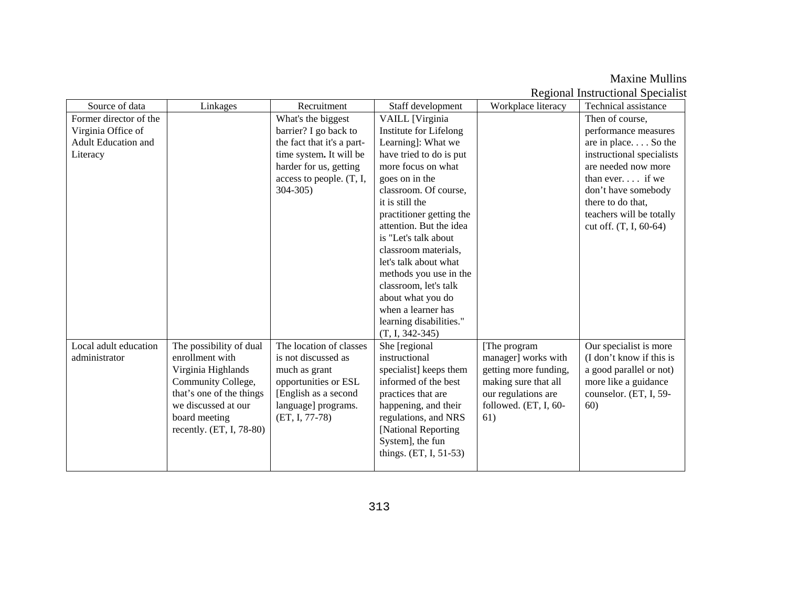| Source of data             | Linkages                 | Recruitment                | Staff development        | Workplace literacy    | Technical assistance      |
|----------------------------|--------------------------|----------------------------|--------------------------|-----------------------|---------------------------|
| Former director of the     |                          | What's the biggest         | VAILL [Virginia          |                       | Then of course,           |
| Virginia Office of         |                          | barrier? I go back to      | Institute for Lifelong   |                       | performance measures      |
| <b>Adult Education and</b> |                          | the fact that it's a part- | Learning]: What we       |                       | are in place So the       |
| Literacy                   |                          | time system. It will be    | have tried to do is put  |                       | instructional specialists |
|                            |                          | harder for us, getting     | more focus on what       |                       | are needed now more       |
|                            |                          | access to people. (T, I,   | goes on in the           |                       | than ever if we           |
|                            |                          | $304 - 305$                | classroom. Of course,    |                       | don't have somebody       |
|                            |                          |                            | it is still the          |                       | there to do that,         |
|                            |                          |                            | practitioner getting the |                       | teachers will be totally  |
|                            |                          |                            | attention. But the idea  |                       | cut off. (T, I, 60-64)    |
|                            |                          |                            | is "Let's talk about     |                       |                           |
|                            |                          |                            | classroom materials,     |                       |                           |
|                            |                          |                            | let's talk about what    |                       |                           |
|                            |                          |                            | methods you use in the   |                       |                           |
|                            |                          |                            | classroom, let's talk    |                       |                           |
|                            |                          |                            | about what you do        |                       |                           |
|                            |                          |                            | when a learner has       |                       |                           |
|                            |                          |                            | learning disabilities."  |                       |                           |
|                            |                          |                            | $(T, I, 342-345)$        |                       |                           |
| Local adult education      | The possibility of dual  | The location of classes    | She [regional            | [The program          | Our specialist is more    |
| administrator              | enrollment with          | is not discussed as        | instructional            | manager] works with   | (I don't know if this is  |
|                            | Virginia Highlands       | much as grant              | specialist] keeps them   | getting more funding, | a good parallel or not)   |
|                            | Community College,       | opportunities or ESL       | informed of the best     | making sure that all  | more like a guidance      |
|                            | that's one of the things | [English as a second]      | practices that are       | our regulations are   | counselor. (ET, I, 59-    |
|                            | we discussed at our      | language] programs.        | happening, and their     | followed. (ET, I, 60- | <b>60</b> )               |
|                            | board meeting            | $(ET, I, 77-78)$           | regulations, and NRS     | 61)                   |                           |
|                            | recently. (ET, I, 78-80) |                            | [National Reporting]     |                       |                           |
|                            |                          |                            | System], the fun         |                       |                           |
|                            |                          |                            | things. (ET, I, 51-53)   |                       |                           |
|                            |                          |                            |                          |                       |                           |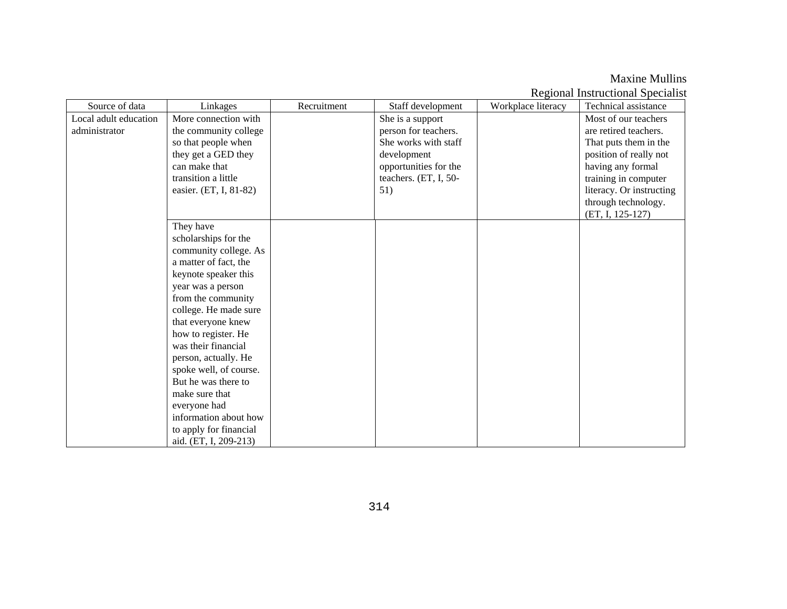| Source of data        | Linkages               | Recruitment | Staff development     | Workplace literacy | Technical assistance     |
|-----------------------|------------------------|-------------|-----------------------|--------------------|--------------------------|
| Local adult education | More connection with   |             | She is a support      |                    | Most of our teachers     |
| administrator         | the community college  |             | person for teachers.  |                    | are retired teachers.    |
|                       | so that people when    |             | She works with staff  |                    | That puts them in the    |
|                       | they get a GED they    |             | development           |                    | position of really not   |
|                       | can make that          |             | opportunities for the |                    | having any formal        |
|                       | transition a little    |             | teachers. (ET, I, 50- |                    | training in computer     |
|                       | easier. (ET, I, 81-82) |             | 51)                   |                    | literacy. Or instructing |
|                       |                        |             |                       |                    | through technology.      |
|                       |                        |             |                       |                    | $(ET, I, 125-127)$       |
|                       | They have              |             |                       |                    |                          |
|                       | scholarships for the   |             |                       |                    |                          |
|                       | community college. As  |             |                       |                    |                          |
|                       | a matter of fact, the  |             |                       |                    |                          |
|                       | keynote speaker this   |             |                       |                    |                          |
|                       | year was a person      |             |                       |                    |                          |
|                       | from the community     |             |                       |                    |                          |
|                       | college. He made sure  |             |                       |                    |                          |
|                       | that everyone knew     |             |                       |                    |                          |
|                       | how to register. He    |             |                       |                    |                          |
|                       | was their financial    |             |                       |                    |                          |
|                       | person, actually. He   |             |                       |                    |                          |
|                       | spoke well, of course. |             |                       |                    |                          |
|                       | But he was there to    |             |                       |                    |                          |
|                       | make sure that         |             |                       |                    |                          |
|                       | everyone had           |             |                       |                    |                          |
|                       | information about how  |             |                       |                    |                          |
|                       | to apply for financial |             |                       |                    |                          |
|                       | aid. (ET, I, 209-213)  |             |                       |                    |                          |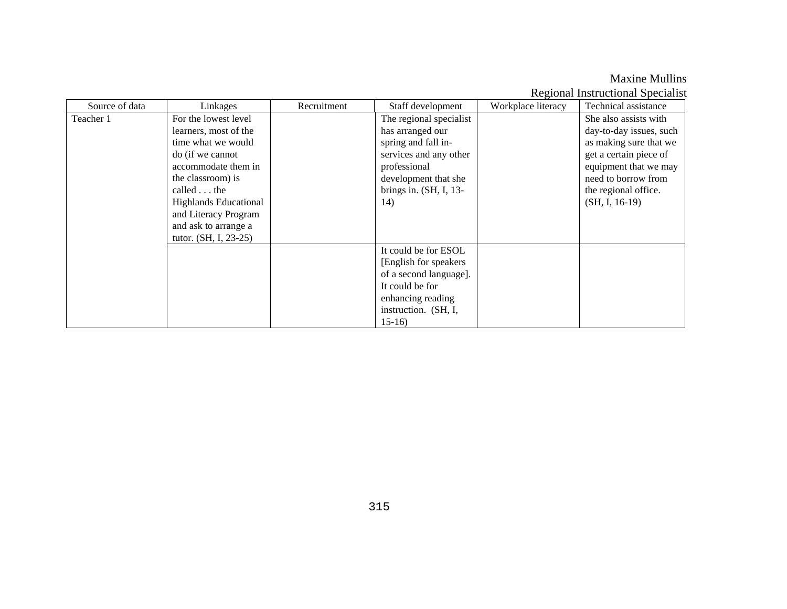| Source of data | Linkages                     | Recruitment | Staff development         | Workplace literacy | Technical assistance    |
|----------------|------------------------------|-------------|---------------------------|--------------------|-------------------------|
| Teacher 1      | For the lowest level         |             | The regional specialist   |                    | She also assists with   |
|                | learners, most of the        |             | has arranged our          |                    | day-to-day issues, such |
|                | time what we would           |             | spring and fall in-       |                    | as making sure that we  |
|                | do (if we cannot             |             | services and any other    |                    | get a certain piece of  |
|                | accommodate them in          |             | professional              |                    | equipment that we may   |
|                | the classroom) is            |             | development that she      |                    | need to borrow from     |
|                | called $\dots$ the           |             | brings in. $(SH, I, 13$ - |                    | the regional office.    |
|                | <b>Highlands Educational</b> |             | 14)                       |                    | $(SH, I, 16-19)$        |
|                | and Literacy Program         |             |                           |                    |                         |
|                | and ask to arrange a         |             |                           |                    |                         |
|                | tutor. (SH, I, 23-25)        |             |                           |                    |                         |
|                |                              |             | It could be for ESOL      |                    |                         |
|                |                              |             | [English for speakers]    |                    |                         |
|                |                              |             | of a second language].    |                    |                         |
|                |                              |             | It could be for           |                    |                         |
|                |                              |             | enhancing reading         |                    |                         |
|                |                              |             | instruction. (SH, I,      |                    |                         |
|                |                              |             | $15-16$                   |                    |                         |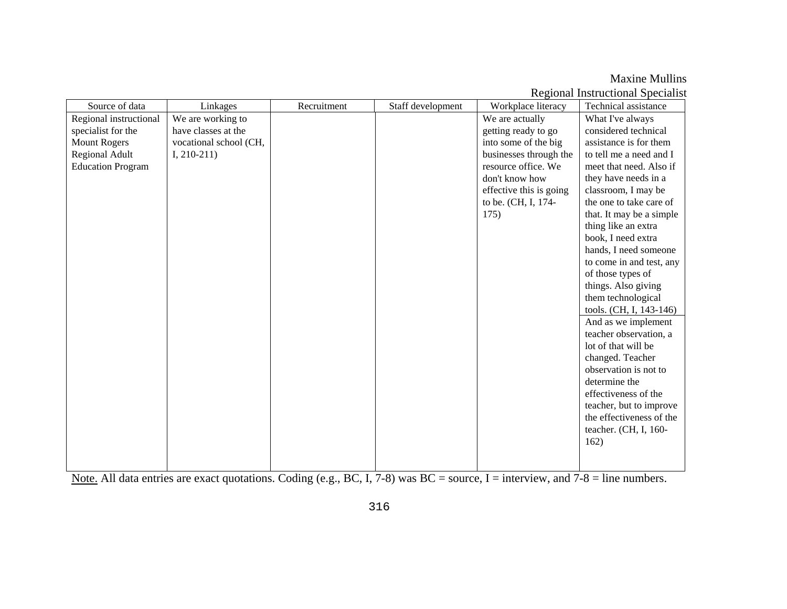| Source of data           | Linkages               | Recruitment | Staff development | Workplace literacy      | rtogromar mod aetromar opeerant<br>Technical assistance |
|--------------------------|------------------------|-------------|-------------------|-------------------------|---------------------------------------------------------|
| Regional instructional   | We are working to      |             |                   | We are actually         | What I've always                                        |
| specialist for the       | have classes at the    |             |                   | getting ready to go     | considered technical                                    |
| <b>Mount Rogers</b>      | vocational school (CH, |             |                   | into some of the big    | assistance is for them                                  |
| <b>Regional Adult</b>    | $I, 210-211$           |             |                   | businesses through the  | to tell me a need and I                                 |
| <b>Education Program</b> |                        |             |                   | resource office. We     | meet that need. Also if                                 |
|                          |                        |             |                   | don't know how          | they have needs in a                                    |
|                          |                        |             |                   | effective this is going | classroom, I may be                                     |
|                          |                        |             |                   | to be. (CH, I, 174-     | the one to take care of                                 |
|                          |                        |             |                   | 175)                    | that. It may be a simple                                |
|                          |                        |             |                   |                         | thing like an extra                                     |
|                          |                        |             |                   |                         | book, I need extra                                      |
|                          |                        |             |                   |                         | hands, I need someone                                   |
|                          |                        |             |                   |                         | to come in and test, any                                |
|                          |                        |             |                   |                         | of those types of                                       |
|                          |                        |             |                   |                         | things. Also giving                                     |
|                          |                        |             |                   |                         | them technological                                      |
|                          |                        |             |                   |                         | tools. (CH, I, 143-146)                                 |
|                          |                        |             |                   |                         | And as we implement                                     |
|                          |                        |             |                   |                         | teacher observation, a                                  |
|                          |                        |             |                   |                         | lot of that will be                                     |
|                          |                        |             |                   |                         | changed. Teacher                                        |
|                          |                        |             |                   |                         | observation is not to                                   |
|                          |                        |             |                   |                         | determine the                                           |
|                          |                        |             |                   |                         | effectiveness of the                                    |
|                          |                        |             |                   |                         | teacher, but to improve                                 |
|                          |                        |             |                   |                         | the effectiveness of the                                |
|                          |                        |             |                   |                         | teacher. (CH, I, 160-                                   |
|                          |                        |             |                   |                         | 162)                                                    |
|                          |                        |             |                   |                         |                                                         |
|                          |                        |             |                   |                         |                                                         |

Note. All data entries are exact quotations. Coding (e.g., BC, I, 7-8) was BC = source, I = interview, and 7-8 = line numbers.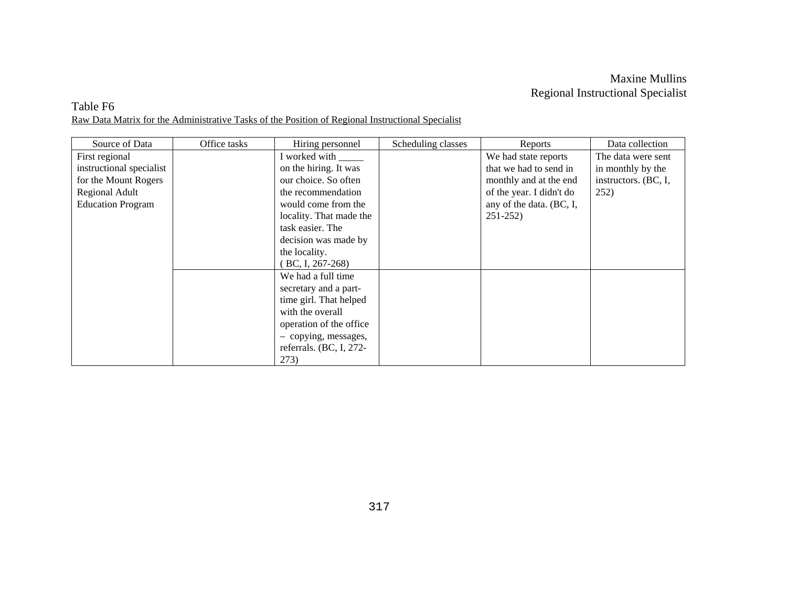#### Table F6 Raw Data Matrix for the Administrative Tasks of the Position of Regional Instructional Specialist

| Source of Data           | Office tasks | Hiring personnel        | Scheduling classes | Reports                  | Data collection      |
|--------------------------|--------------|-------------------------|--------------------|--------------------------|----------------------|
| First regional           |              | I worked with _______   |                    | We had state reports     | The data were sent   |
| instructional specialist |              | on the hiring. It was   |                    | that we had to send in   | in monthly by the    |
| for the Mount Rogers     |              | our choice. So often    |                    | monthly and at the end   | instructors. (BC, I, |
| Regional Adult           |              | the recommendation      |                    | of the year. I didn't do | 252)                 |
| <b>Education Program</b> |              | would come from the     |                    | any of the data. (BC, I, |                      |
|                          |              | locality. That made the |                    | $251 - 252$              |                      |
|                          |              | task easier. The        |                    |                          |                      |
|                          |              | decision was made by    |                    |                          |                      |
|                          |              | the locality.           |                    |                          |                      |
|                          |              | $(BC, I, 267-268)$      |                    |                          |                      |
|                          |              | We had a full time      |                    |                          |                      |
|                          |              | secretary and a part-   |                    |                          |                      |
|                          |              | time girl. That helped  |                    |                          |                      |
|                          |              | with the overall        |                    |                          |                      |
|                          |              | operation of the office |                    |                          |                      |
|                          |              | - copying, messages,    |                    |                          |                      |
|                          |              | referrals. (BC, I, 272- |                    |                          |                      |
|                          |              | 273)                    |                    |                          |                      |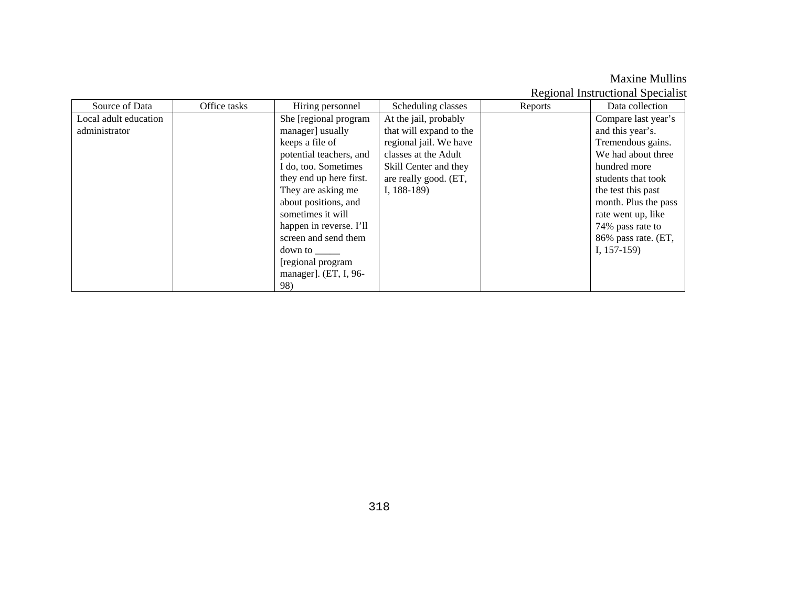Maxine Mullins Regional Instructional Specialist

|                       |              |                         |                         | $\cdots$ , $\cdots$ |                      |
|-----------------------|--------------|-------------------------|-------------------------|---------------------|----------------------|
| Source of Data        | Office tasks | Hiring personnel        | Scheduling classes      | Reports             | Data collection      |
| Local adult education |              | She [regional program]  | At the jail, probably   |                     | Compare last year's  |
| administrator         |              | manager] usually        | that will expand to the |                     | and this year's.     |
|                       |              | keeps a file of         | regional jail. We have  |                     | Tremendous gains.    |
|                       |              | potential teachers, and | classes at the Adult    |                     | We had about three   |
|                       |              | I do, too. Sometimes    | Skill Center and they   |                     | hundred more         |
|                       |              | they end up here first. | are really good. (ET,   |                     | students that took   |
|                       |              | They are asking me      | I, $188-189$            |                     | the test this past   |
|                       |              | about positions, and    |                         |                     | month. Plus the pass |
|                       |              | sometimes it will       |                         |                     | rate went up, like   |
|                       |              | happen in reverse. I'll |                         |                     | 74% pass rate to     |
|                       |              | screen and send them    |                         |                     | 86% pass rate. (ET,  |
|                       |              | down to                 |                         |                     | I, $157-159$ )       |
|                       |              | [regional program]      |                         |                     |                      |
|                       |              | manager]. (ET, I, 96-   |                         |                     |                      |
|                       |              | 98)                     |                         |                     |                      |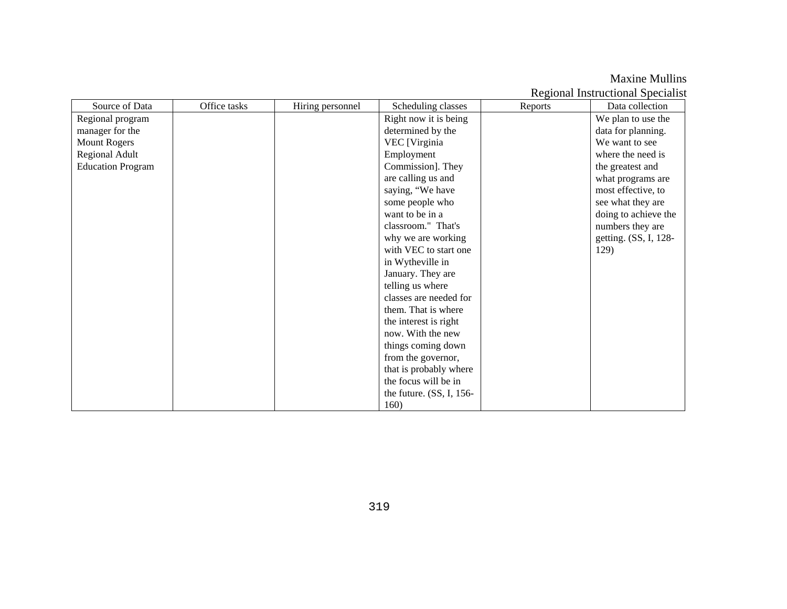| Source of Data           | Office tasks | Hiring personnel | Scheduling classes         | Reports | Data collection       |
|--------------------------|--------------|------------------|----------------------------|---------|-----------------------|
| Regional program         |              |                  | Right now it is being      |         | We plan to use the    |
| manager for the          |              |                  | determined by the          |         | data for planning.    |
| <b>Mount Rogers</b>      |              |                  | VEC [Virginia              |         | We want to see        |
| Regional Adult           |              |                  | Employment                 |         | where the need is     |
| <b>Education Program</b> |              |                  | Commission]. They          |         | the greatest and      |
|                          |              |                  | are calling us and         |         | what programs are     |
|                          |              |                  | saying, "We have           |         | most effective, to    |
|                          |              |                  | some people who            |         | see what they are     |
|                          |              |                  | want to be in a            |         | doing to achieve the  |
|                          |              |                  | classroom." That's         |         | numbers they are      |
|                          |              |                  | why we are working         |         | getting. (SS, I, 128- |
|                          |              |                  | with VEC to start one      |         | 129)                  |
|                          |              |                  | in Wytheville in           |         |                       |
|                          |              |                  | January. They are          |         |                       |
|                          |              |                  | telling us where           |         |                       |
|                          |              |                  | classes are needed for     |         |                       |
|                          |              |                  | them. That is where        |         |                       |
|                          |              |                  | the interest is right      |         |                       |
|                          |              |                  | now. With the new          |         |                       |
|                          |              |                  | things coming down         |         |                       |
|                          |              |                  | from the governor,         |         |                       |
|                          |              |                  | that is probably where     |         |                       |
|                          |              |                  | the focus will be in       |         |                       |
|                          |              |                  | the future. $(SS, I, 156-$ |         |                       |
|                          |              |                  | 160)                       |         |                       |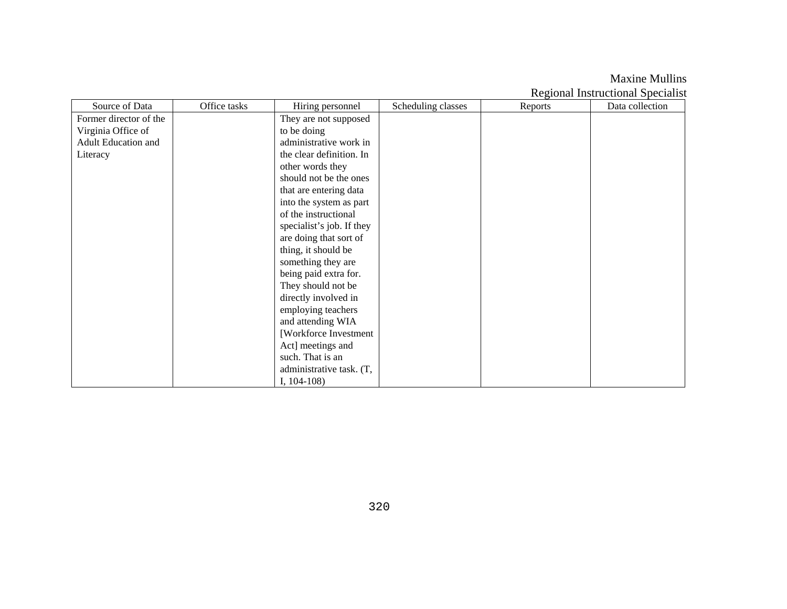| Source of Data         | Office tasks | Hiring personnel          | Scheduling classes | Reports | Data collection |
|------------------------|--------------|---------------------------|--------------------|---------|-----------------|
| Former director of the |              | They are not supposed     |                    |         |                 |
| Virginia Office of     |              | to be doing               |                    |         |                 |
| Adult Education and    |              | administrative work in    |                    |         |                 |
| Literacy               |              | the clear definition. In  |                    |         |                 |
|                        |              | other words they          |                    |         |                 |
|                        |              | should not be the ones    |                    |         |                 |
|                        |              | that are entering data    |                    |         |                 |
|                        |              | into the system as part   |                    |         |                 |
|                        |              | of the instructional      |                    |         |                 |
|                        |              | specialist's job. If they |                    |         |                 |
|                        |              | are doing that sort of    |                    |         |                 |
|                        |              | thing, it should be       |                    |         |                 |
|                        |              | something they are        |                    |         |                 |
|                        |              | being paid extra for.     |                    |         |                 |
|                        |              | They should not be        |                    |         |                 |
|                        |              | directly involved in      |                    |         |                 |
|                        |              | employing teachers        |                    |         |                 |
|                        |              | and attending WIA         |                    |         |                 |
|                        |              | [Workforce Investment     |                    |         |                 |
|                        |              | Act] meetings and         |                    |         |                 |
|                        |              | such. That is an          |                    |         |                 |
|                        |              | administrative task. (T,  |                    |         |                 |
|                        |              | I, $104-108$ )            |                    |         |                 |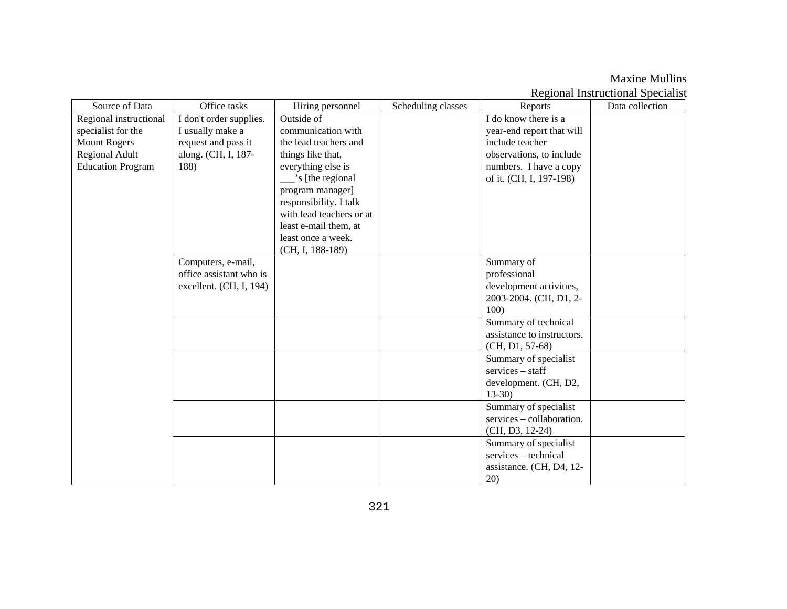| Source of Data           | Office tasks            | Hiring personnel         | Scheduling classes | Reports                                   | Data collection |
|--------------------------|-------------------------|--------------------------|--------------------|-------------------------------------------|-----------------|
| Regional instructional   | I don't order supplies. | Outside of               |                    | I do know there is a                      |                 |
| specialist for the       | I usually make a        | communication with       |                    | year-end report that will                 |                 |
| <b>Mount Rogers</b>      | request and pass it     | the lead teachers and    |                    | include teacher                           |                 |
| Regional Adult           | along. (CH, I, 187-     | things like that,        |                    | observations, to include                  |                 |
| <b>Education Program</b> | 188)                    | everything else is       |                    | numbers. I have a copy                    |                 |
|                          |                         | s [the regional          |                    | of it. (CH, I, 197-198)                   |                 |
|                          |                         | program manager]         |                    |                                           |                 |
|                          |                         | responsibility. I talk   |                    |                                           |                 |
|                          |                         | with lead teachers or at |                    |                                           |                 |
|                          |                         | least e-mail them, at    |                    |                                           |                 |
|                          |                         | least once a week.       |                    |                                           |                 |
|                          |                         | (CH, I, 188-189)         |                    |                                           |                 |
|                          | Computers, e-mail,      |                          |                    | Summary of                                |                 |
|                          | office assistant who is |                          |                    | professional                              |                 |
|                          | excellent. (CH, I, 194) |                          |                    | development activities,                   |                 |
|                          |                         |                          |                    | 2003-2004. (CH, D1, 2-                    |                 |
|                          |                         |                          |                    | 100)                                      |                 |
|                          |                         |                          |                    | Summary of technical                      |                 |
|                          |                         |                          |                    | assistance to instructors.                |                 |
|                          |                         |                          |                    | $(CH, D1, 57-68)$                         |                 |
|                          |                         |                          |                    | Summary of specialist<br>services - staff |                 |
|                          |                         |                          |                    | development. (CH, D2,                     |                 |
|                          |                         |                          |                    | $13-30$                                   |                 |
|                          |                         |                          |                    | Summary of specialist                     |                 |
|                          |                         |                          |                    | services - collaboration.                 |                 |
|                          |                         |                          |                    | (CH, D3, 12-24)                           |                 |
|                          |                         |                          |                    | Summary of specialist                     |                 |
|                          |                         |                          |                    | services - technical                      |                 |
|                          |                         |                          |                    | assistance. (CH, D4, 12-                  |                 |
|                          |                         |                          |                    | 20)                                       |                 |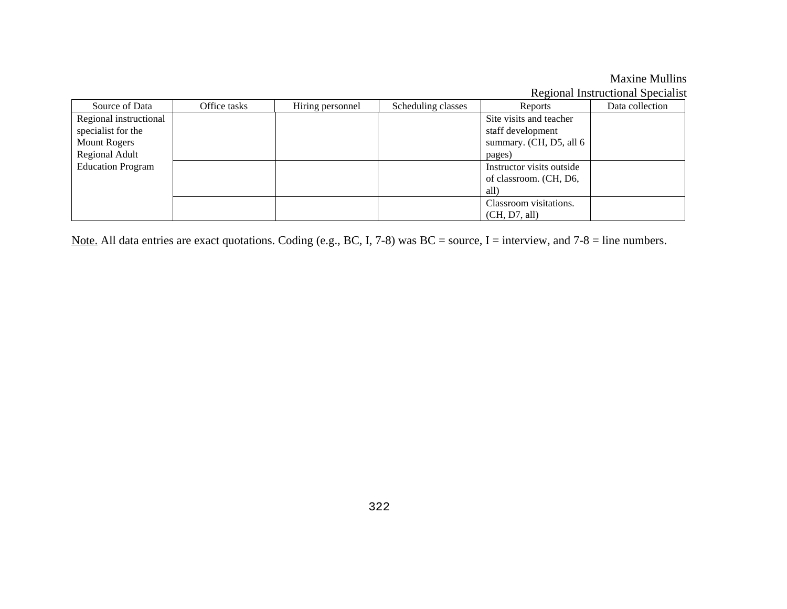| Source of Data           | Office tasks | Hiring personnel | Scheduling classes | Reports                   | Data collection |
|--------------------------|--------------|------------------|--------------------|---------------------------|-----------------|
| Regional instructional   |              |                  |                    | Site visits and teacher   |                 |
| specialist for the       |              |                  |                    | staff development         |                 |
| <b>Mount Rogers</b>      |              |                  |                    | summary. (CH, D5, all 6   |                 |
| Regional Adult           |              |                  |                    | pages)                    |                 |
| <b>Education Program</b> |              |                  |                    | Instructor visits outside |                 |
|                          |              |                  |                    | of classroom. (CH, D6,    |                 |
|                          |              |                  |                    | all)                      |                 |
|                          |              |                  |                    | Classroom visitations.    |                 |
|                          |              |                  |                    | (CH, D7, all)             |                 |

Note. All data entries are exact quotations. Coding (e.g., BC, I, 7-8) was BC = source, I = interview, and 7-8 = line numbers.